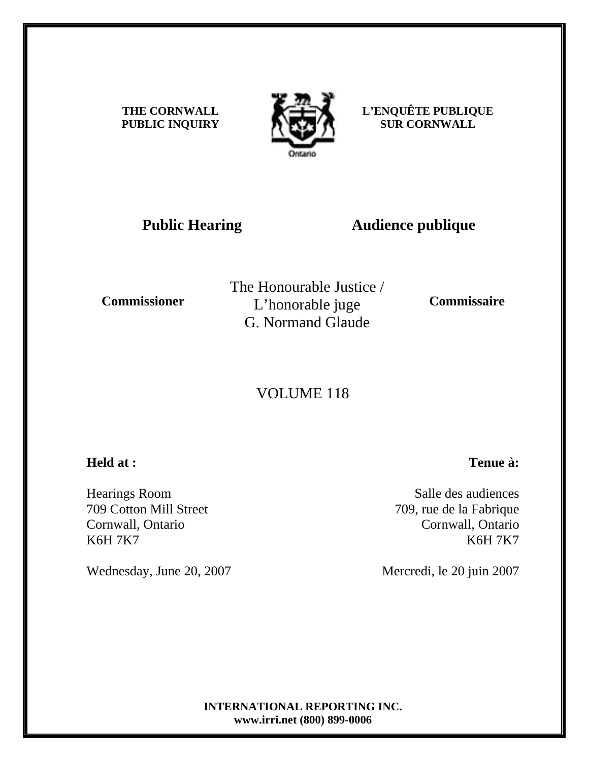**THE CORNWALL PUBLIC INQUIRY**



**L'ENQUÊTE PUBLIQUE SUR CORNWALL** 

# **Public Hearing Audience publique**

**Commissioner** 

The Honourable Justice / L'honorable juge G. Normand Glaude

**Commissaire** 

# VOLUME 118

## **Held at :**

Hearings Room 709 Cotton Mill Street Cornwall, Ontario K6H 7K7

Wednesday, June 20, 2007

Salle des audiences

**Tenue à:**

709, rue de la Fabrique Cornwall, Ontario K6H 7K7

Mercredi, le 20 juin 2007

**INTERNATIONAL REPORTING INC. www.irri.net (800) 899-0006**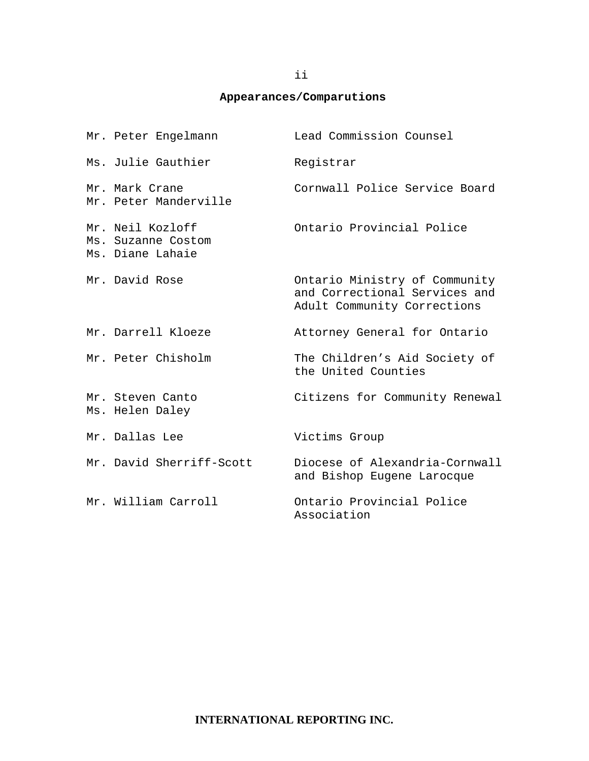## **Appearances/Comparutions**

| Mr. Peter Engelmann                                        | Lead Commission Counsel                                                                       |
|------------------------------------------------------------|-----------------------------------------------------------------------------------------------|
| Ms. Julie Gauthier                                         | Registrar                                                                                     |
| Mr. Mark Crane<br>Mr. Peter Manderville                    | Cornwall Police Service Board                                                                 |
| Mr. Neil Kozloff<br>Ms. Suzanne Costom<br>Ms. Diane Lahaie | Ontario Provincial Police                                                                     |
| Mr. David Rose                                             | Ontario Ministry of Community<br>and Correctional Services and<br>Adult Community Corrections |
| Mr. Darrell Kloeze                                         | Attorney General for Ontario                                                                  |
| Mr. Peter Chisholm                                         | The Children's Aid Society of<br>the United Counties                                          |
| Mr. Steven Canto<br>Ms. Helen Daley                        | Citizens for Community Renewal                                                                |
| Mr. Dallas Lee                                             | Victims Group                                                                                 |
| Mr. David Sherriff-Scott                                   | Diocese of Alexandria-Cornwall<br>and Bishop Eugene Larocque                                  |
| Mr. William Carroll                                        | Ontario Provincial Police<br>Association                                                      |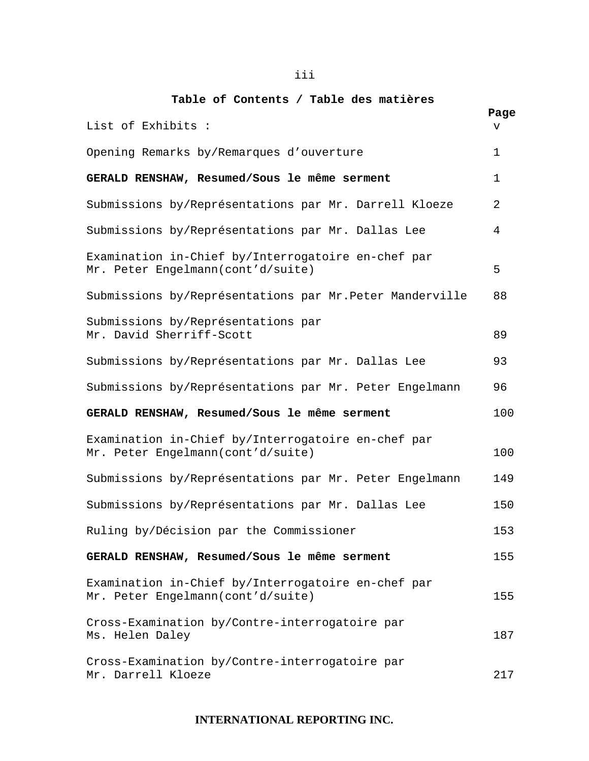## **Table of Contents / Table des matières**

|                                                                                         | Page |
|-----------------------------------------------------------------------------------------|------|
| List of Exhibits :                                                                      | v    |
| Opening Remarks by/Remarques d'ouverture                                                | 1    |
| GERALD RENSHAW, Resumed/Sous le même serment                                            | 1    |
| Submissions by/Représentations par Mr. Darrell Kloeze                                   | 2    |
| Submissions by/Représentations par Mr. Dallas Lee                                       | 4    |
| Examination in-Chief by/Interrogatoire en-chef par<br>Mr. Peter Engelmann(cont'd/suite) | 5    |
| Submissions by/Représentations par Mr.Peter Manderville                                 | 88   |
| Submissions by/Représentations par<br>Mr. David Sherriff-Scott                          | 89   |
| Submissions by/Représentations par Mr. Dallas Lee                                       | 93   |
| Submissions by/Représentations par Mr. Peter Engelmann                                  | 96   |
| GERALD RENSHAW, Resumed/Sous le même serment                                            | 100  |
| Examination in-Chief by/Interrogatoire en-chef par<br>Mr. Peter Engelmann(cont'd/suite) | 100  |
| Submissions by/Représentations par Mr. Peter Engelmann                                  | 149  |
| Submissions by/Représentations par Mr. Dallas Lee                                       | 150  |
| Ruling by/Décision par the Commissioner                                                 | 153  |
| GERALD RENSHAW, Resumed/Sous le même serment                                            | 155  |
| Examination in-Chief by/Interrogatoire en-chef par<br>Mr. Peter Engelmann(cont'd/suite) | 155  |
| Cross-Examination by/Contre-interrogatoire par<br>Ms. Helen Daley                       | 187  |
| Cross-Examination by/Contre-interrogatoire par<br>Mr. Darrell Kloeze                    | 217  |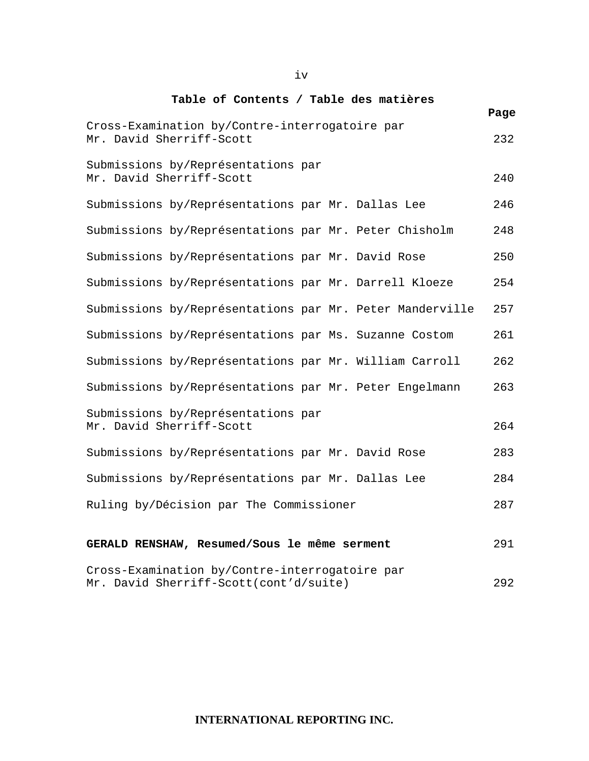#### **Table of Contents / Table des matières**

|                                                                                          | Page |
|------------------------------------------------------------------------------------------|------|
| Cross-Examination by/Contre-interrogatoire par<br>Mr. David Sherriff-Scott               | 232  |
| Submissions by/Représentations par<br>Mr. David Sherriff-Scott                           | 240  |
| Submissions by/Représentations par Mr. Dallas Lee                                        | 246  |
| Submissions by/Représentations par Mr. Peter Chisholm                                    | 248  |
| Submissions by/Représentations par Mr. David Rose                                        | 250  |
| Submissions by/Représentations par Mr. Darrell Kloeze                                    | 254  |
| Submissions by/Représentations par Mr. Peter Manderville                                 | 257  |
| Submissions by/Représentations par Ms. Suzanne Costom                                    | 261  |
| Submissions by/Représentations par Mr. William Carroll                                   | 262  |
| Submissions by/Représentations par Mr. Peter Engelmann                                   | 263  |
| Submissions by/Représentations par<br>Mr. David Sherriff-Scott                           | 264  |
| Submissions by/Représentations par Mr. David Rose                                        | 283  |
| Submissions by/Représentations par Mr. Dallas Lee                                        | 284  |
| Ruling by/Décision par The Commissioner                                                  | 287  |
| GERALD RENSHAW, Resumed/Sous le même serment                                             | 291  |
| Cross-Examination by/Contre-interrogatoire par<br>Mr. David Sherriff-Scott(cont'd/suite) | 292  |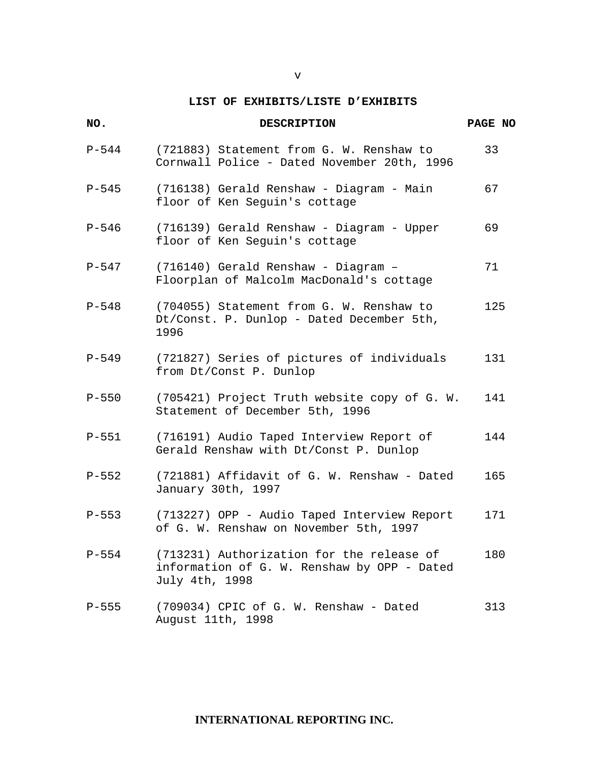#### v

## **LIST OF EXHIBITS/LISTE D'EXHIBITS**

| NO.       | <b>DESCRIPTION</b>                                                                                         | PAGE NO |
|-----------|------------------------------------------------------------------------------------------------------------|---------|
| $P-544$   | (721883) Statement from G. W. Renshaw to<br>Cornwall Police - Dated November 20th, 1996                    | 33      |
| $P-545$   | (716138) Gerald Renshaw - Diagram - Main<br>floor of Ken Seguin's cottage                                  | 67      |
| $P-546$   | (716139) Gerald Renshaw - Diagram - Upper<br>floor of Ken Seguin's cottage                                 | 69      |
| $P-547$   | (716140) Gerald Renshaw - Diagram -<br>Floorplan of Malcolm MacDonald's cottage                            | 71      |
| $P-548$   | (704055) Statement from G. W. Renshaw to<br>Dt/Const. P. Dunlop - Dated December 5th,<br>1996              | 125     |
| $P - 549$ | (721827) Series of pictures of individuals<br>from Dt/Const P. Dunlop                                      | 131     |
| $P-550$   | (705421) Project Truth website copy of G. W.<br>Statement of December 5th, 1996                            | 141     |
| $P-551$   | (716191) Audio Taped Interview Report of<br>Gerald Renshaw with Dt/Const P. Dunlop                         | 144     |
| $P-552$   | (721881) Affidavit of G. W. Renshaw - Dated<br>January 30th, 1997                                          | 165     |
| $P - 553$ | (713227) OPP - Audio Taped Interview Report<br>of G. W. Renshaw on November 5th, 1997                      | 171     |
| $P-554$   | (713231) Authorization for the release of<br>information of G. W. Renshaw by OPP - Dated<br>July 4th, 1998 | 180     |
| $P - 555$ | (709034) CPIC of G. W. Renshaw - Dated<br>August 11th, 1998                                                | 313     |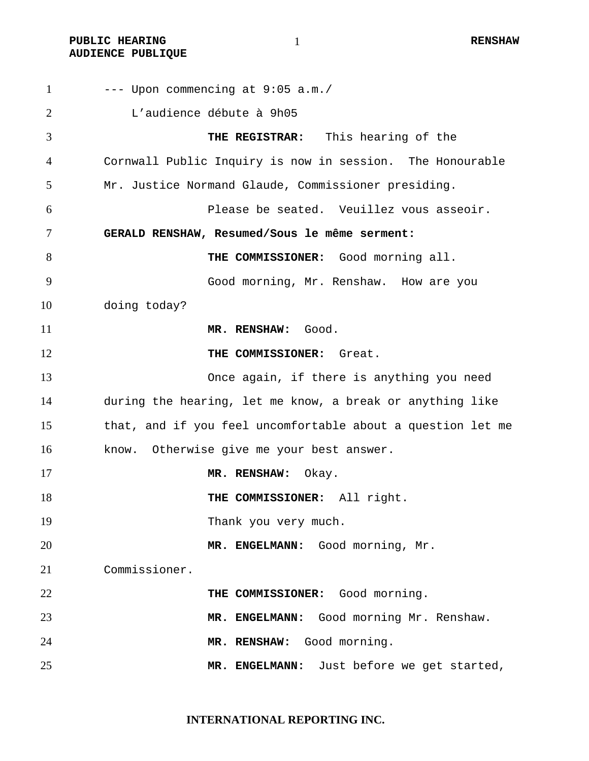PUBLIC HEARING **AUDIENCE PUBLIQUE** 

| $\mathbf{1}$ | --- Upon commencing at 9:05 a.m./                           |
|--------------|-------------------------------------------------------------|
| 2            | L'audience débute à 9h05                                    |
| 3            | THE REGISTRAR: This hearing of the                          |
| 4            | Cornwall Public Inquiry is now in session. The Honourable   |
| 5            | Mr. Justice Normand Glaude, Commissioner presiding.         |
| 6            | Please be seated. Veuillez vous asseoir.                    |
| 7            | GERALD RENSHAW, Resumed/Sous le même serment:               |
| 8            | THE COMMISSIONER: Good morning all.                         |
| 9            | Good morning, Mr. Renshaw. How are you                      |
| 10           | doing today?                                                |
| 11           | MR. RENSHAW: Good.                                          |
| 12           | THE COMMISSIONER: Great.                                    |
| 13           | Once again, if there is anything you need                   |
| 14           | during the hearing, let me know, a break or anything like   |
| 15           | that, and if you feel uncomfortable about a question let me |
| 16           | Otherwise give me your best answer.<br>know.                |
| 17           | MR. RENSHAW:<br>Okay.                                       |
| 18           | THE COMMISSIONER: All right.                                |
| 19           | Thank you very much.                                        |
| 20           | MR. ENGELMANN: Good morning, Mr.                            |
| 21           | Commissioner.                                               |
| 22           | THE COMMISSIONER: Good morning.                             |
| 23           | Good morning Mr. Renshaw.<br>MR. ENGELMANN:                 |
| 24           | Good morning.<br>MR. RENSHAW:                               |
| 25           | MR. ENGELMANN: Just before we get started,                  |

**INTERNATIONAL REPORTING INC.**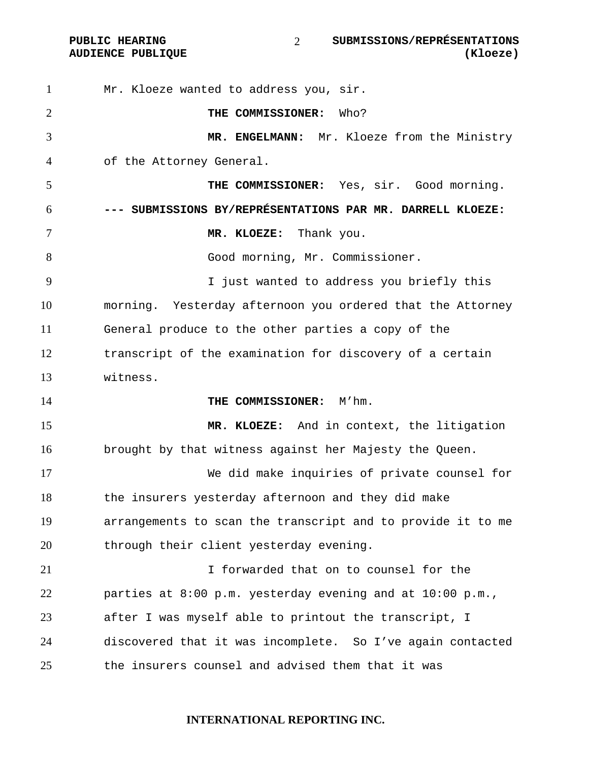Mr. Kloeze wanted to address you, sir. **THE COMMISSIONER:** Who? **MR. ENGELMANN:** Mr. Kloeze from the Ministry of the Attorney General. **THE COMMISSIONER:** Yes, sir. Good morning. **--- SUBMISSIONS BY/REPRÉSENTATIONS PAR MR. DARRELL KLOEZE: MR. KLOEZE:** Thank you. Good morning, Mr. Commissioner. I just wanted to address you briefly this morning. Yesterday afternoon you ordered that the Attorney General produce to the other parties a copy of the transcript of the examination for discovery of a certain witness. **THE COMMISSIONER:** M'hm. **MR. KLOEZE:** And in context, the litigation brought by that witness against her Majesty the Queen. We did make inquiries of private counsel for the insurers yesterday afternoon and they did make arrangements to scan the transcript and to provide it to me 20 through their client yesterday evening. I forwarded that on to counsel for the parties at 8:00 p.m. yesterday evening and at 10:00 p.m., after I was myself able to printout the transcript, I discovered that it was incomplete. So I've again contacted the insurers counsel and advised them that it was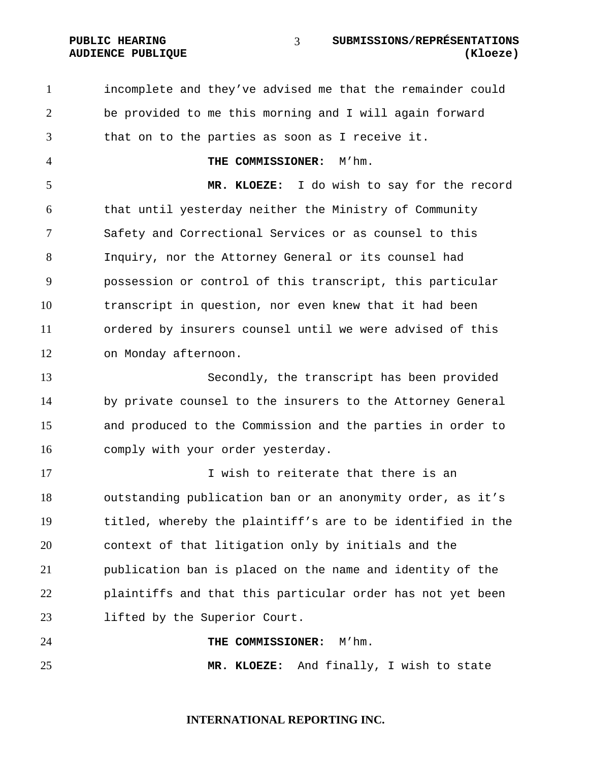incomplete and they've advised me that the remainder could be provided to me this morning and I will again forward that on to the parties as soon as I receive it. **THE COMMISSIONER:** M'hm. **MR. KLOEZE:** I do wish to say for the record that until yesterday neither the Ministry of Community Safety and Correctional Services or as counsel to this Inquiry, nor the Attorney General or its counsel had possession or control of this transcript, this particular transcript in question, nor even knew that it had been ordered by insurers counsel until we were advised of this on Monday afternoon. Secondly, the transcript has been provided by private counsel to the insurers to the Attorney General and produced to the Commission and the parties in order to comply with your order yesterday. 17 17 I wish to reiterate that there is an outstanding publication ban or an anonymity order, as it's titled, whereby the plaintiff's are to be identified in the context of that litigation only by initials and the publication ban is placed on the name and identity of the plaintiffs and that this particular order has not yet been lifted by the Superior Court. **THE COMMISSIONER:** M'hm. **MR. KLOEZE:** And finally, I wish to state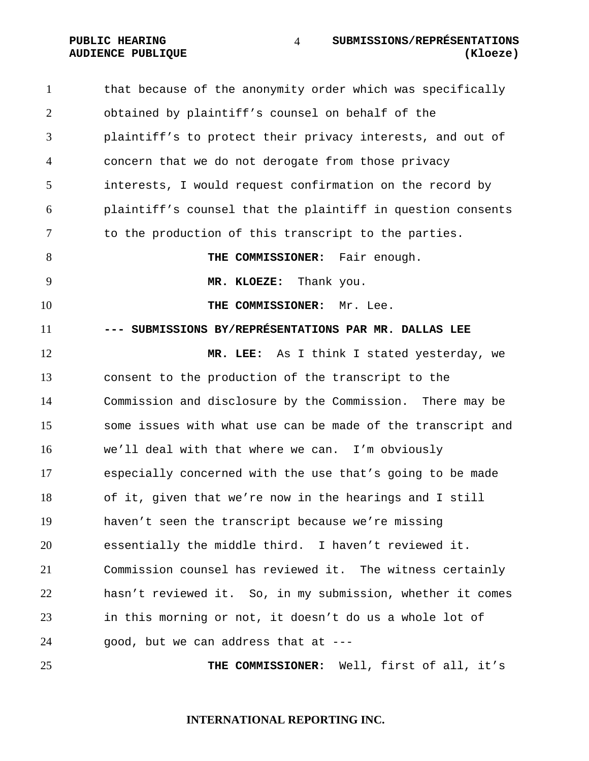1 that because of the anonymity order which was specifically obtained by plaintiff's counsel on behalf of the plaintiff's to protect their privacy interests, and out of concern that we do not derogate from those privacy interests, I would request confirmation on the record by plaintiff's counsel that the plaintiff in question consents 7 to the production of this transcript to the parties. **THE COMMISSIONER:** Fair enough. **MR. KLOEZE:** Thank you. **THE COMMISSIONER:** Mr. Lee. **--- SUBMISSIONS BY/REPRÉSENTATIONS PAR MR. DALLAS LEE MR. LEE:** As I think I stated yesterday, we consent to the production of the transcript to the Commission and disclosure by the Commission. There may be some issues with what use can be made of the transcript and we'll deal with that where we can. I'm obviously especially concerned with the use that's going to be made of it, given that we're now in the hearings and I still haven't seen the transcript because we're missing essentially the middle third. I haven't reviewed it. Commission counsel has reviewed it. The witness certainly hasn't reviewed it. So, in my submission, whether it comes in this morning or not, it doesn't do us a whole lot of good, but we can address that at --- **THE COMMISSIONER:** Well, first of all, it's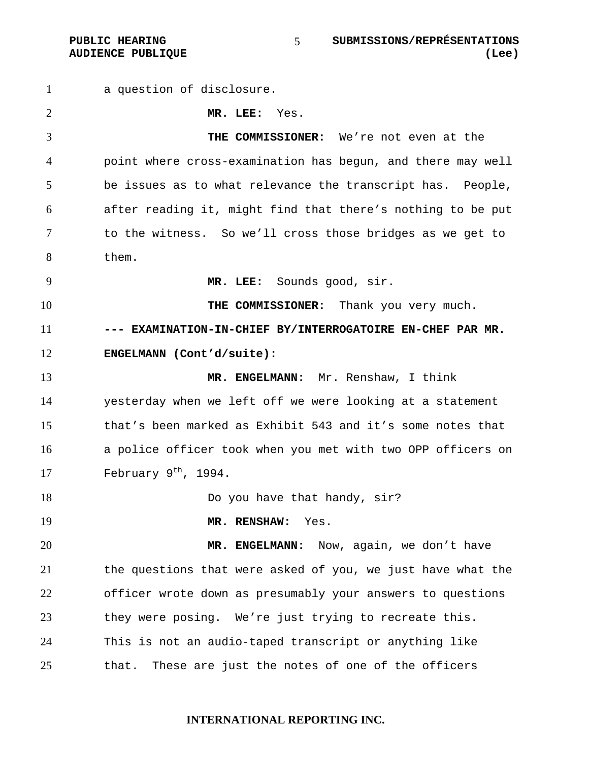a question of disclosure. **MR. LEE:** Yes. **THE COMMISSIONER:** We're not even at the point where cross-examination has begun, and there may well be issues as to what relevance the transcript has. People, after reading it, might find that there's nothing to be put to the witness. So we'll cross those bridges as we get to them. **MR. LEE:** Sounds good, sir. **THE COMMISSIONER:** Thank you very much. **--- EXAMINATION-IN-CHIEF BY/INTERROGATOIRE EN-CHEF PAR MR. ENGELMANN (Cont'd/suite): MR. ENGELMANN:** Mr. Renshaw, I think yesterday when we left off we were looking at a statement that's been marked as Exhibit 543 and it's some notes that a police officer took when you met with two OPP officers on 17 February  $9<sup>th</sup>$ , 1994. **Do you have that handy, sir? MR. RENSHAW:** Yes. **MR. ENGELMANN:** Now, again, we don't have the questions that were asked of you, we just have what the officer wrote down as presumably your answers to questions they were posing. We're just trying to recreate this. This is not an audio-taped transcript or anything like that. These are just the notes of one of the officers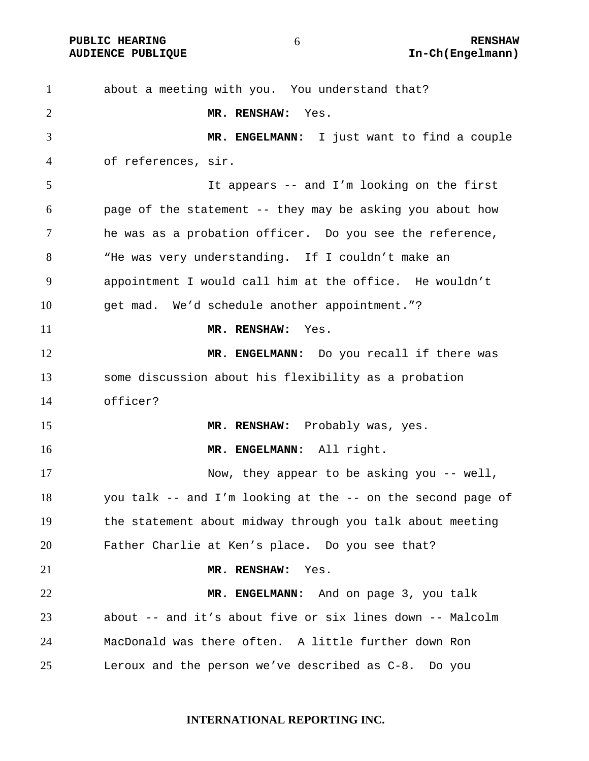about a meeting with you. You understand that? **MR. RENSHAW:** Yes. **MR. ENGELMANN:** I just want to find a couple of references, sir. It appears -- and I'm looking on the first page of the statement -- they may be asking you about how he was as a probation officer. Do you see the reference, "He was very understanding. If I couldn't make an appointment I would call him at the office. He wouldn't get mad. We'd schedule another appointment."? **MR. RENSHAW:** Yes. **MR. ENGELMANN:** Do you recall if there was some discussion about his flexibility as a probation officer? **MR. RENSHAW:** Probably was, yes. **MR. ENGELMANN:** All right. 17 Now, they appear to be asking you -- well, you talk -- and I'm looking at the -- on the second page of the statement about midway through you talk about meeting Father Charlie at Ken's place. Do you see that? **MR. RENSHAW:** Yes. **MR. ENGELMANN:** And on page 3, you talk about -- and it's about five or six lines down -- Malcolm MacDonald was there often. A little further down Ron Leroux and the person we've described as C-8. Do you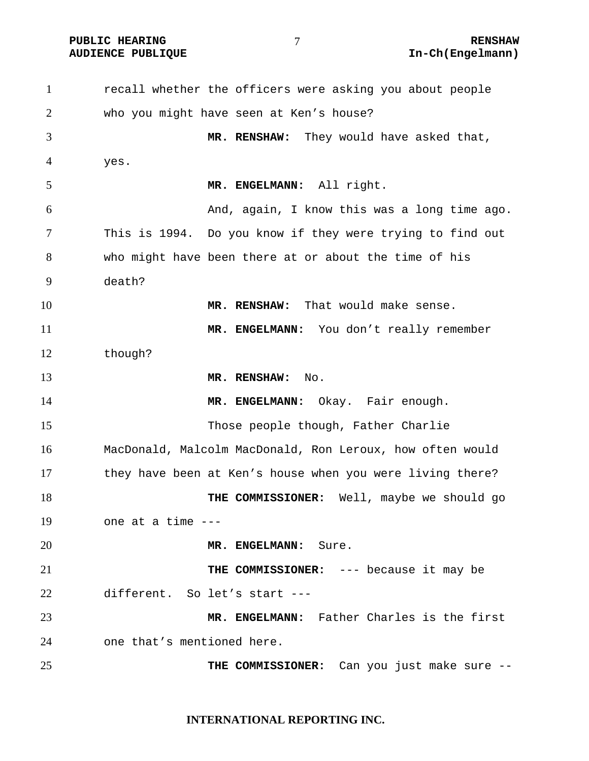PUBLIC HEARING  $\overline{7}$  and  $\overline{8}$  renshaw

recall whether the officers were asking you about people who you might have seen at Ken's house? **MR. RENSHAW:** They would have asked that, yes. **MR. ENGELMANN:** All right. And, again, I know this was a long time ago. This is 1994. Do you know if they were trying to find out who might have been there at or about the time of his death? **MR. RENSHAW:** That would make sense. 11 MR. ENGELMANN: You don't really remember though? **MR. RENSHAW:** No. **MR. ENGELMANN:** Okay. Fair enough. Those people though, Father Charlie MacDonald, Malcolm MacDonald, Ron Leroux, how often would they have been at Ken's house when you were living there? **THE COMMISSIONER:** Well, maybe we should go one at a time --- **MR. ENGELMANN:** Sure. **THE COMMISSIONER:** --- because it may be different. So let's start --- **MR. ENGELMANN:** Father Charles is the first one that's mentioned here. **THE COMMISSIONER:** Can you just make sure --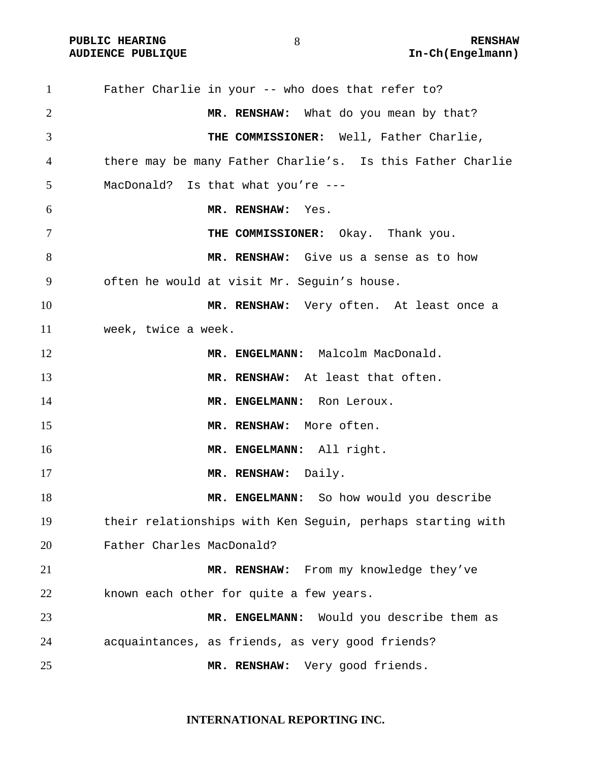PUBLIC HEARING  $\begin{array}{ccc} 8 & 8 \end{array}$  RENSHAW

Father Charlie in your -- who does that refer to? **MR. RENSHAW:** What do you mean by that? **THE COMMISSIONER:** Well, Father Charlie, there may be many Father Charlie's. Is this Father Charlie MacDonald? Is that what you're --- **MR. RENSHAW:** Yes. **THE COMMISSIONER:** Okay. Thank you. **MR. RENSHAW:** Give us a sense as to how often he would at visit Mr. Seguin's house. **MR. RENSHAW:** Very often. At least once a week, twice a week. 12 MR. ENGELMANN: Malcolm MacDonald. **MR. RENSHAW:** At least that often. 14 MR. ENGELMANN: Ron Leroux. **MR. RENSHAW:** More often. **MR. ENGELMANN:** All right. 17 MR. RENSHAW: Daily. **MR. ENGELMANN:** So how would you describe their relationships with Ken Seguin, perhaps starting with Father Charles MacDonald? **MR. RENSHAW:** From my knowledge they've known each other for quite a few years. **MR. ENGELMANN:** Would you describe them as acquaintances, as friends, as very good friends? **MR. RENSHAW:** Very good friends.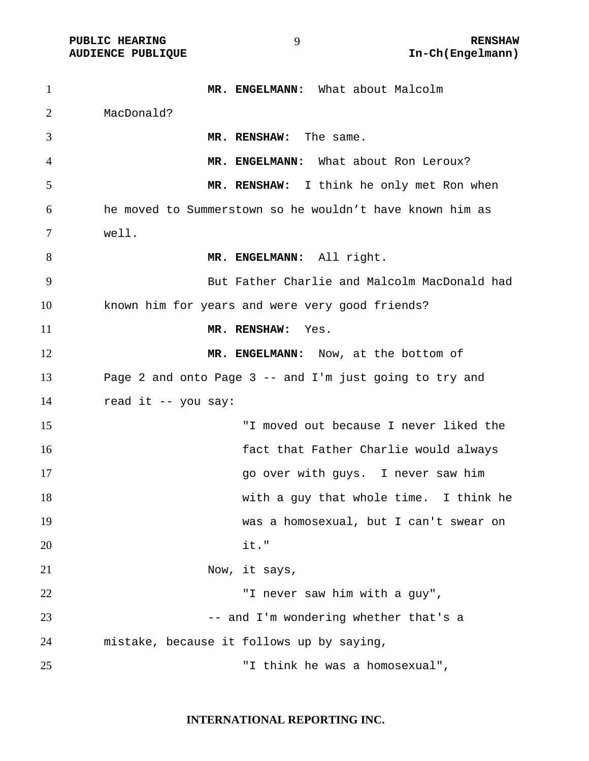| $\mathbf{1}$   | MR. ENGELMANN: What about Malcolm                        |
|----------------|----------------------------------------------------------|
| $\overline{2}$ | MacDonald?                                               |
| 3              | MR. RENSHAW: The same.                                   |
| $\overline{4}$ | MR. ENGELMANN: What about Ron Leroux?                    |
| 5              | MR. RENSHAW: I think he only met Ron when                |
| 6              | he moved to Summerstown so he wouldn't have known him as |
| 7              | well.                                                    |
| 8              | MR. ENGELMANN: All right.                                |
| 9              | But Father Charlie and Malcolm MacDonald had             |
| 10             | known him for years and were very good friends?          |
| 11             | MR. RENSHAW:<br>Yes.                                     |
| 12             | MR. ENGELMANN: Now, at the bottom of                     |
| 13             | Page 2 and onto Page 3 -- and I'm just going to try and  |
| 14             | read it -- you say:                                      |
| 15             | "I moved out because I never liked the                   |
| 16             | fact that Father Charlie would always                    |
| 17             | go over with guys. I never saw him                       |
| 18             | with a guy that whole time. I think he                   |
| 19             | was a homosexual, but I can't swear on                   |
| 20             | it."                                                     |
| 21             | Now, it says,                                            |
| 22             | "I never saw him with a guy",                            |
| 23             | -- and I'm wondering whether that's a                    |
| 24             | mistake, because it follows up by saying,                |
| 25             | "I think he was a homosexual",                           |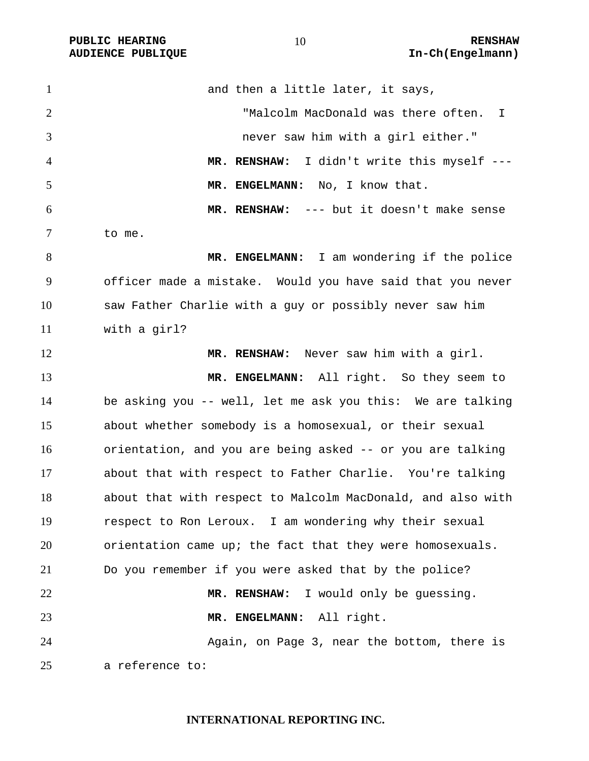**PUBLIC HEARING 10** 10 **RENSHAW** 

1 and then a little later, it says, "Malcolm MacDonald was there often. I never saw him with a girl either." **MR. RENSHAW:** I didn't write this myself --- 5 MR. ENGELMANN: No, I know that. **MR. RENSHAW:** --- but it doesn't make sense to me. **MR. ENGELMANN:** I am wondering if the police officer made a mistake. Would you have said that you never saw Father Charlie with a guy or possibly never saw him with a girl? **MR. RENSHAW:** Never saw him with a girl. **MR. ENGELMANN:** All right. So they seem to be asking you -- well, let me ask you this: We are talking about whether somebody is a homosexual, or their sexual orientation, and you are being asked -- or you are talking about that with respect to Father Charlie. You're talking about that with respect to Malcolm MacDonald, and also with respect to Ron Leroux. I am wondering why their sexual orientation came up; the fact that they were homosexuals. Do you remember if you were asked that by the police? **MR. RENSHAW:** I would only be guessing. **MR. ENGELMANN:** All right. Again, on Page 3, near the bottom, there is a reference to: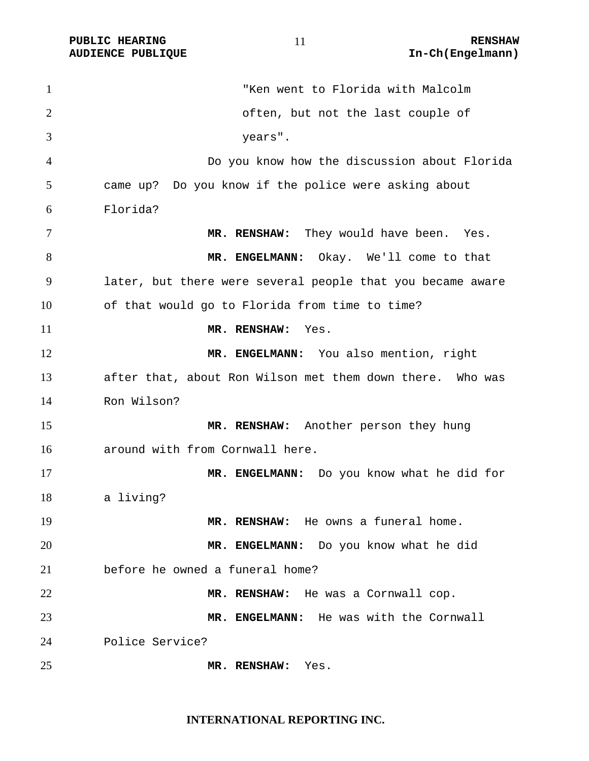**PUBLIC HEARING 11** 11 RENSHAW **AUDIENCE PUBLIQUE International Contract Contract Contract Contract Contract Contract Contract Contract Contract Contract Contract Contract Contract Contract Contract Contract Contract Contract Contract Contract Contract** 

"Ken went to Florida with Malcolm often, but not the last couple of years". Do you know how the discussion about Florida came up? Do you know if the police were asking about Florida? 7 MR. RENSHAW: They would have been. Yes. **MR. ENGELMANN:** Okay. We'll come to that later, but there were several people that you became aware of that would go to Florida from time to time? **MR. RENSHAW:** Yes. **MR. ENGELMANN:** You also mention, right after that, about Ron Wilson met them down there. Who was Ron Wilson? **MR. RENSHAW:** Another person they hung around with from Cornwall here. **MR. ENGELMANN:** Do you know what he did for a living? **MR. RENSHAW:** He owns a funeral home. **MR. ENGELMANN:** Do you know what he did before he owned a funeral home? **MR. RENSHAW:** He was a Cornwall cop. **MR. ENGELMANN:** He was with the Cornwall Police Service? **MR. RENSHAW:** Yes.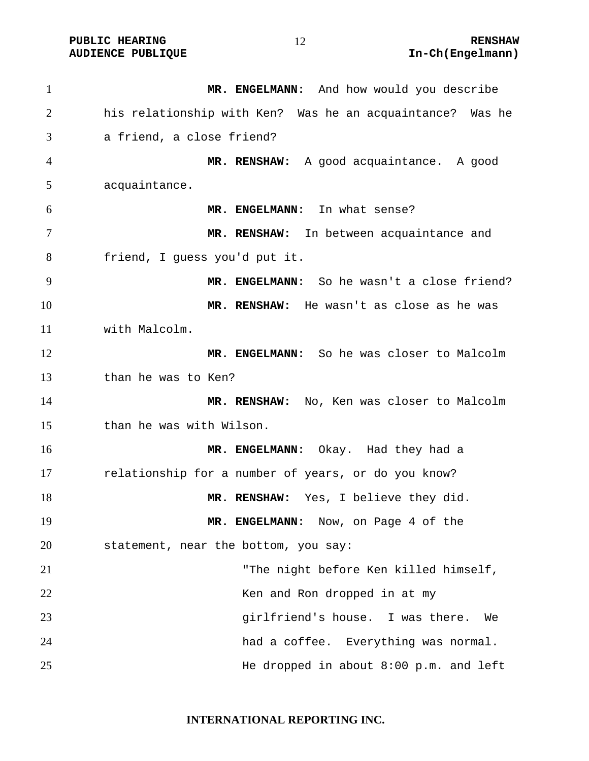1 MR. ENGELMANN: And how would you describe his relationship with Ken? Was he an acquaintance? Was he a friend, a close friend? **MR. RENSHAW:** A good acquaintance. A good acquaintance. **MR. ENGELMANN:** In what sense? **MR. RENSHAW:** In between acquaintance and friend, I guess you'd put it. **MR. ENGELMANN:** So he wasn't a close friend? **MR. RENSHAW:** He wasn't as close as he was with Malcolm. **MR. ENGELMANN:** So he was closer to Malcolm than he was to Ken? **MR. RENSHAW:** No, Ken was closer to Malcolm than he was with Wilson. **MR. ENGELMANN:** Okay. Had they had a relationship for a number of years, or do you know? **MR. RENSHAW:** Yes, I believe they did. **MR. ENGELMANN:** Now, on Page 4 of the statement, near the bottom, you say: "The night before Ken killed himself, Ken and Ron dropped in at my girlfriend's house. I was there. We had a coffee. Everything was normal. He dropped in about 8:00 p.m. and left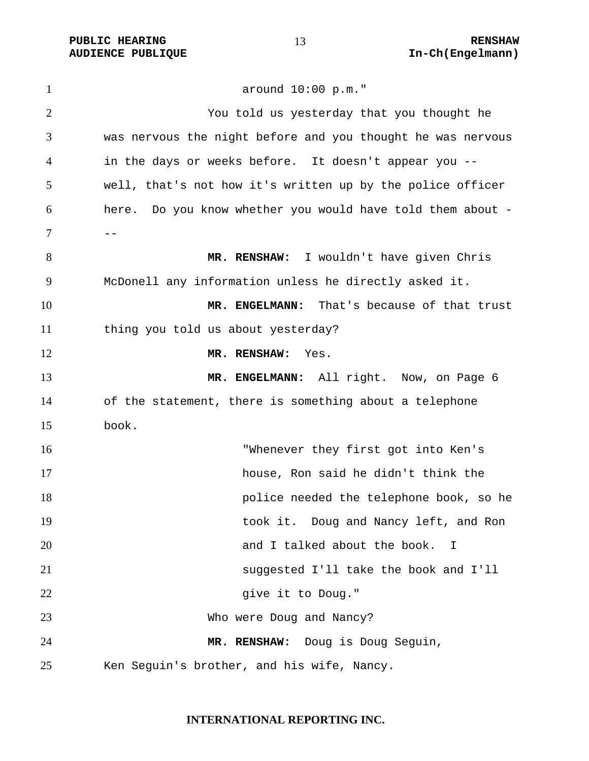**PUBLIC HEARING 13** 13 RENSHAW

around 10:00 p.m." You told us yesterday that you thought he was nervous the night before and you thought he was nervous in the days or weeks before. It doesn't appear you -- well, that's not how it's written up by the police officer here. Do you know whether you would have told them about - --**MR. RENSHAW:** I wouldn't have given Chris McDonell any information unless he directly asked it. **MR. ENGELMANN:** That's because of that trust thing you told us about yesterday? **MR. RENSHAW:** Yes. **MR. ENGELMANN:** All right. Now, on Page 6 of the statement, there is something about a telephone book. "Whenever they first got into Ken's house, Ron said he didn't think the police needed the telephone book, so he took it. Doug and Nancy left, and Ron and I talked about the book. I suggested I'll take the book and I'll 22 give it to Doug." Who were Doug and Nancy? **MR. RENSHAW:** Doug is Doug Seguin, Ken Seguin's brother, and his wife, Nancy.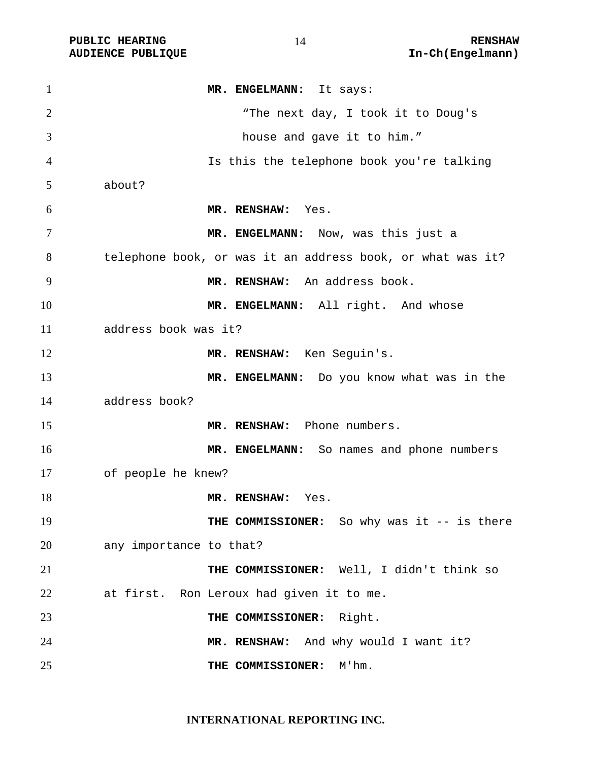PUBLIC HEARING **RENSHAW** RENSHAW **RENSHAW** RENSHAW **RENSHAW RENSHAW RENSHAW RENSHAW RENSHAW RENSHAW RENSHAW** 

| 1              | MR. ENGELMANN: It says:                                    |
|----------------|------------------------------------------------------------|
| $\overline{2}$ | "The next day, I took it to Doug's                         |
| 3              | house and gave it to him."                                 |
| 4              | Is this the telephone book you're talking                  |
| 5              | about?                                                     |
| 6              | MR. RENSHAW: Yes.                                          |
| 7              | MR. ENGELMANN: Now, was this just a                        |
| 8              | telephone book, or was it an address book, or what was it? |
| 9              | MR. RENSHAW: An address book.                              |
| 10             | MR. ENGELMANN: All right. And whose                        |
| 11             | address book was it?                                       |
| 12             | MR. RENSHAW: Ken Seguin's.                                 |
| 13             | MR. ENGELMANN: Do you know what was in the                 |
| 14             | address book?                                              |
| 15             | MR. RENSHAW: Phone numbers.                                |
| 16             | MR. ENGELMANN: So names and phone numbers                  |
| 17             | of people he knew?                                         |
| 18             | MR. RENSHAW: Yes.                                          |
| 19             | THE COMMISSIONER: So why was it -- is there                |
| 20             | any importance to that?                                    |
| 21             | THE COMMISSIONER: Well, I didn't think so                  |
| 22             | at first. Ron Leroux had given it to me.                   |
| 23             | THE COMMISSIONER: Right.                                   |
| 24             | MR. RENSHAW: And why would I want it?                      |
| 25             | M'hm.<br>THE COMMISSIONER:                                 |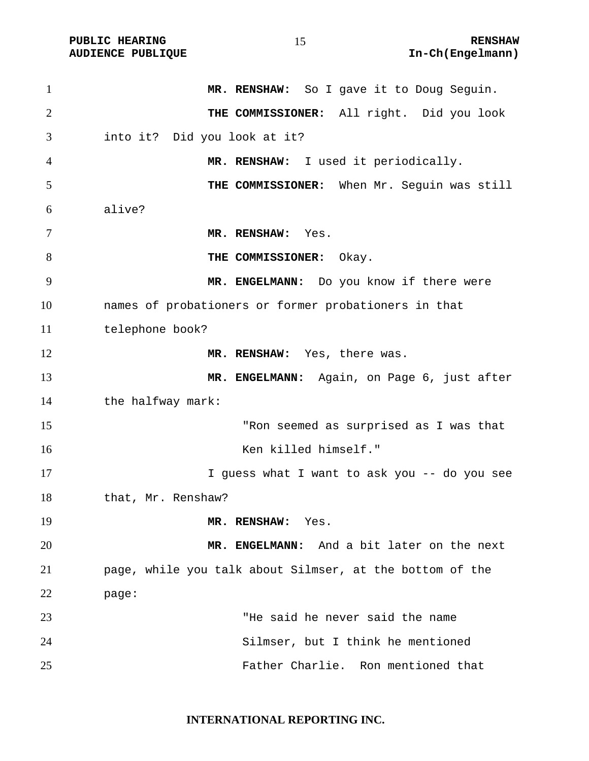| $\mathbf{1}$   | MR. RENSHAW: So I gave it to Doug Seguin.                |
|----------------|----------------------------------------------------------|
| $\overline{2}$ | THE COMMISSIONER: All right. Did you look                |
| 3              | into it? Did you look at it?                             |
| 4              | MR. RENSHAW: I used it periodically.                     |
| 5              | THE COMMISSIONER: When Mr. Seguin was still              |
| 6              | alive?                                                   |
| 7              | MR. RENSHAW: Yes.                                        |
| 8              | THE COMMISSIONER: Okay.                                  |
| 9              | MR. ENGELMANN: Do you know if there were                 |
| 10             | names of probationers or former probationers in that     |
| 11             | telephone book?                                          |
| 12             | MR. RENSHAW: Yes, there was.                             |
| 13             | MR. ENGELMANN: Again, on Page 6, just after              |
| 14             | the halfway mark:                                        |
| 15             | "Ron seemed as surprised as I was that                   |
| 16             | Ken killed himself."                                     |
| 17             | I guess what I want to ask you -- do you see             |
| 18             | that, Mr. Renshaw?                                       |
| 19             | MR. RENSHAW:<br>Yes.                                     |
| 20             | MR. ENGELMANN: And a bit later on the next               |
| 21             | page, while you talk about Silmser, at the bottom of the |
| 22             | page:                                                    |
| 23             | "He said he never said the name                          |
| 24             | Silmser, but I think he mentioned                        |
| 25             | Father Charlie. Ron mentioned that                       |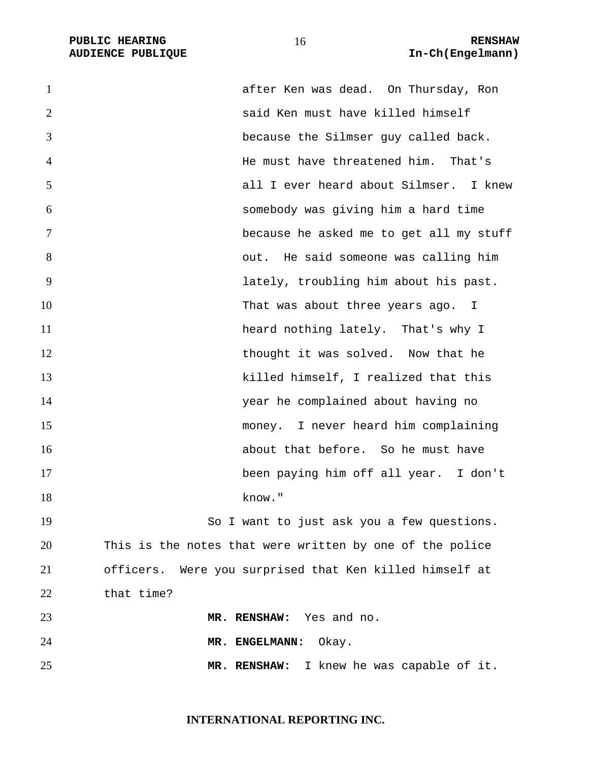PUBLIC HEARING **RENSHAW** 16 **RENSHAW** RENSHAW **RENSHAW RENSHAW AUDIENCE PUBLIQUE** 

| $\mathbf{1}$   | after Ken was dead. On Thursday, Ron                     |
|----------------|----------------------------------------------------------|
| 2              | said Ken must have killed himself                        |
| 3              | because the Silmser guy called back.                     |
| $\overline{4}$ | He must have threatened him. That's                      |
| 5              | all I ever heard about Silmser. I knew                   |
| 6              | somebody was giving him a hard time                      |
| 7              | because he asked me to get all my stuff                  |
| 8              | out. He said someone was calling him                     |
| 9              | lately, troubling him about his past.                    |
| 10             | That was about three years ago. I                        |
| 11             | heard nothing lately. That's why I                       |
| 12             | thought it was solved. Now that he                       |
| 13             | killed himself, I realized that this                     |
| 14             | year he complained about having no                       |
| 15             | money. I never heard him complaining                     |
| 16             | about that before. So he must have                       |
| 17             | been paying him off all year. I don't                    |
| 18             | know."                                                   |
| 19             | So I want to just ask you a few questions.               |
| 20             | This is the notes that were written by one of the police |
| 21             | officers. Were you surprised that Ken killed himself at  |
| 22             | that time?                                               |
| 23             | MR. RENSHAW: Yes and no.                                 |
| 24             | MR. ENGELMANN:<br>Okay.                                  |
| 25             | MR. RENSHAW: I knew he was capable of it.                |
|                |                                                          |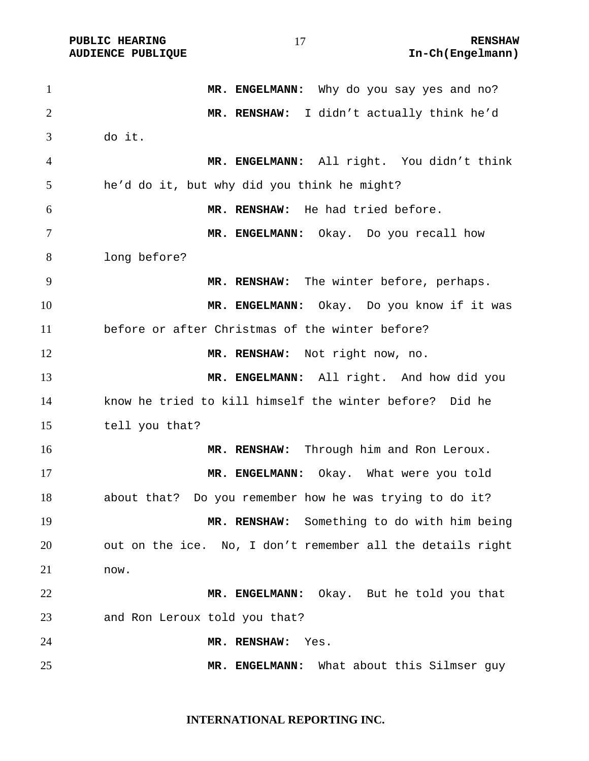1 MR. ENGELMANN: Why do you say yes and no? **MR. RENSHAW:** I didn't actually think he'd do it. **MR. ENGELMANN:** All right. You didn't think he'd do it, but why did you think he might? **MR. RENSHAW:** He had tried before. **MR. ENGELMANN:** Okay. Do you recall how long before? **MR. RENSHAW:** The winter before, perhaps. **MR. ENGELMANN:** Okay. Do you know if it was before or after Christmas of the winter before? **MR. RENSHAW:** Not right now, no. **MR. ENGELMANN:** All right. And how did you know he tried to kill himself the winter before? Did he tell you that? **MR. RENSHAW:** Through him and Ron Leroux. **MR. ENGELMANN:** Okay. What were you told about that? Do you remember how he was trying to do it? **MR. RENSHAW:** Something to do with him being out on the ice. No, I don't remember all the details right now. **MR. ENGELMANN:** Okay. But he told you that and Ron Leroux told you that? **MR. RENSHAW:** Yes. **MR. ENGELMANN:** What about this Silmser guy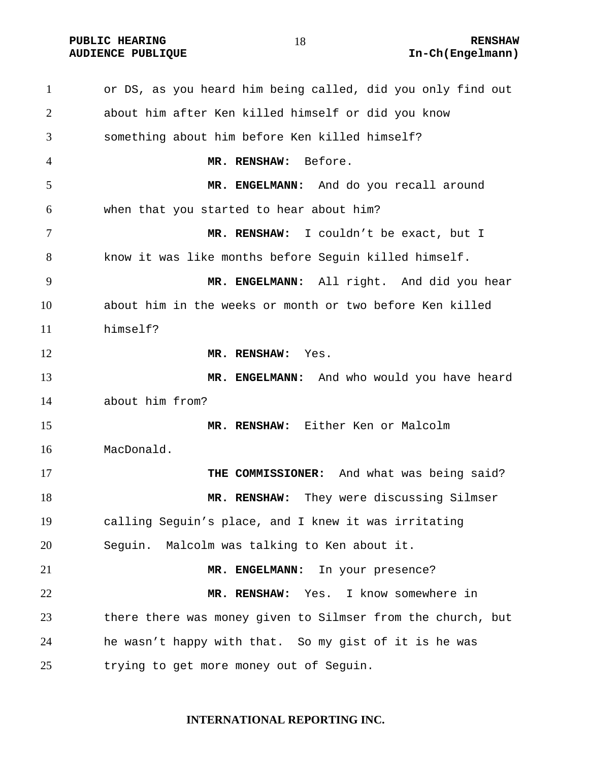or DS, as you heard him being called, did you only find out about him after Ken killed himself or did you know something about him before Ken killed himself? **MR. RENSHAW:** Before. **MR. ENGELMANN:** And do you recall around when that you started to hear about him? **MR. RENSHAW:** I couldn't be exact, but I know it was like months before Seguin killed himself. **MR. ENGELMANN:** All right. And did you hear about him in the weeks or month or two before Ken killed himself? **MR. RENSHAW:** Yes. **MR. ENGELMANN:** And who would you have heard about him from? **MR. RENSHAW:** Either Ken or Malcolm MacDonald. **THE COMMISSIONER:** And what was being said? **MR. RENSHAW:** They were discussing Silmser calling Seguin's place, and I knew it was irritating Seguin. Malcolm was talking to Ken about it. **MR. ENGELMANN:** In your presence? **MR. RENSHAW:** Yes. I know somewhere in there there was money given to Silmser from the church, but he wasn't happy with that. So my gist of it is he was trying to get more money out of Seguin.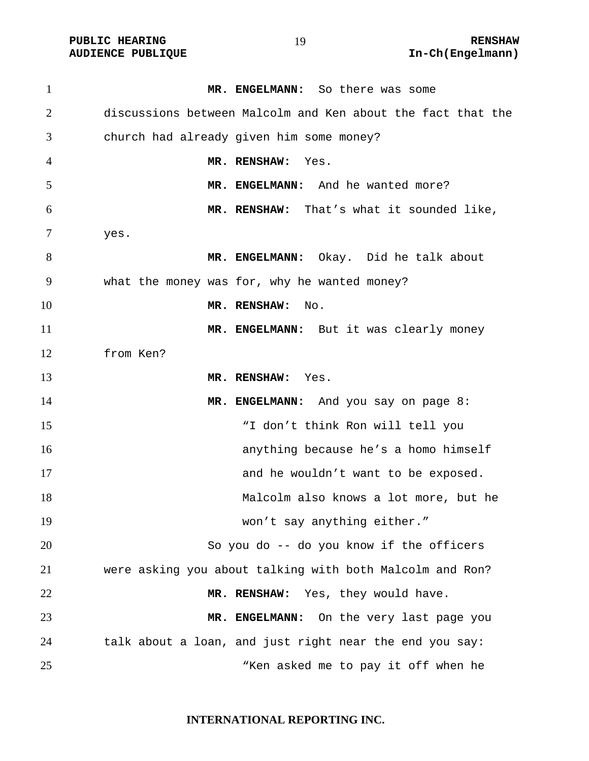| $\mathbf{1}$ | MR. ENGELMANN: So there was some                            |
|--------------|-------------------------------------------------------------|
| 2            | discussions between Malcolm and Ken about the fact that the |
| 3            | church had already given him some money?                    |
| 4            | MR. RENSHAW:<br>Yes.                                        |
| 5            | MR. ENGELMANN: And he wanted more?                          |
| 6            | MR. RENSHAW: That's what it sounded like,                   |
| 7            | yes.                                                        |
| 8            | MR. ENGELMANN: Okay. Did he talk about                      |
| 9            | what the money was for, why he wanted money?                |
| 10           | MR. RENSHAW:<br>No.                                         |
| 11           | MR. ENGELMANN: But it was clearly money                     |
| 12           | from Ken?                                                   |
| 13           | MR. RENSHAW: Yes.                                           |
| 14           | MR. ENGELMANN: And you say on page 8:                       |
| 15           | "I don't think Ron will tell you                            |
| 16           | anything because he's a homo himself                        |
| 17           | and he wouldn't want to be exposed.                         |
| 18           | Malcolm also knows a lot more, but he                       |
| 19           | won't say anything either."                                 |
| 20           | So you do -- do you know if the officers                    |
| 21           | were asking you about talking with both Malcolm and Ron?    |
| 22           | MR. RENSHAW: Yes, they would have.                          |
| 23           | MR. ENGELMANN:<br>On the very last page you                 |
| 24           | talk about a loan, and just right near the end you say:     |
| 25           | "Ken asked me to pay it off when he                         |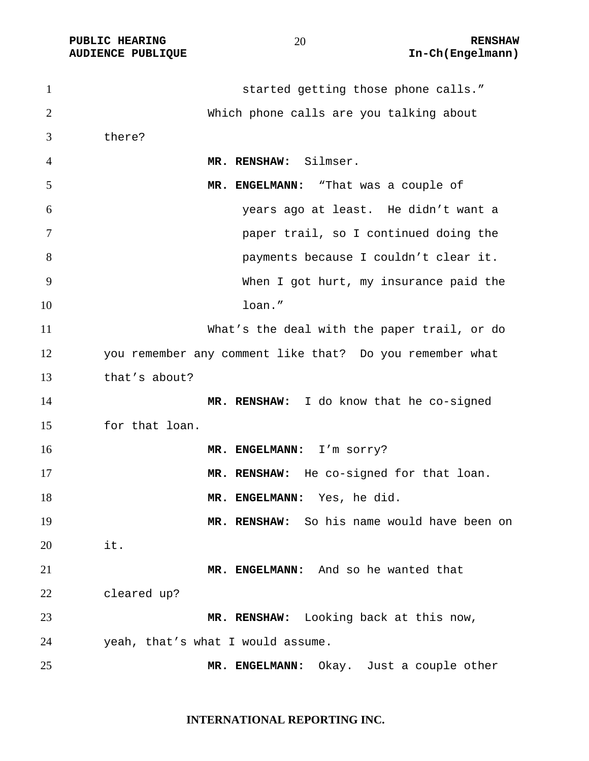| $\mathbf{1}$   | started getting those phone calls."                      |
|----------------|----------------------------------------------------------|
| 2              | Which phone calls are you talking about                  |
| 3              | there?                                                   |
| $\overline{4}$ | MR. RENSHAW: Silmser.                                    |
| 5              | MR. ENGELMANN: "That was a couple of                     |
| 6              | years ago at least. He didn't want a                     |
| $\overline{7}$ | paper trail, so I continued doing the                    |
| 8              | payments because I couldn't clear it.                    |
| 9              | When I got hurt, my insurance paid the                   |
| 10             | loan."                                                   |
| 11             | What's the deal with the paper trail, or do              |
| 12             | you remember any comment like that? Do you remember what |
| 13             | that's about?                                            |
| 14             | MR. RENSHAW: I do know that he co-signed                 |
| 15             | for that loan.                                           |
| 16             | MR. ENGELMANN: I'm sorry?                                |
| 17             | MR. RENSHAW: He co-signed for that loan.                 |
| 18             | MR. ENGELMANN: Yes, he did.                              |
| 19             | MR. RENSHAW: So his name would have been on              |
| 20             | it.                                                      |
| 21             | MR. ENGELMANN: And so he wanted that                     |
| 22             | cleared up?                                              |
| 23             | MR. RENSHAW: Looking back at this now,                   |
| 24             | yeah, that's what I would assume.                        |
| 25             | MR. ENGELMANN: Okay. Just a couple other                 |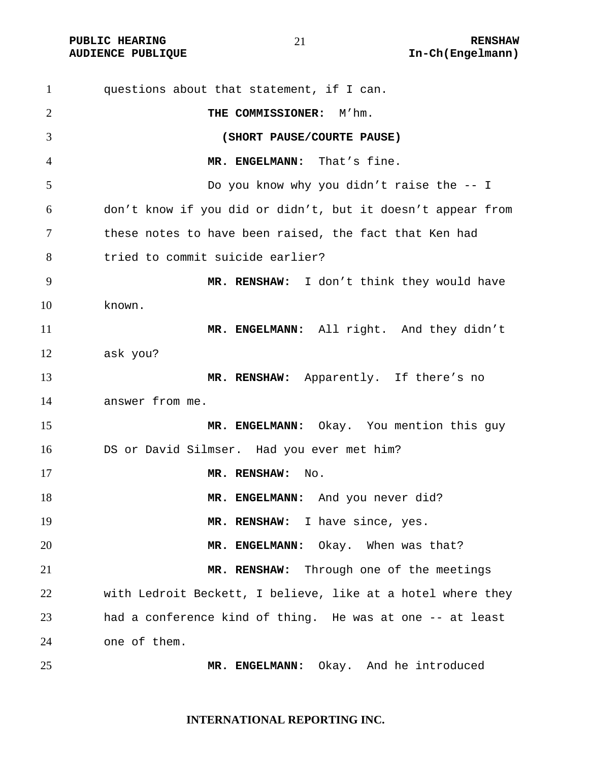**PUBLIC HEARING 21** 21 RENSHAW

questions about that statement, if I can. **THE COMMISSIONER:** M'hm. **(SHORT PAUSE/COURTE PAUSE) MR. ENGELMANN:** That's fine. Do you know why you didn't raise the -- I don't know if you did or didn't, but it doesn't appear from these notes to have been raised, the fact that Ken had tried to commit suicide earlier? **MR. RENSHAW:** I don't think they would have known. 11 MR. ENGELMANN: All right. And they didn't ask you? **MR. RENSHAW:** Apparently. If there's no answer from me. **MR. ENGELMANN:** Okay. You mention this guy DS or David Silmser. Had you ever met him? **MR. RENSHAW:** No. **MR. ENGELMANN:** And you never did? 19 MR. RENSHAW: I have since, yes. **MR. ENGELMANN:** Okay. When was that? **MR. RENSHAW:** Through one of the meetings with Ledroit Beckett, I believe, like at a hotel where they had a conference kind of thing. He was at one -- at least one of them. **MR. ENGELMANN:** Okay. And he introduced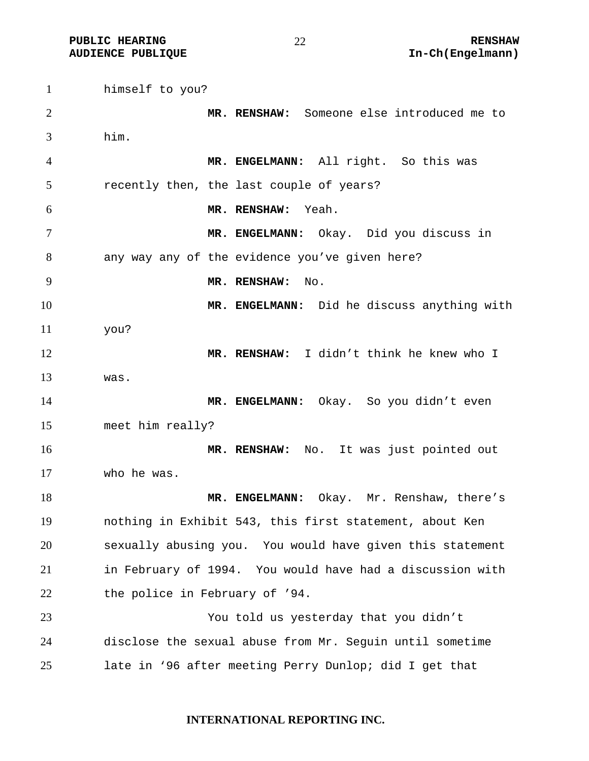himself to you? **MR. RENSHAW:** Someone else introduced me to him. **MR. ENGELMANN:** All right. So this was recently then, the last couple of years? **MR. RENSHAW:** Yeah. **MR. ENGELMANN:** Okay. Did you discuss in any way any of the evidence you've given here? **MR. RENSHAW:** No. **MR. ENGELMANN:** Did he discuss anything with you? **MR. RENSHAW:** I didn't think he knew who I was. 14 MR. ENGELMANN: Okay. So you didn't even meet him really? **MR. RENSHAW:** No. It was just pointed out who he was. **MR. ENGELMANN:** Okay. Mr. Renshaw, there's nothing in Exhibit 543, this first statement, about Ken sexually abusing you. You would have given this statement in February of 1994. You would have had a discussion with 22 the police in February of '94. You told us yesterday that you didn't disclose the sexual abuse from Mr. Seguin until sometime late in '96 after meeting Perry Dunlop; did I get that

#### **INTERNATIONAL REPORTING INC.**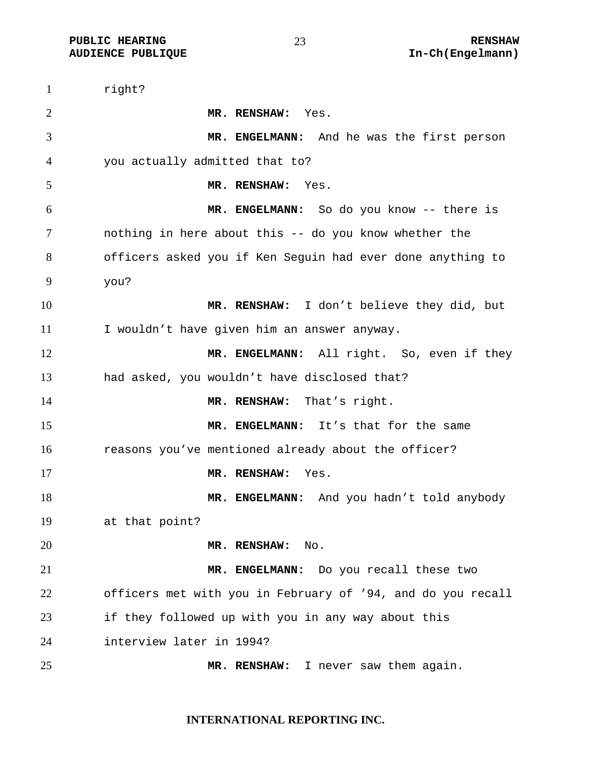**PUBLIC HEARING 23** 23 RENSHAW

right? **MR. RENSHAW:** Yes. **MR. ENGELMANN:** And he was the first person you actually admitted that to? **MR. RENSHAW:** Yes. **MR. ENGELMANN:** So do you know -- there is nothing in here about this -- do you know whether the officers asked you if Ken Seguin had ever done anything to you? **MR. RENSHAW:** I don't believe they did, but I wouldn't have given him an answer anyway. **MR. ENGELMANN:** All right. So, even if they had asked, you wouldn't have disclosed that? **MR. RENSHAW:** That's right. **MR. ENGELMANN:** It's that for the same reasons you've mentioned already about the officer? **MR. RENSHAW:** Yes. **MR. ENGELMANN:** And you hadn't told anybody at that point? **MR. RENSHAW:** No. **MR. ENGELMANN:** Do you recall these two officers met with you in February of '94, and do you recall if they followed up with you in any way about this interview later in 1994? **MR. RENSHAW:** I never saw them again.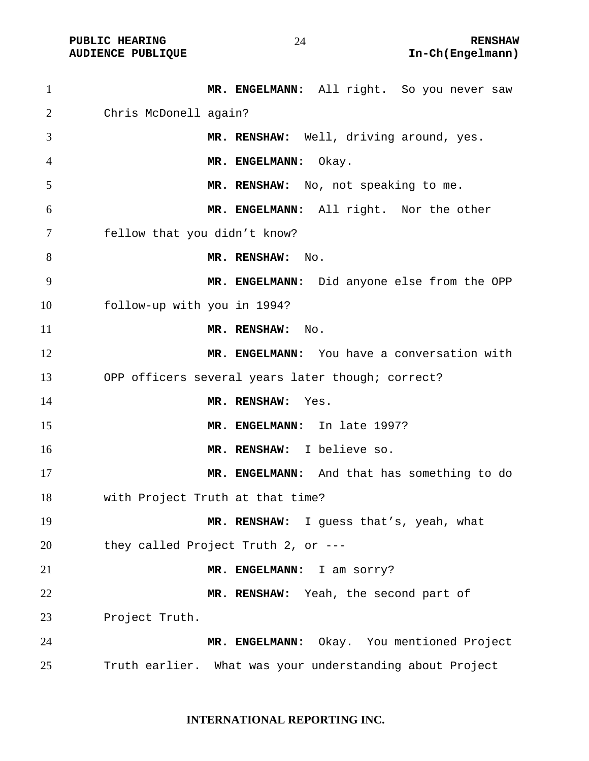| $\mathbf{1}$   | MR. ENGELMANN: All right. So you never saw               |
|----------------|----------------------------------------------------------|
| 2              | Chris McDonell again?                                    |
| 3              | MR. RENSHAW: Well, driving around, yes.                  |
| $\overline{4}$ | MR. ENGELMANN:<br>Okay.                                  |
| 5              | MR. RENSHAW: No, not speaking to me.                     |
| 6              | MR. ENGELMANN: All right. Nor the other                  |
| 7              | fellow that you didn't know?                             |
| 8              | MR. RENSHAW:<br>No.                                      |
| 9              | MR. ENGELMANN: Did anyone else from the OPP              |
| 10             | follow-up with you in 1994?                              |
| 11             | MR. RENSHAW:<br>No.                                      |
| 12             | MR. ENGELMANN: You have a conversation with              |
| 13             | OPP officers several years later though; correct?        |
| 14             | MR. RENSHAW:<br>Yes.                                     |
| 15             | MR. ENGELMANN: In late 1997?                             |
| 16             | MR. RENSHAW: I believe so.                               |
| 17             | MR. ENGELMANN: And that has something to do              |
| 18             | with Project Truth at that time?                         |
| 19             | MR. RENSHAW: I guess that's, yeah, what                  |
| 20             | they called Project Truth 2, or $---$                    |
| 21             | MR. ENGELMANN: I am sorry?                               |
| 22             | MR. RENSHAW: Yeah, the second part of                    |
| 23             | Project Truth.                                           |
| 24             | MR. ENGELMANN: Okay. You mentioned Project               |
| 25             | Truth earlier. What was your understanding about Project |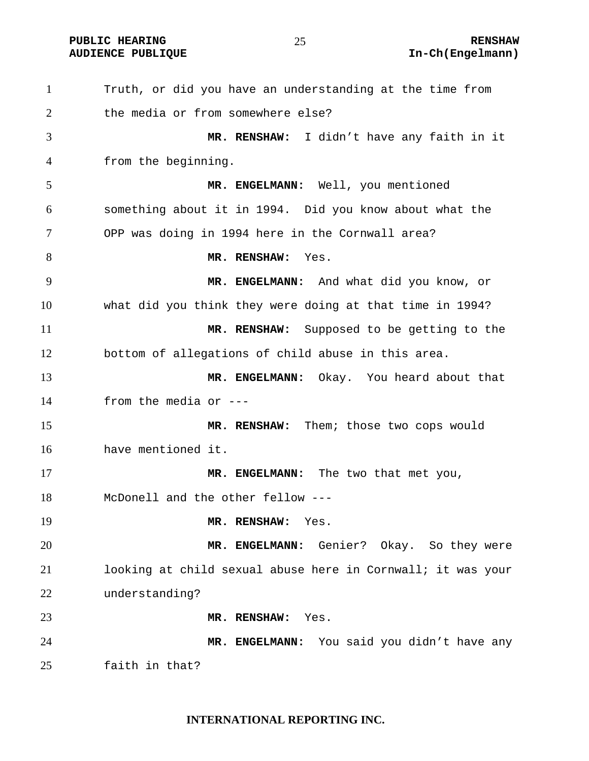**PUBLIC HEARING**  $\overline{25}$  **25 RENSHAW** 

Truth, or did you have an understanding at the time from the media or from somewhere else? **MR. RENSHAW:** I didn't have any faith in it from the beginning. **MR. ENGELMANN:** Well, you mentioned something about it in 1994. Did you know about what the OPP was doing in 1994 here in the Cornwall area? **MR. RENSHAW:** Yes. **MR. ENGELMANN:** And what did you know, or what did you think they were doing at that time in 1994? **MR. RENSHAW:** Supposed to be getting to the bottom of allegations of child abuse in this area. **MR. ENGELMANN:** Okay. You heard about that from the media or --- **MR. RENSHAW:** Them; those two cops would have mentioned it. **MR. ENGELMANN:** The two that met you, McDonell and the other fellow --- **MR. RENSHAW:** Yes. **MR. ENGELMANN:** Genier? Okay. So they were looking at child sexual abuse here in Cornwall; it was your understanding? **MR. RENSHAW:** Yes. **MR. ENGELMANN:** You said you didn't have any faith in that?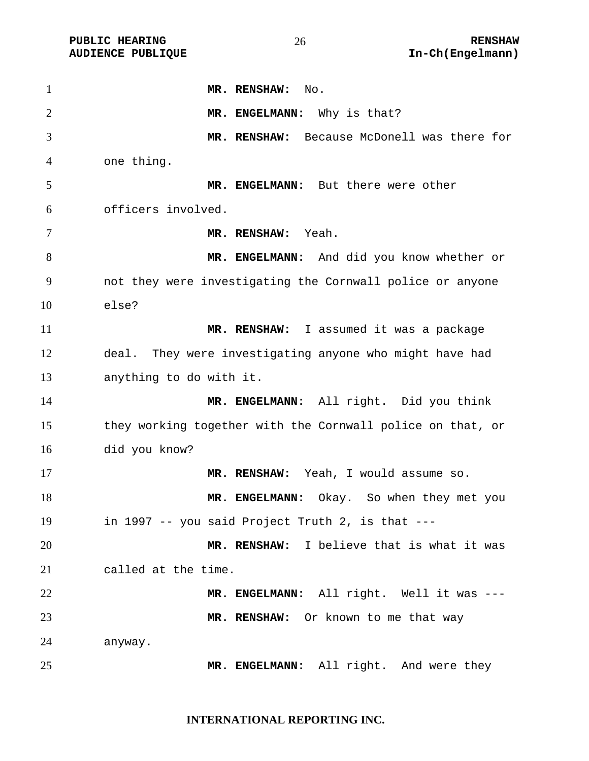**MR. RENSHAW:** No. 2 MR. ENGELMANN: Why is that? **MR. RENSHAW:** Because McDonell was there for one thing. **MR. ENGELMANN:** But there were other officers involved. **MR. RENSHAW:** Yeah. **MR. ENGELMANN:** And did you know whether or not they were investigating the Cornwall police or anyone else? **MR. RENSHAW:** I assumed it was a package deal. They were investigating anyone who might have had anything to do with it. **MR. ENGELMANN:** All right. Did you think they working together with the Cornwall police on that, or did you know? **MR. RENSHAW:** Yeah, I would assume so. **MR. ENGELMANN:** Okay. So when they met you in 1997 -- you said Project Truth 2, is that --- **MR. RENSHAW:** I believe that is what it was called at the time. **MR. ENGELMANN:** All right. Well it was --- **MR. RENSHAW:** Or known to me that way anyway. **MR. ENGELMANN:** All right. And were they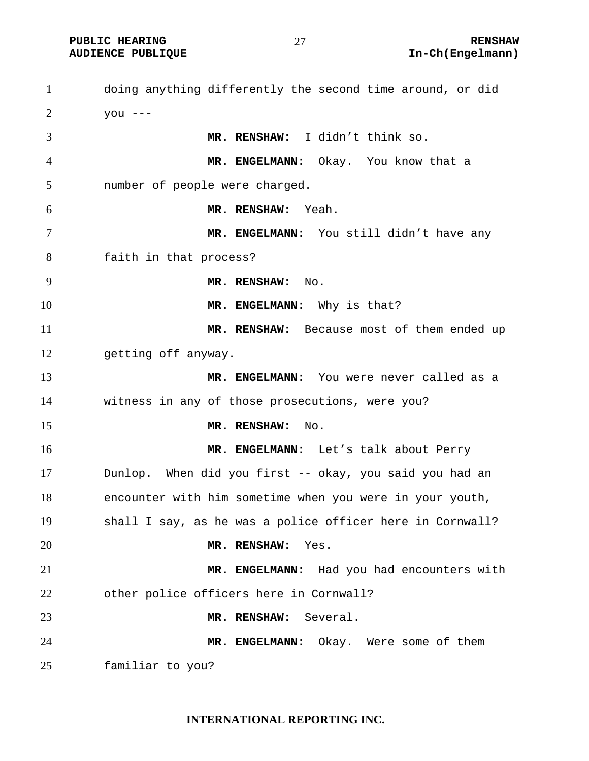doing anything differently the second time around, or did  $2 \text{ you } ---$ **MR. RENSHAW:** I didn't think so. **MR. ENGELMANN:** Okay. You know that a number of people were charged. **MR. RENSHAW:** Yeah. 7 MR. ENGELMANN: You still didn't have any faith in that process? **MR. RENSHAW:** No. **MR. ENGELMANN:** Why is that? **MR. RENSHAW:** Because most of them ended up getting off anyway. **MR. ENGELMANN:** You were never called as a witness in any of those prosecutions, were you? **MR. RENSHAW:** No. **MR. ENGELMANN:** Let's talk about Perry Dunlop. When did you first -- okay, you said you had an encounter with him sometime when you were in your youth, shall I say, as he was a police officer here in Cornwall? **MR. RENSHAW:** Yes. **MR. ENGELMANN:** Had you had encounters with other police officers here in Cornwall? **MR. RENSHAW:** Several. **MR. ENGELMANN:** Okay. Were some of them familiar to you?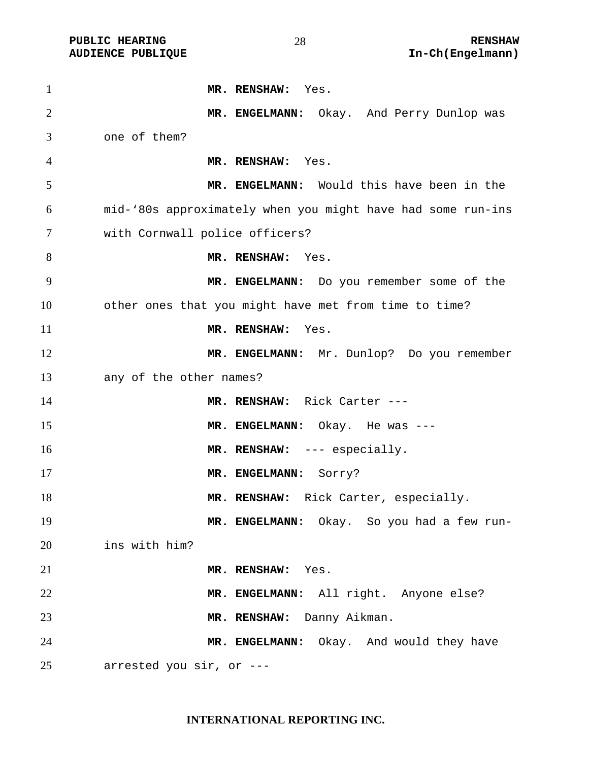| $\mathbf{1}$   | MR. RENSHAW: Yes.                                           |
|----------------|-------------------------------------------------------------|
| $\overline{2}$ | MR. ENGELMANN: Okay. And Perry Dunlop was                   |
| 3              | one of them?                                                |
| $\overline{4}$ | MR. RENSHAW: Yes.                                           |
| 5              | MR. ENGELMANN: Would this have been in the                  |
| 6              | mid-'80s approximately when you might have had some run-ins |
| 7              | with Cornwall police officers?                              |
| 8              | MR. RENSHAW: Yes.                                           |
| 9              | MR. ENGELMANN: Do you remember some of the                  |
| 10             | other ones that you might have met from time to time?       |
| 11             | MR. RENSHAW: Yes.                                           |
| 12             | MR. ENGELMANN: Mr. Dunlop? Do you remember                  |
| 13             | any of the other names?                                     |
| 14             | MR. RENSHAW: Rick Carter ---                                |
| 15             | MR. ENGELMANN: Okay. He was ---                             |
| 16             | MR. RENSHAW: --- especially.                                |
| 17             | MR. ENGELMANN: Sorry?                                       |
| 18             | MR. RENSHAW: Rick Carter, especially.                       |
| 19             | MR. ENGELMANN: Okay. So you had a few run-                  |
| 20             | ins with him?                                               |
| 21             | MR. RENSHAW:<br>Yes.                                        |
| 22             | MR. ENGELMANN: All right. Anyone else?                      |
| 23             | MR. RENSHAW: Danny Aikman.                                  |
| 24             | MR. ENGELMANN: Okay. And would they have                    |
| 25             | arrested you sir, or ---                                    |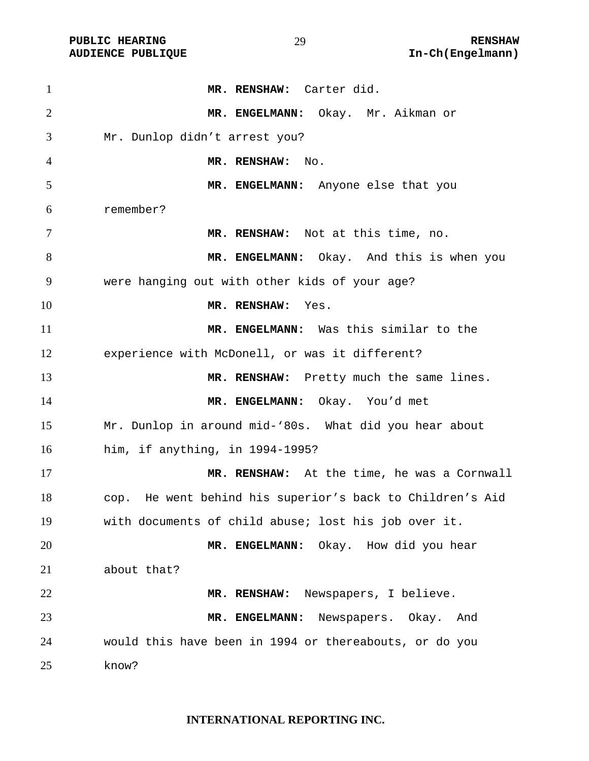| $\mathbf{1}$   | MR. RENSHAW: Carter did.                                  |
|----------------|-----------------------------------------------------------|
| $\overline{2}$ | MR. ENGELMANN: Okay. Mr. Aikman or                        |
| 3              | Mr. Dunlop didn't arrest you?                             |
| 4              | MR. RENSHAW: No.                                          |
| 5              | MR. ENGELMANN: Anyone else that you                       |
| 6              | remember?                                                 |
| 7              | MR. RENSHAW: Not at this time, no.                        |
| 8              | MR. ENGELMANN: Okay. And this is when you                 |
| 9              | were hanging out with other kids of your age?             |
| 10             | MR. RENSHAW:<br>Yes.                                      |
| 11             | MR. ENGELMANN: Was this similar to the                    |
| 12             | experience with McDonell, or was it different?            |
| 13             | MR. RENSHAW: Pretty much the same lines.                  |
| 14             | MR. ENGELMANN: Okay. You'd met                            |
| 15             | Mr. Dunlop in around mid-'80s. What did you hear about    |
| 16             | him, if anything, in 1994-1995?                           |
| 17             | MR. RENSHAW: At the time, he was a Cornwall               |
| 18             | cop. He went behind his superior's back to Children's Aid |
| 19             | with documents of child abuse; lost his job over it.      |
| 20             | MR. ENGELMANN: Okay. How did you hear                     |
| 21             | about that?                                               |
| 22             | Newspapers, I believe.<br>MR. RENSHAW:                    |
| 23             | Newspapers. Okay.<br>MR. ENGELMANN:<br>And                |
| 24             | would this have been in 1994 or thereabouts, or do you    |
| 25             | know?                                                     |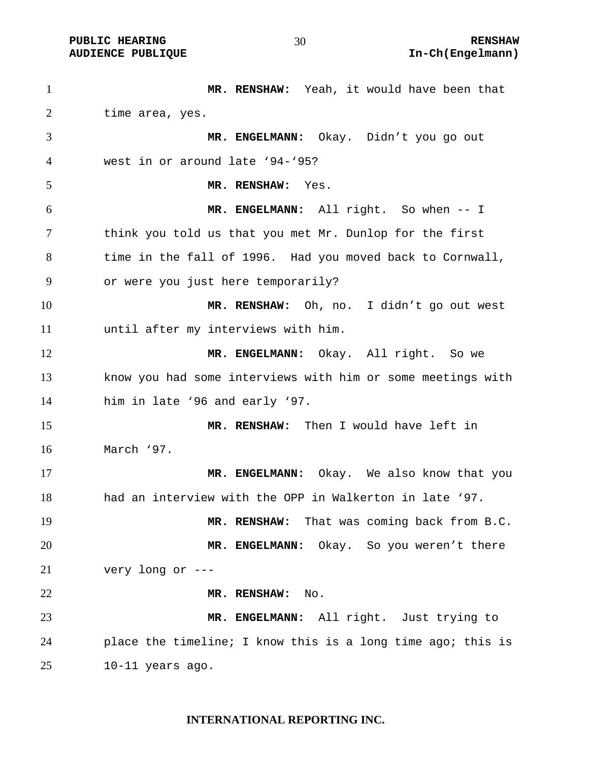**MR. RENSHAW:** Yeah, it would have been that time area, yes. **MR. ENGELMANN:** Okay. Didn't you go out west in or around late '94-'95? **MR. RENSHAW:** Yes. **MR. ENGELMANN:** All right. So when -- I think you told us that you met Mr. Dunlop for the first time in the fall of 1996. Had you moved back to Cornwall, or were you just here temporarily? **MR. RENSHAW:** Oh, no. I didn't go out west until after my interviews with him. **MR. ENGELMANN:** Okay. All right. So we know you had some interviews with him or some meetings with him in late '96 and early '97. **MR. RENSHAW:** Then I would have left in March '97. **MR. ENGELMANN:** Okay. We also know that you had an interview with the OPP in Walkerton in late '97. **MR. RENSHAW:** That was coming back from B.C. **MR. ENGELMANN:** Okay. So you weren't there very long or --- **MR. RENSHAW:** No. **MR. ENGELMANN:** All right. Just trying to place the timeline; I know this is a long time ago; this is 10-11 years ago.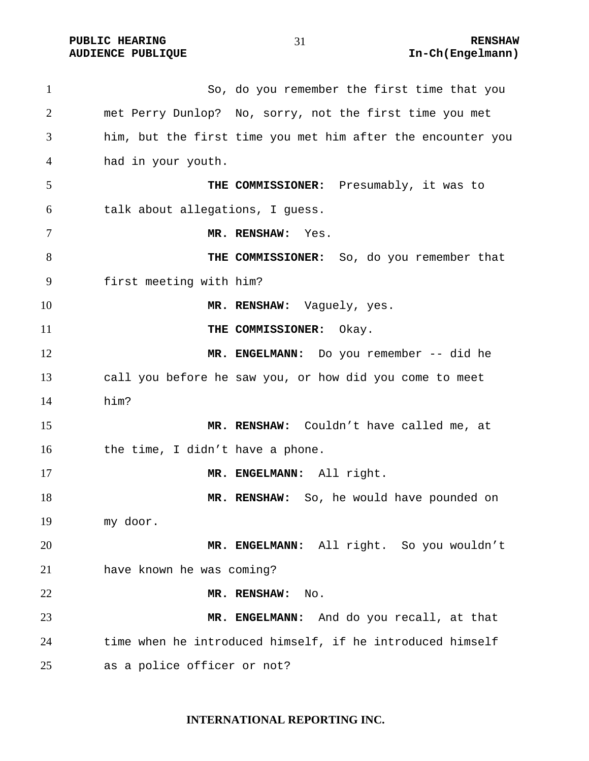**PUBLIC HEARING 21** 21 RENSHAW

So, do you remember the first time that you met Perry Dunlop? No, sorry, not the first time you met him, but the first time you met him after the encounter you had in your youth. **THE COMMISSIONER:** Presumably, it was to talk about allegations, I guess. **MR. RENSHAW:** Yes. **THE COMMISSIONER:** So, do you remember that first meeting with him? 10 MR. RENSHAW: Vaguely, yes. **THE COMMISSIONER:** Okay. 12 MR. ENGELMANN: Do you remember -- did he call you before he saw you, or how did you come to meet him? **MR. RENSHAW:** Couldn't have called me, at 16 the time, I didn't have a phone. **MR. ENGELMANN:** All right. **MR. RENSHAW:** So, he would have pounded on my door. **MR. ENGELMANN:** All right. So you wouldn't have known he was coming? **MR. RENSHAW:** No. **MR. ENGELMANN:** And do you recall, at that time when he introduced himself, if he introduced himself as a police officer or not?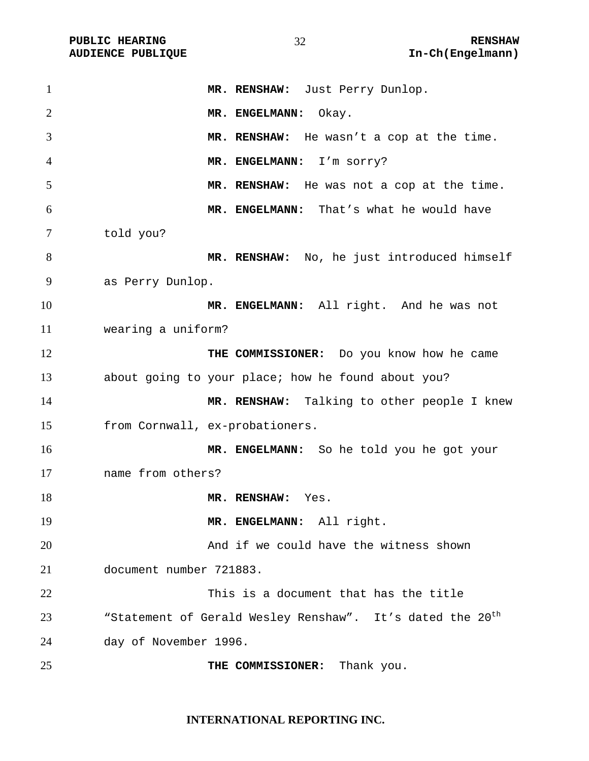| $\mathbf{1}$   | MR. RENSHAW: Just Perry Dunlop.                                       |
|----------------|-----------------------------------------------------------------------|
| $\overline{2}$ | MR. ENGELMANN:<br>Okay.                                               |
| 3              | MR. RENSHAW: He wasn't a cop at the time.                             |
| 4              | MR. ENGELMANN: I'm sorry?                                             |
| 5              | MR. RENSHAW: He was not a cop at the time.                            |
| 6              | MR. ENGELMANN: That's what he would have                              |
| 7              | told you?                                                             |
| 8              | MR. RENSHAW: No, he just introduced himself                           |
| 9              | as Perry Dunlop.                                                      |
| 10             | MR. ENGELMANN: All right. And he was not                              |
| 11             | wearing a uniform?                                                    |
| 12             | THE COMMISSIONER: Do you know how he came                             |
| 13             | about going to your place; how he found about you?                    |
| 14             | MR. RENSHAW: Talking to other people I knew                           |
| 15             | from Cornwall, ex-probationers.                                       |
| 16             | MR. ENGELMANN: So he told you he got your                             |
| 17             | name from others?                                                     |
| 18             | MR. RENSHAW:<br>Yes.                                                  |
| 19             | MR. ENGELMANN: All right.                                             |
| 20             | And if we could have the witness shown                                |
| 21             | document number 721883.                                               |
| 22             | This is a document that has the title                                 |
| 23             | "Statement of Gerald Wesley Renshaw". It's dated the 20 <sup>th</sup> |
| 24             | day of November 1996.                                                 |
| 25             | THE COMMISSIONER:<br>Thank you.                                       |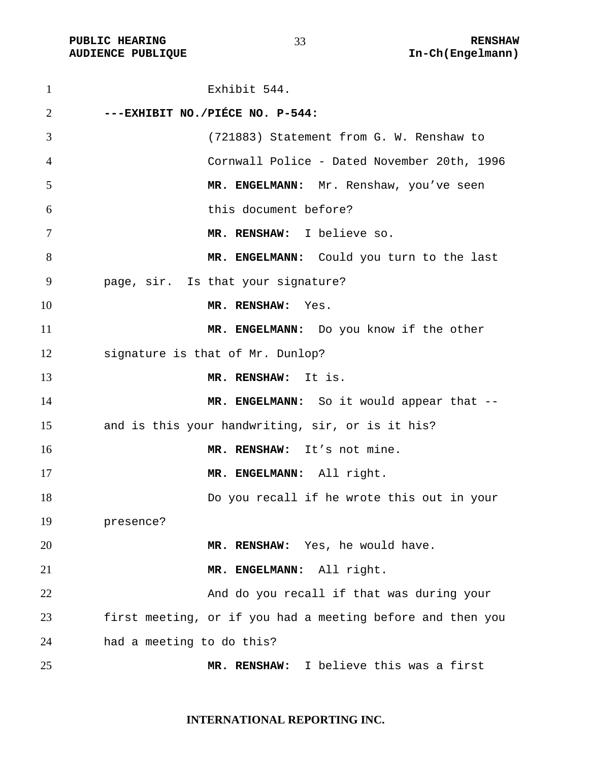Exhibit 544. **---EXHIBIT NO./PIÉCE NO. P-544:**  (721883) Statement from G. W. Renshaw to Cornwall Police - Dated November 20th, 1996 **MR. ENGELMANN:** Mr. Renshaw, you've seen this document before? **MR. RENSHAW:** I believe so. **MR. ENGELMANN:** Could you turn to the last page, sir. Is that your signature? **MR. RENSHAW:** Yes. **MR. ENGELMANN:** Do you know if the other signature is that of Mr. Dunlop? **MR. RENSHAW:** It is. 14 MR. ENGELMANN: So it would appear that --and is this your handwriting, sir, or is it his? **MR. RENSHAW:** It's not mine. **MR. ENGELMANN:** All right. Do you recall if he wrote this out in your presence? **MR. RENSHAW:** Yes, he would have. **MR. ENGELMANN:** All right. And do you recall if that was during your first meeting, or if you had a meeting before and then you had a meeting to do this?

**MR. RENSHAW:** I believe this was a first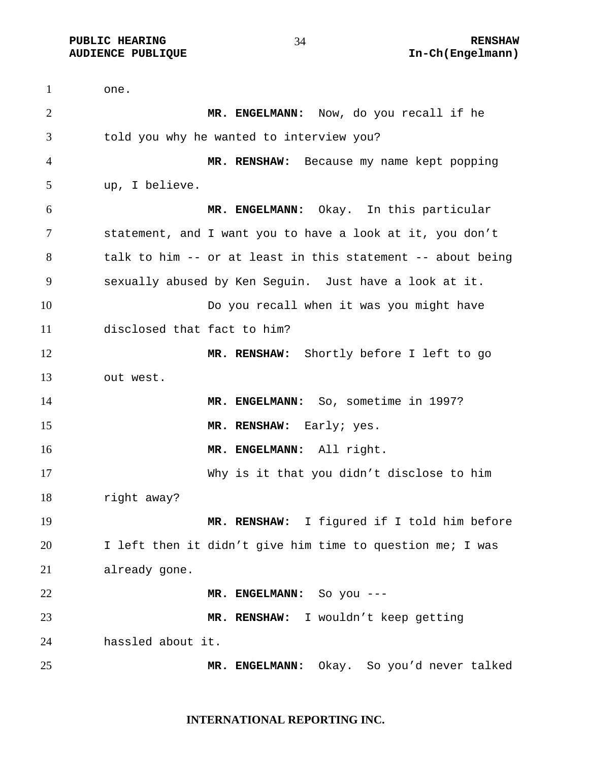**PUBLIC HEARING 24** 24 RENSHAW

one. **MR. ENGELMANN:** Now, do you recall if he told you why he wanted to interview you? **MR. RENSHAW:** Because my name kept popping up, I believe. **MR. ENGELMANN:** Okay. In this particular statement, and I want you to have a look at it, you don't talk to him -- or at least in this statement -- about being sexually abused by Ken Seguin. Just have a look at it. Do you recall when it was you might have disclosed that fact to him? **MR. RENSHAW:** Shortly before I left to go out west. **MR. ENGELMANN:** So, sometime in 1997? **MR. RENSHAW:** Early; yes. **MR. ENGELMANN:** All right. Why is it that you didn't disclose to him right away? **MR. RENSHAW:** I figured if I told him before I left then it didn't give him time to question me; I was already gone. **MR. ENGELMANN:** So you --- **MR. RENSHAW:** I wouldn't keep getting hassled about it. **MR. ENGELMANN:** Okay. So you'd never talked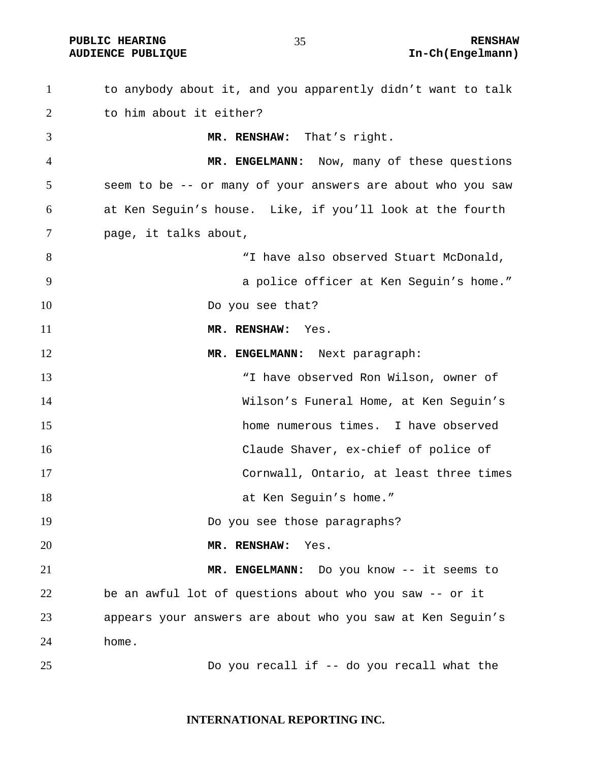to anybody about it, and you apparently didn't want to talk to him about it either? **MR. RENSHAW:** That's right. **MR. ENGELMANN:** Now, many of these questions seem to be -- or many of your answers are about who you saw at Ken Seguin's house. Like, if you'll look at the fourth page, it talks about, "I have also observed Stuart McDonald, a police officer at Ken Seguin's home." 10 Do you see that? **MR. RENSHAW:** Yes. **MR. ENGELMANN:** Next paragraph: "I have observed Ron Wilson, owner of Wilson's Funeral Home, at Ken Seguin's home numerous times. I have observed Claude Shaver, ex-chief of police of Cornwall, Ontario, at least three times 18 at Ken Seguin's home." Do you see those paragraphs? **MR. RENSHAW:** Yes. **MR. ENGELMANN:** Do you know -- it seems to be an awful lot of questions about who you saw -- or it appears your answers are about who you saw at Ken Seguin's home. Do you recall if -- do you recall what the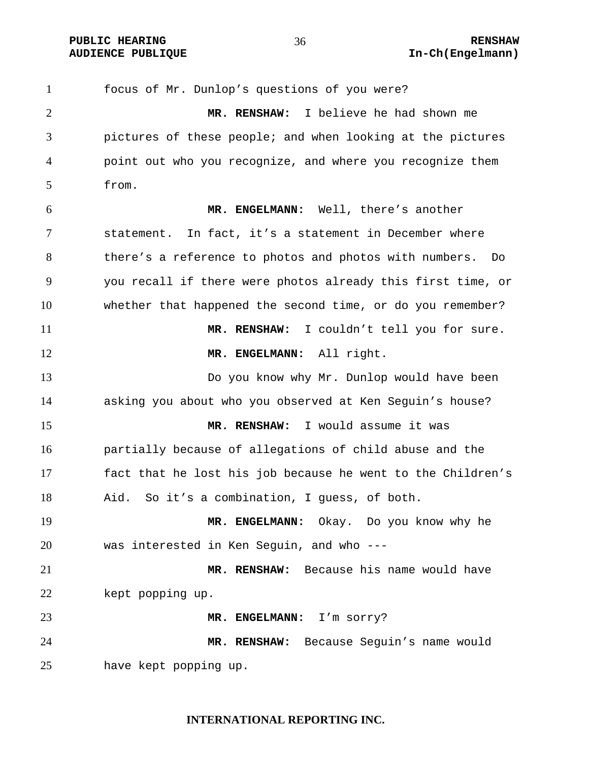focus of Mr. Dunlop's questions of you were? **MR. RENSHAW:** I believe he had shown me pictures of these people; and when looking at the pictures point out who you recognize, and where you recognize them from. **MR. ENGELMANN:** Well, there's another statement. In fact, it's a statement in December where there's a reference to photos and photos with numbers. Do you recall if there were photos already this first time, or whether that happened the second time, or do you remember? **MR. RENSHAW:** I couldn't tell you for sure. **MR. ENGELMANN:** All right. Do you know why Mr. Dunlop would have been asking you about who you observed at Ken Seguin's house? **MR. RENSHAW:** I would assume it was partially because of allegations of child abuse and the fact that he lost his job because he went to the Children's Aid. So it's a combination, I guess, of both. **MR. ENGELMANN:** Okay. Do you know why he was interested in Ken Seguin, and who --- **MR. RENSHAW:** Because his name would have 22 kept popping up. **MR. ENGELMANN:** I'm sorry? **MR. RENSHAW:** Because Seguin's name would have kept popping up.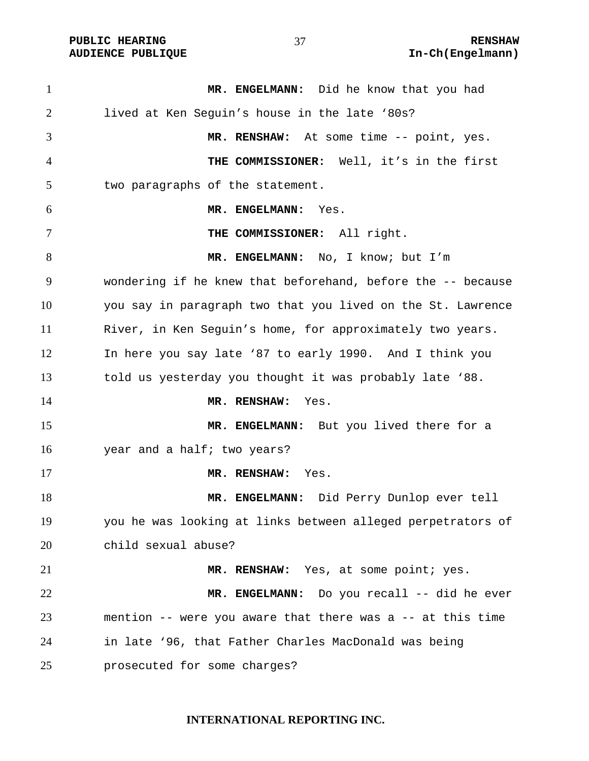**MR. ENGELMANN:** Did he know that you had lived at Ken Seguin's house in the late '80s? **MR. RENSHAW:** At some time -- point, yes. **THE COMMISSIONER:** Well, it's in the first two paragraphs of the statement. **MR. ENGELMANN:** Yes. **THE COMMISSIONER:** All right. **MR. ENGELMANN:** No, I know; but I'm wondering if he knew that beforehand, before the -- because you say in paragraph two that you lived on the St. Lawrence River, in Ken Seguin's home, for approximately two years. In here you say late '87 to early 1990. And I think you told us yesterday you thought it was probably late '88. **MR. RENSHAW:** Yes. 15 MR. ENGELMANN: But you lived there for a year and a half; two years? **MR. RENSHAW:** Yes. **MR. ENGELMANN:** Did Perry Dunlop ever tell you he was looking at links between alleged perpetrators of child sexual abuse? **MR. RENSHAW:** Yes, at some point; yes. **MR. ENGELMANN:** Do you recall -- did he ever mention -- were you aware that there was a -- at this time in late '96, that Father Charles MacDonald was being prosecuted for some charges?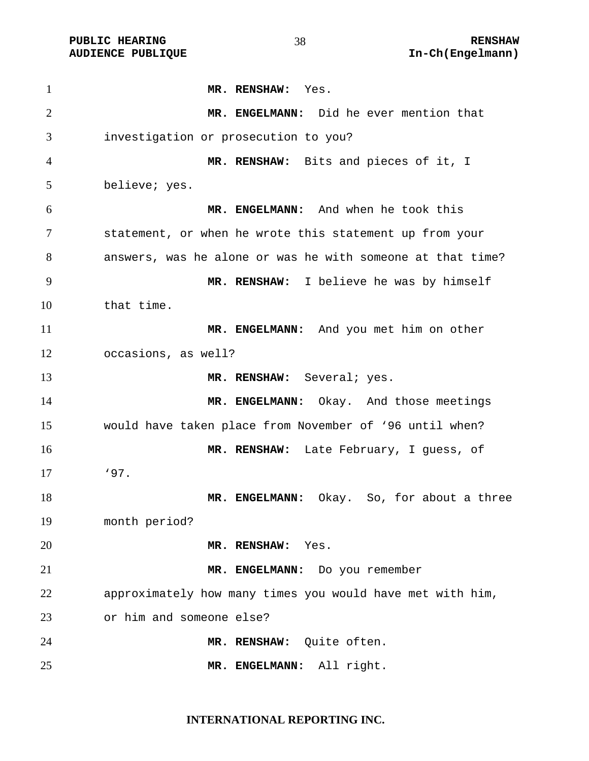**MR. RENSHAW:** Yes. **MR. ENGELMANN:** Did he ever mention that investigation or prosecution to you? **MR. RENSHAW:** Bits and pieces of it, I believe; yes. **MR. ENGELMANN:** And when he took this statement, or when he wrote this statement up from your answers, was he alone or was he with someone at that time? **MR. RENSHAW:** I believe he was by himself that time. **MR. ENGELMANN:** And you met him on other occasions, as well? **MR. RENSHAW:** Several; yes. 14 MR. ENGELMANN: Okay. And those meetings would have taken place from November of '96 until when? **MR. RENSHAW:** Late February, I guess, of '97. **MR. ENGELMANN:** Okay. So, for about a three month period? **MR. RENSHAW:** Yes. **MR. ENGELMANN:** Do you remember approximately how many times you would have met with him, or him and someone else? **MR. RENSHAW:** Quite often. **MR. ENGELMANN:** All right.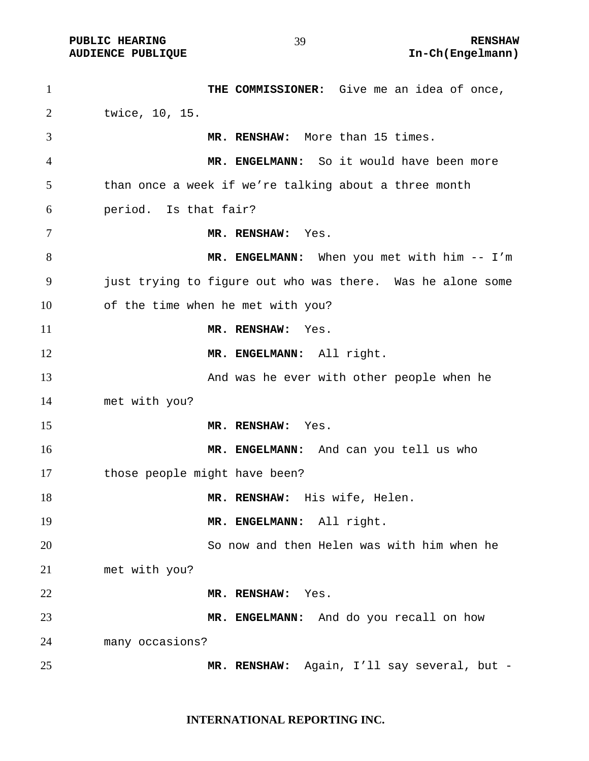**THE COMMISSIONER:** Give me an idea of once, twice, 10, 15. **MR. RENSHAW:** More than 15 times. **MR. ENGELMANN:** So it would have been more than once a week if we're talking about a three month period. Is that fair? **MR. RENSHAW:** Yes. 8 MR. ENGELMANN: When you met with him -- I'm just trying to figure out who was there. Was he alone some of the time when he met with you? **MR. RENSHAW:** Yes. **MR. ENGELMANN:** All right. 13 And was he ever with other people when he met with you? **MR. RENSHAW:** Yes. **MR. ENGELMANN:** And can you tell us who 17 those people might have been? **MR. RENSHAW:** His wife, Helen. **MR. ENGELMANN:** All right. So now and then Helen was with him when he met with you? **MR. RENSHAW:** Yes. **MR. ENGELMANN:** And do you recall on how many occasions? **MR. RENSHAW:** Again, I'll say several, but -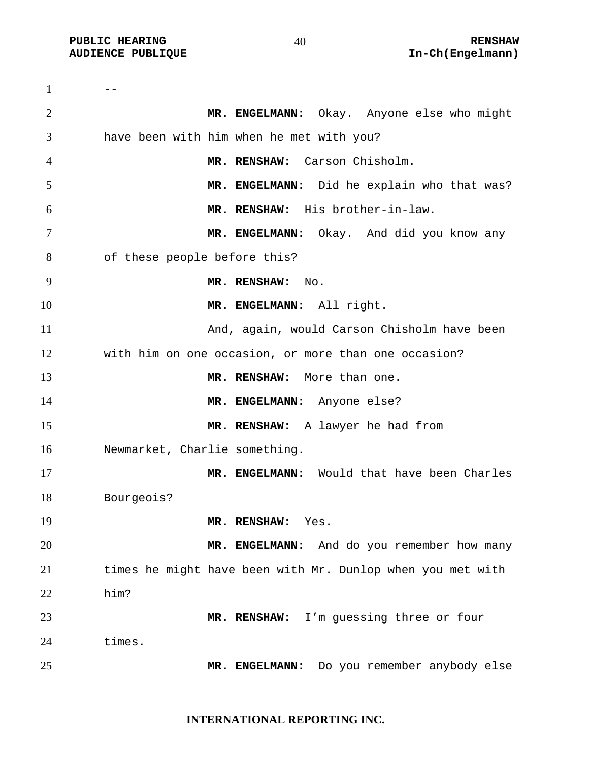**PUBLIC HEARING**  $\begin{array}{ccc} 40 & 40 \end{array}$  **RENSHAW** 

 $1 \qquad -$ **MR. ENGELMANN:** Okay. Anyone else who might have been with him when he met with you? **MR. RENSHAW:** Carson Chisholm. **MR. ENGELMANN:** Did he explain who that was? **MR. RENSHAW:** His brother-in-law. **MR. ENGELMANN:** Okay. And did you know any of these people before this? **MR. RENSHAW:** No. **MR. ENGELMANN:** All right. And, again, would Carson Chisholm have been with him on one occasion, or more than one occasion? **MR. RENSHAW:** More than one. 14 MR. ENGELMANN: Anyone else? **MR. RENSHAW:** A lawyer he had from Newmarket, Charlie something. **MR. ENGELMANN:** Would that have been Charles Bourgeois? **MR. RENSHAW:** Yes. **MR. ENGELMANN:** And do you remember how many times he might have been with Mr. Dunlop when you met with him? **MR. RENSHAW:** I'm guessing three or four times. **MR. ENGELMANN:** Do you remember anybody else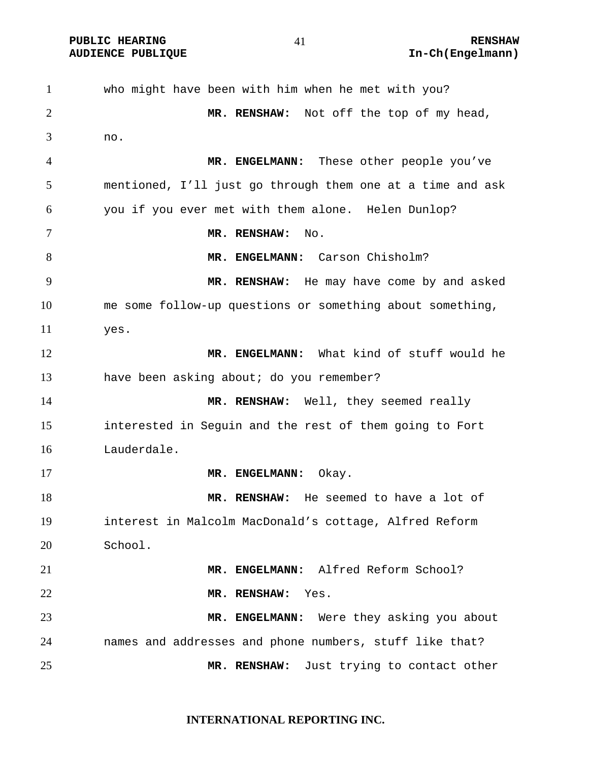**PUBLIC HEARING 41 RENSHAW** 

**AUDIENCE PUBLIQUE International Contract Contract Contract Contract Contract Contract Contract Contract Contract Contract Contract Contract Contract Contract Contract Contract Contract Contract Contract Contract Contract** 

who might have been with him when he met with you? **MR. RENSHAW:** Not off the top of my head, no. **MR. ENGELMANN:** These other people you've mentioned, I'll just go through them one at a time and ask you if you ever met with them alone. Helen Dunlop? **MR. RENSHAW:** No. 8 MR. ENGELMANN: Carson Chisholm? **MR. RENSHAW:** He may have come by and asked me some follow-up questions or something about something, yes. **MR. ENGELMANN:** What kind of stuff would he have been asking about; do you remember? 14 MR. RENSHAW: Well, they seemed really interested in Seguin and the rest of them going to Fort Lauderdale. 17 MR. ENGELMANN: Okay. **MR. RENSHAW:** He seemed to have a lot of interest in Malcolm MacDonald's cottage, Alfred Reform School. **MR. ENGELMANN:** Alfred Reform School? **MR. RENSHAW:** Yes. **MR. ENGELMANN:** Were they asking you about names and addresses and phone numbers, stuff like that? **MR. RENSHAW:** Just trying to contact other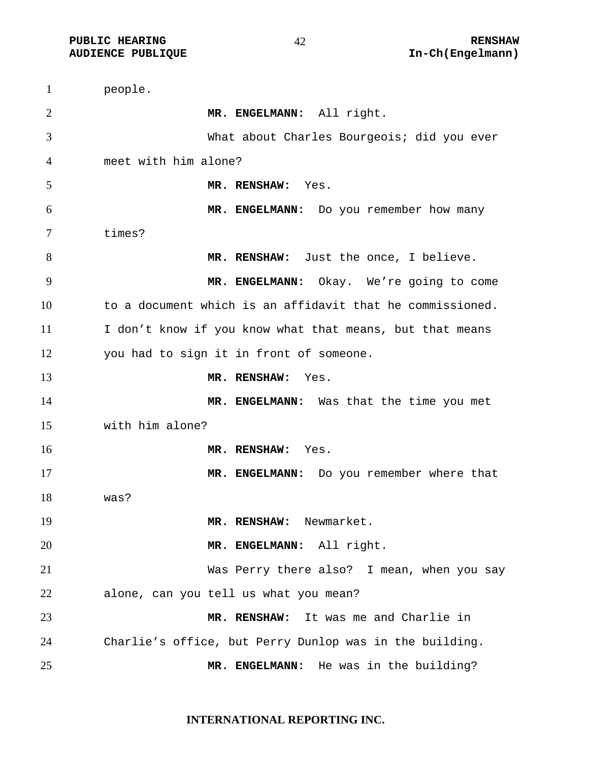| $\mathbf{1}$ | people.                                                   |
|--------------|-----------------------------------------------------------|
| 2            | MR. ENGELMANN: All right.                                 |
| 3            | What about Charles Bourgeois; did you ever                |
| 4            | meet with him alone?                                      |
| 5            | MR. RENSHAW:<br>Yes.                                      |
| 6            | MR. ENGELMANN: Do you remember how many                   |
| 7            | times?                                                    |
| 8            | MR. RENSHAW: Just the once, I believe.                    |
| 9            | MR. ENGELMANN: Okay. We're going to come                  |
| 10           | to a document which is an affidavit that he commissioned. |
| 11           | I don't know if you know what that means, but that means  |
| 12           | you had to sign it in front of someone.                   |
| 13           | MR. RENSHAW:<br>Yes.                                      |
| 14           | MR. ENGELMANN: Was that the time you met                  |
| 15           | with him alone?                                           |
| 16           | MR. RENSHAW:<br>Yes.                                      |
| 17           | MR. ENGELMANN: Do you remember where that                 |
| 18           | was?                                                      |
| 19           | Newmarket.<br>MR. RENSHAW:                                |
| 20           | MR. ENGELMANN: All right.                                 |
| 21           | Was Perry there also? I mean, when you say                |
| 22           | alone, can you tell us what you mean?                     |
| 23           | MR. RENSHAW: It was me and Charlie in                     |
| 24           | Charlie's office, but Perry Dunlop was in the building.   |
| 25           | MR. ENGELMANN: He was in the building?                    |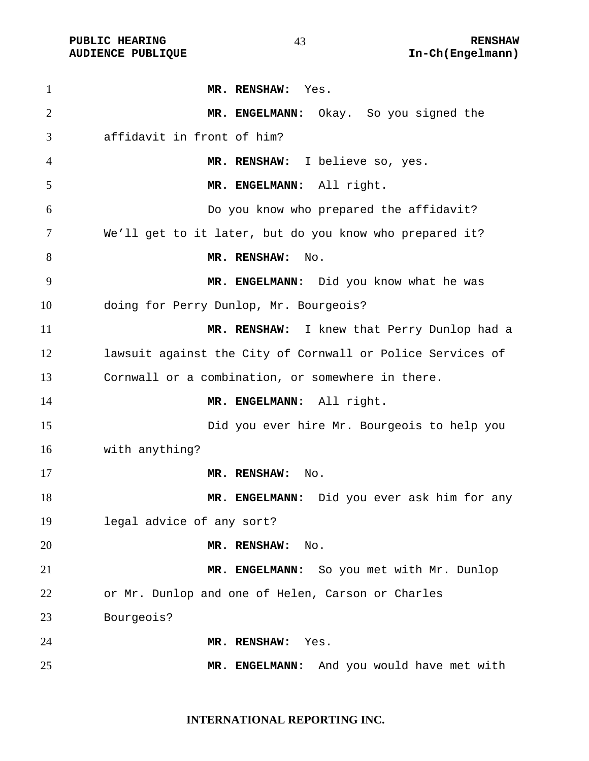**MR. RENSHAW:** Yes. **MR. ENGELMANN:** Okay. So you signed the affidavit in front of him? **MR. RENSHAW:** I believe so, yes. **MR. ENGELMANN:** All right. Do you know who prepared the affidavit? We'll get to it later, but do you know who prepared it? 8 MR. RENSHAW: No. **MR. ENGELMANN:** Did you know what he was doing for Perry Dunlop, Mr. Bourgeois? **MR. RENSHAW:** I knew that Perry Dunlop had a lawsuit against the City of Cornwall or Police Services of Cornwall or a combination, or somewhere in there. **MR. ENGELMANN:** All right. Did you ever hire Mr. Bourgeois to help you with anything? **MR. RENSHAW:** No. **MR. ENGELMANN:** Did you ever ask him for any legal advice of any sort? **MR. RENSHAW:** No. **MR. ENGELMANN:** So you met with Mr. Dunlop or Mr. Dunlop and one of Helen, Carson or Charles Bourgeois? **MR. RENSHAW:** Yes. **MR. ENGELMANN:** And you would have met with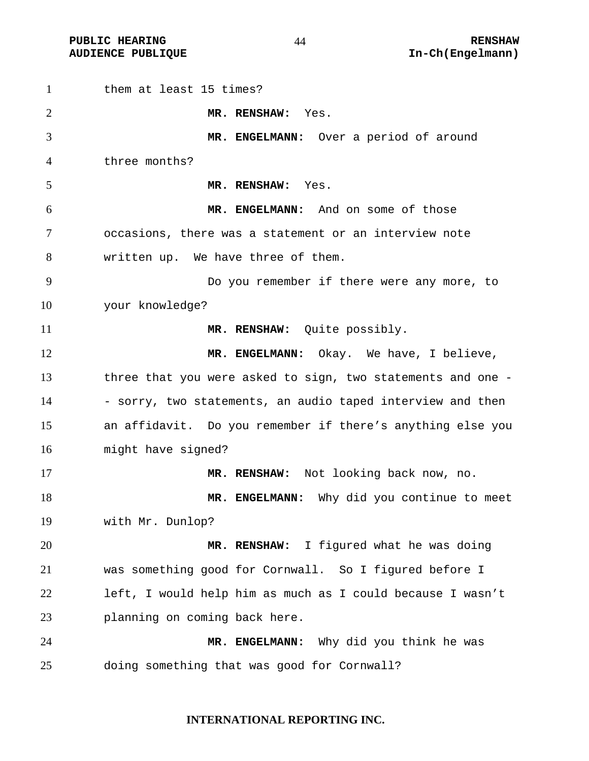**PUBLIC HEARING**   $44$  RENSHAW

them at least 15 times? **MR. RENSHAW:** Yes. **MR. ENGELMANN:** Over a period of around three months? **MR. RENSHAW:** Yes. **MR. ENGELMANN:** And on some of those occasions, there was a statement or an interview note written up. We have three of them. Do you remember if there were any more, to your knowledge? **MR. RENSHAW:** Quite possibly. 12 MR. ENGELMANN: Okay. We have, I believe, three that you were asked to sign, two statements and one - 14 - sorry, two statements, an audio taped interview and then an affidavit. Do you remember if there's anything else you might have signed? **MR. RENSHAW:** Not looking back now, no. **MR. ENGELMANN:** Why did you continue to meet with Mr. Dunlop? **MR. RENSHAW:** I figured what he was doing was something good for Cornwall. So I figured before I left, I would help him as much as I could because I wasn't planning on coming back here. **MR. ENGELMANN:** Why did you think he was doing something that was good for Cornwall?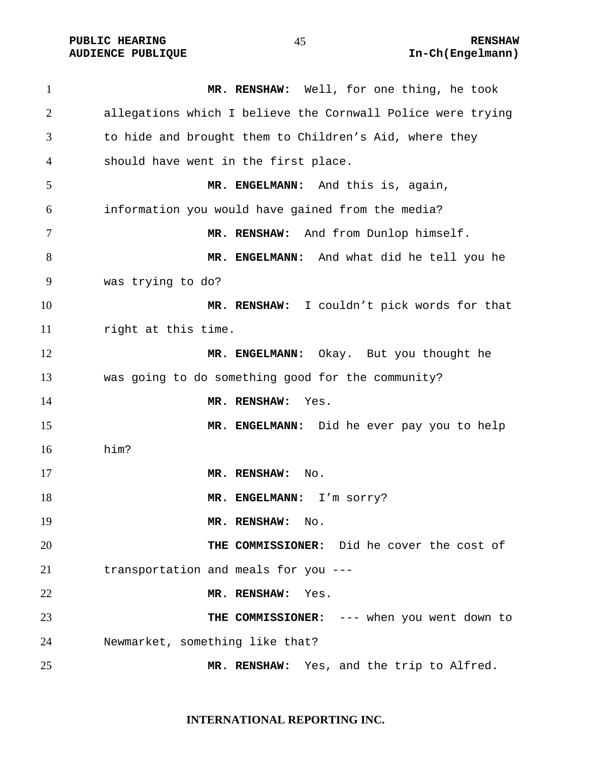**MR. RENSHAW:** Well, for one thing, he took allegations which I believe the Cornwall Police were trying to hide and brought them to Children's Aid, where they should have went in the first place. **MR. ENGELMANN:** And this is, again, information you would have gained from the media? **MR. RENSHAW:** And from Dunlop himself. **MR. ENGELMANN:** And what did he tell you he was trying to do? **MR. RENSHAW:** I couldn't pick words for that right at this time. **MR. ENGELMANN:** Okay. But you thought he was going to do something good for the community? **MR. RENSHAW:** Yes. **MR. ENGELMANN:** Did he ever pay you to help him? **MR. RENSHAW:** No. 18 MR. ENGELMANN: I'm sorry? **MR. RENSHAW:** No. **THE COMMISSIONER:** Did he cover the cost of transportation and meals for you --- **MR. RENSHAW:** Yes. **THE COMMISSIONER:** --- when you went down to Newmarket, something like that? **MR. RENSHAW:** Yes, and the trip to Alfred.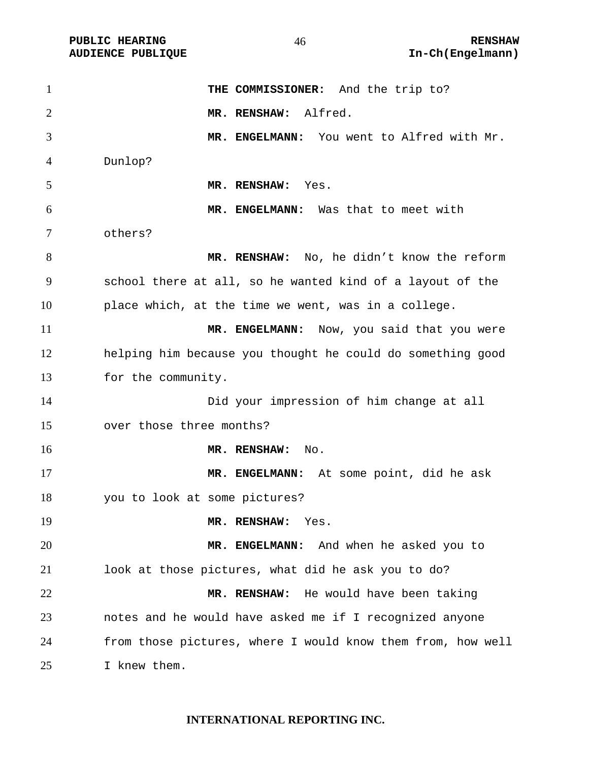| $\mathbf{1}$   | THE COMMISSIONER: And the trip to?                          |
|----------------|-------------------------------------------------------------|
| $\overline{2}$ | MR. RENSHAW: Alfred.                                        |
| 3              | MR. ENGELMANN: You went to Alfred with Mr.                  |
| 4              | Dunlop?                                                     |
| 5              | MR. RENSHAW:<br>Yes.                                        |
| 6              | MR. ENGELMANN: Was that to meet with                        |
| $\tau$         | others?                                                     |
| 8              | MR. RENSHAW: No, he didn't know the reform                  |
| 9              | school there at all, so he wanted kind of a layout of the   |
| 10             | place which, at the time we went, was in a college.         |
| 11             | MR. ENGELMANN: Now, you said that you were                  |
| 12             | helping him because you thought he could do something good  |
| 13             | for the community.                                          |
| 14             | Did your impression of him change at all                    |
| 15             | over those three months?                                    |
| 16             | MR. RENSHAW:<br>No.                                         |
| 17             | MR. ENGELMANN: At some point, did he ask                    |
| 18             | you to look at some pictures?                               |
| 19             | MR. RENSHAW:<br>Yes.                                        |
| 20             | MR. ENGELMANN: And when he asked you to                     |
| 21             | look at those pictures, what did he ask you to do?          |
| 22             | MR. RENSHAW: He would have been taking                      |
| 23             | notes and he would have asked me if I recognized anyone     |
| 24             | from those pictures, where I would know them from, how well |
| 25             | I knew them.                                                |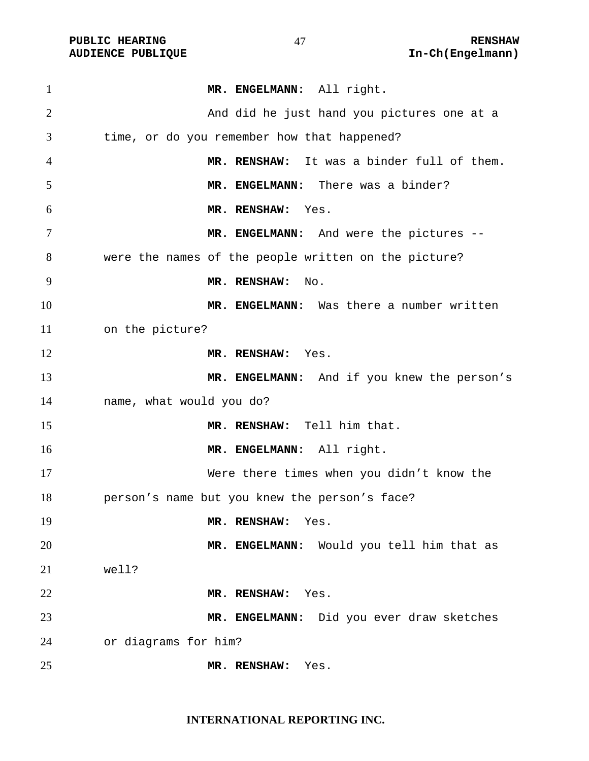| $\mathbf{1}$   | MR. ENGELMANN: All right.                            |
|----------------|------------------------------------------------------|
| 2              | And did he just hand you pictures one at a           |
| 3              | time, or do you remember how that happened?          |
| $\overline{4}$ | MR. RENSHAW: It was a binder full of them.           |
| 5              | MR. ENGELMANN: There was a binder?                   |
| 6              | MR. RENSHAW:<br>Yes.                                 |
| 7              | MR. ENGELMANN: And were the pictures --              |
| 8              | were the names of the people written on the picture? |
| 9              | MR. RENSHAW:<br>No.                                  |
| 10             | MR. ENGELMANN: Was there a number written            |
| 11             | on the picture?                                      |
| 12             | MR. RENSHAW: Yes.                                    |
| 13             | MR. ENGELMANN: And if you knew the person's          |
| 14             | name, what would you do?                             |
| 15             | MR. RENSHAW: Tell him that.                          |
| 16             | MR. ENGELMANN: All right.                            |
| 17             | Were there times when you didn't know the            |
| 18             | person's name but you knew the person's face?        |
| 19             | MR. RENSHAW:<br>Yes.                                 |
| 20             | MR. ENGELMANN: Would you tell him that as            |
| 21             | well?                                                |
| 22             | Yes.<br>MR. RENSHAW:                                 |
| 23             | MR. ENGELMANN: Did you ever draw sketches            |
| 24             | or diagrams for him?                                 |
| 25             | MR. RENSHAW:<br>Yes.                                 |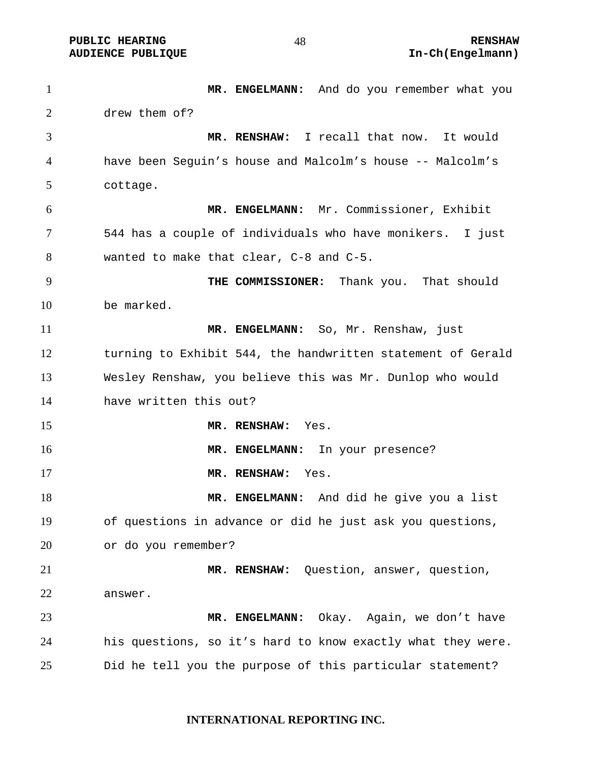1 MR. ENGELMANN: And do you remember what you drew them of? **MR. RENSHAW:** I recall that now. It would have been Seguin's house and Malcolm's house -- Malcolm's cottage. **MR. ENGELMANN:** Mr. Commissioner, Exhibit 544 has a couple of individuals who have monikers. I just wanted to make that clear, C-8 and C-5. **THE COMMISSIONER:** Thank you. That should be marked. **MR. ENGELMANN:** So, Mr. Renshaw, just turning to Exhibit 544, the handwritten statement of Gerald Wesley Renshaw, you believe this was Mr. Dunlop who would have written this out? **MR. RENSHAW:** Yes. **MR. ENGELMANN:** In your presence? **MR. RENSHAW:** Yes. **MR. ENGELMANN:** And did he give you a list of questions in advance or did he just ask you questions, or do you remember? **MR. RENSHAW:** Question, answer, question, answer. **MR. ENGELMANN:** Okay. Again, we don't have his questions, so it's hard to know exactly what they were. Did he tell you the purpose of this particular statement?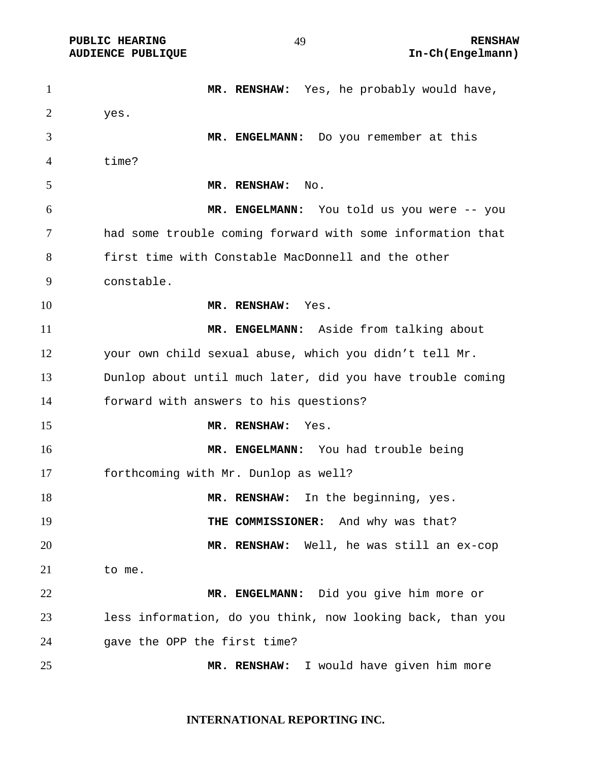**MR. RENSHAW:** Yes, he probably would have, yes. **MR. ENGELMANN:** Do you remember at this time? **MR. RENSHAW:** No. **MR. ENGELMANN:** You told us you were -- you had some trouble coming forward with some information that first time with Constable MacDonnell and the other constable. **MR. RENSHAW:** Yes. **MR. ENGELMANN:** Aside from talking about your own child sexual abuse, which you didn't tell Mr. Dunlop about until much later, did you have trouble coming forward with answers to his questions? **MR. RENSHAW:** Yes. **MR. ENGELMANN:** You had trouble being forthcoming with Mr. Dunlop as well? 18 MR. RENSHAW: In the beginning, yes. **THE COMMISSIONER:** And why was that? **MR. RENSHAW:** Well, he was still an ex-cop to me. **MR. ENGELMANN:** Did you give him more or less information, do you think, now looking back, than you gave the OPP the first time? **MR. RENSHAW:** I would have given him more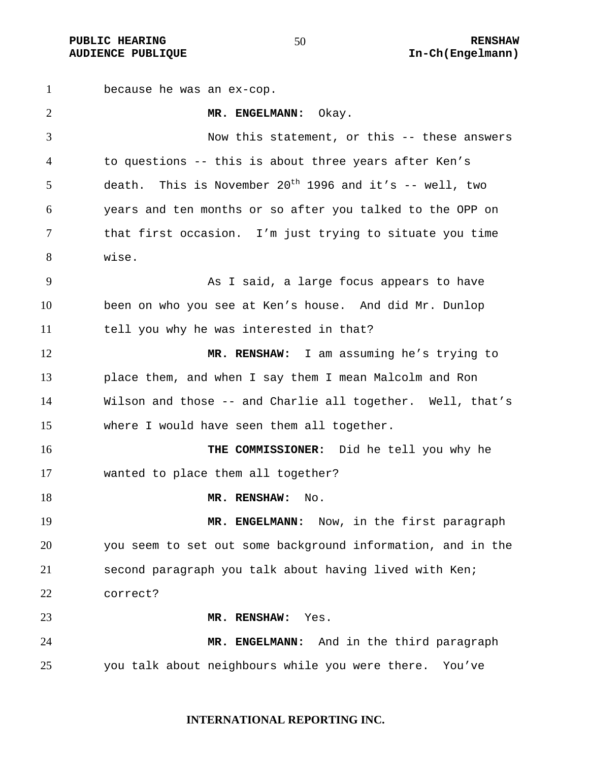because he was an ex-cop. **MR. ENGELMANN:** Okay. Now this statement, or this -- these answers to questions -- this is about three years after Ken's 5 death. This is November  $20^{th}$  1996 and it's -- well, two years and ten months or so after you talked to the OPP on that first occasion. I'm just trying to situate you time wise. As I said, a large focus appears to have been on who you see at Ken's house. And did Mr. Dunlop 11 tell you why he was interested in that? **MR. RENSHAW:** I am assuming he's trying to place them, and when I say them I mean Malcolm and Ron Wilson and those -- and Charlie all together. Well, that's where I would have seen them all together. **THE COMMISSIONER:** Did he tell you why he wanted to place them all together? 18 MR. RENSHAW: No. **MR. ENGELMANN:** Now, in the first paragraph you seem to set out some background information, and in the second paragraph you talk about having lived with Ken; correct? **MR. RENSHAW:** Yes. **MR. ENGELMANN:** And in the third paragraph you talk about neighbours while you were there. You've

#### **INTERNATIONAL REPORTING INC.**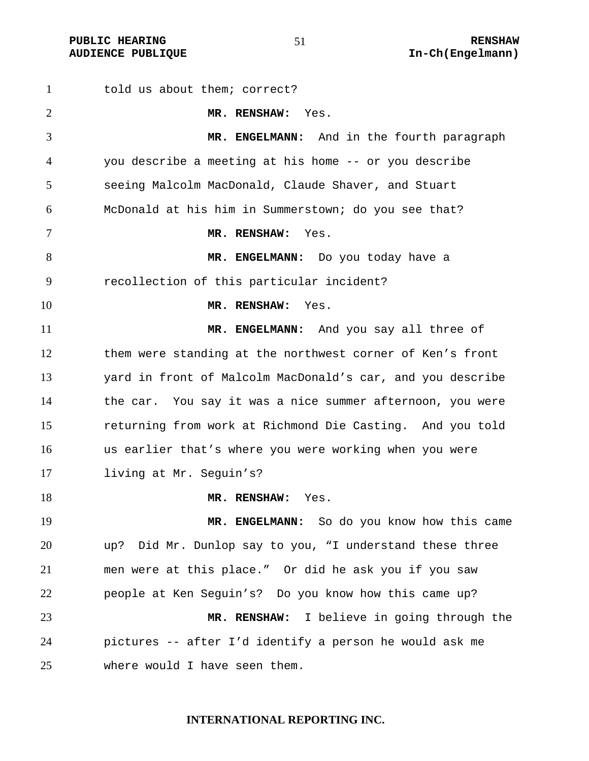PUBLIC HEARING  $\begin{array}{ccc} 51 & 51 & 1 \end{array}$  RENSHAW

told us about them; correct? **MR. RENSHAW:** Yes. **MR. ENGELMANN:** And in the fourth paragraph you describe a meeting at his home -- or you describe seeing Malcolm MacDonald, Claude Shaver, and Stuart McDonald at his him in Summerstown; do you see that? **MR. RENSHAW:** Yes. 8 MR. ENGELMANN: Do you today have a recollection of this particular incident? **MR. RENSHAW:** Yes. **MR. ENGELMANN:** And you say all three of them were standing at the northwest corner of Ken's front yard in front of Malcolm MacDonald's car, and you describe the car. You say it was a nice summer afternoon, you were returning from work at Richmond Die Casting. And you told us earlier that's where you were working when you were living at Mr. Seguin's? **MR. RENSHAW:** Yes. **MR. ENGELMANN:** So do you know how this came up? Did Mr. Dunlop say to you, "I understand these three men were at this place." Or did he ask you if you saw people at Ken Seguin's? Do you know how this came up? **MR. RENSHAW:** I believe in going through the pictures -- after I'd identify a person he would ask me where would I have seen them.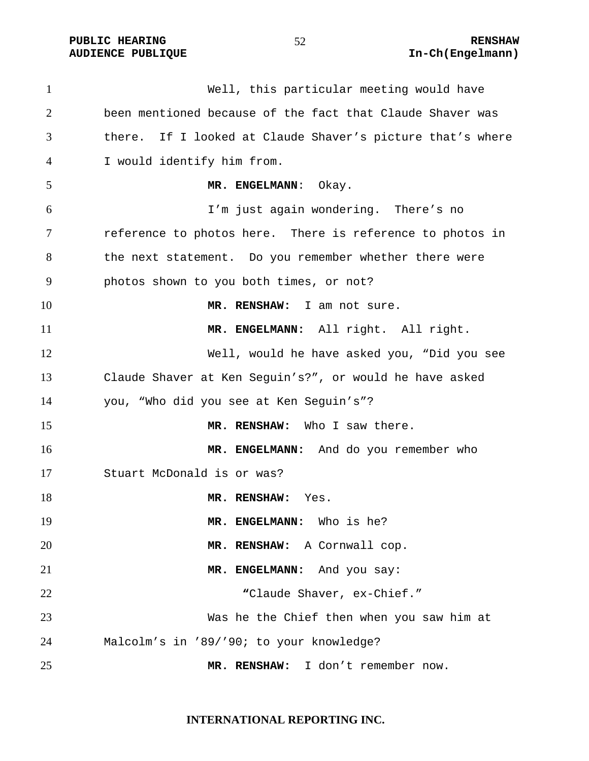Well, this particular meeting would have been mentioned because of the fact that Claude Shaver was there. If I looked at Claude Shaver's picture that's where I would identify him from. **MR. ENGELMANN**: Okay. I'm just again wondering. There's no reference to photos here. There is reference to photos in the next statement. Do you remember whether there were photos shown to you both times, or not? **MR. RENSHAW:** I am not sure. **MR. ENGELMANN:** All right. All right. Well, would he have asked you, "Did you see Claude Shaver at Ken Seguin's?", or would he have asked you, "Who did you see at Ken Seguin's"? **MR. RENSHAW:** Who I saw there. **MR. ENGELMANN:** And do you remember who Stuart McDonald is or was? 18 MR. RENSHAW: Yes. **MR. ENGELMANN:** Who is he? **MR. RENSHAW:** A Cornwall cop. **MR. ENGELMANN:** And you say: **"**Claude Shaver, ex-Chief." Was he the Chief then when you saw him at Malcolm's in '89/'90; to your knowledge? **MR. RENSHAW:** I don't remember now.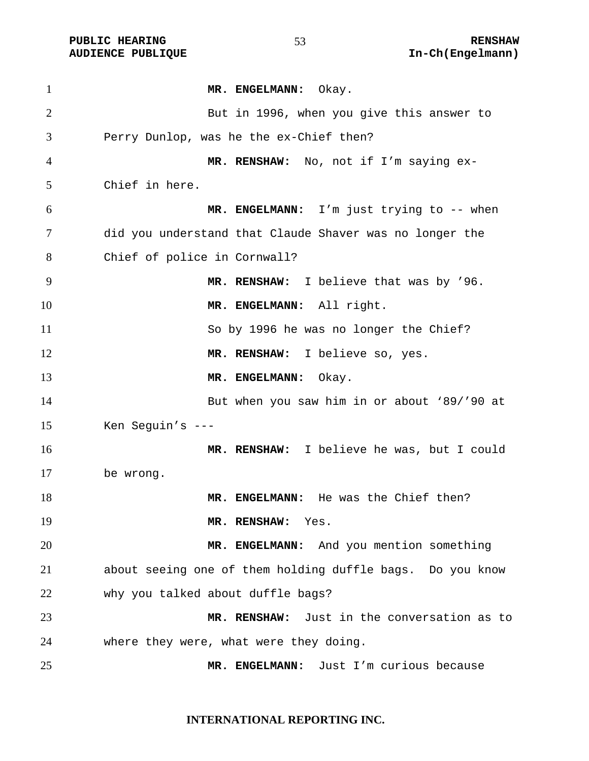PUBLIC HEARING **RENSHAW RENSHAW 53**<br>AUDIENCE PUBLIQUE **RENSHAW RENSHAW RENSHAW** In-Ch(Engelmann)

| $\mathbf{1}$ | MR. ENGELMANN: Okay.                                      |
|--------------|-----------------------------------------------------------|
| 2            | But in 1996, when you give this answer to                 |
| 3            | Perry Dunlop, was he the ex-Chief then?                   |
| 4            | MR. RENSHAW: No, not if I'm saying ex-                    |
| 5            | Chief in here.                                            |
| 6            | MR. ENGELMANN: I'm just trying to -- when                 |
| 7            | did you understand that Claude Shaver was no longer the   |
| 8            | Chief of police in Cornwall?                              |
| 9            | MR. RENSHAW: I believe that was by '96.                   |
| 10           | MR. ENGELMANN: All right.                                 |
| 11           | So by 1996 he was no longer the Chief?                    |
| 12           | MR. RENSHAW: I believe so, yes.                           |
| 13           | MR. ENGELMANN: Okay.                                      |
| 14           | But when you saw him in or about '89/'90 at               |
| 15           | Ken Seguin's $---$                                        |
| 16           | MR. RENSHAW: I believe he was, but I could                |
| 17           | be wrong.                                                 |
| 18           | MR. ENGELMANN: He was the Chief then?                     |
| 19           | MR. RENSHAW:<br>Yes.                                      |
| 20           | MR. ENGELMANN: And you mention something                  |
| 21           | about seeing one of them holding duffle bags. Do you know |
| 22           | why you talked about duffle bags?                         |
| 23           | MR. RENSHAW: Just in the conversation as to               |
| 24           | where they were, what were they doing.                    |
| 25           | MR. ENGELMANN: Just I'm curious because                   |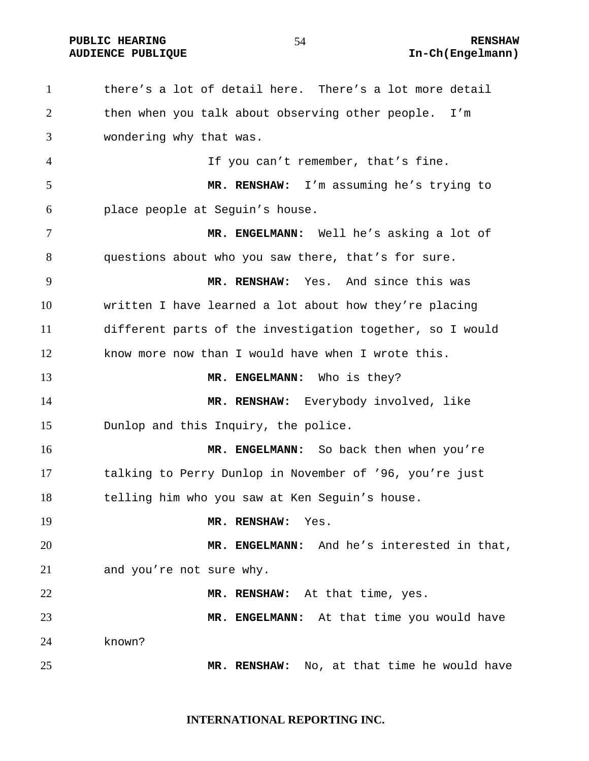**PUBLIC HEARING RENSHAW** 

# **AUDIENCE PUBLIQUE International Contract Contract Contract Contract Contract Contract Contract Contract Contract Contract Contract Contract Contract Contract Contract Contract Contract Contract Contract Contract Contract**

there's a lot of detail here. There's a lot more detail then when you talk about observing other people. I'm wondering why that was. If you can't remember, that's fine. **MR. RENSHAW:** I'm assuming he's trying to place people at Seguin's house. **MR. ENGELMANN:** Well he's asking a lot of questions about who you saw there, that's for sure. **MR. RENSHAW:** Yes. And since this was written I have learned a lot about how they're placing different parts of the investigation together, so I would know more now than I would have when I wrote this. **MR. ENGELMANN:** Who is they? **MR. RENSHAW:** Everybody involved, like Dunlop and this Inquiry, the police. **MR. ENGELMANN:** So back then when you're talking to Perry Dunlop in November of '96, you're just telling him who you saw at Ken Seguin's house. **MR. RENSHAW:** Yes. **MR. ENGELMANN:** And he's interested in that, and you're not sure why. **MR. RENSHAW:** At that time, yes. **MR. ENGELMANN:** At that time you would have known? **MR. RENSHAW:** No, at that time he would have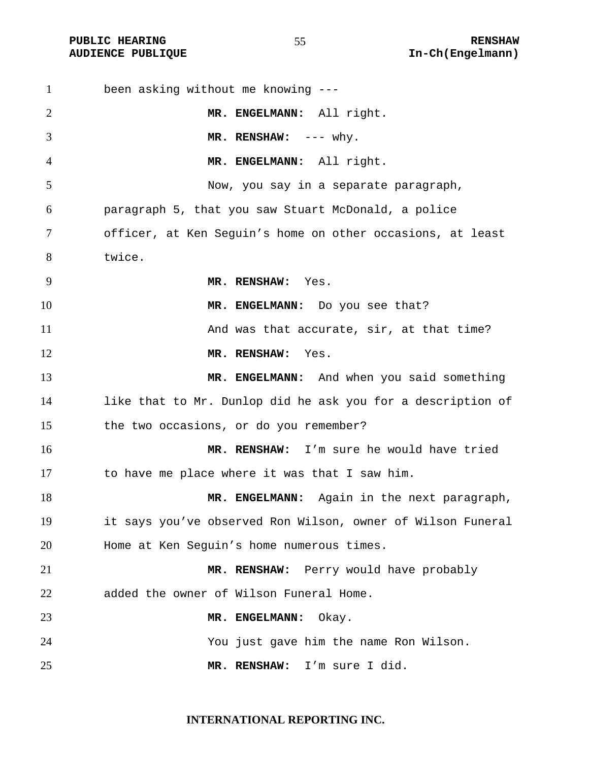| $\mathbf{1}$   | been asking without me knowing ---                          |
|----------------|-------------------------------------------------------------|
| 2              | MR. ENGELMANN: All right.                                   |
| 3              | MR. RENSHAW: $--- why$ .                                    |
| $\overline{4}$ | MR. ENGELMANN: All right.                                   |
| 5              | Now, you say in a separate paragraph,                       |
| 6              | paragraph 5, that you saw Stuart McDonald, a police         |
| 7              | officer, at Ken Seguin's home on other occasions, at least  |
| 8              | twice.                                                      |
| 9              | MR. RENSHAW: Yes.                                           |
| 10             | MR. ENGELMANN: Do you see that?                             |
| 11             | And was that accurate, sir, at that time?                   |
| 12             | MR. RENSHAW:<br>Yes.                                        |
| 13             | MR. ENGELMANN: And when you said something                  |
| 14             | like that to Mr. Dunlop did he ask you for a description of |
| 15             | the two occasions, or do you remember?                      |
| 16             | MR. RENSHAW: I'm sure he would have tried                   |
| 17             | to have me place where it was that I saw him.               |
| 18             | MR. ENGELMANN: Again in the next paragraph,                 |
| 19             | it says you've observed Ron Wilson, owner of Wilson Funeral |
| 20             | Home at Ken Seguin's home numerous times.                   |
| 21             | MR. RENSHAW: Perry would have probably                      |
| 22             | added the owner of Wilson Funeral Home.                     |
| 23             | MR. ENGELMANN:<br>Okay.                                     |
| 24             | You just gave him the name Ron Wilson.                      |
| 25             | I'm sure I did.<br>MR. RENSHAW:                             |

**INTERNATIONAL REPORTING INC.**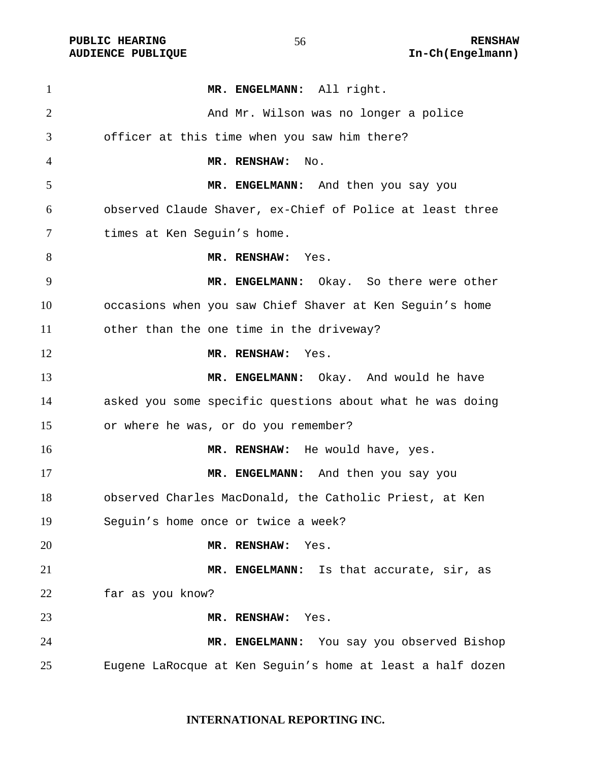PUBLIC HEARING **RENSHAW** 56 **RENSHAW RENSHAW RENSHAW RENSHAW AUDIENCE PUBLIQUE** 

| $\mathbf{1}$   | MR. ENGELMANN: All right.                                  |
|----------------|------------------------------------------------------------|
| $\overline{2}$ | And Mr. Wilson was no longer a police                      |
| 3              | officer at this time when you saw him there?               |
| $\overline{4}$ | MR. RENSHAW:<br>No.                                        |
| 5              | MR. ENGELMANN: And then you say you                        |
| 6              | observed Claude Shaver, ex-Chief of Police at least three  |
| 7              | times at Ken Seguin's home.                                |
| 8              | MR. RENSHAW: Yes.                                          |
| 9              | MR. ENGELMANN: Okay. So there were other                   |
| 10             | occasions when you saw Chief Shaver at Ken Seguin's home   |
| 11             | other than the one time in the driveway?                   |
| 12             | MR. RENSHAW: Yes.                                          |
| 13             | MR. ENGELMANN: Okay. And would he have                     |
| 14             | asked you some specific questions about what he was doing  |
| 15             | or where he was, or do you remember?                       |
| 16             | MR. RENSHAW: He would have, yes.                           |
| 17             | MR. ENGELMANN: And then you say you                        |
| 18             | observed Charles MacDonald, the Catholic Priest, at Ken    |
| 19             | Seguin's home once or twice a week?                        |
| 20             | MR. RENSHAW: Yes.                                          |
| 21             | MR. ENGELMANN: Is that accurate, sir, as                   |
| 22             | far as you know?                                           |
| 23             | MR. RENSHAW: Yes.                                          |
| 24             | MR. ENGELMANN: You say you observed Bishop                 |
| 25             | Eugene LaRocque at Ken Seguin's home at least a half dozen |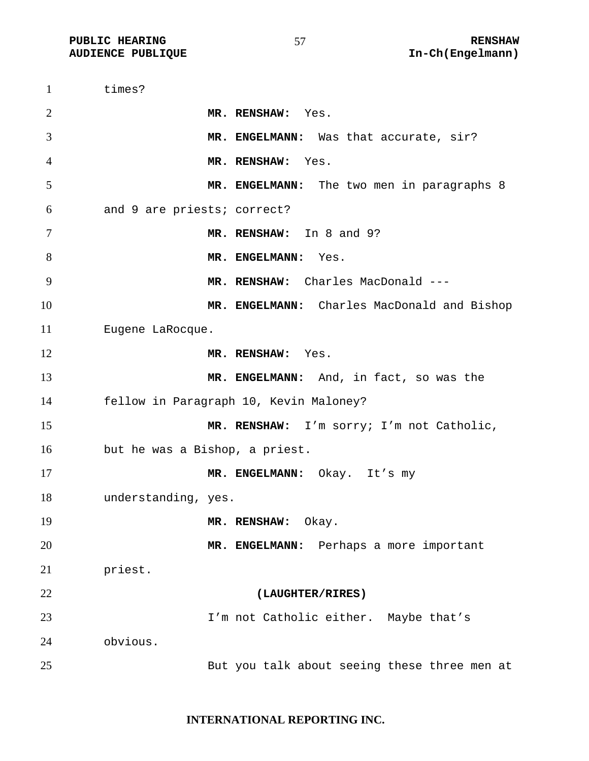times? **MR. RENSHAW:** Yes. **MR. ENGELMANN:** Was that accurate, sir? **MR. RENSHAW:** Yes. **MR. ENGELMANN:** The two men in paragraphs 8 and 9 are priests; correct? **MR. RENSHAW:** In 8 and 9? 8 MR. ENGELMANN: Yes. **MR. RENSHAW:** Charles MacDonald --- **MR. ENGELMANN:** Charles MacDonald and Bishop Eugene LaRocque. **MR. RENSHAW:** Yes. **MR. ENGELMANN:** And, in fact, so was the fellow in Paragraph 10, Kevin Maloney? **MR. RENSHAW:** I'm sorry; I'm not Catholic, but he was a Bishop, a priest. **MR. ENGELMANN:** Okay. It's my understanding, yes. **MR. RENSHAW:** Okay. **MR. ENGELMANN:** Perhaps a more important priest. **(LAUGHTER/RIRES)**  I'm not Catholic either. Maybe that's obvious. But you talk about seeing these three men at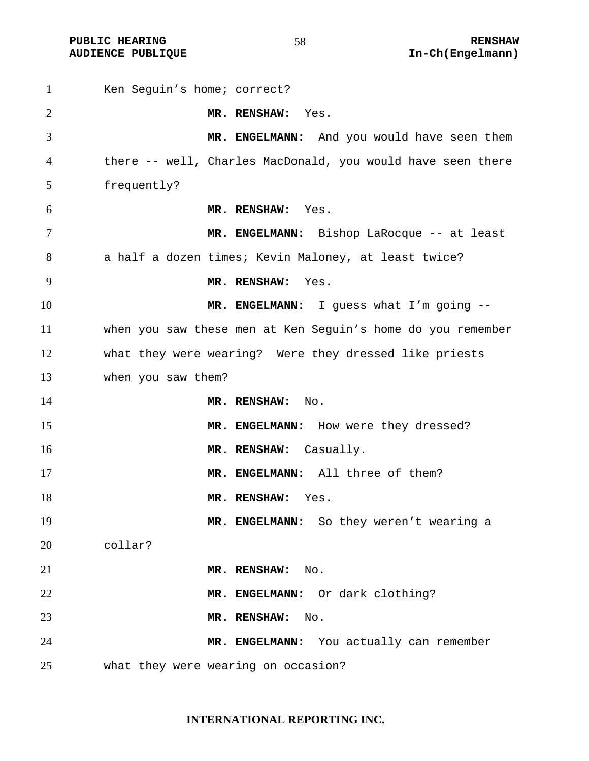| $\mathbf{1}$ | Ken Seguin's home; correct?                                 |
|--------------|-------------------------------------------------------------|
| 2            | MR. RENSHAW: Yes.                                           |
| 3            | MR. ENGELMANN: And you would have seen them                 |
| 4            | there -- well, Charles MacDonald, you would have seen there |
| 5            | frequently?                                                 |
| 6            | MR. RENSHAW: Yes.                                           |
| 7            | MR. ENGELMANN: Bishop LaRocque -- at least                  |
| 8            | a half a dozen times; Kevin Maloney, at least twice?        |
| 9            | MR. RENSHAW:<br>Yes.                                        |
| 10           | MR. ENGELMANN: I guess what I'm going --                    |
| 11           | when you saw these men at Ken Seguin's home do you remember |
| 12           | what they were wearing? Were they dressed like priests      |
| 13           | when you saw them?                                          |
| 14           | MR. RENSHAW: No.                                            |
| 15           | MR. ENGELMANN: How were they dressed?                       |
| 16           | MR. RENSHAW: Casually.                                      |
| 17           | MR. ENGELMANN: All three of them?                           |
| 18           | MR. RENSHAW:<br>Yes.                                        |
| 19           | MR. ENGELMANN: So they weren't wearing a                    |
| 20           | collar?                                                     |
| 21           | MR. RENSHAW:<br>$\mathop{\rm No}\nolimits.$                 |
| 22           | MR. ENGELMANN: Or dark clothing?                            |
| 23           | MR. RENSHAW:<br>No.                                         |
| 24           | MR. ENGELMANN: You actually can remember                    |
| 25           | what they were wearing on occasion?                         |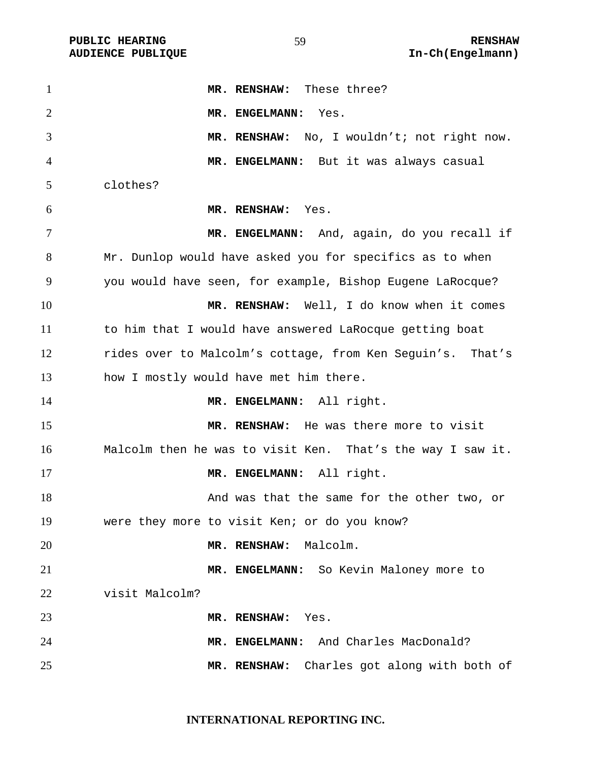| $\mathbf{1}$   | MR. RENSHAW: These three?                                  |
|----------------|------------------------------------------------------------|
| $\overline{2}$ | MR. ENGELMANN:<br>Yes.                                     |
| 3              | MR. RENSHAW: No, I wouldn't; not right now.                |
| 4              | MR. ENGELMANN: But it was always casual                    |
| 5              | clothes?                                                   |
| 6              | MR. RENSHAW: Yes.                                          |
| $\tau$         | MR. ENGELMANN: And, again, do you recall if                |
| 8              | Mr. Dunlop would have asked you for specifics as to when   |
| 9              | you would have seen, for example, Bishop Eugene LaRocque?  |
| 10             | MR. RENSHAW: Well, I do know when it comes                 |
| 11             | to him that I would have answered LaRocque getting boat    |
| 12             | rides over to Malcolm's cottage, from Ken Seguin's. That's |
| 13             | how I mostly would have met him there.                     |
| 14             | MR. ENGELMANN: All right.                                  |
| 15             | MR. RENSHAW: He was there more to visit                    |
| 16             | Malcolm then he was to visit Ken. That's the way I saw it. |
| 17             | MR. ENGELMANN: All right.                                  |
| 18             | And was that the same for the other two, or                |
| 19             | were they more to visit Ken; or do you know?               |
| 20             | Malcolm.<br>MR. RENSHAW:                                   |
| 21             | MR. ENGELMANN: So Kevin Maloney more to                    |
| 22             | visit Malcolm?                                             |
| 23             | MR. RENSHAW:<br>Yes.                                       |
| 24             | MR. ENGELMANN: And Charles MacDonald?                      |
| 25             | Charles got along with both of<br>MR. RENSHAW:             |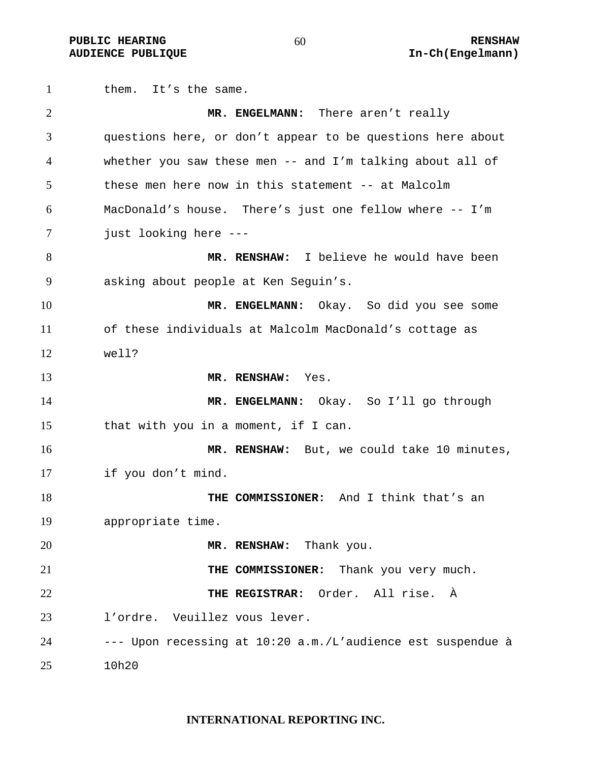**PUBLIC HEARING**  $60$  **RENSHAW RENSHAW AUDIENCE PUBLIQUE International Contract Contract Contract Contract Contract Contract Contract Contract Contract Contract Contract Contract Contract Contract Contract Contract Contract Contract Contract Contract Contract** 

1 them. It's the same. **MR. ENGELMANN:** There aren't really questions here, or don't appear to be questions here about whether you saw these men -- and I'm talking about all of these men here now in this statement -- at Malcolm MacDonald's house. There's just one fellow where -- I'm just looking here --- **MR. RENSHAW:** I believe he would have been asking about people at Ken Seguin's. **MR. ENGELMANN:** Okay. So did you see some of these individuals at Malcolm MacDonald's cottage as well? **MR. RENSHAW:** Yes. **MR. ENGELMANN:** Okay. So I'll go through that with you in a moment, if I can. **MR. RENSHAW:** But, we could take 10 minutes, if you don't mind. **THE COMMISSIONER:** And I think that's an appropriate time. **MR. RENSHAW:** Thank you. **THE COMMISSIONER:** Thank you very much. **THE REGISTRAR:** Order. All rise. À l'ordre. Veuillez vous lever. --- Upon recessing at 10:20 a.m./L'audience est suspendue à 10h20

#### **INTERNATIONAL REPORTING INC.**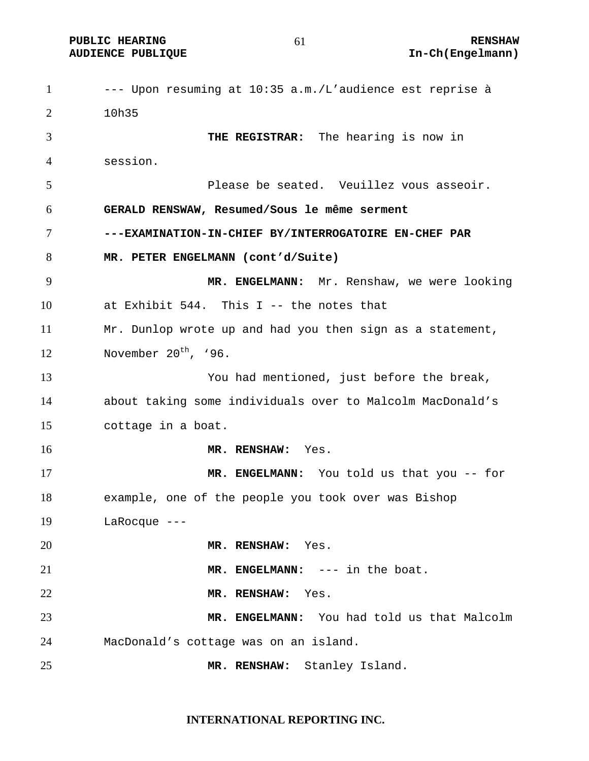**PUBLIC HEARING**  $61$  **RENSHAW RENSHAW** 

--- Upon resuming at 10:35 a.m./L'audience est reprise à 10h35 **THE REGISTRAR:** The hearing is now in session. Please be seated. Veuillez vous asseoir. **GERALD RENSWAW, Resumed/Sous le même serment ---EXAMINATION-IN-CHIEF BY/INTERROGATOIRE EN-CHEF PAR MR. PETER ENGELMANN (cont'd/Suite) MR. ENGELMANN:** Mr. Renshaw, we were looking at Exhibit 544. This I -- the notes that Mr. Dunlop wrote up and had you then sign as a statement, 12 November  $20<sup>th</sup>$ , '96. You had mentioned, just before the break, about taking some individuals over to Malcolm MacDonald's cottage in a boat. **MR. RENSHAW:** Yes. **MR. ENGELMANN:** You told us that you -- for example, one of the people you took over was Bishop LaRocque --- **MR. RENSHAW:** Yes. **MR. ENGELMANN:** --- in the boat. **MR. RENSHAW:** Yes. **MR. ENGELMANN:** You had told us that Malcolm MacDonald's cottage was on an island. **MR. RENSHAW:** Stanley Island.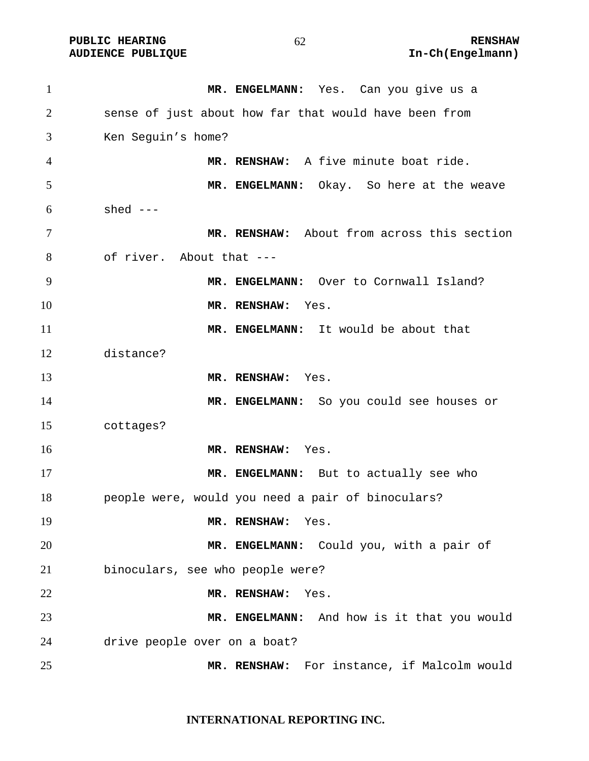| $\mathbf{1}$ | MR. ENGELMANN: Yes. Can you give us a                 |
|--------------|-------------------------------------------------------|
| 2            | sense of just about how far that would have been from |
| 3            | Ken Seguin's home?                                    |
| 4            | MR. RENSHAW: A five minute boat ride.                 |
| 5            | MR. ENGELMANN: Okay. So here at the weave             |
| 6            | shed $---$                                            |
| 7            | MR. RENSHAW: About from across this section           |
| 8            | of river. About that ---                              |
| 9            | MR. ENGELMANN: Over to Cornwall Island?               |
| 10           | MR. RENSHAW:<br>Yes.                                  |
| 11           | MR. ENGELMANN: It would be about that                 |
| 12           | distance?                                             |
| 13           | MR. RENSHAW: Yes.                                     |
| 14           | MR. ENGELMANN: So you could see houses or             |
| 15           | cottages?                                             |
| 16           | MR. RENSHAW: Yes.                                     |
| 17           | MR. ENGELMANN: But to actually see who                |
| 18           | people were, would you need a pair of binoculars?     |
| 19           | MR. RENSHAW:<br>Yes.                                  |
| 20           | MR. ENGELMANN:<br>Could you, with a pair of           |
| 21           | binoculars, see who people were?                      |
| 22           | MR. RENSHAW:<br>Yes.                                  |
| 23           | MR. ENGELMANN: And how is it that you would           |
| 24           | drive people over on a boat?                          |
| 25           | For instance, if Malcolm would<br>MR. RENSHAW:        |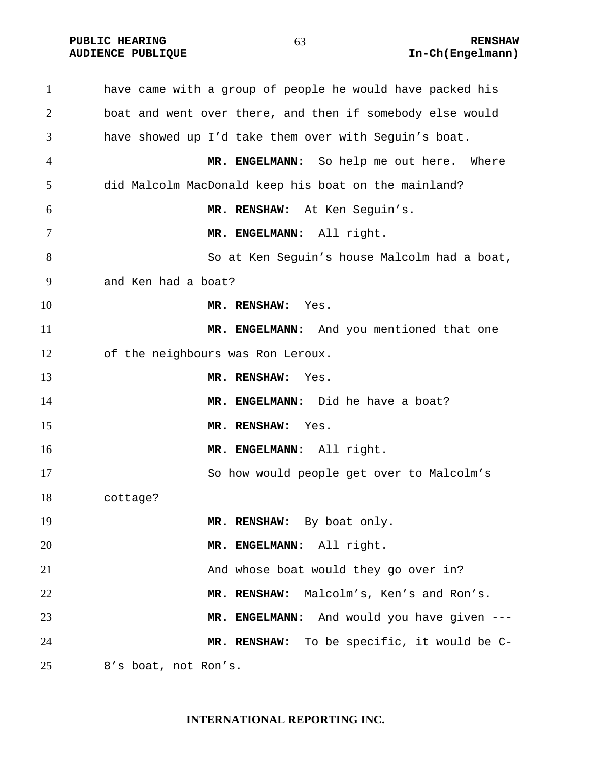**PUBLIC HEARING**  $63$  **RENSHAW** 

have came with a group of people he would have packed his boat and went over there, and then if somebody else would have showed up I'd take them over with Seguin's boat. **MR. ENGELMANN:** So help me out here. Where did Malcolm MacDonald keep his boat on the mainland? **MR. RENSHAW:** At Ken Seguin's. **MR. ENGELMANN:** All right. So at Ken Seguin's house Malcolm had a boat, and Ken had a boat? **MR. RENSHAW:** Yes. **MR. ENGELMANN:** And you mentioned that one of the neighbours was Ron Leroux. **MR. RENSHAW:** Yes. **MR. ENGELMANN:** Did he have a boat? **MR. RENSHAW:** Yes. **MR. ENGELMANN:** All right. So how would people get over to Malcolm's cottage? 19 MR. RENSHAW: By boat only. **MR. ENGELMANN:** All right. 21 And whose boat would they go over in? **MR. RENSHAW:** Malcolm's, Ken's and Ron's. **MR. ENGELMANN:** And would you have given --- **MR. RENSHAW:** To be specific, it would be C-8's boat, not Ron's.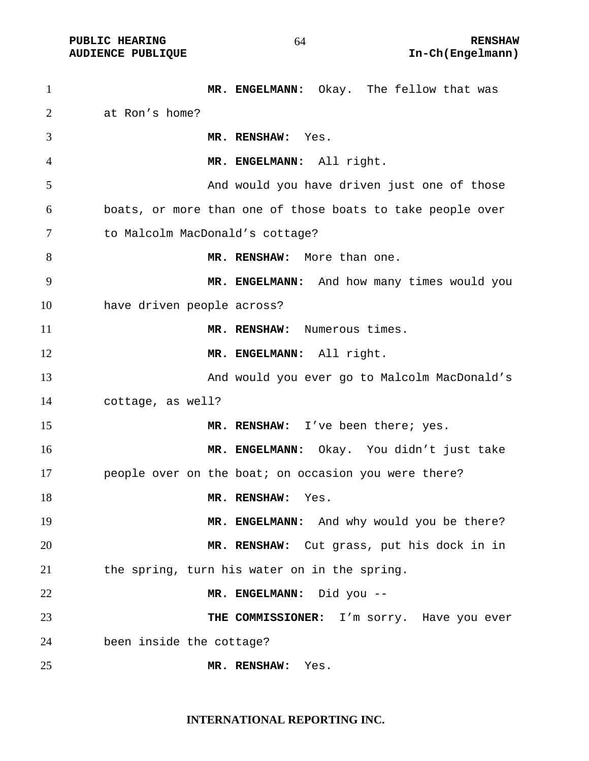| $\mathbf{1}$   |                                 | MR. ENGELMANN: Okay. The fellow that was                   |
|----------------|---------------------------------|------------------------------------------------------------|
| $\overline{c}$ | at Ron's home?                  |                                                            |
| 3              |                                 | MR. RENSHAW: Yes.                                          |
| 4              |                                 | MR. ENGELMANN: All right.                                  |
| 5              |                                 | And would you have driven just one of those                |
| 6              |                                 | boats, or more than one of those boats to take people over |
| 7              | to Malcolm MacDonald's cottage? |                                                            |
| 8              |                                 | MR. RENSHAW: More than one.                                |
| 9              |                                 | MR. ENGELMANN: And how many times would you                |
| 10             | have driven people across?      |                                                            |
| 11             |                                 | MR. RENSHAW: Numerous times.                               |
| 12             |                                 | MR. ENGELMANN: All right.                                  |
| 13             |                                 | And would you ever go to Malcolm MacDonald's               |
| 14             | cottage, as well?               |                                                            |
| 15             |                                 | MR. RENSHAW: I've been there; yes.                         |
| 16             |                                 | MR. ENGELMANN: Okay. You didn't just take                  |
| 17             |                                 | people over on the boat; on occasion you were there?       |
| 18             |                                 | MR. RENSHAW:<br>Yes.                                       |
| 19             |                                 | MR. ENGELMANN: And why would you be there?                 |
| 20             |                                 | MR. RENSHAW: Cut grass, put his dock in in                 |
| 21             |                                 | the spring, turn his water on in the spring.               |
| 22             |                                 | MR. ENGELMANN: Did you --                                  |
| 23             |                                 | THE COMMISSIONER: I'm sorry. Have you ever                 |
| 24             | been inside the cottage?        |                                                            |
| 25             |                                 | MR. RENSHAW:<br>Yes.                                       |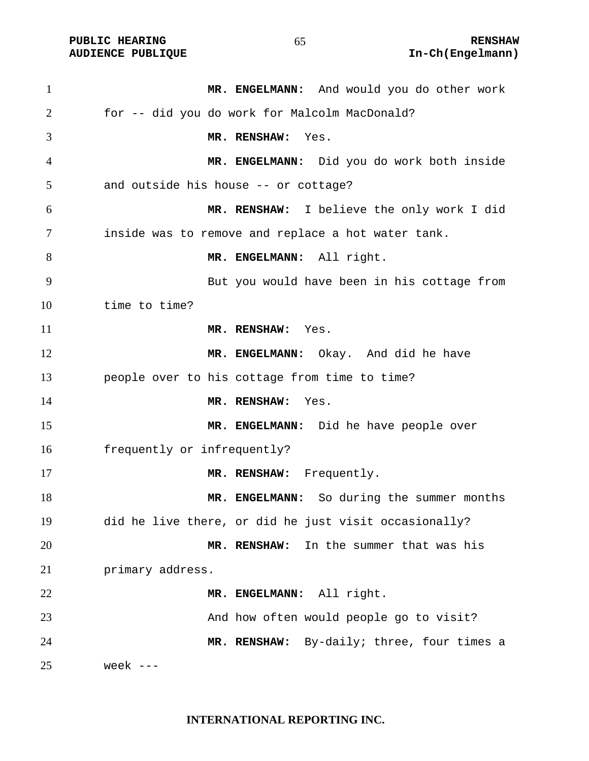| $\mathbf{1}$   | MR. ENGELMANN: And would you do other work            |
|----------------|-------------------------------------------------------|
| $\overline{2}$ | for -- did you do work for Malcolm MacDonald?         |
| 3              | MR. RENSHAW:<br>Yes.                                  |
| $\overline{4}$ | MR. ENGELMANN: Did you do work both inside            |
| 5              | and outside his house -- or cottage?                  |
| 6              | MR. RENSHAW: I believe the only work I did            |
| 7              | inside was to remove and replace a hot water tank.    |
| 8              | MR. ENGELMANN: All right.                             |
| 9              | But you would have been in his cottage from           |
| 10             | time to time?                                         |
| 11             | MR. RENSHAW: Yes.                                     |
| 12             | MR. ENGELMANN: Okay. And did he have                  |
| 13             | people over to his cottage from time to time?         |
| 14             | MR. RENSHAW:<br>Yes.                                  |
| 15             | MR. ENGELMANN: Did he have people over                |
| 16             | frequently or infrequently?                           |
| 17             | MR. RENSHAW: Frequently.                              |
| 18             | MR. ENGELMANN: So during the summer months            |
| 19             | did he live there, or did he just visit occasionally? |
| 20             | In the summer that was his<br>MR. RENSHAW:            |
| 21             | primary address.                                      |
| 22             | MR. ENGELMANN: All right.                             |
| 23             | And how often would people go to visit?               |
| 24             | MR. RENSHAW: By-daily; three, four times a            |
| 25             | week $---$                                            |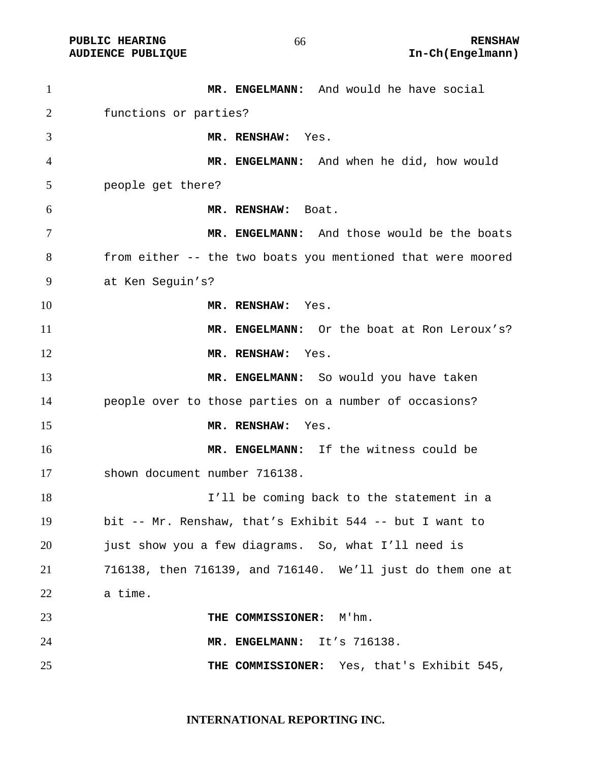PUBLIC HEARING **RENSHAW** 66 **RENSHAW RENSHAW RENSHAW RENSHAW RENSHAW RENSHAW RENSHAW RENSHAW RENSHAW** 

| $\mathbf{1}$ | MR. ENGELMANN: And would he have social                     |
|--------------|-------------------------------------------------------------|
| 2            | functions or parties?                                       |
| 3            | MR. RENSHAW:<br>Yes.                                        |
| 4            | MR. ENGELMANN: And when he did, how would                   |
| 5            | people get there?                                           |
| 6            | MR. RENSHAW: Boat.                                          |
| 7            | MR. ENGELMANN: And those would be the boats                 |
| 8            | from either -- the two boats you mentioned that were moored |
| 9            | at Ken Seguin's?                                            |
| 10           | MR. RENSHAW: Yes.                                           |
| 11           | MR. ENGELMANN: Or the boat at Ron Leroux's?                 |
| 12           | MR. RENSHAW: Yes.                                           |
| 13           | MR. ENGELMANN: So would you have taken                      |
| 14           | people over to those parties on a number of occasions?      |
| 15           | MR. RENSHAW:<br>Yes.                                        |
| 16           | MR. ENGELMANN: If the witness could be                      |
| 17           | shown document number 716138.                               |
| 18           | I'll be coming back to the statement in a                   |
| 19           | bit -- Mr. Renshaw, that's Exhibit 544 -- but I want to     |
| 20           | just show you a few diagrams. So, what I'll need is         |
| 21           | 716138, then 716139, and 716140. We'll just do them one at  |
| 22           | a time.                                                     |
| 23           | THE COMMISSIONER: M'hm.                                     |
| 24           | MR. ENGELMANN: It's 716138.                                 |
| 25           | THE COMMISSIONER: Yes, that's Exhibit 545,                  |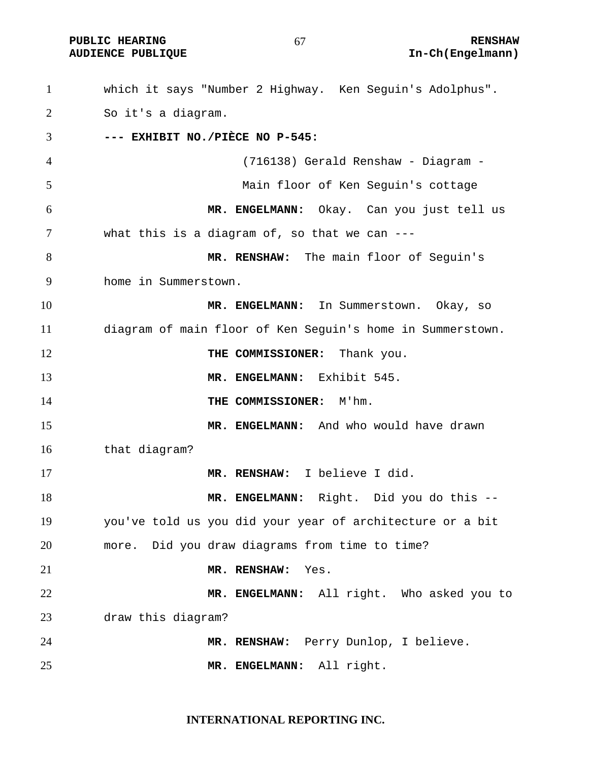**PUBLIC HEARING**  $67$  **RENSHAW** 

which it says "Number 2 Highway. Ken Seguin's Adolphus". So it's a diagram. **--- EXHIBIT NO./PIÈCE NO P-545:**  (716138) Gerald Renshaw - Diagram - Main floor of Ken Seguin's cottage **MR. ENGELMANN:** Okay. Can you just tell us what this is a diagram of, so that we can --- **MR. RENSHAW:** The main floor of Seguin's home in Summerstown. **MR. ENGELMANN:** In Summerstown. Okay, so diagram of main floor of Ken Seguin's home in Summerstown. **THE COMMISSIONER:** Thank you. **MR. ENGELMANN:** Exhibit 545. **THE COMMISSIONER:** M'hm. **MR. ENGELMANN:** And who would have drawn that diagram? **MR. RENSHAW:** I believe I did. **MR. ENGELMANN:** Right. Did you do this -- you've told us you did your year of architecture or a bit more. Did you draw diagrams from time to time? **MR. RENSHAW:** Yes. **MR. ENGELMANN:** All right. Who asked you to draw this diagram? **MR. RENSHAW:** Perry Dunlop, I believe. **MR. ENGELMANN:** All right.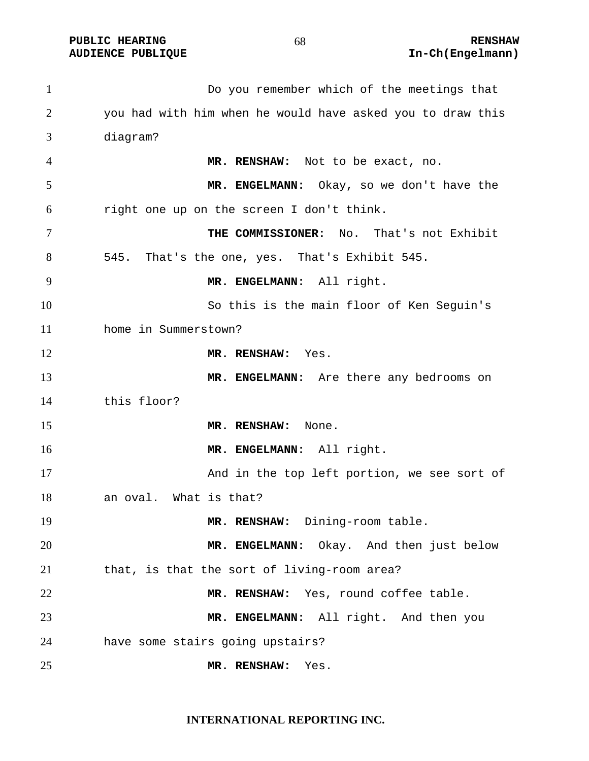Do you remember which of the meetings that you had with him when he would have asked you to draw this diagram? **MR. RENSHAW:** Not to be exact, no. **MR. ENGELMANN:** Okay, so we don't have the right one up on the screen I don't think. **THE COMMISSIONER:** No. That's not Exhibit 545. That's the one, yes. That's Exhibit 545. **MR. ENGELMANN:** All right. So this is the main floor of Ken Seguin's home in Summerstown? **MR. RENSHAW:** Yes. **MR. ENGELMANN:** Are there any bedrooms on this floor? **MR. RENSHAW:** None. **MR. ENGELMANN:** All right. And in the top left portion, we see sort of an oval. What is that? **MR. RENSHAW:** Dining-room table. **MR. ENGELMANN:** Okay. And then just below that, is that the sort of living-room area? **MR. RENSHAW:** Yes, round coffee table. **MR. ENGELMANN:** All right. And then you have some stairs going upstairs? **MR. RENSHAW:** Yes.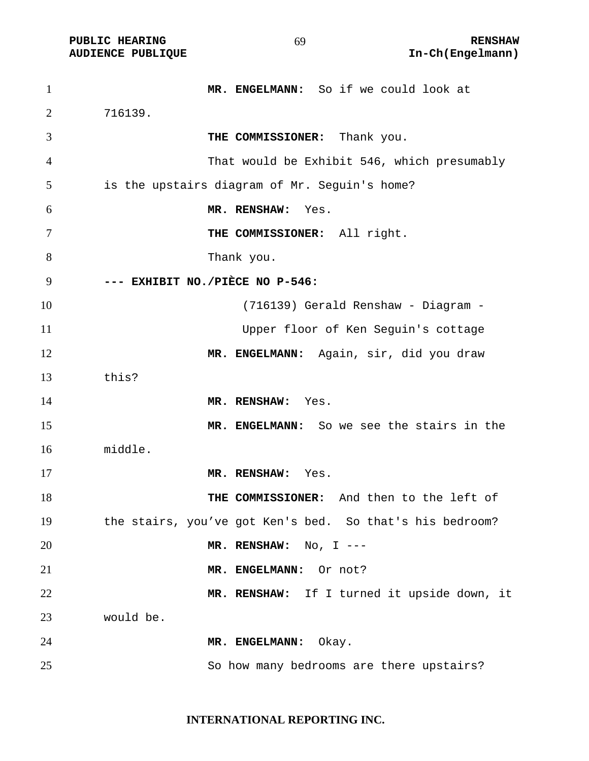| $\mathbf{1}$   | MR. ENGELMANN: So if we could look at                    |
|----------------|----------------------------------------------------------|
| $\overline{2}$ | 716139.                                                  |
| 3              | THE COMMISSIONER: Thank you.                             |
| $\overline{4}$ | That would be Exhibit 546, which presumably              |
| 5              | is the upstairs diagram of Mr. Seguin's home?            |
| 6              | MR. RENSHAW:<br>Yes.                                     |
| $\tau$         | THE COMMISSIONER: All right.                             |
| 8              | Thank you.                                               |
| 9              | --- EXHIBIT NO./PIÈCE NO P-546:                          |
| 10             | (716139) Gerald Renshaw - Diagram -                      |
| 11             | Upper floor of Ken Seguin's cottage                      |
| 12             | MR. ENGELMANN: Again, sir, did you draw                  |
| 13             | this?                                                    |
| 14             | MR. RENSHAW: Yes.                                        |
| 15             | MR. ENGELMANN: So we see the stairs in the               |
| 16             | middle.                                                  |
| 17             | MR. RENSHAW:<br>Yes.                                     |
| 18             | THE COMMISSIONER: And then to the left of                |
| 19             | the stairs, you've got Ken's bed. So that's his bedroom? |
| 20             | MR. RENSHAW: $No, I$ ---                                 |
| 21             | MR. ENGELMANN: Or not?                                   |
| 22             | MR. RENSHAW: If I turned it upside down, it              |
| 23             | would be.                                                |
| 24             | MR. ENGELMANN: Okay.                                     |
| 25             | So how many bedrooms are there upstairs?                 |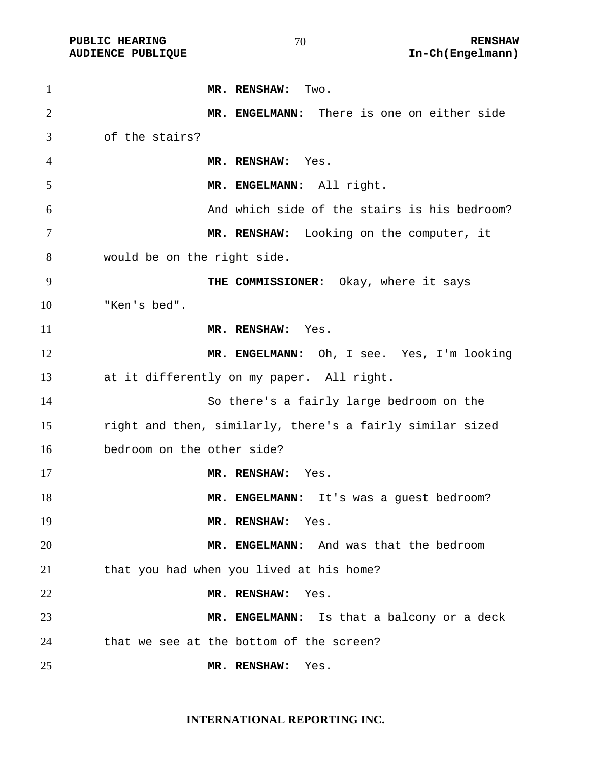| $\mathbf{1}$   | MR. RENSHAW: Two.                                         |
|----------------|-----------------------------------------------------------|
| $\overline{2}$ | MR. ENGELMANN: There is one on either side                |
| 3              | of the stairs?                                            |
| 4              | MR. RENSHAW: Yes.                                         |
| 5              | MR. ENGELMANN: All right.                                 |
| 6              | And which side of the stairs is his bedroom?              |
| 7              | MR. RENSHAW: Looking on the computer, it                  |
| 8              | would be on the right side.                               |
| 9              | THE COMMISSIONER: Okay, where it says                     |
| 10             | "Ken's bed".                                              |
| 11             | MR. RENSHAW: Yes.                                         |
| 12             | MR. ENGELMANN: Oh, I see. Yes, I'm looking                |
| 13             | at it differently on my paper. All right.                 |
| 14             | So there's a fairly large bedroom on the                  |
| 15             | right and then, similarly, there's a fairly similar sized |
| 16             | bedroom on the other side?                                |
| 17             | MR. RENSHAW: Yes.                                         |
| 18             | MR. ENGELMANN: It's was a guest bedroom?                  |
| 19             | MR. RENSHAW: Yes.                                         |
| 20             | MR. ENGELMANN: And was that the bedroom                   |
| 21             | that you had when you lived at his home?                  |
| 22             | Yes.<br>MR. RENSHAW:                                      |
| 23             | MR. ENGELMANN: Is that a balcony or a deck                |
| 24             | that we see at the bottom of the screen?                  |
| 25             | MR. RENSHAW:<br>Yes.                                      |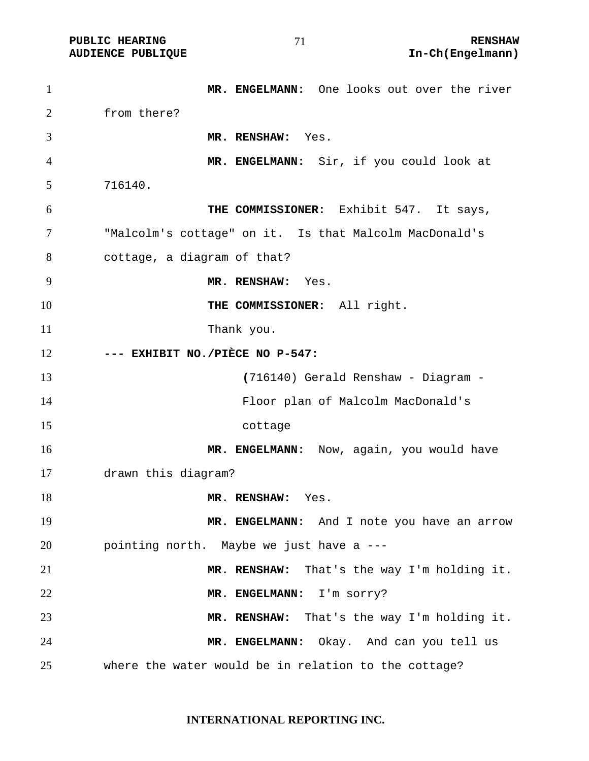| $\mathbf{1}$   | MR. ENGELMANN: One looks out over the river            |
|----------------|--------------------------------------------------------|
| 2              | from there?                                            |
| 3              | MR. RENSHAW: Yes.                                      |
| $\overline{4}$ | MR. ENGELMANN: Sir, if you could look at               |
| 5              | 716140.                                                |
| 6              | THE COMMISSIONER: Exhibit 547. It says,                |
| 7              | "Malcolm's cottage" on it. Is that Malcolm MacDonald's |
| 8              | cottage, a diagram of that?                            |
| 9              | MR. RENSHAW: Yes.                                      |
| 10             | THE COMMISSIONER: All right.                           |
| 11             | Thank you.                                             |
| 12             | --- EXHIBIT NO./PIÈCE NO P-547:                        |
| 13             | (716140) Gerald Renshaw - Diagram -                    |
| 14             | Floor plan of Malcolm MacDonald's                      |
| 15             | cottage                                                |
| 16             | MR. ENGELMANN: Now, again, you would have              |
| 17             | drawn this diagram?                                    |
| 18             | MR. RENSHAW: Yes.                                      |
| 19             | MR. ENGELMANN: And I note you have an arrow            |
| 20             | pointing north. Maybe we just have a ---               |
| 21             | MR. RENSHAW: That's the way I'm holding it.            |
| 22             | I'm sorry?<br>MR. ENGELMANN:                           |
| 23             | MR. RENSHAW: That's the way I'm holding it.            |
| 24             | MR. ENGELMANN: Okay. And can you tell us               |
| 25             | where the water would be in relation to the cottage?   |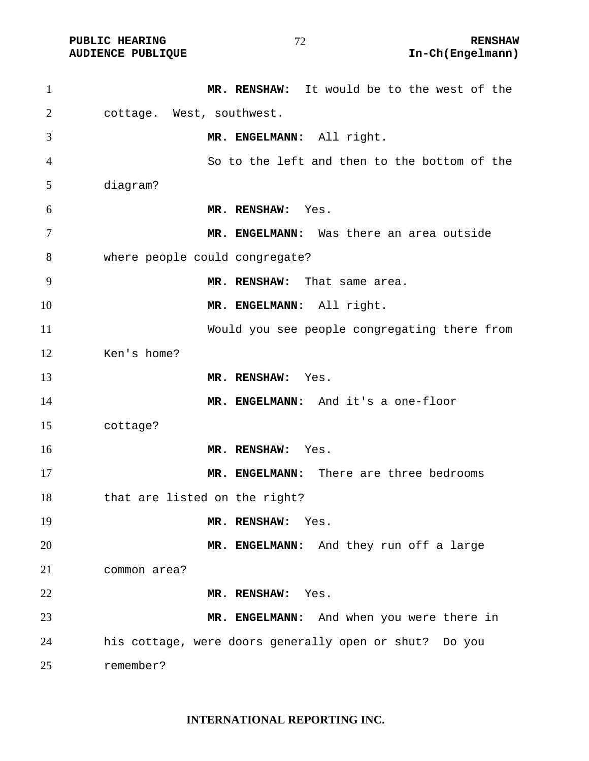| $\mathbf{1}$   | MR. RENSHAW: It would be to the west of the            |
|----------------|--------------------------------------------------------|
| $\overline{2}$ | cottage. West, southwest.                              |
| 3              | MR. ENGELMANN: All right.                              |
| 4              | So to the left and then to the bottom of the           |
| 5              | diagram?                                               |
| 6              | MR. RENSHAW:<br>Yes.                                   |
| $\tau$         | MR. ENGELMANN: Was there an area outside               |
| 8              | where people could congregate?                         |
| 9              | MR. RENSHAW: That same area.                           |
| 10             | MR. ENGELMANN: All right.                              |
| 11             | Would you see people congregating there from           |
| 12             | Ken's home?                                            |
| 13             | MR. RENSHAW: Yes.                                      |
| 14             | MR. ENGELMANN: And it's a one-floor                    |
| 15             | cottage?                                               |
| 16             | MR. RENSHAW:<br>Yes.                                   |
| 17             | MR. ENGELMANN: There are three bedrooms                |
| 18             | that are listed on the right?                          |
| 19             | MR. RENSHAW: Yes.                                      |
| 20             | MR. ENGELMANN: And they run off a large                |
| 21             | common area?                                           |
| 22             | MR. RENSHAW: Yes.                                      |
| 23             | MR. ENGELMANN: And when you were there in              |
| 24             | his cottage, were doors generally open or shut? Do you |
| 25             | remember?                                              |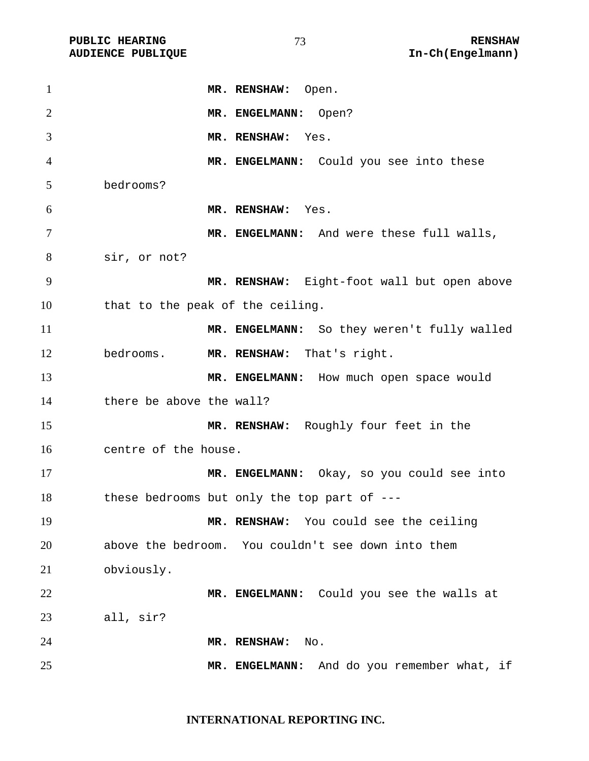| $\mathbf{1}$   |                                             | MR. RENSHAW: Open.         |                                                    |
|----------------|---------------------------------------------|----------------------------|----------------------------------------------------|
| $\overline{2}$ |                                             | MR. ENGELMANN: Open?       |                                                    |
| 3              |                                             | MR. RENSHAW:<br>Yes.       |                                                    |
| 4              |                                             |                            | MR. ENGELMANN: Could you see into these            |
| 5              | bedrooms?                                   |                            |                                                    |
| 6              |                                             | MR. RENSHAW: Yes.          |                                                    |
| 7              |                                             |                            | MR. ENGELMANN: And were these full walls,          |
| 8              | sir, or not?                                |                            |                                                    |
| 9              |                                             |                            | MR. RENSHAW: Eight-foot wall but open above        |
| 10             | that to the peak of the ceiling.            |                            |                                                    |
| 11             |                                             |                            | MR. ENGELMANN: So they weren't fully walled        |
| 12             | bedrooms.                                   | MR. RENSHAW: That's right. |                                                    |
| 13             |                                             |                            | MR. ENGELMANN: How much open space would           |
| 14             | there be above the wall?                    |                            |                                                    |
| 15             |                                             |                            | MR. RENSHAW: Roughly four feet in the              |
| 16             | centre of the house.                        |                            |                                                    |
| 17             |                                             |                            | MR. ENGELMANN: Okay, so you could see into         |
| 18             | these bedrooms but only the top part of --- |                            |                                                    |
| 19             |                                             |                            | MR. RENSHAW: You could see the ceiling             |
| 20             |                                             |                            | above the bedroom. You couldn't see down into them |
| 21             | obviously.                                  |                            |                                                    |
| 22             |                                             |                            | MR. ENGELMANN: Could you see the walls at          |
| 23             | all, sir?                                   |                            |                                                    |
| 24             |                                             | MR. RENSHAW:<br>No.        |                                                    |
| 25             |                                             | MR. ENGELMANN:             | And do you remember what, if                       |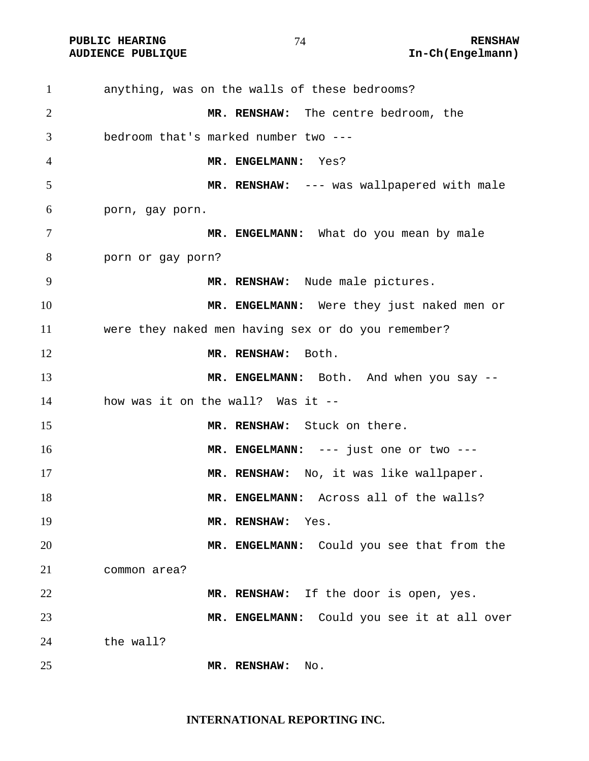| $\mathbf{1}$   | anything, was on the walls of these bedrooms?      |
|----------------|----------------------------------------------------|
| 2              | MR. RENSHAW: The centre bedroom, the               |
| 3              | bedroom that's marked number two ---               |
| $\overline{4}$ | MR. ENGELMANN: Yes?                                |
| 5              | MR. RENSHAW: --- was wallpapered with male         |
| 6              | porn, gay porn.                                    |
| 7              | MR. ENGELMANN: What do you mean by male            |
| 8              | porn or gay porn?                                  |
| 9              | MR. RENSHAW: Nude male pictures.                   |
| 10             | MR. ENGELMANN: Were they just naked men or         |
| 11             | were they naked men having sex or do you remember? |
| 12             | MR. RENSHAW: Both.                                 |
| 13             | MR. ENGELMANN: Both. And when you say --           |
| 14             | how was it on the wall? Was it --                  |
| 15             | MR. RENSHAW: Stuck on there.                       |
| 16             | MR. ENGELMANN: --- just one or two ---             |
| 17             | MR. RENSHAW: No, it was like wallpaper.            |
| 18             | MR. ENGELMANN: Across all of the walls?            |
| 19             | MR. RENSHAW:<br>Yes.                               |
| 20             | MR. ENGELMANN: Could you see that from the         |
| 21             | common area?                                       |
| 22             | MR. RENSHAW: If the door is open, yes.             |
| 23             | MR. ENGELMANN: Could you see it at all over        |
| 24             | the wall?                                          |
| 25             | MR. RENSHAW:<br>No.                                |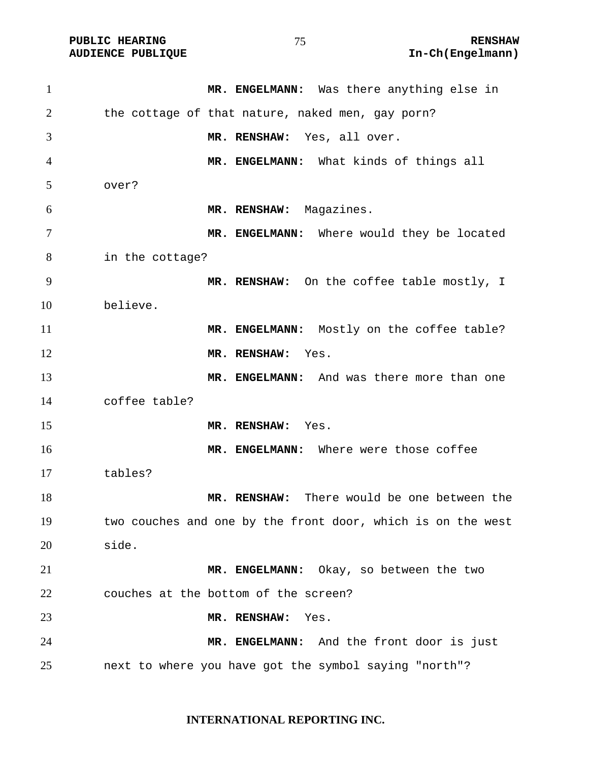| $\mathbf{1}$   | MR. ENGELMANN: Was there anything else in                   |
|----------------|-------------------------------------------------------------|
| $\overline{2}$ | the cottage of that nature, naked men, gay porn?            |
| 3              | MR. RENSHAW: Yes, all over.                                 |
| 4              | MR. ENGELMANN: What kinds of things all                     |
| 5              | over?                                                       |
| 6              | MR. RENSHAW: Magazines.                                     |
| 7              | MR. ENGELMANN: Where would they be located                  |
| 8              | in the cottage?                                             |
| 9              | MR. RENSHAW: On the coffee table mostly, I                  |
| 10             | believe.                                                    |
| 11             | MR. ENGELMANN: Mostly on the coffee table?                  |
| 12             | MR. RENSHAW:<br>Yes.                                        |
| 13             | MR. ENGELMANN: And was there more than one                  |
| 14             | coffee table?                                               |
| 15             | MR. RENSHAW:<br>Yes.                                        |
| 16             | MR. ENGELMANN: Where were those coffee                      |
| 17             | tables?                                                     |
| 18             | MR. RENSHAW: There would be one between the                 |
| 19             | two couches and one by the front door, which is on the west |
| 20             | side.                                                       |
| 21             | MR. ENGELMANN: Okay, so between the two                     |
| 22             | couches at the bottom of the screen?                        |
| 23             | MR. RENSHAW:<br>Yes.                                        |
| 24             | MR. ENGELMANN: And the front door is just                   |
| 25             | next to where you have got the symbol saying "north"?       |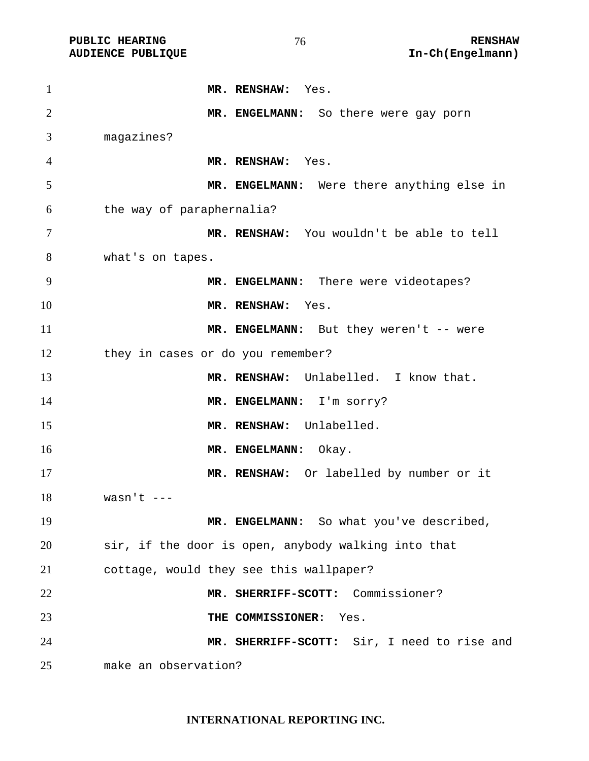PUBLIC HEARING **RENSHAW** 76 **RENSHAW RENSHAW** RENSHAW **RENSHAW RENSHAW RENSHAW RENSHAW RENSHAW RENSHAW** 

| $\mathbf{1}$   | MR. RENSHAW: Yes.                                   |
|----------------|-----------------------------------------------------|
| $\overline{2}$ | MR. ENGELMANN: So there were gay porn               |
| 3              | magazines?                                          |
| 4              | MR. RENSHAW: Yes.                                   |
| 5              | MR. ENGELMANN: Were there anything else in          |
| 6              | the way of paraphernalia?                           |
| $\tau$         | MR. RENSHAW: You wouldn't be able to tell           |
| 8              | what's on tapes.                                    |
| 9              | MR. ENGELMANN: There were videotapes?               |
| 10             | MR. RENSHAW: Yes.                                   |
| 11             | MR. ENGELMANN: But they weren't -- were             |
| 12             | they in cases or do you remember?                   |
| 13             | MR. RENSHAW: Unlabelled. I know that.               |
| 14             | MR. ENGELMANN: I'm sorry?                           |
| 15             | MR. RENSHAW: Unlabelled.                            |
| 16             | MR. ENGELMANN: Okay.                                |
| 17             | MR. RENSHAW: Or labelled by number or it            |
| 18             | wasn't ---                                          |
| 19             | MR. ENGELMANN: So what you've described,            |
| 20             | sir, if the door is open, anybody walking into that |
| 21             | cottage, would they see this wallpaper?             |
| 22             | MR. SHERRIFF-SCOTT: Commissioner?                   |
| 23             | THE COMMISSIONER:<br>Yes.                           |
| 24             | MR. SHERRIFF-SCOTT: Sir, I need to rise and         |
| 25             | make an observation?                                |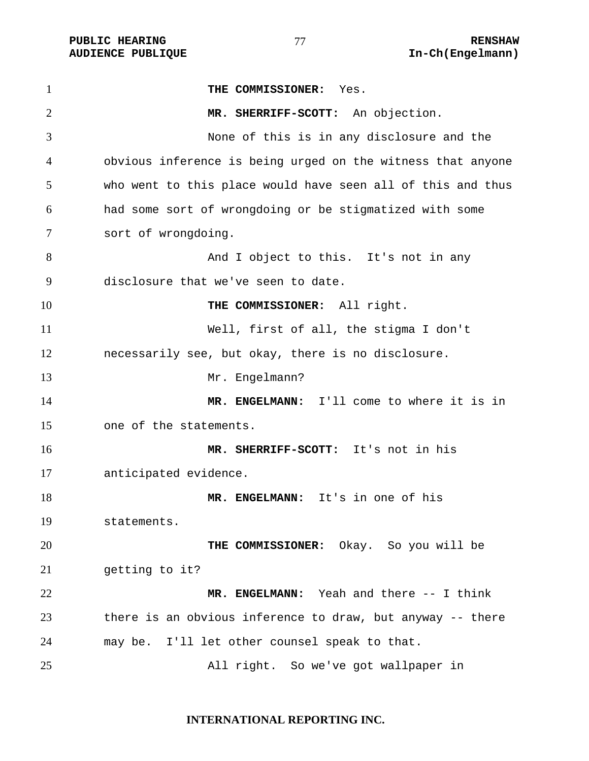**PUBLIC HEARING**  $\frac{1}{10}$  **27**  $\frac{1}{10}$  RENSHAW

**THE COMMISSIONER:** Yes. **MR. SHERRIFF-SCOTT:** An objection. None of this is in any disclosure and the obvious inference is being urged on the witness that anyone who went to this place would have seen all of this and thus had some sort of wrongdoing or be stigmatized with some sort of wrongdoing. 8 And I object to this. It's not in any disclosure that we've seen to date. **THE COMMISSIONER:** All right. Well, first of all, the stigma I don't necessarily see, but okay, there is no disclosure. 13 Mr. Engelmann? **MR. ENGELMANN:** I'll come to where it is in one of the statements. **MR. SHERRIFF-SCOTT:** It's not in his anticipated evidence. **MR. ENGELMANN:** It's in one of his statements. **THE COMMISSIONER:** Okay. So you will be getting to it? **MR. ENGELMANN:** Yeah and there -- I think there is an obvious inference to draw, but anyway -- there may be. I'll let other counsel speak to that. All right. So we've got wallpaper in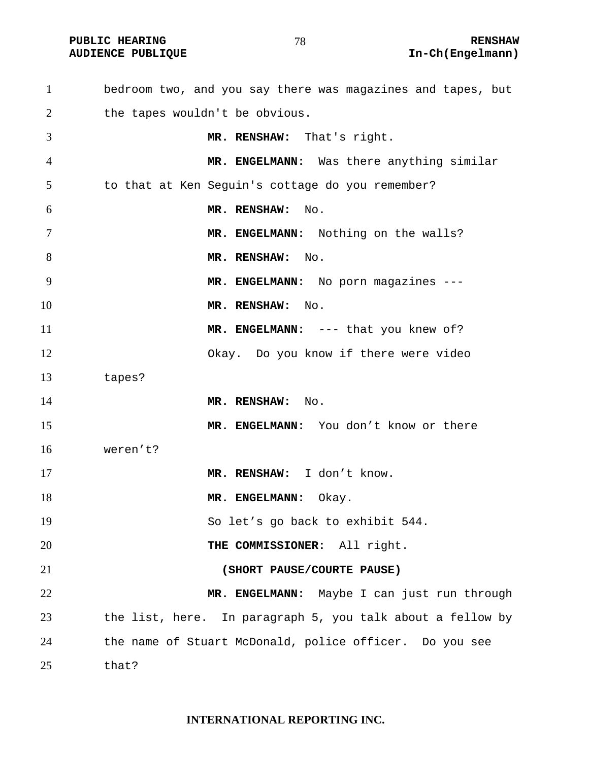bedroom two, and you say there was magazines and tapes, but 2 the tapes wouldn't be obvious. **MR. RENSHAW:** That's right. **MR. ENGELMANN:** Was there anything similar to that at Ken Seguin's cottage do you remember? **MR. RENSHAW:** No. 7 MR. ENGELMANN: Nothing on the walls? 8 MR. RENSHAW: No. **MR. ENGELMANN:** No porn magazines --- **MR. RENSHAW:** No. **MR. ENGELMANN:** --- that you knew of? Okay. Do you know if there were video tapes? **MR. RENSHAW:** No. **MR. ENGELMANN:** You don't know or there weren't? **MR. RENSHAW:** I don't know. 18 MR. ENGELMANN: Okay. So let's go back to exhibit 544. **THE COMMISSIONER:** All right. **(SHORT PAUSE/COURTE PAUSE) MR. ENGELMANN:** Maybe I can just run through the list, here. In paragraph 5, you talk about a fellow by the name of Stuart McDonald, police officer. Do you see that?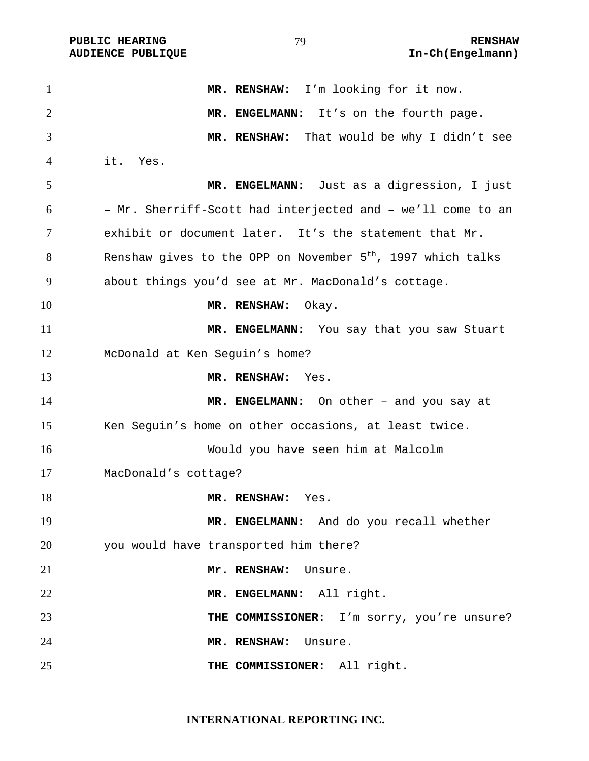| $\mathbf{1}$   | MR. RENSHAW: I'm looking for it now.                                    |
|----------------|-------------------------------------------------------------------------|
| $\overline{2}$ | MR. ENGELMANN: It's on the fourth page.                                 |
| 3              | MR. RENSHAW: That would be why I didn't see                             |
| 4              | it. Yes.                                                                |
| 5              | MR. ENGELMANN: Just as a digression, I just                             |
| 6              | - Mr. Sherriff-Scott had interjected and - we'll come to an             |
| 7              | exhibit or document later. It's the statement that Mr.                  |
| 8              | Renshaw gives to the OPP on November 5 <sup>th</sup> , 1997 which talks |
| 9              | about things you'd see at Mr. MacDonald's cottage.                      |
| 10             | MR. RENSHAW: Okay.                                                      |
| 11             | MR. ENGELMANN: You say that you saw Stuart                              |
| 12             | McDonald at Ken Seguin's home?                                          |
| 13             | MR. RENSHAW:<br>Yes.                                                    |
| 14             | MR. ENGELMANN: On other - and you say at                                |
| 15             | Ken Seguin's home on other occasions, at least twice.                   |
| 16             | Would you have seen him at Malcolm                                      |
| 17             | MacDonald's cottage?                                                    |
| 18             | MR. RENSHAW:<br>Yes.                                                    |
| 19             | MR. ENGELMANN: And do you recall whether                                |
| 20             | you would have transported him there?                                   |
| 21             | Mr. RENSHAW:<br>Unsure.                                                 |
| 22             | MR. ENGELMANN: All right.                                               |
| 23             | THE COMMISSIONER: I'm sorry, you're unsure?                             |
| 24             | MR. RENSHAW:<br>Unsure.                                                 |
| 25             | THE COMMISSIONER: All right.                                            |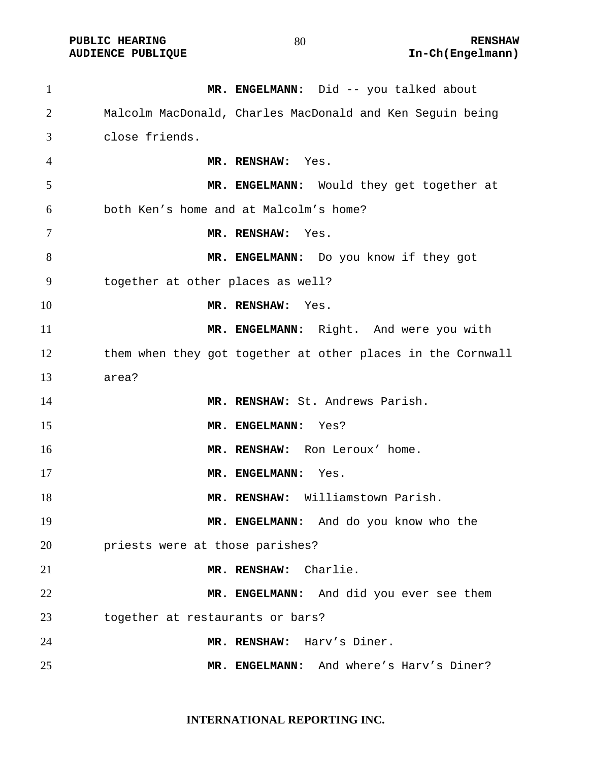| $\mathbf{1}$ | MR. ENGELMANN: Did -- you talked about                      |
|--------------|-------------------------------------------------------------|
| 2            | Malcolm MacDonald, Charles MacDonald and Ken Seguin being   |
| 3            | close friends.                                              |
| 4            | MR. RENSHAW: Yes.                                           |
| 5            | MR. ENGELMANN: Would they get together at                   |
| 6            | both Ken's home and at Malcolm's home?                      |
| 7            | MR. RENSHAW: Yes.                                           |
| 8            | MR. ENGELMANN: Do you know if they got                      |
| 9            | together at other places as well?                           |
| 10           | MR. RENSHAW:<br>Yes.                                        |
| 11           | MR. ENGELMANN: Right. And were you with                     |
| 12           | them when they got together at other places in the Cornwall |
| 13           | area?                                                       |
| 14           | MR. RENSHAW: St. Andrews Parish.                            |
| 15           | MR. ENGELMANN:<br>Yes?                                      |
| 16           | MR. RENSHAW: Ron Leroux' home.                              |
| 17           | MR. ENGELMANN:<br>Yes.                                      |
| 18           | MR. RENSHAW: Williamstown Parish.                           |
| 19           | MR. ENGELMANN: And do you know who the                      |
| 20           | priests were at those parishes?                             |
| 21           | MR. RENSHAW: Charlie.                                       |
| 22           | MR. ENGELMANN: And did you ever see them                    |
| 23           | together at restaurants or bars?                            |
| 24           | Harv's Diner.<br>MR. RENSHAW:                               |
| 25           | MR. ENGELMANN: And where's Harv's Diner?                    |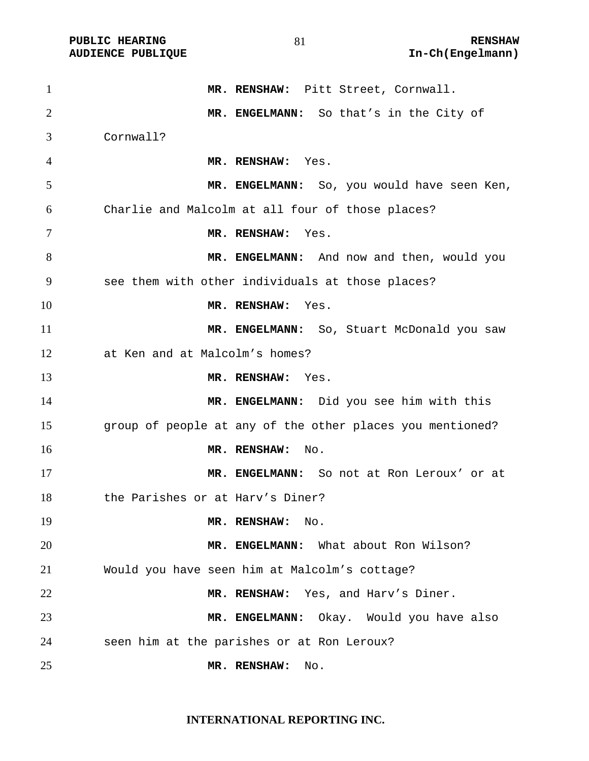| $\mathbf{1}$   | MR. RENSHAW: Pitt Street, Cornwall.                       |
|----------------|-----------------------------------------------------------|
| $\overline{2}$ | MR. ENGELMANN: So that's in the City of                   |
| 3              | Cornwall?                                                 |
| 4              | MR. RENSHAW: Yes.                                         |
| 5              | MR. ENGELMANN: So, you would have seen Ken,               |
| 6              | Charlie and Malcolm at all four of those places?          |
| 7              | MR. RENSHAW:<br>Yes.                                      |
| 8              | MR. ENGELMANN: And now and then, would you                |
| 9              | see them with other individuals at those places?          |
| 10             | MR. RENSHAW: Yes.                                         |
| 11             | MR. ENGELMANN: So, Stuart McDonald you saw                |
| 12             | at Ken and at Malcolm's homes?                            |
| 13             | MR. RENSHAW: Yes.                                         |
| 14             | MR. ENGELMANN: Did you see him with this                  |
| 15             | group of people at any of the other places you mentioned? |
| 16             | MR. RENSHAW:<br>No.                                       |
| 17             | MR. ENGELMANN: So not at Ron Leroux' or at                |
| 18             | the Parishes or at Hary's Diner?                          |
| 19             | MR. RENSHAW:<br>No.                                       |
| 20             | MR. ENGELMANN: What about Ron Wilson?                     |
| 21             | Would you have seen him at Malcolm's cottage?             |
| 22             | MR. RENSHAW: Yes, and Harv's Diner.                       |
| 23             | MR. ENGELMANN: Okay. Would you have also                  |
| 24             | seen him at the parishes or at Ron Leroux?                |
| 25             | MR. RENSHAW:<br>No.                                       |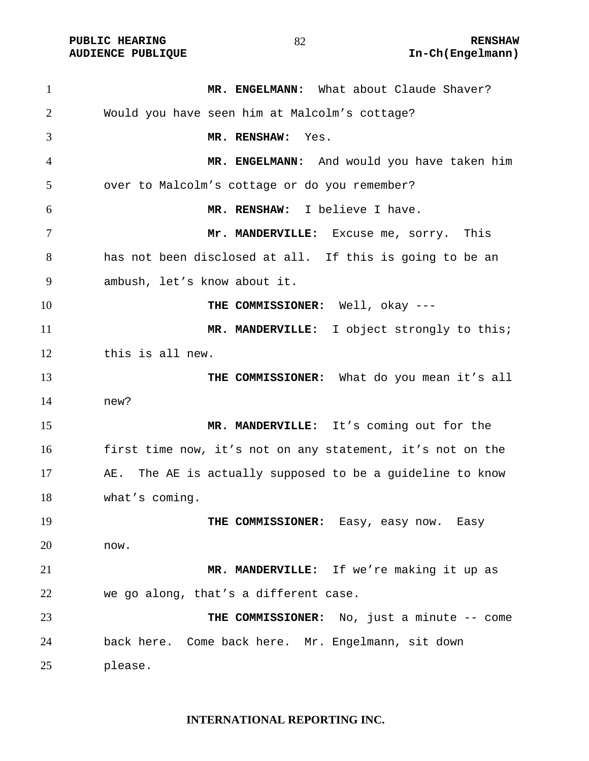| $\mathbf{1}$ | MR. ENGELMANN: What about Claude Shaver?                     |
|--------------|--------------------------------------------------------------|
| 2            | Would you have seen him at Malcolm's cottage?                |
| 3            | MR. RENSHAW: Yes.                                            |
| 4            | MR. ENGELMANN: And would you have taken him                  |
| 5            | over to Malcolm's cottage or do you remember?                |
| 6            | MR. RENSHAW: I believe I have.                               |
| 7            | Mr. MANDERVILLE: Excuse me, sorry. This                      |
| 8            | has not been disclosed at all. If this is going to be an     |
| 9            | ambush, let's know about it.                                 |
| 10           | THE COMMISSIONER: Well, okay ---                             |
| 11           | MR. MANDERVILLE: I object strongly to this;                  |
| 12           | this is all new.                                             |
| 13           | THE COMMISSIONER: What do you mean it's all                  |
| 14           | new?                                                         |
| 15           | MR. MANDERVILLE: It's coming out for the                     |
| 16           | first time now, it's not on any statement, it's not on the   |
| 17           | The AE is actually supposed to be a guideline to know<br>AE. |
| 18           | what's coming.                                               |
| 19           | THE COMMISSIONER: Easy, easy now. Easy                       |
| 20           | now.                                                         |
| 21           | MR. MANDERVILLE: If we're making it up as                    |
| 22           | we go along, that's a different case.                        |
| 23           | THE COMMISSIONER: No, just a minute -- come                  |
| 24           | back here. Come back here. Mr. Engelmann, sit down           |
| 25           | please.                                                      |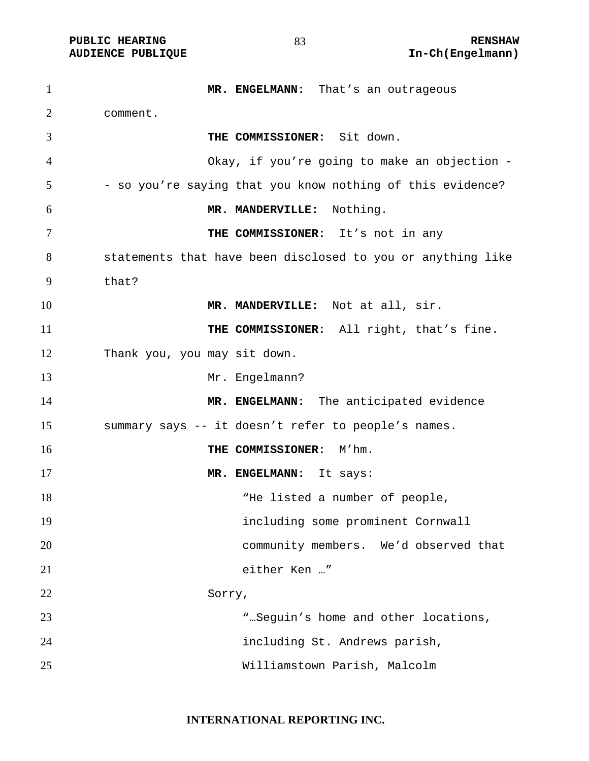| $\mathbf{1}$   | MR. ENGELMANN: That's an outrageous                         |
|----------------|-------------------------------------------------------------|
| $\overline{2}$ | comment.                                                    |
| 3              | THE COMMISSIONER: Sit down.                                 |
| 4              | Okay, if you're going to make an objection -                |
| 5              | - so you're saying that you know nothing of this evidence?  |
| 6              | MR. MANDERVILLE: Nothing.                                   |
| 7              | THE COMMISSIONER: It's not in any                           |
| 8              | statements that have been disclosed to you or anything like |
| 9              | that?                                                       |
| 10             | MR. MANDERVILLE: Not at all, sir.                           |
| 11             | THE COMMISSIONER: All right, that's fine.                   |
| 12             | Thank you, you may sit down.                                |
| 13             | Mr. Engelmann?                                              |
| 14             | MR. ENGELMANN: The anticipated evidence                     |
| 15             | summary says -- it doesn't refer to people's names.         |
| 16             | THE COMMISSIONER:<br>M'hm.                                  |
| 17             | MR. ENGELMANN: It says:                                     |
| 18             | "He listed a number of people,                              |
| 19             | including some prominent Cornwall                           |
| 20             | community members. We'd observed that                       |
| 21             | either Ken "                                                |
| 22             | Sorry,                                                      |
| 23             | ".Seguin's home and other locations,                        |
| 24             | including St. Andrews parish,                               |
| 25             | Williamstown Parish, Malcolm                                |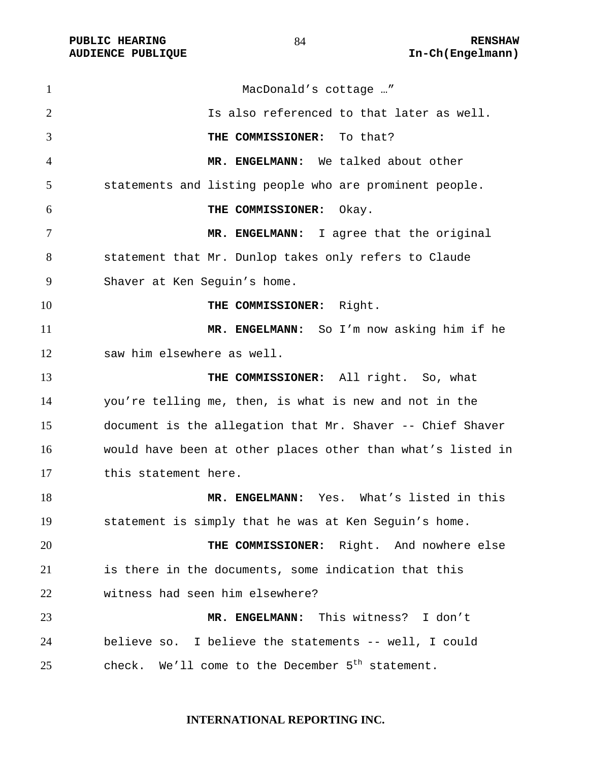| $\mathbf{1}$   | MacDonald's cottage "                                        |
|----------------|--------------------------------------------------------------|
| $\overline{2}$ | Is also referenced to that later as well.                    |
| 3              | THE COMMISSIONER: To that?                                   |
| 4              | MR. ENGELMANN: We talked about other                         |
| 5              | statements and listing people who are prominent people.      |
| 6              | THE COMMISSIONER:<br>Okay.                                   |
| 7              | MR. ENGELMANN: I agree that the original                     |
| 8              | statement that Mr. Dunlop takes only refers to Claude        |
| 9              | Shaver at Ken Seguin's home.                                 |
| 10             | THE COMMISSIONER: Right.                                     |
| 11             | MR. ENGELMANN: So I'm now asking him if he                   |
| 12             | saw him elsewhere as well.                                   |
| 13             | THE COMMISSIONER: All right. So, what                        |
| 14             | you're telling me, then, is what is new and not in the       |
| 15             | document is the allegation that Mr. Shaver -- Chief Shaver   |
| 16             | would have been at other places other than what's listed in  |
| 17             | this statement here.                                         |
| 18             | MR. ENGELMANN: Yes. What's listed in this                    |
| 19             | statement is simply that he was at Ken Seguin's home.        |
| 20             | THE COMMISSIONER: Right. And nowhere else                    |
| 21             | is there in the documents, some indication that this         |
| 22             | witness had seen him elsewhere?                              |
| 23             | MR. ENGELMANN: This witness? I don't                         |
| 24             | believe so. I believe the statements -- well, I could        |
| 25             | check. We'll come to the December 5 <sup>th</sup> statement. |

## **INTERNATIONAL REPORTING INC.**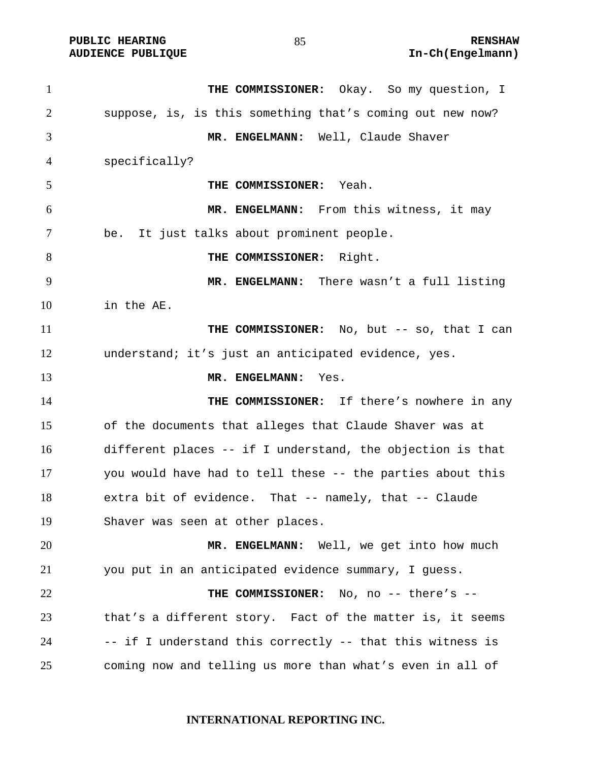| $\mathbf{1}$   | THE COMMISSIONER: Okay. So my question, I                  |
|----------------|------------------------------------------------------------|
| $\overline{2}$ | suppose, is, is this something that's coming out new now?  |
| 3              | MR. ENGELMANN: Well, Claude Shaver                         |
| 4              | specifically?                                              |
| 5              | Yeah.<br>THE COMMISSIONER:                                 |
| 6              | MR. ENGELMANN: From this witness, it may                   |
| 7              | It just talks about prominent people.<br>be.               |
| 8              | THE COMMISSIONER: Right.                                   |
| 9              | MR. ENGELMANN: There wasn't a full listing                 |
| 10             | in the AE.                                                 |
| 11             | THE COMMISSIONER: No, but -- so, that I can                |
| 12             | understand; it's just an anticipated evidence, yes.        |
| 13             | MR. ENGELMANN: Yes.                                        |
| 14             | THE COMMISSIONER: If there's nowhere in any                |
| 15             | of the documents that alleges that Claude Shaver was at    |
| 16             | different places -- if I understand, the objection is that |
| 17             | you would have had to tell these -- the parties about this |
| 18             | extra bit of evidence. That -- namely, that -- Claude      |
| 19             | Shaver was seen at other places.                           |
| 20             | MR. ENGELMANN: Well, we get into how much                  |
| 21             | you put in an anticipated evidence summary, I quess.       |
| 22             | THE COMMISSIONER: No, no -- there's --                     |
| 23             | that's a different story. Fact of the matter is, it seems  |
| 24             | -- if I understand this correctly -- that this witness is  |
| 25             | coming now and telling us more than what's even in all of  |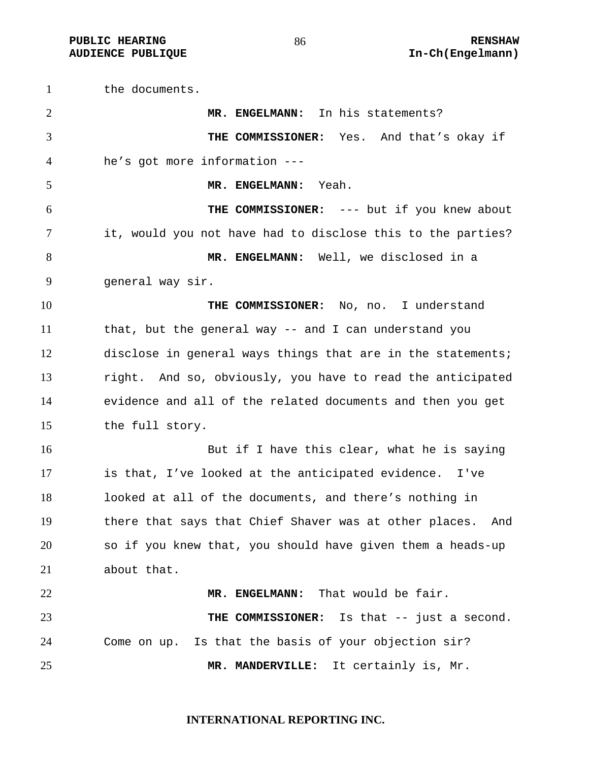**PUBLIC HEARING 86** 86 RENSHAW

the documents. **MR. ENGELMANN:** In his statements? **THE COMMISSIONER:** Yes. And that's okay if he's got more information --- **MR. ENGELMANN:** Yeah. **THE COMMISSIONER:** --- but if you knew about it, would you not have had to disclose this to the parties? **MR. ENGELMANN:** Well, we disclosed in a general way sir. **THE COMMISSIONER:** No, no. I understand that, but the general way -- and I can understand you disclose in general ways things that are in the statements; right. And so, obviously, you have to read the anticipated evidence and all of the related documents and then you get the full story. But if I have this clear, what he is saying is that, I've looked at the anticipated evidence. I've looked at all of the documents, and there's nothing in there that says that Chief Shaver was at other places. And so if you knew that, you should have given them a heads-up about that. **MR. ENGELMANN:** That would be fair. **THE COMMISSIONER:** Is that -- just a second. Come on up. Is that the basis of your objection sir? **MR. MANDERVILLE:** It certainly is, Mr.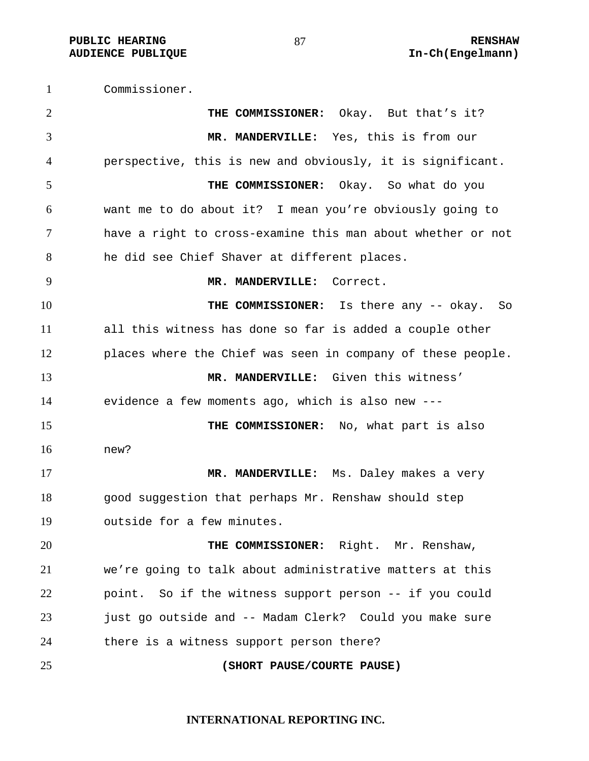**PUBLIC HEARING 87** 87 **RENSHAW AUDIENCE PUBLIQUE International Contract Contract Contract Contract Contract Contract Contract Contract Contract Contract Contract Contract Contract Contract Contract Contract Contract Contract Contract Contract Contract** 

Commissioner. **THE COMMISSIONER:** Okay. But that's it? **MR. MANDERVILLE:** Yes, this is from our perspective, this is new and obviously, it is significant. **THE COMMISSIONER:** Okay. So what do you want me to do about it? I mean you're obviously going to have a right to cross-examine this man about whether or not he did see Chief Shaver at different places. **MR. MANDERVILLE:** Correct. **THE COMMISSIONER:** Is there any -- okay. So all this witness has done so far is added a couple other places where the Chief was seen in company of these people. **MR. MANDERVILLE:** Given this witness' evidence a few moments ago, which is also new --- **THE COMMISSIONER:** No, what part is also new? **MR. MANDERVILLE:** Ms. Daley makes a very good suggestion that perhaps Mr. Renshaw should step outside for a few minutes. **THE COMMISSIONER:** Right. Mr. Renshaw, we're going to talk about administrative matters at this point. So if the witness support person -- if you could just go outside and -- Madam Clerk? Could you make sure there is a witness support person there? **(SHORT PAUSE/COURTE PAUSE)**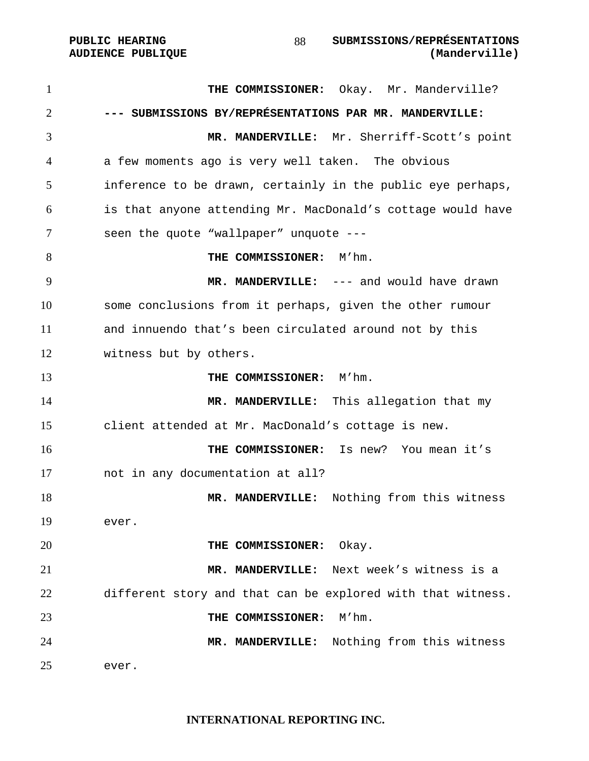**THE COMMISSIONER:** Okay. Mr. Manderville? **--- SUBMISSIONS BY/REPRÉSENTATIONS PAR MR. MANDERVILLE: MR. MANDERVILLE:** Mr. Sherriff-Scott's point a few moments ago is very well taken. The obvious inference to be drawn, certainly in the public eye perhaps, is that anyone attending Mr. MacDonald's cottage would have seen the quote "wallpaper" unquote --- **THE COMMISSIONER:** M'hm. **MR. MANDERVILLE:** --- and would have drawn some conclusions from it perhaps, given the other rumour and innuendo that's been circulated around not by this witness but by others. **THE COMMISSIONER:** M'hm. 14 MR. MANDERVILLE: This allegation that my client attended at Mr. MacDonald's cottage is new. **THE COMMISSIONER:** Is new? You mean it's not in any documentation at all? **MR. MANDERVILLE:** Nothing from this witness ever. **THE COMMISSIONER:** Okay. **MR. MANDERVILLE:** Next week's witness is a different story and that can be explored with that witness. **THE COMMISSIONER:** M'hm. **MR. MANDERVILLE:** Nothing from this witness ever.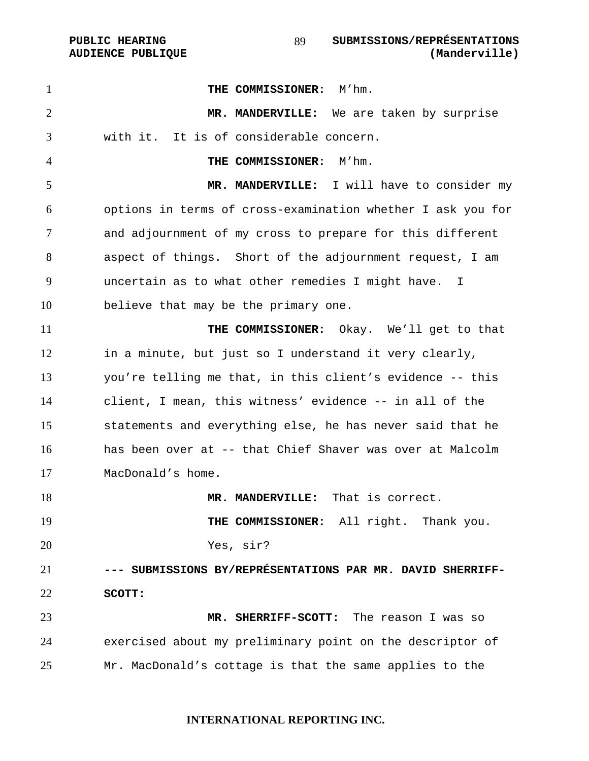**THE COMMISSIONER:** M'hm. **MR. MANDERVILLE:** We are taken by surprise with it. It is of considerable concern. **THE COMMISSIONER:** M'hm. **MR. MANDERVILLE:** I will have to consider my options in terms of cross-examination whether I ask you for and adjournment of my cross to prepare for this different aspect of things. Short of the adjournment request, I am uncertain as to what other remedies I might have. I believe that may be the primary one. **THE COMMISSIONER:** Okay. We'll get to that in a minute, but just so I understand it very clearly, you're telling me that, in this client's evidence -- this client, I mean, this witness' evidence -- in all of the statements and everything else, he has never said that he has been over at -- that Chief Shaver was over at Malcolm MacDonald's home. **MR. MANDERVILLE:** That is correct. 19 THE COMMISSIONER: All right. Thank you. Yes, sir? **--- SUBMISSIONS BY/REPRÉSENTATIONS PAR MR. DAVID SHERRIFF-SCOTT: MR. SHERRIFF-SCOTT:** The reason I was so exercised about my preliminary point on the descriptor of Mr. MacDonald's cottage is that the same applies to the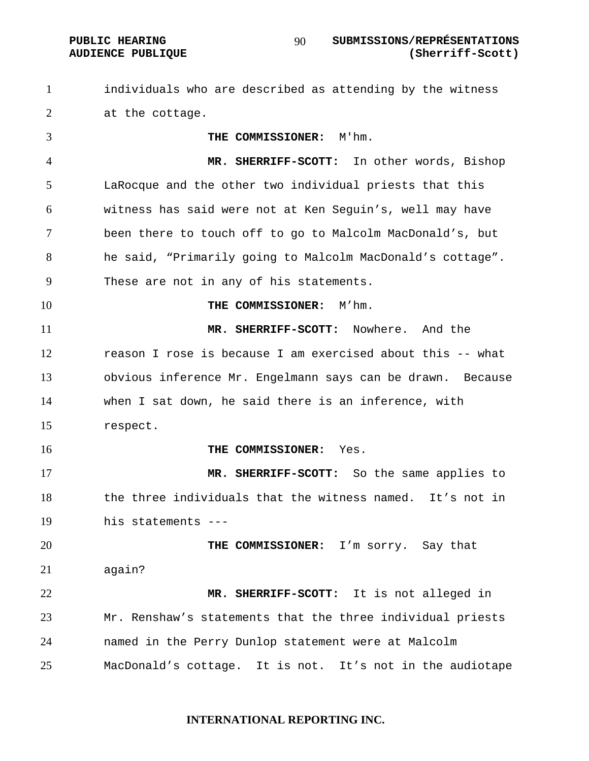#### **PUBLIC HEARING SUBMISSIONS/REPRÉSENTATIONS AUDIENCE PUBLIQUE (Sherriff-Scott)**

individuals who are described as attending by the witness 2 at the cottage.

**THE COMMISSIONER:** M'hm. **MR. SHERRIFF-SCOTT:** In other words, Bishop LaRocque and the other two individual priests that this witness has said were not at Ken Seguin's, well may have been there to touch off to go to Malcolm MacDonald's, but he said, "Primarily going to Malcolm MacDonald's cottage". These are not in any of his statements. **THE COMMISSIONER:** M'hm. **MR. SHERRIFF-SCOTT:** Nowhere. And the reason I rose is because I am exercised about this -- what obvious inference Mr. Engelmann says can be drawn. Because when I sat down, he said there is an inference, with respect. **THE COMMISSIONER:** Yes. **MR. SHERRIFF-SCOTT:** So the same applies to the three individuals that the witness named. It's not in his statements --- **THE COMMISSIONER:** I'm sorry. Say that again? **MR. SHERRIFF-SCOTT:** It is not alleged in Mr. Renshaw's statements that the three individual priests named in the Perry Dunlop statement were at Malcolm MacDonald's cottage. It is not. It's not in the audiotape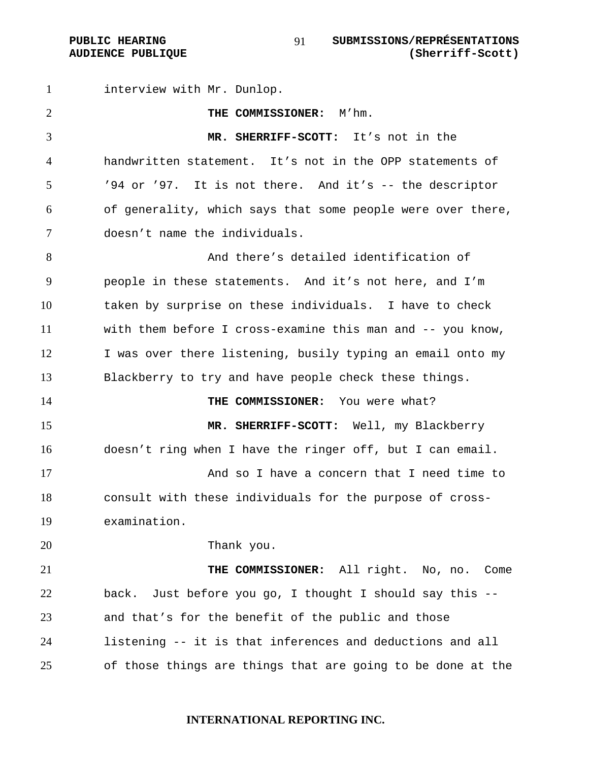interview with Mr. Dunlop. **THE COMMISSIONER:** M'hm. **MR. SHERRIFF-SCOTT:** It's not in the handwritten statement. It's not in the OPP statements of '94 or '97. It is not there. And it's -- the descriptor of generality, which says that some people were over there, doesn't name the individuals. And there's detailed identification of people in these statements. And it's not here, and I'm taken by surprise on these individuals. I have to check with them before I cross-examine this man and -- you know, 12 I was over there listening, busily typing an email onto my Blackberry to try and have people check these things. **THE COMMISSIONER:** You were what? 15 MR. SHERRIFF-SCOTT: Well, my Blackberry doesn't ring when I have the ringer off, but I can email. And so I have a concern that I need time to consult with these individuals for the purpose of cross-examination. Thank you. **THE COMMISSIONER:** All right. No, no. Come back. Just before you go, I thought I should say this -- and that's for the benefit of the public and those

listening -- it is that inferences and deductions and all of those things are things that are going to be done at the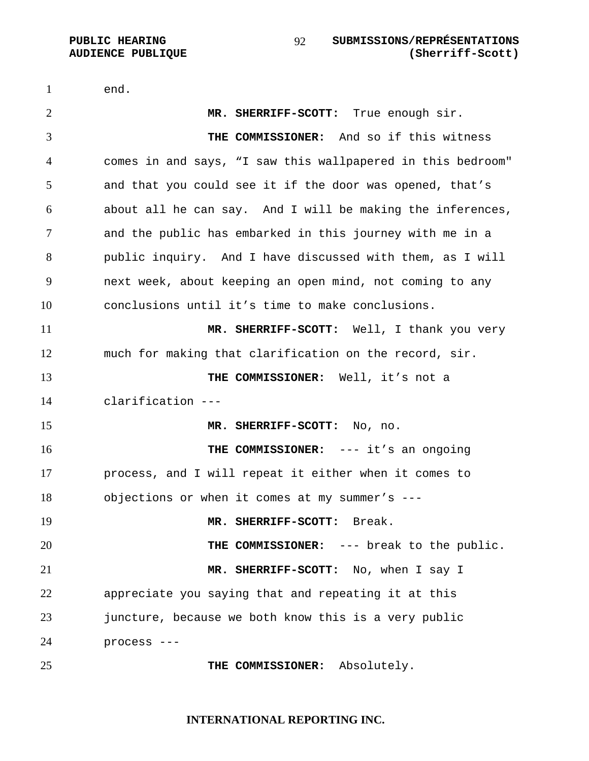end. **MR. SHERRIFF-SCOTT:** True enough sir. **THE COMMISSIONER:** And so if this witness comes in and says, "I saw this wallpapered in this bedroom" and that you could see it if the door was opened, that's about all he can say. And I will be making the inferences, and the public has embarked in this journey with me in a public inquiry. And I have discussed with them, as I will next week, about keeping an open mind, not coming to any conclusions until it's time to make conclusions. **MR. SHERRIFF-SCOTT:** Well, I thank you very much for making that clarification on the record, sir. **THE COMMISSIONER:** Well, it's not a clarification --- **MR. SHERRIFF-SCOTT:** No, no. **THE COMMISSIONER:** --- it's an ongoing process, and I will repeat it either when it comes to objections or when it comes at my summer's --- **MR. SHERRIFF-SCOTT:** Break. **THE COMMISSIONER:** --- break to the public. **MR. SHERRIFF-SCOTT:** No, when I say I appreciate you saying that and repeating it at this juncture, because we both know this is a very public process --- **THE COMMISSIONER:** Absolutely.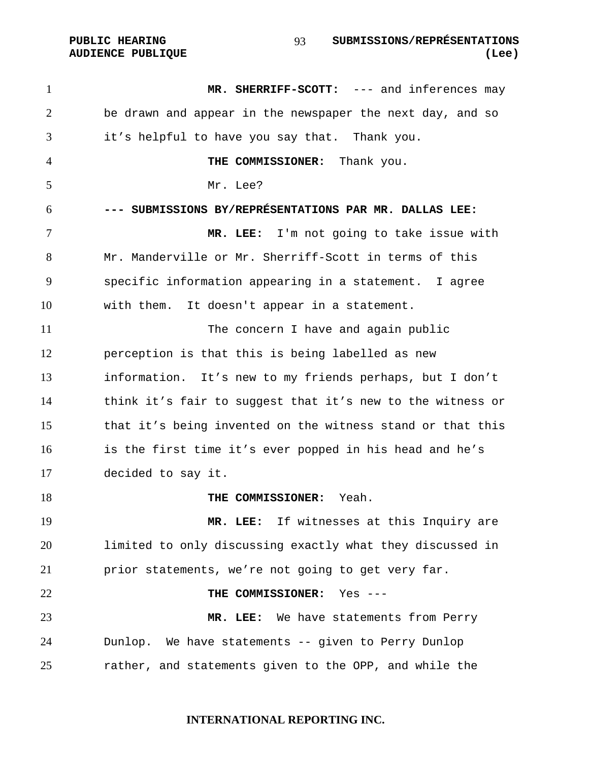PUBLIC HEARING SUBMISSIONS/REPRÉSENTATIONS **AUDIENCE PUBLIQUE (Lee)**  

**MR. SHERRIFF-SCOTT:** --- and inferences may be drawn and appear in the newspaper the next day, and so it's helpful to have you say that. Thank you. **THE COMMISSIONER:** Thank you. Mr. Lee? **--- SUBMISSIONS BY/REPRÉSENTATIONS PAR MR. DALLAS LEE: MR. LEE:** I'm not going to take issue with Mr. Manderville or Mr. Sherriff-Scott in terms of this specific information appearing in a statement. I agree with them. It doesn't appear in a statement. The concern I have and again public perception is that this is being labelled as new information.It's new to my friends perhaps, but I don't think it's fair to suggest that it's new to the witness or that it's being invented on the witness stand or that this is the first time it's ever popped in his head and he's decided to say it. **THE COMMISSIONER:** Yeah. **MR. LEE:** If witnesses at this Inquiry are limited to only discussing exactly what they discussed in prior statements, we're not going to get very far. **THE COMMISSIONER:** Yes --- **MR. LEE:** We have statements from Perry Dunlop. We have statements -- given to Perry Dunlop rather, and statements given to the OPP, and while the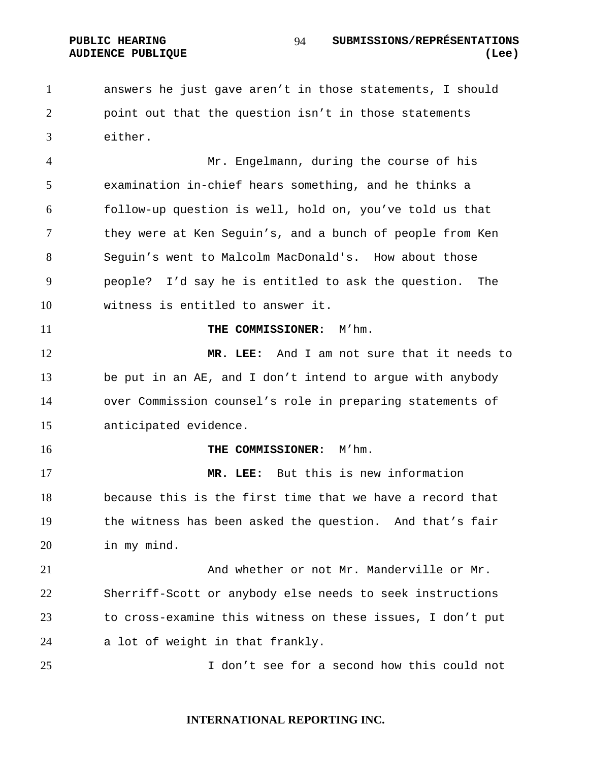answers he just gave aren't in those statements, I should point out that the question isn't in those statements either.

Mr. Engelmann, during the course of his examination in-chief hears something, and he thinks a follow-up question is well, hold on, you've told us that they were at Ken Seguin's, and a bunch of people from Ken Seguin's went to Malcolm MacDonald's. How about those people? I'd say he is entitled to ask the question. The witness is entitled to answer it.

#### **THE COMMISSIONER:** M'hm.

**MR. LEE:** And I am not sure that it needs to be put in an AE, and I don't intend to argue with anybody over Commission counsel's role in preparing statements of anticipated evidence.

#### **THE COMMISSIONER:** M'hm.

**MR. LEE:** But this is new information because this is the first time that we have a record that the witness has been asked the question. And that's fair in my mind.

21 And whether or not Mr. Manderville or Mr. Sherriff-Scott or anybody else needs to seek instructions to cross-examine this witness on these issues, I don't put a lot of weight in that frankly.

I don't see for a second how this could not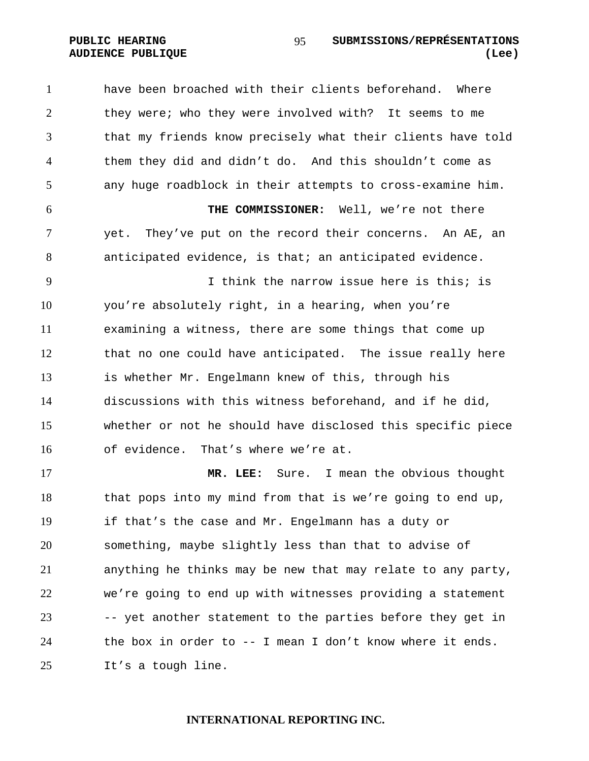have been broached with their clients beforehand. Where they were; who they were involved with? It seems to me that my friends know precisely what their clients have told them they did and didn't do. And this shouldn't come as any huge roadblock in their attempts to cross-examine him. **THE COMMISSIONER:** Well, we're not there yet. They've put on the record their concerns. An AE, an anticipated evidence, is that; an anticipated evidence. I think the narrow issue here is this; is you're absolutely right, in a hearing, when you're examining a witness, there are some things that come up that no one could have anticipated. The issue really here is whether Mr. Engelmann knew of this, through his discussions with this witness beforehand, and if he did, whether or not he should have disclosed this specific piece of evidence. That's where we're at. **MR. LEE:** Sure. I mean the obvious thought

that pops into my mind from that is we're going to end up, if that's the case and Mr. Engelmann has a duty or something, maybe slightly less than that to advise of anything he thinks may be new that may relate to any party, we're going to end up with witnesses providing a statement -- yet another statement to the parties before they get in the box in order to -- I mean I don't know where it ends. It's a tough line.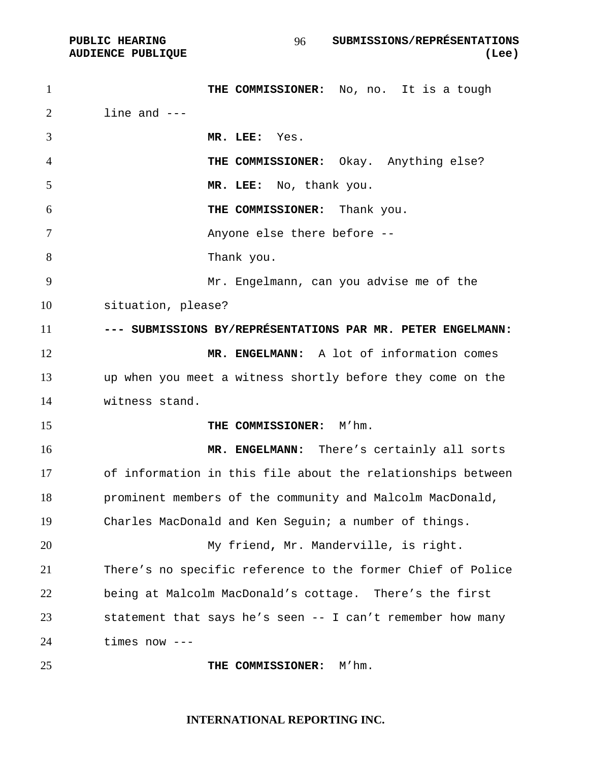**PUBLIC HEARING SUBMISSIONS/REPRÉSENTATIONS AUDIENCE PUBLIQUE (Lee)**  

1 THE COMMISSIONER: No, no. It is a tough  $2 \quad$  line and  $---$ **MR. LEE:** Yes. **THE COMMISSIONER:** Okay. Anything else? **MR. LEE:** No, thank you. **THE COMMISSIONER:** Thank you. Anyone else there before -- Thank you. Mr. Engelmann, can you advise me of the situation, please? **--- SUBMISSIONS BY/REPRÉSENTATIONS PAR MR. PETER ENGELMANN: MR. ENGELMANN:** A lot of information comes up when you meet a witness shortly before they come on the witness stand. **THE COMMISSIONER:** M'hm. **MR. ENGELMANN:** There's certainly all sorts of information in this file about the relationships between prominent members of the community and Malcolm MacDonald, Charles MacDonald and Ken Seguin; a number of things. My friend**,** Mr. Manderville, is right. There's no specific reference to the former Chief of Police being at Malcolm MacDonald's cottage. There's the first statement that says he's seen -- I can't remember how many times now --- **THE COMMISSIONER:** M'hm.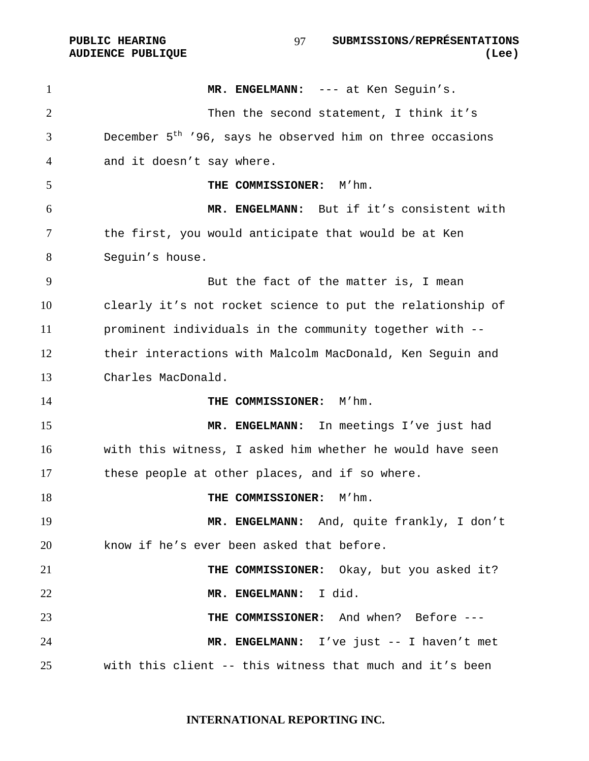**PUBLIC HEARING SUBMISSIONS/REPRÉSENTATIONS**  97 **AUDIENCE PUBLIQUE (Lee)** 

1 MR. ENGELMANN: --- at Ken Seguin's. Then the second statement, I think it's December  $5<sup>th</sup>$  '96, says he observed him on three occasions and it doesn't say where. **THE COMMISSIONER:** M'hm. **MR. ENGELMANN:** But if it's consistent with the first, you would anticipate that would be at Ken Seguin's house. But the fact of the matter is, I mean clearly it's not rocket science to put the relationship of prominent individuals in the community together with -- their interactions with Malcolm MacDonald, Ken Seguin and Charles MacDonald. **THE COMMISSIONER:** M'hm. **MR. ENGELMANN:** In meetings I've just had with this witness, I asked him whether he would have seen these people at other places, and if so where. **THE COMMISSIONER:** M'hm. **MR. ENGELMANN:** And, quite frankly, I don't know if he's ever been asked that before. **THE COMMISSIONER:** Okay, but you asked it? **MR. ENGELMANN:** I did. **THE COMMISSIONER:** And when? Before --- **MR. ENGELMANN:** I've just -- I haven't met with this client -- this witness that much and it's been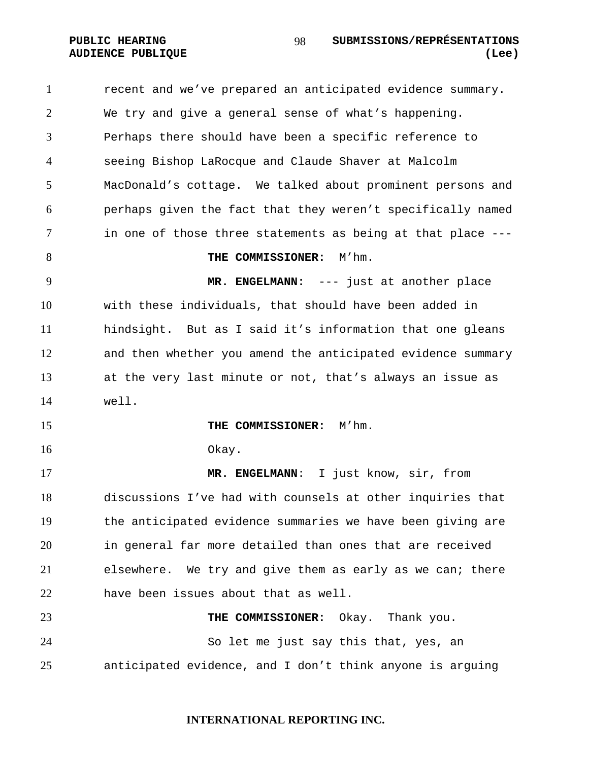recent and we've prepared an anticipated evidence summary. We try and give a general sense of what's happening. Perhaps there should have been a specific reference to seeing Bishop LaRocque and Claude Shaver at Malcolm MacDonald's cottage. We talked about prominent persons and perhaps given the fact that they weren't specifically named in one of those three statements as being at that place --- **THE COMMISSIONER:**  $M'$ hm. **MR. ENGELMANN:** --- just at another place with these individuals, that should have been added in hindsight. But as I said it's information that one gleans and then whether you amend the anticipated evidence summary at the very last minute or not, that's always an issue as well. **THE COMMISSIONER:** M'hm. Okay. **MR. ENGELMANN**: I just know, sir, from discussions I've had with counsels at other inquiries that the anticipated evidence summaries we have been giving are in general far more detailed than ones that are received elsewhere. We try and give them as early as we can; there have been issues about that as well. **THE COMMISSIONER:** Okay. Thank you. So let me just say this that, yes, an anticipated evidence, and I don't think anyone is arguing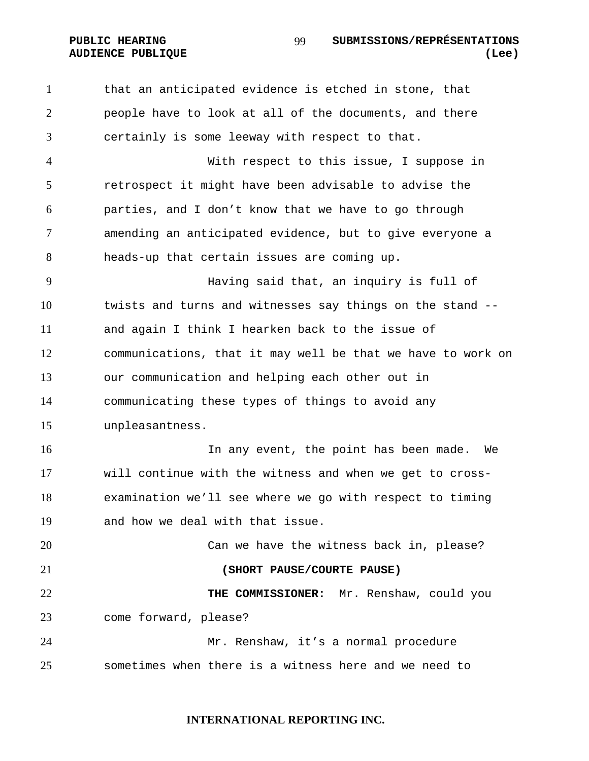that an anticipated evidence is etched in stone, that people have to look at all of the documents, and there certainly is some leeway with respect to that.

With respect to this issue, I suppose in retrospect it might have been advisable to advise the parties, and I don't know that we have to go through amending an anticipated evidence, but to give everyone a heads-up that certain issues are coming up.

Having said that, an inquiry is full of twists and turns and witnesses say things on the stand -- and again I think I hearken back to the issue of communications, that it may well be that we have to work on our communication and helping each other out in communicating these types of things to avoid any unpleasantness.

In any event, the point has been made. We will continue with the witness and when we get to cross-examination we'll see where we go with respect to timing and how we deal with that issue.

Can we have the witness back in, please? **(SHORT PAUSE/COURTE PAUSE) THE COMMISSIONER:** Mr. Renshaw, could you come forward, please? Mr. Renshaw, it's a normal procedure

sometimes when there is a witness here and we need to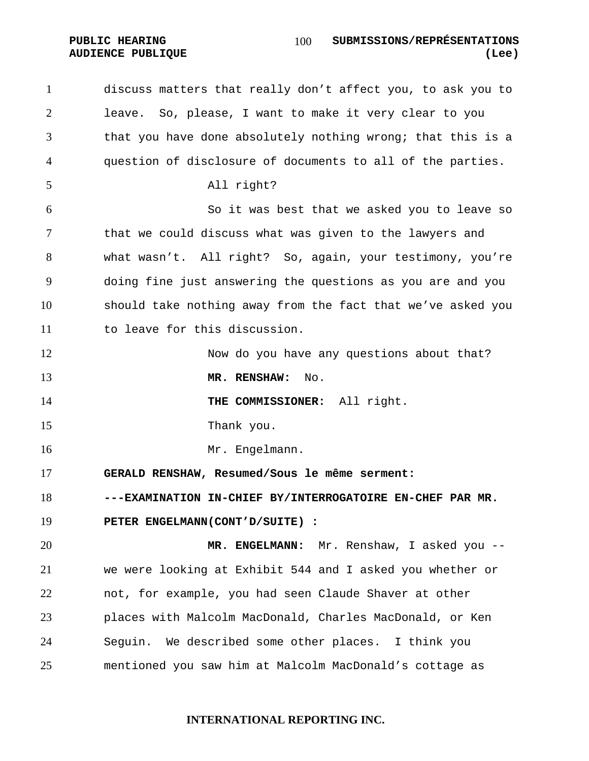discuss matters that really don't affect you, to ask you to leave. So, please, I want to make it very clear to you that you have done absolutely nothing wrong; that this is a question of disclosure of documents to all of the parties. All right? So it was best that we asked you to leave so that we could discuss what was given to the lawyers and what wasn't. All right? So, again, your testimony, you're doing fine just answering the questions as you are and you should take nothing away from the fact that we've asked you to leave for this discussion. 12 Now do you have any questions about that? **MR. RENSHAW:** No. **THE COMMISSIONER:** All right. 15 Thank you. 16 Mr. Engelmann. **GERALD RENSHAW, Resumed/Sous le même serment: ---EXAMINATION IN-CHIEF BY/INTERROGATOIRE EN-CHEF PAR MR. PETER ENGELMANN(CONT'D/SUITE) : MR. ENGELMANN:** Mr. Renshaw, I asked you -- we were looking at Exhibit 544 and I asked you whether or not, for example, you had seen Claude Shaver at other places with Malcolm MacDonald, Charles MacDonald, or Ken Seguin. We described some other places. I think you mentioned you saw him at Malcolm MacDonald's cottage as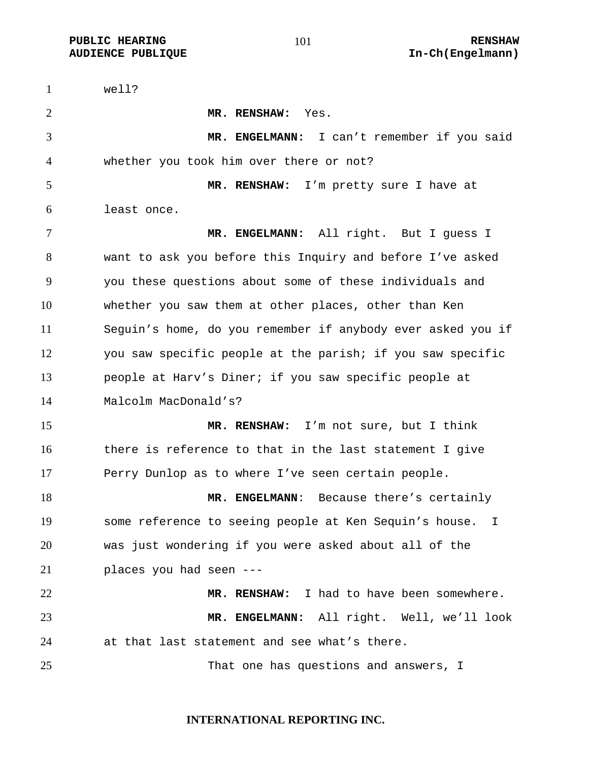**PUBLIC HEARING 101** 101 RENSHAW

well? **MR. RENSHAW:** Yes. **MR. ENGELMANN:** I can't remember if you said whether you took him over there or not? **MR. RENSHAW:** I'm pretty sure I have at least once. **MR. ENGELMANN:** All right. But I guess I want to ask you before this Inquiry and before I've asked you these questions about some of these individuals and whether you saw them at other places, other than Ken Seguin's home, do you remember if anybody ever asked you if you saw specific people at the parish; if you saw specific people at Harv's Diner; if you saw specific people at Malcolm MacDonald's? **MR. RENSHAW:** I'm not sure, but I think there is reference to that in the last statement I give 17 Perry Dunlop as to where I've seen certain people. 18 MR. ENGELMANN: Because there's certainly some reference to seeing people at Ken Sequin's house. I was just wondering if you were asked about all of the places you had seen --- **MR. RENSHAW:** I had to have been somewhere. **MR. ENGELMANN:** All right. Well, we'll look at that last statement and see what's there. That one has questions and answers, I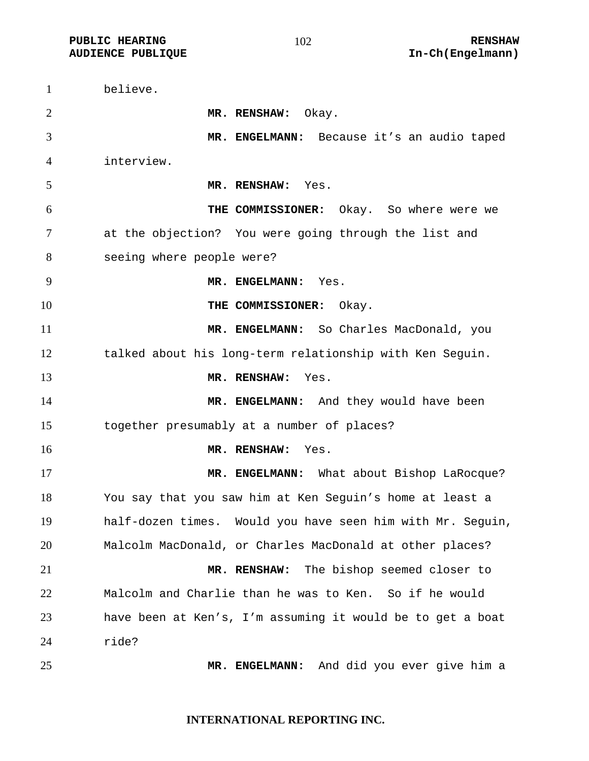**PUBLIC HEARING 102** 102

believe. **MR. RENSHAW:** Okay. **MR. ENGELMANN:** Because it's an audio taped interview. **MR. RENSHAW:** Yes. **THE COMMISSIONER:** Okay. So where were we at the objection? You were going through the list and seeing where people were? **MR. ENGELMANN:** Yes. **THE COMMISSIONER:** Okay. **MR. ENGELMANN:** So Charles MacDonald, you talked about his long-term relationship with Ken Seguin. **MR. RENSHAW:** Yes. 14 MR. ENGELMANN: And they would have been together presumably at a number of places? **MR. RENSHAW:** Yes. **MR. ENGELMANN:** What about Bishop LaRocque? You say that you saw him at Ken Seguin's home at least a half-dozen times. Would you have seen him with Mr. Seguin, Malcolm MacDonald, or Charles MacDonald at other places? **MR. RENSHAW:** The bishop seemed closer to Malcolm and Charlie than he was to Ken. So if he would have been at Ken's, I'm assuming it would be to get a boat ride? **MR. ENGELMANN:** And did you ever give him a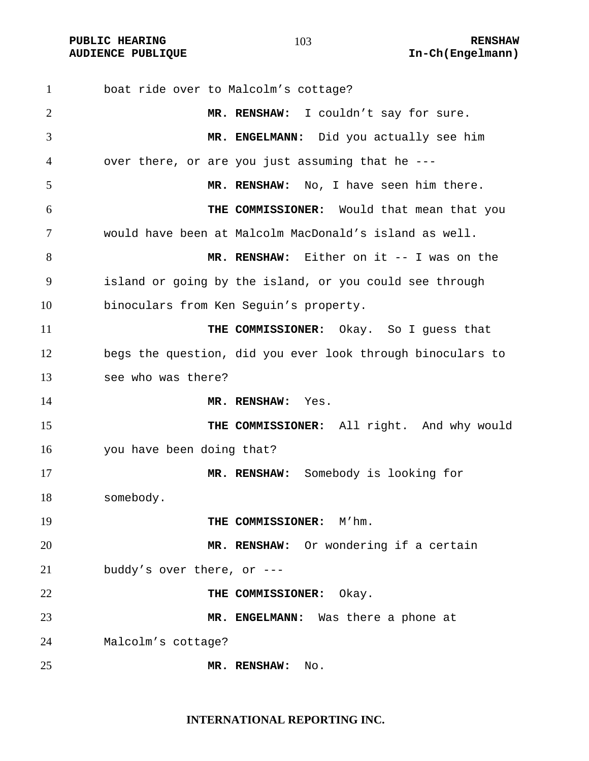| $\mathbf{1}$   | boat ride over to Malcolm's cottage?                       |
|----------------|------------------------------------------------------------|
| $\overline{2}$ | MR. RENSHAW: I couldn't say for sure.                      |
| 3              | MR. ENGELMANN: Did you actually see him                    |
| 4              | over there, or are you just assuming that he ---           |
| 5              | MR. RENSHAW: No, I have seen him there.                    |
| 6              | THE COMMISSIONER: Would that mean that you                 |
| 7              | would have been at Malcolm MacDonald's island as well.     |
| 8              | MR. RENSHAW: Either on it -- I was on the                  |
| 9              | island or going by the island, or you could see through    |
| 10             | binoculars from Ken Seguin's property.                     |
| 11             | THE COMMISSIONER:<br>Okay. So I guess that                 |
| 12             | begs the question, did you ever look through binoculars to |
| 13             | see who was there?                                         |
| 14             | MR. RENSHAW:<br>Yes.                                       |
| 15             | THE COMMISSIONER: All right. And why would                 |
| 16             | you have been doing that?                                  |
| 17             | MR. RENSHAW: Somebody is looking for                       |
| 18             | somebody.                                                  |
| 19             | THE COMMISSIONER: M'hm.                                    |
| 20             | MR. RENSHAW: Or wondering if a certain                     |
| 21             | buddy's over there, or $---$                               |
| 22             | THE COMMISSIONER:<br>Okay.                                 |
| 23             | MR. ENGELMANN: Was there a phone at                        |
| 24             | Malcolm's cottage?                                         |
| 25             | MR. RENSHAW:<br>No.                                        |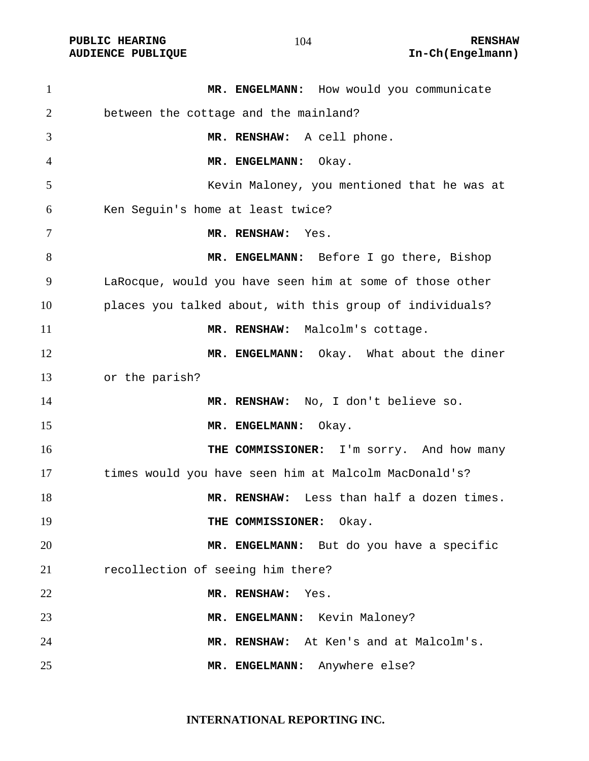**PUBLIC HEARING 104** 104 RENSHAW

1 MR. ENGELMANN: How would you communicate between the cottage and the mainland? **MR. RENSHAW:** A cell phone. **MR. ENGELMANN:** Okay. Kevin Maloney, you mentioned that he was at Ken Seguin's home at least twice? **MR. RENSHAW:** Yes. **MR. ENGELMANN:** Before I go there, Bishop LaRocque, would you have seen him at some of those other places you talked about, with this group of individuals? **MR. RENSHAW:** Malcolm's cottage. **MR. ENGELMANN:** Okay. What about the diner or the parish? **MR. RENSHAW:** No, I don't believe so. 15 MR. ENGELMANN: Okay. **THE COMMISSIONER:** I'm sorry. And how many times would you have seen him at Malcolm MacDonald's? **MR. RENSHAW:** Less than half a dozen times. **THE COMMISSIONER:** Okay. **MR. ENGELMANN:** But do you have a specific recollection of seeing him there? **MR. RENSHAW:** Yes. 23 MR. ENGELMANN: Kevin Maloney? **MR. RENSHAW:** At Ken's and at Malcolm's. **MR. ENGELMANN:** Anywhere else?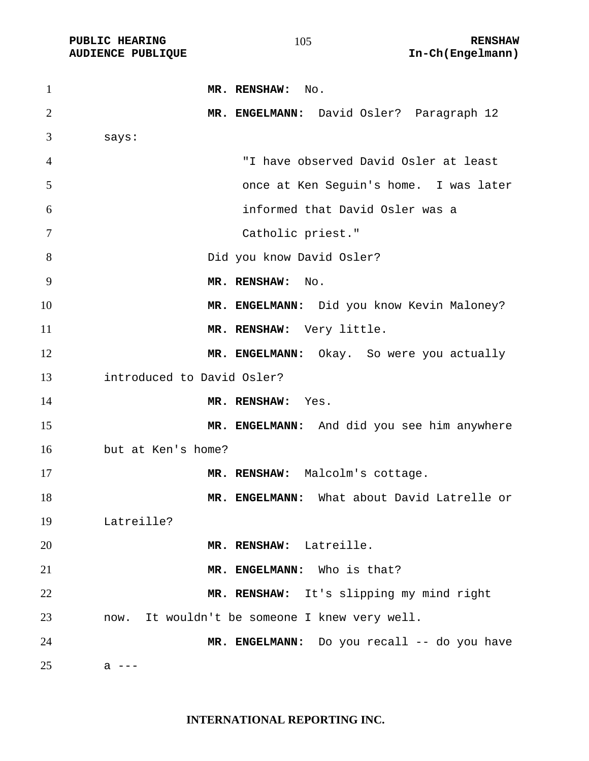| $\mathbf{1}$   | MR. RENSHAW: No.                              |
|----------------|-----------------------------------------------|
| $\overline{2}$ | MR. ENGELMANN: David Osler? Paragraph 12      |
| 3              | says:                                         |
| $\overline{4}$ | "I have observed David Osler at least         |
| 5              | once at Ken Seguin's home. I was later        |
| 6              | informed that David Osler was a               |
| 7              | Catholic priest."                             |
| 8              | Did you know David Osler?                     |
| 9              | MR. RENSHAW: No.                              |
| 10             | MR. ENGELMANN: Did you know Kevin Maloney?    |
| 11             | MR. RENSHAW: Very little.                     |
| 12             | MR. ENGELMANN: Okay. So were you actually     |
| 13             | introduced to David Osler?                    |
| 14             | MR. RENSHAW: Yes.                             |
| 15             | MR. ENGELMANN: And did you see him anywhere   |
| 16             | but at Ken's home?                            |
| 17             | MR. RENSHAW: Malcolm's cottage.               |
| 18             | MR. ENGELMANN: What about David Latrelle or   |
| 19             | Latreille?                                    |
| 20             | MR. RENSHAW: Latreille.                       |
| 21             | MR. ENGELMANN: Who is that?                   |
| 22             | MR. RENSHAW: It's slipping my mind right      |
| 23             | now. It wouldn't be someone I knew very well. |
| 24             | MR. ENGELMANN: Do you recall -- do you have   |
| 25             | а                                             |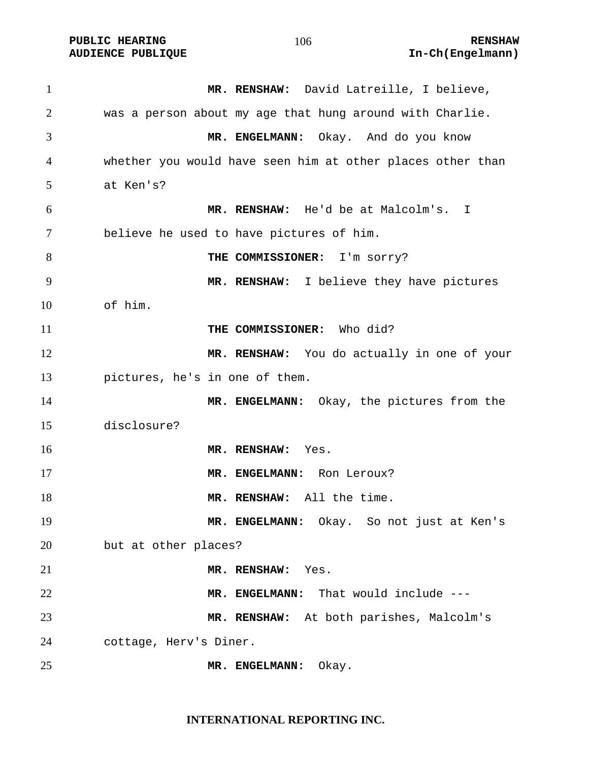PUBLIC HEARING **RENSHAW** 106 **RENSHAW RENSHAW RENSHAW RENSHAW AUDIENCE PUBLIQUE** 

| $\mathbf{1}$   | MR. RENSHAW: David Latreille, I believe,                   |
|----------------|------------------------------------------------------------|
| $\overline{2}$ | was a person about my age that hung around with Charlie.   |
| 3              | MR. ENGELMANN: Okay. And do you know                       |
| 4              | whether you would have seen him at other places other than |
| 5              | at Ken's?                                                  |
| 6              | MR. RENSHAW: He'd be at Malcolm's. I                       |
| 7              | believe he used to have pictures of him.                   |
| 8              | THE COMMISSIONER: I'm sorry?                               |
| 9              | MR. RENSHAW: I believe they have pictures                  |
| 10             | of him.                                                    |
| 11             | THE COMMISSIONER: Who did?                                 |
| 12             | MR. RENSHAW: You do actually in one of your                |
| 13             | pictures, he's in one of them.                             |
| 14             | MR. ENGELMANN: Okay, the pictures from the                 |
| 15             | disclosure?                                                |
| 16             | MR. RENSHAW:<br>Yes.                                       |
| 17             | MR. ENGELMANN: Ron Leroux?                                 |
| 18             | MR. RENSHAW: All the time.                                 |
| 19             | MR. ENGELMANN: Okay. So not just at Ken's                  |
| 20             | but at other places?                                       |
| 21             | MR. RENSHAW: Yes.                                          |
| 22             | MR. ENGELMANN: That would include ---                      |
| 23             | MR. RENSHAW: At both parishes, Malcolm's                   |
| 24             | cottage, Herv's Diner.                                     |
| 25             | MR. ENGELMANN: Okay.                                       |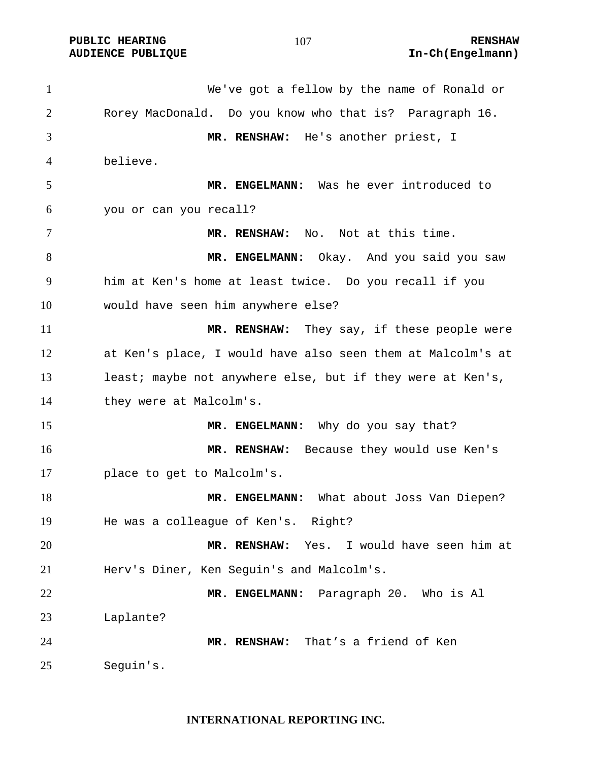We've got a fellow by the name of Ronald or Rorey MacDonald. Do you know who that is? Paragraph 16. **MR. RENSHAW:** He's another priest, I believe. **MR. ENGELMANN:** Was he ever introduced to you or can you recall? **MR. RENSHAW:** No. Not at this time. 8 MR. ENGELMANN: Okay. And you said you saw him at Ken's home at least twice. Do you recall if you would have seen him anywhere else? **MR. RENSHAW:** They say, if these people were at Ken's place, I would have also seen them at Malcolm's at 13 least; maybe not anywhere else, but if they were at Ken's, they were at Malcolm's. **MR. ENGELMANN:** Why do you say that? **MR. RENSHAW:** Because they would use Ken's place to get to Malcolm's. **MR. ENGELMANN:** What about Joss Van Diepen? He was a colleague of Ken's. Right? **MR. RENSHAW:** Yes. I would have seen him at Herv's Diner, Ken Seguin's and Malcolm's. **MR. ENGELMANN:** Paragraph 20. Who is Al Laplante? **MR. RENSHAW:** That's a friend of Ken Seguin's.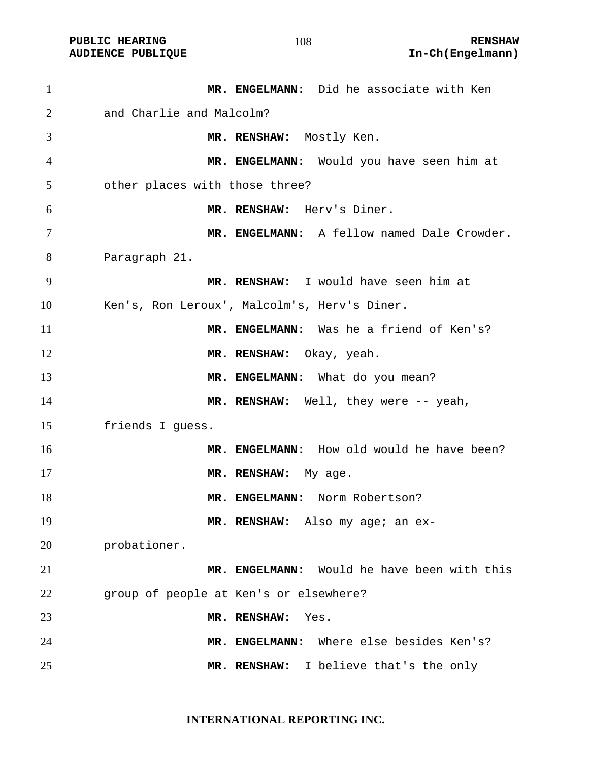| $\mathbf{1}$   | MR. ENGELMANN: Did he associate with Ken     |
|----------------|----------------------------------------------|
| 2              | and Charlie and Malcolm?                     |
| 3              | MR. RENSHAW: Mostly Ken.                     |
| $\overline{4}$ | MR. ENGELMANN: Would you have seen him at    |
| 5              | other places with those three?               |
| 6              | MR. RENSHAW: Herv's Diner.                   |
| 7              | MR. ENGELMANN: A fellow named Dale Crowder.  |
| 8              | Paragraph 21.                                |
| 9              | MR. RENSHAW: I would have seen him at        |
| 10             | Ken's, Ron Leroux', Malcolm's, Herv's Diner. |
| 11             | MR. ENGELMANN: Was he a friend of Ken's?     |
| 12             | MR. RENSHAW: Okay, yeah.                     |
| 13             | MR. ENGELMANN: What do you mean?             |
| 14             | MR. RENSHAW: Well, they were -- yeah,        |
| 15             | friends I guess.                             |
| 16             | MR. ENGELMANN: How old would he have been?   |
| 17             | MR. RENSHAW: My age.                         |
| 18             | MR. ENGELMANN: Norm Robertson?               |
| 19             | MR. RENSHAW: Also my age; an ex-             |
| 20             | probationer.                                 |
| 21             | MR. ENGELMANN: Would he have been with this  |
| 22             | group of people at Ken's or elsewhere?       |
| 23             | MR. RENSHAW:<br>Yes.                         |
| 24             | Where else besides Ken's?<br>MR. ENGELMANN:  |
| 25             | MR. RENSHAW:<br>I believe that's the only    |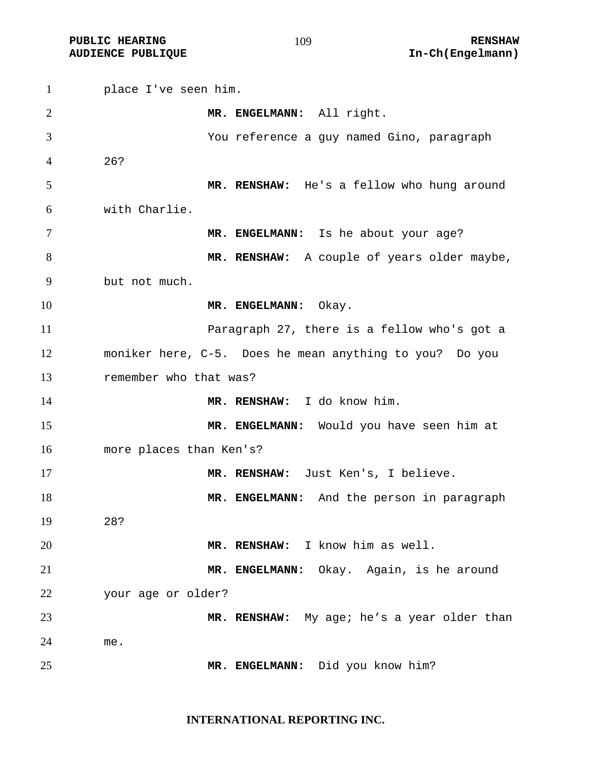PUBLIC HEARING **RENSHAW** 109 RENSHAW RENSHAW **RENSHAW RENSHAW AUDIENCE PUBLIQUE** 

| $\mathbf{1}$   | place I've seen him.                                    |
|----------------|---------------------------------------------------------|
| $\overline{2}$ | MR. ENGELMANN: All right.                               |
| 3              | You reference a guy named Gino, paragraph               |
| 4              | 26?                                                     |
| 5              | MR. RENSHAW: He's a fellow who hung around              |
| 6              | with Charlie.                                           |
| 7              | MR. ENGELMANN: Is he about your age?                    |
| 8              | MR. RENSHAW: A couple of years older maybe,             |
| 9              | but not much.                                           |
| 10             | MR. ENGELMANN: Okay.                                    |
| 11             | Paragraph 27, there is a fellow who's got a             |
| 12             | moniker here, C-5. Does he mean anything to you? Do you |
| 13             | remember who that was?                                  |
| 14             | MR. RENSHAW: I do know him.                             |
| 15             | MR. ENGELMANN: Would you have seen him at               |
| 16             | more places than Ken's?                                 |
| 17             | MR. RENSHAW: Just Ken's, I believe.                     |
| 18             | MR. ENGELMANN: And the person in paragraph              |
| 19             | 28?                                                     |
| 20             | MR. RENSHAW: I know him as well.                        |
| 21             | MR. ENGELMANN: Okay. Again, is he around                |
| 22             | your age or older?                                      |
| 23             | MR. RENSHAW: My age; he's a year older than             |
| 24             | me.                                                     |
| 25             | MR. ENGELMANN: Did you know him?                        |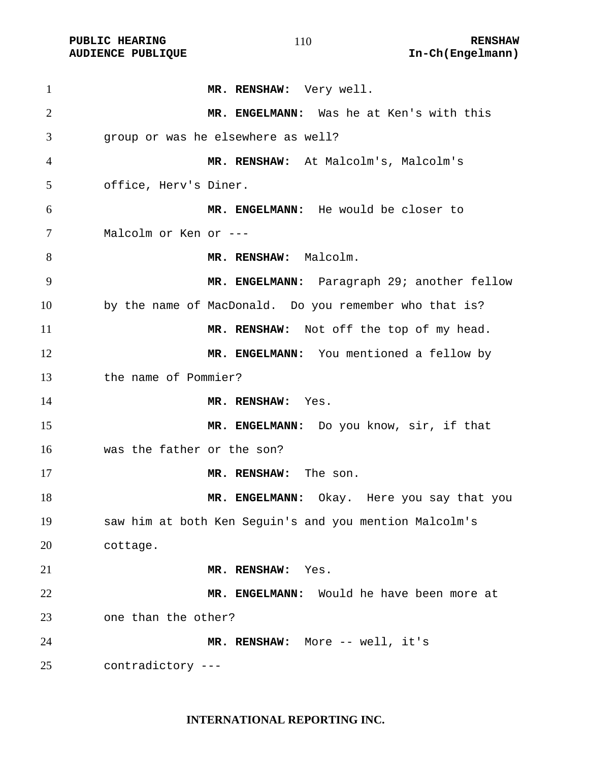PUBLIC HEARING **RENSHAW** 110 **RENSHAW** RENSHAW **RENSHAW RENSHAW AUDIENCE PUBLIQUE** 

| $\mathbf{1}$   | MR. RENSHAW: Very well.                                |
|----------------|--------------------------------------------------------|
| 2              | MR. ENGELMANN: Was he at Ken's with this               |
| 3              | group or was he elsewhere as well?                     |
| $\overline{4}$ |                                                        |
|                | MR. RENSHAW: At Malcolm's, Malcolm's                   |
| 5              | office, Herv's Diner.                                  |
| 6              | MR. ENGELMANN: He would be closer to                   |
| 7              | Malcolm or Ken or ---                                  |
| 8              | MR. RENSHAW: Malcolm.                                  |
| 9              | MR. ENGELMANN: Paragraph 29; another fellow            |
| 10             | by the name of MacDonald. Do you remember who that is? |
| 11             | MR. RENSHAW: Not off the top of my head.               |
| 12             | MR. ENGELMANN: You mentioned a fellow by               |
| 13             | the name of Pommier?                                   |
| 14             | MR. RENSHAW: Yes.                                      |
| 15             | MR. ENGELMANN: Do you know, sir, if that               |
| 16             | was the father or the son?                             |
| 17             | MR. RENSHAW: The son.                                  |
| 18             | MR. ENGELMANN: Okay. Here you say that you             |
| 19             | saw him at both Ken Seguin's and you mention Malcolm's |
| 20             | cottage.                                               |
| 21             | MR. RENSHAW:<br>Yes.                                   |
|                |                                                        |
| 22             | MR. ENGELMANN: Would he have been more at              |
| 23             | one than the other?                                    |
| 24             | MR. RENSHAW: More -- well, it's                        |
| 25             | contradictory ---                                      |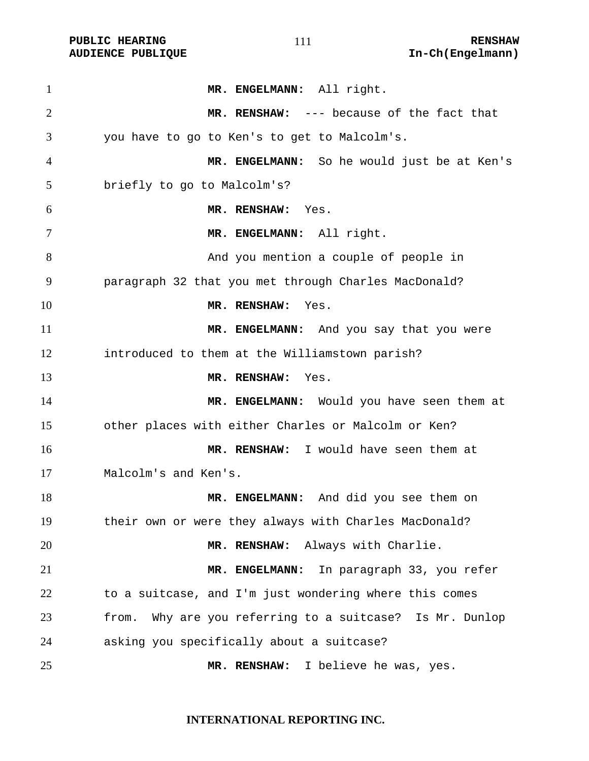PUBLIC HEARING **RENSHAW** 111 RENSHAW RENSHAW RENSHAW **RENSHAW** 2011

| $\mathbf{1}$   | MR. ENGELMANN: All right.                                   |
|----------------|-------------------------------------------------------------|
| $\overline{2}$ | MR. RENSHAW: --- because of the fact that                   |
| 3              | you have to go to Ken's to get to Malcolm's.                |
| 4              | MR. ENGELMANN: So he would just be at Ken's                 |
| 5              | briefly to go to Malcolm's?                                 |
| 6              | MR. RENSHAW:<br>Yes.                                        |
| 7              | MR. ENGELMANN: All right.                                   |
| 8              | And you mention a couple of people in                       |
| 9              | paragraph 32 that you met through Charles MacDonald?        |
| 10             | MR. RENSHAW: Yes.                                           |
| 11             | MR. ENGELMANN: And you say that you were                    |
| 12             | introduced to them at the Williamstown parish?              |
| 13             | MR. RENSHAW:<br>Yes.                                        |
| 14             | MR. ENGELMANN: Would you have seen them at                  |
| 15             | other places with either Charles or Malcolm or Ken?         |
| 16             | MR. RENSHAW: I would have seen them at                      |
| 17             | Malcolm's and Ken's.                                        |
| 18             | MR. ENGELMANN: And did you see them on                      |
| 19             | their own or were they always with Charles MacDonald?       |
| 20             | Always with Charlie.<br>MR. RENSHAW:                        |
| 21             | In paragraph 33, you refer<br>MR. ENGELMANN:                |
| 22             | to a suitcase, and I'm just wondering where this comes      |
| 23             | Why are you referring to a suitcase? Is Mr. Dunlop<br>from. |
| 24             | asking you specifically about a suitcase?                   |
| 25             | MR. RENSHAW: I believe he was, yes.                         |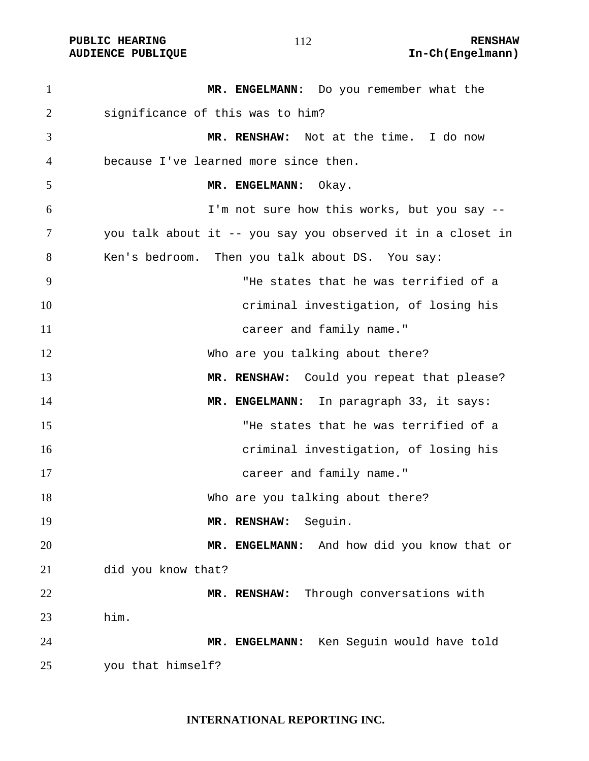# PUBLIC HEARING **RENSHAW** 112 **RENSHAW** RENSHAW **RENSHAW RENSHAW RENSHAW RENSHAW RENSHAW**

| $\mathbf{1}$ | MR. ENGELMANN: Do you remember what the                     |
|--------------|-------------------------------------------------------------|
| 2            | significance of this was to him?                            |
| 3            | MR. RENSHAW: Not at the time. I do now                      |
| 4            | because I've learned more since then.                       |
| 5            | MR. ENGELMANN:<br>Okay.                                     |
| 6            | I'm not sure how this works, but you say --                 |
| 7            | you talk about it -- you say you observed it in a closet in |
| 8            | Ken's bedroom. Then you talk about DS. You say:             |
| 9            | "He states that he was terrified of a                       |
| 10           | criminal investigation, of losing his                       |
| 11           | career and family name."                                    |
| 12           | Who are you talking about there?                            |
| 13           | MR. RENSHAW: Could you repeat that please?                  |
| 14           | MR. ENGELMANN: In paragraph 33, it says:                    |
| 15           | "He states that he was terrified of a                       |
| 16           | criminal investigation, of losing his                       |
| 17           | career and family name."                                    |
| 18           | Who are you talking about there?                            |
| 19           | Seguin.<br>MR. RENSHAW:                                     |
| 20           | And how did you know that or<br>MR. ENGELMANN:              |
| 21           | did you know that?                                          |
| 22           | Through conversations with<br>MR. RENSHAW:                  |
| 23           | him.                                                        |
| 24           | Ken Seguin would have told<br>MR. ENGELMANN:                |
| 25           | you that himself?                                           |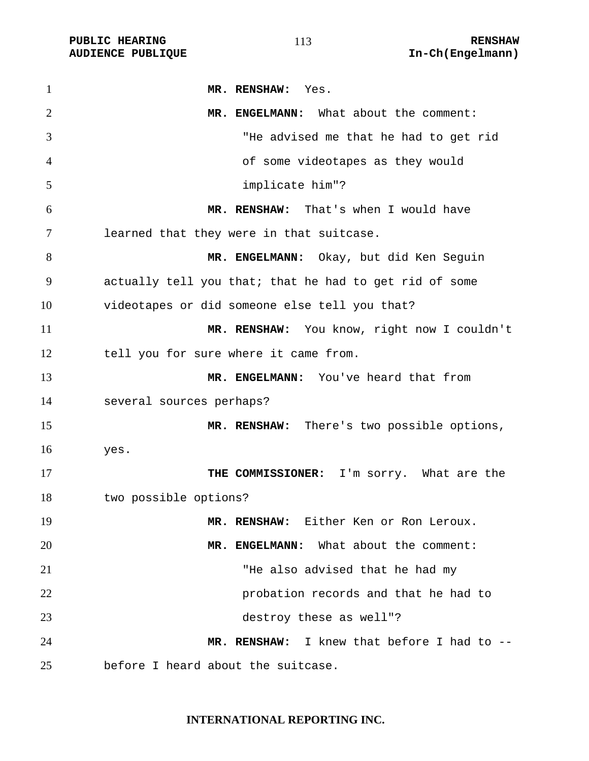| $\mathbf{1}$   | MR. RENSHAW:<br>Yes.                                   |
|----------------|--------------------------------------------------------|
| $\overline{2}$ | MR. ENGELMANN: What about the comment:                 |
| 3              | "He advised me that he had to get rid                  |
| 4              | of some videotapes as they would                       |
| 5              | implicate him"?                                        |
| 6              | MR. RENSHAW: That's when I would have                  |
| 7              | learned that they were in that suitcase.               |
| 8              | MR. ENGELMANN: Okay, but did Ken Seguin                |
| 9              | actually tell you that; that he had to get rid of some |
| 10             | videotapes or did someone else tell you that?          |
| 11             | MR. RENSHAW: You know, right now I couldn't            |
| 12             | tell you for sure where it came from.                  |
| 13             | MR. ENGELMANN: You've heard that from                  |
| 14             | several sources perhaps?                               |
| 15             | MR. RENSHAW: There's two possible options,             |
| 16             | yes.                                                   |
| 17             | THE COMMISSIONER: I'm sorry. What are the              |
| 18             | two possible options?                                  |
| 19             | MR. RENSHAW: Either Ken or Ron Leroux.                 |
| 20             | MR. ENGELMANN: What about the comment:                 |
| 21             | "He also advised that he had my                        |
| 22             | probation records and that he had to                   |
| 23             | destroy these as well"?                                |
| 24             | MR. RENSHAW: I knew that before I had to --            |
| 25             | before I heard about the suitcase.                     |

## **INTERNATIONAL REPORTING INC.**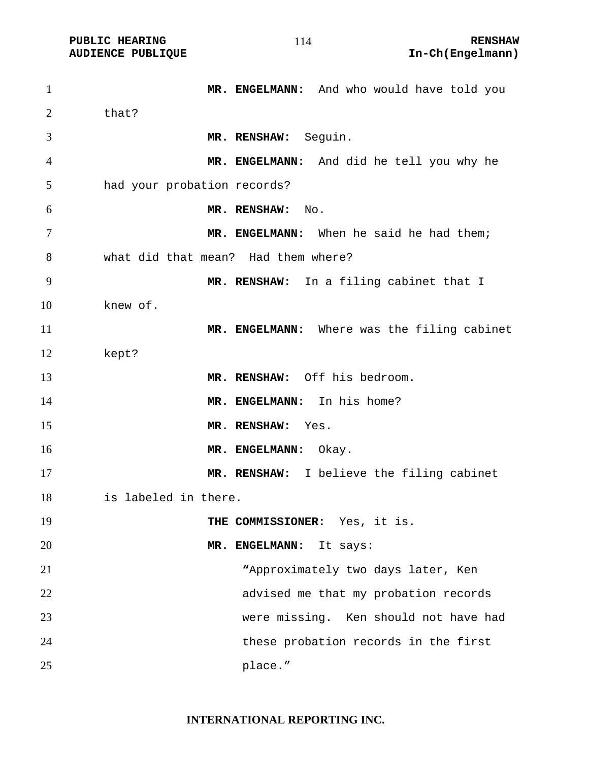| $\mathbf{1}$ | MR. ENGELMANN: And who would have told you  |
|--------------|---------------------------------------------|
| 2            | that?                                       |
| 3            | MR. RENSHAW: Seguin.                        |
| 4            | MR. ENGELMANN: And did he tell you why he   |
| 5            | had your probation records?                 |
| 6            | MR. RENSHAW:<br>No.                         |
| 7            | MR. ENGELMANN: When he said he had them;    |
| 8            | what did that mean? Had them where?         |
| 9            | MR. RENSHAW: In a filing cabinet that I     |
| 10           | knew of.                                    |
| 11           | MR. ENGELMANN: Where was the filing cabinet |
| 12           | kept?                                       |
| 13           | MR. RENSHAW: Off his bedroom.               |
| 14           | MR. ENGELMANN: In his home?                 |
| 15           | MR. RENSHAW:<br>Yes.                        |
| 16           | MR. ENGELMANN:<br>Okay.                     |
| 17           | MR. RENSHAW: I believe the filing cabinet   |
| 18           | is labeled in there.                        |
| 19           | THE COMMISSIONER: Yes, it is.               |
| 20           | MR. ENGELMANN:<br>It says:                  |
| 21           | "Approximately two days later, Ken          |
| 22           | advised me that my probation records        |
| 23           | were missing. Ken should not have had       |
| 24           | these probation records in the first        |
| 25           | place."                                     |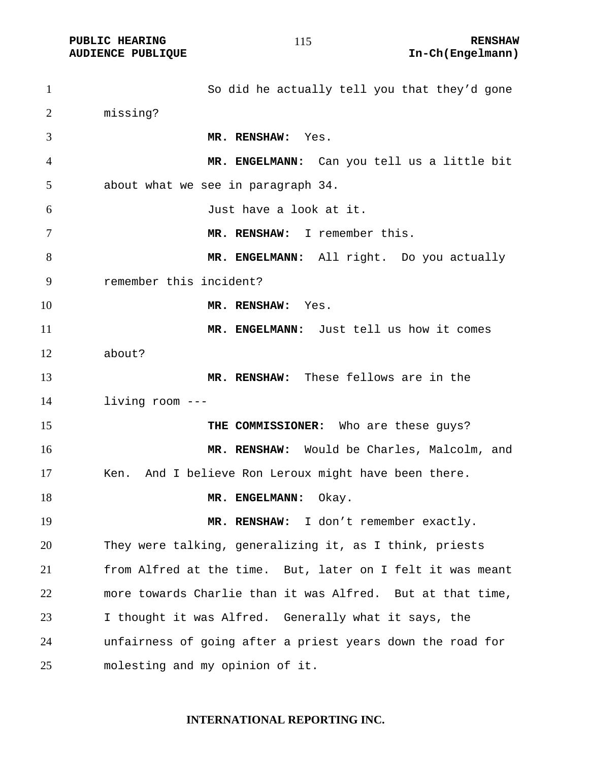So did he actually tell you that they'd gone missing? **MR. RENSHAW:** Yes. **MR. ENGELMANN:** Can you tell us a little bit about what we see in paragraph 34. Just have a look at it. **MR. RENSHAW:** I remember this. **MR. ENGELMANN:** All right. Do you actually remember this incident? **MR. RENSHAW:** Yes. **MR. ENGELMANN:** Just tell us how it comes about? **MR. RENSHAW:** These fellows are in the living room --- **THE COMMISSIONER:** Who are these guys? **MR. RENSHAW:** Would be Charles, Malcolm, and Ken. And I believe Ron Leroux might have been there. 18 MR. ENGELMANN: Okay. 19 MR. RENSHAW: I don't remember exactly. They were talking, generalizing it, as I think, priests from Alfred at the time. But, later on I felt it was meant more towards Charlie than it was Alfred. But at that time, I thought it was Alfred. Generally what it says, the unfairness of going after a priest years down the road for molesting and my opinion of it.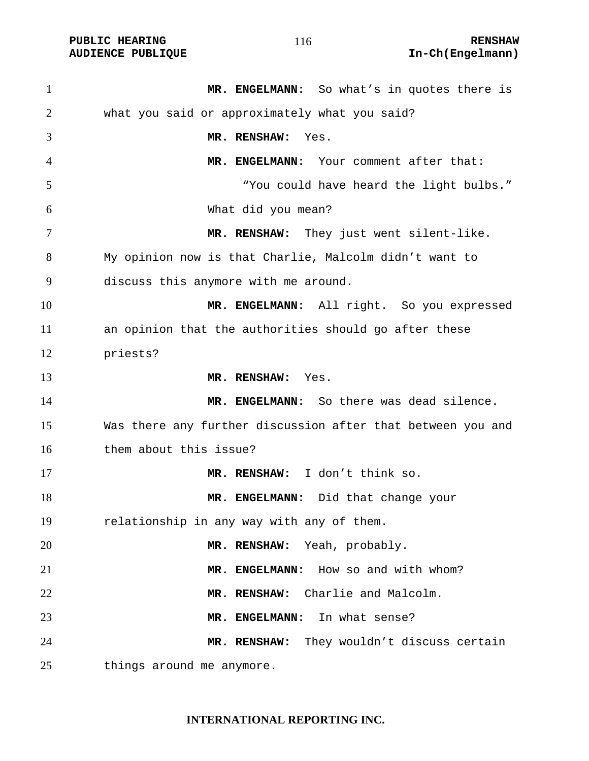| $\mathbf{1}$   | MR. ENGELMANN: So what's in quotes there is                 |
|----------------|-------------------------------------------------------------|
| $\overline{2}$ | what you said or approximately what you said?               |
| 3              | MR. RENSHAW: Yes.                                           |
| 4              | MR. ENGELMANN: Your comment after that:                     |
| 5              | "You could have heard the light bulbs."                     |
| 6              | What did you mean?                                          |
| $\tau$         | MR. RENSHAW: They just went silent-like.                    |
| 8              | My opinion now is that Charlie, Malcolm didn't want to      |
| 9              | discuss this anymore with me around.                        |
| 10             | MR. ENGELMANN: All right. So you expressed                  |
| 11             | an opinion that the authorities should go after these       |
| 12             | priests?                                                    |
| 13             | MR. RENSHAW: Yes.                                           |
| 14             | MR. ENGELMANN: So there was dead silence.                   |
| 15             | Was there any further discussion after that between you and |
| 16             | them about this issue?                                      |
| 17             | MR. RENSHAW: I don't think so.                              |
| 18             | MR. ENGELMANN: Did that change your                         |
| 19             | relationship in any way with any of them.                   |
| 20             | MR. RENSHAW: Yeah, probably.                                |
| 21             | MR. ENGELMANN: How so and with whom?                        |
| 22             | Charlie and Malcolm.<br>MR. RENSHAW:                        |
| 23             | In what sense?<br>MR. ENGELMANN:                            |
| 24             | They wouldn't discuss certain<br>MR. RENSHAW:               |
| 25             | things around me anymore.                                   |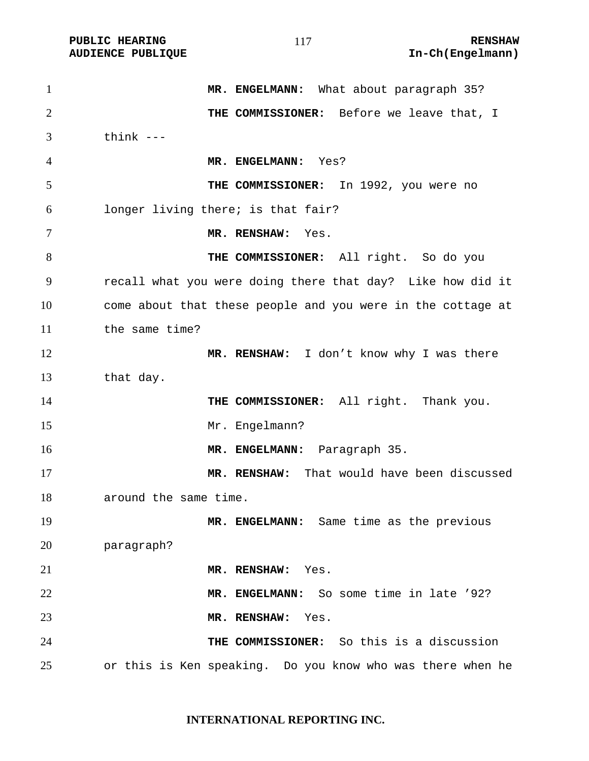PUBLIC HEARING **RENSHAW** 117 **RENSHAW** RENSHAW **RENSHAW RENSHAW RENSHAW RENSHAW RENSHAW** 

| $\mathbf{1}$   | MR. ENGELMANN: What about paragraph 35?                     |
|----------------|-------------------------------------------------------------|
| $\overline{2}$ | THE COMMISSIONER: Before we leave that, I                   |
| 3              | think $---$                                                 |
| 4              | MR. ENGELMANN: Yes?                                         |
| 5              | THE COMMISSIONER: In 1992, you were no                      |
| 6              | longer living there; is that fair?                          |
| 7              | MR. RENSHAW:<br>Yes.                                        |
| 8              | THE COMMISSIONER: All right. So do you                      |
| 9              | recall what you were doing there that day? Like how did it  |
| 10             | come about that these people and you were in the cottage at |
| 11             | the same time?                                              |
| 12             | MR. RENSHAW: I don't know why I was there                   |
| 13             | that day.                                                   |
| 14             | THE COMMISSIONER: All right. Thank you.                     |
| 15             | Mr. Engelmann?                                              |
| 16             | MR. ENGELMANN: Paragraph 35.                                |
| 17             | MR. RENSHAW: That would have been discussed                 |
| 18             | around the same time.                                       |
| 19             | MR. ENGELMANN: Same time as the previous                    |
| 20             | paragraph?                                                  |
| 21             | MR. RENSHAW: Yes.                                           |
| 22             | MR. ENGELMANN: So some time in late '92?                    |
| 23             | MR. RENSHAW: Yes.                                           |
| 24             | THE COMMISSIONER: So this is a discussion                   |
| 25             | or this is Ken speaking. Do you know who was there when he  |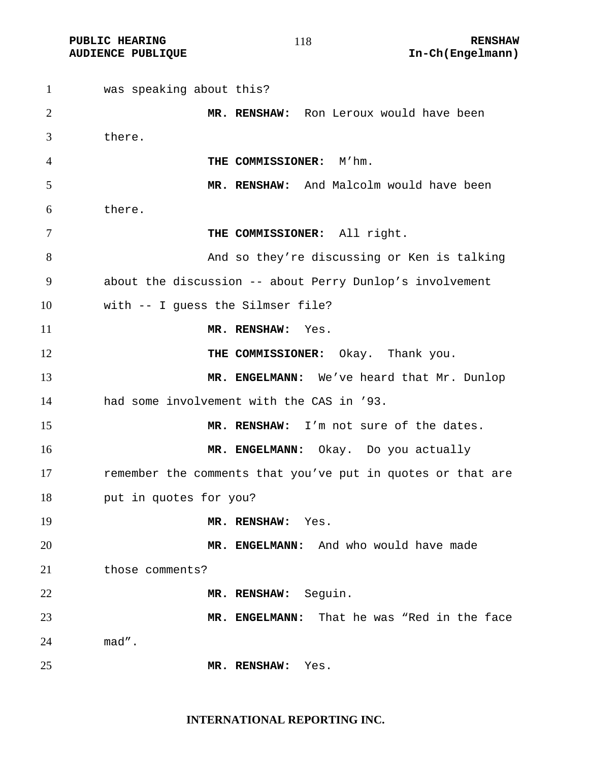was speaking about this? **MR. RENSHAW:** Ron Leroux would have been there. **THE COMMISSIONER:** M'hm. **MR. RENSHAW:** And Malcolm would have been there. **THE COMMISSIONER:** All right. And so they're discussing or Ken is talking about the discussion -- about Perry Dunlop's involvement with -- I guess the Silmser file? **MR. RENSHAW:** Yes. **THE COMMISSIONER:** Okay. Thank you. **MR. ENGELMANN:** We've heard that Mr. Dunlop had some involvement with the CAS in '93. **MR. RENSHAW:** I'm not sure of the dates. **MR. ENGELMANN:** Okay. Do you actually **remember** the comments that you've put in quotes or that are put in quotes for you? **MR. RENSHAW:** Yes. **MR. ENGELMANN:** And who would have made 21 those comments? **MR. RENSHAW:** Seguin. **MR. ENGELMANN:** That he was "Red in the face mad". **MR. RENSHAW:** Yes.

**INTERNATIONAL REPORTING INC.**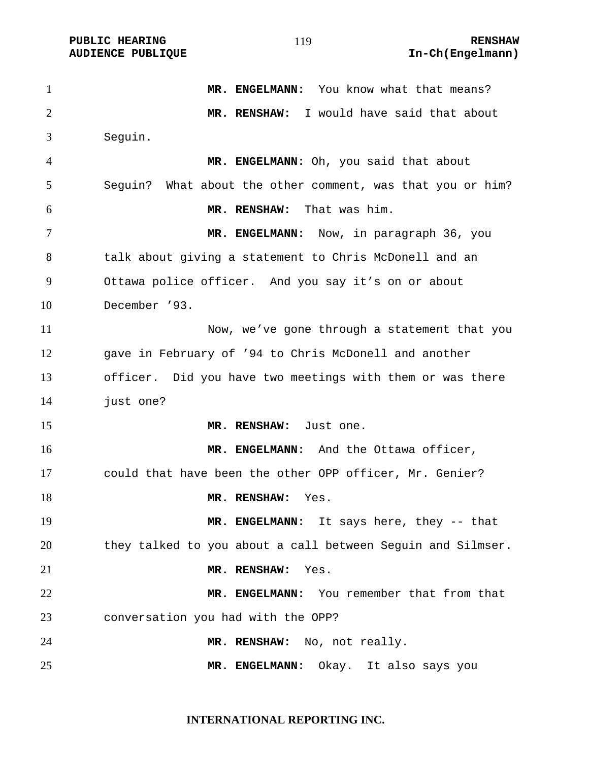**PUBLIC HEARING 119** 119

**AUDIENCE PUBLIQUE International Contract Contract Contract Contract Contract Contract Contract Contract Contract Contract Contract Contract Contract Contract Contract Contract Contract Contract Contract Contract Contract** 

**MR. ENGELMANN:** You know what that means? **MR. RENSHAW:** I would have said that about Seguin. **MR. ENGELMANN:** Oh, you said that about Seguin? What about the other comment, was that you or him? **MR. RENSHAW:** That was him. **MR. ENGELMANN:** Now, in paragraph 36, you talk about giving a statement to Chris McDonell and an Ottawa police officer. And you say it's on or about December '93. Now, we've gone through a statement that you gave in February of '94 to Chris McDonell and another officer. Did you have two meetings with them or was there just one? **MR. RENSHAW:** Just one. **MR. ENGELMANN:** And the Ottawa officer, could that have been the other OPP officer, Mr. Genier? **MR. RENSHAW:** Yes. **MR. ENGELMANN:** It says here, they -- that they talked to you about a call between Seguin and Silmser. **MR. RENSHAW:** Yes. **MR. ENGELMANN:** You remember that from that conversation you had with the OPP? **MR. RENSHAW:** No, not really. **MR. ENGELMANN:** Okay. It also says you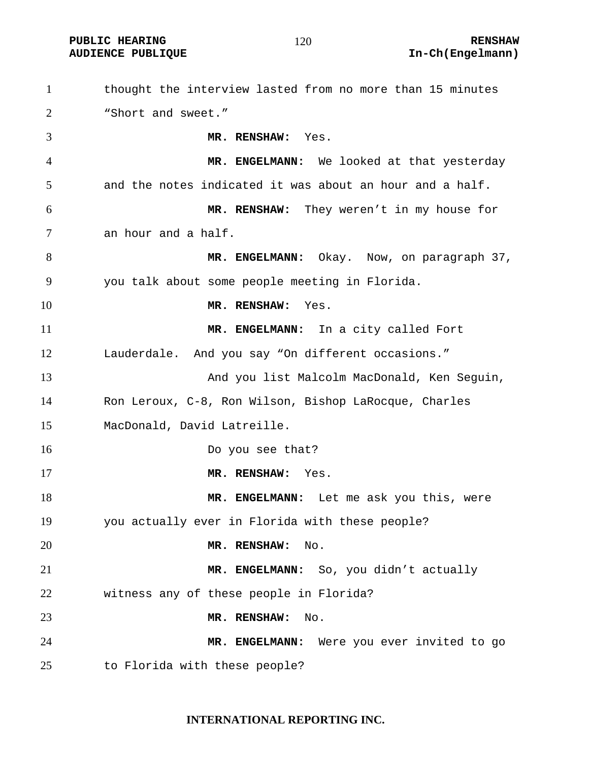PUBLIC HEARING **RENSHAW** 120 **RENSHAW** RENSHAW **RENSHAW RENSHAW RENSHAW RENSHAW RENSHAW** 

| $\mathbf{1}$   | thought the interview lasted from no more than 15 minutes |
|----------------|-----------------------------------------------------------|
| $\overline{2}$ | "Short and sweet."                                        |
| 3              | MR. RENSHAW: Yes.                                         |
| 4              | MR. ENGELMANN: We looked at that yesterday                |
| 5              | and the notes indicated it was about an hour and a half.  |
| 6              | MR. RENSHAW: They weren't in my house for                 |
| 7              | an hour and a half.                                       |
| 8              | MR. ENGELMANN: Okay. Now, on paragraph 37,                |
| 9              | you talk about some people meeting in Florida.            |
| 10             | MR. RENSHAW:<br>Yes.                                      |
| 11             | MR. ENGELMANN: In a city called Fort                      |
| 12             | Lauderdale. And you say "On different occasions."         |
| 13             | And you list Malcolm MacDonald, Ken Seguin,               |
| 14             | Ron Leroux, C-8, Ron Wilson, Bishop LaRocque, Charles     |
| 15             | MacDonald, David Latreille.                               |
| 16             | Do you see that?                                          |
| 17             | MR. RENSHAW:<br>Yes.                                      |
| 18             | MR. ENGELMANN: Let me ask you this, were                  |
| 19             | you actually ever in Florida with these people?           |
| 20             | MR. RENSHAW:<br>No.                                       |
| 21             | MR. ENGELMANN: So, you didn't actually                    |
| 22             | witness any of these people in Florida?                   |
| 23             | MR. RENSHAW:<br>No.                                       |
| 24             | Were you ever invited to go<br>MR. ENGELMANN:             |
| 25             | to Florida with these people?                             |

**INTERNATIONAL REPORTING INC.**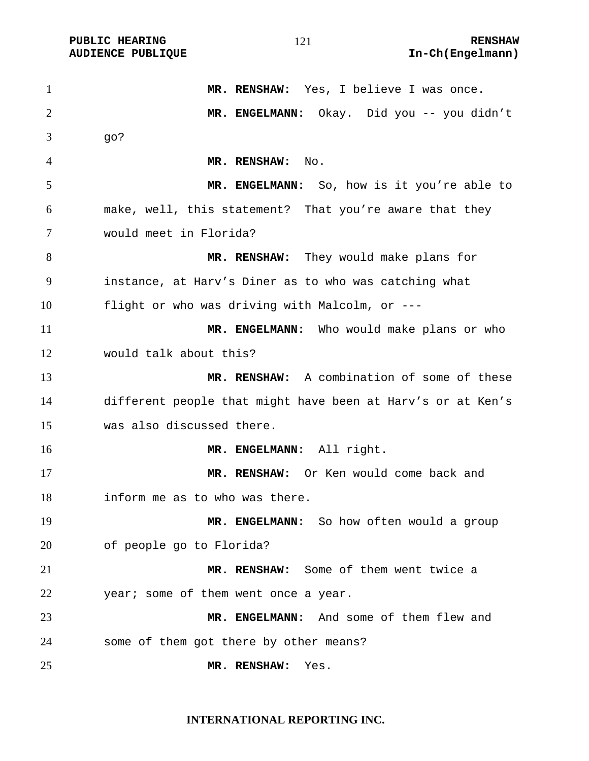| $\mathbf{1}$   | MR. RENSHAW: Yes, I believe I was once.                     |
|----------------|-------------------------------------------------------------|
| $\overline{2}$ | MR. ENGELMANN: Okay. Did you -- you didn't                  |
| 3              | go?                                                         |
| $\overline{4}$ | MR. RENSHAW:<br>No.                                         |
| 5              | MR. ENGELMANN: So, how is it you're able to                 |
| 6              | make, well, this statement? That you're aware that they     |
| 7              | would meet in Florida?                                      |
| 8              | MR. RENSHAW: They would make plans for                      |
| 9              | instance, at Harv's Diner as to who was catching what       |
| 10             | flight or who was driving with Malcolm, or ---              |
| 11             | MR. ENGELMANN: Who would make plans or who                  |
| 12             | would talk about this?                                      |
| 13             | MR. RENSHAW: A combination of some of these                 |
| 14             | different people that might have been at Harv's or at Ken's |
| 15             | was also discussed there.                                   |
| 16             | MR. ENGELMANN: All right.                                   |
| 17             | MR. RENSHAW: Or Ken would come back and                     |
| 18             | inform me as to who was there.                              |
| 19             | MR. ENGELMANN: So how often would a group                   |
| 20             | of people go to Florida?                                    |
| 21             | MR. RENSHAW: Some of them went twice a                      |
| 22             | year; some of them went once a year.                        |
| 23             | MR. ENGELMANN: And some of them flew and                    |
| 24             | some of them got there by other means?                      |
| 25             | MR. RENSHAW:<br>Yes.                                        |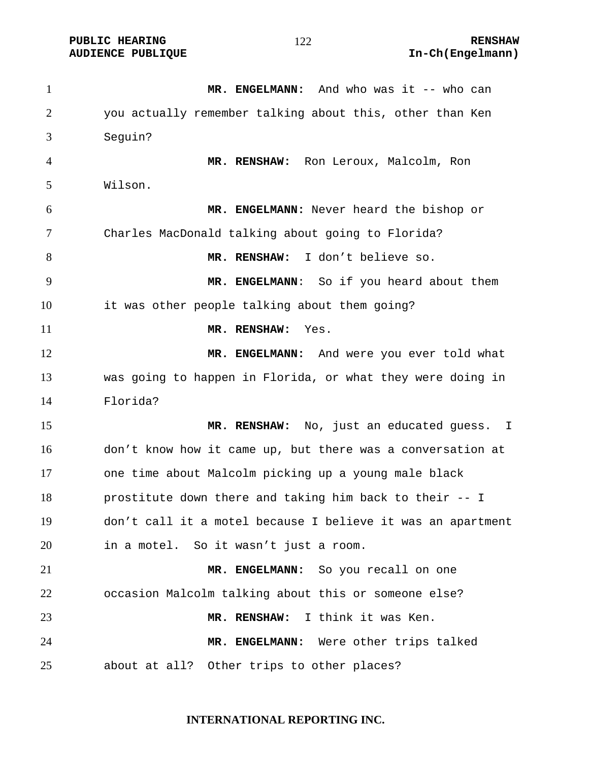**PUBLIC HEARING RENSHAW** 

**AUDIENCE PUBLIQUE International Contract Contract Contract Contract Contract Contract Contract Contract Contract Contract Contract Contract Contract Contract Contract Contract Contract Contract Contract Contract Contract** 

**MR. ENGELMANN:** And who was it -- who can you actually remember talking about this, other than Ken Seguin? **MR. RENSHAW:** Ron Leroux, Malcolm, Ron Wilson. **MR. ENGELMANN:** Never heard the bishop or Charles MacDonald talking about going to Florida? **MR. RENSHAW:** I don't believe so. **MR. ENGELMANN**: So if you heard about them it was other people talking about them going? **MR. RENSHAW:** Yes. 12 MR. ENGELMANN: And were you ever told what was going to happen in Florida, or what they were doing in Florida? **MR. RENSHAW:** No, just an educated guess. I don't know how it came up, but there was a conversation at one time about Malcolm picking up a young male black prostitute down there and taking him back to their -- I don't call it a motel because I believe it was an apartment in a motel. So it wasn't just a room. **MR. ENGELMANN:** So you recall on one occasion Malcolm talking about this or someone else? **MR. RENSHAW:** I think it was Ken. **MR. ENGELMANN:** Were other trips talked about at all? Other trips to other places?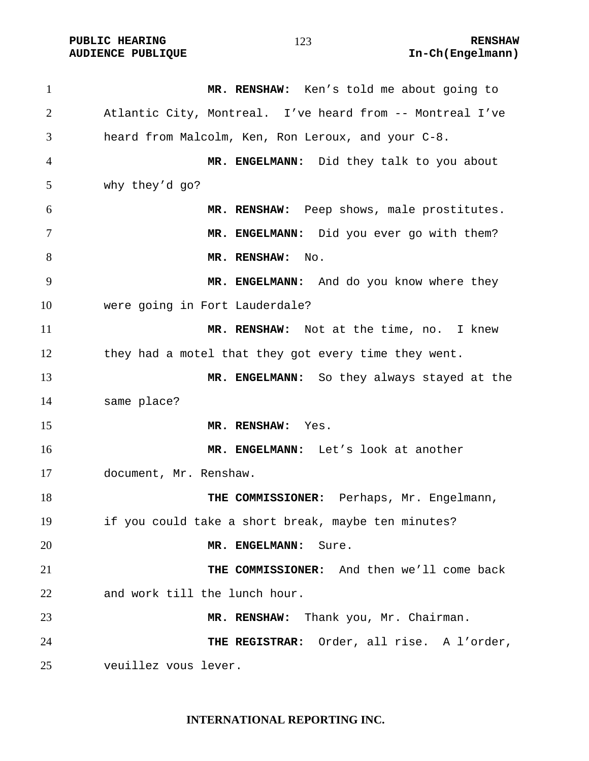| $\mathbf{1}$   | MR. RENSHAW: Ken's told me about going to                 |
|----------------|-----------------------------------------------------------|
| $\overline{2}$ | Atlantic City, Montreal. I've heard from -- Montreal I've |
| 3              | heard from Malcolm, Ken, Ron Leroux, and your C-8.        |
| $\overline{4}$ | MR. ENGELMANN: Did they talk to you about                 |
| 5              | why they'd go?                                            |
| 6              | MR. RENSHAW: Peep shows, male prostitutes.                |
| 7              | MR. ENGELMANN: Did you ever go with them?                 |
| 8              | MR. RENSHAW:<br>$\mathop{\rm No}\nolimits.$               |
| 9              | MR. ENGELMANN: And do you know where they                 |
| 10             | were going in Fort Lauderdale?                            |
| 11             | MR. RENSHAW: Not at the time, no. I knew                  |
| 12             | they had a motel that they got every time they went.      |
| 13             | MR. ENGELMANN: So they always stayed at the               |
| 14             | same place?                                               |
| 15             | MR. RENSHAW: Yes.                                         |
| 16             | MR. ENGELMANN: Let's look at another                      |
| 17             | document, Mr. Renshaw.                                    |
| 18             | THE COMMISSIONER: Perhaps, Mr. Engelmann,                 |
| 19             | if you could take a short break, maybe ten minutes?       |
| 20             | MR. ENGELMANN:<br>Sure.                                   |
| 21             | THE COMMISSIONER: And then we'll come back                |
| 22             | and work till the lunch hour.                             |
| 23             | MR. RENSHAW: Thank you, Mr. Chairman.                     |
| 24             | THE REGISTRAR: Order, all rise. A l'order,                |
| 25             | veuillez vous lever.                                      |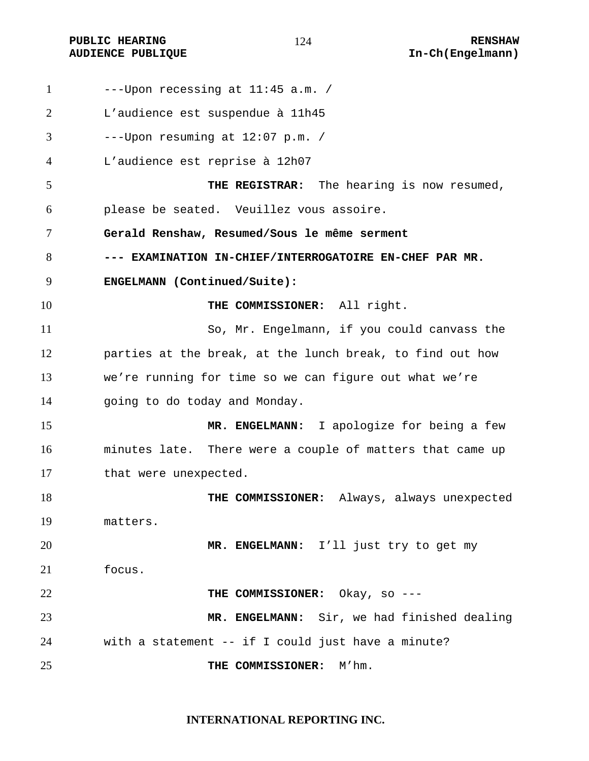| $\mathbf{1}$ | $--$ Upon recessing at $11:45$ a.m. /                     |
|--------------|-----------------------------------------------------------|
| 2            | L'audience est suspendue à 11h45                          |
| 3            | $---Upon$ resuming at $12:07$ p.m. /                      |
| 4            | L'audience est reprise à 12h07                            |
| 5            | THE REGISTRAR: The hearing is now resumed,                |
| 6            | please be seated. Veuillez vous assoire.                  |
| 7            | Gerald Renshaw, Resumed/Sous le même serment              |
| 8            | --- EXAMINATION IN-CHIEF/INTERROGATOIRE EN-CHEF PAR MR.   |
| 9            | ENGELMANN (Continued/Suite):                              |
| 10           | THE COMMISSIONER: All right.                              |
| 11           | So, Mr. Engelmann, if you could canvass the               |
| 12           | parties at the break, at the lunch break, to find out how |
| 13           | we're running for time so we can figure out what we're    |
| 14           | going to do today and Monday.                             |
| 15           | MR. ENGELMANN: I apologize for being a few                |
| 16           | minutes late. There were a couple of matters that came up |
| 17           | that were unexpected.                                     |
| 18           | THE COMMISSIONER:<br>Always, always unexpected            |
| 19           | matters.                                                  |
| 20           | MR. ENGELMANN: I'll just try to get my                    |
| 21           | focus.                                                    |
| 22           | THE COMMISSIONER: Okay, so ---                            |
| 23           | MR. ENGELMANN: Sir, we had finished dealing               |
| 24           | with a statement -- if I could just have a minute?        |
| 25           | M'hm.<br>THE COMMISSIONER:                                |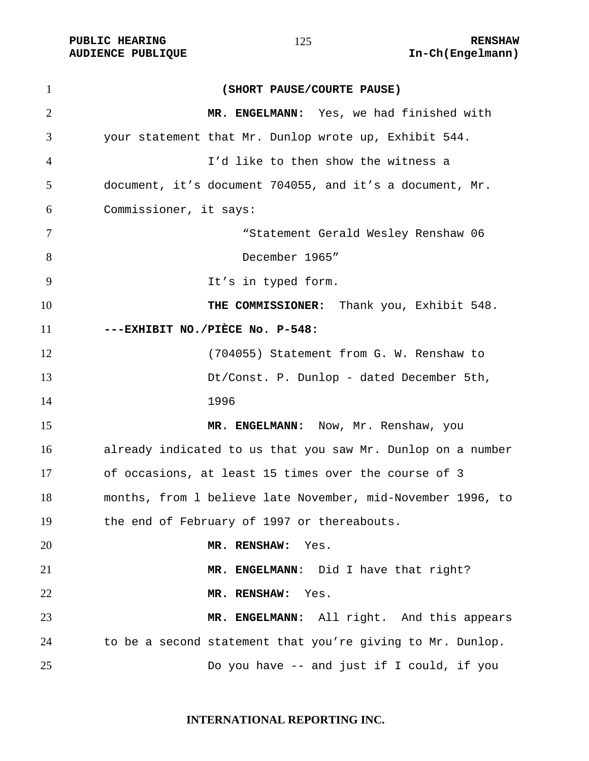PUBLIC HEARING **RENSHAW** 125 **RENSHAW** RENSHAW **RENSHAW RENSHAW RENSHAW RENSHAW RENSHAW** 

| $\mathbf{1}$   | (SHORT PAUSE/COURTE PAUSE)                                  |
|----------------|-------------------------------------------------------------|
| $\overline{2}$ | MR. ENGELMANN: Yes, we had finished with                    |
| 3              | your statement that Mr. Dunlop wrote up, Exhibit 544.       |
| 4              | I'd like to then show the witness a                         |
| 5              | document, it's document 704055, and it's a document, Mr.    |
| 6              | Commissioner, it says:                                      |
| 7              | "Statement Gerald Wesley Renshaw 06                         |
| 8              | December 1965"                                              |
| 9              | It's in typed form.                                         |
| 10             | THE COMMISSIONER: Thank you, Exhibit 548.                   |
| 11             | ---EXHIBIT NO./PIÈCE No. P-548:                             |
| 12             | (704055) Statement from G. W. Renshaw to                    |
| 13             | Dt/Const. P. Dunlop - dated December 5th,                   |
| 14             | 1996                                                        |
| 15             | MR. ENGELMANN: Now, Mr. Renshaw, you                        |
| 16             | already indicated to us that you saw Mr. Dunlop on a number |
| 17             | of occasions, at least 15 times over the course of 3        |
| 18             | months, from 1 believe late November, mid-November 1996, to |
| 19             | the end of February of 1997 or thereabouts.                 |
| 20             | MR. RENSHAW:<br>Yes.                                        |
| 21             | MR. ENGELMANN: Did I have that right?                       |
| 22             | MR. RENSHAW: Yes.                                           |
| 23             | MR. ENGELMANN: All right. And this appears                  |
| 24             | to be a second statement that you're giving to Mr. Dunlop.  |
| 25             | Do you have -- and just if I could, if you                  |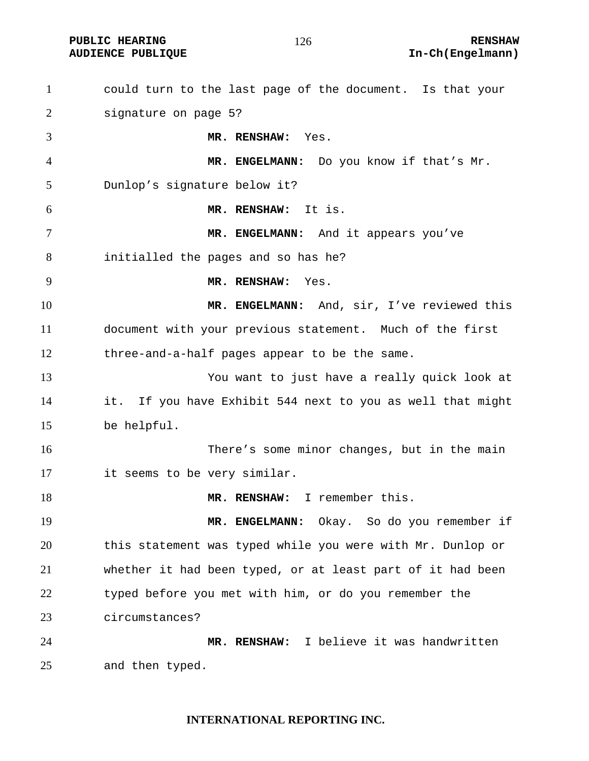| $\mathbf{1}$   | could turn to the last page of the document. Is that your  |
|----------------|------------------------------------------------------------|
| $\overline{2}$ | signature on page 5?                                       |
| 3              | MR. RENSHAW: Yes.                                          |
| $\overline{4}$ | MR. ENGELMANN: Do you know if that's Mr.                   |
| 5              | Dunlop's signature below it?                               |
| 6              | MR. RENSHAW: It is.                                        |
| 7              | MR. ENGELMANN: And it appears you've                       |
| 8              | initialled the pages and so has he?                        |
| 9              | MR. RENSHAW:<br>Yes.                                       |
| 10             | MR. ENGELMANN: And, sir, I've reviewed this                |
| 11             | document with your previous statement. Much of the first   |
| 12             | three-and-a-half pages appear to be the same.              |
| 13             | You want to just have a really quick look at               |
| 14             | it. If you have Exhibit 544 next to you as well that might |
| 15             | be helpful.                                                |
| 16             | There's some minor changes, but in the main                |
| 17             | it seems to be very similar.                               |
| 18             | MR. RENSHAW: I remember this.                              |
| 19             | Okay.  So do you remember if<br>MR. ENGELMANN:             |
| 20             | this statement was typed while you were with Mr. Dunlop or |
| 21             | whether it had been typed, or at least part of it had been |
| 22             | typed before you met with him, or do you remember the      |
| 23             | circumstances?                                             |
| 24             | MR. RENSHAW: I believe it was handwritten                  |
| 25             | and then typed.                                            |

#### **INTERNATIONAL REPORTING INC.**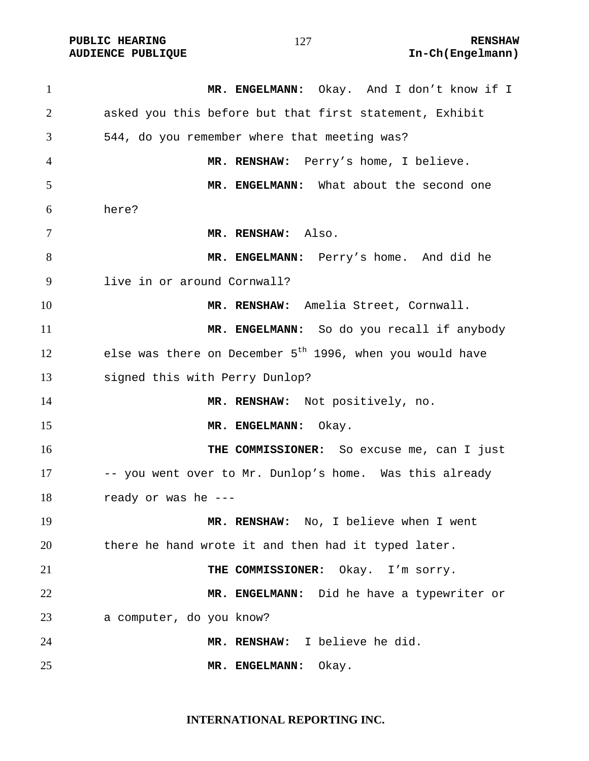**PUBLIC HEARING 127** 127 RENSHAW

1 MR. ENGELMANN: Okay. And I don't know if I asked you this before but that first statement, Exhibit 544, do you remember where that meeting was? **MR. RENSHAW:** Perry's home, I believe. **MR. ENGELMANN:** What about the second one here? **MR. RENSHAW:** Also. **MR. ENGELMANN:** Perry's home. And did he live in or around Cornwall? **MR. RENSHAW:** Amelia Street, Cornwall. **MR. ENGELMANN:** So do you recall if anybody 12 else was there on December  $5<sup>th</sup>$  1996, when you would have signed this with Perry Dunlop? **MR. RENSHAW:** Not positively, no. 15 MR. ENGELMANN: Okay. **THE COMMISSIONER:** So excuse me, can I just 17 -- you went over to Mr. Dunlop's home. Was this already ready or was he --- **MR. RENSHAW:** No, I believe when I went there he hand wrote it and then had it typed later. **THE COMMISSIONER:** Okay. I'm sorry. **MR. ENGELMANN:** Did he have a typewriter or a computer, do you know? **MR. RENSHAW:** I believe he did. **MR. ENGELMANN:** Okay.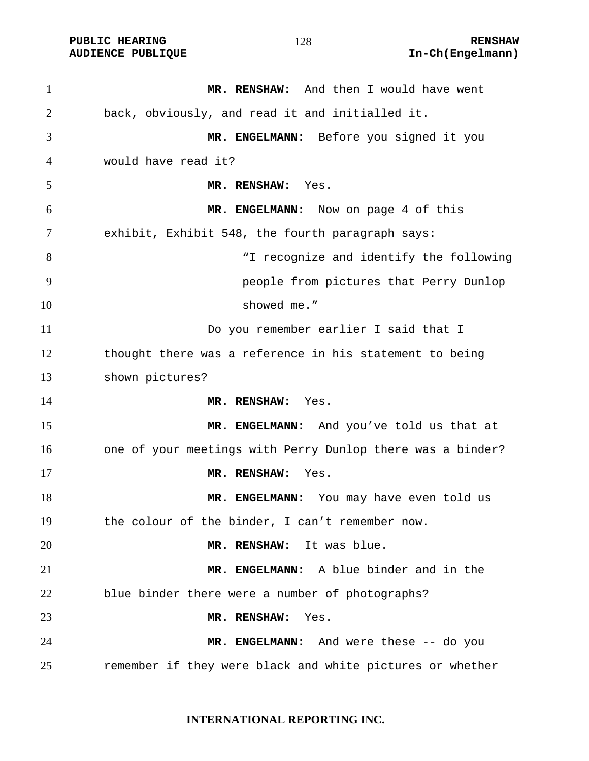**PUBLIC HEARING 128** 128 **RENSHAW** 

**MR. RENSHAW:** And then I would have went back, obviously, and read it and initialled it. **MR. ENGELMANN:** Before you signed it you would have read it? **MR. RENSHAW:** Yes. **MR. ENGELMANN:** Now on page 4 of this exhibit, Exhibit 548, the fourth paragraph says: "I recognize and identify the following people from pictures that Perry Dunlop 10 showed me." Do you remember earlier I said that I thought there was a reference in his statement to being shown pictures? **MR. RENSHAW:** Yes. **MR. ENGELMANN:** And you've told us that at one of your meetings with Perry Dunlop there was a binder? **MR. RENSHAW:** Yes. 18 MR. ENGELMANN: You may have even told us the colour of the binder, I can't remember now. **MR. RENSHAW:** It was blue. **MR. ENGELMANN:** A blue binder and in the blue binder there were a number of photographs? **MR. RENSHAW:** Yes. **MR. ENGELMANN:** And were these -- do you remember if they were black and white pictures or whether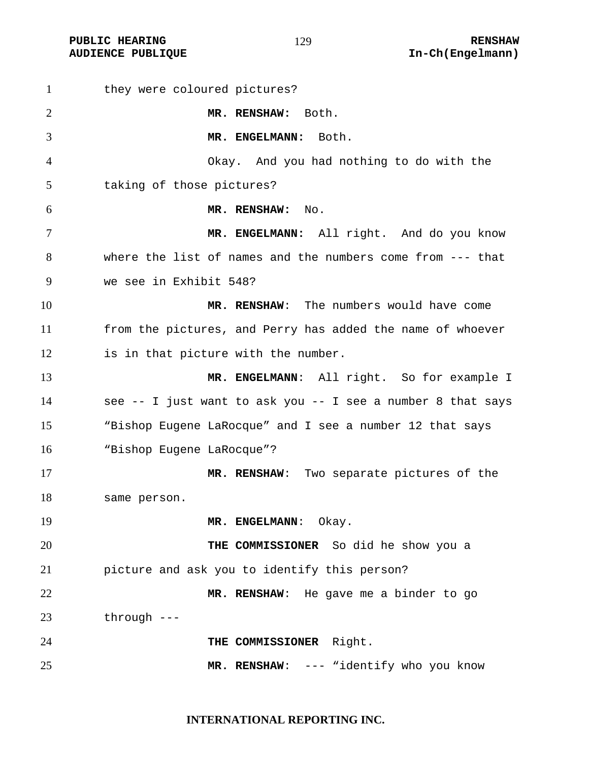| $\mathbf{1}$ | they were coloured pictures?                                 |
|--------------|--------------------------------------------------------------|
| 2            | MR. RENSHAW: Both.                                           |
| 3            | MR. ENGELMANN: Both.                                         |
| 4            | Okay. And you had nothing to do with the                     |
| 5            | taking of those pictures?                                    |
| 6            | MR. RENSHAW:<br>No.                                          |
| 7            | MR. ENGELMANN: All right. And do you know                    |
| 8            | where the list of names and the numbers come from $---$ that |
| 9            | we see in Exhibit 548?                                       |
| 10           | MR. RENSHAW: The numbers would have come                     |
| 11           | from the pictures, and Perry has added the name of whoever   |
| 12           | is in that picture with the number.                          |
| 13           | MR. ENGELMANN: All right. So for example I                   |
| 14           | see -- I just want to ask you -- I see a number 8 that says  |
| 15           | "Bishop Eugene LaRocque" and I see a number 12 that says     |
| 16           | "Bishop Eugene LaRocque"?                                    |
| 17           | MR. RENSHAW: Two separate pictures of the                    |
| 18           | same person.                                                 |
| 19           | MR. ENGELMANN:<br>Okay.                                      |
| 20           | THE COMMISSIONER So did he show you a                        |
| 21           | picture and ask you to identify this person?                 |
| 22           | MR. RENSHAW: He gave me a binder to go                       |
| 23           | through $---$                                                |
| 24           | THE COMMISSIONER Right.                                      |
| 25           | MR. RENSHAW: --- "identify who you know                      |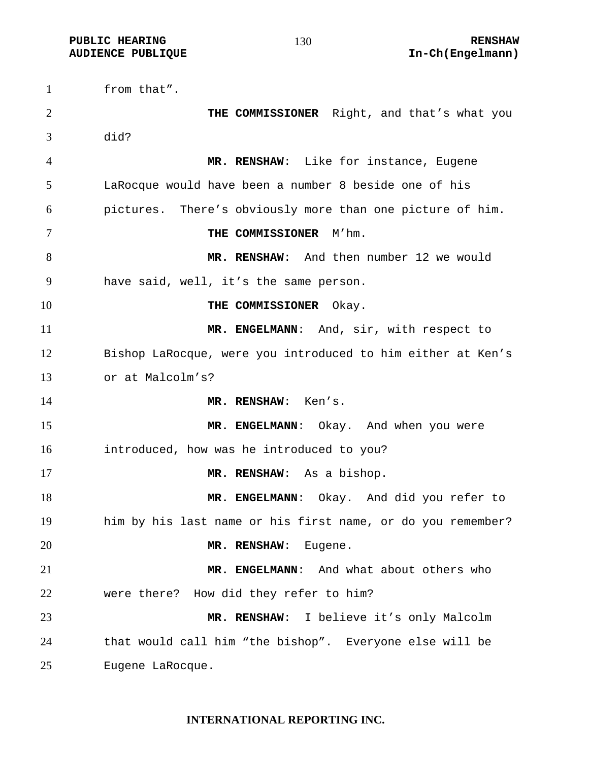from that". **THE COMMISSIONER** Right, and that's what you did? **MR. RENSHAW**: Like for instance, Eugene LaRocque would have been a number 8 beside one of his pictures. There's obviously more than one picture of him. **THE COMMISSIONER** M'hm. **MR. RENSHAW**: And then number 12 we would have said, well, it's the same person. **THE COMMISSIONER** Okay. **MR. ENGELMANN**: And, sir, with respect to Bishop LaRocque, were you introduced to him either at Ken's or at Malcolm's? **MR. RENSHAW**: Ken's. **MR. ENGELMANN**: Okay. And when you were introduced, how was he introduced to you? **MR. RENSHAW**: As a bishop. **MR. ENGELMANN**: Okay. And did you refer to him by his last name or his first name, or do you remember? **MR. RENSHAW**: Eugene. **MR. ENGELMANN**: And what about others who were there? How did they refer to him? **MR. RENSHAW**: I believe it's only Malcolm that would call him "the bishop". Everyone else will be Eugene LaRocque.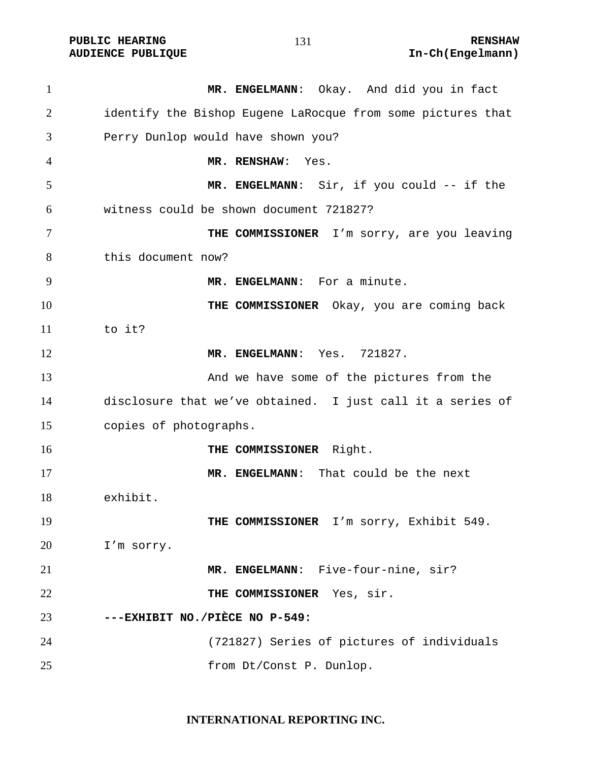PUBLIC HEARING **RENSHAW** 131 **RENSHAW** RENSHAW **RENSHAW RENSHAW RENSHAW RENSHAW RENSHAW** 

| $\mathbf{1}$ | MR. ENGELMANN: Okay. And did you in fact                    |
|--------------|-------------------------------------------------------------|
| 2            | identify the Bishop Eugene LaRocque from some pictures that |
| 3            | Perry Dunlop would have shown you?                          |
| 4            | MR. RENSHAW:<br>Yes.                                        |
| 5            | MR. ENGELMANN: Sir, if you could -- if the                  |
| 6            | witness could be shown document 721827?                     |
| 7            | THE COMMISSIONER I'm sorry, are you leaving                 |
| 8            | this document now?                                          |
| 9            | MR. ENGELMANN: For a minute.                                |
| 10           | THE COMMISSIONER Okay, you are coming back                  |
| 11           | to it?                                                      |
| 12           | MR. ENGELMANN: Yes. 721827.                                 |
| 13           | And we have some of the pictures from the                   |
| 14           | disclosure that we've obtained. I just call it a series of  |
| 15           | copies of photographs.                                      |
| 16           | Right.<br><b>THE COMMISSIONER</b>                           |
| 17           | MR. ENGELMANN: That could be the next                       |
| 18           | exhibit.                                                    |
| 19           | THE COMMISSIONER I'm sorry, Exhibit 549.                    |
| 20           | I'm sorry.                                                  |
| 21           | MR. ENGELMANN: Five-four-nine, sir?                         |
| 22           | THE COMMISSIONER Yes, sir.                                  |
| 23           | ---EXHIBIT NO./PIÈCE NO P-549:                              |
| 24           | (721827) Series of pictures of individuals                  |
| 25           | from Dt/Const P. Dunlop.                                    |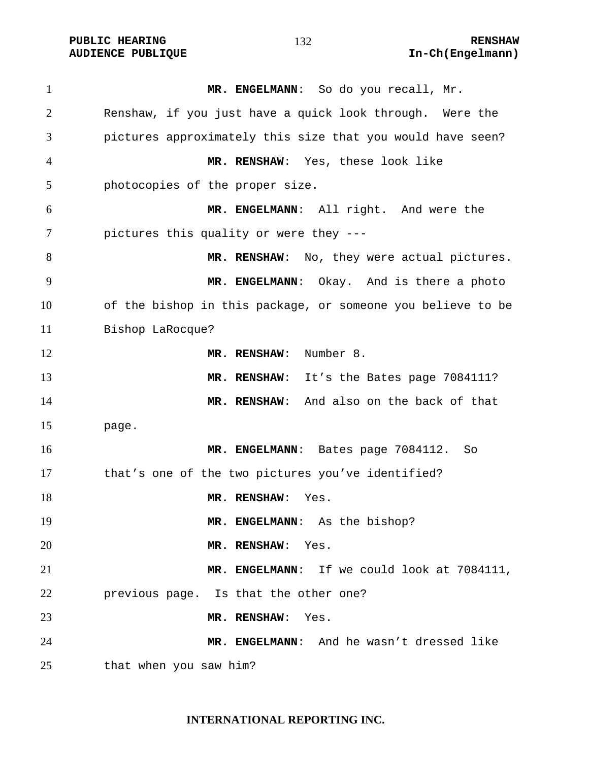**PUBLIC HEARING 132** 132

**MR. ENGELMANN**: So do you recall, Mr. Renshaw, if you just have a quick look through. Were the pictures approximately this size that you would have seen? **MR. RENSHAW**: Yes, these look like photocopies of the proper size. **MR. ENGELMANN**: All right. And were the pictures this quality or were they --- 8 MR. RENSHAW: No, they were actual pictures. **MR. ENGELMANN**: Okay. And is there a photo of the bishop in this package, or someone you believe to be Bishop LaRocque? **MR. RENSHAW**: Number 8. **MR. RENSHAW**: It's the Bates page 7084111? **MR. RENSHAW**: And also on the back of that page. **MR. ENGELMANN**: Bates page 7084112. So that's one of the two pictures you've identified? 18 MR. RENSHAW: Yes. **MR. ENGELMANN**: As the bishop? **MR. RENSHAW**: Yes. **MR. ENGELMANN**: If we could look at 7084111, previous page. Is that the other one? **MR. RENSHAW**: Yes. **MR. ENGELMANN**: And he wasn't dressed like that when you saw him?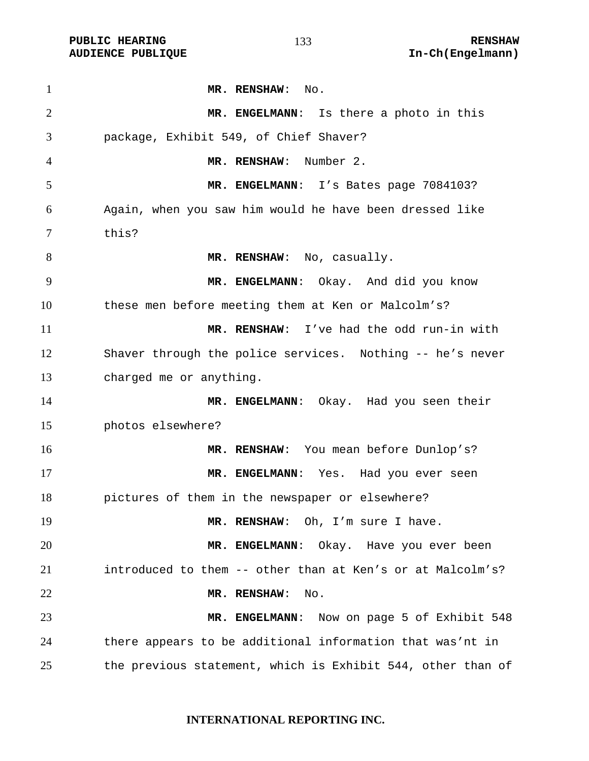**MR. RENSHAW**: No. **MR. ENGELMANN**: Is there a photo in this package, Exhibit 549, of Chief Shaver? **MR. RENSHAW**: Number 2. **MR. ENGELMANN**: I's Bates page 7084103? Again, when you saw him would he have been dressed like this? 8 MR. RENSHAW: No, casually. **MR. ENGELMANN**: Okay. And did you know these men before meeting them at Ken or Malcolm's? **MR. RENSHAW**: I've had the odd run-in with Shaver through the police services. Nothing -- he's never charged me or anything. 14 MR. ENGELMANN: Okay. Had you seen their photos elsewhere? **MR. RENSHAW**: You mean before Dunlop's? **MR. ENGELMANN**: Yes. Had you ever seen pictures of them in the newspaper or elsewhere? 19 MR. RENSHAW: Oh, I'm sure I have. **MR. ENGELMANN**: Okay. Have you ever been introduced to them -- other than at Ken's or at Malcolm's? **MR. RENSHAW**: No. **MR. ENGELMANN**: Now on page 5 of Exhibit 548 there appears to be additional information that was'nt in the previous statement, which is Exhibit 544, other than of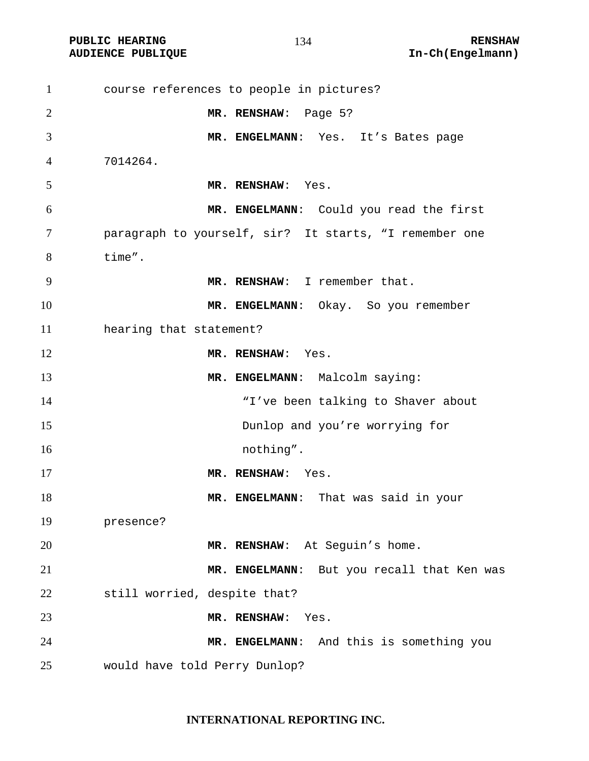PUBLIC HEARING **RENSHAW** 134 **RENSHAW** RENSHAW **RENSHAW RENSHAW RENSHAW RENSHAW RENSHAW** 

| $\mathbf{1}$   | course references to people in pictures?               |
|----------------|--------------------------------------------------------|
| $\overline{2}$ | MR. RENSHAW: Page 5?                                   |
| 3              | MR. ENGELMANN: Yes. It's Bates page                    |
| $\overline{4}$ | 7014264.                                               |
| 5              | MR. RENSHAW: Yes.                                      |
| 6              | MR. ENGELMANN: Could you read the first                |
| 7              | paragraph to yourself, sir? It starts, "I remember one |
| 8              | time".                                                 |
| 9              | MR. RENSHAW: I remember that.                          |
| 10             | MR. ENGELMANN: Okay. So you remember                   |
| 11             | hearing that statement?                                |
| 12             | MR. RENSHAW: Yes.                                      |
| 13             | MR. ENGELMANN: Malcolm saying:                         |
| 14             | "I've been talking to Shaver about                     |
| 15             | Dunlop and you're worrying for                         |
| 16             | nothing".                                              |
| 17             | MR. RENSHAW: Yes.                                      |
| 18             | MR. ENGELMANN: That was said in your                   |
| 19             | presence?                                              |
| 20             | MR. RENSHAW: At Seguin's home.                         |
| 21             | MR. ENGELMANN: But you recall that Ken was             |
| 22             | still worried, despite that?                           |
| 23             | MR. RENSHAW:<br>Yes.                                   |
| 24             | MR. ENGELMANN: And this is something you               |
| 25             | would have told Perry Dunlop?                          |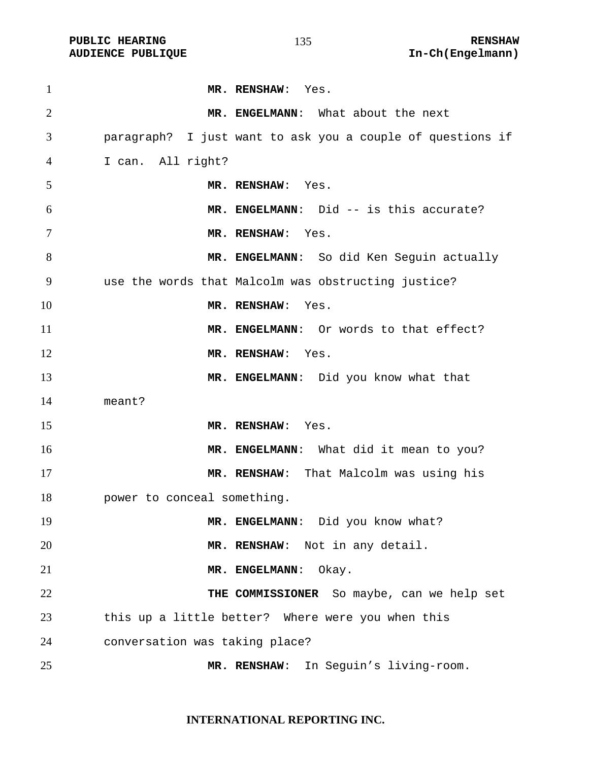| $\mathbf{1}$   | MR. RENSHAW: Yes.                                          |
|----------------|------------------------------------------------------------|
| $\overline{2}$ | MR. ENGELMANN: What about the next                         |
| 3              | paragraph? I just want to ask you a couple of questions if |
| 4              | I can. All right?                                          |
| 5              | MR. RENSHAW: Yes.                                          |
| 6              | MR. ENGELMANN: Did -- is this accurate?                    |
| 7              | MR. RENSHAW: Yes.                                          |
| 8              | MR. ENGELMANN: So did Ken Seguin actually                  |
| 9              | use the words that Malcolm was obstructing justice?        |
| 10             | MR. RENSHAW: Yes.                                          |
| 11             | MR. ENGELMANN: Or words to that effect?                    |
| 12             | MR. RENSHAW: Yes.                                          |
| 13             | MR. ENGELMANN: Did you know what that                      |
| 14             | meant?                                                     |
| 15             | MR. RENSHAW: Yes.                                          |
| 16             | MR. ENGELMANN: What did it mean to you?                    |
| 17             | MR. RENSHAW: That Malcolm was using his                    |
| 18             | power to conceal something.                                |
| 19             | MR. ENGELMANN: Did you know what?                          |
| 20             | MR. RENSHAW: Not in any detail.                            |
| 21             | MR. ENGELMANN:<br>Okay.                                    |
| 22             | THE COMMISSIONER So maybe, can we help set                 |
| 23             | this up a little better? Where were you when this          |
| 24             | conversation was taking place?                             |
| 25             | In Seguin's living-room.<br>MR. RENSHAW:                   |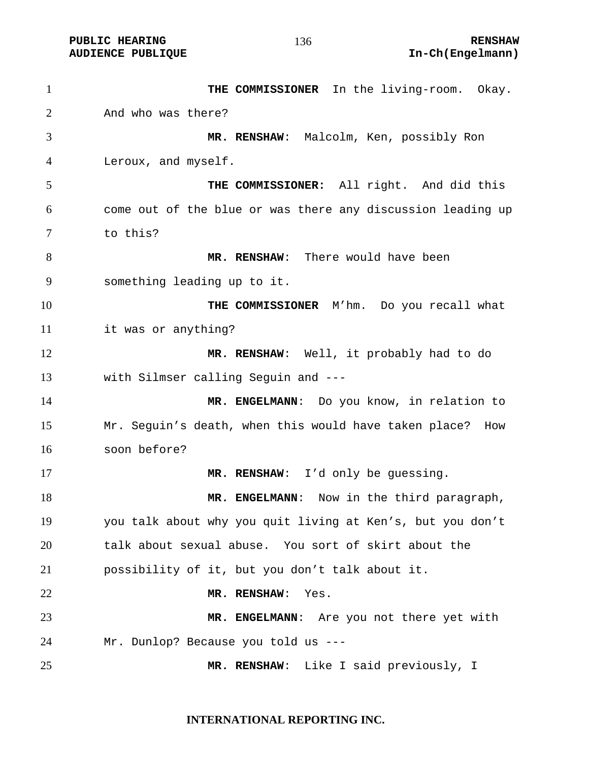| $\mathbf{1}$   | THE COMMISSIONER In the living-room. Okay.                  |
|----------------|-------------------------------------------------------------|
| $\overline{2}$ | And who was there?                                          |
| 3              | MR. RENSHAW: Malcolm, Ken, possibly Ron                     |
| $\overline{4}$ | Leroux, and myself.                                         |
| 5              | THE COMMISSIONER: All right. And did this                   |
| 6              | come out of the blue or was there any discussion leading up |
| 7              | to this?                                                    |
| 8              | MR. RENSHAW: There would have been                          |
| 9              | something leading up to it.                                 |
| 10             | THE COMMISSIONER M'hm. Do you recall what                   |
| 11             | it was or anything?                                         |
| 12             | MR. RENSHAW: Well, it probably had to do                    |
| 13             | with Silmser calling Seguin and ---                         |
| 14             | MR. ENGELMANN: Do you know, in relation to                  |
| 15             | Mr. Seguin's death, when this would have taken place? How   |
| 16             | soon before?                                                |
| 17             | MR. RENSHAW: I'd only be guessing.                          |
| 18             | MR. ENGELMANN: Now in the third paragraph,                  |
| 19             | you talk about why you quit living at Ken's, but you don't  |
| 20             | talk about sexual abuse. You sort of skirt about the        |
| 21             | possibility of it, but you don't talk about it.             |
| 22             | MR. RENSHAW:<br>Yes.                                        |
| 23             | MR. ENGELMANN: Are you not there yet with                   |
| 24             | Mr. Dunlop? Because you told us ---                         |
| 25             | MR. RENSHAW: Like I said previously, I                      |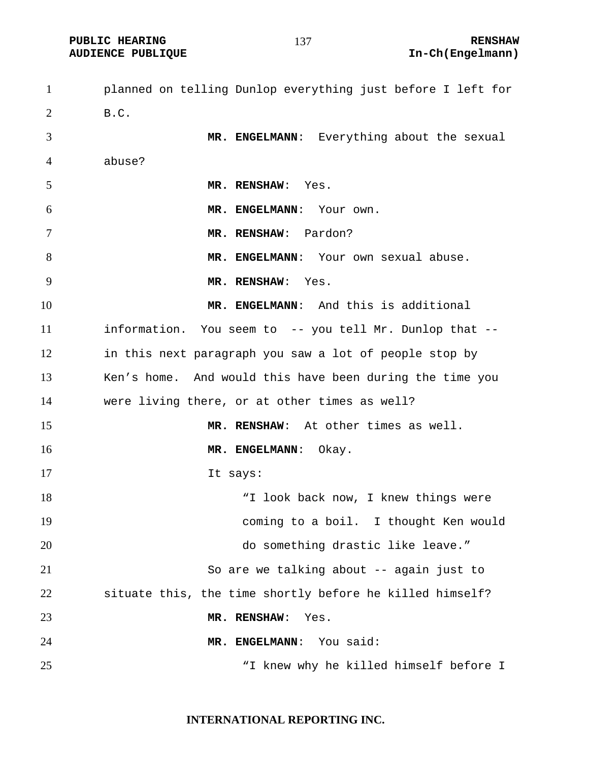planned on telling Dunlop everything just before I left for B.C. **MR. ENGELMANN**: Everything about the sexual abuse? **MR. RENSHAW**: Yes. **MR. ENGELMANN**: Your own. **MR. RENSHAW**: Pardon? **MR. ENGELMANN**: Your own sexual abuse. **MR. RENSHAW**: Yes. **MR. ENGELMANN**: And this is additional information. You seem to -- you tell Mr. Dunlop that -- in this next paragraph you saw a lot of people stop by Ken's home. And would this have been during the time you were living there, or at other times as well? **MR. RENSHAW**: At other times as well. **MR. ENGELMANN:** Okay. 17 It says: 18 T look back now, I knew things were coming to a boil. I thought Ken would do something drastic like leave." So are we talking about -- again just to situate this, the time shortly before he killed himself? **MR. RENSHAW**: Yes. **MR. ENGELMANN**: You said: "I knew why he killed himself before I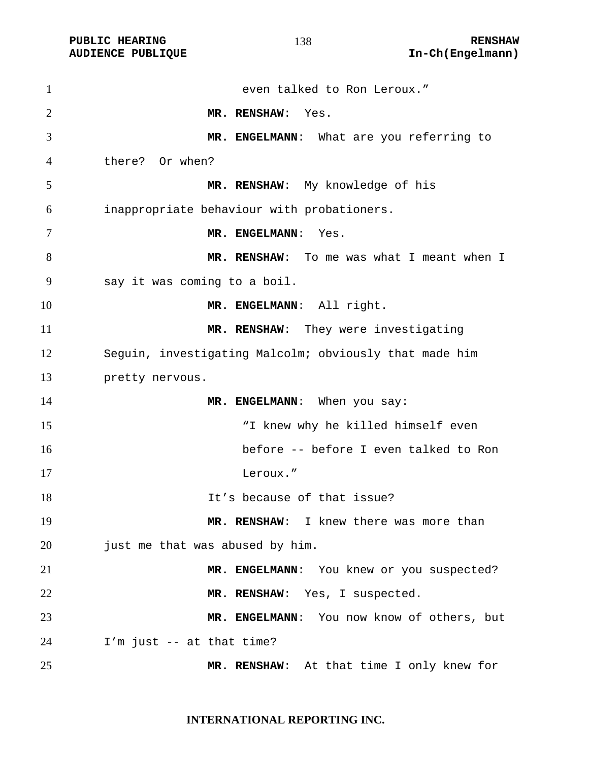| $\mathbf{1}$   | even talked to Ron Leroux."                            |
|----------------|--------------------------------------------------------|
| $\overline{2}$ | MR. RENSHAW:<br>Yes.                                   |
| 3              | MR. ENGELMANN: What are you referring to               |
| 4              | there? Or when?                                        |
| 5              | MR. RENSHAW: My knowledge of his                       |
| 6              | inappropriate behaviour with probationers.             |
| 7              | MR. ENGELMANN: Yes.                                    |
| 8              | MR. RENSHAW: To me was what I meant when I             |
| 9              | say it was coming to a boil.                           |
| 10             | MR. ENGELMANN: All right.                              |
| 11             | MR. RENSHAW: They were investigating                   |
| 12             | Sequin, investigating Malcolm; obviously that made him |
| 13             | pretty nervous.                                        |
| 14             | MR. ENGELMANN: When you say:                           |
| 15             | "I knew why he killed himself even                     |
| 16             | before -- before I even talked to Ron                  |
| 17             | Leroux."                                               |
| 18             | It's because of that issue?                            |
| 19             | MR. RENSHAW: I knew there was more than                |
| 20             | just me that was abused by him.                        |
| 21             | MR. ENGELMANN: You knew or you suspected?              |
| 22             | MR. RENSHAW: Yes, I suspected.                         |
| 23             | MR. ENGELMANN: You now know of others, but             |
| 24             | I'm just -- at that time?                              |
| 25             | MR. RENSHAW: At that time I only knew for              |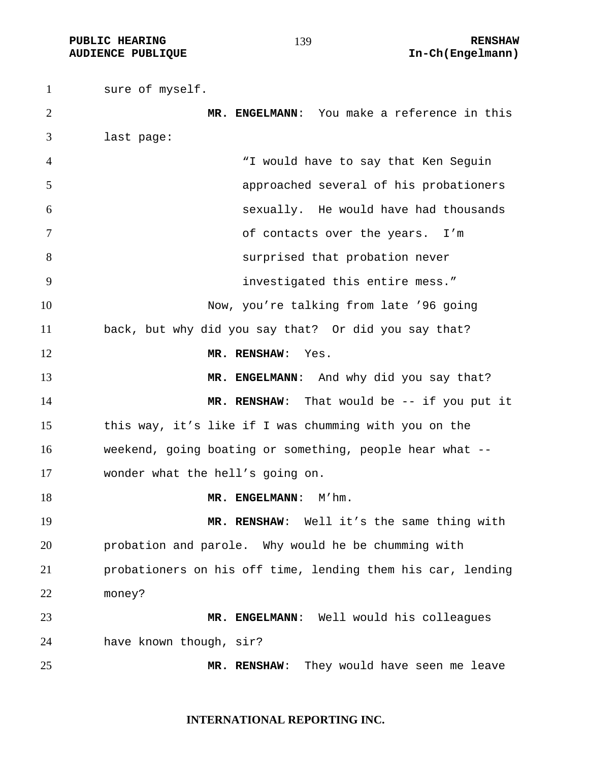**PUBLIC HEARING 139** 139 **RENSHAW** 

sure of myself. **MR. ENGELMANN**: You make a reference in this last page: "I would have to say that Ken Seguin approached several of his probationers sexually. He would have had thousands of contacts over the years. I'm surprised that probation never investigated this entire mess." Now, you're talking from late '96 going back, but why did you say that? Or did you say that? **MR. RENSHAW**: Yes. **MR. ENGELMANN:** And why did you say that? 14 MR. RENSHAW: That would be -- if you put it this way, it's like if I was chumming with you on the weekend, going boating or something, people hear what -- wonder what the hell's going on. 18 MR. ENGELMANN: M'hm. **MR. RENSHAW**: Well it's the same thing with probation and parole. Why would he be chumming with probationers on his off time, lending them his car, lending money? **MR. ENGELMANN**: Well would his colleagues have known though, sir? **MR. RENSHAW**: They would have seen me leave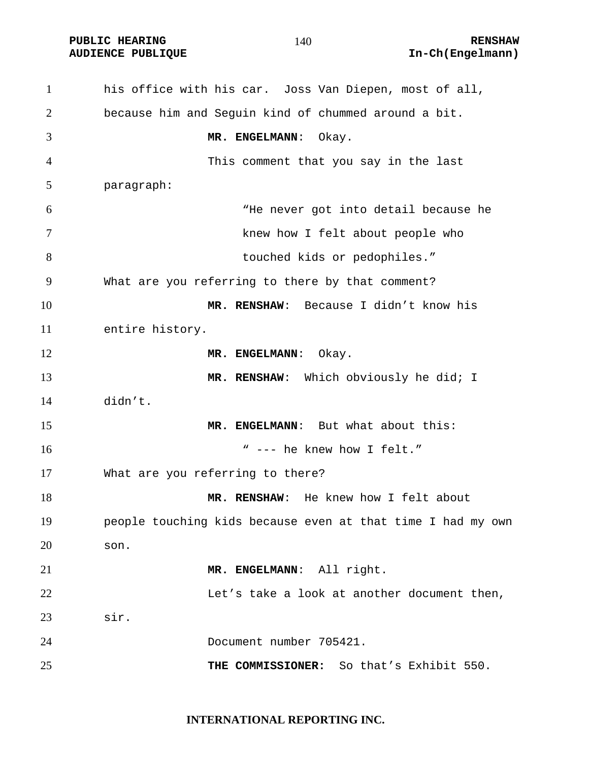**PUBLIC HEARING 140** 140 **RENSHAW** 

#### 

his office with his car. Joss Van Diepen, most of all, because him and Seguin kind of chummed around a bit. **MR. ENGELMANN**: Okay. This comment that you say in the last paragraph: "He never got into detail because he knew how I felt about people who touched kids or pedophiles." What are you referring to there by that comment? **MR. RENSHAW**: Because I didn't know his entire history. **MR. ENGELMANN:** Okay. 13 MR. RENSHAW: Which obviously he did; I didn't. **MR. ENGELMANN**: But what about this: " --- he knew how I felt." What are you referring to there? **MR. RENSHAW:** He knew how I felt about people touching kids because even at that time I had my own son. **MR. ENGELMANN**: All right. 22 Let's take a look at another document then, sir. Document number 705421. **THE COMMISSIONER:** So that's Exhibit 550.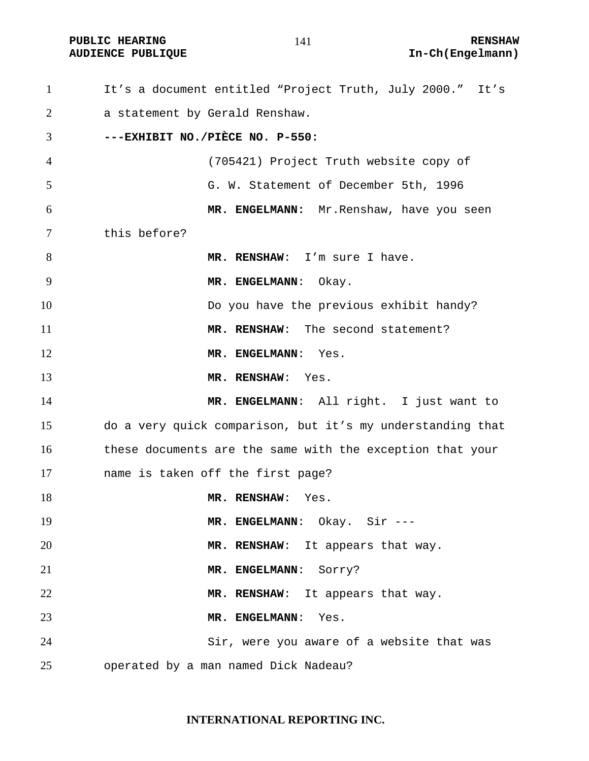It's a document entitled "Project Truth, July 2000." It's a statement by Gerald Renshaw. **---EXHIBIT NO./PIÈCE NO. P-550:**  (705421) Project Truth website copy of G. W. Statement of December 5th, 1996 **MR. ENGELMANN:** Mr.Renshaw, have you seen this before? 8 MR. RENSHAW: I'm sure I have. 9 MR. ENGELMANN: Okay. Do you have the previous exhibit handy? **MR. RENSHAW**: The second statement? 12 MR. ENGELMANN: Yes. **MR. RENSHAW**: Yes. **MR. ENGELMANN**: All right. I just want to do a very quick comparison, but it's my understanding that these documents are the same with the exception that your name is taken off the first page? 18 MR. RENSHAW: Yes. **MR. ENGELMANN**: Okay. Sir --- **MR. RENSHAW**: It appears that way. **MR. ENGELMANN**: Sorry? **MR. RENSHAW**: It appears that way. **MR. ENGELMANN**: Yes. Sir, were you aware of a website that was operated by a man named Dick Nadeau?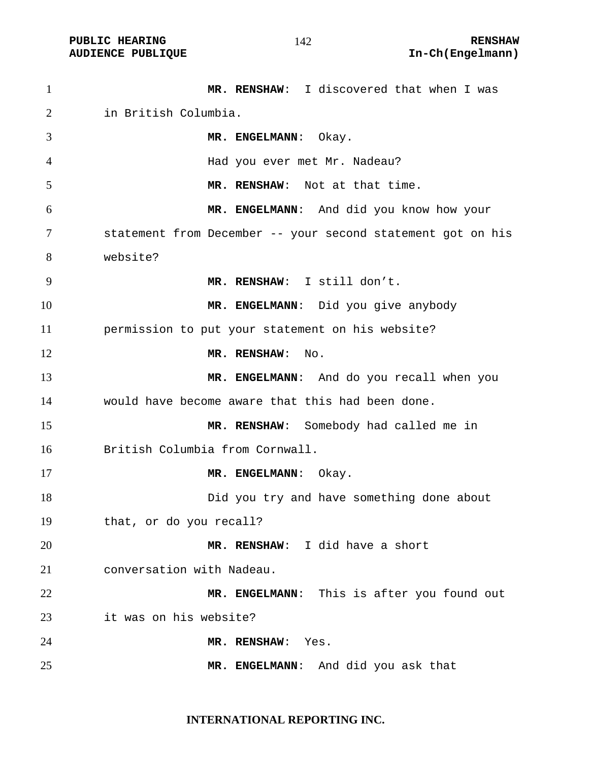#### 

| $\mathbf{1}$   | MR. RENSHAW: I discovered that when I was                   |
|----------------|-------------------------------------------------------------|
| 2              | in British Columbia.                                        |
| 3              | MR. ENGELMANN: Okay.                                        |
| $\overline{4}$ | Had you ever met Mr. Nadeau?                                |
| 5              | MR. RENSHAW: Not at that time.                              |
| 6              | MR. ENGELMANN: And did you know how your                    |
| 7              | statement from December -- your second statement got on his |
| 8              | website?                                                    |
| 9              | MR. RENSHAW: I still don't.                                 |
| 10             | MR. ENGELMANN: Did you give anybody                         |
| 11             | permission to put your statement on his website?            |
| 12             | MR. RENSHAW:<br>No.                                         |
| 13             | MR. ENGELMANN: And do you recall when you                   |
| 14             | would have become aware that this had been done.            |
| 15             | MR. RENSHAW: Somebody had called me in                      |
| 16             | British Columbia from Cornwall.                             |
| 17             | MR. ENGELMANN:<br>Okay.                                     |
| 18             | Did you try and have something done about                   |
| 19             | that, or do you recall?                                     |
| 20             | MR. RENSHAW: I did have a short                             |
| 21             | conversation with Nadeau.                                   |
| 22             | MR. ENGELMANN: This is after you found out                  |
| 23             | it was on his website?                                      |
| 24             | MR. RENSHAW:<br>Yes.                                        |
| 25             | MR. ENGELMANN: And did you ask that                         |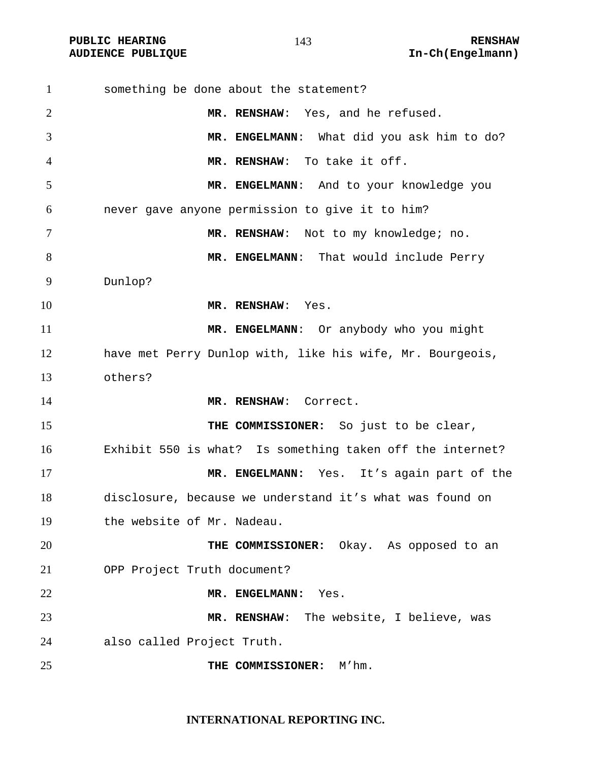| $\mathbf{1}$   | something be done about the statement?                    |
|----------------|-----------------------------------------------------------|
| $\overline{2}$ | MR. RENSHAW: Yes, and he refused.                         |
| 3              | MR. ENGELMANN: What did you ask him to do?                |
| 4              | MR. RENSHAW: To take it off.                              |
| 5              | MR. ENGELMANN: And to your knowledge you                  |
| 6              | never gave anyone permission to give it to him?           |
| 7              | MR. RENSHAW: Not to my knowledge; no.                     |
| 8              | MR. ENGELMANN: That would include Perry                   |
| 9              | Dunlop?                                                   |
| 10             | MR. RENSHAW: Yes.                                         |
| 11             | MR. ENGELMANN: Or anybody who you might                   |
| 12             | have met Perry Dunlop with, like his wife, Mr. Bourgeois, |
| 13             | others?                                                   |
| 14             | MR. RENSHAW: Correct.                                     |
| 15             | THE COMMISSIONER: So just to be clear,                    |
| 16             | Exhibit 550 is what? Is something taken off the internet? |
| 17             | MR. ENGELMANN: Yes. It's again part of the                |
| 18             | disclosure, because we understand it's what was found on  |
| 19             | the website of Mr. Nadeau.                                |
| 20             | THE COMMISSIONER: Okay. As opposed to an                  |
| 21             | OPP Project Truth document?                               |
| 22             | MR. ENGELMANN:<br>Yes.                                    |
| 23             | MR. RENSHAW: The website, I believe, was                  |
| 24             | also called Project Truth.                                |
| 25             | M'hm.<br>THE COMMISSIONER:                                |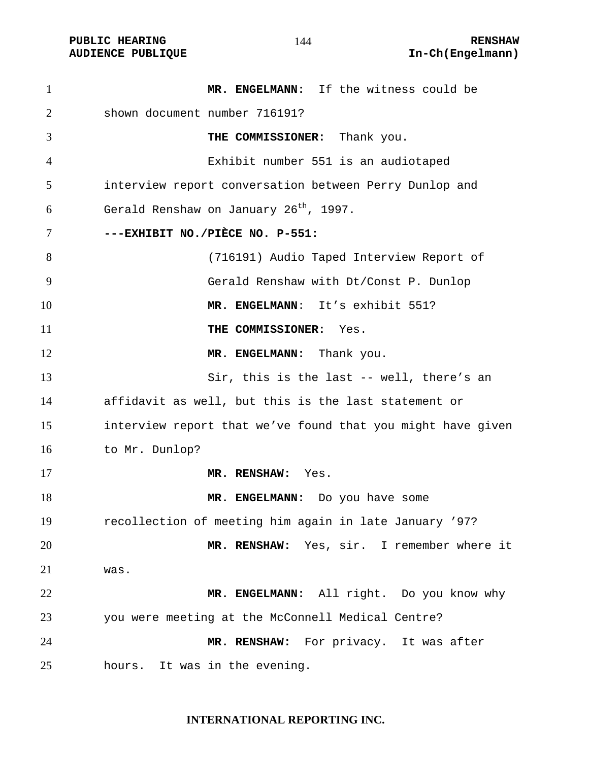**MR. ENGELMANN:** If the witness could be shown document number 716191? **THE COMMISSIONER:** Thank you. Exhibit number 551 is an audiotaped interview report conversation between Perry Dunlop and Gerald Renshaw on January 26<sup>th</sup>, 1997. **---EXHIBIT NO./PIÈCE NO. P-551:**  (716191) Audio Taped Interview Report of Gerald Renshaw with Dt/Const P. Dunlop **MR. ENGELMANN**: It's exhibit 551? **THE COMMISSIONER:** Yes. 12 MR. ENGELMANN: Thank you. Sir, this is the last -- well, there's an affidavit as well, but this is the last statement or interview report that we've found that you might have given to Mr. Dunlop? **MR. RENSHAW:** Yes. **MR. ENGELMANN:** Do you have some recollection of meeting him again in late January '97? **MR. RENSHAW:** Yes, sir. I remember where it was. **MR. ENGELMANN:** All right. Do you know why you were meeting at the McConnell Medical Centre? **MR. RENSHAW:** For privacy. It was after hours. It was in the evening.

#### **INTERNATIONAL REPORTING INC.**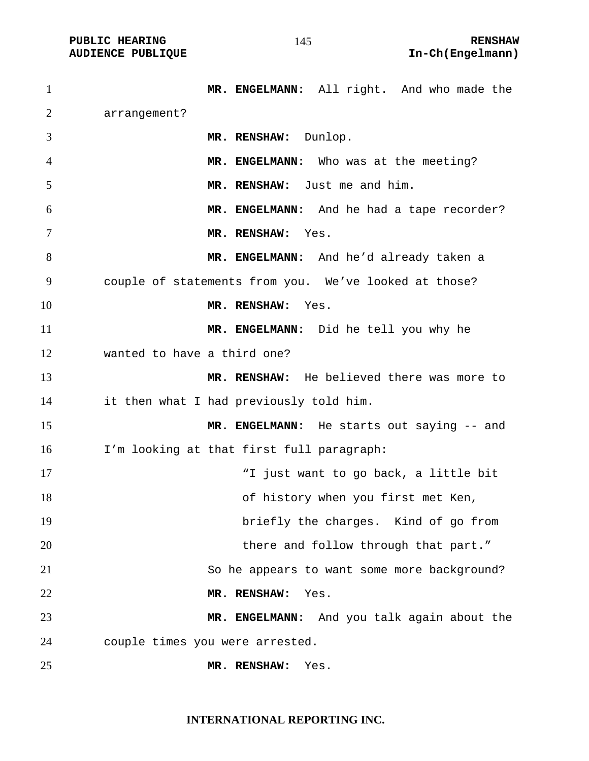| $\mathbf{1}$   | MR. ENGELMANN: All right. And who made the            |
|----------------|-------------------------------------------------------|
| $\overline{2}$ | arrangement?                                          |
| 3              | MR. RENSHAW: Dunlop.                                  |
| $\overline{4}$ | MR. ENGELMANN: Who was at the meeting?                |
| 5              | MR. RENSHAW: Just me and him.                         |
| 6              | MR. ENGELMANN: And he had a tape recorder?            |
| 7              | MR. RENSHAW: Yes.                                     |
| 8              | MR. ENGELMANN: And he'd already taken a               |
| 9              | couple of statements from you. We've looked at those? |
| 10             | MR. RENSHAW: Yes.                                     |
| 11             | MR. ENGELMANN: Did he tell you why he                 |
| 12             | wanted to have a third one?                           |
| 13             | MR. RENSHAW: He believed there was more to            |
| 14             | it then what I had previously told him.               |
| 15             | MR. ENGELMANN: He starts out saying -- and            |
| 16             | I'm looking at that first full paragraph:             |
| 17             | "I just want to go back, a little bit                 |
| 18             | of history when you first met Ken,                    |
| 19             | briefly the charges. Kind of go from                  |
| 20             | there and follow through that part."                  |
| 21             | So he appears to want some more background?           |
| 22             | MR. RENSHAW:<br>Yes.                                  |
| 23             | MR. ENGELMANN: And you talk again about the           |
| 24             | couple times you were arrested.                       |
| 25             | MR. RENSHAW:<br>Yes.                                  |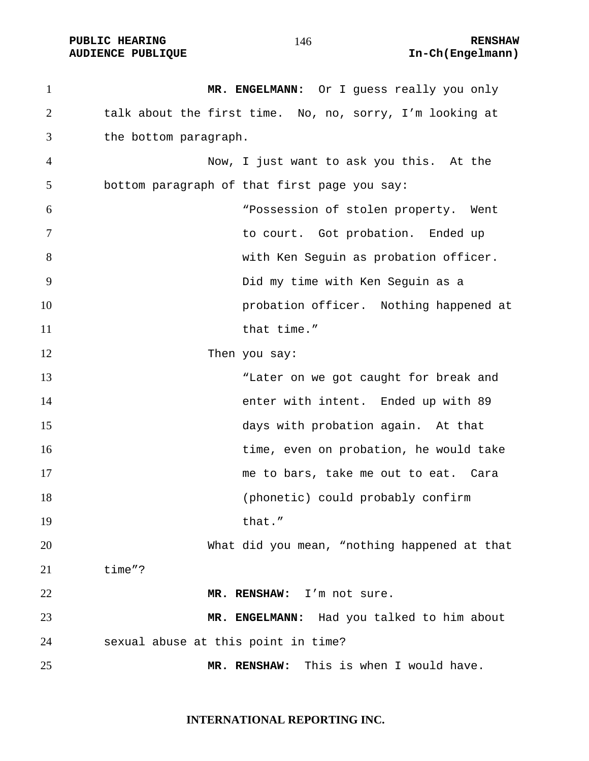PUBLIC HEARING **RENSHAW** 146 **RENSHAW** RENSHAW **RENSHAW RENSHAW AUDIENCE PUBLIQUE** 

| $\mathbf{1}$   | MR. ENGELMANN: Or I guess really you only                |
|----------------|----------------------------------------------------------|
| $\overline{2}$ | talk about the first time. No, no, sorry, I'm looking at |
| 3              | the bottom paragraph.                                    |
| 4              | Now, I just want to ask you this. At the                 |
| 5              | bottom paragraph of that first page you say:             |
| 6              | "Possession of stolen property. Went                     |
| 7              | to court. Got probation. Ended up                        |
| 8              | with Ken Seguin as probation officer.                    |
| 9              | Did my time with Ken Seguin as a                         |
| 10             | probation officer. Nothing happened at                   |
| 11             | that time."                                              |
| 12             | Then you say:                                            |
| 13             | "Later on we got caught for break and                    |
| 14             | enter with intent. Ended up with 89                      |
| 15             | days with probation again. At that                       |
| 16             | time, even on probation, he would take                   |
| 17             | me to bars, take me out to eat. Cara                     |
| 18             | (phonetic) could probably confirm                        |
| 19             | that."                                                   |
| 20             | What did you mean, "nothing happened at that             |
| 21             | time"?                                                   |
| 22             | MR. RENSHAW: I'm not sure.                               |
| 23             | MR. ENGELMANN: Had you talked to him about               |
| 24             | sexual abuse at this point in time?                      |
| 25             | This is when I would have.<br>MR. RENSHAW:               |

**INTERNATIONAL REPORTING INC.**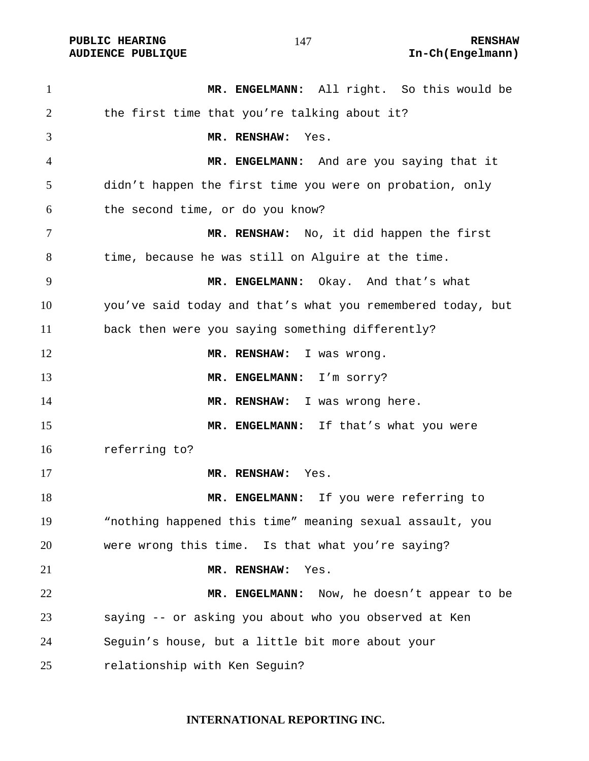**PUBLIC HEARING 147** 147 **RENSHAW AUDIENCE PUBLIQUE International Contract Contract Contract Contract Contract Contract Contract Contract Contract Contract Contract Contract Contract Contract Contract Contract Contract Contract Contract Contract Contract** 

**MR. ENGELMANN:** All right. So this would be the first time that you're talking about it? **MR. RENSHAW:** Yes. **MR. ENGELMANN:** And are you saying that it didn't happen the first time you were on probation, only the second time, or do you know? **MR. RENSHAW:** No, it did happen the first time, because he was still on Alguire at the time. **MR. ENGELMANN:** Okay. And that's what you've said today and that's what you remembered today, but back then were you saying something differently? 12 MR. RENSHAW: I was wrong. **MR. ENGELMANN:** I'm sorry? 14 MR. RENSHAW: I was wrong here. 15 MR. ENGELMANN: If that's what you were referring to? **MR. RENSHAW:** Yes. **MR. ENGELMANN:** If you were referring to "nothing happened this time" meaning sexual assault, you were wrong this time. Is that what you're saying? **MR. RENSHAW:** Yes. **MR. ENGELMANN:** Now, he doesn't appear to be saying -- or asking you about who you observed at Ken Seguin's house, but a little bit more about your relationship with Ken Seguin?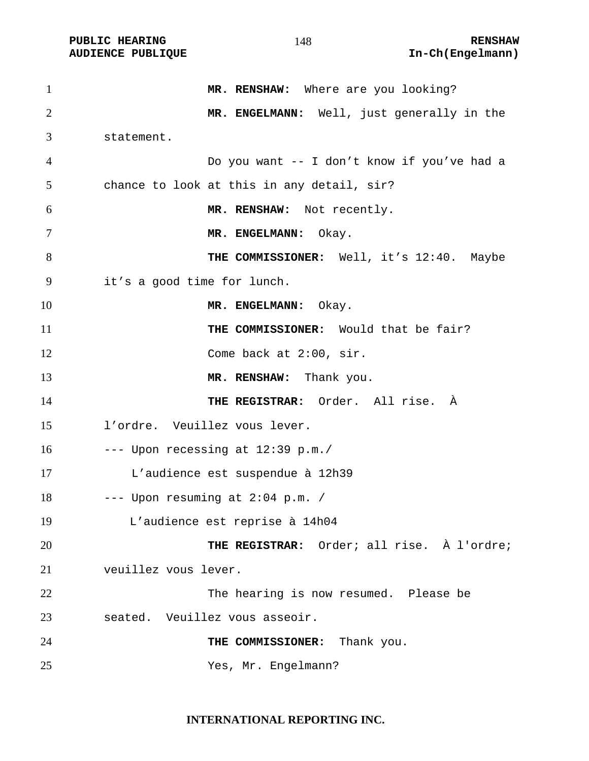PUBLIC HEARING **RENSHAW** 148 **RENSHAW** RENSHAW **RENSHAW RENSHAW AUDIENCE PUBLIQUE** 

| $\mathbf{1}$   | MR. RENSHAW: Where are you looking?         |
|----------------|---------------------------------------------|
| $\overline{2}$ | MR. ENGELMANN: Well, just generally in the  |
| 3              | statement.                                  |
| 4              | Do you want -- I don't know if you've had a |
| 5              | chance to look at this in any detail, sir?  |
| 6              | MR. RENSHAW: Not recently.                  |
| 7              | MR. ENGELMANN: Okay.                        |
| 8              | THE COMMISSIONER: Well, it's 12:40. Maybe   |
| 9              | it's a good time for lunch.                 |
| 10             | MR. ENGELMANN: Okay.                        |
| 11             | THE COMMISSIONER: Would that be fair?       |
| 12             | Come back at 2:00, sir.                     |
| 13             | MR. RENSHAW: Thank you.                     |
| 14             | THE REGISTRAR: Order. All rise. À           |
| 15             | l'ordre. Veuillez vous lever.               |
| 16             | $---$ Upon recessing at $12:39$ p.m./       |
| 17             | L'audience est suspendue à 12h39            |
| 18             | --- Upon resuming at 2:04 p.m. /            |
| 19             | L'audience est reprise à 14h04              |
| 20             | THE REGISTRAR: Order; all rise. À l'ordre;  |
| 21             | veuillez vous lever.                        |
| 22             | The hearing is now resumed. Please be       |
| 23             | seated. Veuillez vous asseoir.              |
| 24             | THE COMMISSIONER: Thank you.                |
| 25             | Yes, Mr. Engelmann?                         |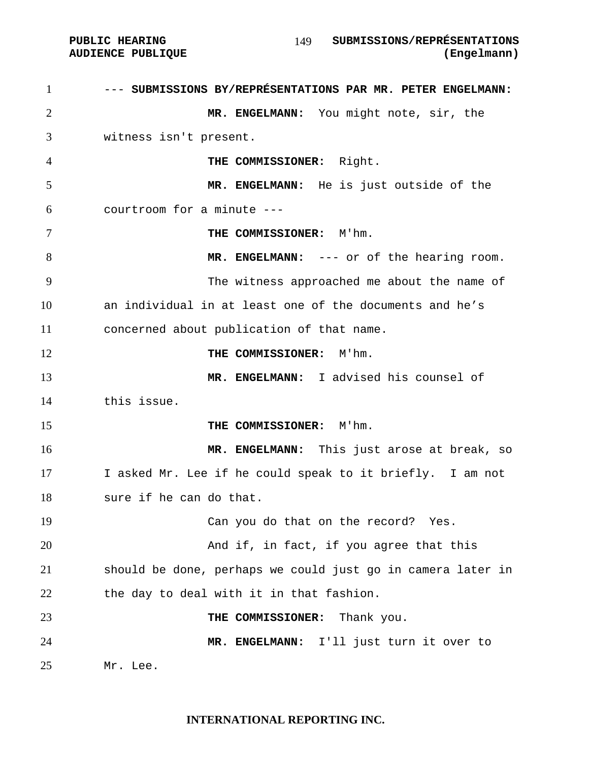1 --- SUBMISSIONS BY/REPRÉSENTATIONS PAR MR. PETER ENGELMANN: **MR. ENGELMANN:** You might note, sir, the witness isn't present. **THE COMMISSIONER:** Right. **MR. ENGELMANN:** He is just outside of the courtroom for a minute --- **THE COMMISSIONER:** M'hm. **MR. ENGELMANN:** --- or of the hearing room. The witness approached me about the name of an individual in at least one of the documents and he's concerned about publication of that name. **THE COMMISSIONER:** M'hm. **MR. ENGELMANN:** I advised his counsel of this issue. **THE COMMISSIONER:** M'hm. **MR. ENGELMANN:** This just arose at break, so I asked Mr. Lee if he could speak to it briefly. I am not sure if he can do that. Can you do that on the record? Yes. And if, in fact, if you agree that this should be done, perhaps we could just go in camera later in 22 the day to deal with it in that fashion. **THE COMMISSIONER:** Thank you. **MR. ENGELMANN:** I'll just turn it over to Mr. Lee.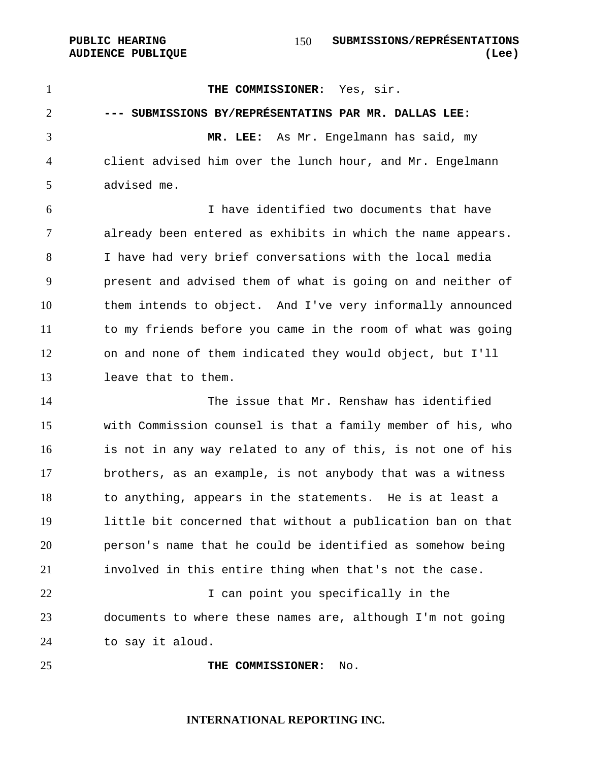**PUBLIC HEARING SUBMISSIONS/REPRÉSENTATIONS AUDIENCE PUBLIQUE (Lee)**  

1 THE COMMISSIONER: Yes, sir. **--- SUBMISSIONS BY/REPRÉSENTATINS PAR MR. DALLAS LEE: MR. LEE:** As Mr. Engelmann has said, my client advised him over the lunch hour, and Mr. Engelmann advised me. I have identified two documents that have already been entered as exhibits in which the name appears. I have had very brief conversations with the local media present and advised them of what is going on and neither of them intends to object. And I've very informally announced to my friends before you came in the room of what was going on and none of them indicated they would object, but I'll leave that to them. The issue that Mr. Renshaw has identified with Commission counsel is that a family member of his, who is not in any way related to any of this, is not one of his brothers, as an example, is not anybody that was a witness to anything, appears in the statements. He is at least a little bit concerned that without a publication ban on that person's name that he could be identified as somehow being involved in this entire thing when that's not the case. 22 I can point you specifically in the documents to where these names are, although I'm not going to say it aloud. **THE COMMISSIONER:** No.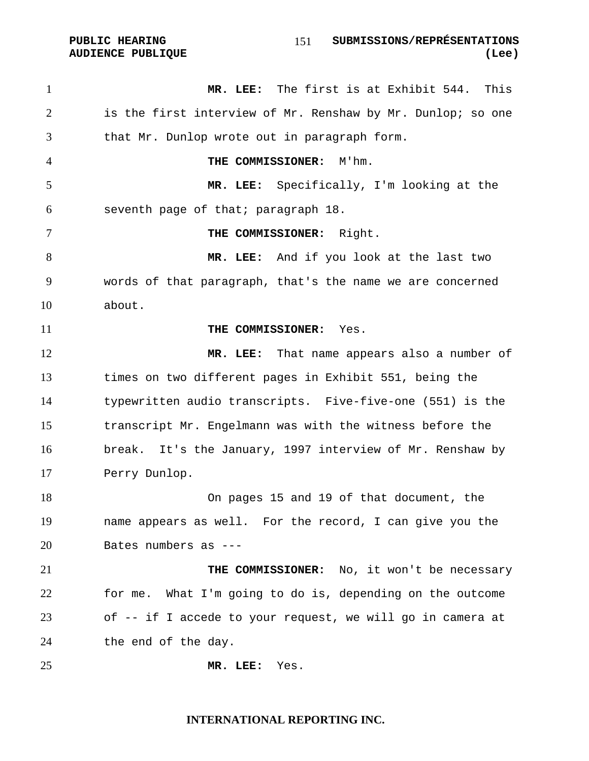| PUBLIC HEARING           |  |
|--------------------------|--|
| <b>AUDIENCE PUBLIOUE</b> |  |
|                          |  |

**MR. LEE:** The first is at Exhibit 544. This is the first interview of Mr. Renshaw by Mr. Dunlop; so one that Mr. Dunlop wrote out in paragraph form. **THE COMMISSIONER:** M'hm. **MR. LEE:** Specifically, I'm looking at the seventh page of that; paragraph 18. **THE COMMISSIONER:** Right. **MR. LEE:** And if you look at the last two words of that paragraph, that's the name we are concerned about. **THE COMMISSIONER:** Yes. **MR. LEE:** That name appears also a number of times on two different pages in Exhibit 551, being the typewritten audio transcripts. Five-five-one (551) is the transcript Mr. Engelmann was with the witness before the break. It's the January, 1997 interview of Mr. Renshaw by Perry Dunlop. On pages 15 and 19 of that document, the name appears as well. For the record, I can give you the Bates numbers as --- **THE COMMISSIONER:** No, it won't be necessary for me. What I'm going to do is, depending on the outcome of -- if I accede to your request, we will go in camera at the end of the day. **MR. LEE:** Yes.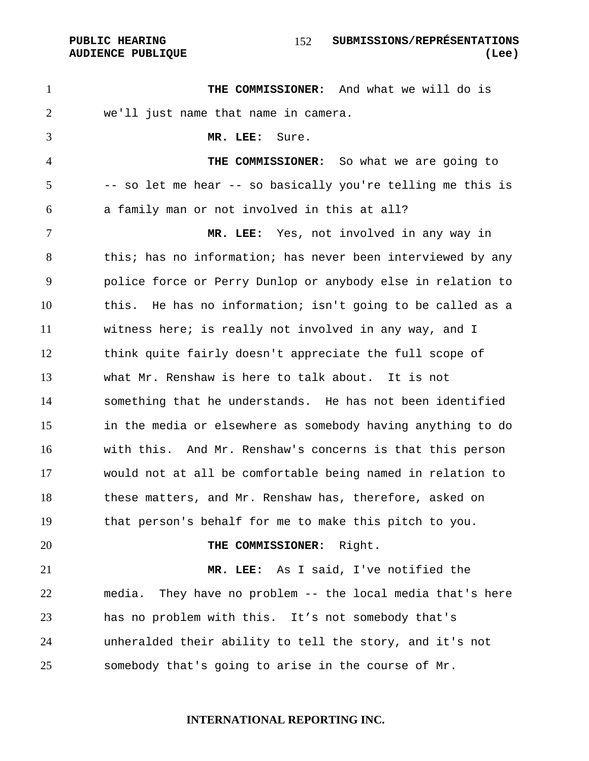#### PUBLIC HEARING **SUBMISSIONS/REPRÉSENTATIONS AUDIENCE PUBLIQUE (Lee)**

**THE COMMISSIONER:** And what we will do is we'll just name that name in camera. **MR. LEE:** Sure. **THE COMMISSIONER:** So what we are going to -- so let me hear -- so basically you're telling me this is a family man or not involved in this at all? **MR. LEE:** Yes, not involved in any way in 8 this; has no information; has never been interviewed by any police force or Perry Dunlop or anybody else in relation to this. He has no information; isn't going to be called as a witness here; is really not involved in any way, and I think quite fairly doesn't appreciate the full scope of what Mr. Renshaw is here to talk about. It is not something that he understands. He has not been identified in the media or elsewhere as somebody having anything to do with this. And Mr. Renshaw's concerns is that this person would not at all be comfortable being named in relation to these matters, and Mr. Renshaw has, therefore, asked on that person's behalf for me to make this pitch to you. **THE COMMISSIONER:** Right. **MR. LEE:** As I said, I've notified the media. They have no problem -- the local media that's here has no problem with this. It's not somebody that's unheralded their ability to tell the story, and it's not somebody that's going to arise in the course of Mr.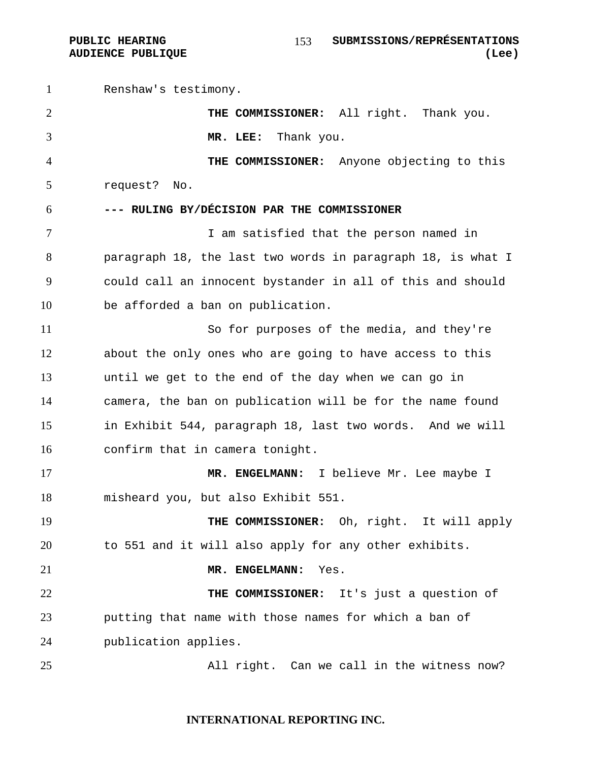Renshaw's testimony. **THE COMMISSIONER:** All right. Thank you. **MR. LEE:** Thank you. **THE COMMISSIONER:** Anyone objecting to this request? No. **--- RULING BY/DÉCISION PAR THE COMMISSIONER**  I am satisfied that the person named in paragraph 18, the last two words in paragraph 18, is what I could call an innocent bystander in all of this and should be afforded a ban on publication. So for purposes of the media, and they're about the only ones who are going to have access to this until we get to the end of the day when we can go in camera, the ban on publication will be for the name found in Exhibit 544, paragraph 18, last two words. And we will confirm that in camera tonight. **MR. ENGELMANN:** I believe Mr. Lee maybe I misheard you, but also Exhibit 551. **THE COMMISSIONER:** Oh, right. It will apply to 551 and it will also apply for any other exhibits. **MR. ENGELMANN:** Yes. **THE COMMISSIONER:** It's just a question of putting that name with those names for which a ban of publication applies. All right. Can we call in the witness now?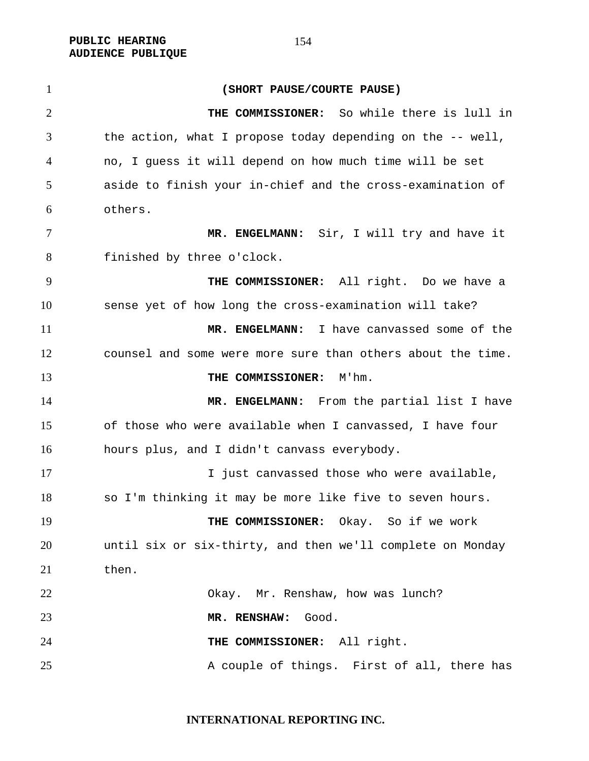**PUBLIC HEARING AUDIENCE PUBLIQUE** 

**(SHORT PAUSE/COURTE PAUSE) THE COMMISSIONER:** So while there is lull in the action, what I propose today depending on the -- well, no, I guess it will depend on how much time will be set aside to finish your in-chief and the cross-examination of others. **MR. ENGELMANN:** Sir, I will try and have it finished by three o'clock. **THE COMMISSIONER:** All right. Do we have a sense yet of how long the cross-examination will take? **MR. ENGELMANN:** I have canvassed some of the counsel and some were more sure than others about the time. **THE COMMISSIONER:** M'hm. 14 MR. ENGELMANN: From the partial list I have of those who were available when I canvassed, I have four hours plus, and I didn't canvass everybody. **I** just canvassed those who were available, so I'm thinking it may be more like five to seven hours. **THE COMMISSIONER:** Okay. So if we work until six or six-thirty, and then we'll complete on Monday 21 then. Okay. Mr. Renshaw, how was lunch? **MR. RENSHAW:** Good. **THE COMMISSIONER:** All right. 25 A couple of things. First of all, there has

**INTERNATIONAL REPORTING INC.**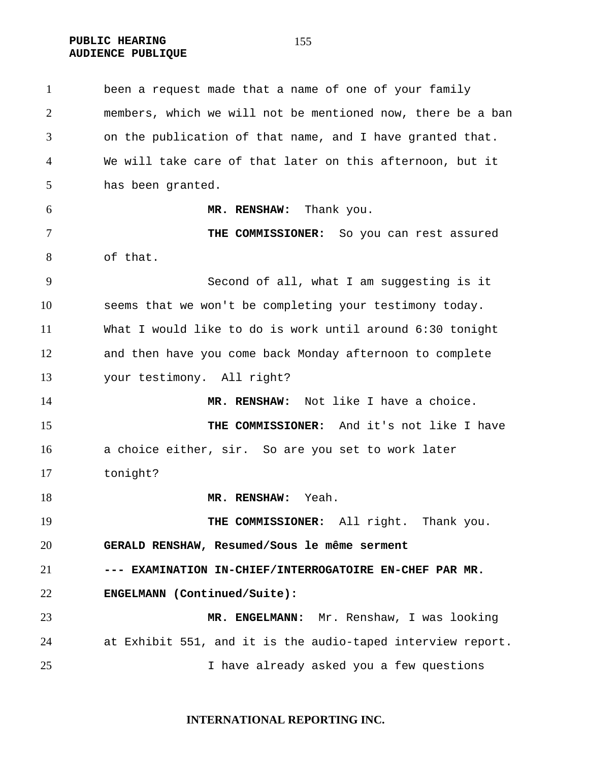**PUBLIC HEARING AUDIENCE PUBLIQUE** 

been a request made that a name of one of your family members, which we will not be mentioned now, there be a ban on the publication of that name, and I have granted that. We will take care of that later on this afternoon, but it has been granted. **MR. RENSHAW:** Thank you. **THE COMMISSIONER:** So you can rest assured of that. Second of all, what I am suggesting is it seems that we won't be completing your testimony today. What I would like to do is work until around 6:30 tonight and then have you come back Monday afternoon to complete your testimony. All right? **MR. RENSHAW:** Not like I have a choice. **THE COMMISSIONER:** And it's not like I have a choice either, sir. So are you set to work later tonight? **MR. RENSHAW:** Yeah. 19 THE COMMISSIONER: All right. Thank you. **GERALD RENSHAW, Resumed/Sous le même serment --- EXAMINATION IN-CHIEF/INTERROGATOIRE EN-CHEF PAR MR. ENGELMANN (Continued/Suite): MR. ENGELMANN:** Mr. Renshaw, I was looking at Exhibit 551, and it is the audio-taped interview report. I have already asked you a few questions

**INTERNATIONAL REPORTING INC.**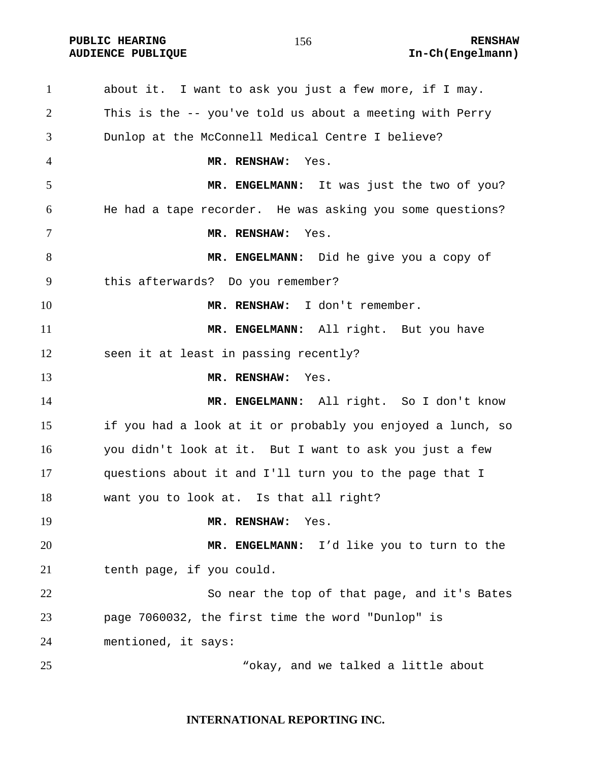**PUBLIC HEARING 156** 156 **RENSHAW** 

about it. I want to ask you just a few more, if I may. This is the -- you've told us about a meeting with Perry Dunlop at the McConnell Medical Centre I believe? **MR. RENSHAW:** Yes. **MR. ENGELMANN:** It was just the two of you? He had a tape recorder. He was asking you some questions? **MR. RENSHAW:** Yes. **MR. ENGELMANN:** Did he give you a copy of this afterwards? Do you remember? **MR. RENSHAW:** I don't remember. 11 MR. ENGELMANN: All right. But you have seen it at least in passing recently? **MR. RENSHAW:** Yes. **MR. ENGELMANN:** All right. So I don't know if you had a look at it or probably you enjoyed a lunch, so you didn't look at it. But I want to ask you just a few questions about it and I'll turn you to the page that I want you to look at. Is that all right? **MR. RENSHAW:** Yes. **MR. ENGELMANN:** I'd like you to turn to the tenth page, if you could. So near the top of that page, and it's Bates page 7060032, the first time the word "Dunlop" is mentioned, it says: "okay, and we talked a little about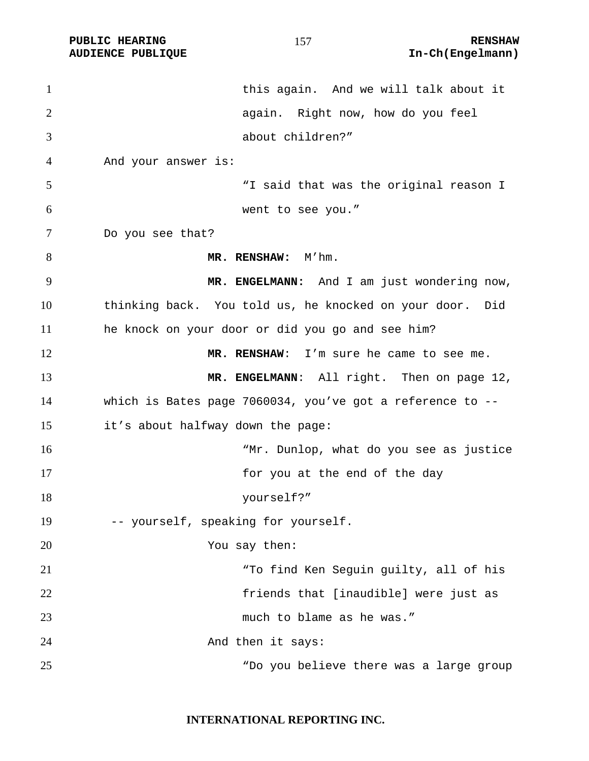PUBLIC HEARING **RENSHAW** 157 **RENSHAW** RENSHAW **RENSHAW RENSHAW AUDIENCE PUBLIQUE** 

| $\mathbf{1}$   | this again. And we will talk about it                     |
|----------------|-----------------------------------------------------------|
| $\overline{2}$ | again. Right now, how do you feel                         |
| 3              | about children?"                                          |
| 4              | And your answer is:                                       |
| 5              | "I said that was the original reason I                    |
| 6              | went to see you."                                         |
| 7              | Do you see that?                                          |
| 8              | MR. RENSHAW: M'hm.                                        |
| 9              | MR. ENGELMANN: And I am just wondering now,               |
| 10             | thinking back. You told us, he knocked on your door. Did  |
| 11             | he knock on your door or did you go and see him?          |
| 12             | MR. RENSHAW: I'm sure he came to see me.                  |
| 13             | MR. ENGELMANN: All right. Then on page 12,                |
| 14             | which is Bates page 7060034, you've got a reference to -- |
| 15             | it's about halfway down the page:                         |
| 16             | "Mr. Dunlop, what do you see as justice                   |
| 17             | for you at the end of the day                             |
| 18             | yourself?"                                                |
| 19             | -- yourself, speaking for yourself.                       |
| 20             | You say then:                                             |
| 21             | "To find Ken Seguin guilty, all of his                    |
| 22             | friends that [inaudible] were just as                     |
| 23             | much to blame as he was."                                 |
| 24             | And then it says:                                         |
| 25             | "Do you believe there was a large group                   |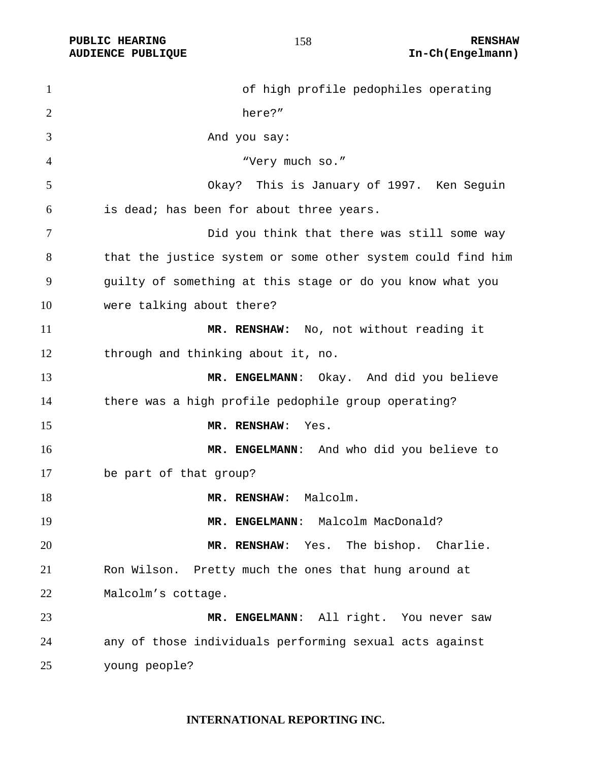| $\mathbf{1}$   | of high profile pedophiles operating                        |
|----------------|-------------------------------------------------------------|
| $\overline{2}$ | here?"                                                      |
| 3              | And you say:                                                |
| 4              | "Very much so."                                             |
| 5              | Okay? This is January of 1997. Ken Seguin                   |
| 6              | is dead; has been for about three years.                    |
| 7              | Did you think that there was still some way                 |
| 8              | that the justice system or some other system could find him |
| 9              | guilty of something at this stage or do you know what you   |
| 10             | were talking about there?                                   |
| 11             | MR. RENSHAW: No, not without reading it                     |
| 12             | through and thinking about it, no.                          |
| 13             | MR. ENGELMANN: Okay. And did you believe                    |
| 14             | there was a high profile pedophile group operating?         |
| 15             | MR. RENSHAW:<br>Yes.                                        |
| 16             | MR. ENGELMANN: And who did you believe to                   |
| 17             | be part of that group?                                      |
| 18             | MR. RENSHAW: Malcolm.                                       |
| 19             | MR. ENGELMANN: Malcolm MacDonald?                           |
| 20             | MR. RENSHAW: Yes. The bishop. Charlie.                      |
| 21             | Ron Wilson. Pretty much the ones that hung around at        |
| 22             | Malcolm's cottage.                                          |
| 23             | MR. ENGELMANN: All right. You never saw                     |
| 24             | any of those individuals performing sexual acts against     |
| 25             | young people?                                               |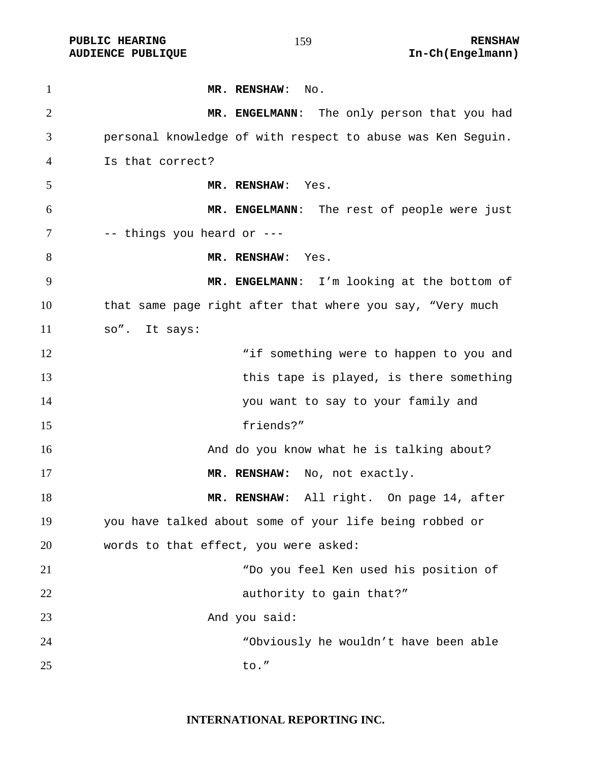| $\mathbf{1}$   | MR. RENSHAW: No.                                            |
|----------------|-------------------------------------------------------------|
| $\overline{2}$ | MR. ENGELMANN: The only person that you had                 |
| 3              | personal knowledge of with respect to abuse was Ken Sequin. |
| 4              | Is that correct?                                            |
| 5              | MR. RENSHAW: Yes.                                           |
| 6              | MR. ENGELMANN: The rest of people were just                 |
| 7              | -- things you heard or ---                                  |
| 8              | MR. RENSHAW: Yes.                                           |
| 9              | MR. ENGELMANN: I'm looking at the bottom of                 |
| 10             | that same page right after that where you say, "Very much   |
| 11             | so". It says:                                               |
| 12             | "if something were to happen to you and                     |
| 13             | this tape is played, is there something                     |
| 14             | you want to say to your family and                          |
| 15             | friends?"                                                   |
| 16             | And do you know what he is talking about?                   |
| 17             | MR. RENSHAW: No, not exactly.                               |
| 18             | MR. RENSHAW: All right. On page 14, after                   |
| 19             | you have talked about some of your life being robbed or     |
| 20             | words to that effect, you were asked:                       |
| 21             | "Do you feel Ken used his position of                       |
| 22             | authority to gain that?"                                    |
| 23             | And you said:                                               |
| 24             | "Obviously he wouldn't have been able                       |
| 25             | to."                                                        |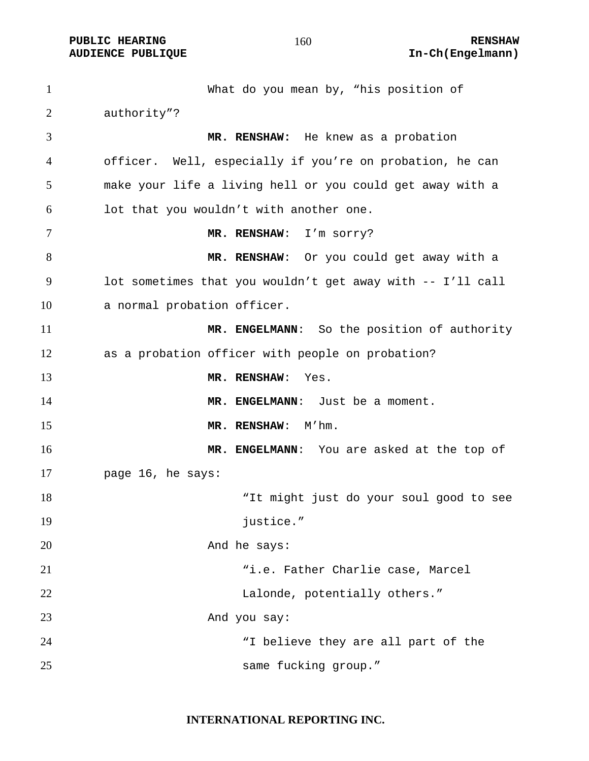**PUBLIC HEARING 160** 160 RENSHAW **AUDIENCE PUBLIQUE International Contract Contract Contract Contract Contract Contract Contract Contract Contract Contract Contract Contract Contract Contract Contract Contract Contract Contract Contract Contract Contract** 

What do you mean by, "his position of authority"? **MR. RENSHAW:** He knew as a probation officer. Well, especially if you're on probation, he can make your life a living hell or you could get away with a lot that you wouldn't with another one. **MR. RENSHAW**: I'm sorry? **MR. RENSHAW**: Or you could get away with a lot sometimes that you wouldn't get away with -- I'll call a normal probation officer. **MR. ENGELMANN**: So the position of authority as a probation officer with people on probation? **MR. RENSHAW**: Yes. **MR. ENGELMANN**: Just be a moment. 15 MR. RENSHAW: M'hm. **MR. ENGELMANN**: You are asked at the top of page 16, he says: "It might just do your soul good to see 19 justice." 20 And he says: "i.e. Father Charlie case, Marcel Lalonde, potentially others." And you say: "I believe they are all part of the same fucking group."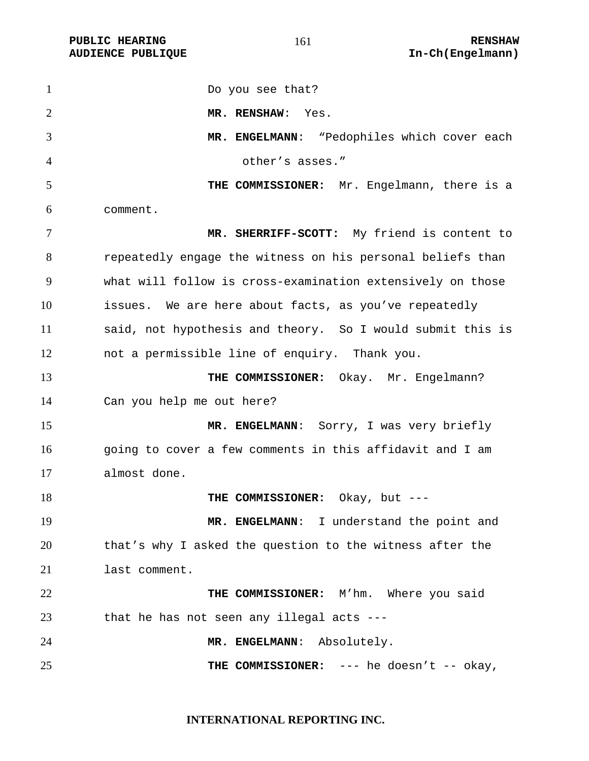1 Do you see that? **MR. RENSHAW**: Yes. **MR. ENGELMANN**: "Pedophiles which cover each other's asses." **THE COMMISSIONER:** Mr. Engelmann, there is a comment. **MR. SHERRIFF-SCOTT:** My friend is content to repeatedly engage the witness on his personal beliefs than what will follow is cross-examination extensively on those issues. We are here about facts, as you've repeatedly said, not hypothesis and theory. So I would submit this is not a permissible line of enquiry. Thank you. **THE COMMISSIONER:** Okay. Mr. Engelmann? Can you help me out here? **MR. ENGELMANN**: Sorry, I was very briefly going to cover a few comments in this affidavit and I am almost done. **THE COMMISSIONER:** Okay, but ---19 MR. ENGELMANN: I understand the point and that's why I asked the question to the witness after the last comment. **THE COMMISSIONER:** M'hm. Where you said that he has not seen any illegal acts --- **MR. ENGELMANN**: Absolutely. 25 THE COMMISSIONER: --- he doesn't -- okay,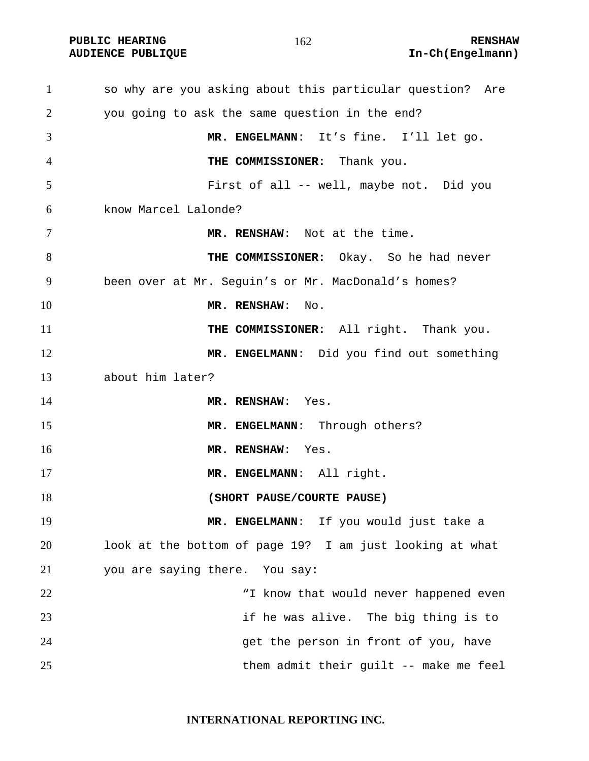**PUBLIC HEARING 162** 162

# **AUDIENCE PUBLIQUE International Contract Contract Contract Contract Contract Contract Contract Contract Contract Contract Contract Contract Contract Contract Contract Contract Contract Contract Contract Contract Contract**

so why are you asking about this particular question? Are you going to ask the same question in the end? **MR. ENGELMANN**: It's fine. I'll let go. **THE COMMISSIONER:** Thank you. First of all -- well, maybe not. Did you know Marcel Lalonde? **MR. RENSHAW**: Not at the time. **THE COMMISSIONER:** Okay. So he had never been over at Mr. Seguin's or Mr. MacDonald's homes? **MR. RENSHAW:** No. 11 THE COMMISSIONER: All right. Thank you. **MR. ENGELMANN**: Did you find out something about him later? **MR. RENSHAW**: Yes. 15 MR. ENGELMANN: Through others? 16 MR. RENSHAW: Yes. **MR. ENGELMANN**: All right. **(SHORT PAUSE/COURTE PAUSE) MR. ENGELMANN**: If you would just take a look at the bottom of page 19? I am just looking at what you are saying there. You say: 22 The Mark Mark Mark Mark Would never happened even if he was alive. The big thing is to get the person in front of you, have them admit their guilt -- make me feel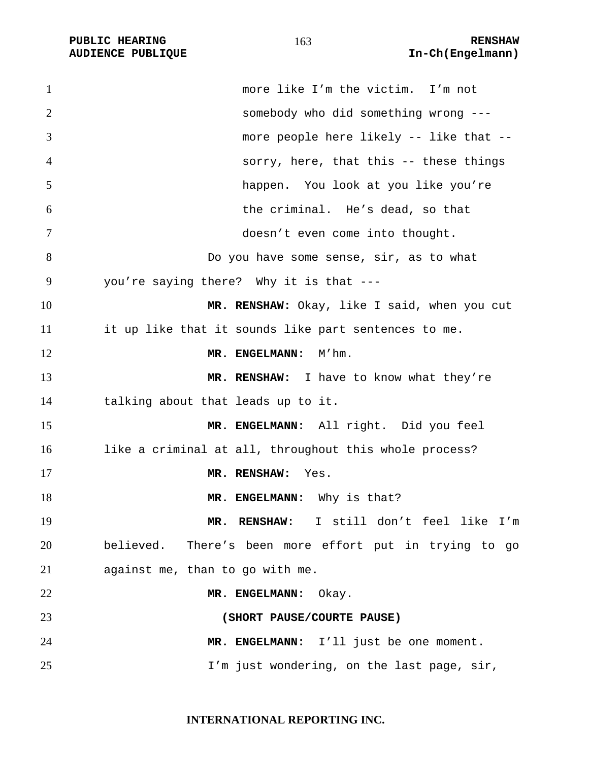| $\mathbf{1}$ | more like I'm the victim. I'm not                      |
|--------------|--------------------------------------------------------|
| 2            | somebody who did something wrong ---                   |
| 3            | more people here likely -- like that --                |
| 4            | sorry, here, that this -- these things                 |
| 5            | happen. You look at you like you're                    |
| 6            | the criminal. He's dead, so that                       |
| 7            | doesn't even come into thought.                        |
| 8            | Do you have some sense, sir, as to what                |
| 9            | you're saying there? Why it is that ---                |
| 10           | MR. RENSHAW: Okay, like I said, when you cut           |
| 11           | it up like that it sounds like part sentences to me.   |
| 12           | M'hm.<br>MR. ENGELMANN:                                |
| 13           | MR. RENSHAW: I have to know what they're               |
| 14           | talking about that leads up to it.                     |
| 15           | MR. ENGELMANN: All right. Did you feel                 |
| 16           | like a criminal at all, throughout this whole process? |
| 17           | MR. RENSHAW:<br>Yes.                                   |
| 18           | MR. ENGELMANN: Why is that?                            |
| 19           | MR. RENSHAW: I still don't feel like I'm               |
| 20           | believed. There's been more effort put in trying to go |
| 21           | against me, than to go with me.                        |
| 22           | MR. ENGELMANN: Okay.                                   |
| 23           | (SHORT PAUSE/COURTE PAUSE)                             |
| 24           | MR. ENGELMANN: I'll just be one moment.                |
| 25           | I'm just wondering, on the last page, sir,             |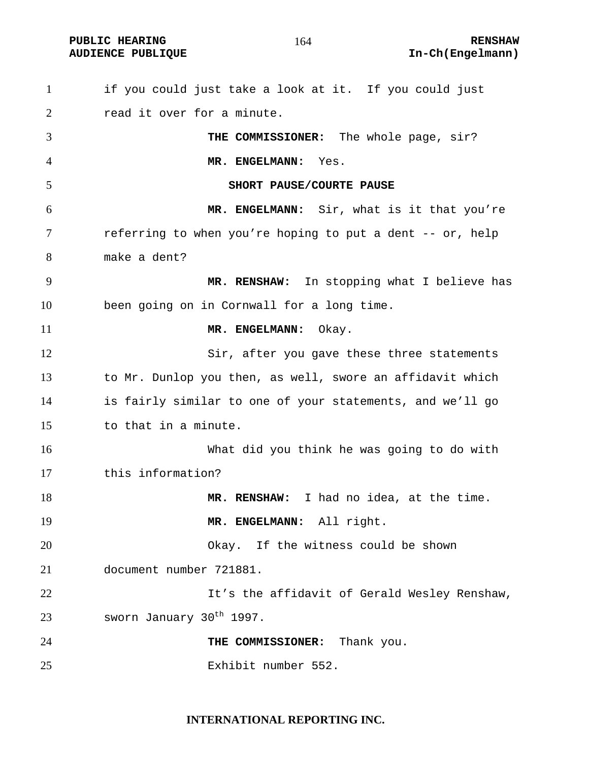**PUBLIC HEARING RENSHAW** 

if you could just take a look at it. If you could just 2 read it over for a minute. **THE COMMISSIONER:** The whole page, sir? **MR. ENGELMANN:** Yes. **SHORT PAUSE/COURTE PAUSE MR. ENGELMANN:** Sir, what is it that you're referring to when you're hoping to put a dent -- or, help make a dent? **MR. RENSHAW:** In stopping what I believe has been going on in Cornwall for a long time. 11 MR. ENGELMANN: Okay. 12 Sir, after you gave these three statements to Mr. Dunlop you then, as well, swore an affidavit which is fairly similar to one of your statements, and we'll go to that in a minute. What did you think he was going to do with this information? **MR. RENSHAW:** I had no idea, at the time. 19 MR. ENGELMANN: All right. Okay. If the witness could be shown document number 721881. 22 It's the affidavit of Gerald Wesley Renshaw, 23 sworn January  $30<sup>th</sup>$  1997. **THE COMMISSIONER:** Thank you. Exhibit number 552.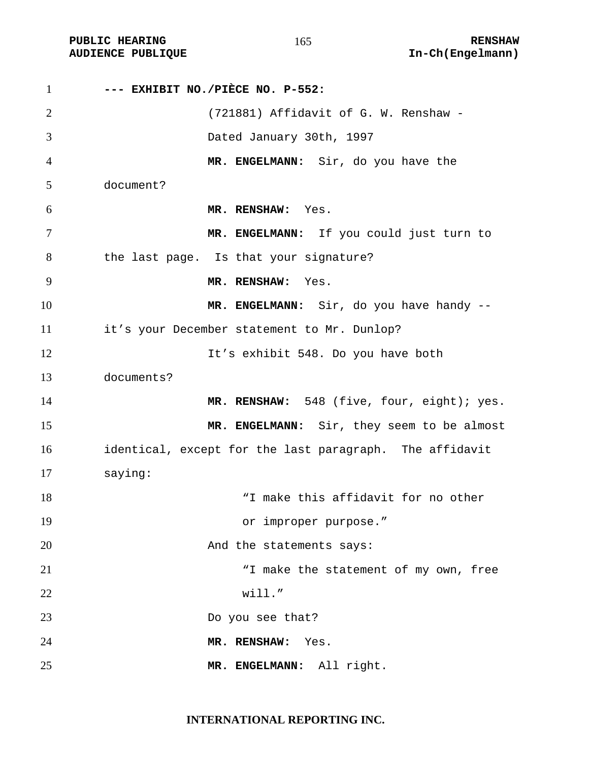PUBLIC HEARING **RENSHAW** 165 **RENSHAW** RENSHAW **RENSHAW RENSHAW AUDIENCE PUBLIQUE** 

| $\mathbf{1}$   | --- EXHIBIT NO./PIÈCE NO. P-552:                        |
|----------------|---------------------------------------------------------|
| $\overline{2}$ | (721881) Affidavit of G. W. Renshaw -                   |
| 3              | Dated January 30th, 1997                                |
| $\overline{4}$ | MR. ENGELMANN: Sir, do you have the                     |
| 5              | document?                                               |
| 6              | MR. RENSHAW: Yes.                                       |
| $\tau$         | MR. ENGELMANN: If you could just turn to                |
| 8              | the last page. Is that your signature?                  |
| 9              | MR. RENSHAW: Yes.                                       |
| 10             | MR. ENGELMANN: Sir, do you have handy --                |
| 11             | it's your December statement to Mr. Dunlop?             |
| 12             | It's exhibit 548. Do you have both                      |
| 13             | documents?                                              |
| 14             | MR. RENSHAW: 548 (five, four, eight); yes.              |
| 15             | MR. ENGELMANN: Sir, they seem to be almost              |
| 16             | identical, except for the last paragraph. The affidavit |
| 17             | saying:                                                 |
| 18             | "I make this affidavit for no other                     |
| 19             | or improper purpose."                                   |
| 20             | And the statements says:                                |
| 21             | "I make the statement of my own, free                   |
| 22             | will."                                                  |
| 23             | Do you see that?                                        |
| 24             | MR. RENSHAW:<br>Yes.                                    |
| 25             | MR. ENGELMANN: All right.                               |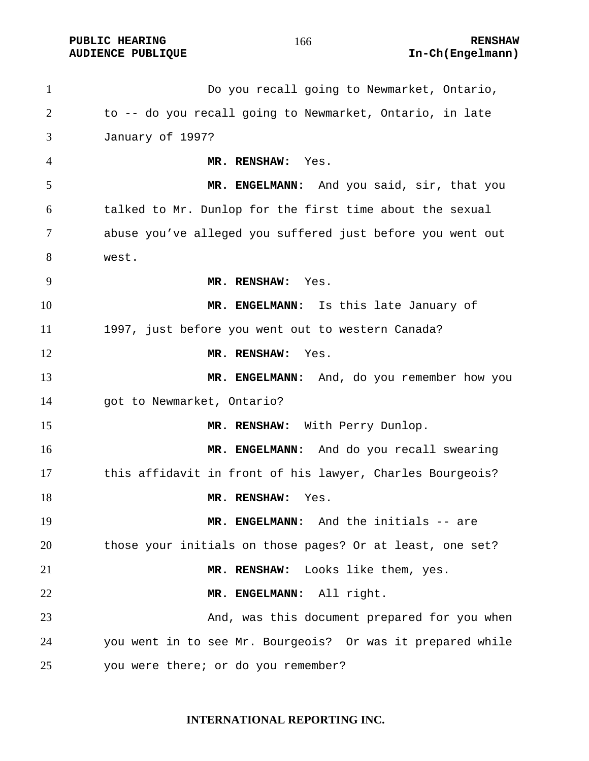Do you recall going to Newmarket, Ontario, to -- do you recall going to Newmarket, Ontario, in late January of 1997? **MR. RENSHAW:** Yes. **MR. ENGELMANN:** And you said, sir, that you talked to Mr. Dunlop for the first time about the sexual abuse you've alleged you suffered just before you went out west. **MR. RENSHAW:** Yes. **MR. ENGELMANN:** Is this late January of 1997, just before you went out to western Canada? **MR. RENSHAW:** Yes. **MR. ENGELMANN:** And, do you remember how you got to Newmarket, Ontario? 15 MR. RENSHAW: With Perry Dunlop. **MR. ENGELMANN:** And do you recall swearing this affidavit in front of his lawyer, Charles Bourgeois? 18 MR. RENSHAW: Yes. **MR. ENGELMANN:** And the initials -- are those your initials on those pages? Or at least, one set? **MR. RENSHAW:** Looks like them, yes. **MR. ENGELMANN:** All right. And, was this document prepared for you when you went in to see Mr. Bourgeois? Or was it prepared while you were there; or do you remember?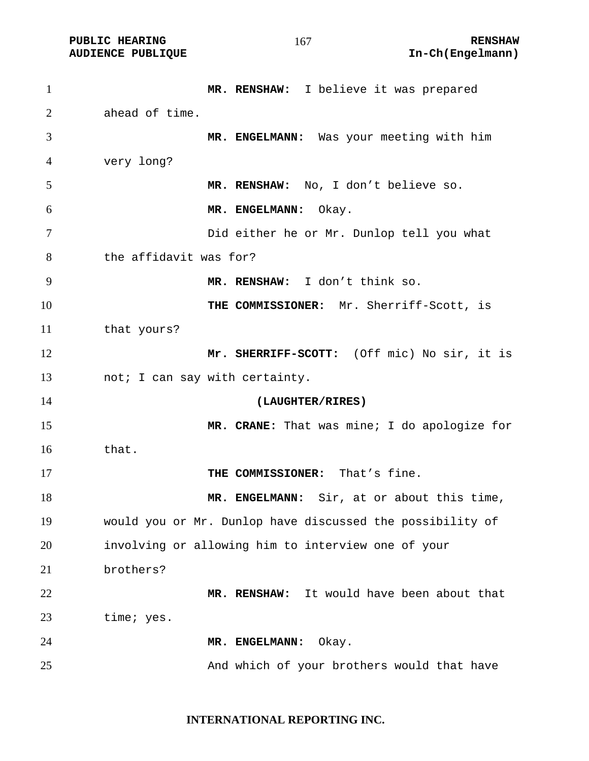| $\mathbf{1}$ | MR. RENSHAW: I believe it was prepared                    |
|--------------|-----------------------------------------------------------|
| 2            | ahead of time.                                            |
| 3            | MR. ENGELMANN: Was your meeting with him                  |
| 4            | very long?                                                |
| 5            | MR. RENSHAW: No, I don't believe so.                      |
| 6            | MR. ENGELMANN:<br>Okay.                                   |
| 7            | Did either he or Mr. Dunlop tell you what                 |
| 8            | the affidavit was for?                                    |
| 9            | MR. RENSHAW: I don't think so.                            |
| 10           | THE COMMISSIONER: Mr. Sherriff-Scott, is                  |
| 11           | that yours?                                               |
| 12           | Mr. SHERRIFF-SCOTT: (Off mic) No sir, it is               |
| 13           | not; I can say with certainty.                            |
| 14           | (LAUGHTER/RIRES)                                          |
| 15           | MR. CRANE: That was mine; I do apologize for              |
| 16           | that.                                                     |
| 17           | THE COMMISSIONER: That's fine.                            |
| 18           | MR. ENGELMANN: Sir, at or about this time,                |
| 19           | would you or Mr. Dunlop have discussed the possibility of |
| 20           | involving or allowing him to interview one of your        |
| 21           | brothers?                                                 |
| 22           | It would have been about that<br>MR. RENSHAW:             |
| 23           | time; yes.                                                |
| 24           | MR. ENGELMANN:<br>Okay.                                   |
| 25           | And which of your brothers would that have                |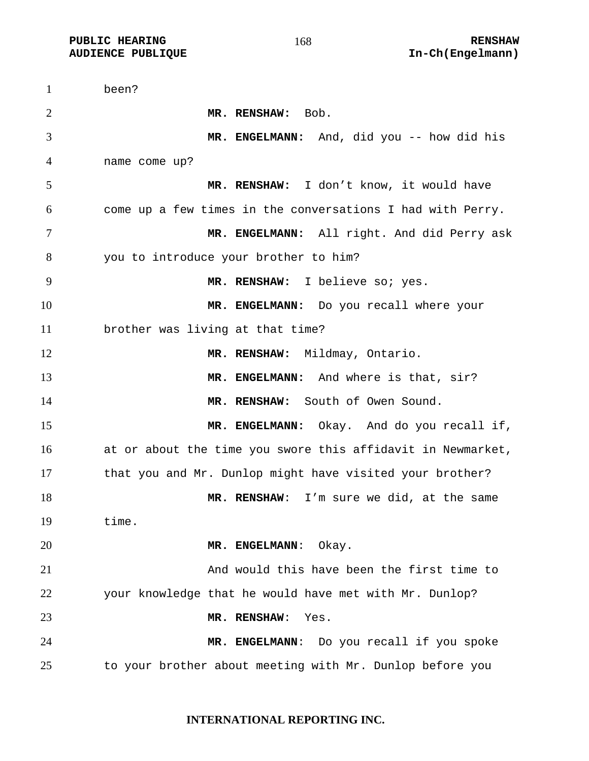**PUBLIC HEARING 168** 168 RENSHAW

been? **MR. RENSHAW:** Bob. **MR. ENGELMANN:** And, did you -- how did his name come up? **MR. RENSHAW:** I don't know, it would have come up a few times in the conversations I had with Perry. **MR. ENGELMANN:** All right. And did Perry ask you to introduce your brother to him? **MR. RENSHAW:** I believe so; yes. **MR. ENGELMANN:** Do you recall where your brother was living at that time? 12 MR. RENSHAW: Mildmay, Ontario. **MR. ENGELMANN:** And where is that, sir? **MR. RENSHAW:** South of Owen Sound. **MR. ENGELMANN:** Okay. And do you recall if, at or about the time you swore this affidavit in Newmarket, 17 that you and Mr. Dunlop might have visited your brother? **MR. RENSHAW**: I'm sure we did, at the same time. **MR. ENGELMANN**: Okay. And would this have been the first time to your knowledge that he would have met with Mr. Dunlop? **MR. RENSHAW**: Yes. **MR. ENGELMANN**: Do you recall if you spoke to your brother about meeting with Mr. Dunlop before you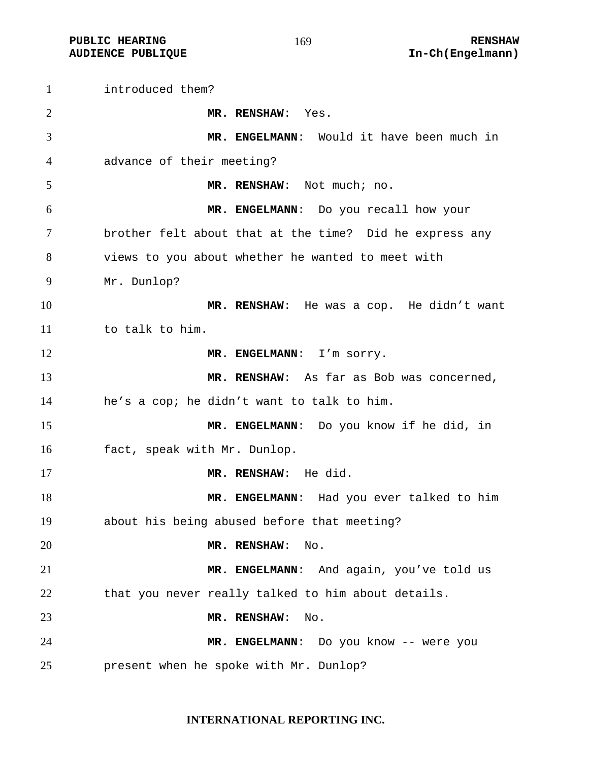**PUBLIC HEARING 169** 169 RENSHAW

**AUDIENCE PUBLIQUE International Contract Contract Contract Contract Contract Contract Contract Contract Contract Contract Contract Contract Contract Contract Contract Contract Contract Contract Contract Contract Contract** 

introduced them? **MR. RENSHAW**: Yes. **MR. ENGELMANN**: Would it have been much in advance of their meeting? **MR. RENSHAW**: Not much; no. **MR. ENGELMANN**: Do you recall how your brother felt about that at the time? Did he express any views to you about whether he wanted to meet with Mr. Dunlop? **MR. RENSHAW**: He was a cop. He didn't want to talk to him. 12 MR. ENGELMANN: I'm sorry. **MR. RENSHAW**: As far as Bob was concerned, he's a cop; he didn't want to talk to him. **MR. ENGELMANN**: Do you know if he did, in fact, speak with Mr. Dunlop. **MR. RENSHAW**: He did. **MR. ENGELMANN**: Had you ever talked to him about his being abused before that meeting? **MR. RENSHAW**: No. **MR. ENGELMANN**: And again, you've told us that you never really talked to him about details. **MR. RENSHAW**: No. **MR. ENGELMANN**: Do you know -- were you present when he spoke with Mr. Dunlop?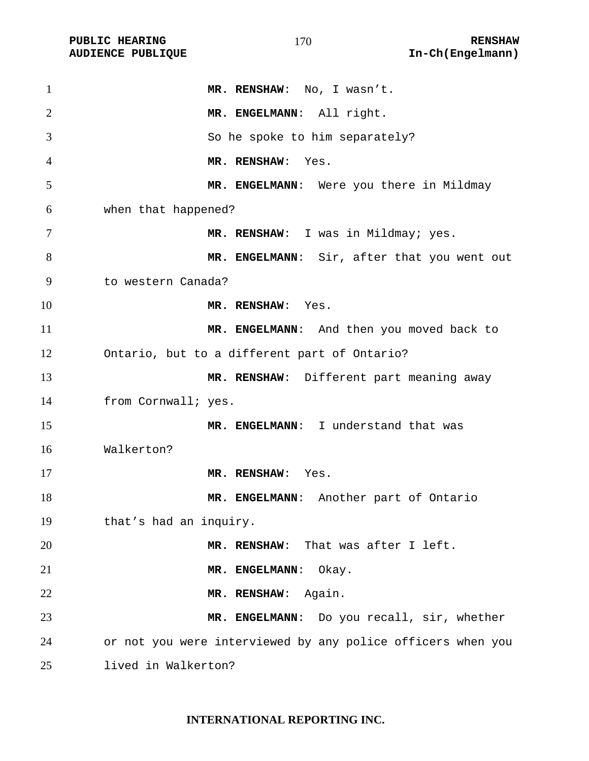| 1              | MR. RENSHAW: No, I wasn't.                                  |
|----------------|-------------------------------------------------------------|
| $\overline{2}$ | MR. ENGELMANN: All right.                                   |
| 3              | So he spoke to him separately?                              |
| 4              | MR. RENSHAW:<br>Yes.                                        |
| 5              | MR. ENGELMANN: Were you there in Mildmay                    |
| 6              | when that happened?                                         |
| 7              | MR. RENSHAW: I was in Mildmay; yes.                         |
| 8              | MR. ENGELMANN: Sir, after that you went out                 |
| 9              | to western Canada?                                          |
| 10             | MR. RENSHAW: Yes.                                           |
| 11             | MR. ENGELMANN: And then you moved back to                   |
| 12             | Ontario, but to a different part of Ontario?                |
| 13             | MR. RENSHAW: Different part meaning away                    |
| 14             | from Cornwall; yes.                                         |
| 15             | MR. ENGELMANN: I understand that was                        |
| 16             | Walkerton?                                                  |
| 17             | MR. RENSHAW: Yes.                                           |
| 18             | MR. ENGELMANN: Another part of Ontario                      |
| 19             | that's had an inquiry.                                      |
| 20             | MR. RENSHAW: That was after I left.                         |
| 21             | MR. ENGELMANN:<br>Okay.                                     |
| 22             | MR. RENSHAW:<br>Again.                                      |
| 23             | MR. ENGELMANN: Do you recall, sir, whether                  |
| 24             | or not you were interviewed by any police officers when you |
| 25             | lived in Walkerton?                                         |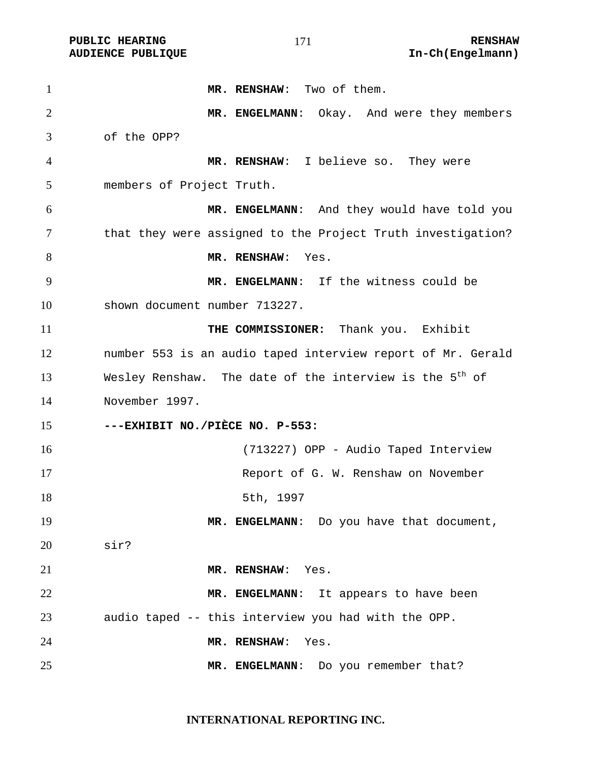**MR. RENSHAW**: Two of them. **MR. ENGELMANN**: Okay. And were they members of the OPP? **MR. RENSHAW**: I believe so. They were members of Project Truth. **MR. ENGELMANN**: And they would have told you that they were assigned to the Project Truth investigation? 8 MR. RENSHAW: Yes. **MR. ENGELMANN**: If the witness could be shown document number 713227. **THE COMMISSIONER:** Thank you. Exhibit number 553 is an audio taped interview report of Mr. Gerald 13 Wesley Renshaw. The date of the interview is the  $5<sup>th</sup>$  of November 1997. **---EXHIBIT NO./PIÈCE NO. P-553:** (713227) OPP - Audio Taped Interview 17 Report of G. W. Renshaw on November 18 5th, 1997 19 MR. ENGELMANN: Do you have that document, sir? **MR. RENSHAW**: Yes. **MR. ENGELMANN**: It appears to have been audio taped -- this interview you had with the OPP. **MR. RENSHAW**: Yes. **MR. ENGELMANN**: Do you remember that?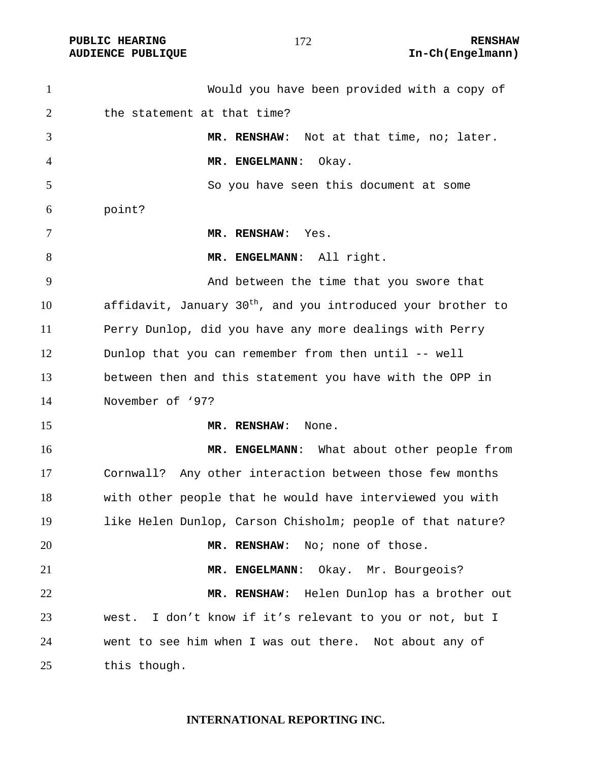#### 

| $\mathbf{1}$   | Would you have been provided with a copy of                              |
|----------------|--------------------------------------------------------------------------|
| 2              | the statement at that time?                                              |
| 3              | MR. RENSHAW: Not at that time, no; later.                                |
| $\overline{4}$ | MR. ENGELMANN:<br>Okay.                                                  |
| 5              | So you have seen this document at some                                   |
| 6              | point?                                                                   |
| 7              | MR. RENSHAW: Yes.                                                        |
| 8              | MR. ENGELMANN: All right.                                                |
| 9              | And between the time that you swore that                                 |
| 10             | affidavit, January 30 <sup>th</sup> , and you introduced your brother to |
| 11             | Perry Dunlop, did you have any more dealings with Perry                  |
| 12             | Dunlop that you can remember from then until -- well                     |
| 13             | between then and this statement you have with the OPP in                 |
| 14             | November of '97?                                                         |
| 15             | MR. RENSHAW:<br>None.                                                    |
| 16             | MR. ENGELMANN: What about other people from                              |
| 17             | Cornwall? Any other interaction between those few months                 |
| 18             | with other people that he would have interviewed you with                |
| 19             | like Helen Dunlop, Carson Chisholm; people of that nature?               |
| 20             | MR. RENSHAW: No; none of those.                                          |
| 21             | MR. ENGELMANN: Okay. Mr. Bourgeois?                                      |
| 22             | MR. RENSHAW: Helen Dunlop has a brother out                              |
| 23             | west. I don't know if it's relevant to you or not, but I                 |
| 24             | went to see him when I was out there. Not about any of                   |
| 25             | this though.                                                             |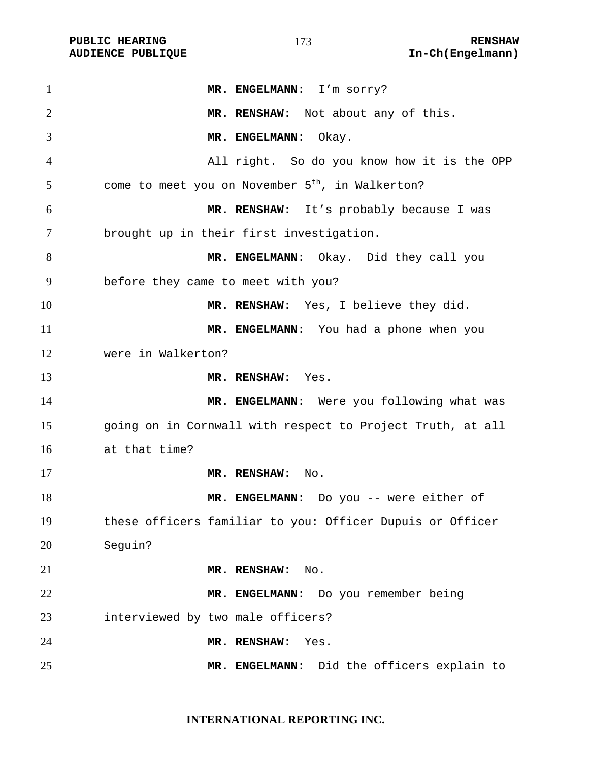| $\mathbf{1}$   | MR. ENGELMANN: I'm sorry?                                    |
|----------------|--------------------------------------------------------------|
| $\overline{2}$ | MR. RENSHAW: Not about any of this.                          |
| 3              | MR. ENGELMANN:<br>Okay.                                      |
| 4              | All right. So do you know how it is the OPP                  |
| 5              | come to meet you on November 5 <sup>th</sup> , in Walkerton? |
| 6              | MR. RENSHAW: It's probably because I was                     |
| 7              | brought up in their first investigation.                     |
| 8              | MR. ENGELMANN: Okay. Did they call you                       |
| 9              | before they came to meet with you?                           |
| 10             | MR. RENSHAW: Yes, I believe they did.                        |
| 11             | MR. ENGELMANN: You had a phone when you                      |
| 12             | were in Walkerton?                                           |
| 13             | MR. RENSHAW: Yes.                                            |
| 14             | MR. ENGELMANN: Were you following what was                   |
| 15             | going on in Cornwall with respect to Project Truth, at all   |
| 16             | at that time?                                                |
| 17             | MR. RENSHAW: No.                                             |
| 18             | MR. ENGELMANN: Do you -- were either of                      |
| 19             | these officers familiar to you: Officer Dupuis or Officer    |
| 20             | Seguin?                                                      |
| 21             | MR. RENSHAW:<br>No.                                          |
| 22             | MR. ENGELMANN: Do you remember being                         |
| 23             | interviewed by two male officers?                            |
| 24             | MR. RENSHAW:<br>Yes.                                         |
| 25             | MR. ENGELMANN: Did the officers explain to                   |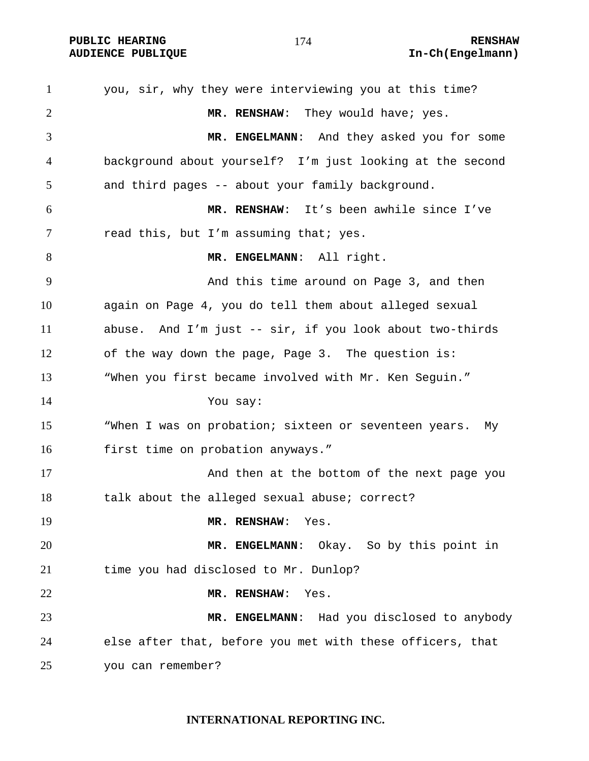**PUBLIC HEARING 174** 174 RENSHAW

you, sir, why they were interviewing you at this time? **MR. RENSHAW**: They would have; yes. **MR. ENGELMANN**: And they asked you for some background about yourself? I'm just looking at the second and third pages -- about your family background. **MR. RENSHAW**: It's been awhile since I've 7 read this, but I'm assuming that; yes. **MR. ENGELMANN**: All right. And this time around on Page 3, and then again on Page 4, you do tell them about alleged sexual abuse. And I'm just -- sir, if you look about two-thirds of the way down the page, Page 3. The question is: "When you first became involved with Mr. Ken Seguin." You say: "When I was on probation; sixteen or seventeen years. My first time on probation anyways." And then at the bottom of the next page you talk about the alleged sexual abuse; correct? **MR. RENSHAW**: Yes. **MR. ENGELMANN**: Okay. So by this point in time you had disclosed to Mr. Dunlop? **MR. RENSHAW**: Yes. **MR. ENGELMANN**: Had you disclosed to anybody else after that, before you met with these officers, that you can remember?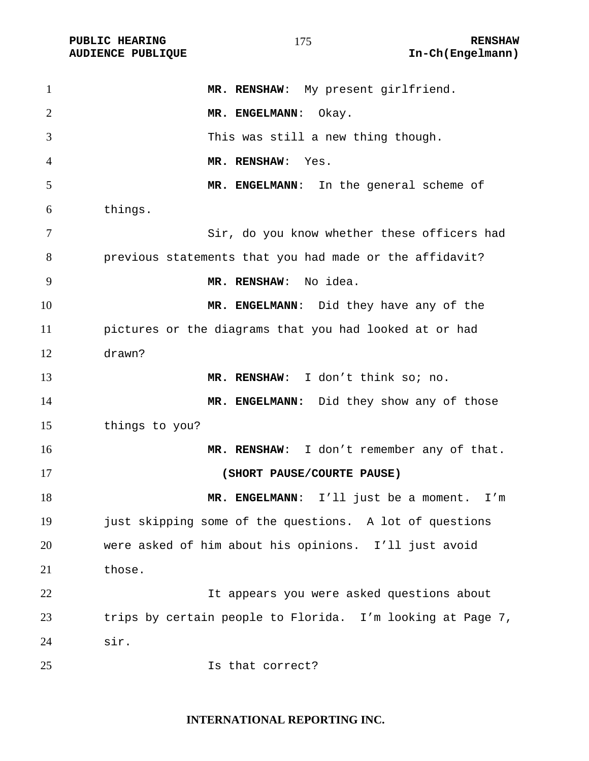| $\mathbf{1}$   | MR. RENSHAW: My present girlfriend.                        |
|----------------|------------------------------------------------------------|
| $\overline{2}$ | MR. ENGELMANN:<br>Okay.                                    |
| 3              | This was still a new thing though.                         |
| $\overline{4}$ | MR. RENSHAW:<br>Yes.                                       |
| 5              | MR. ENGELMANN: In the general scheme of                    |
| 6              | things.                                                    |
| 7              | Sir, do you know whether these officers had                |
| 8              | previous statements that you had made or the affidavit?    |
| 9              | MR. RENSHAW: No idea.                                      |
| 10             | MR. ENGELMANN: Did they have any of the                    |
| 11             | pictures or the diagrams that you had looked at or had     |
| 12             | drawn?                                                     |
| 13             | MR. RENSHAW: I don't think so; no.                         |
| 14             | MR. ENGELMANN: Did they show any of those                  |
| 15             | things to you?                                             |
| 16             | MR. RENSHAW: I don't remember any of that.                 |
| 17             | (SHORT PAUSE/COURTE PAUSE)                                 |
| 18             | MR. ENGELMANN: I'll just be a moment. I'm                  |
| 19             | just skipping some of the questions. A lot of questions    |
| 20             | were asked of him about his opinions. I'll just avoid      |
| 21             | those.                                                     |
| 22             | It appears you were asked questions about                  |
| 23             | trips by certain people to Florida. I'm looking at Page 7, |
| 24             | sir.                                                       |
| 25             | Is that correct?                                           |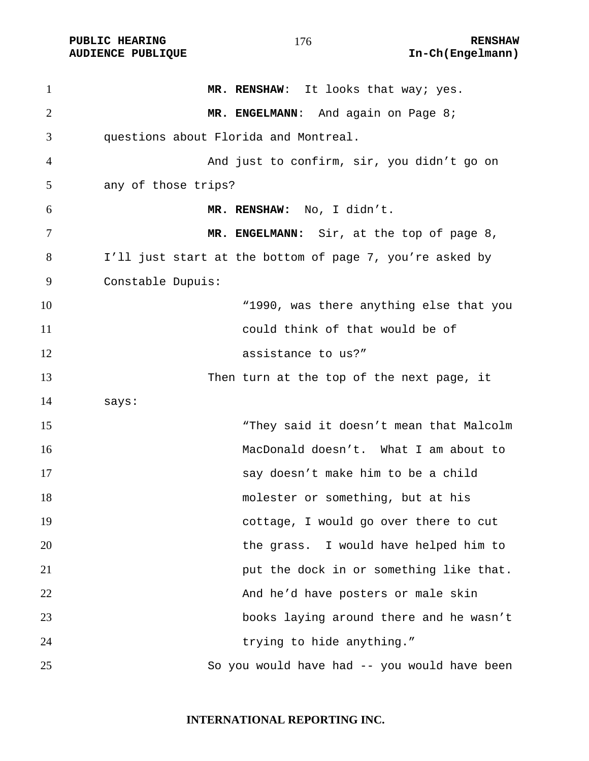PUBLIC HEARING **RENSHAW** 176 **RENSHAW** RENSHAW **RENSHAW RENSHAW AUDIENCE PUBLIQUE** 

| $\mathbf{1}$   | MR. RENSHAW: It looks that way; yes.                     |
|----------------|----------------------------------------------------------|
| $\overline{2}$ | MR. ENGELMANN: And again on Page 8;                      |
| 3              | questions about Florida and Montreal.                    |
| $\overline{4}$ | And just to confirm, sir, you didn't go on               |
| 5              | any of those trips?                                      |
| 6              | MR. RENSHAW: No, I didn't.                               |
| 7              | MR. ENGELMANN: Sir, at the top of page 8,                |
| 8              | I'll just start at the bottom of page 7, you're asked by |
| 9              | Constable Dupuis:                                        |
| 10             | "1990, was there anything else that you                  |
| 11             | could think of that would be of                          |
| 12             | assistance to us?"                                       |
| 13             | Then turn at the top of the next page, it                |
| 14             | says:                                                    |
| 15             | "They said it doesn't mean that Malcolm                  |
| 16             | MacDonald doesn't. What I am about to                    |
| 17             | say doesn't make him to be a child                       |
| 18             | molester or something, but at his                        |
| 19             | cottage, I would go over there to cut                    |
| 20             | the grass. I would have helped him to                    |
| 21             | put the dock in or something like that.                  |
| 22             | And he'd have posters or male skin                       |
| 23             | books laying around there and he wasn't                  |
| 24             | trying to hide anything."                                |
| 25             | So you would have had -- you would have been             |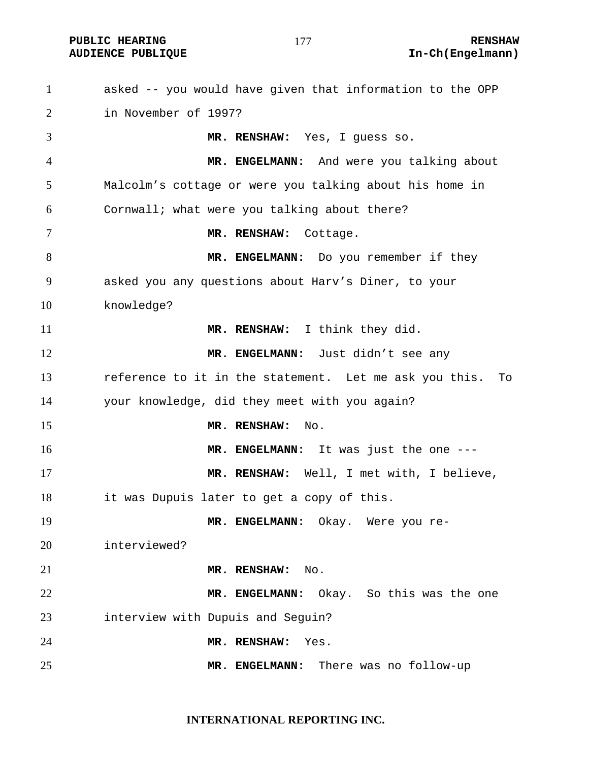**PUBLIC HEARING 177** 177 RENSHAW

## **AUDIENCE PUBLIQUE International Contract Contract Contract Contract Contract Contract Contract Contract Contract Contract Contract Contract Contract Contract Contract Contract Contract Contract Contract Contract Contract**

asked -- you would have given that information to the OPP in November of 1997? **MR. RENSHAW:** Yes, I guess so. **MR. ENGELMANN:** And were you talking about Malcolm's cottage or were you talking about his home in Cornwall; what were you talking about there? **MR. RENSHAW:** Cottage. 8 MR. ENGELMANN: Do you remember if they asked you any questions about Harv's Diner, to your knowledge? **MR. RENSHAW:** I think they did. **MR. ENGELMANN:** Just didn't see any reference to it in the statement. Let me ask you this. To your knowledge, did they meet with you again? **MR. RENSHAW:** No. **MR. ENGELMANN:** It was just the one --- **MR. RENSHAW:** Well, I met with, I believe, it was Dupuis later to get a copy of this. **MR. ENGELMANN:** Okay. Were you re-interviewed? **MR. RENSHAW:** No. **MR. ENGELMANN:** Okay. So this was the one interview with Dupuis and Seguin? **MR. RENSHAW:** Yes. **MR. ENGELMANN:** There was no follow-up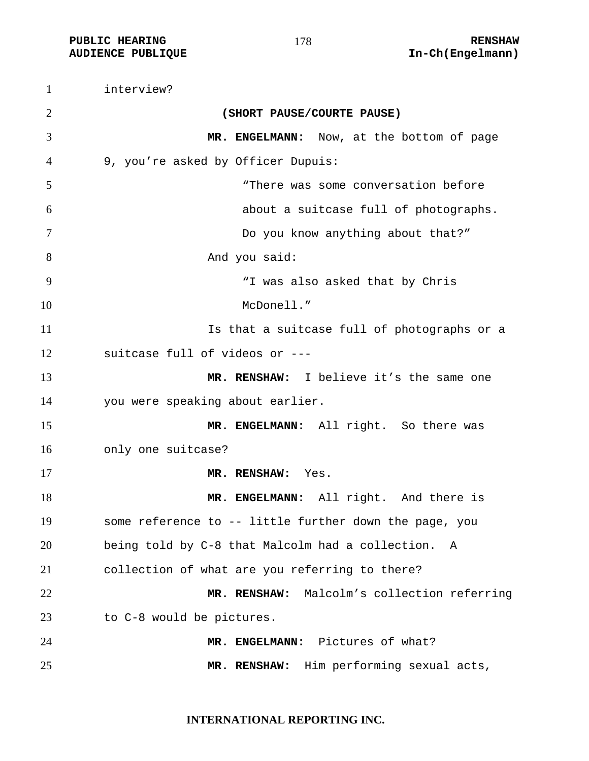**PUBLIC HEARING RENSHAW** 

interview? **(SHORT PAUSE/COURTE PAUSE) MR. ENGELMANN:** Now, at the bottom of page 9, you're asked by Officer Dupuis: "There was some conversation before about a suitcase full of photographs. Do you know anything about that?" 8 And you said: "I was also asked that by Chris McDonell." Is that a suitcase full of photographs or a suitcase full of videos or --- **MR. RENSHAW:** I believe it's the same one you were speaking about earlier. 15 MR. ENGELMANN: All right. So there was only one suitcase? **MR. RENSHAW:** Yes. **MR. ENGELMANN:** All right. And there is some reference to -- little further down the page, you being told by C-8 that Malcolm had a collection. A collection of what are you referring to there? **MR. RENSHAW:** Malcolm's collection referring to C-8 would be pictures. **MR. ENGELMANN:** Pictures of what? **MR. RENSHAW:** Him performing sexual acts,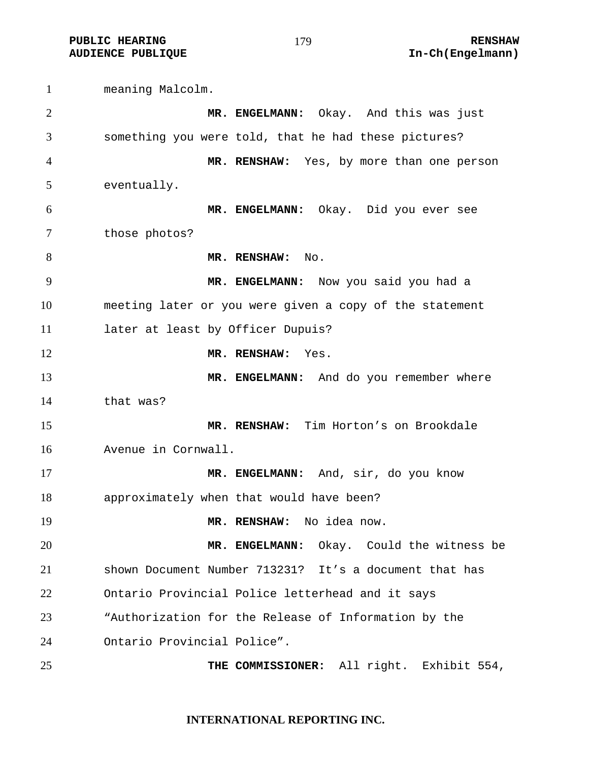**PUBLIC HEARING 179** 179 **RENSHAW** 

**AUDIENCE PUBLIQUE International Contract Contract Contract Contract Contract Contract Contract Contract Contract Contract Contract Contract Contract Contract Contract Contract Contract Contract Contract Contract Contract** 

meaning Malcolm. **MR. ENGELMANN:** Okay. And this was just something you were told, that he had these pictures? **MR. RENSHAW:** Yes, by more than one person eventually. **MR. ENGELMANN:** Okay. Did you ever see those photos? 8 MR. RENSHAW: No. **MR. ENGELMANN:** Now you said you had a meeting later or you were given a copy of the statement 11 later at least by Officer Dupuis? **MR. RENSHAW:** Yes. **MR. ENGELMANN:** And do you remember where that was? **MR. RENSHAW:** Tim Horton's on Brookdale Avenue in Cornwall. **MR. ENGELMANN:** And, sir, do you know approximately when that would have been? **MR. RENSHAW:** No idea now. **MR. ENGELMANN:** Okay. Could the witness be shown Document Number 713231? It's a document that has Ontario Provincial Police letterhead and it says "Authorization for the Release of Information by the Ontario Provincial Police". **THE COMMISSIONER:** All right. Exhibit 554,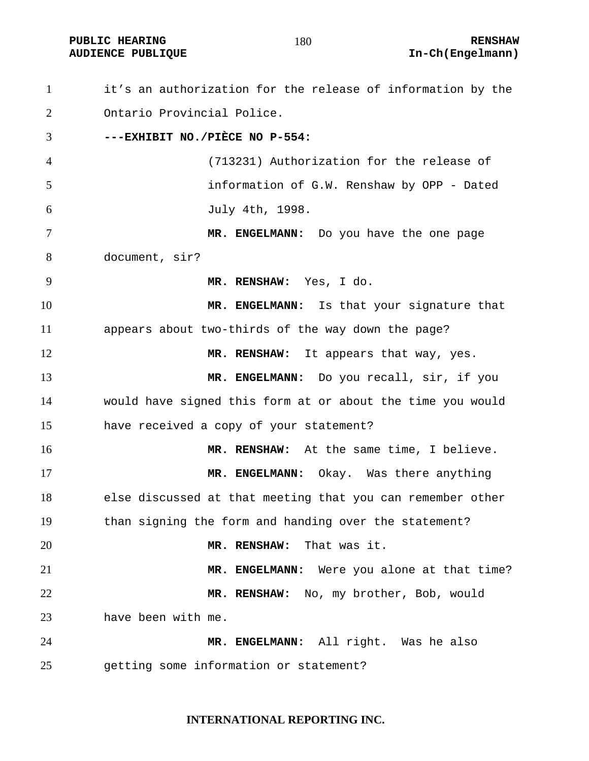it's an authorization for the release of information by the Ontario Provincial Police. **---EXHIBIT NO./PIÈCE NO P-554:**  (713231) Authorization for the release of information of G.W. Renshaw by OPP - Dated July 4th, 1998. **MR. ENGELMANN:** Do you have the one page document, sir? **MR. RENSHAW:** Yes, I do. **MR. ENGELMANN:** Is that your signature that appears about two-thirds of the way down the page? 12 MR. RENSHAW: It appears that way, yes. **MR. ENGELMANN:** Do you recall, sir, if you would have signed this form at or about the time you would have received a copy of your statement? **MR. RENSHAW:** At the same time, I believe. **MR. ENGELMANN:** Okay. Was there anything else discussed at that meeting that you can remember other than signing the form and handing over the statement? **MR. RENSHAW:** That was it. **MR. ENGELMANN:** Were you alone at that time? **MR. RENSHAW:** No, my brother, Bob, would have been with me. **MR. ENGELMANN:** All right. Was he also getting some information or statement?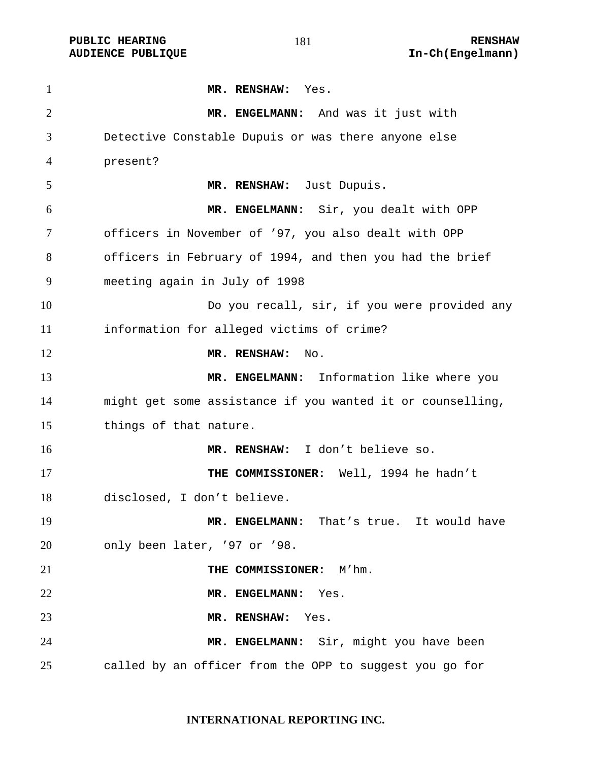**PUBLIC HEARING 181** 181 **RENSHAW** 

**MR. RENSHAW:** Yes. **MR. ENGELMANN:** And was it just with Detective Constable Dupuis or was there anyone else present? **MR. RENSHAW:** Just Dupuis. **MR. ENGELMANN:** Sir, you dealt with OPP officers in November of '97, you also dealt with OPP officers in February of 1994, and then you had the brief meeting again in July of 1998 Do you recall, sir, if you were provided any information for alleged victims of crime? **MR. RENSHAW:** No. **MR. ENGELMANN:** Information like where you might get some assistance if you wanted it or counselling, things of that nature. **MR. RENSHAW:** I don't believe so. **THE COMMISSIONER:** Well, 1994 he hadn't disclosed, I don't believe. **MR. ENGELMANN:** That's true. It would have only been later, '97 or '98. **THE COMMISSIONER:** M'hm. **MR. ENGELMANN:** Yes. **MR. RENSHAW:** Yes. **MR. ENGELMANN:** Sir, might you have been called by an officer from the OPP to suggest you go for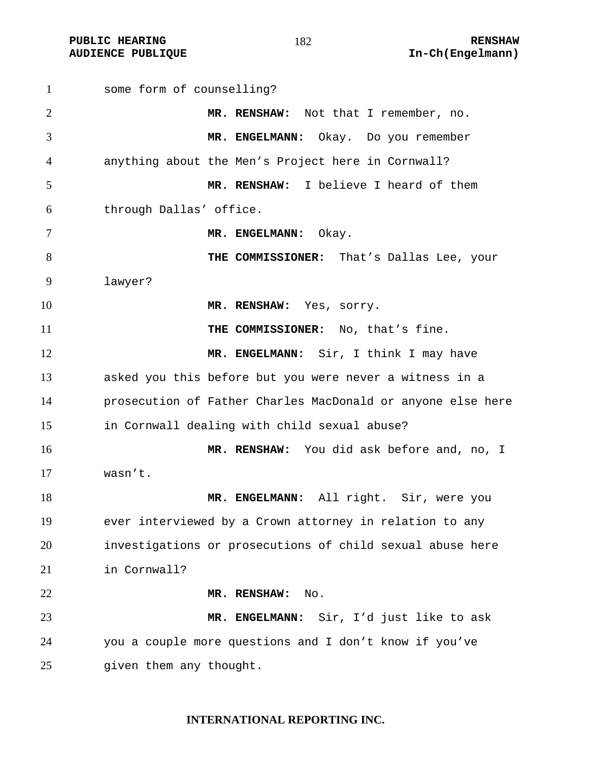some form of counselling? **MR. RENSHAW:** Not that I remember, no. **MR. ENGELMANN:** Okay. Do you remember anything about the Men's Project here in Cornwall? **MR. RENSHAW:** I believe I heard of them through Dallas' office. **MR. ENGELMANN:** Okay. **THE COMMISSIONER:** That's Dallas Lee, your lawyer? **MR. RENSHAW:** Yes, sorry. **THE COMMISSIONER:** No, that's fine. **MR. ENGELMANN:** Sir, I think I may have asked you this before but you were never a witness in a prosecution of Father Charles MacDonald or anyone else here in Cornwall dealing with child sexual abuse? **MR. RENSHAW:** You did ask before and, no, I wasn't. **MR. ENGELMANN:** All right. Sir, were you ever interviewed by a Crown attorney in relation to any investigations or prosecutions of child sexual abuse here in Cornwall? **MR. RENSHAW:** No. **MR. ENGELMANN:** Sir, I'd just like to ask you a couple more questions and I don't know if you've given them any thought.

#### **INTERNATIONAL REPORTING INC.**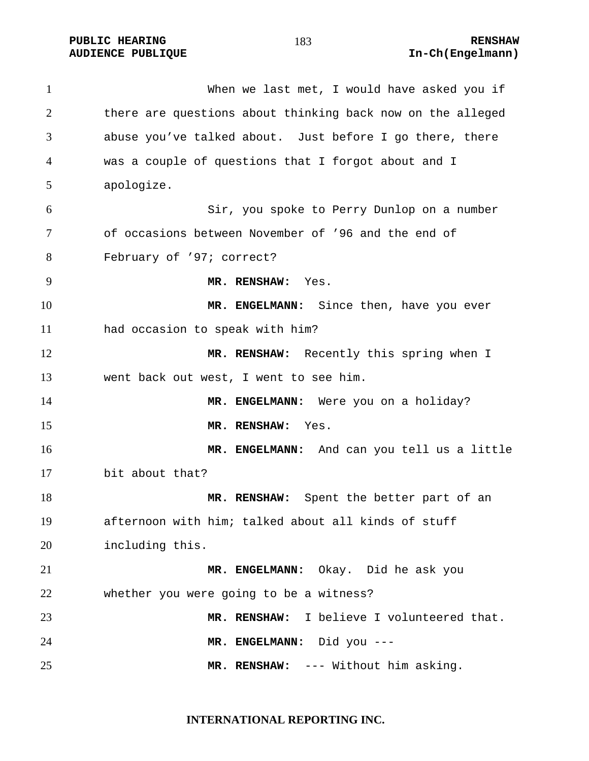**PUBLIC HEARING 183** 183 **RENSHAW** 

1 When we last met, I would have asked you if there are questions about thinking back now on the alleged abuse you've talked about. Just before I go there, there was a couple of questions that I forgot about and I apologize. Sir, you spoke to Perry Dunlop on a number of occasions between November of '96 and the end of February of '97; correct? **MR. RENSHAW:** Yes. **MR. ENGELMANN:** Since then, have you ever had occasion to speak with him? 12 MR. RENSHAW: Recently this spring when I went back out west, I went to see him. **MR. ENGELMANN:** Were you on a holiday? **MR. RENSHAW:** Yes. **MR. ENGELMANN:** And can you tell us a little bit about that? **MR. RENSHAW:** Spent the better part of an afternoon with him; talked about all kinds of stuff including this. **MR. ENGELMANN:** Okay. Did he ask you whether you were going to be a witness? **MR. RENSHAW:** I believe I volunteered that. **MR. ENGELMANN:** Did you --- **MR. RENSHAW:** --- Without him asking.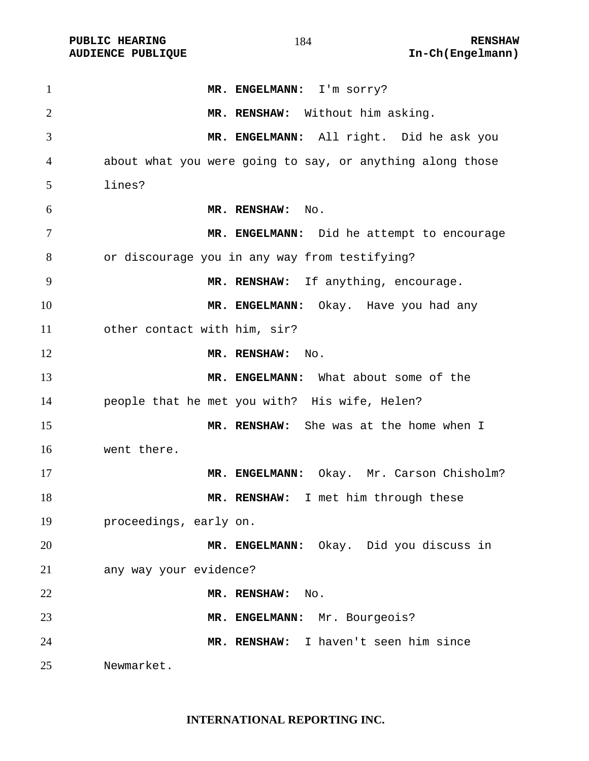PUBLIC HEARING **RENSHAW** RENSHAW **RENSHAW** RENSHAW **RENSHAW RENSHAW RENSHAW RENSHAW RENSHAW RENSHAW RENSHAW RENSHAW RENSHAW RENSHAW RENSHAW** 

| $\mathbf{1}$   | MR. ENGELMANN: I'm sorry?                                 |
|----------------|-----------------------------------------------------------|
| $\overline{2}$ | MR. RENSHAW: Without him asking.                          |
| 3              | MR. ENGELMANN: All right. Did he ask you                  |
| 4              | about what you were going to say, or anything along those |
| 5              | lines?                                                    |
| 6              | MR. RENSHAW: No.                                          |
| $\tau$         | MR. ENGELMANN: Did he attempt to encourage                |
| 8              | or discourage you in any way from testifying?             |
| 9              | MR. RENSHAW: If anything, encourage.                      |
| 10             | MR. ENGELMANN: Okay. Have you had any                     |
| 11             | other contact with him, sir?                              |
| 12             | MR. RENSHAW: No.                                          |
| 13             | MR. ENGELMANN: What about some of the                     |
| 14             | people that he met you with? His wife, Helen?             |
| 15             | MR. RENSHAW: She was at the home when I                   |
| 16             | went there.                                               |
| 17             | MR. ENGELMANN: Okay. Mr. Carson Chisholm?                 |
| 18             | MR. RENSHAW: I met him through these                      |
| 19             | proceedings, early on.                                    |
| 20             | MR. ENGELMANN: Okay. Did you discuss in                   |
| 21             | any way your evidence?                                    |
| 22             | MR. RENSHAW:<br>No.                                       |
| 23             | MR. ENGELMANN: Mr. Bourgeois?                             |
| 24             | MR. RENSHAW: I haven't seen him since                     |
| 25             | Newmarket.                                                |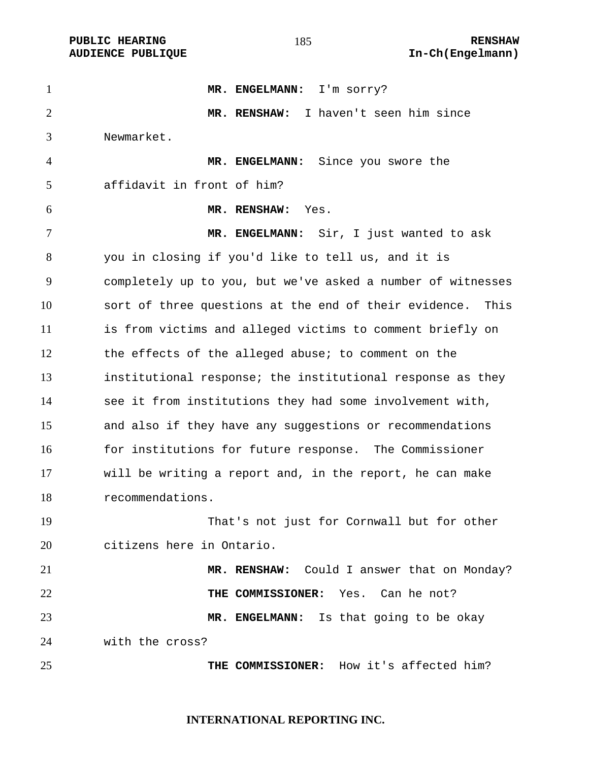PUBLIC HEARING **RENSHAW** 185 **RENSHAW** RENSHAW **RENSHAW RENSHAW AUDIENCE PUBLIQUE** 

| $\mathbf{1}$   | MR. ENGELMANN: I'm sorry?                                     |
|----------------|---------------------------------------------------------------|
| $\overline{2}$ | MR. RENSHAW: I haven't seen him since                         |
| 3              | Newmarket.                                                    |
| 4              | MR. ENGELMANN: Since you swore the                            |
| 5              | affidavit in front of him?                                    |
| 6              | MR. RENSHAW:<br>Yes.                                          |
| $\tau$         | MR. ENGELMANN: Sir, I just wanted to ask                      |
| 8              | you in closing if you'd like to tell us, and it is            |
| 9              | completely up to you, but we've asked a number of witnesses   |
| 10             | sort of three questions at the end of their evidence.<br>This |
| 11             | is from victims and alleged victims to comment briefly on     |
| 12             | the effects of the alleged abuse; to comment on the           |
| 13             | institutional response; the institutional response as they    |
| 14             | see it from institutions they had some involvement with,      |
| 15             | and also if they have any suggestions or recommendations      |
| 16             | for institutions for future response. The Commissioner        |
| 17             | will be writing a report and, in the report, he can make      |
| 18             | recommendations.                                              |
| 19             | That's not just for Cornwall but for other                    |
| 20             | citizens here in Ontario.                                     |
| 21             | MR. RENSHAW: Could I answer that on Monday?                   |
| 22             | THE COMMISSIONER: Yes. Can he not?                            |
| 23             | MR. ENGELMANN: Is that going to be okay                       |
| 24             | with the cross?                                               |
| 25             | THE COMMISSIONER: How it's affected him?                      |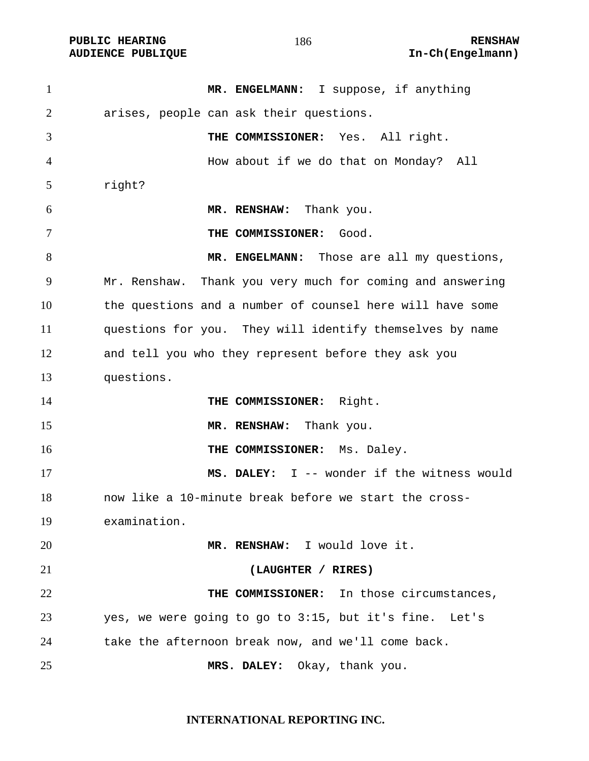| $\mathbf{1}$ | MR. ENGELMANN: I suppose, if anything                     |
|--------------|-----------------------------------------------------------|
| 2            | arises, people can ask their questions.                   |
| 3            | THE COMMISSIONER: Yes. All right.                         |
| 4            | How about if we do that on Monday? All                    |
| 5            | right?                                                    |
| 6            | MR. RENSHAW: Thank you.                                   |
| 7            | THE COMMISSIONER:<br>Good.                                |
| 8            | MR. ENGELMANN: Those are all my questions,                |
| 9            | Mr. Renshaw. Thank you very much for coming and answering |
| 10           | the questions and a number of counsel here will have some |
| 11           | questions for you. They will identify themselves by name  |
| 12           | and tell you who they represent before they ask you       |
| 13           | questions.                                                |
| 14           | THE COMMISSIONER: Right.                                  |
| 15           | MR. RENSHAW: Thank you.                                   |
| 16           | THE COMMISSIONER: Ms. Daley.                              |
| 17           | MS. DALEY: I -- wonder if the witness would               |
| 18           | now like a 10-minute break before we start the cross-     |
| 19           | examination.                                              |
| 20           | MR. RENSHAW: I would love it.                             |
| 21           | (LAUGHTER / RIRES)                                        |
| 22           | THE COMMISSIONER: In those circumstances,                 |
| 23           | yes, we were going to go to 3:15, but it's fine. Let's    |
| 24           | take the afternoon break now, and we'll come back.        |
| 25           | MRS. DALEY: Okay, thank you.                              |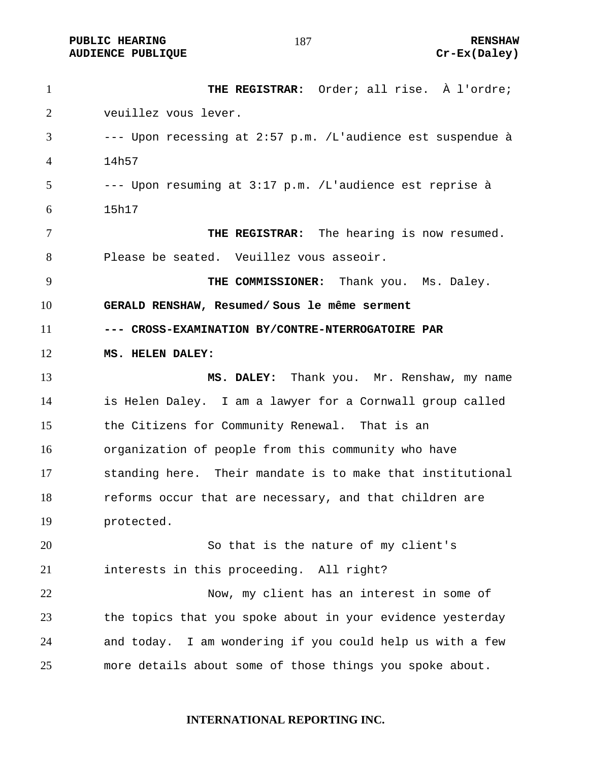**PUBLIC HEARING 187** 187 **RENSHAW** AUDIENCE PUBLIQUE **CONSTRUCE CREAM** CREAM CREAM CREAM CREAM CREAM CREAM CREAM CREAM CREAM CREAM CREAM CREAM CREAM CREAM CREAM CREAM CREAM CREAM CREAM CREAM CREAM CREAM CREAM CREAM CREAM CREAM CREAM CREAM CREAM CREAM CREAM

**THE REGISTRAR:** Order; all rise. À l'ordre; veuillez vous lever. --- Upon recessing at 2:57 p.m. /L'audience est suspendue à 14h57 --- Upon resuming at 3:17 p.m. /L'audience est reprise à 15h17 **THE REGISTRAR:** The hearing is now resumed. Please be seated. Veuillez vous asseoir. **THE COMMISSIONER:** Thank you. Ms. Daley. **GERALD RENSHAW, Resumed/ Sous le même serment --- CROSS-EXAMINATION BY/CONTRE-NTERROGATOIRE PAR MS. HELEN DALEY: MS. DALEY:** Thank you. Mr. Renshaw, my name is Helen Daley. I am a lawyer for a Cornwall group called the Citizens for Community Renewal. That is an organization of people from this community who have standing here. Their mandate is to make that institutional 18 reforms occur that are necessary, and that children are protected. So that is the nature of my client's interests in this proceeding. All right? Now, my client has an interest in some of the topics that you spoke about in your evidence yesterday and today. I am wondering if you could help us with a few more details about some of those things you spoke about.

#### **INTERNATIONAL REPORTING INC.**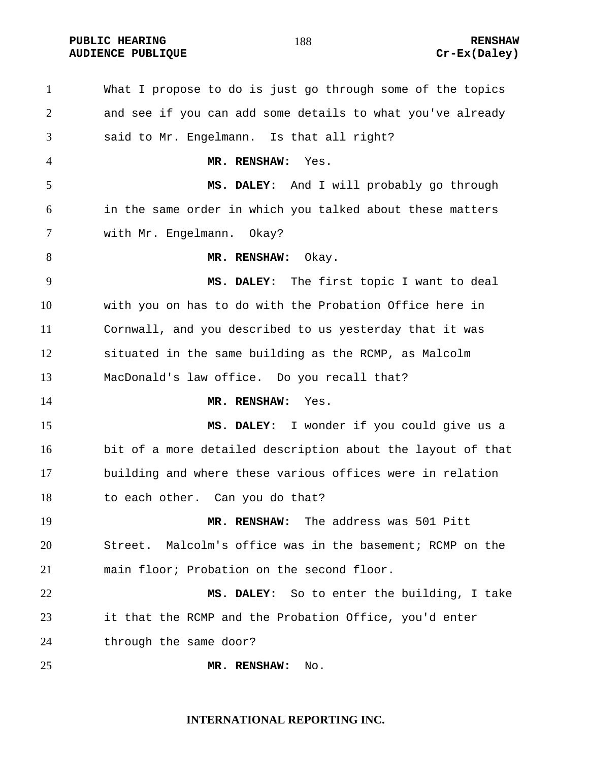**PUBLIC HEARING RENSHAW** 

What I propose to do is just go through some of the topics and see if you can add some details to what you've already said to Mr. Engelmann. Is that all right? **MR. RENSHAW:** Yes. **MS. DALEY:** And I will probably go through in the same order in which you talked about these matters with Mr. Engelmann. Okay? **MR. RENSHAW:** Okay. **MS. DALEY:** The first topic I want to deal with you on has to do with the Probation Office here in Cornwall, and you described to us yesterday that it was situated in the same building as the RCMP, as Malcolm MacDonald's law office. Do you recall that? **MR. RENSHAW:** Yes. **MS. DALEY:** I wonder if you could give us a bit of a more detailed description about the layout of that building and where these various offices were in relation to each other. Can you do that? **MR. RENSHAW:** The address was 501 Pitt Street. Malcolm's office was in the basement; RCMP on the main floor; Probation on the second floor. **MS. DALEY:** So to enter the building, I take it that the RCMP and the Probation Office, you'd enter through the same door? **MR. RENSHAW:** No.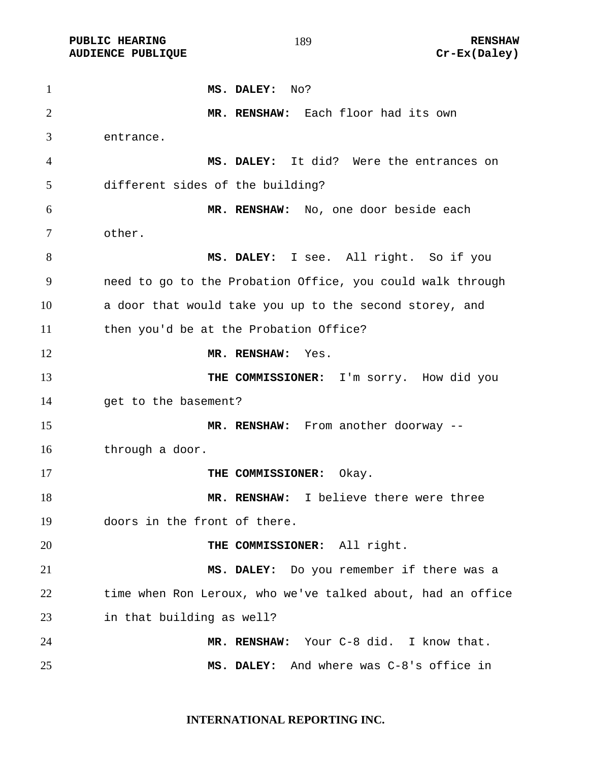**PUBLIC HEARING RENSHAW** 

**MS. DALEY:** No? **MR. RENSHAW:** Each floor had its own entrance. **MS. DALEY:** It did? Were the entrances on different sides of the building? **MR. RENSHAW:** No, one door beside each other. **MS. DALEY:** I see. All right. So if you need to go to the Probation Office, you could walk through a door that would take you up to the second storey, and then you'd be at the Probation Office? **MR. RENSHAW:** Yes. 13 THE COMMISSIONER: I'm sorry. How did you get to the basement? **MR. RENSHAW:** From another doorway -- through a door. **THE COMMISSIONER:** Okay. **MR. RENSHAW:** I believe there were three doors in the front of there. **THE COMMISSIONER:** All right. **MS. DALEY:** Do you remember if there was a 22 time when Ron Leroux, who we've talked about, had an office in that building as well? **MR. RENSHAW:** Your C-8 did. I know that. **MS. DALEY:** And where was C-8's office in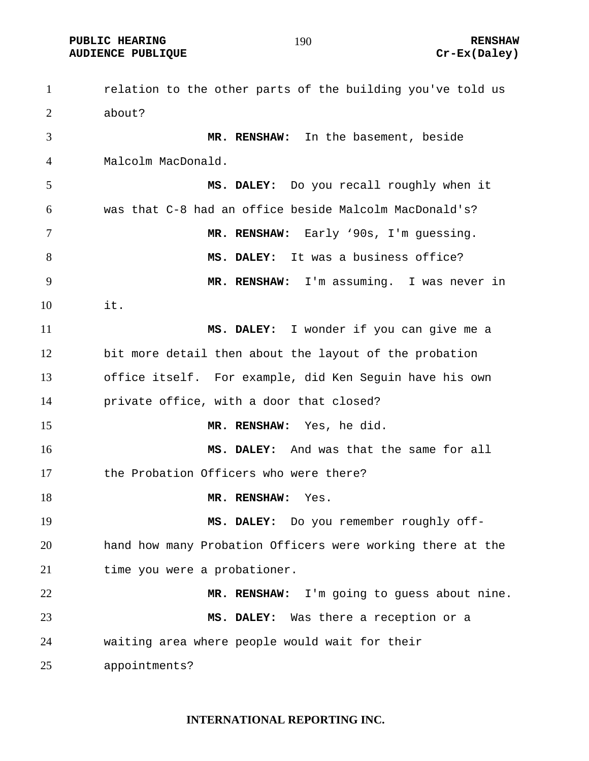**PUBLIC HEARING 190** 190

AUDIENCE PUBLIQUE **CONSTRUCE CREAM** CREAM CREAM CREAM CREAM CREAM CREAM CREAM CREAM CREAM CREAM CREAM CREAM CREAM CREAM CREAM CREAM CREAM CREAM CREAM CREAM CREAM CREAM CREAM CREAM CREAM CREAM CREAM CREAM CREAM CREAM CREAM

relation to the other parts of the building you've told us about? **MR. RENSHAW:** In the basement, beside Malcolm MacDonald. **MS. DALEY:** Do you recall roughly when it was that C-8 had an office beside Malcolm MacDonald's? **MR. RENSHAW:** Early '90s, I'm guessing. **MS. DALEY:** It was a business office? **MR. RENSHAW:** I'm assuming. I was never in it. **MS. DALEY:** I wonder if you can give me a bit more detail then about the layout of the probation office itself. For example, did Ken Seguin have his own private office, with a door that closed? **MR. RENSHAW:** Yes, he did. **MS. DALEY:** And was that the same for all the Probation Officers who were there? **MR. RENSHAW:** Yes. **MS. DALEY:** Do you remember roughly off-hand how many Probation Officers were working there at the 21 time you were a probationer. **MR. RENSHAW:** I'm going to guess about nine. **MS. DALEY:** Was there a reception or a waiting area where people would wait for their appointments?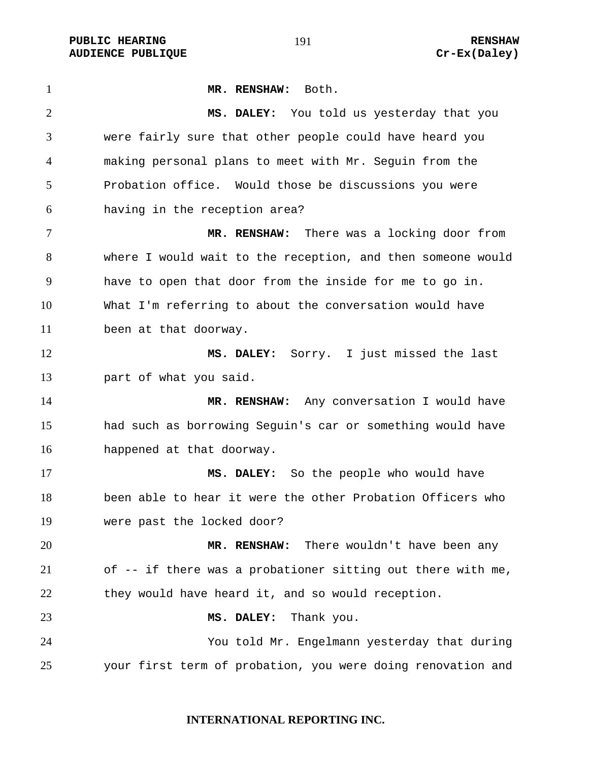PUBLIC HEARING **RENSHAW** 191 **RENSHAW** RENSHAW **RENSHAW RENSHAW RENSHAW RENSHAW RENSHAW AUDIENCE PUBLIQUE** 

| $\mathbf{1}$   | MR. RENSHAW: Both.                                          |
|----------------|-------------------------------------------------------------|
| $\overline{2}$ | MS. DALEY: You told us yesterday that you                   |
| 3              | were fairly sure that other people could have heard you     |
| 4              | making personal plans to meet with Mr. Seguin from the      |
| 5              | Probation office. Would those be discussions you were       |
| 6              | having in the reception area?                               |
| 7              | MR. RENSHAW: There was a locking door from                  |
| 8              | where I would wait to the reception, and then someone would |
| 9              | have to open that door from the inside for me to go in.     |
| 10             | What I'm referring to about the conversation would have     |
| 11             | been at that doorway.                                       |
| 12             | MS. DALEY: Sorry. I just missed the last                    |
| 13             | part of what you said.                                      |
| 14             | MR. RENSHAW: Any conversation I would have                  |
| 15             | had such as borrowing Seguin's car or something would have  |
| 16             | happened at that doorway.                                   |
| 17             | MS. DALEY: So the people who would have                     |
| 18             | been able to hear it were the other Probation Officers who  |
| 19             | were past the locked door?                                  |
| 20             | MR. RENSHAW:<br>There wouldn't have been any                |
| 21             | of -- if there was a probationer sitting out there with me, |
| 22             | they would have heard it, and so would reception.           |
| 23             | Thank you.<br>MS. DALEY:                                    |
| 24             | You told Mr. Engelmann yesterday that during                |
| 25             | your first term of probation, you were doing renovation and |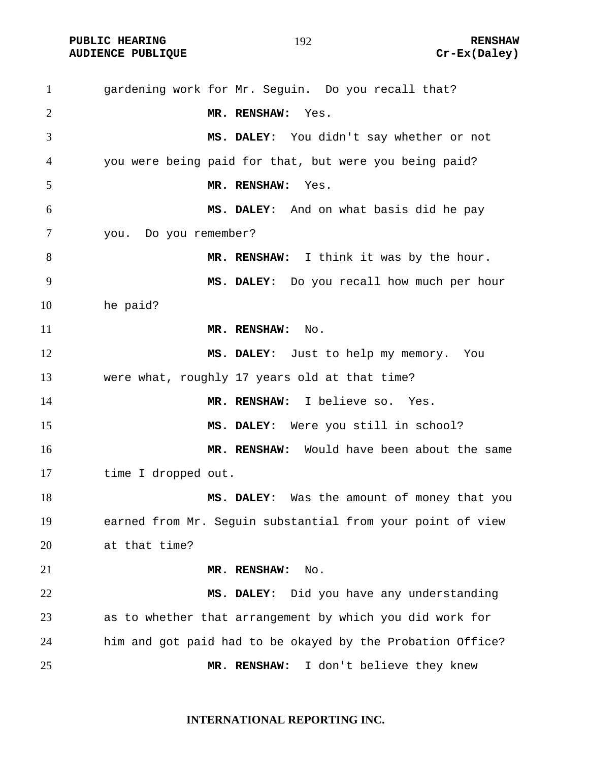**PUBLIC HEARING 192** 192 **AUDIENCE PUBLIQUE Cr-Ex(Daley)** 

gardening work for Mr. Seguin. Do you recall that? **MR. RENSHAW:** Yes. **MS. DALEY:** You didn't say whether or not you were being paid for that, but were you being paid? **MR. RENSHAW:** Yes. **MS. DALEY:** And on what basis did he pay you. Do you remember? **MR. RENSHAW:** I think it was by the hour. **MS. DALEY:** Do you recall how much per hour he paid? **MR. RENSHAW:** No. **MS. DALEY:** Just to help my memory. You were what, roughly 17 years old at that time? **MR. RENSHAW:** I believe so. Yes. **MS. DALEY:** Were you still in school? **MR. RENSHAW:** Would have been about the same time I dropped out. **MS. DALEY:** Was the amount of money that you earned from Mr. Seguin substantial from your point of view at that time? **MR. RENSHAW:** No. **MS. DALEY:** Did you have any understanding as to whether that arrangement by which you did work for him and got paid had to be okayed by the Probation Office? **MR. RENSHAW:** I don't believe they knew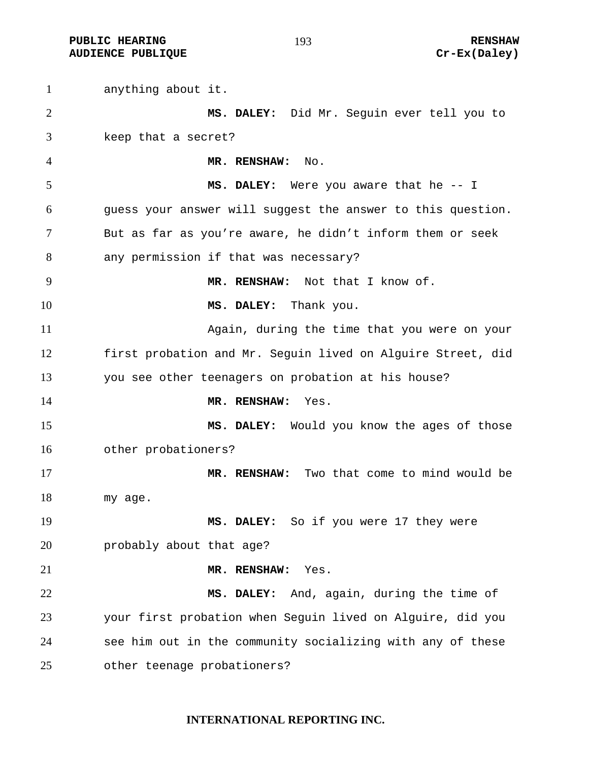**PUBLIC HEARING 193** 193 AUDIENCE PUBLIQUE **CONSTRUCE CREAM** CREAM CREAM CREAM CREAM CREAM CREAM CREAM CREAM CREAM CREAM CREAM CREAM CREAM CREAM CREAM CREAM CREAM CREAM CREAM CREAM CREAM CREAM CREAM CREAM CREAM CREAM CREAM CREAM CREAM CREAM CREAM

anything about it. **MS. DALEY:** Did Mr. Seguin ever tell you to keep that a secret? **MR. RENSHAW:** No. **MS. DALEY:** Were you aware that he -- I guess your answer will suggest the answer to this question. But as far as you're aware, he didn't inform them or seek any permission if that was necessary? **MR. RENSHAW:** Not that I know of. **MS. DALEY:** Thank you. Again, during the time that you were on your first probation and Mr. Seguin lived on Alguire Street, did you see other teenagers on probation at his house? **MR. RENSHAW:** Yes. **MS. DALEY:** Would you know the ages of those other probationers? **MR. RENSHAW:** Two that come to mind would be my age. **MS. DALEY:** So if you were 17 they were probably about that age? **MR. RENSHAW:** Yes. **MS. DALEY:** And, again, during the time of your first probation when Seguin lived on Alguire, did you see him out in the community socializing with any of these other teenage probationers?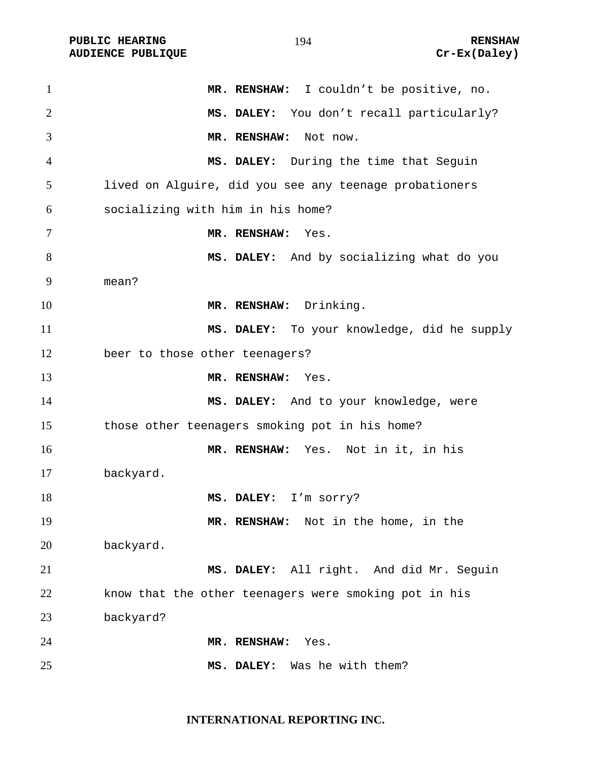PUBLIC HEARING **RENSHAW** 194 **RENSHAW** RENSHAW **RENSHAW RENSHAW RENSHAW RENSHAW RENSHAW AUDIENCE PUBLIQUE** 

| $\mathbf{1}$   | MR. RENSHAW: I couldn't be positive, no.               |
|----------------|--------------------------------------------------------|
| $\overline{2}$ | MS. DALEY: You don't recall particularly?              |
| 3              | MR. RENSHAW:<br>Not now.                               |
| $\overline{4}$ | MS. DALEY: During the time that Seguin                 |
| 5              | lived on Alguire, did you see any teenage probationers |
| 6              | socializing with him in his home?                      |
| 7              | MR. RENSHAW:<br>Yes.                                   |
| 8              | MS. DALEY: And by socializing what do you              |
| 9              | mean?                                                  |
| 10             | MR. RENSHAW: Drinking.                                 |
| 11             | MS. DALEY: To your knowledge, did he supply            |
| 12             | beer to those other teenagers?                         |
| 13             | MR. RENSHAW:<br>Yes.                                   |
| 14             | MS. DALEY: And to your knowledge, were                 |
| 15             | those other teenagers smoking pot in his home?         |
| 16             | MR. RENSHAW: Yes. Not in it, in his                    |
| 17             | backyard.                                              |
| 18             | MS. DALEY: I'm sorry?                                  |
| 19             | MR. RENSHAW: Not in the home, in the                   |
| 20             | backyard.                                              |
| 21             | MS. DALEY: All right. And did Mr. Seguin               |
| 22             | know that the other teenagers were smoking pot in his  |
| 23             | backyard?                                              |
| 24             | MR. RENSHAW:<br>Yes.                                   |
| 25             | Was he with them?<br>MS. DALEY:                        |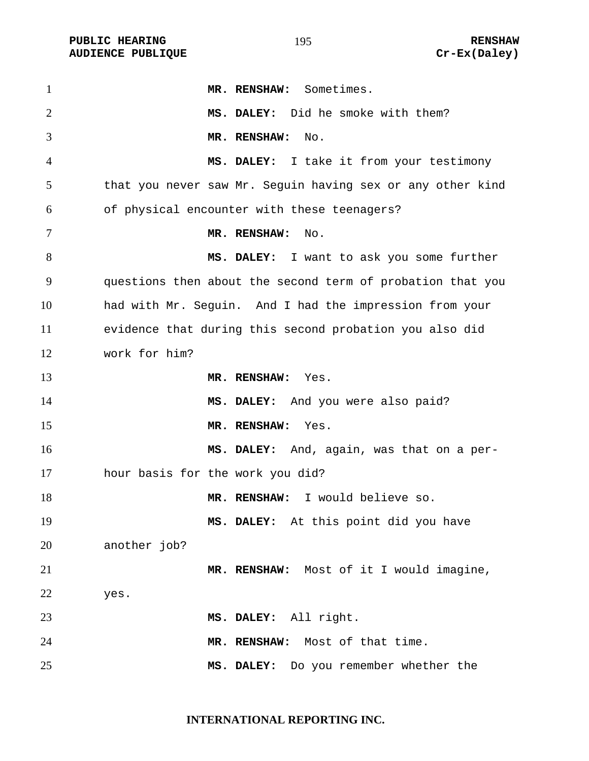**PUBLIC HEARING 195** 195 **RENSHAW** 

**MR. RENSHAW:** Sometimes. **MS. DALEY:** Did he smoke with them? **MR. RENSHAW:** No. **MS. DALEY:** I take it from your testimony that you never saw Mr. Seguin having sex or any other kind of physical encounter with these teenagers? **MR. RENSHAW:** No. **MS. DALEY:** I want to ask you some further questions then about the second term of probation that you had with Mr. Seguin. And I had the impression from your evidence that during this second probation you also did work for him? **MR. RENSHAW:** Yes. **MS. DALEY:** And you were also paid? **MR. RENSHAW:** Yes. **MS. DALEY:** And, again, was that on a per-hour basis for the work you did? **MR. RENSHAW:** I would believe so. **MS. DALEY:** At this point did you have another job? **MR. RENSHAW:** Most of it I would imagine, yes. **MS. DALEY:** All right. **MR. RENSHAW:** Most of that time. **MS. DALEY:** Do you remember whether the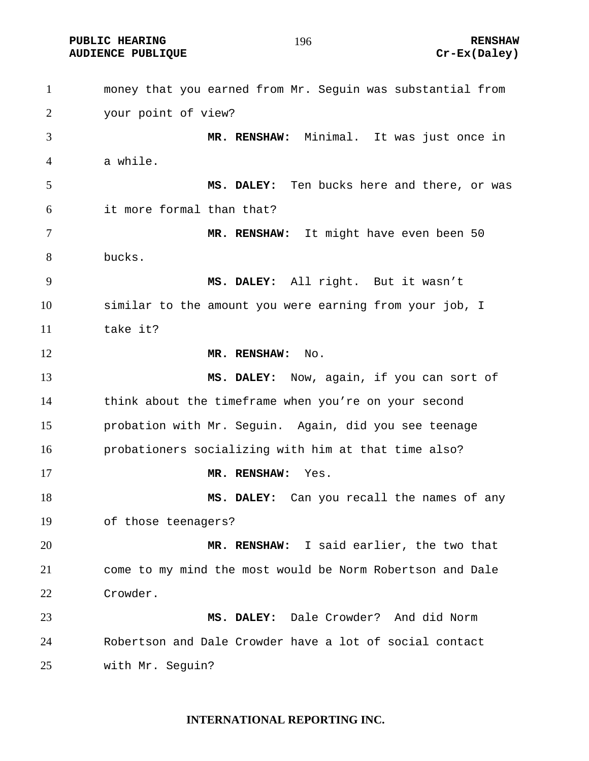**PUBLIC HEARING 196** 196

AUDIENCE PUBLIQUE **CONSTRUCE CREAM** CREAM CREAM CREAM CREAM CREAM CREAM CREAM CREAM CREAM CREAM CREAM CREAM CREAM CREAM CREAM CREAM CREAM CREAM CREAM CREAM CREAM CREAM CREAM CREAM CREAM CREAM CREAM CREAM CREAM CREAM CREAM

money that you earned from Mr. Seguin was substantial from your point of view? **MR. RENSHAW:** Minimal. It was just once in a while. **MS. DALEY:** Ten bucks here and there, or was it more formal than that? **MR. RENSHAW:** It might have even been 50 bucks. **MS. DALEY:** All right. But it wasn't similar to the amount you were earning from your job, I take it? **MR. RENSHAW:** No. **MS. DALEY:** Now, again, if you can sort of think about the timeframe when you're on your second probation with Mr. Seguin. Again, did you see teenage probationers socializing with him at that time also? **MR. RENSHAW:** Yes. **MS. DALEY:** Can you recall the names of any of those teenagers? **MR. RENSHAW:** I said earlier, the two that come to my mind the most would be Norm Robertson and Dale Crowder. **MS. DALEY:** Dale Crowder? And did Norm Robertson and Dale Crowder have a lot of social contact with Mr. Seguin?

#### **INTERNATIONAL REPORTING INC.**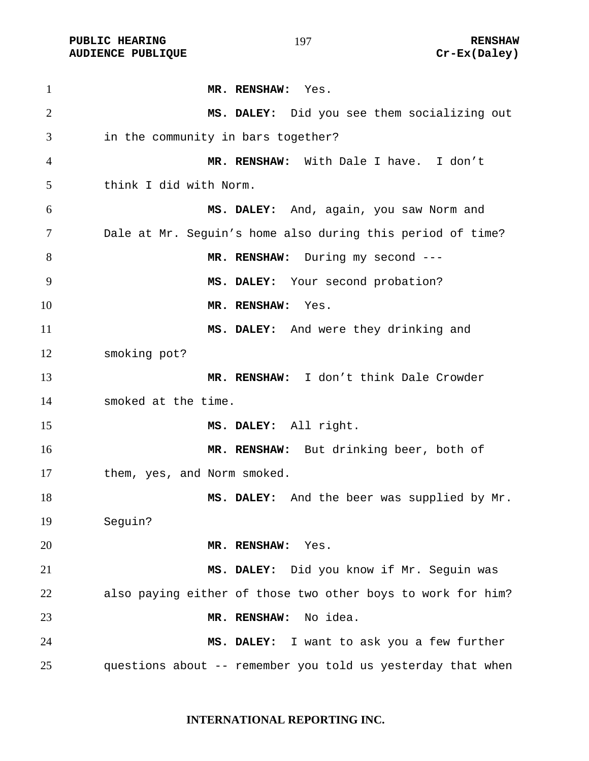PUBLIC HEARING **RENSHAW** 197 **RENSHAW** RENSHAW **RENSHAW RENSHAW RENSHAW RENSHAW RENSHAW AUDIENCE PUBLIQUE** 

| $\mathbf{1}$   | MR. RENSHAW: Yes.                                           |
|----------------|-------------------------------------------------------------|
| $\overline{2}$ | MS. DALEY: Did you see them socializing out                 |
| 3              | in the community in bars together?                          |
| 4              | MR. RENSHAW: With Dale I have. I don't                      |
| 5              | think I did with Norm.                                      |
| 6              | MS. DALEY: And, again, you saw Norm and                     |
| 7              | Dale at Mr. Seguin's home also during this period of time?  |
| 8              | MR. RENSHAW: During my second ---                           |
| 9              | MS. DALEY: Your second probation?                           |
| 10             | MR. RENSHAW:<br>Yes.                                        |
| 11             | MS. DALEY: And were they drinking and                       |
| 12             | smoking pot?                                                |
| 13             | MR. RENSHAW: I don't think Dale Crowder                     |
| 14             | smoked at the time.                                         |
| 15             | MS. DALEY: All right.                                       |
| 16             | MR. RENSHAW: But drinking beer, both of                     |
| 17             | them, yes, and Norm smoked.                                 |
| 18             | MS. DALEY: And the beer was supplied by Mr.                 |
| 19             | Seguin?                                                     |
| 20             | MR. RENSHAW:<br>Yes.                                        |
| 21             | MS. DALEY: Did you know if Mr. Seguin was                   |
| 22             | also paying either of those two other boys to work for him? |
| 23             | No idea.<br>MR. RENSHAW:                                    |
| 24             | MS. DALEY: I want to ask you a few further                  |
| 25             | questions about -- remember you told us yesterday that when |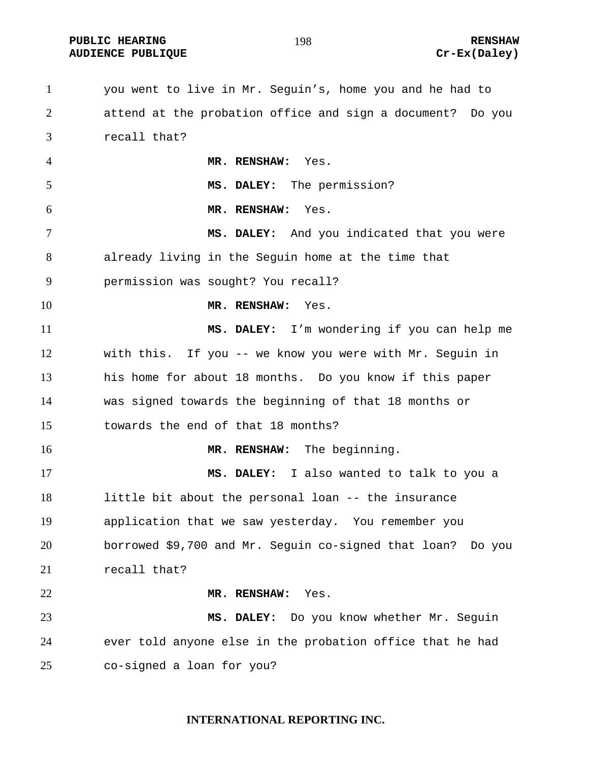**PUBLIC HEARING 198** 198 **RENSHAW** AUDIENCE PUBLIQUE **CONSTRUCE CREAM** CREAM CREAM CREAM CREAM CREAM CREAM CREAM CREAM CREAM CREAM CREAM CREAM CREAM CREAM CREAM CREAM CREAM CREAM CREAM CREAM CREAM CREAM CREAM CREAM CREAM CREAM CREAM CREAM CREAM CREAM CREAM

you went to live in Mr. Seguin's, home you and he had to attend at the probation office and sign a document? Do you recall that? **MR. RENSHAW:** Yes. **MS. DALEY:** The permission? **MR. RENSHAW:** Yes. **MS. DALEY:** And you indicated that you were already living in the Seguin home at the time that permission was sought? You recall? **MR. RENSHAW:** Yes. **MS. DALEY:** I'm wondering if you can help me with this. If you -- we know you were with Mr. Seguin in his home for about 18 months. Do you know if this paper was signed towards the beginning of that 18 months or towards the end of that 18 months? **MR. RENSHAW:** The beginning. **MS. DALEY:** I also wanted to talk to you a little bit about the personal loan -- the insurance application that we saw yesterday. You remember you borrowed \$9,700 and Mr. Seguin co-signed that loan? Do you recall that? **MR. RENSHAW:** Yes. **MS. DALEY:** Do you know whether Mr. Seguin ever told anyone else in the probation office that he had co-signed a loan for you?

**INTERNATIONAL REPORTING INC.**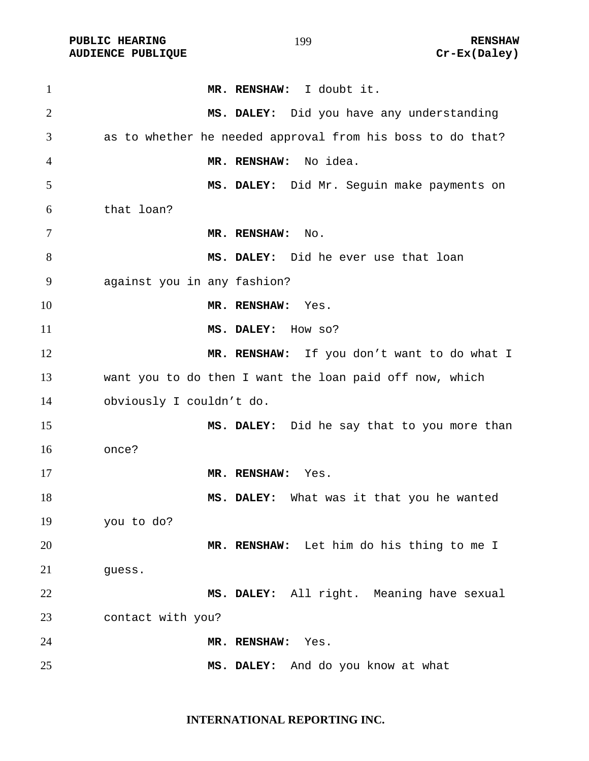PUBLIC HEARING **RENSHAW** 199 **RENSHAW** RENSHAW **RENSHAW RENSHAW RENSHAW RENSHAW RENSHAW** 

| $\mathbf{1}$   | MR. RENSHAW: I doubt it.                                   |
|----------------|------------------------------------------------------------|
| $\overline{2}$ | MS. DALEY: Did you have any understanding                  |
| 3              | as to whether he needed approval from his boss to do that? |
| 4              | No idea.<br>MR. RENSHAW:                                   |
| 5              | MS. DALEY: Did Mr. Seguin make payments on                 |
| 6              | that loan?                                                 |
| 7              | MR. RENSHAW: No.                                           |
| 8              | MS. DALEY: Did he ever use that loan                       |
| 9              | against you in any fashion?                                |
| 10             | MR. RENSHAW:<br>Yes.                                       |
| 11             | MS. DALEY: How so?                                         |
| 12             | MR. RENSHAW: If you don't want to do what I                |
| 13             | want you to do then I want the loan paid off now, which    |
| 14             | obviously I couldn't do.                                   |
| 15             | MS. DALEY: Did he say that to you more than                |
| 16             | once?                                                      |
| 17             | MR. RENSHAW:<br>Yes.                                       |
| 18             | MS. DALEY: What was it that you he wanted                  |
| 19             | you to do?                                                 |
| 20             | MR. RENSHAW: Let him do his thing to me I                  |
| 21             | guess.                                                     |
| 22             | MS. DALEY: All right. Meaning have sexual                  |
| 23             | contact with you?                                          |
| 24             | MR. RENSHAW:<br>Yes.                                       |
| 25             | MS. DALEY: And do you know at what                         |

**INTERNATIONAL REPORTING INC.**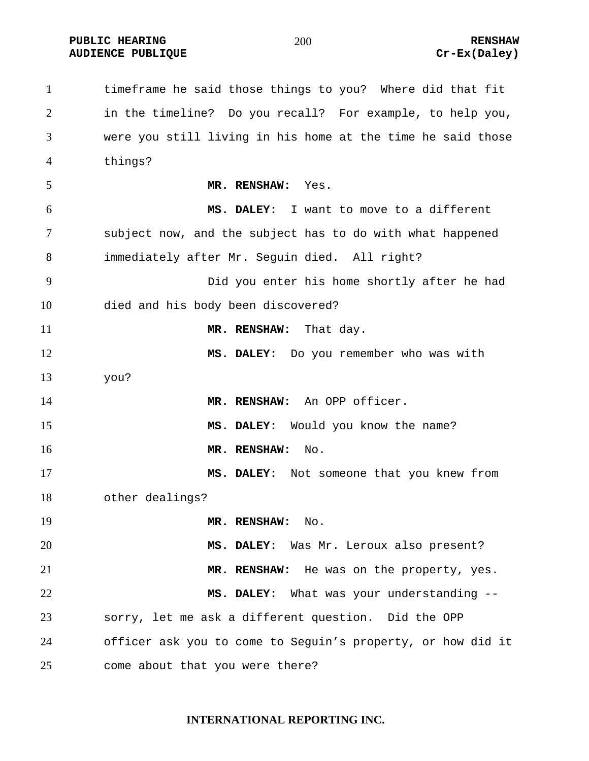**PUBLIC HEARING RENSHAW**  AUDIENCE PUBLIQUE **CONSTRUCE CREAM** CREAM CREAM CREAM CREAM CREAM CREAM CREAM CREAM CREAM CREAM CREAM CREAM CREAM CREAM CREAM CREAM CREAM CREAM CREAM CREAM CREAM CREAM CREAM CREAM CREAM CREAM CREAM CREAM CREAM CREAM CREAM

timeframe he said those things to you? Where did that fit in the timeline? Do you recall? For example, to help you, were you still living in his home at the time he said those things? **MR. RENSHAW:** Yes. **MS. DALEY:** I want to move to a different subject now, and the subject has to do with what happened immediately after Mr. Seguin died. All right? Did you enter his home shortly after he had died and his body been discovered? **MR. RENSHAW:** That day. **MS. DALEY:** Do you remember who was with you? **MR. RENSHAW:** An OPP officer. **MS. DALEY:** Would you know the name? **MR. RENSHAW:** No. **MS. DALEY:** Not someone that you knew from other dealings? **MR. RENSHAW:** No. **MS. DALEY:** Was Mr. Leroux also present? **MR. RENSHAW:** He was on the property, yes. **MS. DALEY:** What was your understanding -- sorry, let me ask a different question. Did the OPP officer ask you to come to Seguin's property, or how did it come about that you were there?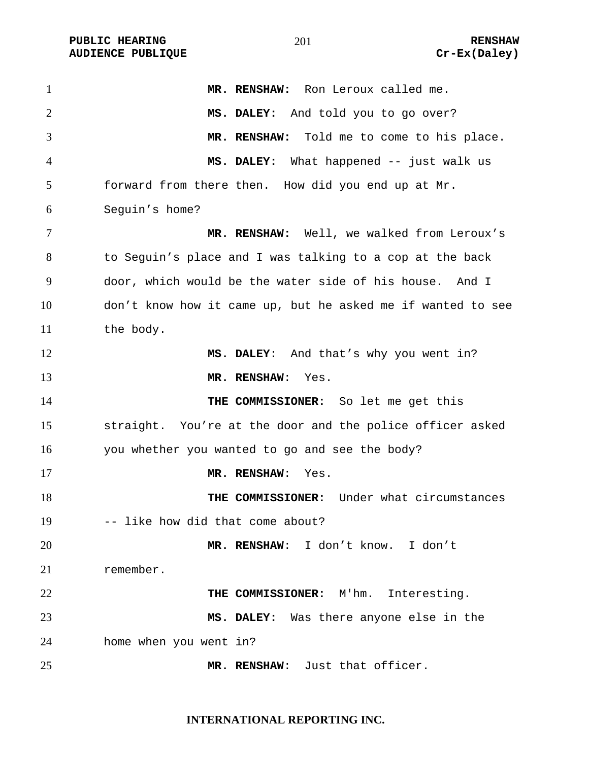| $\mathbf{1}$   | MR. RENSHAW: Ron Leroux called me.                          |
|----------------|-------------------------------------------------------------|
| $\overline{2}$ | MS. DALEY: And told you to go over?                         |
| 3              | MR. RENSHAW: Told me to come to his place.                  |
| $\overline{4}$ | MS. DALEY: What happened -- just walk us                    |
| 5              | forward from there then. How did you end up at Mr.          |
| 6              | Seguin's home?                                              |
| 7              | MR. RENSHAW: Well, we walked from Leroux's                  |
| 8              | to Seguin's place and I was talking to a cop at the back    |
| 9              | door, which would be the water side of his house. And I     |
| 10             | don't know how it came up, but he asked me if wanted to see |
| 11             | the body.                                                   |
| 12             | MS. DALEY: And that's why you went in?                      |
| 13             | MR. RENSHAW:<br>Yes.                                        |
| 14             | THE COMMISSIONER: So let me get this                        |
| 15             | straight. You're at the door and the police officer asked   |
| 16             | you whether you wanted to go and see the body?              |
| 17             | MR. RENSHAW:<br>Yes.                                        |
| 18             | Under what circumstances<br>THE COMMISSIONER:               |
| 19             | -- like how did that come about?                            |
| 20             | MR. RENSHAW: I don't know. I don't                          |
| 21             | remember.                                                   |
| 22             | THE COMMISSIONER: M'hm. Interesting.                        |
| 23             | MS. DALEY: Was there anyone else in the                     |
| 24             | home when you went in?                                      |
| 25             | MR. RENSHAW: Just that officer.                             |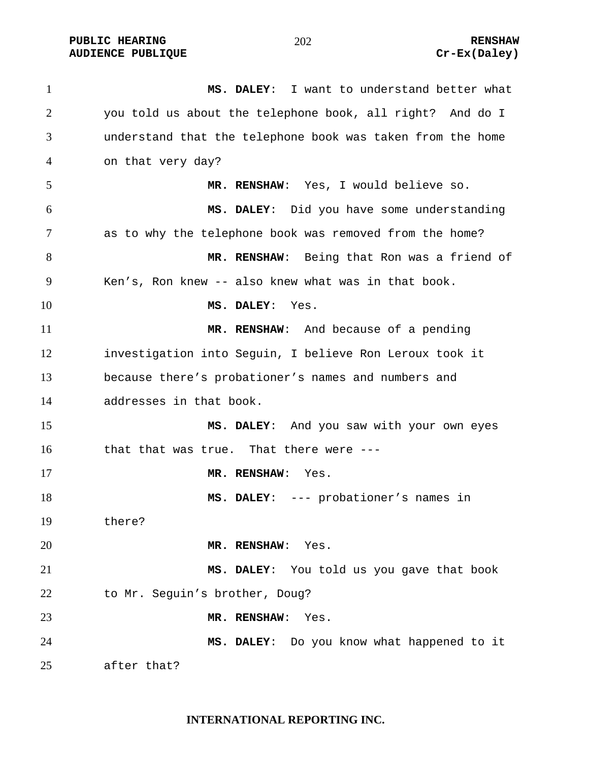**PUBLIC HEARING**  $\frac{202}{202}$  **and**  $\frac{202}{202}$  **renshaw** AUDIENCE PUBLIQUE **CONSTRUCE CREAM** CREAM CREAM CREAM CREAM CREAM CREAM CREAM CREAM CREAM CREAM CREAM CREAM CREAM CREAM CREAM CREAM CREAM CREAM CREAM CREAM CREAM CREAM CREAM CREAM CREAM CREAM CREAM CREAM CREAM CREAM CREAM

**MS. DALEY**: I want to understand better what you told us about the telephone book, all right? And do I understand that the telephone book was taken from the home on that very day? **MR. RENSHAW**: Yes, I would believe so. **MS. DALEY**: Did you have some understanding as to why the telephone book was removed from the home? **MR. RENSHAW**: Being that Ron was a friend of Ken's, Ron knew -- also knew what was in that book. **MS. DALEY**: Yes. **MR. RENSHAW**: And because of a pending investigation into Seguin, I believe Ron Leroux took it because there's probationer's names and numbers and addresses in that book. **MS. DALEY**: And you saw with your own eyes that that was true. That there were --- **MR. RENSHAW**: Yes. **MS. DALEY**: --- probationer's names in there? **MR. RENSHAW**: Yes. **MS. DALEY**: You told us you gave that book to Mr. Seguin's brother, Doug? **MR. RENSHAW**: Yes. **MS. DALEY**: Do you know what happened to it after that?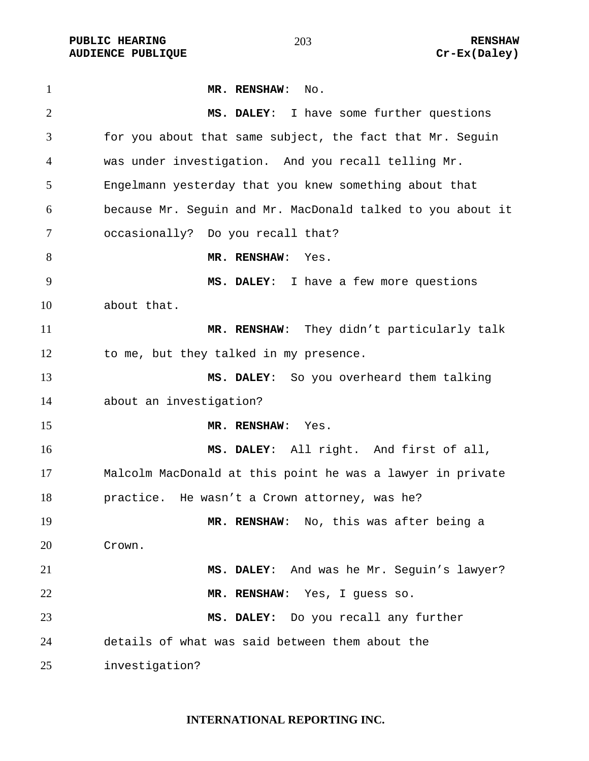PUBLIC HEARING **RENSHAW** 203 RENSHAW RENSHAW **RENSHAW RENSHAW** 203 **AUDIENCE PUBLIQUE** 

| $\mathbf{1}$   | MR. RENSHAW: No.                                            |
|----------------|-------------------------------------------------------------|
| 2              | MS. DALEY: I have some further questions                    |
| 3              | for you about that same subject, the fact that Mr. Seguin   |
| $\overline{4}$ | was under investigation. And you recall telling Mr.         |
| 5              | Engelmann yesterday that you knew something about that      |
| 6              | because Mr. Sequin and Mr. MacDonald talked to you about it |
| $\overline{7}$ | occasionally? Do you recall that?                           |
| 8              | MR. RENSHAW: Yes.                                           |
| 9              | MS. DALEY: I have a few more questions                      |
| 10             | about that.                                                 |
| 11             | MR. RENSHAW: They didn't particularly talk                  |
| 12             | to me, but they talked in my presence.                      |
| 13             | MS. DALEY: So you overheard them talking                    |
| 14             | about an investigation?                                     |
| 15             | MR. RENSHAW: Yes.                                           |
| 16             | MS. DALEY: All right. And first of all,                     |
| 17             | Malcolm MacDonald at this point he was a lawyer in private  |
| 18             | practice. He wasn't a Crown attorney, was he?               |
| 19             | MR. RENSHAW: No, this was after being a                     |
| 20             | Crown.                                                      |
| 21             | MS. DALEY: And was he Mr. Seguin's lawyer?                  |
| 22             | MR. RENSHAW: Yes, I guess so.                               |
| 23             | MS. DALEY: Do you recall any further                        |
| 24             | details of what was said between them about the             |
| 25             | investigation?                                              |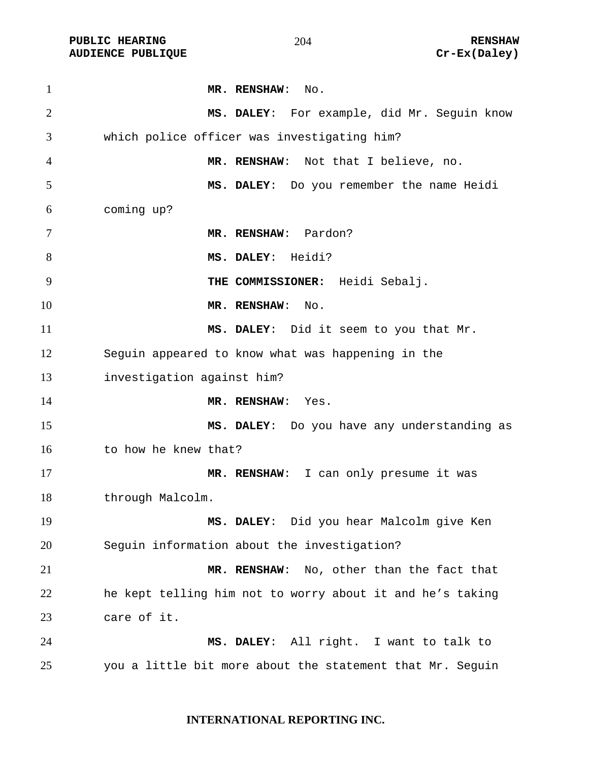| $\mathbf{1}$   | MR. RENSHAW: No.                                          |
|----------------|-----------------------------------------------------------|
| $\overline{2}$ | MS. DALEY: For example, did Mr. Seguin know               |
| 3              | which police officer was investigating him?               |
| $\overline{4}$ | MR. RENSHAW: Not that I believe, no.                      |
| 5              | MS. DALEY: Do you remember the name Heidi                 |
| 6              | coming up?                                                |
| 7              | MR. RENSHAW: Pardon?                                      |
| 8              | MS. DALEY: Heidi?                                         |
| 9              | THE COMMISSIONER: Heidi Sebalj.                           |
| 10             | MR. RENSHAW:<br>No.                                       |
| 11             | MS. DALEY: Did it seem to you that Mr.                    |
| 12             | Sequin appeared to know what was happening in the         |
| 13             | investigation against him?                                |
| 14             | MR. RENSHAW:<br>Yes.                                      |
| 15             | MS. DALEY: Do you have any understanding as               |
| 16             | to how he knew that?                                      |
| 17             | MR. RENSHAW: I can only presume it was                    |
| 18             | through Malcolm.                                          |
| 19             | MS. DALEY: Did you hear Malcolm give Ken                  |
| 20             | Seguin information about the investigation?               |
| 21             | MR. RENSHAW:<br>No, other than the fact that              |
| 22             | he kept telling him not to worry about it and he's taking |
| 23             | care of it.                                               |
| 24             | MS. DALEY: All right. I want to talk to                   |
| 25             | you a little bit more about the statement that Mr. Seguin |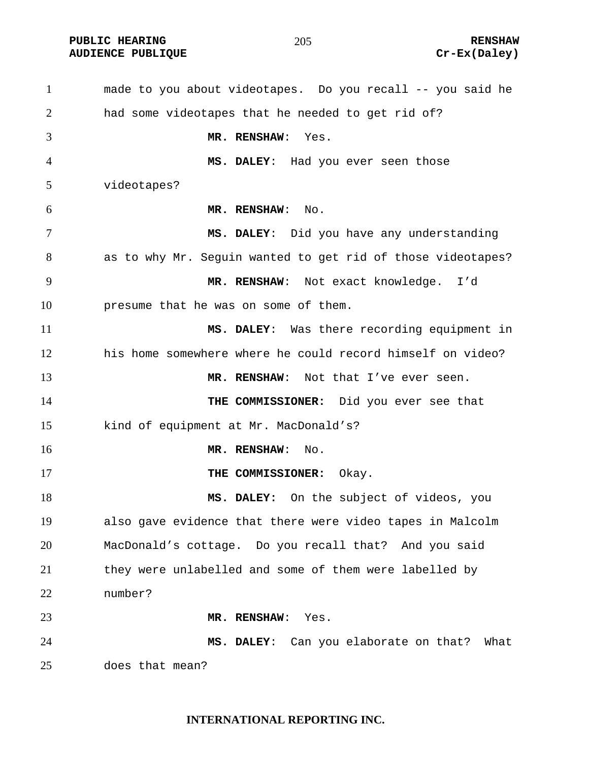**PUBLIC HEARING 2012 12:20 12:20 12:20 12:20 12:20 12:20 12:20 12:20 12:20 12:20 12:20 12:20 12:20 12:20 12:20** 

# AUDIENCE PUBLIQUE **CONSUMING CREAM** CREAM CREAM CREAM CREAM CREAM CREAM CREAM CREAM CREAM CREAM CREAM CREAM CREAM CREAM CREAM CREAM CREAM CREAM CREAM CREAM CREAM CREAM CREAM CREAM CREAM CREAM CREAM CREAM CREAM CREAM CREAM

made to you about videotapes. Do you recall -- you said he had some videotapes that he needed to get rid of? **MR. RENSHAW**: Yes. **MS. DALEY**: Had you ever seen those videotapes? **MR. RENSHAW**: No. **MS. DALEY**: Did you have any understanding as to why Mr. Seguin wanted to get rid of those videotapes? **MR. RENSHAW**: Not exact knowledge. I'd presume that he was on some of them. **MS. DALEY**: Was there recording equipment in his home somewhere where he could record himself on video? **MR. RENSHAW**: Not that I've ever seen. **THE COMMISSIONER:** Did you ever see that kind of equipment at Mr. MacDonald's? **MR. RENSHAW**: No. **THE COMMISSIONER:** Okay. **MS. DALEY:** On the subject of videos, you also gave evidence that there were video tapes in Malcolm MacDonald's cottage. Do you recall that? And you said they were unlabelled and some of them were labelled by number? **MR. RENSHAW**: Yes. **MS. DALEY**: Can you elaborate on that? What does that mean?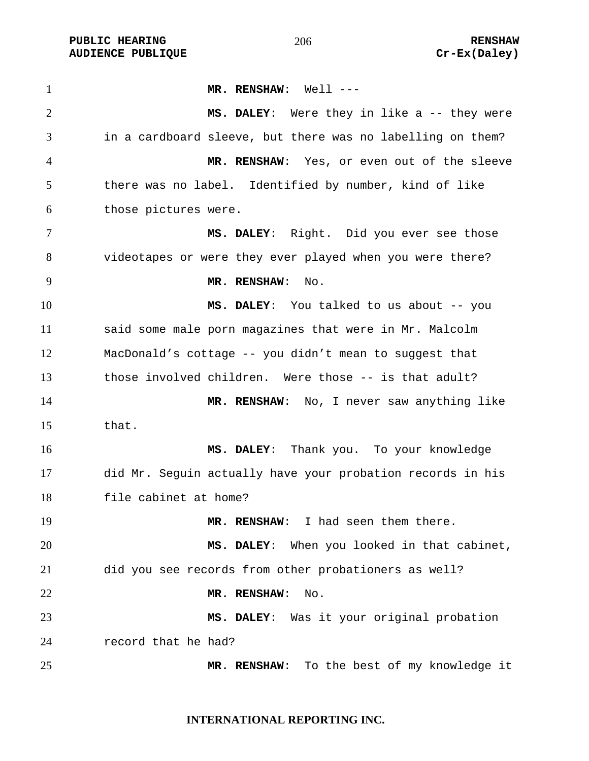**PUBLIC HEARING RENSHAW** AUDIENCE PUBLIQUE **CONSTRUCE CREAM** CREAM CREAM CREAM CREAM CREAM CREAM CREAM CREAM CREAM CREAM CREAM CREAM CREAM CREAM CREAM CREAM CREAM CREAM CREAM CREAM CREAM CREAM CREAM CREAM CREAM CREAM CREAM CREAM CREAM CREAM CREAM

**MR. RENSHAW**: Well --- **MS. DALEY**: Were they in like a -- they were in a cardboard sleeve, but there was no labelling on them? **MR. RENSHAW**: Yes, or even out of the sleeve there was no label. Identified by number, kind of like those pictures were. **MS. DALEY**: Right. Did you ever see those videotapes or were they ever played when you were there? **MR. RENSHAW**: No. **MS. DALEY**: You talked to us about -- you said some male porn magazines that were in Mr. Malcolm MacDonald's cottage -- you didn't mean to suggest that those involved children. Were those -- is that adult? **MR. RENSHAW**: No, I never saw anything like that. **MS. DALEY**: Thank you. To your knowledge did Mr. Seguin actually have your probation records in his file cabinet at home? **MR. RENSHAW**: I had seen them there. **MS. DALEY**: When you looked in that cabinet, did you see records from other probationers as well? **MR. RENSHAW**: No. **MS. DALEY**: Was it your original probation record that he had? **MR. RENSHAW**: To the best of my knowledge it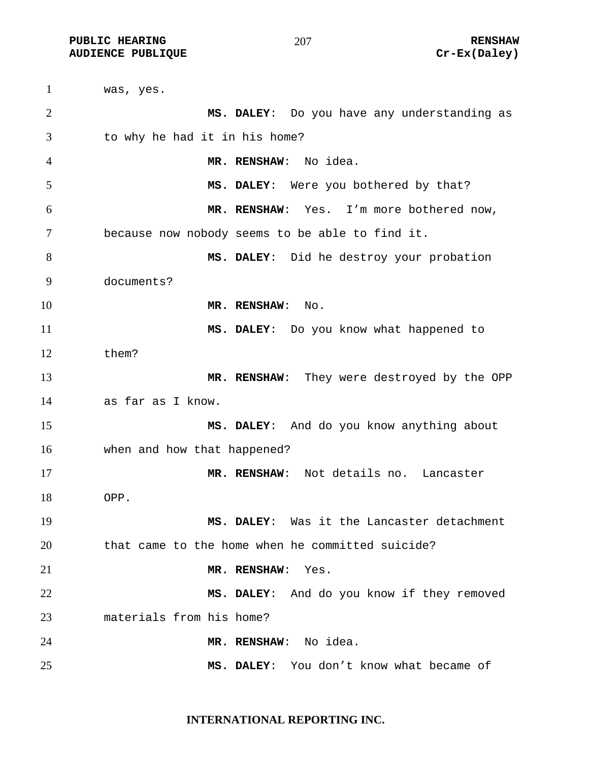was, yes. **MS. DALEY**: Do you have any understanding as to why he had it in his home? **MR. RENSHAW**: No idea. **MS. DALEY**: Were you bothered by that? **MR. RENSHAW**: Yes. I'm more bothered now, because now nobody seems to be able to find it. **MS. DALEY**: Did he destroy your probation documents? **MR. RENSHAW:** No. **MS. DALEY**: Do you know what happened to them? **MR. RENSHAW**: They were destroyed by the OPP as far as I know. **MS. DALEY**: And do you know anything about when and how that happened? **MR. RENSHAW**: Not details no. Lancaster OPP. **MS. DALEY**: Was it the Lancaster detachment that came to the home when he committed suicide? **MR. RENSHAW**: Yes. **MS. DALEY**: And do you know if they removed materials from his home? **MR. RENSHAW**: No idea. **MS. DALEY**: You don't know what became of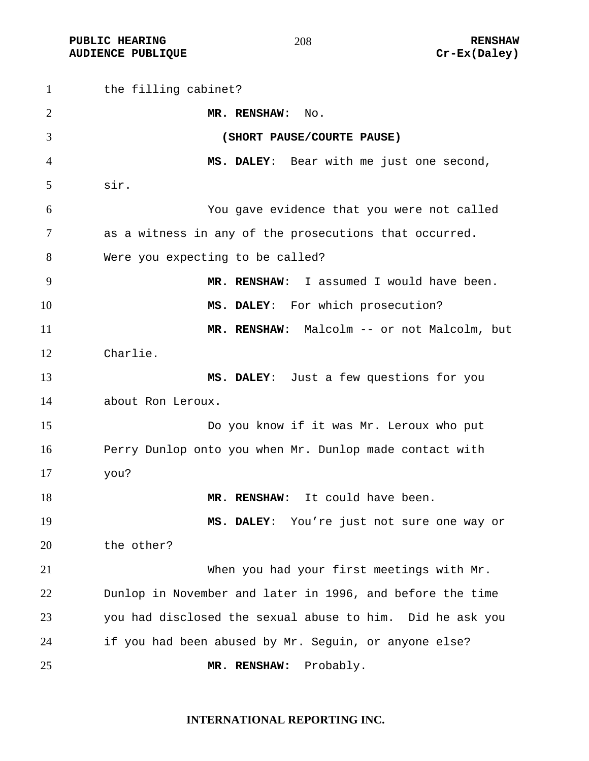**PUBLIC HEARING RENSHAW** AUDIENCE PUBLIQUE **CONSTRUCE CREAM** CREAM CREAM CREAM CREAM CREAM CREAM CREAM CREAM CREAM CREAM CREAM CREAM CREAM CREAM CREAM CREAM CREAM CREAM CREAM CREAM CREAM CREAM CREAM CREAM CREAM CREAM CREAM CREAM CREAM CREAM CREAM

the filling cabinet? **MR. RENSHAW**: No. **(SHORT PAUSE/COURTE PAUSE) MS. DALEY**: Bear with me just one second, sir. You gave evidence that you were not called as a witness in any of the prosecutions that occurred. Were you expecting to be called? **MR. RENSHAW**: I assumed I would have been. **MS. DALEY**: For which prosecution? **MR. RENSHAW**: Malcolm -- or not Malcolm, but Charlie. **MS. DALEY**: Just a few questions for you about Ron Leroux. Do you know if it was Mr. Leroux who put Perry Dunlop onto you when Mr. Dunlop made contact with you? **MR. RENSHAW:** It could have been. **MS. DALEY**: You're just not sure one way or the other? When you had your first meetings with Mr. Dunlop in November and later in 1996, and before the time you had disclosed the sexual abuse to him. Did he ask you if you had been abused by Mr. Seguin, or anyone else? **MR. RENSHAW:** Probably.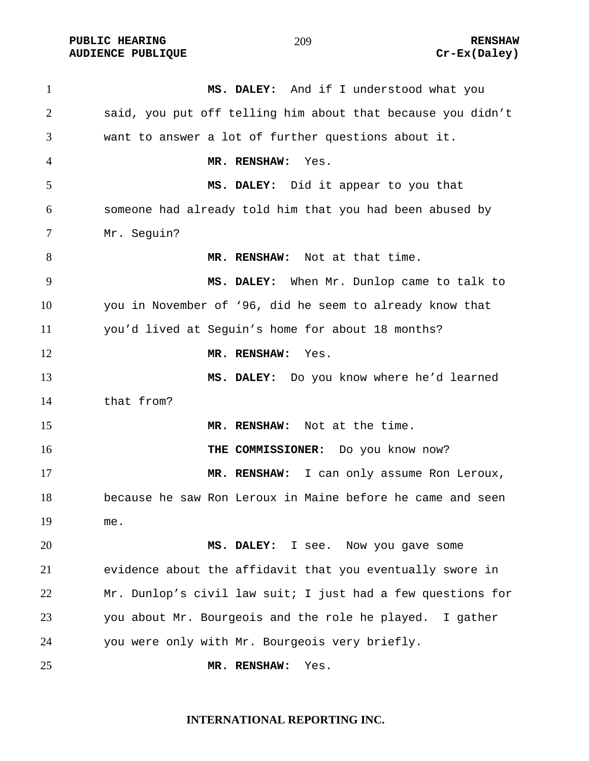PUBLIC HEARING **RENSHAW** 209 **RENSHAW RENSHAW RENSHAW RENSHAW RENSHAW RENSHAW Cr-Ex(Daley) AUDIENCE PUBLIQUE** 

| $\mathbf{1}$   | MS. DALEY: And if I understood what you                     |
|----------------|-------------------------------------------------------------|
| $\overline{2}$ | said, you put off telling him about that because you didn't |
| 3              | want to answer a lot of further questions about it.         |
| 4              | MR. RENSHAW:<br>Yes.                                        |
| 5              | MS. DALEY: Did it appear to you that                        |
| 6              | someone had already told him that you had been abused by    |
| 7              | Mr. Seguin?                                                 |
| 8              | MR. RENSHAW: Not at that time.                              |
| 9              | MS. DALEY: When Mr. Dunlop came to talk to                  |
| 10             | you in November of '96, did he seem to already know that    |
| 11             | you'd lived at Seguin's home for about 18 months?           |
| 12             | MR. RENSHAW:<br>Yes.                                        |
| 13             | MS. DALEY: Do you know where he'd learned                   |
| 14             | that from?                                                  |
| 15             | MR. RENSHAW: Not at the time.                               |
| 16             | THE COMMISSIONER: Do you know now?                          |
| 17             | MR. RENSHAW: I can only assume Ron Leroux,                  |
| 18             | because he saw Ron Leroux in Maine before he came and seen  |
| 19             | me.                                                         |
| 20             | MS. DALEY: I see.<br>Now you gave some                      |
| 21             | evidence about the affidavit that you eventually swore in   |
| 22             | Mr. Dunlop's civil law suit; I just had a few questions for |
| 23             | you about Mr. Bourgeois and the role he played. I gather    |
| 24             | you were only with Mr. Bourgeois very briefly.              |
| 25             | Yes.<br>MR. RENSHAW:                                        |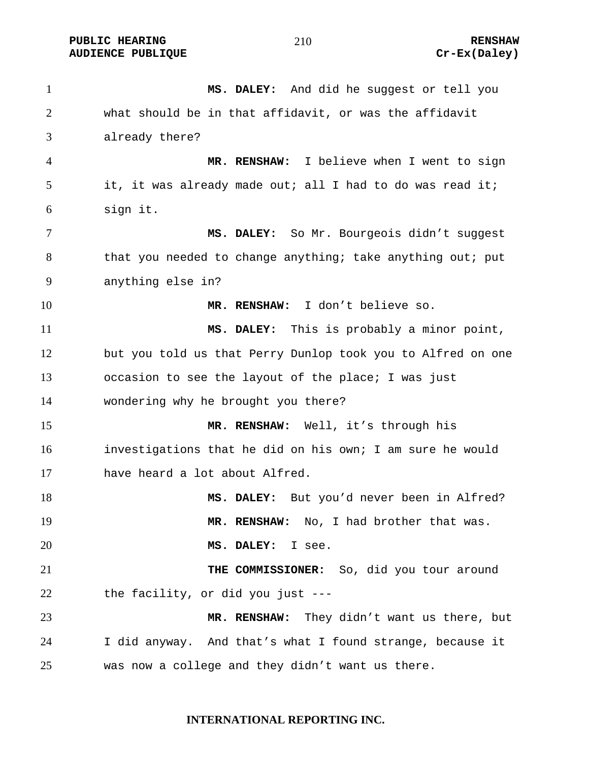**PUBLIC HEARING 210** 210 AUDIENCE PUBLIQUE **CONSUMING CREAM** CREAM CREAM CREAM CREAM CREAM CREAM CREAM CREAM CREAM CREAM CREAM CREAM CREAM CREAM CREAM CREAM CREAM CREAM CREAM CREAM CREAM CREAM CREAM CREAM CREAM CREAM CREAM CREAM CREAM CREAM CREAM

**MS. DALEY:** And did he suggest or tell you what should be in that affidavit, or was the affidavit already there? **MR. RENSHAW:** I believe when I went to sign it, it was already made out; all I had to do was read it; sign it. **MS. DALEY:** So Mr. Bourgeois didn't suggest that you needed to change anything; take anything out; put anything else in? **MR. RENSHAW:** I don't believe so. **MS. DALEY:** This is probably a minor point, but you told us that Perry Dunlop took you to Alfred on one occasion to see the layout of the place; I was just wondering why he brought you there? **MR. RENSHAW:** Well, it's through his investigations that he did on his own; I am sure he would have heard a lot about Alfred. **MS. DALEY:** But you'd never been in Alfred? **MR. RENSHAW:** No, I had brother that was. **MS. DALEY:** I see. **THE COMMISSIONER:** So, did you tour around the facility, or did you just --- **MR. RENSHAW:** They didn't want us there, but I did anyway. And that's what I found strange, because it was now a college and they didn't want us there.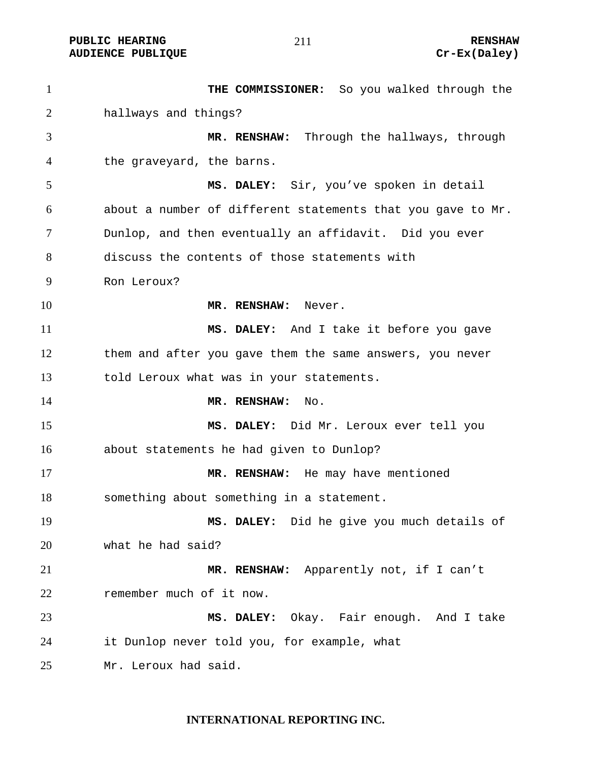**PUBLIC HEARING 211** 2008 2008 2009 2011

AUDIENCE PUBLIQUE **CONSTRUCE CREAM** CREAM CREAM CREAM CREAM CREAM CREAM CREAM CREAM CREAM CREAM CREAM CREAM CREAM CREAM CREAM CREAM CREAM CREAM CREAM CREAM CREAM CREAM CREAM CREAM CREAM CREAM CREAM CREAM CREAM CREAM CREAM

**THE COMMISSIONER:** So you walked through the hallways and things? **MR. RENSHAW:** Through the hallways, through the graveyard, the barns. **MS. DALEY:** Sir, you've spoken in detail about a number of different statements that you gave to Mr. Dunlop, and then eventually an affidavit. Did you ever discuss the contents of those statements with Ron Leroux? **MR. RENSHAW:** Never. **MS. DALEY:** And I take it before you gave them and after you gave them the same answers, you never told Leroux what was in your statements. **MR. RENSHAW:** No. **MS. DALEY:** Did Mr. Leroux ever tell you about statements he had given to Dunlop? **MR. RENSHAW:** He may have mentioned something about something in a statement. **MS. DALEY:** Did he give you much details of what he had said? **MR. RENSHAW:** Apparently not, if I can't remember much of it now. **MS. DALEY:** Okay. Fair enough. And I take it Dunlop never told you, for example, what Mr. Leroux had said.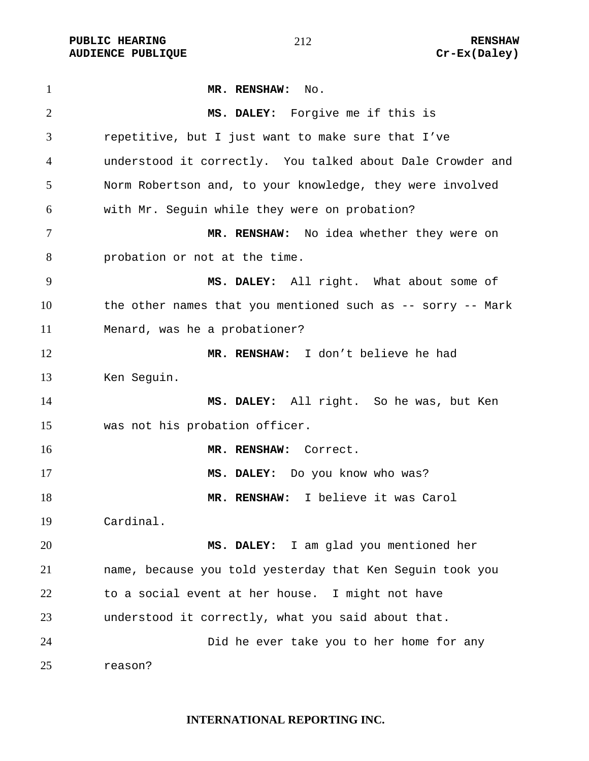**PUBLIC HEARING 212** 212

**MR. RENSHAW:** No. **MS. DALEY:** Forgive me if this is repetitive, but I just want to make sure that I've understood it correctly. You talked about Dale Crowder and Norm Robertson and, to your knowledge, they were involved with Mr. Seguin while they were on probation? **MR. RENSHAW:** No idea whether they were on probation or not at the time. **MS. DALEY:** All right. What about some of 10 the other names that you mentioned such as -- sorry -- Mark Menard, was he a probationer? **MR. RENSHAW:** I don't believe he had Ken Seguin. **MS. DALEY:** All right. So he was, but Ken was not his probation officer. **MR. RENSHAW:** Correct. **MS. DALEY:** Do you know who was? **MR. RENSHAW:** I believe it was Carol Cardinal. **MS. DALEY:** I am glad you mentioned her name, because you told yesterday that Ken Seguin took you to a social event at her house. I might not have understood it correctly, what you said about that. Did he ever take you to her home for any reason?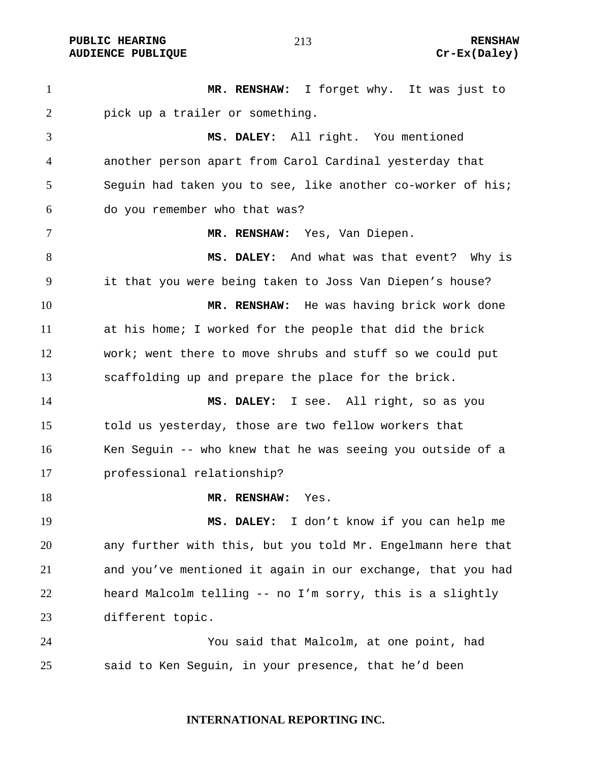**PUBLIC HEARING 213** 213 **AUDIENCE PUBLIQUE Cr-Ex(Daley)** 

**MR. RENSHAW:** I forget why. It was just to pick up a trailer or something. **MS. DALEY:** All right. You mentioned another person apart from Carol Cardinal yesterday that Seguin had taken you to see, like another co-worker of his; do you remember who that was? **MR. RENSHAW:** Yes, Van Diepen. **MS. DALEY:** And what was that event? Why is it that you were being taken to Joss Van Diepen's house? **MR. RENSHAW:** He was having brick work done at his home; I worked for the people that did the brick work; went there to move shrubs and stuff so we could put scaffolding up and prepare the place for the brick. **MS. DALEY:** I see. All right, so as you told us yesterday, those are two fellow workers that Ken Seguin -- who knew that he was seeing you outside of a professional relationship? **MR. RENSHAW:** Yes. **MS. DALEY:** I don't know if you can help me any further with this, but you told Mr. Engelmann here that and you've mentioned it again in our exchange, that you had heard Malcolm telling -- no I'm sorry, this is a slightly different topic. You said that Malcolm, at one point, had said to Ken Seguin, in your presence, that he'd been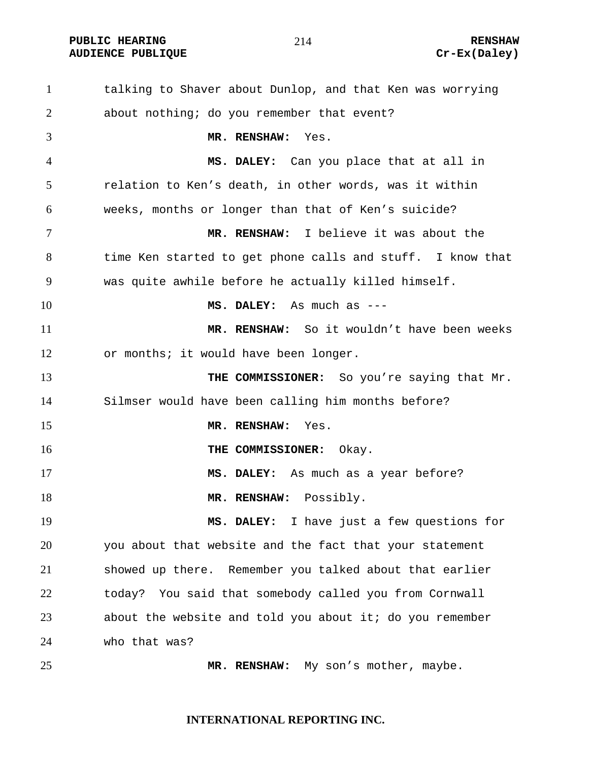**PUBLIC HEARING 214** 214 RENSHAW

# AUDIENCE PUBLIQUE **CONSTRUCE CREAM** CREAM CREAM CREAM CREAM CREAM CREAM CREAM CREAM CREAM CREAM CREAM CREAM CREAM CREAM CREAM CREAM CREAM CREAM CREAM CREAM CREAM CREAM CREAM CREAM CREAM CREAM CREAM CREAM CREAM CREAM CREAM

talking to Shaver about Dunlop, and that Ken was worrying about nothing; do you remember that event? **MR. RENSHAW:** Yes. **MS. DALEY:** Can you place that at all in relation to Ken's death, in other words, was it within weeks, months or longer than that of Ken's suicide? **MR. RENSHAW:** I believe it was about the time Ken started to get phone calls and stuff. I know that was quite awhile before he actually killed himself. **MS. DALEY:** As much as --- **MR. RENSHAW:** So it wouldn't have been weeks or months; it would have been longer. **THE COMMISSIONER:** So you're saying that Mr. Silmser would have been calling him months before? **MR. RENSHAW:** Yes. **THE COMMISSIONER:** Okay. **MS. DALEY:** As much as a year before? 18 MR. RENSHAW: Possibly. **MS. DALEY:** I have just a few questions for you about that website and the fact that your statement showed up there. Remember you talked about that earlier today? You said that somebody called you from Cornwall about the website and told you about it; do you remember who that was? **MR. RENSHAW:** My son's mother, maybe.

# **INTERNATIONAL REPORTING INC.**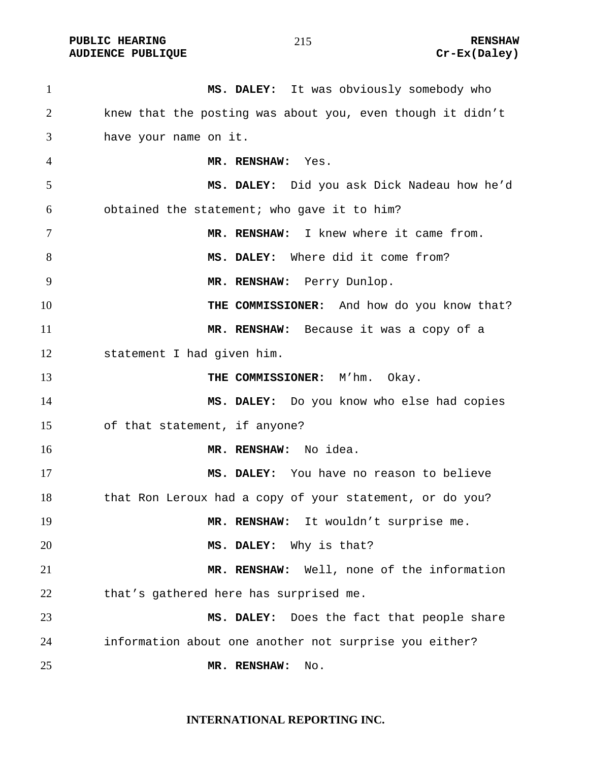PUBLIC HEARING **RENSHAW** 215 **RENSHAW RENSHAW RENSHAW RENSHAW RENSHAW RENSHAW Cr-Ex(Daley) AUDIENCE PUBLIQUE** 

| $\mathbf{1}$   | MS. DALEY: It was obviously somebody who                   |
|----------------|------------------------------------------------------------|
| $\overline{2}$ | knew that the posting was about you, even though it didn't |
| 3              | have your name on it.                                      |
| 4              | MR. RENSHAW: Yes.                                          |
| 5              | MS. DALEY: Did you ask Dick Nadeau how he'd                |
| 6              | obtained the statement; who gave it to him?                |
| 7              | MR. RENSHAW: I knew where it came from.                    |
| 8              | MS. DALEY: Where did it come from?                         |
| 9              | MR. RENSHAW: Perry Dunlop.                                 |
| 10             | THE COMMISSIONER: And how do you know that?                |
| 11             | MR. RENSHAW: Because it was a copy of a                    |
| 12             | statement I had given him.                                 |
| 13             | THE COMMISSIONER: M'hm. Okay.                              |
| 14             | MS. DALEY: Do you know who else had copies                 |
| 15             | of that statement, if anyone?                              |
| 16             | MR. RENSHAW: No idea.                                      |
| 17             | MS. DALEY: You have no reason to believe                   |
| 18             | that Ron Leroux had a copy of your statement, or do you?   |
| 19             | MR. RENSHAW: It wouldn't surprise me.                      |
| 20             | MS. DALEY: Why is that?                                    |
| 21             | MR. RENSHAW: Well, none of the information                 |
| 22             | that's gathered here has surprised me.                     |
| 23             | MS. DALEY: Does the fact that people share                 |
| 24             | information about one another not surprise you either?     |
| 25             | MR. RENSHAW:<br>No.                                        |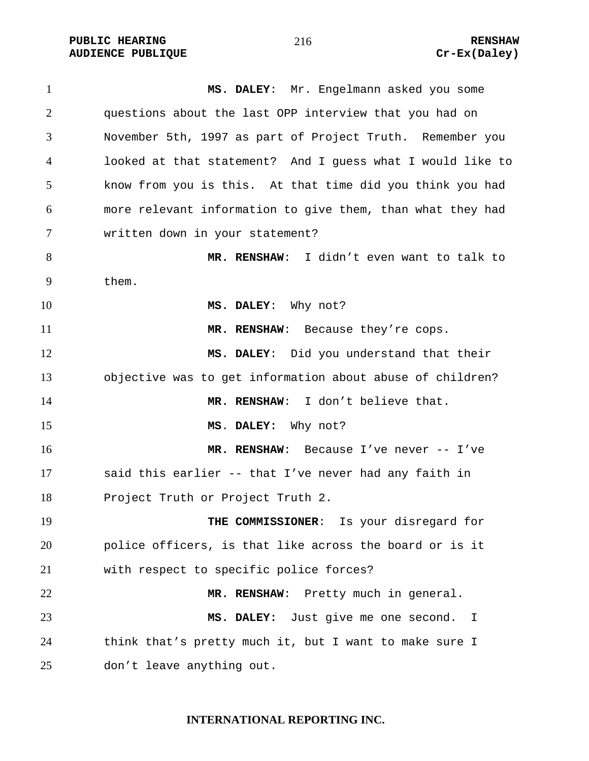**PUBLIC HEARING 216** 216 **RENSHAW** AUDIENCE PUBLIQUE **CONSTRUCE CREAM** CREAM CREAM CREAM CREAM CREAM CREAM CREAM CREAM CREAM CREAM CREAM CREAM CREAM CREAM CREAM CREAM CREAM CREAM CREAM CREAM CREAM CREAM CREAM CREAM CREAM CREAM CREAM CREAM CREAM CREAM CREAM

**MS. DALEY**: Mr. Engelmann asked you some questions about the last OPP interview that you had on November 5th, 1997 as part of Project Truth. Remember you looked at that statement? And I guess what I would like to know from you is this. At that time did you think you had more relevant information to give them, than what they had written down in your statement? **MR. RENSHAW**: I didn't even want to talk to them. **MS. DALEY**: Why not? **MR. RENSHAW**: Because they're cops. **MS. DALEY**: Did you understand that their objective was to get information about abuse of children? **MR. RENSHAW**: I don't believe that. **MS**. **DALEY:** Why not? **MR. RENSHAW**: Because I've never -- I've said this earlier -- that I've never had any faith in Project Truth or Project Truth 2. **THE COMMISSIONER**: Is your disregard for police officers, is that like across the board or is it with respect to specific police forces? **MR. RENSHAW**: Pretty much in general. **MS. DALEY:** Just give me one second. I think that's pretty much it, but I want to make sure I don't leave anything out.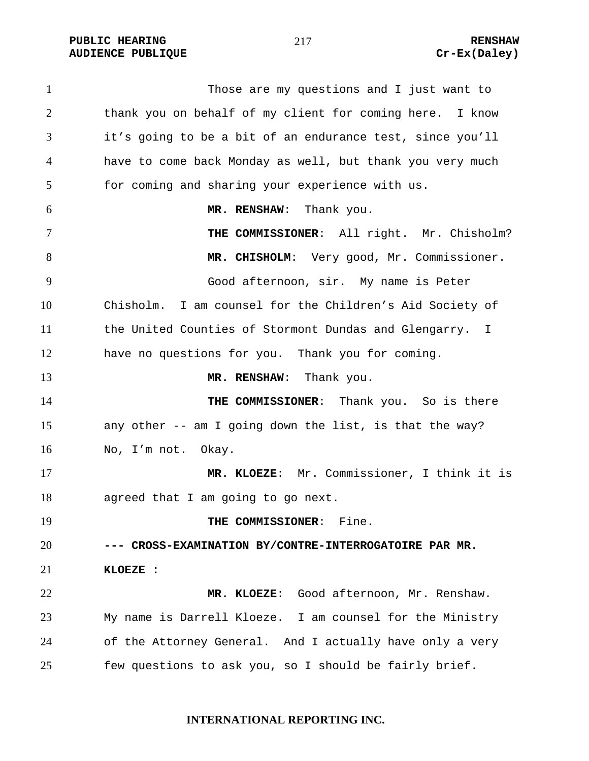**PUBLIC HEARING 217** 217

Those are my questions and I just want to thank you on behalf of my client for coming here. I know it's going to be a bit of an endurance test, since you'll have to come back Monday as well, but thank you very much for coming and sharing your experience with us. **MR. RENSHAW**: Thank you. **THE COMMISSIONER**: All right. Mr. Chisholm? **MR. CHISHOLM**: Very good, Mr. Commissioner. Good afternoon, sir. My name is Peter Chisholm. I am counsel for the Children's Aid Society of the United Counties of Stormont Dundas and Glengarry. I have no questions for you. Thank you for coming. 13 MR. RENSHAW: Thank you. **THE COMMISSIONER:** Thank you. So is there any other -- am I going down the list, is that the way? No, I'm not. Okay. **MR. KLOEZE**: Mr. Commissioner, I think it is agreed that I am going to go next. **THE COMMISSIONER:** Fine. **--- CROSS-EXAMINATION BY/CONTRE-INTERROGATOIRE PAR MR. KLOEZE : MR. KLOEZE**: Good afternoon, Mr. Renshaw. My name is Darrell Kloeze. I am counsel for the Ministry of the Attorney General. And I actually have only a very few questions to ask you, so I should be fairly brief.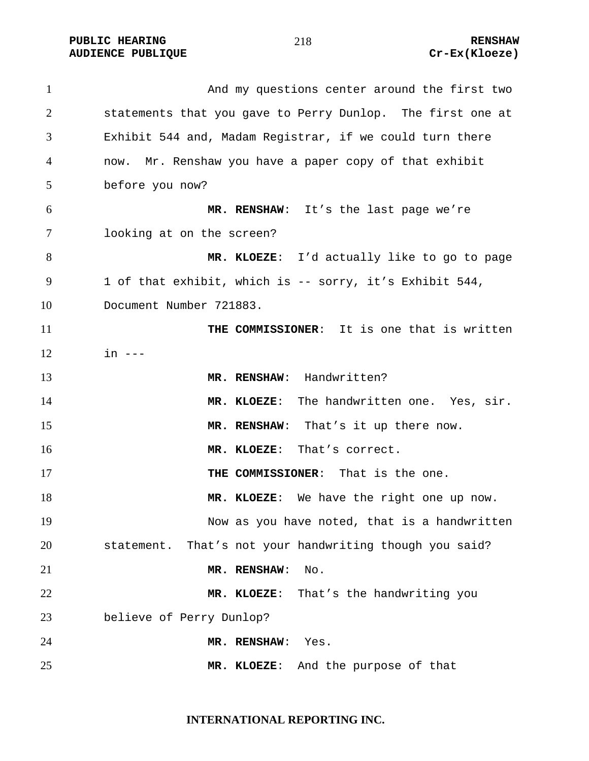PUBLIC HEARING **RENSHAW** 218 **RENSHAW** RENSHAW **RENSHAW RENSHAW RENSHAW RENSHAW Cr-Ex(Kloeze) AUDIENCE PUBLIQUE** 

| $\mathbf{1}$   | And my questions center around the first two               |
|----------------|------------------------------------------------------------|
| $\overline{2}$ | statements that you gave to Perry Dunlop. The first one at |
| 3              | Exhibit 544 and, Madam Registrar, if we could turn there   |
| 4              | now. Mr. Renshaw you have a paper copy of that exhibit     |
| 5              | before you now?                                            |
| 6              | MR. RENSHAW: It's the last page we're                      |
| 7              | looking at on the screen?                                  |
| 8              | MR. KLOEZE: I'd actually like to go to page                |
| 9              | 1 of that exhibit, which is -- sorry, it's Exhibit 544,    |
| 10             | Document Number 721883.                                    |
| 11             | THE COMMISSIONER: It is one that is written                |
| 12             | $in$ $---$                                                 |
| 13             | MR. RENSHAW: Handwritten?                                  |
| 14             | MR. KLOEZE: The handwritten one. Yes, sir.                 |
| 15             | MR. RENSHAW: That's it up there now.                       |
| 16             | MR. KLOEZE: That's correct.                                |
| 17             | THE COMMISSIONER: That is the one.                         |
| 18             | MR. KLOEZE: We have the right one up now.                  |
| 19             | Now as you have noted, that is a handwritten               |
| 20             | statement. That's not your handwriting though you said?    |
| 21             | MR. RENSHAW:<br>No.                                        |
| 22             | MR. KLOEZE:<br>That's the handwriting you                  |
| 23             | believe of Perry Dunlop?                                   |
| 24             | MR. RENSHAW:<br>Yes.                                       |
| 25             | And the purpose of that<br>MR. KLOEZE:                     |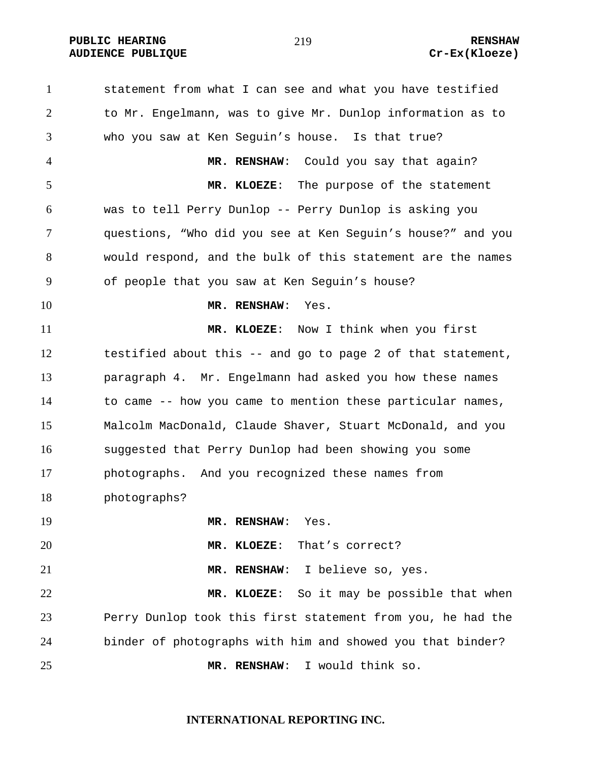**PUBLIC HEARING 219** 219

# **AUDIENCE PUBLIQUE Cr-Ex(Kloeze)**

statement from what I can see and what you have testified to Mr. Engelmann, was to give Mr. Dunlop information as to who you saw at Ken Seguin's house. Is that true? **MR. RENSHAW**: Could you say that again? **MR. KLOEZE**: The purpose of the statement was to tell Perry Dunlop -- Perry Dunlop is asking you questions, "Who did you see at Ken Seguin's house?" and you would respond, and the bulk of this statement are the names of people that you saw at Ken Seguin's house? **MR. RENSHAW**: Yes. **MR. KLOEZE**: Now I think when you first testified about this -- and go to page 2 of that statement, paragraph 4. Mr. Engelmann had asked you how these names to came -- how you came to mention these particular names, Malcolm MacDonald, Claude Shaver, Stuart McDonald, and you suggested that Perry Dunlop had been showing you some photographs. And you recognized these names from photographs? **MR. RENSHAW**: Yes. **MR. KLOEZE**: That's correct? **MR. RENSHAW**: I believe so, yes. **MR. KLOEZE**: So it may be possible that when Perry Dunlop took this first statement from you, he had the binder of photographs with him and showed you that binder? **MR. RENSHAW**: I would think so.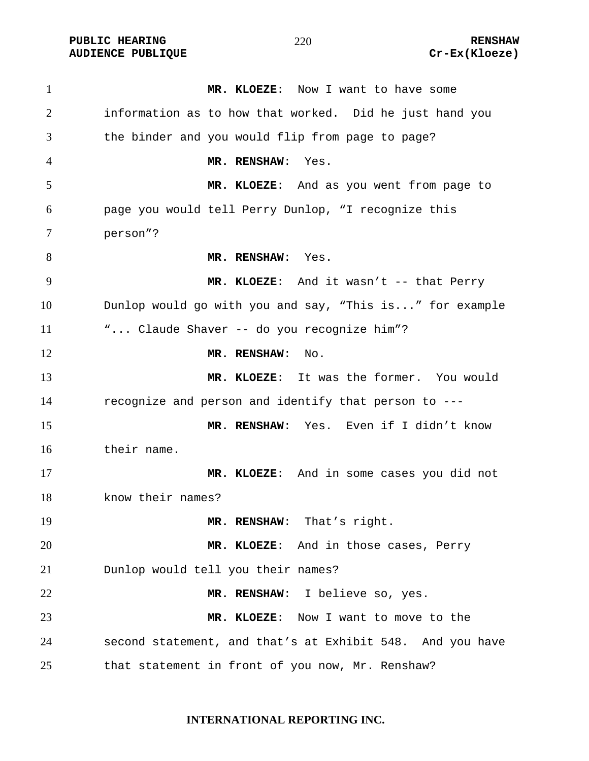PUBLIC HEARING **RENSHAW** 220 **RENSHAW** RENSHAW **RENSHAW RENSHAW RENSHAW RENSHAW Cr-Ex(Kloeze) AUDIENCE PUBLIQUE** 

| $\mathbf{1}$ | MR. KLOEZE: Now I want to have some                       |
|--------------|-----------------------------------------------------------|
| 2            | information as to how that worked. Did he just hand you   |
| 3            | the binder and you would flip from page to page?          |
| 4            | MR. RENSHAW:<br>Yes.                                      |
| 5            | MR. KLOEZE: And as you went from page to                  |
| 6            | page you would tell Perry Dunlop, "I recognize this       |
| 7            | person"?                                                  |
| 8            | MR. RENSHAW: Yes.                                         |
| 9            | MR. KLOEZE: And it wasn't -- that Perry                   |
| 10           | Dunlop would go with you and say, "This is" for example   |
| 11           | " Claude Shaver -- do you recognize him"?                 |
| 12           | MR. RENSHAW:<br>No.                                       |
| 13           | MR. KLOEZE: It was the former. You would                  |
| 14           | recognize and person and identify that person to ---      |
| 15           | MR. RENSHAW: Yes. Even if I didn't know                   |
| 16           | their name.                                               |
| 17           | MR. KLOEZE: And in some cases you did not                 |
| 18           | know their names?                                         |
| 19           | MR. RENSHAW: That's right.                                |
| 20           | MR. KLOEZE: And in those cases, Perry                     |
| 21           | Dunlop would tell you their names?                        |
| 22           | MR. RENSHAW: I believe so, yes.                           |
| 23           | MR. KLOEZE: Now I want to move to the                     |
| 24           | second statement, and that's at Exhibit 548. And you have |
| 25           | that statement in front of you now, Mr. Renshaw?          |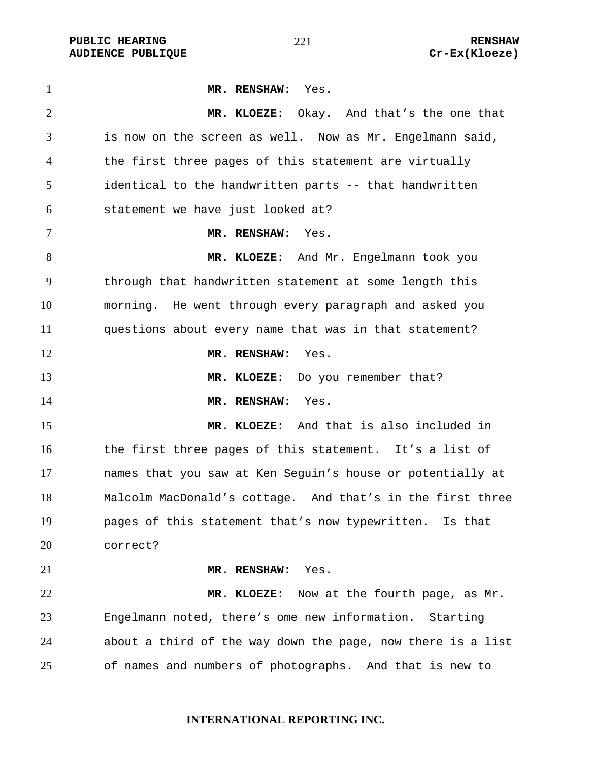**PUBLIC HEARING**  $\frac{21}{10}$  **221 RENSHAW** 

**MR. RENSHAW**: Yes. **MR. KLOEZE**: Okay. And that's the one that is now on the screen as well. Now as Mr. Engelmann said, the first three pages of this statement are virtually identical to the handwritten parts -- that handwritten statement we have just looked at? **MR. RENSHAW**: Yes. **MR. KLOEZE**: And Mr. Engelmann took you through that handwritten statement at some length this morning. He went through every paragraph and asked you questions about every name that was in that statement? **MR. RENSHAW**: Yes. **MR. KLOEZE**: Do you remember that? **MR. RENSHAW**: Yes. **MR. KLOEZE**: And that is also included in the first three pages of this statement. It's a list of names that you saw at Ken Seguin's house or potentially at Malcolm MacDonald's cottage. And that's in the first three pages of this statement that's now typewritten. Is that correct? **MR. RENSHAW**: Yes. **MR. KLOEZE**: Now at the fourth page, as Mr. Engelmann noted, there's ome new information. Starting about a third of the way down the page, now there is a list of names and numbers of photographs. And that is new to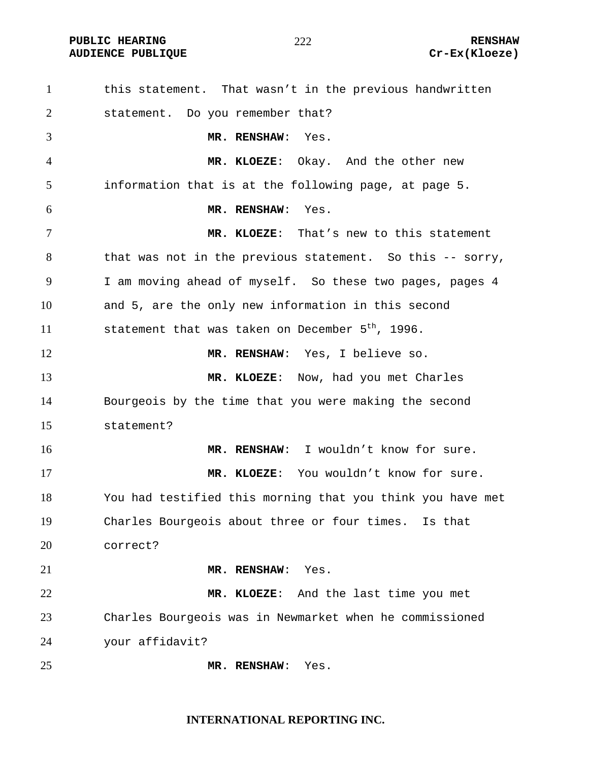**AUDIENCE PUBLIQUE** 

### 

| $\mathbf{1}$ | this statement. That wasn't in the previous handwritten      |
|--------------|--------------------------------------------------------------|
| 2            | statement. Do you remember that?                             |
| 3            | MR. RENSHAW: Yes.                                            |
| 4            | MR. KLOEZE: Okay. And the other new                          |
| 5            | information that is at the following page, at page 5.        |
| 6            | MR. RENSHAW:<br>Yes.                                         |
| 7            | MR. KLOEZE: That's new to this statement                     |
| 8            | that was not in the previous statement. So this -- sorry,    |
| 9            | I am moving ahead of myself. So these two pages, pages 4     |
| 10           | and 5, are the only new information in this second           |
| 11           | statement that was taken on December 5 <sup>th</sup> , 1996. |
| 12           | MR. RENSHAW: Yes, I believe so.                              |
| 13           | MR. KLOEZE: Now, had you met Charles                         |
| 14           | Bourgeois by the time that you were making the second        |
| 15           | statement?                                                   |
| 16           | MR. RENSHAW: I wouldn't know for sure.                       |
| 17           | MR. KLOEZE: You wouldn't know for sure.                      |
| 18           | You had testified this morning that you think you have met   |
| 19           | Charles Bourgeois about three or four times. Is that         |
| 20           | correct?                                                     |
| 21           | MR. RENSHAW:<br>Yes.                                         |
| 22           | MR. KLOEZE: And the last time you met                        |
| 23           | Charles Bourgeois was in Newmarket when he commissioned      |
| 24           | your affidavit?                                              |
| 25           | MR. RENSHAW:<br>Yes.                                         |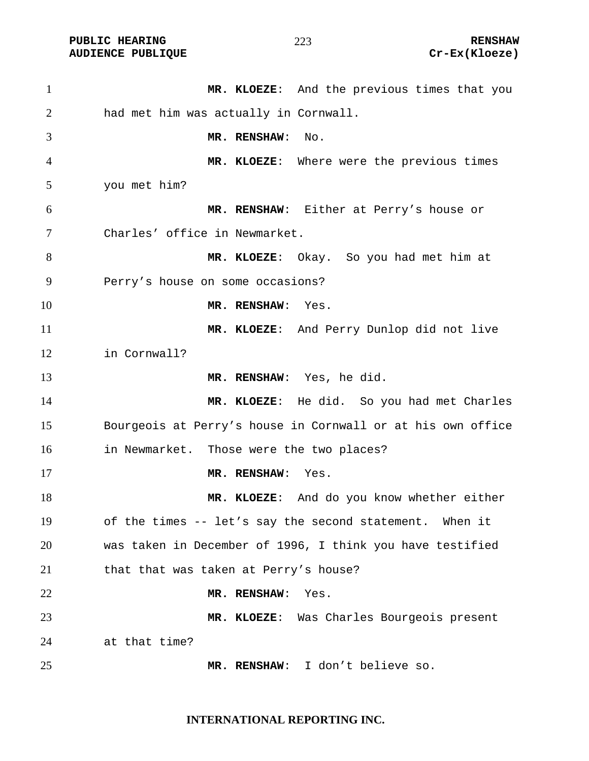**PUBLIC HEARING**  $\frac{273}{273}$  **RENSHAW** 

**MR. KLOEZE**: And the previous times that you had met him was actually in Cornwall. **MR. RENSHAW**: No. **MR. KLOEZE**: Where were the previous times you met him? **MR. RENSHAW**: Either at Perry's house or Charles' office in Newmarket. **MR. KLOEZE**: Okay. So you had met him at Perry's house on some occasions? **MR. RENSHAW**: Yes. **MR. KLOEZE**: And Perry Dunlop did not live in Cornwall? **MR. RENSHAW**: Yes, he did. **MR. KLOEZE**: He did. So you had met Charles Bourgeois at Perry's house in Cornwall or at his own office in Newmarket. Those were the two places? **MR. RENSHAW**: Yes. **MR. KLOEZE**: And do you know whether either of the times -- let's say the second statement. When it was taken in December of 1996, I think you have testified 21 that that was taken at Perry's house? **MR. RENSHAW**: Yes. **MR. KLOEZE**: Was Charles Bourgeois present at that time? **MR. RENSHAW**: I don't believe so.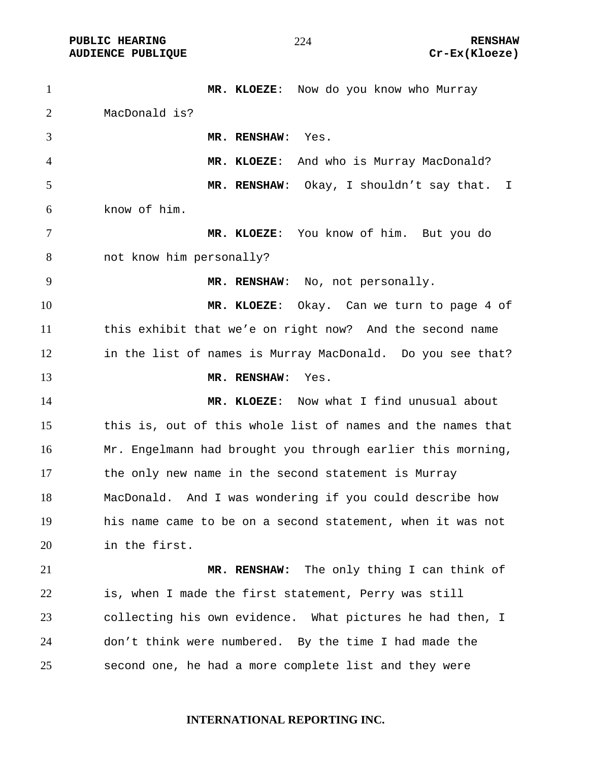**PUBLIC HEARING**  $\frac{274}{100}$  **RENSHAW** 

1 MR. KLOEZE: Now do you know who Murray MacDonald is? **MR. RENSHAW**: Yes. **MR. KLOEZE**: And who is Murray MacDonald? **MR. RENSHAW**: Okay, I shouldn't say that. I know of him. **MR. KLOEZE**: You know of him. But you do not know him personally? **MR. RENSHAW**: No, not personally. **MR. KLOEZE**: Okay. Can we turn to page 4 of this exhibit that we'e on right now? And the second name in the list of names is Murray MacDonald. Do you see that? **MR. RENSHAW**: Yes. **MR. KLOEZE**: Now what I find unusual about this is, out of this whole list of names and the names that Mr. Engelmann had brought you through earlier this morning, the only new name in the second statement is Murray MacDonald. And I was wondering if you could describe how his name came to be on a second statement, when it was not in the first. **MR. RENSHAW:** The only thing I can think of is, when I made the first statement, Perry was still collecting his own evidence. What pictures he had then, I don't think were numbered. By the time I had made the second one, he had a more complete list and they were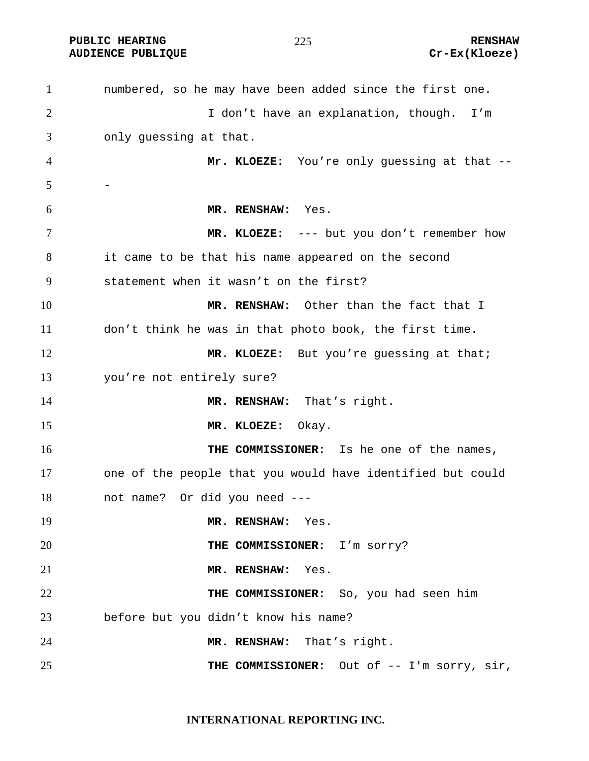PUBLIC HEARING **RENSHAW** 225 **RENSHAW** RENSHAW **RENSHAW RENSHAW RENSHAW RENSHAW Cr-Ex(Kloeze) AUDIENCE PUBLIQUE** 

| $\mathbf{1}$   | numbered, so he may have been added since the first one.   |
|----------------|------------------------------------------------------------|
| $\overline{2}$ | I don't have an explanation, though. I'm                   |
| 3              | only guessing at that.                                     |
| 4              | Mr. KLOEZE: You're only guessing at that --                |
| 5              |                                                            |
| 6              | MR. RENSHAW: Yes.                                          |
| 7              | MR. KLOEZE: --- but you don't remember how                 |
| 8              | it came to be that his name appeared on the second         |
| 9              | statement when it wasn't on the first?                     |
| 10             | MR. RENSHAW: Other than the fact that I                    |
| 11             | don't think he was in that photo book, the first time.     |
| 12             | MR. KLOEZE: But you're guessing at that;                   |
| 13             | you're not entirely sure?                                  |
| 14             | MR. RENSHAW: That's right.                                 |
| 15             | MR. KLOEZE:<br>Okay.                                       |
| 16             | THE COMMISSIONER: Is he one of the names,                  |
| 17             | one of the people that you would have identified but could |
| 18             | not name? Or did you need ---                              |
| 19             | MR. RENSHAW: Yes.                                          |
| 20             | THE COMMISSIONER: I'm sorry?                               |
| 21             | MR. RENSHAW: Yes.                                          |
| 22             | THE COMMISSIONER: So, you had seen him                     |
| 23             | before but you didn't know his name?                       |
| 24             | MR. RENSHAW: That's right.                                 |
| 25             | THE COMMISSIONER: Out of -- I'm sorry, sir,                |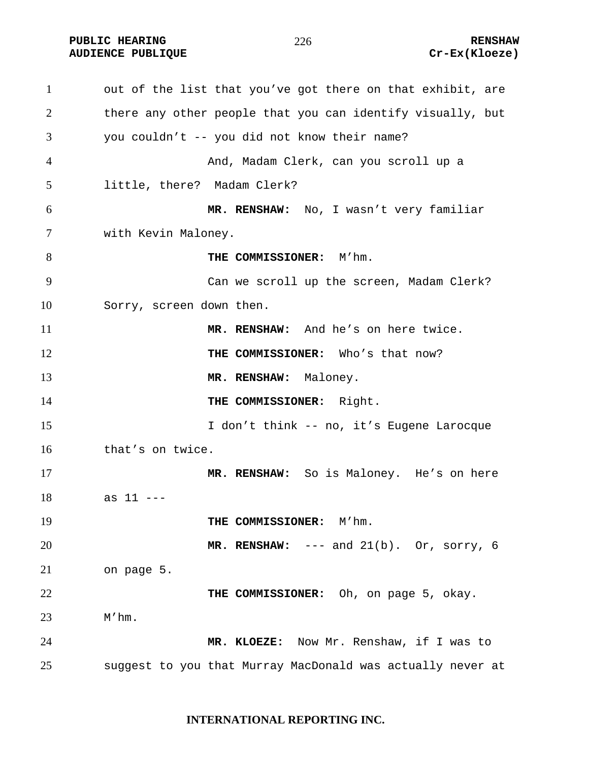PUBLIC HEARING **RENSHAW** 226 **RENSHAW** RENSHAW **RENSHAW RENSHAW RENSHAW RENSHAW Cr-Ex(Kloeze) AUDIENCE PUBLIQUE** 

| $\mathbf{1}$ | out of the list that you've got there on that exhibit, are |
|--------------|------------------------------------------------------------|
| 2            | there any other people that you can identify visually, but |
| 3            | you couldn't -- you did not know their name?               |
| 4            | And, Madam Clerk, can you scroll up a                      |
| 5            | little, there? Madam Clerk?                                |
| 6            | MR. RENSHAW: No, I wasn't very familiar                    |
| $\tau$       | with Kevin Maloney.                                        |
| 8            | THE COMMISSIONER: M'hm.                                    |
| 9            | Can we scroll up the screen, Madam Clerk?                  |
| 10           | Sorry, screen down then.                                   |
| 11           | MR. RENSHAW: And he's on here twice.                       |
| 12           | THE COMMISSIONER: Who's that now?                          |
| 13           | MR. RENSHAW: Maloney.                                      |
| 14           | THE COMMISSIONER: Right.                                   |
| 15           | I don't think -- no, it's Eugene Larocque                  |
| 16           | that's on twice.                                           |
| 17           | MR. RENSHAW: So is Maloney. He's on here                   |
| 18           | as $11$ ---                                                |
| 19           | THE COMMISSIONER: M'hm.                                    |
| 20           | MR. RENSHAW: $---$ and $21(b)$ . Or, sorry, 6              |
| 21           | on page 5.                                                 |
| 22           | THE COMMISSIONER: Oh, on page 5, okay.                     |
| 23           | M'hm.                                                      |
| 24           | MR. KLOEZE: Now Mr. Renshaw, if I was to                   |
| 25           | suggest to you that Murray MacDonald was actually never at |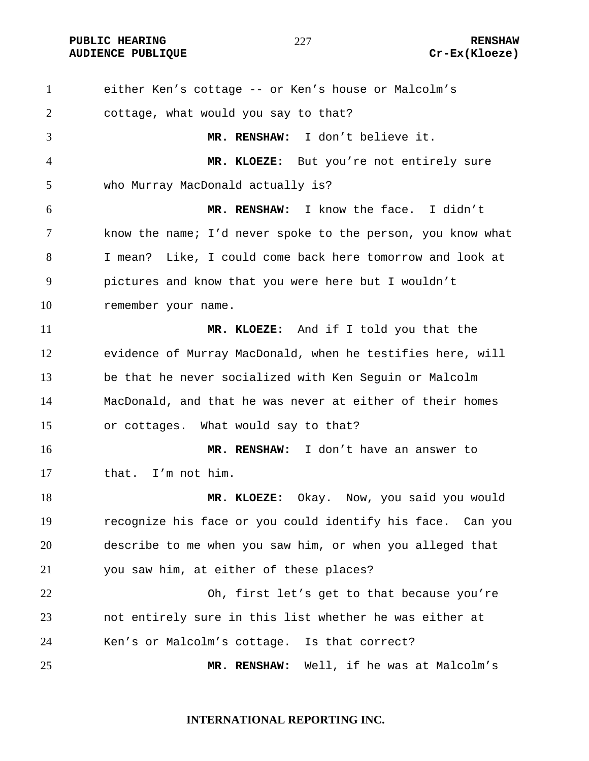**PUBLIC HEARING RENSHAW** 

either Ken's cottage -- or Ken's house or Malcolm's cottage, what would you say to that? **MR. RENSHAW:** I don't believe it. **MR. KLOEZE:** But you're not entirely sure who Murray MacDonald actually is? **MR. RENSHAW:** I know the face. I didn't know the name; I'd never spoke to the person, you know what I mean? Like, I could come back here tomorrow and look at pictures and know that you were here but I wouldn't remember your name. **MR. KLOEZE:** And if I told you that the evidence of Murray MacDonald, when he testifies here, will be that he never socialized with Ken Seguin or Malcolm MacDonald, and that he was never at either of their homes or cottages. What would say to that? **MR. RENSHAW:** I don't have an answer to that. I'm not him. **MR. KLOEZE:** Okay. Now, you said you would recognize his face or you could identify his face. Can you describe to me when you saw him, or when you alleged that you saw him, at either of these places? Oh, first let's get to that because you're not entirely sure in this list whether he was either at Ken's or Malcolm's cottage. Is that correct? **MR. RENSHAW:** Well, if he was at Malcolm's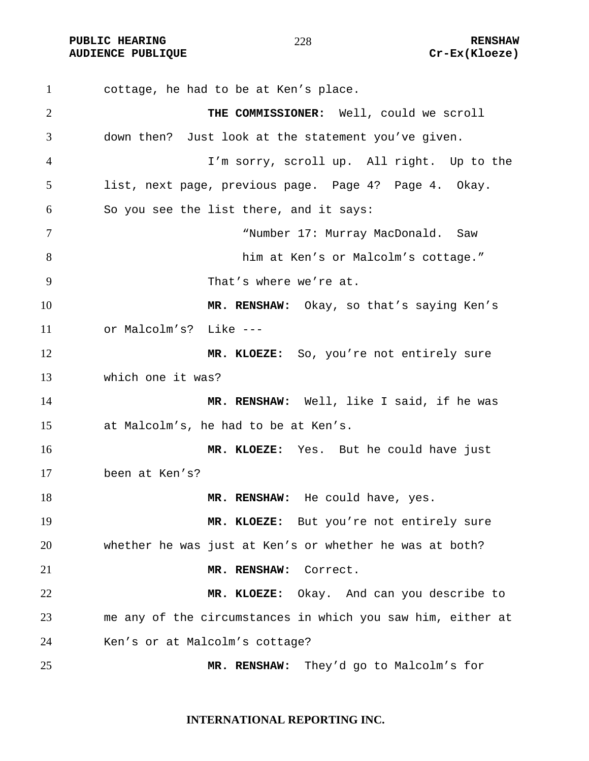**PUBLIC HEARING**  $\frac{278}{278}$  **RENSHAW** 

cottage, he had to be at Ken's place. **THE COMMISSIONER:** Well, could we scroll down then? Just look at the statement you've given. I'm sorry, scroll up. All right. Up to the list, next page, previous page. Page 4? Page 4. Okay. So you see the list there, and it says: "Number 17: Murray MacDonald. Saw him at Ken's or Malcolm's cottage." That's where we're at. **MR. RENSHAW:** Okay, so that's saying Ken's or Malcolm's? Like --- **MR. KLOEZE:** So, you're not entirely sure which one it was? **MR. RENSHAW:** Well, like I said, if he was at Malcolm's, he had to be at Ken's. **MR. KLOEZE:** Yes. But he could have just been at Ken's? **MR. RENSHAW:** He could have, yes. **MR. KLOEZE:** But you're not entirely sure whether he was just at Ken's or whether he was at both? **MR. RENSHAW:** Correct. **MR. KLOEZE:** Okay. And can you describe to me any of the circumstances in which you saw him, either at Ken's or at Malcolm's cottage? **MR. RENSHAW:** They'd go to Malcolm's for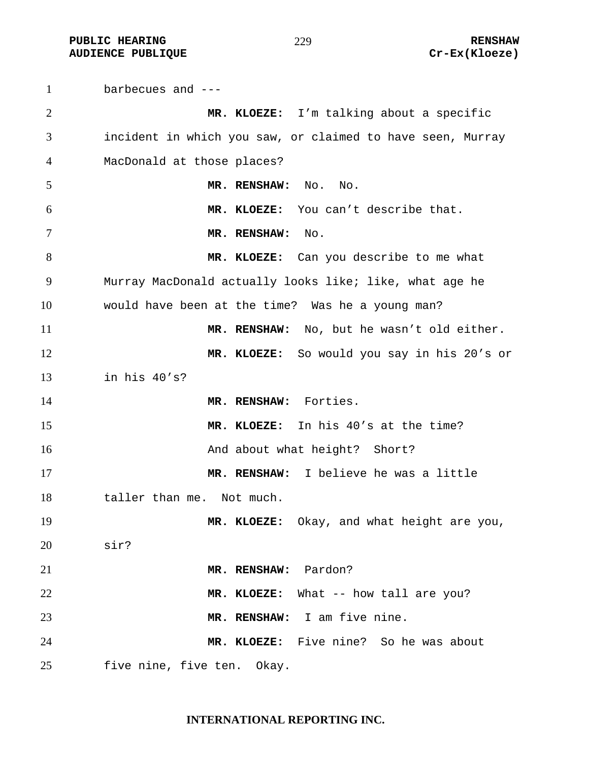**PUBLIC HEARING**  $\frac{279}{279}$  **RENSHAW AUDIENCE PUBLIQUE Cr-Ex(Kloeze)** 

barbecues and --- **MR. KLOEZE:** I'm talking about a specific incident in which you saw, or claimed to have seen, Murray MacDonald at those places? **MR. RENSHAW:** No. No. **MR. KLOEZE:** You can't describe that. **MR. RENSHAW:** No. 8 MR. KLOEZE: Can you describe to me what Murray MacDonald actually looks like; like, what age he would have been at the time? Was he a young man? **MR. RENSHAW:** No, but he wasn't old either. **MR. KLOEZE:** So would you say in his 20's or in his 40's? 14 MR. RENSHAW: Forties. **MR. KLOEZE:** In his 40's at the time? **And about what height?** Short? **MR. RENSHAW:** I believe he was a little 18 taller than me. Not much. **MR. KLOEZE:** Okay, and what height are you, sir? **MR. RENSHAW:** Pardon? **MR. KLOEZE:** What -- how tall are you? **MR. RENSHAW:** I am five nine. **MR. KLOEZE:** Five nine? So he was about five nine, five ten. Okay.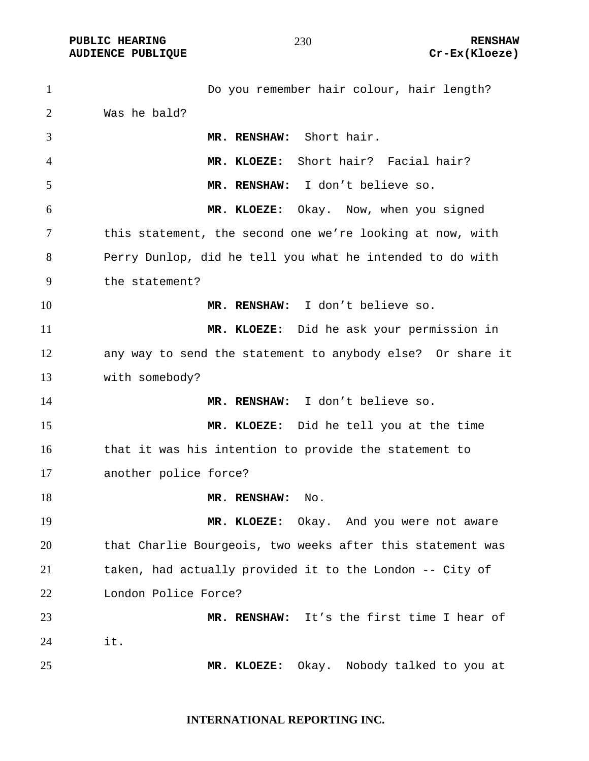**PUBLIC HEARING 230** 230

1 Do you remember hair colour, hair length? Was he bald? **MR. RENSHAW:** Short hair. **MR. KLOEZE:** Short hair? Facial hair? **MR. RENSHAW:** I don't believe so. **MR. KLOEZE:** Okay. Now, when you signed this statement, the second one we're looking at now, with Perry Dunlop, did he tell you what he intended to do with the statement? **MR. RENSHAW:** I don't believe so. **MR. KLOEZE:** Did he ask your permission in any way to send the statement to anybody else? Or share it with somebody? **MR. RENSHAW:** I don't believe so. **MR. KLOEZE:** Did he tell you at the time that it was his intention to provide the statement to another police force? 18 MR. RENSHAW: No. **MR. KLOEZE:** Okay. And you were not aware that Charlie Bourgeois, two weeks after this statement was taken, had actually provided it to the London -- City of London Police Force? **MR. RENSHAW:** It's the first time I hear of it. **MR. KLOEZE:** Okay. Nobody talked to you at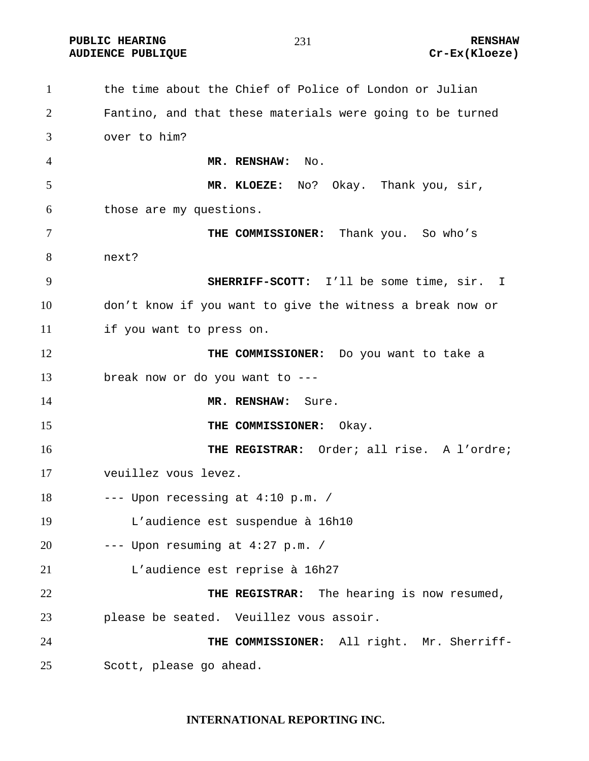**PUBLIC HEARING 231 CONSTRUCTED ASSESSED.** 

the time about the Chief of Police of London or Julian Fantino, and that these materials were going to be turned over to him? **MR. RENSHAW:** No. **MR. KLOEZE:** No? Okay. Thank you, sir, those are my questions. **THE COMMISSIONER:** Thank you. So who's next? **SHERRIFF-SCOTT:** I'll be some time, sir. I don't know if you want to give the witness a break now or if you want to press on. **THE COMMISSIONER:** Do you want to take a break now or do you want to --- **MR. RENSHAW:** Sure. **THE COMMISSIONER:** Okay. **THE REGISTRAR:** Order; all rise. A l'ordre; veuillez vous levez. --- Upon recessing at 4:10 p.m. / L'audience est suspendue à 16h10 --- Upon resuming at 4:27 p.m. / L'audience est reprise à 16h27 **THE REGISTRAR:** The hearing is now resumed, please be seated. Veuillez vous assoir. **THE COMMISSIONER:** All right. Mr. Sherriff-Scott, please go ahead.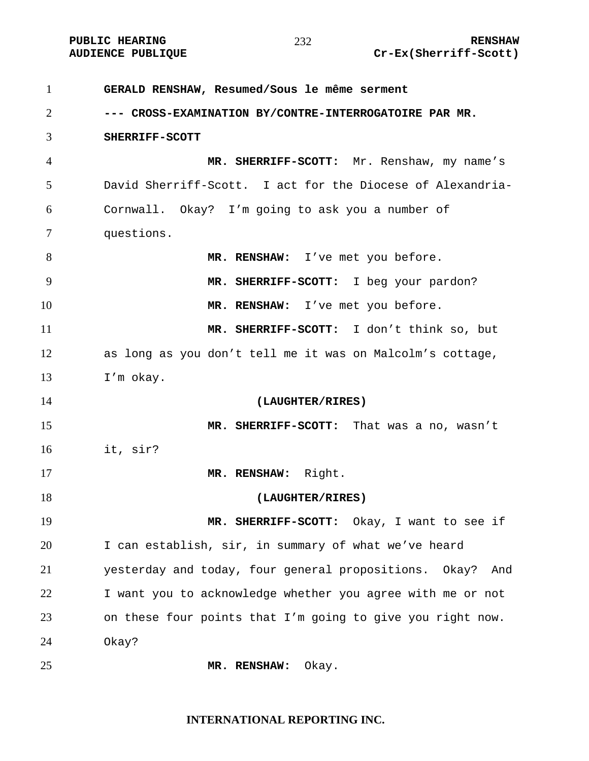# PUBLIC HEARING **RENSHAW** 232 **RENSHAW** RENSHAW **RENSHAW** 232 Cr-Ex(Sherriff-Scott)

| $\mathbf{1}$   | GERALD RENSHAW, Resumed/Sous le même serment                 |
|----------------|--------------------------------------------------------------|
| 2              | --- CROSS-EXAMINATION BY/CONTRE-INTERROGATOIRE PAR MR.       |
| 3              | SHERRIFF-SCOTT                                               |
| $\overline{4}$ | MR. SHERRIFF-SCOTT: Mr. Renshaw, my name's                   |
| 5              | David Sherriff-Scott. I act for the Diocese of Alexandria-   |
| 6              | Cornwall. Okay? I'm going to ask you a number of             |
| $\tau$         | questions.                                                   |
| 8              | MR. RENSHAW: I've met you before.                            |
| 9              | MR. SHERRIFF-SCOTT: I beg your pardon?                       |
| 10             | MR. RENSHAW: I've met you before.                            |
| 11             | MR. SHERRIFF-SCOTT: I don't think so, but                    |
| 12             | as long as you don't tell me it was on Malcolm's cottage,    |
| 13             | I'm okay.                                                    |
| 14             | (LAUGHTER/RIRES)                                             |
| 15             | MR. SHERRIFF-SCOTT: That was a no, wasn't                    |
| 16             | it, sir?                                                     |
| 17             | MR. RENSHAW: Right.                                          |
| 18             | (LAUGHTER/RIRES)                                             |
| 19             | MR. SHERRIFF-SCOTT: Okay, I want to see if                   |
| 20             | I can establish, sir, in summary of what we've heard         |
| 21             | yesterday and today, four general propositions. Okay?<br>And |
| 22             | I want you to acknowledge whether you agree with me or not   |
| 23             | on these four points that I'm going to give you right now.   |
| 24             | Okay?                                                        |
| 25             | Okay.<br>MR. RENSHAW:                                        |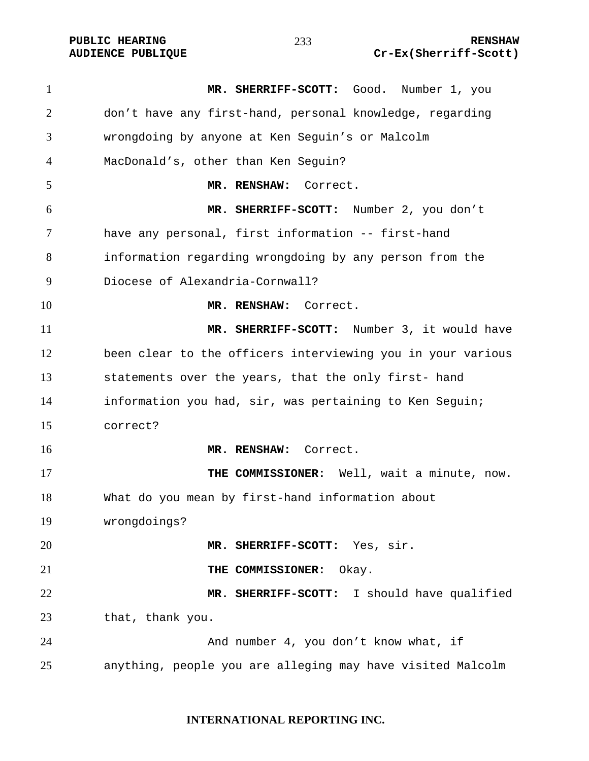**MR. SHERRIFF-SCOTT:** Good. Number 1, you don't have any first-hand, personal knowledge, regarding wrongdoing by anyone at Ken Seguin's or Malcolm MacDonald's, other than Ken Seguin? **MR. RENSHAW:** Correct. **MR. SHERRIFF-SCOTT:** Number 2, you don't have any personal, first information -- first-hand information regarding wrongdoing by any person from the Diocese of Alexandria-Cornwall? **MR. RENSHAW:** Correct. **MR. SHERRIFF-SCOTT:** Number 3, it would have been clear to the officers interviewing you in your various statements over the years, that the only first- hand information you had, sir, was pertaining to Ken Seguin; correct? **MR. RENSHAW:** Correct. **THE COMMISSIONER:** Well, wait a minute, now. What do you mean by first-hand information about wrongdoings? **MR. SHERRIFF-SCOTT:** Yes, sir. **THE COMMISSIONER:** Okay. **MR. SHERRIFF-SCOTT:** I should have qualified that, thank you. And number 4, you don't know what, if anything, people you are alleging may have visited Malcolm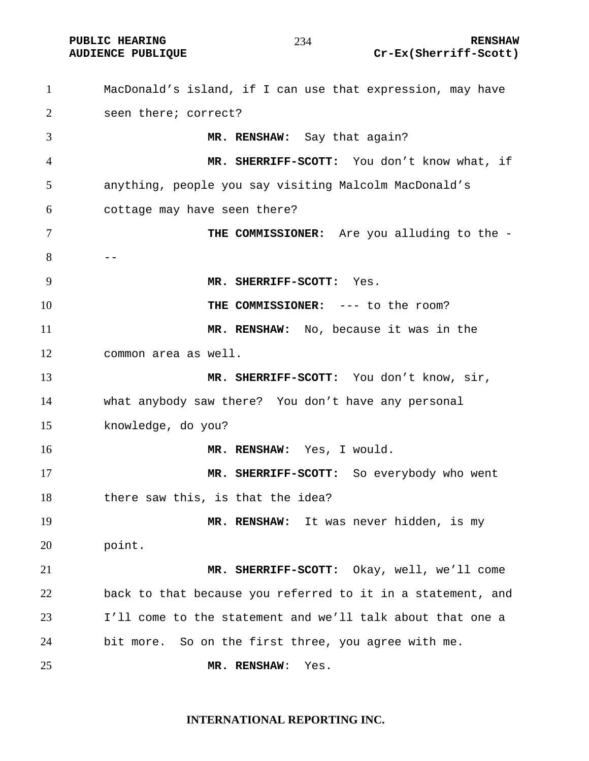**PUBLIC HEARING 234** 234 RENSHAW

#### 

**AUDIENCE PUBLIQUE Cr-Ex(Sherriff-Scott)** 

MacDonald's island, if I can use that expression, may have seen there; correct? **MR. RENSHAW:** Say that again? **MR. SHERRIFF-SCOTT:** You don't know what, if anything, people you say visiting Malcolm MacDonald's cottage may have seen there? **THE COMMISSIONER:** Are you alluding to the -  $-$ **MR. SHERRIFF-SCOTT:** Yes. **THE COMMISSIONER:** --- to the room? **MR. RENSHAW:** No, because it was in the common area as well. 13 MR. SHERRIFF-SCOTT: You don't know, sir, what anybody saw there? You don't have any personal knowledge, do you? **MR. RENSHAW:** Yes, I would. **MR. SHERRIFF-SCOTT:** So everybody who went there saw this, is that the idea? **MR. RENSHAW:** It was never hidden, is my point. **MR. SHERRIFF-SCOTT:** Okay, well, we'll come back to that because you referred to it in a statement, and I'll come to the statement and we'll talk about that one a bit more. So on the first three, you agree with me. **MR. RENSHAW**: Yes.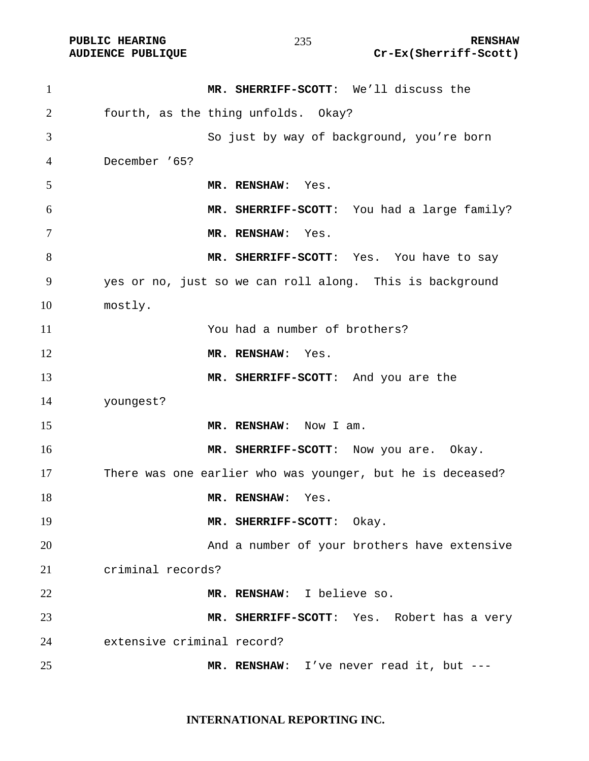PUBLIC HEARING **RENSHAW** 235 **RENSHAW RENSHAW RENSHAW RENSHAW RENSHAW Cr-Ex(Sherriff-Scott)** Cr-Ex(Sherriff-Scott)

| $\mathbf{1}$ | MR. SHERRIFF-SCOTT: We'll discuss the                      |
|--------------|------------------------------------------------------------|
| 2            | fourth, as the thing unfolds. Okay?                        |
| 3            | So just by way of background, you're born                  |
| 4            | December '65?                                              |
| 5            | MR. RENSHAW: Yes.                                          |
| 6            | MR. SHERRIFF-SCOTT: You had a large family?                |
| 7            | MR. RENSHAW: Yes.                                          |
| 8            | MR. SHERRIFF-SCOTT: Yes. You have to say                   |
| 9            | yes or no, just so we can roll along. This is background   |
| 10           | mostly.                                                    |
| 11           | You had a number of brothers?                              |
| 12           | MR. RENSHAW: Yes.                                          |
| 13           | MR. SHERRIFF-SCOTT: And you are the                        |
| 14           | youngest?                                                  |
| 15           | MR. RENSHAW: Now I am.                                     |
| 16           | MR. SHERRIFF-SCOTT: Now you are. Okay.                     |
| 17           | There was one earlier who was younger, but he is deceased? |
| 18           | MR. RENSHAW:<br>Yes.                                       |
| 19           | MR. SHERRIFF-SCOTT: Okay.                                  |
| 20           | And a number of your brothers have extensive               |
| 21           | criminal records?                                          |
| 22           | MR. RENSHAW: I believe so.                                 |
| 23           | MR. SHERRIFF-SCOTT: Yes. Robert has a very                 |
| 24           | extensive criminal record?                                 |
| 25           | MR. RENSHAW: I've never read it, but ---                   |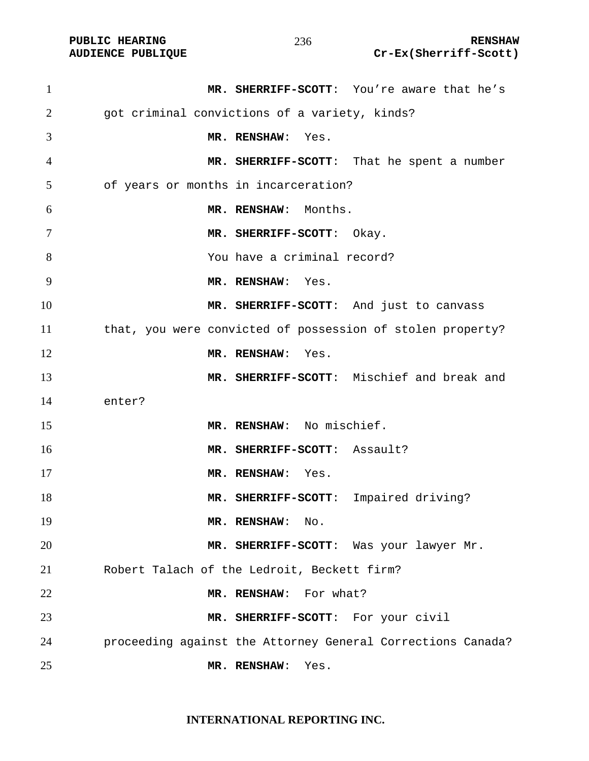| $\mathbf{1}$   | MR. SHERRIFF-SCOTT: You're aware that he's                  |
|----------------|-------------------------------------------------------------|
| $\overline{2}$ | got criminal convictions of a variety, kinds?               |
| 3              | MR. RENSHAW: Yes.                                           |
| 4              | MR. SHERRIFF-SCOTT: That he spent a number                  |
| 5              | of years or months in incarceration?                        |
| 6              | MR. RENSHAW: Months.                                        |
| $\tau$         | MR. SHERRIFF-SCOTT: Okay.                                   |
| 8              | You have a criminal record?                                 |
| 9              | MR. RENSHAW: Yes.                                           |
| 10             | MR. SHERRIFF-SCOTT: And just to canvass                     |
| 11             | that, you were convicted of possession of stolen property?  |
| 12             | MR. RENSHAW: Yes.                                           |
| 13             | MR. SHERRIFF-SCOTT: Mischief and break and                  |
| 14             | enter?                                                      |
| 15             | MR. RENSHAW: No mischief.                                   |
| 16             | MR. SHERRIFF-SCOTT: Assault?                                |
| 17             | MR. RENSHAW: Yes.                                           |
| 18             | MR. SHERRIFF-SCOTT: Impaired driving?                       |
| 19             | MR. RENSHAW:<br>No.                                         |
| 20             | MR. SHERRIFF-SCOTT: Was your lawyer Mr.                     |
| 21             | Robert Talach of the Ledroit, Beckett firm?                 |
| 22             | MR. RENSHAW: For what?                                      |
| 23             | MR. SHERRIFF-SCOTT: For your civil                          |
| 24             | proceeding against the Attorney General Corrections Canada? |
| 25             | Yes.<br>MR. RENSHAW:                                        |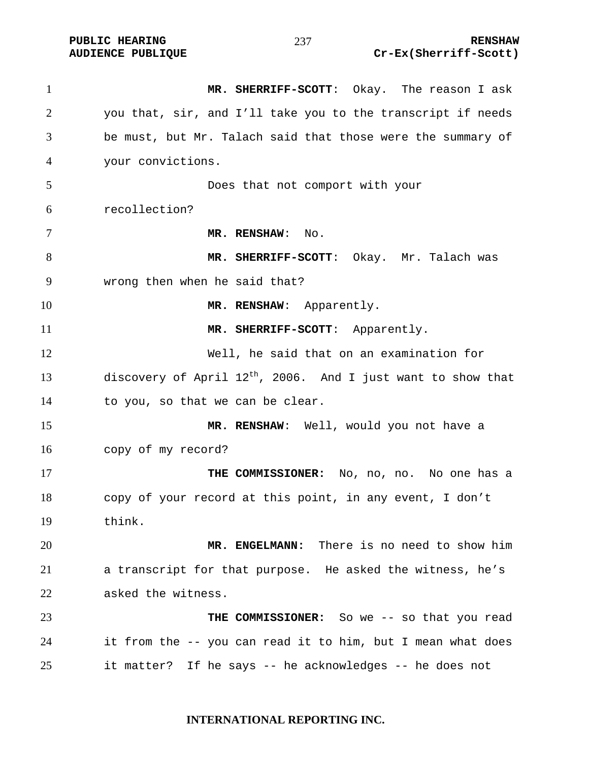**MR. SHERRIFF-SCOTT**: Okay. The reason I ask you that, sir, and I'll take you to the transcript if needs be must, but Mr. Talach said that those were the summary of your convictions. Does that not comport with your recollection? **MR. RENSHAW**: No. **MR. SHERRIFF-SCOTT**: Okay. Mr. Talach was wrong then when he said that? **MR. RENSHAW:** Apparently. 11 MR. SHERRIFF-SCOTT: Apparently. Well, he said that on an examination for 13 discovery of April  $12^{th}$ , 2006. And I just want to show that to you, so that we can be clear. **MR. RENSHAW**: Well, would you not have a copy of my record? **THE COMMISSIONER:** No, no, no. No one has a copy of your record at this point, in any event, I don't think. **MR. ENGELMANN:** There is no need to show him a transcript for that purpose. He asked the witness, he's asked the witness. **THE COMMISSIONER:** So we -- so that you read it from the -- you can read it to him, but I mean what does it matter? If he says -- he acknowledges -- he does not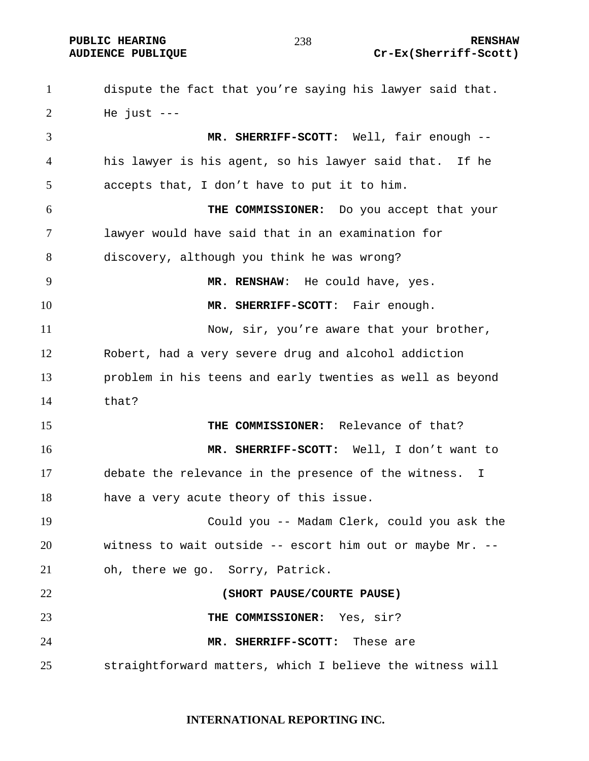**PUBLIC HEARING 238** 238 RENSHAW **AUDIENCE PUBLIQUE Cr-Ex(Sherriff-Scott)** 

dispute the fact that you're saying his lawyer said that. He just  $---$ **MR. SHERRIFF-SCOTT:** Well, fair enough -- his lawyer is his agent, so his lawyer said that. If he accepts that, I don't have to put it to him. **THE COMMISSIONER:** Do you accept that your lawyer would have said that in an examination for discovery, although you think he was wrong? **MR. RENSHAW**: He could have, yes. **MR. SHERRIFF-SCOTT**: Fair enough. 11 Now, sir, you're aware that your brother, Robert, had a very severe drug and alcohol addiction problem in his teens and early twenties as well as beyond that? **THE COMMISSIONER:** Relevance of that? **MR. SHERRIFF-SCOTT:** Well, I don't want to debate the relevance in the presence of the witness. I have a very acute theory of this issue. Could you -- Madam Clerk, could you ask the witness to wait outside -- escort him out or maybe Mr. -- oh, there we go. Sorry, Patrick. **(SHORT PAUSE/COURTE PAUSE) THE COMMISSIONER:** Yes, sir? **MR. SHERRIFF-SCOTT:** These are straightforward matters, which I believe the witness will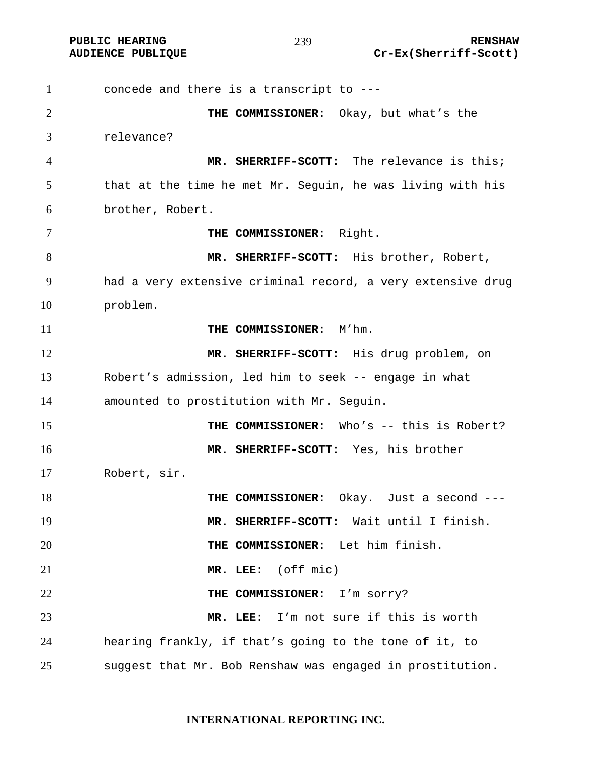**PUBLIC HEARING RENSHAW** 

#### 

concede and there is a transcript to --- **THE COMMISSIONER:** Okay, but what's the relevance? **MR. SHERRIFF-SCOTT:** The relevance is this; that at the time he met Mr. Seguin, he was living with his brother, Robert. **THE COMMISSIONER:** Right. **MR. SHERRIFF-SCOTT:** His brother, Robert, had a very extensive criminal record, a very extensive drug problem. **THE COMMISSIONER:** M'hm. **MR. SHERRIFF-SCOTT:** His drug problem, on Robert's admission, led him to seek -- engage in what amounted to prostitution with Mr. Seguin. **THE COMMISSIONER:** Who's -- this is Robert? **MR. SHERRIFF-SCOTT:** Yes, his brother Robert, sir. **THE COMMISSIONER:** Okay. Just a second --- **MR. SHERRIFF-SCOTT:** Wait until I finish. **THE COMMISSIONER:** Let him finish. **MR. LEE:** (off mic) **THE COMMISSIONER:** I'm sorry? **MR. LEE:** I'm not sure if this is worth hearing frankly, if that's going to the tone of it, to suggest that Mr. Bob Renshaw was engaged in prostitution.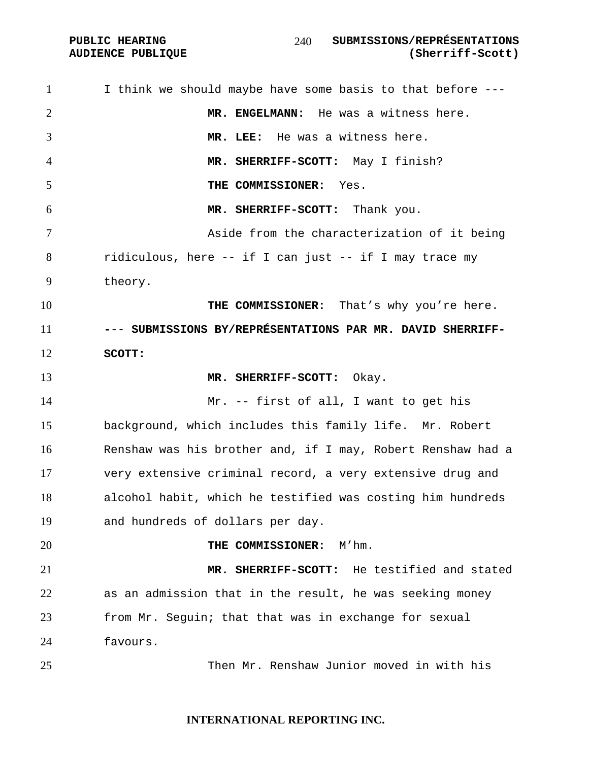**AUDIENCE PUBLIQUE** 

| $\mathbf{1}$   | I think we should maybe have some basis to that before ---  |
|----------------|-------------------------------------------------------------|
| $\overline{2}$ | MR. ENGELMANN: He was a witness here.                       |
| 3              | MR. LEE: He was a witness here.                             |
| $\overline{4}$ | MR. SHERRIFF-SCOTT: May I finish?                           |
| 5              | THE COMMISSIONER: Yes.                                      |
| 6              | MR. SHERRIFF-SCOTT: Thank you.                              |
| 7              | Aside from the characterization of it being                 |
| 8              | ridiculous, here -- if I can just -- if I may trace my      |
| 9              | theory.                                                     |
| 10             | THE COMMISSIONER: That's why you're here.                   |
| 11             | --- SUBMISSIONS BY/REPRÉSENTATIONS PAR MR. DAVID SHERRIFF-  |
| 12             | SCOTT:                                                      |
| 13             | MR. SHERRIFF-SCOTT:<br>Okay.                                |
| 14             | Mr. -- first of all, I want to get his                      |
| 15             | background, which includes this family life. Mr. Robert     |
| 16             | Renshaw was his brother and, if I may, Robert Renshaw had a |
| 17             | very extensive criminal record, a very extensive drug and   |
| 18             | alcohol habit, which he testified was costing him hundreds  |
| 19             | and hundreds of dollars per day.                            |
| 20             | THE COMMISSIONER:<br>M'hm.                                  |
| 21             | He testified and stated<br>MR. SHERRIFF-SCOTT:              |
| 22             | as an admission that in the result, he was seeking money    |
| 23             | from Mr. Seguin; that that was in exchange for sexual       |
| 24             | favours.                                                    |
| 25             | Then Mr. Renshaw Junior moved in with his                   |
|                |                                                             |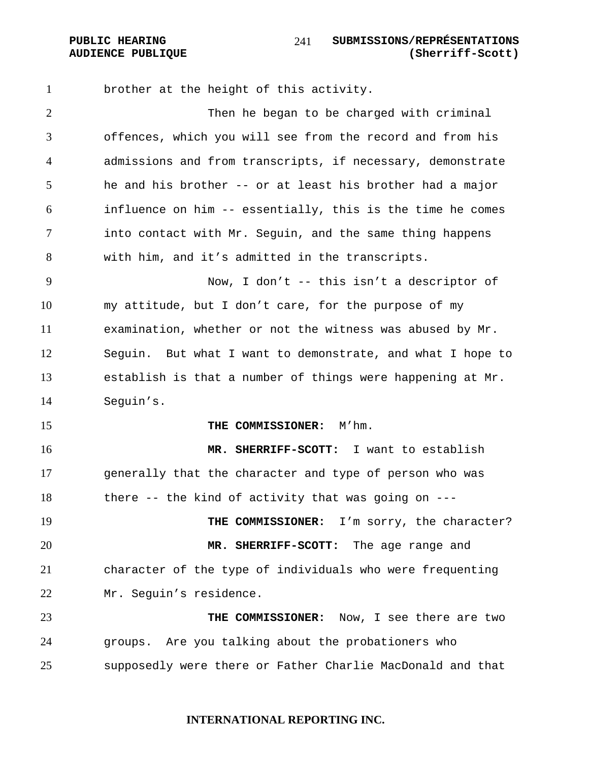brother at the height of this activity. Then he began to be charged with criminal offences, which you will see from the record and from his admissions and from transcripts, if necessary, demonstrate he and his brother -- or at least his brother had a major influence on him -- essentially, this is the time he comes into contact with Mr. Seguin, and the same thing happens with him, and it's admitted in the transcripts. Now, I don't -- this isn't a descriptor of my attitude, but I don't care, for the purpose of my examination, whether or not the witness was abused by Mr. Seguin. But what I want to demonstrate, and what I hope to establish is that a number of things were happening at Mr. Seguin's. **THE COMMISSIONER:** M'hm. **MR. SHERRIFF-SCOTT:** I want to establish generally that the character and type of person who was there -- the kind of activity that was going on --- 19 THE COMMISSIONER: I'm sorry, the character? **MR. SHERRIFF-SCOTT:** The age range and character of the type of individuals who were frequenting Mr. Seguin's residence. **THE COMMISSIONER:** Now, I see there are two groups. Are you talking about the probationers who supposedly were there or Father Charlie MacDonald and that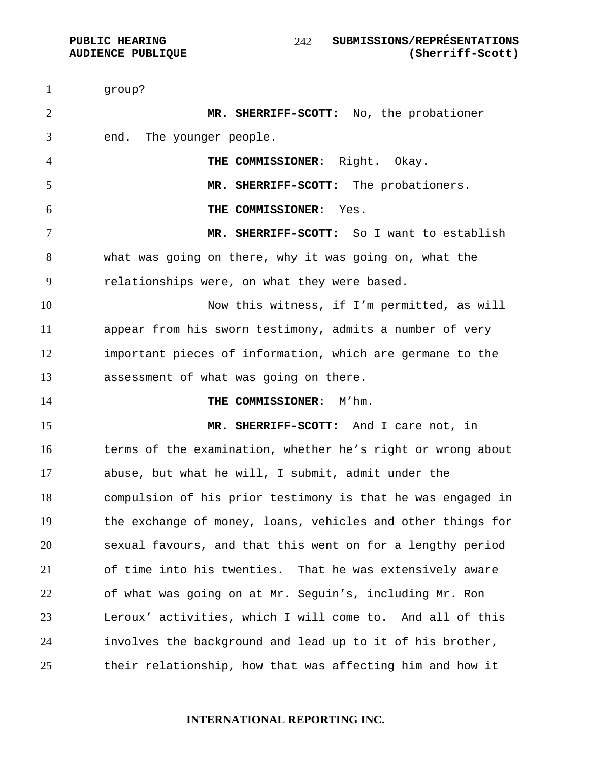group? **MR. SHERRIFF-SCOTT:** No, the probationer end. The younger people. **THE COMMISSIONER:** Right. Okay. **MR. SHERRIFF-SCOTT:** The probationers. **THE COMMISSIONER:** Yes. **MR. SHERRIFF-SCOTT:** So I want to establish what was going on there, why it was going on, what the relationships were, on what they were based. Now this witness, if I'm permitted, as will appear from his sworn testimony, admits a number of very important pieces of information, which are germane to the assessment of what was going on there. **THE COMMISSIONER:** M'hm. **MR. SHERRIFF-SCOTT:** And I care not, in terms of the examination, whether he's right or wrong about abuse, but what he will, I submit, admit under the compulsion of his prior testimony is that he was engaged in the exchange of money, loans, vehicles and other things for sexual favours, and that this went on for a lengthy period of time into his twenties. That he was extensively aware of what was going on at Mr. Seguin's, including Mr. Ron Leroux' activities, which I will come to. And all of this involves the background and lead up to it of his brother, their relationship, how that was affecting him and how it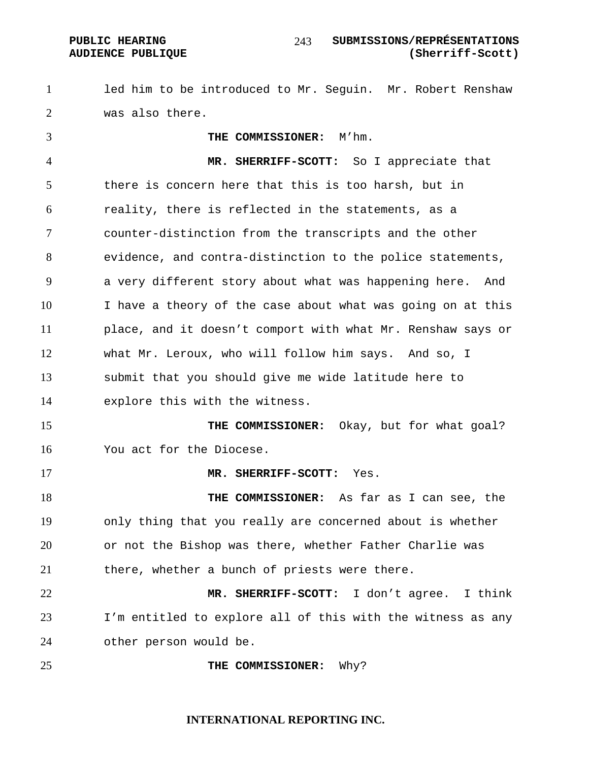led him to be introduced to Mr. Seguin. Mr. Robert Renshaw was also there.

**THE COMMISSIONER:** M'hm. **MR. SHERRIFF-SCOTT:** So I appreciate that there is concern here that this is too harsh, but in reality, there is reflected in the statements, as a counter-distinction from the transcripts and the other evidence, and contra-distinction to the police statements, a very different story about what was happening here. And I have a theory of the case about what was going on at this place, and it doesn't comport with what Mr. Renshaw says or what Mr. Leroux, who will follow him says. And so, I submit that you should give me wide latitude here to explore this with the witness. **THE COMMISSIONER:** Okay, but for what goal? You act for the Diocese. **MR. SHERRIFF-SCOTT:** Yes. **THE COMMISSIONER:** As far as I can see, the only thing that you really are concerned about is whether or not the Bishop was there, whether Father Charlie was there, whether a bunch of priests were there. **MR. SHERRIFF-SCOTT:** I don't agree. I think I'm entitled to explore all of this with the witness as any other person would be. **THE COMMISSIONER:** Why?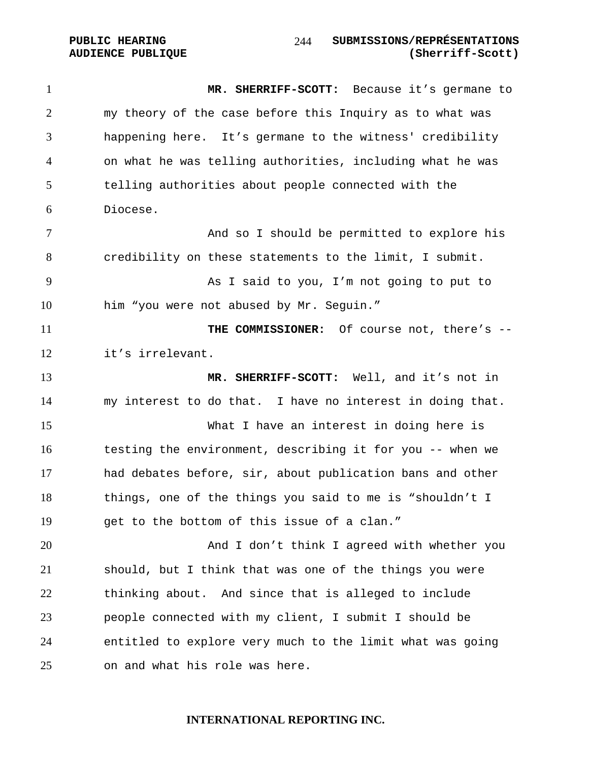**MR. SHERRIFF-SCOTT:** Because it's germane to my theory of the case before this Inquiry as to what was happening here. It's germane to the witness' credibility on what he was telling authorities, including what he was telling authorities about people connected with the Diocese. And so I should be permitted to explore his credibility on these statements to the limit, I submit. As I said to you, I'm not going to put to him "you were not abused by Mr. Seguin." **THE COMMISSIONER:** Of course not, there's --it's irrelevant. **MR. SHERRIFF-SCOTT:** Well, and it's not in my interest to do that. I have no interest in doing that. What I have an interest in doing here is testing the environment, describing it for you -- when we had debates before, sir, about publication bans and other things, one of the things you said to me is "shouldn't I get to the bottom of this issue of a clan." And I don't think I agreed with whether you should, but I think that was one of the things you were thinking about. And since that is alleged to include people connected with my client, I submit I should be entitled to explore very much to the limit what was going on and what his role was here.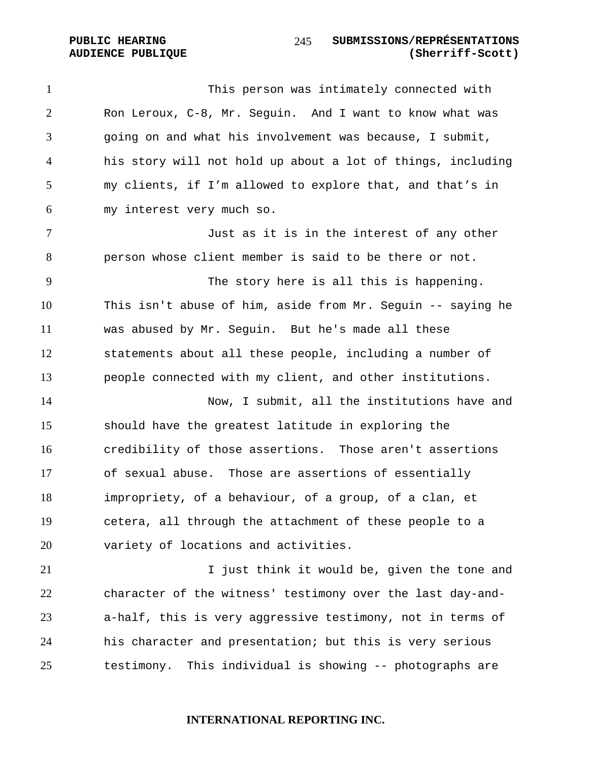This person was intimately connected with Ron Leroux, C-8, Mr. Seguin. And I want to know what was going on and what his involvement was because, I submit, his story will not hold up about a lot of things, including my clients, if I'm allowed to explore that, and that's in my interest very much so.

Just as it is in the interest of any other person whose client member is said to be there or not.

The story here is all this is happening. This isn't abuse of him, aside from Mr. Seguin -- saying he was abused by Mr. Seguin. But he's made all these statements about all these people, including a number of people connected with my client, and other institutions.

14 Now, I submit, all the institutions have and should have the greatest latitude in exploring the credibility of those assertions. Those aren't assertions of sexual abuse. Those are assertions of essentially impropriety, of a behaviour, of a group, of a clan, et cetera, all through the attachment of these people to a variety of locations and activities.

I just think it would be, given the tone and character of the witness' testimony over the last day-and-a-half, this is very aggressive testimony, not in terms of his character and presentation; but this is very serious testimony. This individual is showing -- photographs are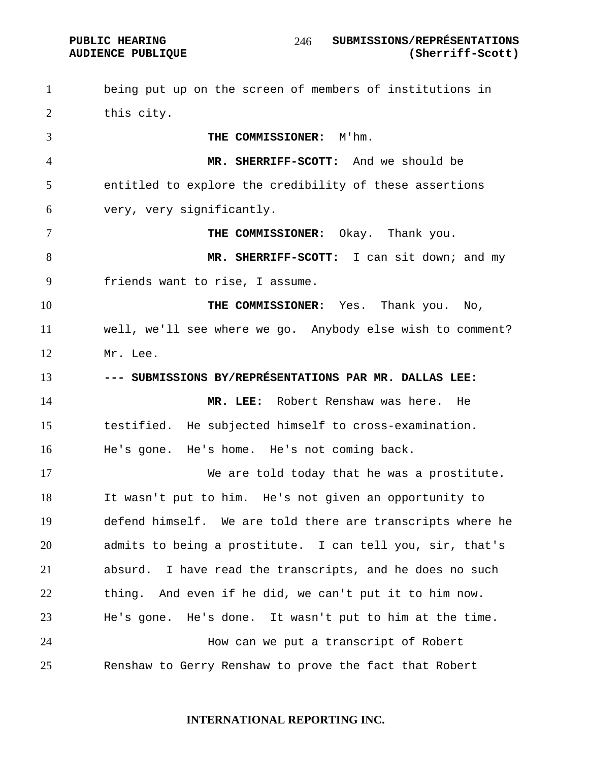being put up on the screen of members of institutions in this city. **THE COMMISSIONER:** M'hm. **MR. SHERRIFF-SCOTT:** And we should be entitled to explore the credibility of these assertions very, very significantly. **THE COMMISSIONER:** Okay. Thank you. **MR. SHERRIFF-SCOTT:** I can sit down; and my friends want to rise, I assume. **THE COMMISSIONER:** Yes. Thank you. No, well, we'll see where we go. Anybody else wish to comment? Mr. Lee. **--- SUBMISSIONS BY/REPRÉSENTATIONS PAR MR. DALLAS LEE: MR. LEE:** Robert Renshaw was here. He testified. He subjected himself to cross-examination. He's gone. He's home. He's not coming back. We are told today that he was a prostitute. It wasn't put to him. He's not given an opportunity to defend himself. We are told there are transcripts where he admits to being a prostitute. I can tell you, sir, that's absurd. I have read the transcripts, and he does no such thing. And even if he did, we can't put it to him now. He's gone. He's done. It wasn't put to him at the time. How can we put a transcript of Robert Renshaw to Gerry Renshaw to prove the fact that Robert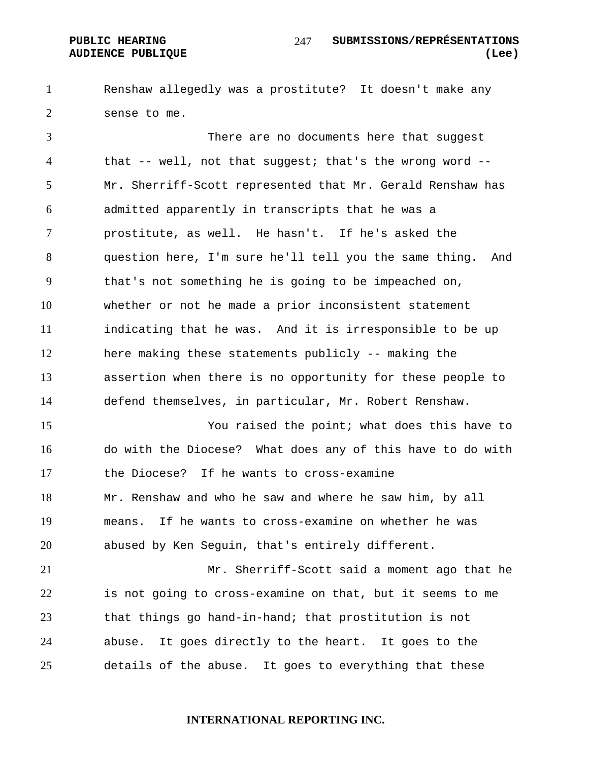Renshaw allegedly was a prostitute? It doesn't make any sense to me.

There are no documents here that suggest that -- well, not that suggest; that's the wrong word -- Mr. Sherriff-Scott represented that Mr. Gerald Renshaw has admitted apparently in transcripts that he was a prostitute, as well. He hasn't. If he's asked the question here, I'm sure he'll tell you the same thing. And that's not something he is going to be impeached on, whether or not he made a prior inconsistent statement indicating that he was. And it is irresponsible to be up here making these statements publicly -- making the assertion when there is no opportunity for these people to defend themselves, in particular, Mr. Robert Renshaw.

You raised the point; what does this have to do with the Diocese? What does any of this have to do with the Diocese? If he wants to cross-examine Mr. Renshaw and who he saw and where he saw him, by all means. If he wants to cross-examine on whether he was abused by Ken Seguin, that's entirely different.

Mr. Sherriff-Scott said a moment ago that he is not going to cross-examine on that, but it seems to me that things go hand-in-hand; that prostitution is not abuse. It goes directly to the heart. It goes to the details of the abuse. It goes to everything that these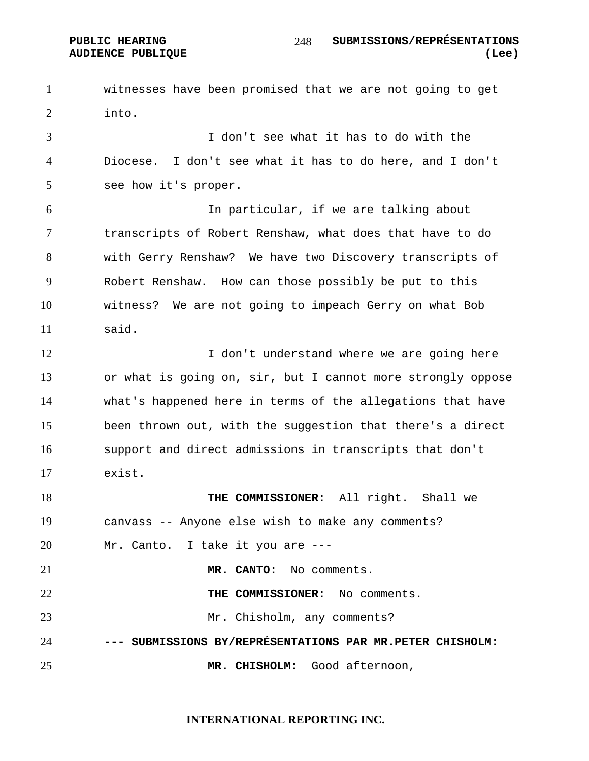witnesses have been promised that we are not going to get into.

I don't see what it has to do with the Diocese. I don't see what it has to do here, and I don't see how it's proper.

In particular, if we are talking about transcripts of Robert Renshaw, what does that have to do with Gerry Renshaw? We have two Discovery transcripts of Robert Renshaw. How can those possibly be put to this witness? We are not going to impeach Gerry on what Bob said.

12 I don't understand where we are going here or what is going on, sir, but I cannot more strongly oppose what's happened here in terms of the allegations that have been thrown out, with the suggestion that there's a direct support and direct admissions in transcripts that don't exist.

**THE COMMISSIONER:** All right. Shall we canvass -- Anyone else wish to make any comments? Mr. Canto. I take it you are --- **MR. CANTO:** No comments. **THE COMMISSIONER:** No comments. 23 Mr. Chisholm, any comments? **--- SUBMISSIONS BY/REPRÉSENTATIONS PAR MR.PETER CHISHOLM: MR. CHISHOLM:** Good afternoon,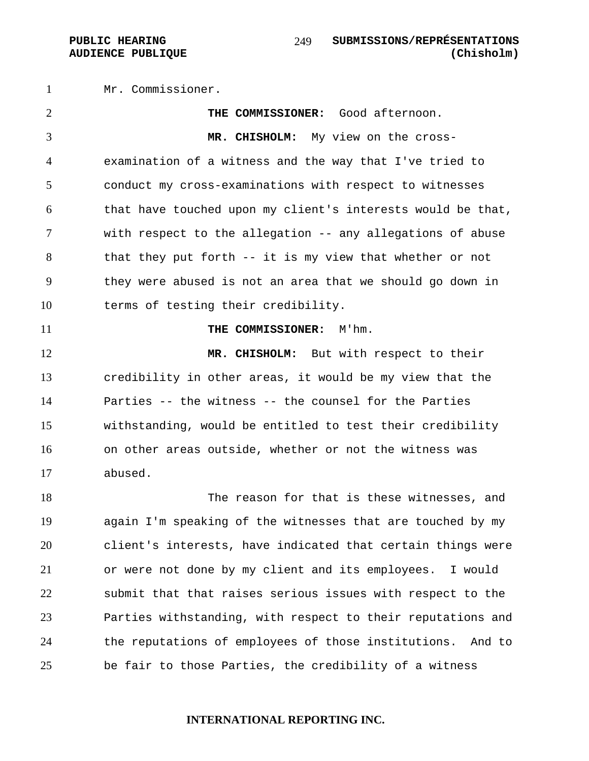Mr. Commissioner. **THE COMMISSIONER:** Good afternoon. **MR. CHISHOLM:** My view on the cross-examination of a witness and the way that I've tried to conduct my cross-examinations with respect to witnesses that have touched upon my client's interests would be that, with respect to the allegation -- any allegations of abuse that they put forth -- it is my view that whether or not they were abused is not an area that we should go down in terms of testing their credibility. **THE COMMISSIONER:** M'hm. 12 MR. CHISHOLM: But with respect to their credibility in other areas, it would be my view that the Parties -- the witness -- the counsel for the Parties withstanding, would be entitled to test their credibility on other areas outside, whether or not the witness was abused. The reason for that is these witnesses, and again I'm speaking of the witnesses that are touched by my client's interests, have indicated that certain things were or were not done by my client and its employees. I would submit that that raises serious issues with respect to the Parties withstanding, with respect to their reputations and the reputations of employees of those institutions. And to be fair to those Parties, the credibility of a witness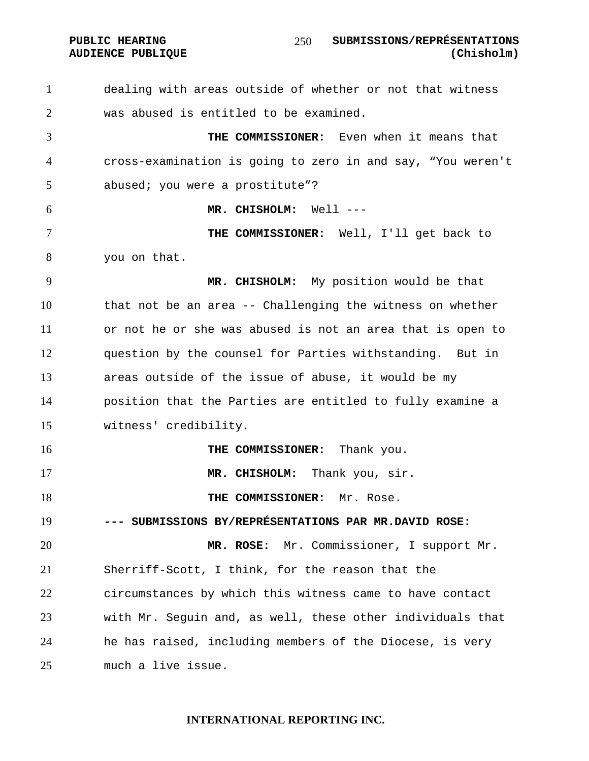#### PUBLIC HEARING SUBMISSIONS/REPRÉSENTATIONS **AUDIENCE PUBLIQUE (Chisholm)**

dealing with areas outside of whether or not that witness was abused is entitled to be examined.

**THE COMMISSIONER:** Even when it means that cross-examination is going to zero in and say, "You weren't abused; you were a prostitute"?

**MR. CHISHOLM:** Well ---

**THE COMMISSIONER:** Well, I'll get back to you on that.

**MR. CHISHOLM:** My position would be that that not be an area -- Challenging the witness on whether or not he or she was abused is not an area that is open to question by the counsel for Parties withstanding. But in areas outside of the issue of abuse, it would be my position that the Parties are entitled to fully examine a witness' credibility.

**THE COMMISSIONER:** Thank you. **MR. CHISHOLM:** Thank you, sir. **THE COMMISSIONER:** Mr. Rose. **--- SUBMISSIONS BY/REPRÉSENTATIONS PAR MR.DAVID ROSE: MR. ROSE:** Mr. Commissioner, I support Mr. Sherriff-Scott, I think, for the reason that the circumstances by which this witness came to have contact with Mr. Seguin and, as well, these other individuals that he has raised, including members of the Diocese, is very much a live issue.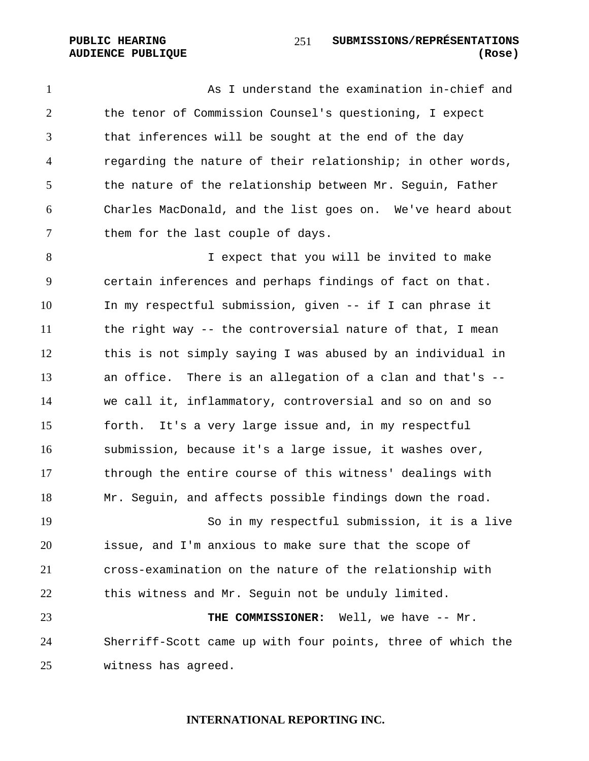As I understand the examination in-chief and the tenor of Commission Counsel's questioning, I expect that inferences will be sought at the end of the day regarding the nature of their relationship; in other words, the nature of the relationship between Mr. Seguin, Father Charles MacDonald, and the list goes on. We've heard about them for the last couple of days.

I expect that you will be invited to make certain inferences and perhaps findings of fact on that. In my respectful submission, given -- if I can phrase it the right way -- the controversial nature of that, I mean this is not simply saying I was abused by an individual in an office. There is an allegation of a clan and that's -- we call it, inflammatory, controversial and so on and so forth. It's a very large issue and, in my respectful submission, because it's a large issue, it washes over, through the entire course of this witness' dealings with Mr. Seguin, and affects possible findings down the road.

So in my respectful submission, it is a live issue, and I'm anxious to make sure that the scope of cross-examination on the nature of the relationship with this witness and Mr. Seguin not be unduly limited.

**THE COMMISSIONER:** Well, we have -- Mr. Sherriff-Scott came up with four points, three of which the witness has agreed.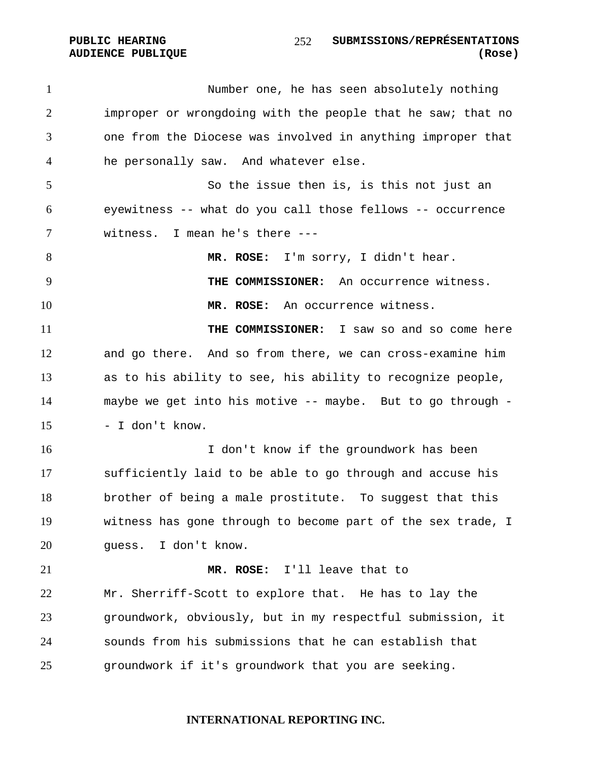PUBLIC HEARING SUBMISSIONS/REPRÉSENTATIONS **AUDIENCE PUBLIQUE (Rose)**  

1 Number one, he has seen absolutely nothing improper or wrongdoing with the people that he saw; that no one from the Diocese was involved in anything improper that he personally saw. And whatever else. So the issue then is, is this not just an eyewitness -- what do you call those fellows -- occurrence witness. I mean he's there --- **MR. ROSE:** I'm sorry, I didn't hear. **THE COMMISSIONER:** An occurrence witness. **MR. ROSE:** An occurrence witness. **THE COMMISSIONER:** I saw so and so come here and go there. And so from there, we can cross-examine him as to his ability to see, his ability to recognize people, maybe we get into his motive -- maybe. But to go through - - I don't know. I don't know if the groundwork has been sufficiently laid to be able to go through and accuse his brother of being a male prostitute. To suggest that this witness has gone through to become part of the sex trade, I guess. I don't know. **MR. ROSE:** I'll leave that to Mr. Sherriff-Scott to explore that. He has to lay the groundwork, obviously, but in my respectful submission, it sounds from his submissions that he can establish that groundwork if it's groundwork that you are seeking.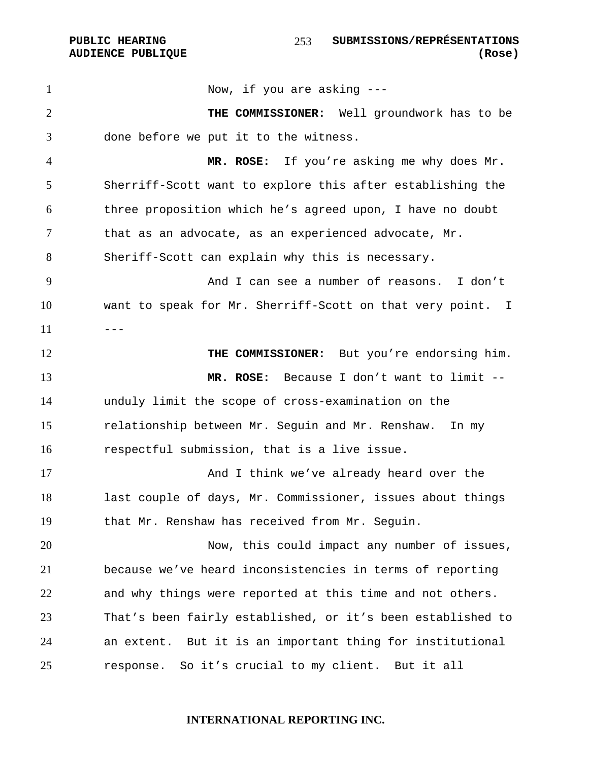1 Now, if you are asking ---**THE COMMISSIONER:** Well groundwork has to be done before we put it to the witness. **MR. ROSE:** If you're asking me why does Mr. Sherriff-Scott want to explore this after establishing the three proposition which he's agreed upon, I have no doubt that as an advocate, as an experienced advocate, Mr. Sheriff-Scott can explain why this is necessary. And I can see a number of reasons. I don't want to speak for Mr. Sherriff-Scott on that very point. I  $---$ 12 THE COMMISSIONER: But you're endorsing him. **MR. ROSE:** Because I don't want to limit -- unduly limit the scope of cross-examination on the relationship between Mr. Seguin and Mr. Renshaw. In my respectful submission, that is a live issue. And I think we've already heard over the last couple of days, Mr. Commissioner, issues about things that Mr. Renshaw has received from Mr. Seguin. Now, this could impact any number of issues, because we've heard inconsistencies in terms of reporting and why things were reported at this time and not others. That's been fairly established, or it's been established to an extent. But it is an important thing for institutional response. So it's crucial to my client. But it all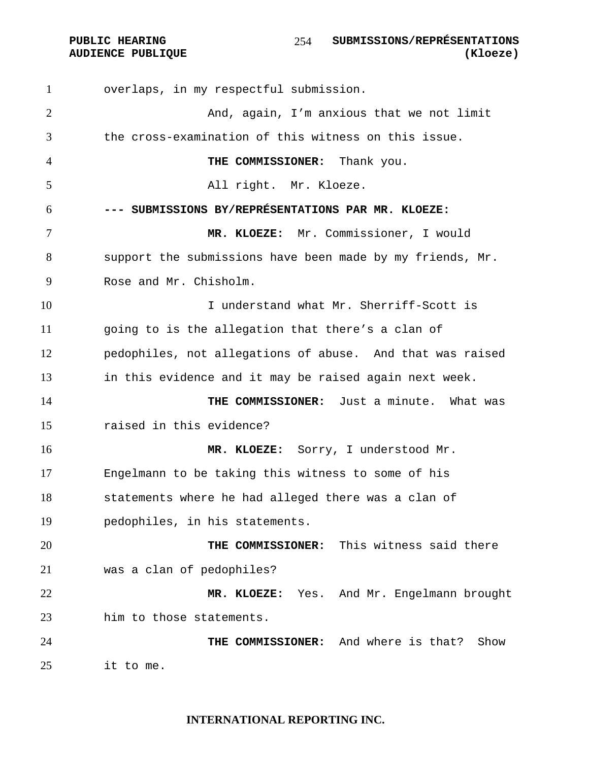overlaps, in my respectful submission. And, again, I'm anxious that we not limit the cross-examination of this witness on this issue. **THE COMMISSIONER:** Thank you. All right. Mr. Kloeze. **--- SUBMISSIONS BY/REPRÉSENTATIONS PAR MR. KLOEZE: MR. KLOEZE:** Mr. Commissioner, I would support the submissions have been made by my friends, Mr. Rose and Mr. Chisholm. I understand what Mr. Sherriff-Scott is going to is the allegation that there's a clan of pedophiles, not allegations of abuse. And that was raised in this evidence and it may be raised again next week. **THE COMMISSIONER:** Just a minute. What was raised in this evidence? **MR. KLOEZE:** Sorry, I understood Mr. Engelmann to be taking this witness to some of his statements where he had alleged there was a clan of pedophiles, in his statements. **THE COMMISSIONER:** This witness said there was a clan of pedophiles? **MR. KLOEZE:** Yes. And Mr. Engelmann brought him to those statements. **THE COMMISSIONER:** And where is that? Show it to me.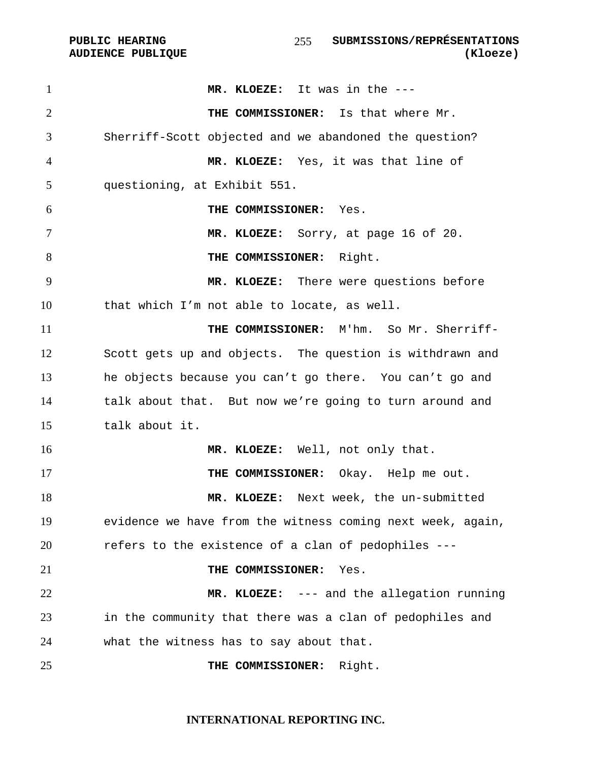**MR. KLOEZE:** It was in the --- **THE COMMISSIONER:** Is that where Mr. Sherriff-Scott objected and we abandoned the question? **MR. KLOEZE:** Yes, it was that line of questioning, at Exhibit 551. **THE COMMISSIONER:** Yes. **MR. KLOEZE:** Sorry, at page 16 of 20. **THE COMMISSIONER:** Right. **MR. KLOEZE:** There were questions before that which I'm not able to locate, as well. **THE COMMISSIONER:** M'hm. So Mr. Sherriff-Scott gets up and objects. The question is withdrawn and he objects because you can't go there. You can't go and talk about that. But now we're going to turn around and talk about it. **MR. KLOEZE:** Well, not only that. **THE COMMISSIONER:** Okay. Help me out. **MR. KLOEZE:** Next week, the un-submitted evidence we have from the witness coming next week, again, refers to the existence of a clan of pedophiles --- **THE COMMISSIONER:** Yes. **MR. KLOEZE:** --- and the allegation running in the community that there was a clan of pedophiles and what the witness has to say about that. **THE COMMISSIONER:** Right.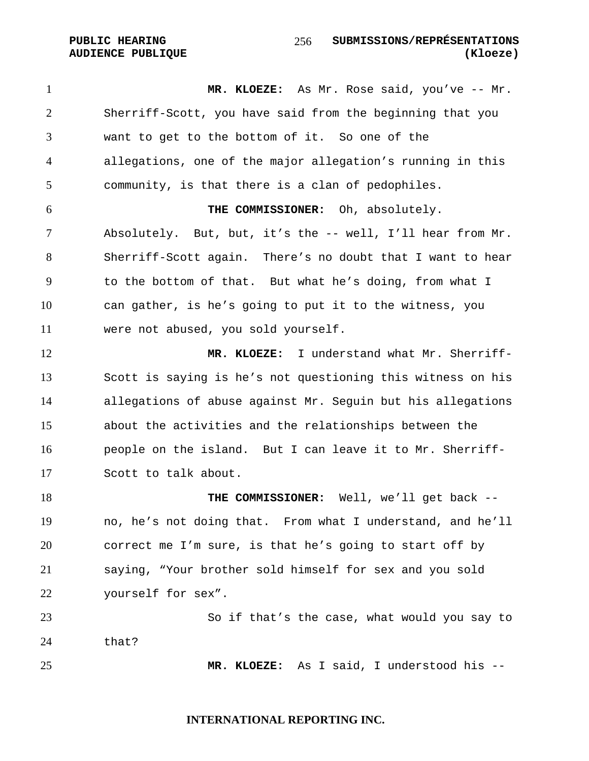**PUBLIC HEARING SUBMISSIONS/REPRÉSENTATIONS AUDIENCE PUBLIQUE (Kloeze)**  

1 MR. KLOEZE: As Mr. Rose said, you've -- Mr. Sherriff-Scott, you have said from the beginning that you want to get to the bottom of it. So one of the allegations, one of the major allegation's running in this community, is that there is a clan of pedophiles. **THE COMMISSIONER:** Oh, absolutely. Absolutely. But, but, it's the -- well, I'll hear from Mr. Sherriff-Scott again. There's no doubt that I want to hear to the bottom of that. But what he's doing, from what I can gather, is he's going to put it to the witness, you were not abused, you sold yourself. **MR. KLOEZE:** I understand what Mr. Sherriff-Scott is saying is he's not questioning this witness on his allegations of abuse against Mr. Seguin but his allegations about the activities and the relationships between the people on the island. But I can leave it to Mr. Sherriff-Scott to talk about. **THE COMMISSIONER:** Well, we'll get back -- no, he's not doing that. From what I understand, and he'll correct me I'm sure, is that he's going to start off by saying, "Your brother sold himself for sex and you sold yourself for sex". So if that's the case, what would you say to that? **MR. KLOEZE:** As I said, I understood his --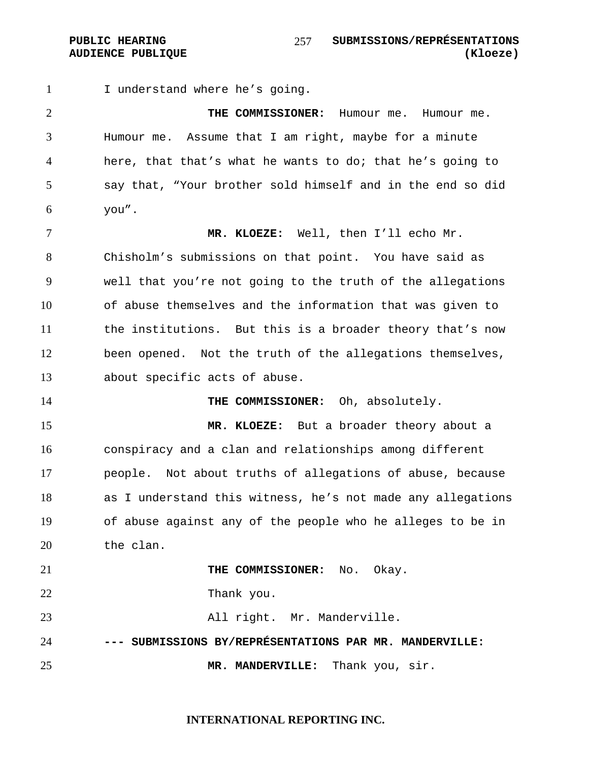PUBLIC HEARING SUBMISSIONS/REPRÉSENTATIONS **AUDIENCE PUBLIQUE (Kloeze)**  

1 I understand where he's going.

**THE COMMISSIONER:** Humour me. Humour me. Humour me. Assume that I am right, maybe for a minute here, that that's what he wants to do; that he's going to say that, "Your brother sold himself and in the end so did you".

**MR. KLOEZE:** Well, then I'll echo Mr. Chisholm's submissions on that point. You have said as well that you're not going to the truth of the allegations of abuse themselves and the information that was given to the institutions. But this is a broader theory that's now been opened. Not the truth of the allegations themselves, about specific acts of abuse.

**THE COMMISSIONER:** Oh, absolutely.

**MR. KLOEZE:** But a broader theory about a conspiracy and a clan and relationships among different people. Not about truths of allegations of abuse, because as I understand this witness, he's not made any allegations of abuse against any of the people who he alleges to be in the clan.

**THE COMMISSIONER:** No. Okay. Thank you. 23 All right. Mr. Manderville. **--- SUBMISSIONS BY/REPRÉSENTATIONS PAR MR. MANDERVILLE: MR. MANDERVILLE:** Thank you, sir.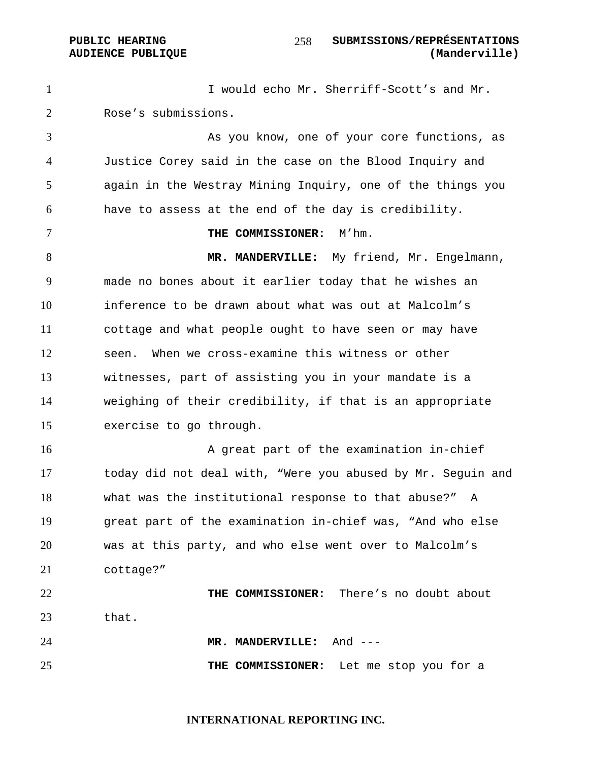#### PUBLIC HEARING SUBMISSIONS/REPRÉSENTATIONS **AUDIENCE PUBLIQUE (Manderville)**

I would echo Mr. Sherriff-Scott's and Mr. Rose's submissions.

As you know, one of your core functions, as Justice Corey said in the case on the Blood Inquiry and again in the Westray Mining Inquiry, one of the things you have to assess at the end of the day is credibility.

**THE COMMISSIONER:** M'hm.

**MR. MANDERVILLE:** My friend, Mr. Engelmann, made no bones about it earlier today that he wishes an inference to be drawn about what was out at Malcolm's cottage and what people ought to have seen or may have seen. When we cross-examine this witness or other witnesses, part of assisting you in your mandate is a weighing of their credibility, if that is an appropriate exercise to go through.

16 A great part of the examination in-chief today did not deal with, "Were you abused by Mr. Seguin and what was the institutional response to that abuse?" A great part of the examination in-chief was, "And who else was at this party, and who else went over to Malcolm's cottage?"

**THE COMMISSIONER:** There's no doubt about that.

**MR. MANDERVILLE:** And --- **THE COMMISSIONER:** Let me stop you for a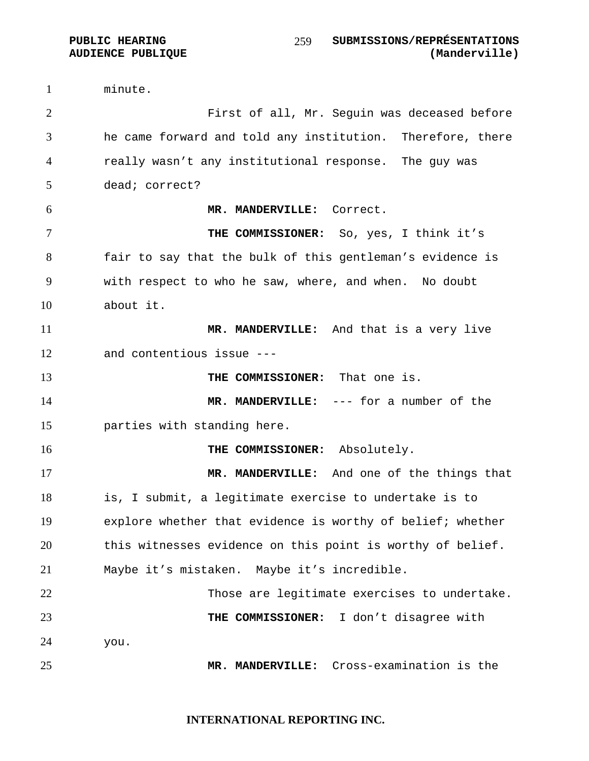minute. First of all, Mr. Seguin was deceased before he came forward and told any institution. Therefore, there really wasn't any institutional response. The guy was dead; correct? **MR. MANDERVILLE:** Correct. **THE COMMISSIONER:** So, yes, I think it's fair to say that the bulk of this gentleman's evidence is with respect to who he saw, where, and when. No doubt about it. **MR. MANDERVILLE:** And that is a very live and contentious issue --- **THE COMMISSIONER:** That one is. **MR. MANDERVILLE:** --- for a number of the parties with standing here. **THE COMMISSIONER:** Absolutely. **MR. MANDERVILLE:** And one of the things that is, I submit, a legitimate exercise to undertake is to explore whether that evidence is worthy of belief; whether this witnesses evidence on this point is worthy of belief. Maybe it's mistaken. Maybe it's incredible. Those are legitimate exercises to undertake. **THE COMMISSIONER:** I don't disagree with you. **MR. MANDERVILLE:** Cross-examination is the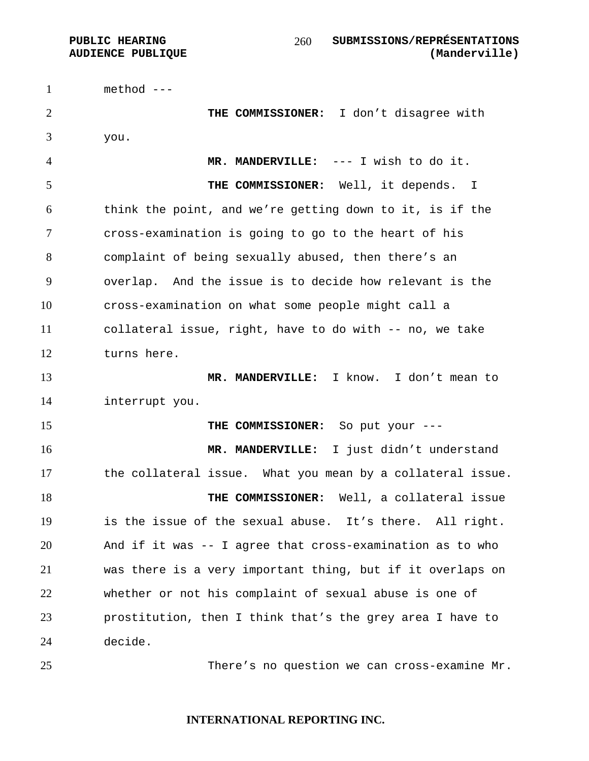method ---

**THE COMMISSIONER:** I don't disagree with you.

**MR. MANDERVILLE:** --- I wish to do it. **THE COMMISSIONER:** Well, it depends. I think the point, and we're getting down to it, is if the cross-examination is going to go to the heart of his complaint of being sexually abused, then there's an overlap. And the issue is to decide how relevant is the cross-examination on what some people might call a collateral issue, right, have to do with -- no, we take turns here.

**MR. MANDERVILLE:** I know. I don't mean to interrupt you.

**THE COMMISSIONER:** So put your ---

**MR. MANDERVILLE:** I just didn't understand the collateral issue. What you mean by a collateral issue. **THE COMMISSIONER:** Well, a collateral issue is the issue of the sexual abuse. It's there. All right. And if it was -- I agree that cross-examination as to who was there is a very important thing, but if it overlaps on whether or not his complaint of sexual abuse is one of prostitution, then I think that's the grey area I have to decide.

There's no question we can cross-examine Mr.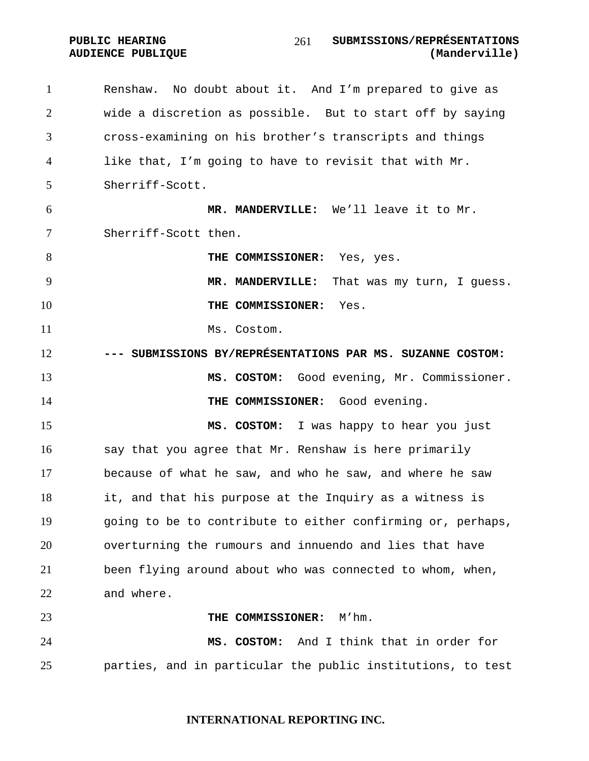Renshaw. No doubt about it. And I'm prepared to give as wide a discretion as possible. But to start off by saying cross-examining on his brother's transcripts and things like that, I'm going to have to revisit that with Mr. Sherriff-Scott. **MR. MANDERVILLE:** We'll leave it to Mr. Sherriff-Scott then. **THE COMMISSIONER:** Yes, yes. **MR. MANDERVILLE:** That was my turn, I guess. **THE COMMISSIONER:** Yes. 11 Ms. Costom. **--- SUBMISSIONS BY/REPRÉSENTATIONS PAR MS. SUZANNE COSTOM: MS. COSTOM:** Good evening, Mr. Commissioner. **THE COMMISSIONER:** Good evening. **MS. COSTOM:** I was happy to hear you just say that you agree that Mr. Renshaw is here primarily because of what he saw, and who he saw, and where he saw it, and that his purpose at the Inquiry as a witness is going to be to contribute to either confirming or, perhaps, overturning the rumours and innuendo and lies that have been flying around about who was connected to whom, when, and where. **THE COMMISSIONER:** M'hm. **MS. COSTOM:** And I think that in order for parties, and in particular the public institutions, to test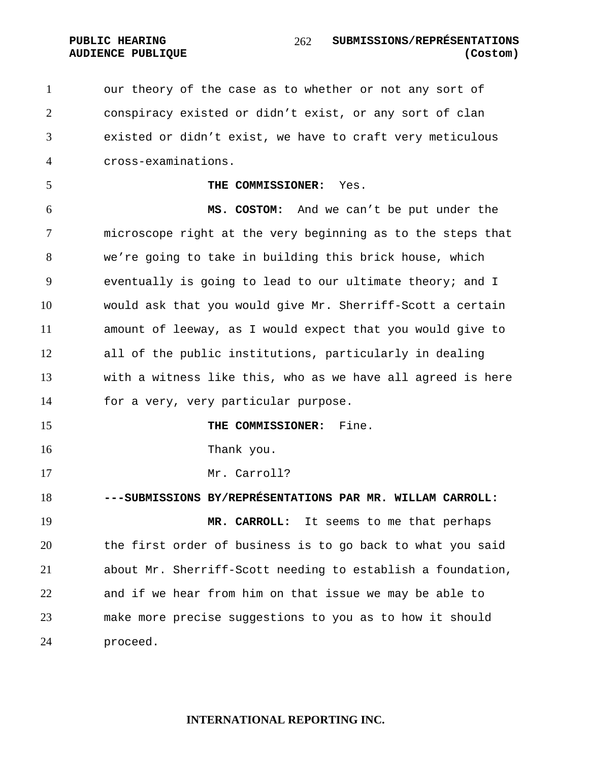our theory of the case as to whether or not any sort of conspiracy existed or didn't exist, or any sort of clan existed or didn't exist, we have to craft very meticulous cross-examinations.

**THE COMMISSIONER:** Yes.

**MS. COSTOM:** And we can't be put under the microscope right at the very beginning as to the steps that we're going to take in building this brick house, which eventually is going to lead to our ultimate theory; and I would ask that you would give Mr. Sherriff-Scott a certain amount of leeway, as I would expect that you would give to all of the public institutions, particularly in dealing with a witness like this, who as we have all agreed is here for a very, very particular purpose.

**THE COMMISSIONER:** Fine.

Thank you.

Mr. Carroll?

**---SUBMISSIONS BY/REPRÉSENTATIONS PAR MR. WILLAM CARROLL:** 

**MR. CARROLL:** It seems to me that perhaps the first order of business is to go back to what you said about Mr. Sherriff-Scott needing to establish a foundation, and if we hear from him on that issue we may be able to make more precise suggestions to you as to how it should proceed.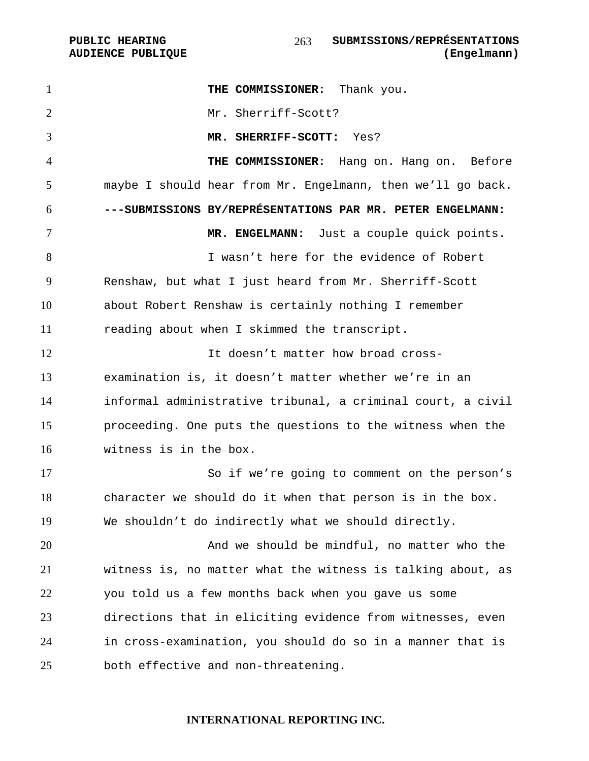PUBLIC HEARING SUBMISSIONS/REPRÉSENTATIONS 

**THE COMMISSIONER:** Thank you. Mr. Sherriff-Scott? **MR. SHERRIFF-SCOTT:** Yes? **THE COMMISSIONER:** Hang on. Hang on. Before maybe I should hear from Mr. Engelmann, then we'll go back. **---SUBMISSIONS BY/REPRÉSENTATIONS PAR MR. PETER ENGELMANN: MR. ENGELMANN:** Just a couple quick points. I wasn't here for the evidence of Robert Renshaw, but what I just heard from Mr. Sherriff-Scott about Robert Renshaw is certainly nothing I remember reading about when I skimmed the transcript. **It doesn't matter how broad cross-**examination is, it doesn't matter whether we're in an informal administrative tribunal, a criminal court, a civil proceeding. One puts the questions to the witness when the witness is in the box. So if we're going to comment on the person's character we should do it when that person is in the box. We shouldn't do indirectly what we should directly. And we should be mindful, no matter who the witness is, no matter what the witness is talking about, as you told us a few months back when you gave us some directions that in eliciting evidence from witnesses, even in cross-examination, you should do so in a manner that is both effective and non-threatening.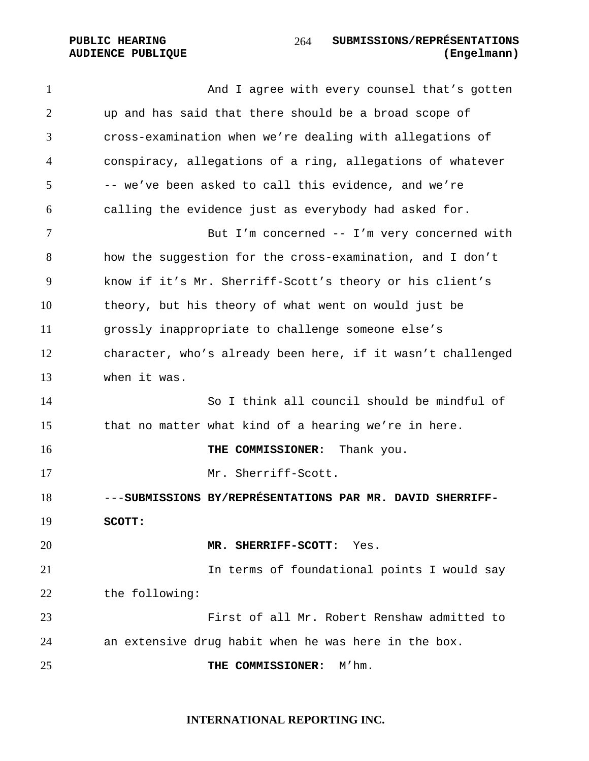1 And I agree with every counsel that's gotten up and has said that there should be a broad scope of cross-examination when we're dealing with allegations of conspiracy, allegations of a ring, allegations of whatever -- we've been asked to call this evidence, and we're calling the evidence just as everybody had asked for. But I'm concerned -- I'm very concerned with how the suggestion for the cross-examination, and I don't know if it's Mr. Sherriff-Scott's theory or his client's theory, but his theory of what went on would just be grossly inappropriate to challenge someone else's character, who's already been here, if it wasn't challenged when it was. So I think all council should be mindful of that no matter what kind of a hearing we're in here. **THE COMMISSIONER:** Thank you. Mr. Sherriff-Scott. ---**SUBMISSIONS BY/REPRÉSENTATIONS PAR MR. DAVID SHERRIFF-SCOTT: MR. SHERRIFF-SCOTT**: Yes. **In terms of foundational points I would say** the following: First of all Mr. Robert Renshaw admitted to an extensive drug habit when he was here in the box. **THE COMMISSIONER:** M'hm.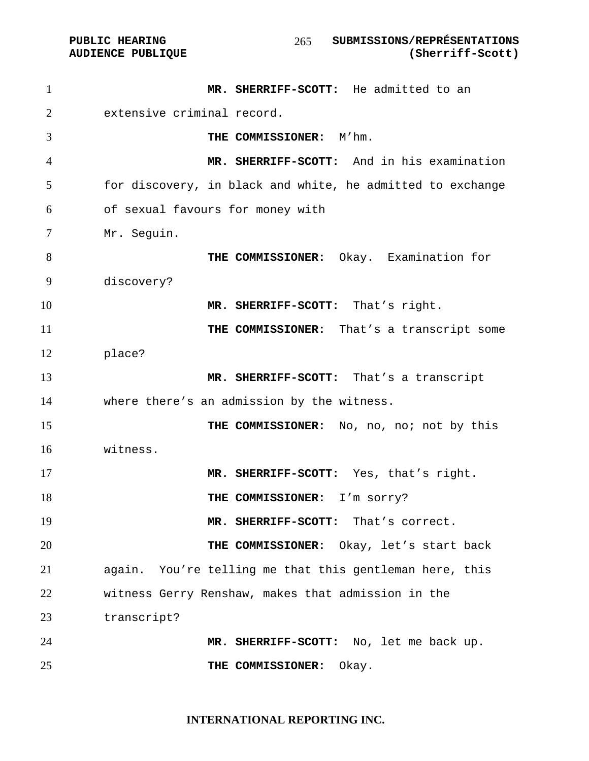PUBLIC HEARING SUBMISSIONS/REPRÉSENTATIONS<br>AUDIENCE PUBLIQUE (Sherriff-Scott) 

| $\mathbf{1}$   | MR. SHERRIFF-SCOTT: He admitted to an                      |
|----------------|------------------------------------------------------------|
| $\overline{2}$ | extensive criminal record.                                 |
| 3              | THE COMMISSIONER: M'hm.                                    |
| 4              | MR. SHERRIFF-SCOTT: And in his examination                 |
| 5              | for discovery, in black and white, he admitted to exchange |
| 6              | of sexual favours for money with                           |
| 7              | Mr. Seguin.                                                |
| 8              | THE COMMISSIONER: Okay. Examination for                    |
| 9              | discovery?                                                 |
| 10             | MR. SHERRIFF-SCOTT: That's right.                          |
| 11             | THE COMMISSIONER: That's a transcript some                 |
| 12             | place?                                                     |
| 13             | MR. SHERRIFF-SCOTT: That's a transcript                    |
| 14             | where there's an admission by the witness.                 |
| 15             | THE COMMISSIONER: No, no, no; not by this                  |
| 16             | witness.                                                   |
| 17             | MR. SHERRIFF-SCOTT: Yes, that's right.                     |
| 18             | THE COMMISSIONER: I'm sorry?                               |
| 19             | MR. SHERRIFF-SCOTT: That's correct.                        |
| 20             | THE COMMISSIONER: Okay, let's start back                   |
| 21             | again. You're telling me that this gentleman here, this    |
| 22             | witness Gerry Renshaw, makes that admission in the         |
| 23             | transcript?                                                |
| 24             | MR. SHERRIFF-SCOTT: No, let me back up.                    |
| 25             | THE COMMISSIONER:<br>Okay.                                 |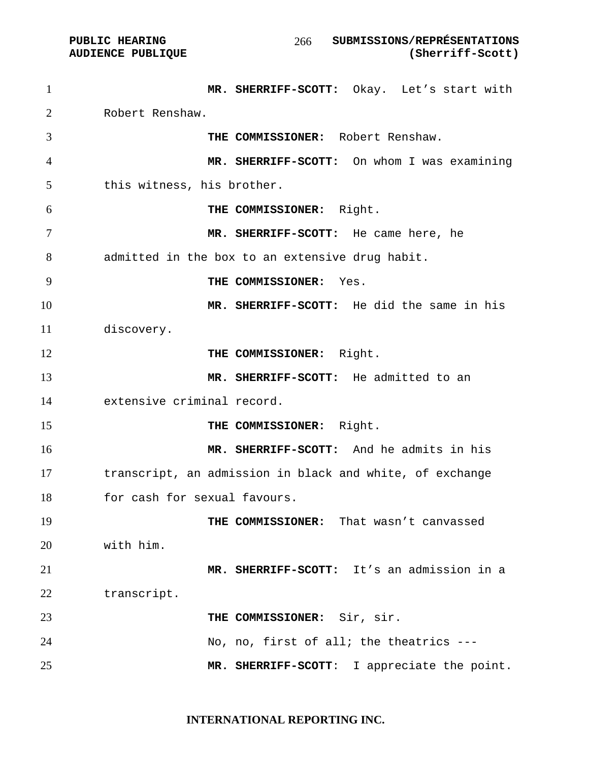**AUDIENCE PUBLIQUE** 

| $\mathbf{1}$ | MR. SHERRIFF-SCOTT: Okay. Let's start with               |
|--------------|----------------------------------------------------------|
| 2            | Robert Renshaw.                                          |
| 3            | THE COMMISSIONER: Robert Renshaw.                        |
| 4            | MR. SHERRIFF-SCOTT: On whom I was examining              |
| 5            | this witness, his brother.                               |
| 6            | THE COMMISSIONER: Right.                                 |
| 7            | MR. SHERRIFF-SCOTT: He came here, he                     |
| 8            | admitted in the box to an extensive drug habit.          |
| 9            | THE COMMISSIONER: Yes.                                   |
| 10           | MR. SHERRIFF-SCOTT: He did the same in his               |
| 11           | discovery.                                               |
| 12           | THE COMMISSIONER: Right.                                 |
| 13           | MR. SHERRIFF-SCOTT: He admitted to an                    |
| 14           | extensive criminal record.                               |
| 15           | THE COMMISSIONER: Right.                                 |
| 16           | MR. SHERRIFF-SCOTT: And he admits in his                 |
| 17           | transcript, an admission in black and white, of exchange |
| 18           | for cash for sexual favours.                             |
| 19           | THE COMMISSIONER: That wasn't canvassed                  |
| 20           | with him.                                                |
| 21           | MR. SHERRIFF-SCOTT: It's an admission in a               |
| 22           | transcript.                                              |
| 23           | THE COMMISSIONER: Sir, sir.                              |
| 24           | No, no, first of all; the theatrics ---                  |
| 25           | I appreciate the point.<br>MR. SHERRIFF-SCOTT:           |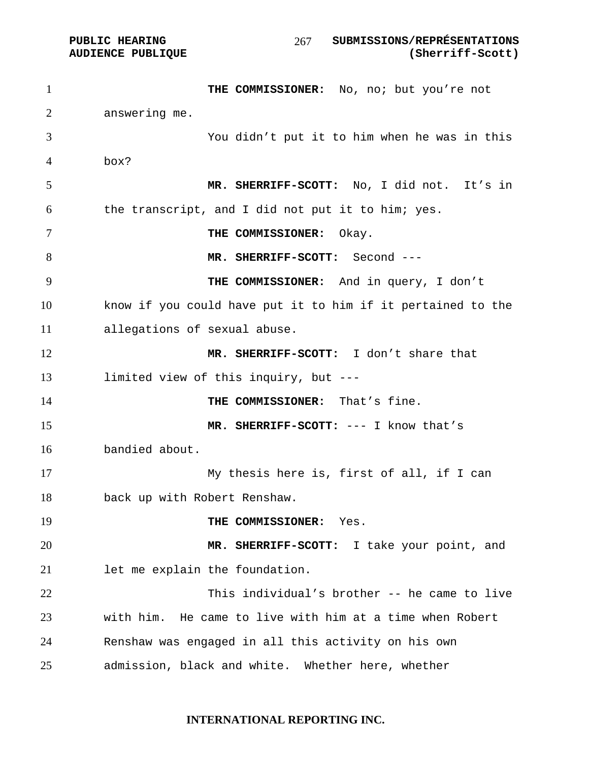PUBLIC HEARING SUBMISSIONS/REPRÉSENTATIONS **AUDIENCE PUBLIQUE (Sherriff-Scott)**  

1 THE COMMISSIONER: No, no; but you're not answering me. You didn't put it to him when he was in this box? **MR. SHERRIFF-SCOTT:** No, I did not. It's in the transcript, and I did not put it to him; yes. **THE COMMISSIONER:** Okay. **MR. SHERRIFF-SCOTT:** Second --- **THE COMMISSIONER:** And in query, I don't know if you could have put it to him if it pertained to the allegations of sexual abuse. **MR. SHERRIFF-SCOTT:** I don't share that limited view of this inquiry, but --- **THE COMMISSIONER:** That's fine. **MR. SHERRIFF-SCOTT:** --- I know that's bandied about. My thesis here is, first of all, if I can back up with Robert Renshaw. **THE COMMISSIONER:** Yes. **MR. SHERRIFF-SCOTT:** I take your point, and let me explain the foundation. This individual's brother -- he came to live with him. He came to live with him at a time when Robert Renshaw was engaged in all this activity on his own admission, black and white. Whether here, whether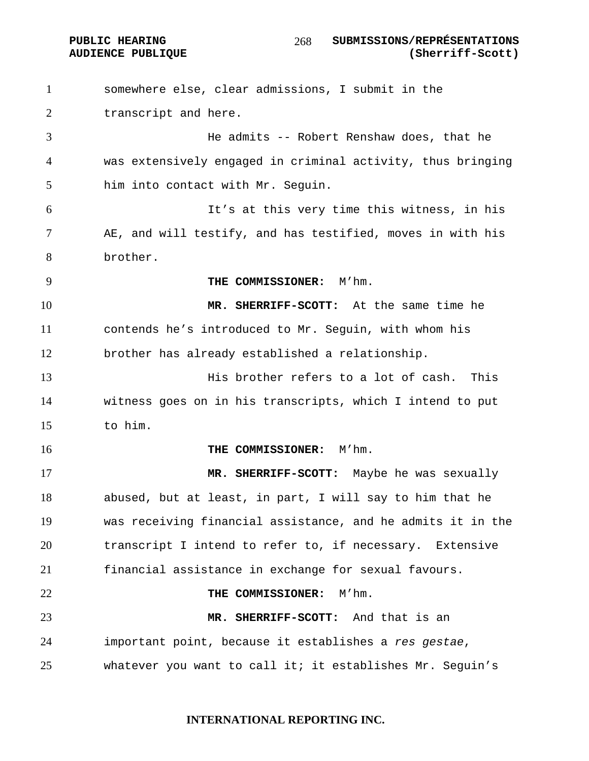#### PUBLIC HEARING SUBMISSIONS/REPRÉSENTATIONS **AUDIENCE PUBLIQUE (Sherriff-Scott)**

somewhere else, clear admissions, I submit in the transcript and here. He admits -- Robert Renshaw does, that he was extensively engaged in criminal activity, thus bringing him into contact with Mr. Seguin. It's at this very time this witness, in his AE, and will testify, and has testified, moves in with his brother. **THE COMMISSIONER:** M'hm. **MR. SHERRIFF-SCOTT:** At the same time he contends he's introduced to Mr. Seguin, with whom his brother has already established a relationship. His brother refers to a lot of cash. This witness goes on in his transcripts, which I intend to put to him. **THE COMMISSIONER:** M'hm. **MR. SHERRIFF-SCOTT:** Maybe he was sexually abused, but at least, in part, I will say to him that he was receiving financial assistance, and he admits it in the transcript I intend to refer to, if necessary. Extensive financial assistance in exchange for sexual favours. **THE COMMISSIONER:** M'hm. **MR. SHERRIFF-SCOTT:** And that is an important point, because it establishes a *res gestae*, whatever you want to call it; it establishes Mr. Seguin's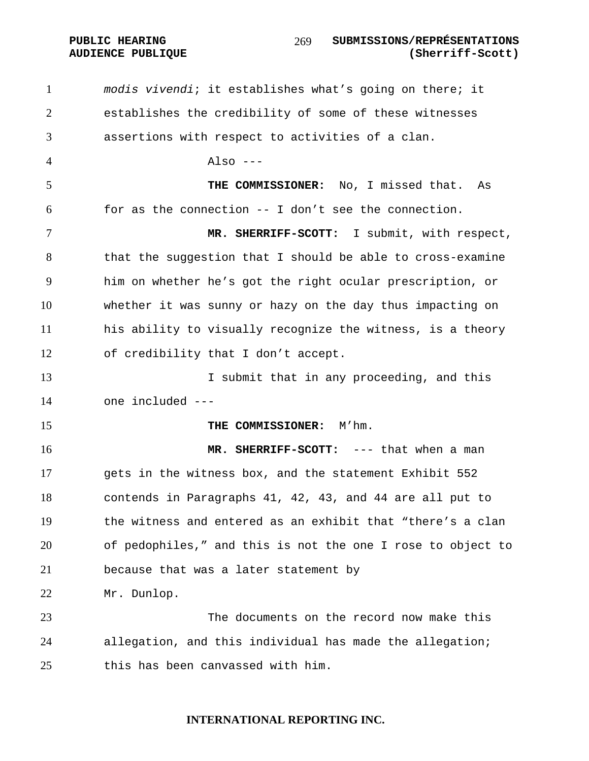PUBLIC HEARING SUBMISSIONS/REPRÉSENTATIONS **AUDIENCE PUBLIQUE (Sherriff-Scott)**  

*modis vivendi*; it establishes what's going on there; it establishes the credibility of some of these witnesses assertions with respect to activities of a clan. Also --- **THE COMMISSIONER:** No, I missed that. As for as the connection -- I don't see the connection. **MR. SHERRIFF-SCOTT:** I submit, with respect, that the suggestion that I should be able to cross-examine him on whether he's got the right ocular prescription, or whether it was sunny or hazy on the day thus impacting on his ability to visually recognize the witness, is a theory of credibility that I don't accept. 13 13 I submit that in any proceeding, and this one included --- **THE COMMISSIONER:** M'hm. **MR. SHERRIFF-SCOTT:** --- that when a man gets in the witness box, and the statement Exhibit 552 contends in Paragraphs 41, 42, 43, and 44 are all put to the witness and entered as an exhibit that "there's a clan of pedophiles," and this is not the one I rose to object to because that was a later statement by Mr. Dunlop. The documents on the record now make this allegation, and this individual has made the allegation; this has been canvassed with him.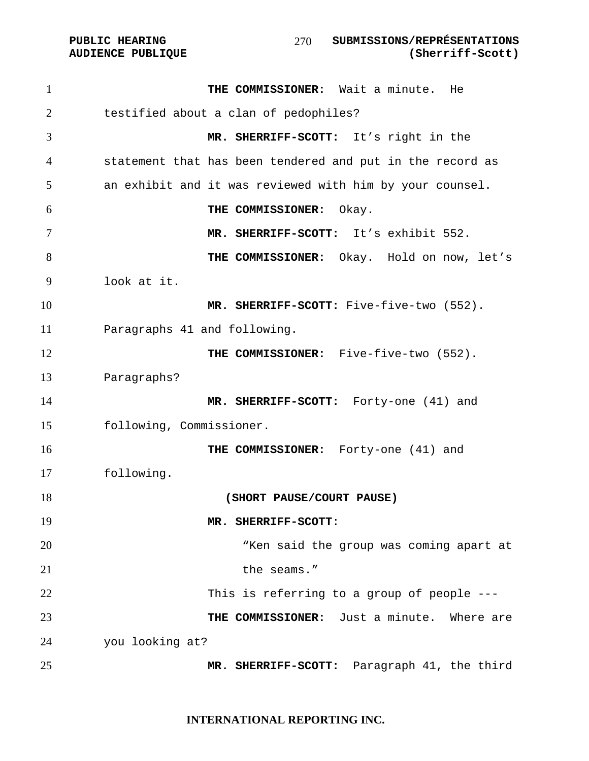| $\mathbf{1}$ | THE COMMISSIONER: Wait a minute. He                       |
|--------------|-----------------------------------------------------------|
| 2            | testified about a clan of pedophiles?                     |
| 3            | MR. SHERRIFF-SCOTT: It's right in the                     |
| 4            | statement that has been tendered and put in the record as |
| 5            | an exhibit and it was reviewed with him by your counsel.  |
| 6            | THE COMMISSIONER:<br>Okay.                                |
| 7            | MR. SHERRIFF-SCOTT: It's exhibit 552.                     |
| 8            | THE COMMISSIONER: Okay. Hold on now, let's                |
| 9            | look at it.                                               |
| 10           | MR. SHERRIFF-SCOTT: Five-five-two (552).                  |
| 11           | Paragraphs 41 and following.                              |
| 12           | THE COMMISSIONER: Five-five-two (552).                    |
| 13           | Paragraphs?                                               |
| 14           | MR. SHERRIFF-SCOTT: Forty-one (41) and                    |
| 15           | following, Commissioner.                                  |
| 16           | THE COMMISSIONER: Forty-one (41) and                      |
| 17           | following.                                                |
| 18           | (SHORT PAUSE/COURT PAUSE)                                 |
| 19           | MR. SHERRIFF-SCOTT:                                       |
| 20           | "Ken said the group was coming apart at                   |
| 21           | the seams."                                               |
| 22           | This is referring to a group of people $---$              |
| 23           | THE COMMISSIONER: Just a minute. Where are                |
| 24           | you looking at?                                           |
| 25           | MR. SHERRIFF-SCOTT: Paragraph 41, the third               |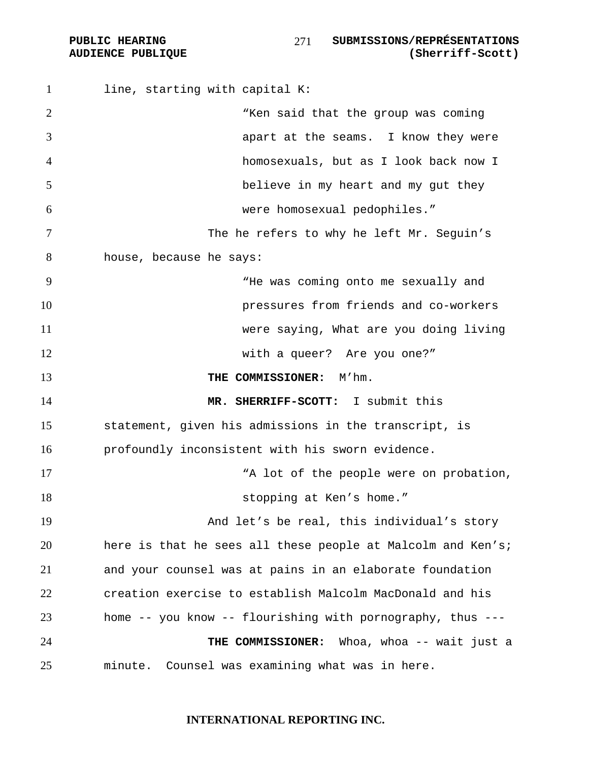1 line, starting with capital K: 2 The said that the group was coming apart at the seams. I know they were homosexuals, but as I look back now I believe in my heart and my gut they were homosexual pedophiles." The he refers to why he left Mr. Seguin's house, because he says: "He was coming onto me sexually and pressures from friends and co-workers were saying, What are you doing living 12 with a queer? Are you one?" **THE COMMISSIONER:** M'hm. **MR. SHERRIFF-SCOTT:** I submit this statement, given his admissions in the transcript, is profoundly inconsistent with his sworn evidence. 17 The Manusdale Manusdale were on probation, **Supply** 18 **stopping at Ken's home.**" And let's be real, this individual's story here is that he sees all these people at Malcolm and Ken's; and your counsel was at pains in an elaborate foundation creation exercise to establish Malcolm MacDonald and his home -- you know -- flourishing with pornography, thus --- **THE COMMISSIONER:** Whoa, whoa -- wait just a minute. Counsel was examining what was in here.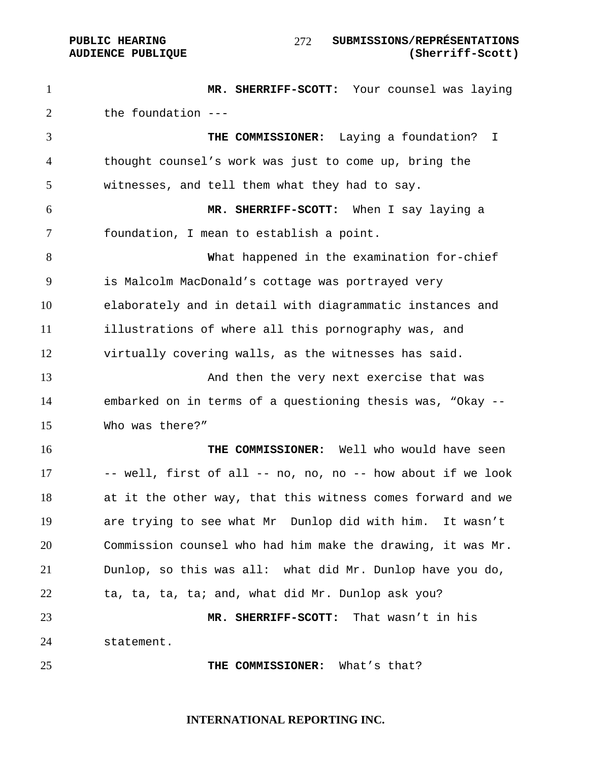### PUBLIC HEARING  $\frac{277}{100}$  submissions/représentations **AUDIENCE PUBLIQUE (Sherriff-Scott)**

**MR. SHERRIFF-SCOTT:** Your counsel was laying the foundation --- **THE COMMISSIONER:** Laying a foundation? I thought counsel's work was just to come up, bring the witnesses, and tell them what they had to say. **MR. SHERRIFF-SCOTT:** When I say laying a foundation, I mean to establish a point. **W**hat happened in the examination for-chief is Malcolm MacDonald's cottage was portrayed very elaborately and in detail with diagrammatic instances and illustrations of where all this pornography was, and virtually covering walls, as the witnesses has said. And then the very next exercise that was embarked on in terms of a questioning thesis was, "Okay -- Who was there?" **THE COMMISSIONER:** Well who would have seen -- well, first of all -- no, no, no -- how about if we look at it the other way, that this witness comes forward and we are trying to see what Mr Dunlop did with him. It wasn't Commission counsel who had him make the drawing, it was Mr. Dunlop, so this was all: what did Mr. Dunlop have you do, ta, ta, ta, ta; and, what did Mr. Dunlop ask you? **MR. SHERRIFF-SCOTT:** That wasn't in his statement. **THE COMMISSIONER:** What's that?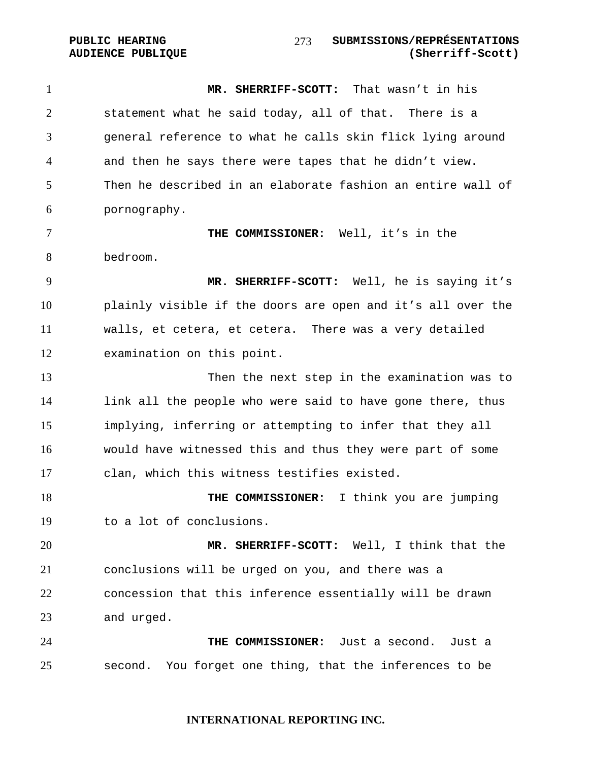PUBLIC HEARING **SUBMISSIONS/REPRÉSENTATIONS AUDIENCE PUBLIQUE (Sherriff-Scott)**  

**MR. SHERRIFF-SCOTT:** That wasn't in his statement what he said today, all of that. There is a general reference to what he calls skin flick lying around and then he says there were tapes that he didn't view. Then he described in an elaborate fashion an entire wall of pornography.

**THE COMMISSIONER:** Well, it's in the bedroom.

**MR. SHERRIFF-SCOTT:** Well, he is saying it's plainly visible if the doors are open and it's all over the walls, et cetera, et cetera. There was a very detailed examination on this point.

Then the next step in the examination was to link all the people who were said to have gone there, thus implying, inferring or attempting to infer that they all would have witnessed this and thus they were part of some clan, which this witness testifies existed.

**THE COMMISSIONER:** I think you are jumping to a lot of conclusions.

**MR. SHERRIFF-SCOTT:** Well, I think that the conclusions will be urged on you, and there was a concession that this inference essentially will be drawn and urged.

**THE COMMISSIONER:** Just a second. Just a second. You forget one thing, that the inferences to be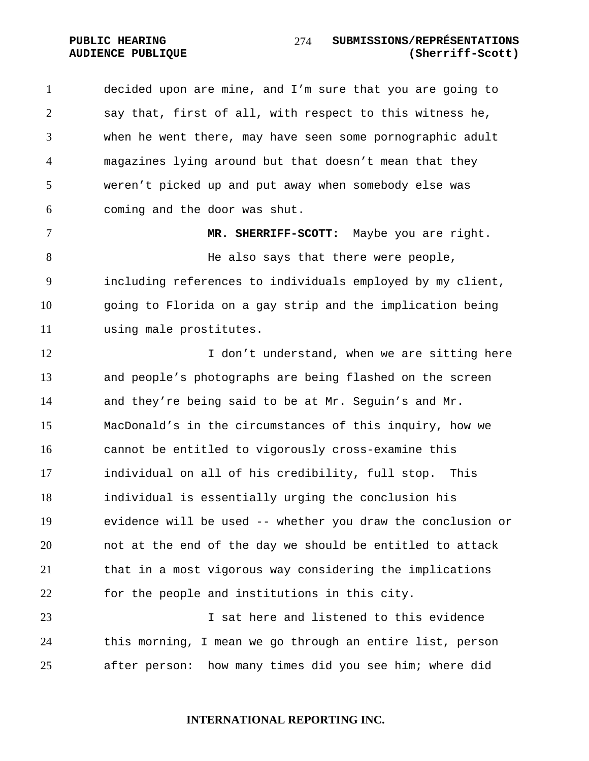decided upon are mine, and I'm sure that you are going to say that, first of all, with respect to this witness he, when he went there, may have seen some pornographic adult magazines lying around but that doesn't mean that they weren't picked up and put away when somebody else was coming and the door was shut.

**MR. SHERRIFF-SCOTT:** Maybe you are right. 8 Be also says that there were people, including references to individuals employed by my client, going to Florida on a gay strip and the implication being using male prostitutes.

**I** don't understand, when we are sitting here and people's photographs are being flashed on the screen and they're being said to be at Mr. Seguin's and Mr. MacDonald's in the circumstances of this inquiry, how we cannot be entitled to vigorously cross-examine this individual on all of his credibility, full stop. This individual is essentially urging the conclusion his evidence will be used -- whether you draw the conclusion or not at the end of the day we should be entitled to attack that in a most vigorous way considering the implications for the people and institutions in this city.

I sat here and listened to this evidence this morning, I mean we go through an entire list, person after person: how many times did you see him; where did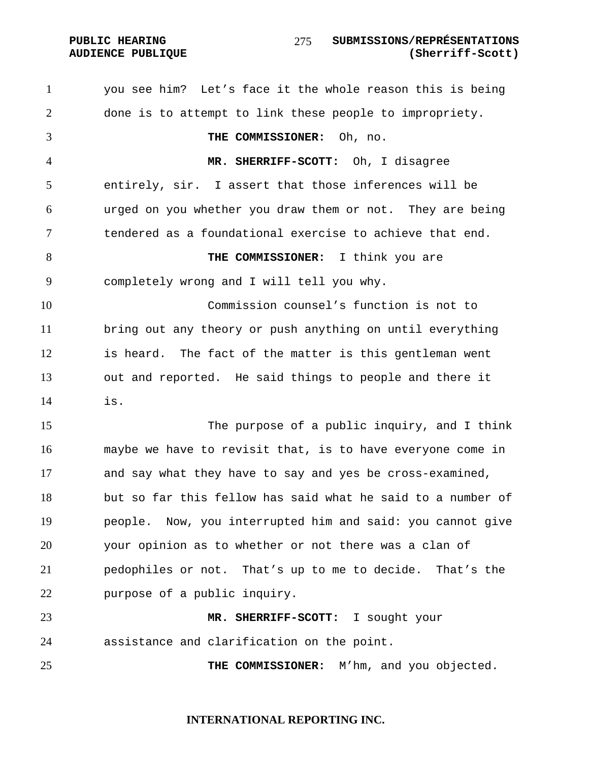you see him? Let's face it the whole reason this is being done is to attempt to link these people to impropriety. **THE COMMISSIONER:** Oh, no. **MR. SHERRIFF-SCOTT:** Oh, I disagree entirely, sir. I assert that those inferences will be urged on you whether you draw them or not. They are being tendered as a foundational exercise to achieve that end. **THE COMMISSIONER:** I think you are completely wrong and I will tell you why. Commission counsel's function is not to bring out any theory or push anything on until everything is heard. The fact of the matter is this gentleman went out and reported. He said things to people and there it is. The purpose of a public inquiry, and I think maybe we have to revisit that, is to have everyone come in and say what they have to say and yes be cross-examined, but so far this fellow has said what he said to a number of people. Now, you interrupted him and said: you cannot give your opinion as to whether or not there was a clan of pedophiles or not. That's up to me to decide. That's the purpose of a public inquiry. **MR. SHERRIFF-SCOTT:** I sought your assistance and clarification on the point. **THE COMMISSIONER:** M'hm, and you objected.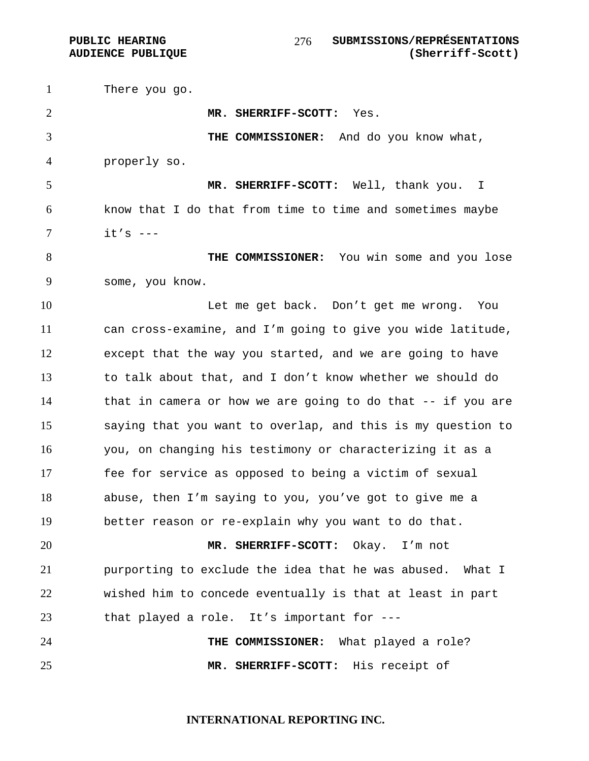There you go. **MR. SHERRIFF-SCOTT:** Yes. **THE COMMISSIONER:** And do you know what, properly so. **MR. SHERRIFF-SCOTT:** Well, thank you. I know that I do that from time to time and sometimes maybe it's --- **THE COMMISSIONER:** You win some and you lose some, you know. 10 Let me get back. Don't get me wrong. You can cross-examine, and I'm going to give you wide latitude, except that the way you started, and we are going to have to talk about that, and I don't know whether we should do that in camera or how we are going to do that -- if you are saying that you want to overlap, and this is my question to you, on changing his testimony or characterizing it as a fee for service as opposed to being a victim of sexual abuse, then I'm saying to you, you've got to give me a better reason or re-explain why you want to do that. **MR. SHERRIFF-SCOTT:** Okay. I'm not purporting to exclude the idea that he was abused. What I wished him to concede eventually is that at least in part that played a role. It's important for --- **THE COMMISSIONER:** What played a role? **MR. SHERRIFF-SCOTT:** His receipt of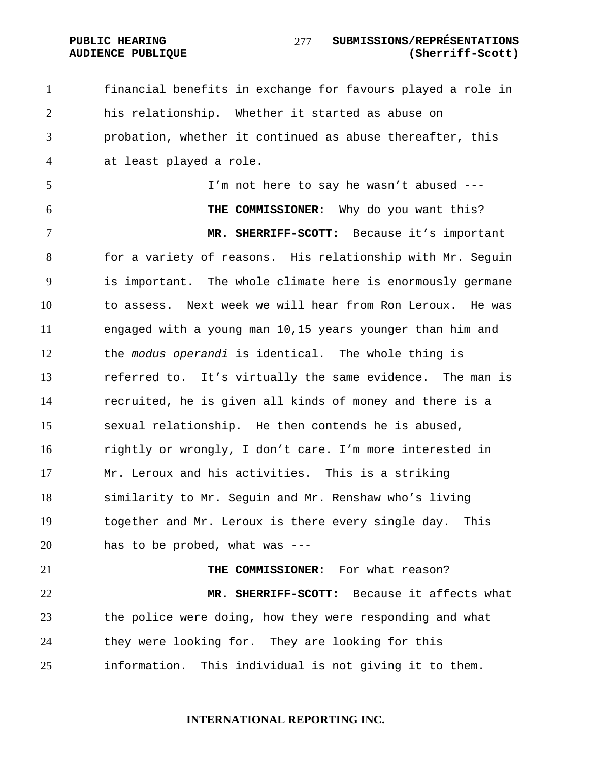PUBLIC HEARING **SUBMISSIONS/REPRÉSENTATIONS AUDIENCE PUBLIQUE (Sherriff-Scott)**  

financial benefits in exchange for favours played a role in his relationship. Whether it started as abuse on probation, whether it continued as abuse thereafter, this at least played a role.

I'm not here to say he wasn't abused ---

**THE COMMISSIONER:** Why do you want this? **MR. SHERRIFF-SCOTT:** Because it's important for a variety of reasons. His relationship with Mr. Seguin is important. The whole climate here is enormously germane to assess. Next week we will hear from Ron Leroux. He was engaged with a young man 10,15 years younger than him and the *modus operandi* is identical. The whole thing is referred to. It's virtually the same evidence. The man is recruited, he is given all kinds of money and there is a sexual relationship. He then contends he is abused, rightly or wrongly, I don't care. I'm more interested in Mr. Leroux and his activities. This is a striking similarity to Mr. Seguin and Mr. Renshaw who's living together and Mr. Leroux is there every single day. This has to be probed, what was ---

**THE COMMISSIONER:** For what reason? **MR. SHERRIFF-SCOTT:** Because it affects what the police were doing, how they were responding and what they were looking for. They are looking for this information. This individual is not giving it to them.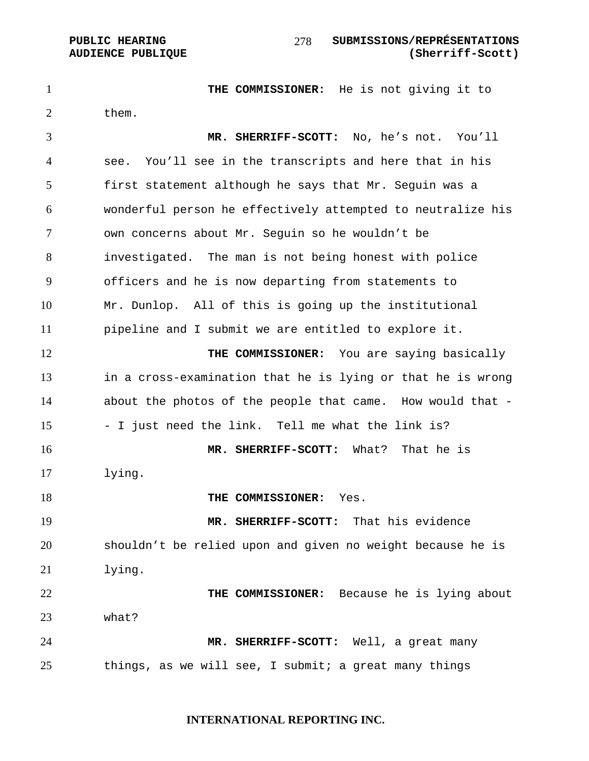### PUBLIC HEARING **SUBMISSIONS/REPRÉSENTATIONS AUDIENCE PUBLIQUE (Sherriff-Scott)**

1 THE COMMISSIONER: He is not giving it to 2 them. **MR. SHERRIFF-SCOTT:** No, he's not. You'll see. You'll see in the transcripts and here that in his first statement although he says that Mr. Seguin was a wonderful person he effectively attempted to neutralize his own concerns about Mr. Seguin so he wouldn't be investigated. The man is not being honest with police officers and he is now departing from statements to Mr. Dunlop. All of this is going up the institutional pipeline and I submit we are entitled to explore it. 12 THE COMMISSIONER: You are saying basically in a cross-examination that he is lying or that he is wrong about the photos of the people that came. How would that - - I just need the link. Tell me what the link is? **MR. SHERRIFF-SCOTT:** What? That he is lying. **THE COMMISSIONER:** Yes. **MR. SHERRIFF-SCOTT:** That his evidence shouldn't be relied upon and given no weight because he is lying. **THE COMMISSIONER:** Because he is lying about what? **MR. SHERRIFF-SCOTT:** Well, a great many 25 things, as we will see, I submit; a great many things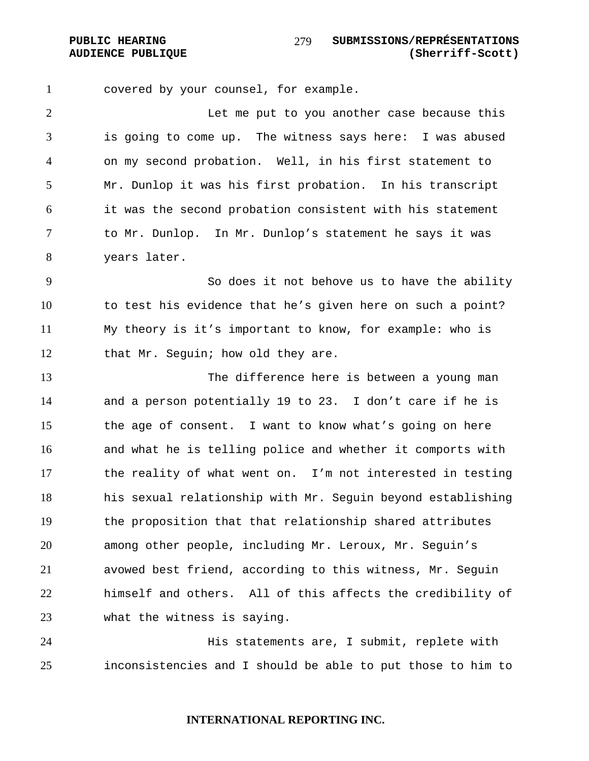covered by your counsel, for example.

Let me put to you another case because this is going to come up. The witness says here: I was abused on my second probation. Well, in his first statement to Mr. Dunlop it was his first probation. In his transcript it was the second probation consistent with his statement to Mr. Dunlop. In Mr. Dunlop's statement he says it was years later.

So does it not behove us to have the ability to test his evidence that he's given here on such a point? My theory is it's important to know, for example: who is 12 that Mr. Seguin; how old they are.

The difference here is between a young man and a person potentially 19 to 23. I don't care if he is the age of consent. I want to know what's going on here and what he is telling police and whether it comports with the reality of what went on. I'm not interested in testing his sexual relationship with Mr. Seguin beyond establishing the proposition that that relationship shared attributes among other people, including Mr. Leroux, Mr. Seguin's avowed best friend, according to this witness, Mr. Seguin himself and others. All of this affects the credibility of what the witness is saying.

His statements are, I submit, replete with inconsistencies and I should be able to put those to him to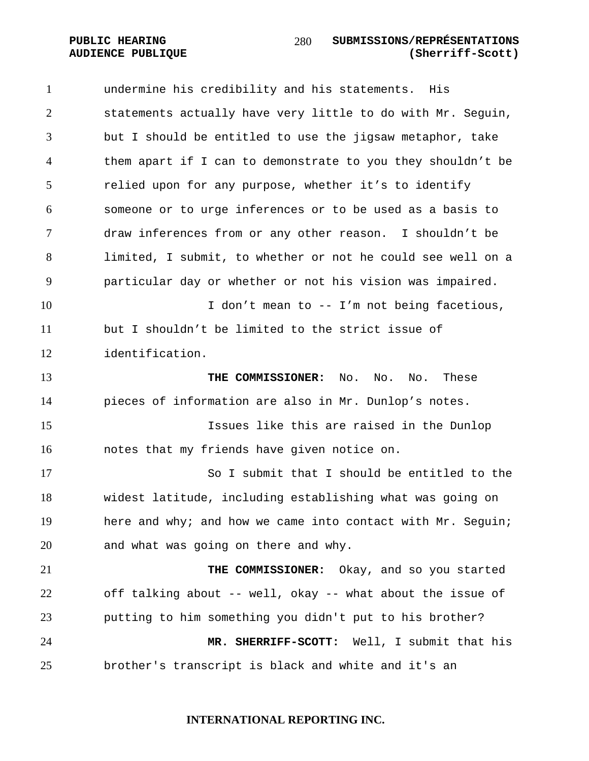undermine his credibility and his statements. His statements actually have very little to do with Mr. Seguin, but I should be entitled to use the jigsaw metaphor, take them apart if I can to demonstrate to you they shouldn't be relied upon for any purpose, whether it's to identify someone or to urge inferences or to be used as a basis to draw inferences from or any other reason. I shouldn't be limited, I submit, to whether or not he could see well on a particular day or whether or not his vision was impaired. 10 10 I don't mean to -- I'm not being facetious, but I shouldn't be limited to the strict issue of identification. **THE COMMISSIONER:** No. No. No. These pieces of information are also in Mr. Dunlop's notes. Issues like this are raised in the Dunlop notes that my friends have given notice on. So I submit that I should be entitled to the widest latitude, including establishing what was going on 19 here and why; and how we came into contact with Mr. Sequin; and what was going on there and why. **THE COMMISSIONER:** Okay, and so you started off talking about -- well, okay -- what about the issue of putting to him something you didn't put to his brother? **MR. SHERRIFF-SCOTT:** Well, I submit that his brother's transcript is black and white and it's an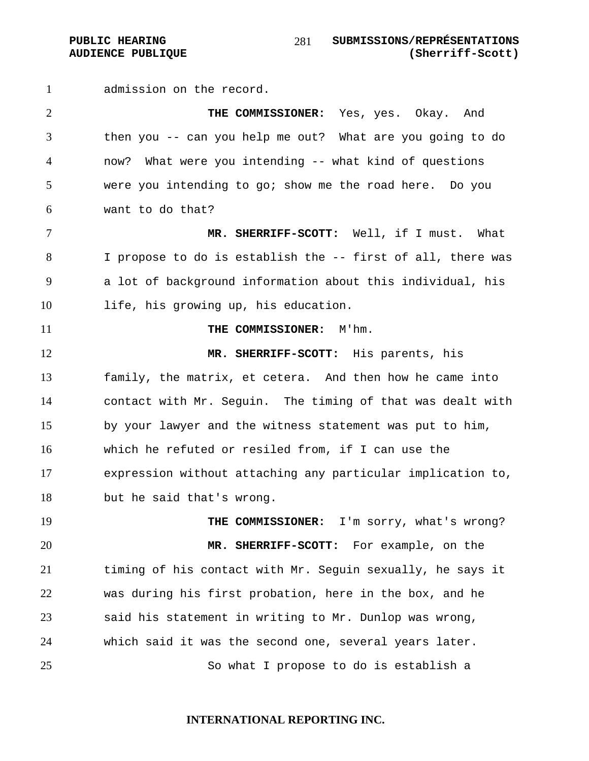PUBLIC HEARING SUBMISSIONS/REPRÉSENTATIONS **AUDIENCE PUBLIQUE (Sherriff-Scott)**  

admission on the record.

**THE COMMISSIONER:** Yes, yes. Okay. And then you -- can you help me out? What are you going to do now? What were you intending -- what kind of questions were you intending to go; show me the road here. Do you want to do that?

**MR. SHERRIFF-SCOTT:** Well, if I must. What I propose to do is establish the -- first of all, there was a lot of background information about this individual, his life, his growing up, his education.

**THE COMMISSIONER:** M'hm.

**MR. SHERRIFF-SCOTT:** His parents, his family, the matrix, et cetera. And then how he came into contact with Mr. Seguin. The timing of that was dealt with by your lawyer and the witness statement was put to him, which he refuted or resiled from, if I can use the expression without attaching any particular implication to, but he said that's wrong.

19 THE COMMISSIONER: I'm sorry, what's wrong? **MR. SHERRIFF-SCOTT:** For example, on the timing of his contact with Mr. Seguin sexually, he says it was during his first probation, here in the box, and he said his statement in writing to Mr. Dunlop was wrong, which said it was the second one, several years later. So what I propose to do is establish a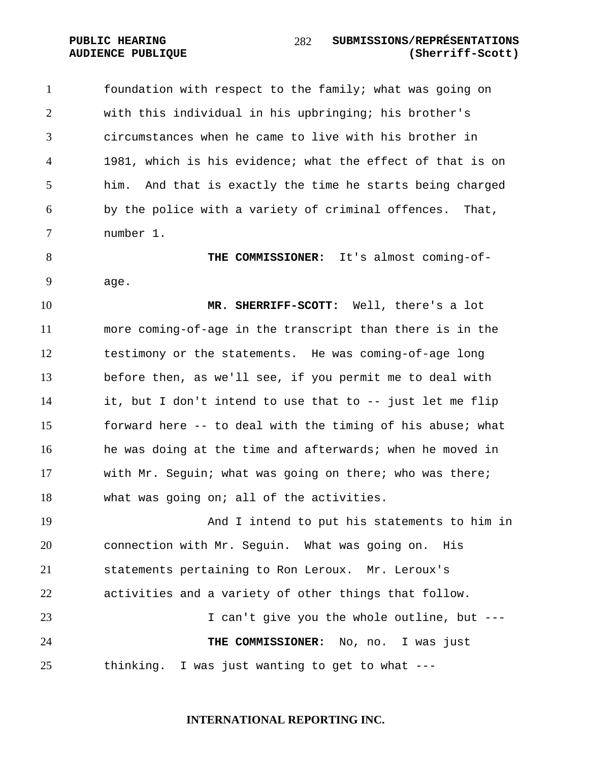foundation with respect to the family; what was going on with this individual in his upbringing; his brother's circumstances when he came to live with his brother in 1981, which is his evidence; what the effect of that is on him. And that is exactly the time he starts being charged by the police with a variety of criminal offences. That, number 1.

**THE COMMISSIONER:** It's almost coming-of-age.

**MR. SHERRIFF-SCOTT:** Well, there's a lot more coming-of-age in the transcript than there is in the testimony or the statements. He was coming-of-age long before then, as we'll see, if you permit me to deal with it, but I don't intend to use that to -- just let me flip forward here -- to deal with the timing of his abuse; what 16 he was doing at the time and afterwards; when he moved in with Mr. Seguin; what was going on there; who was there; what was going on; all of the activities.

And I intend to put his statements to him in connection with Mr. Seguin. What was going on. His statements pertaining to Ron Leroux. Mr. Leroux's activities and a variety of other things that follow. I can't give you the whole outline, but --- **THE COMMISSIONER:** No, no. I was just thinking. I was just wanting to get to what ---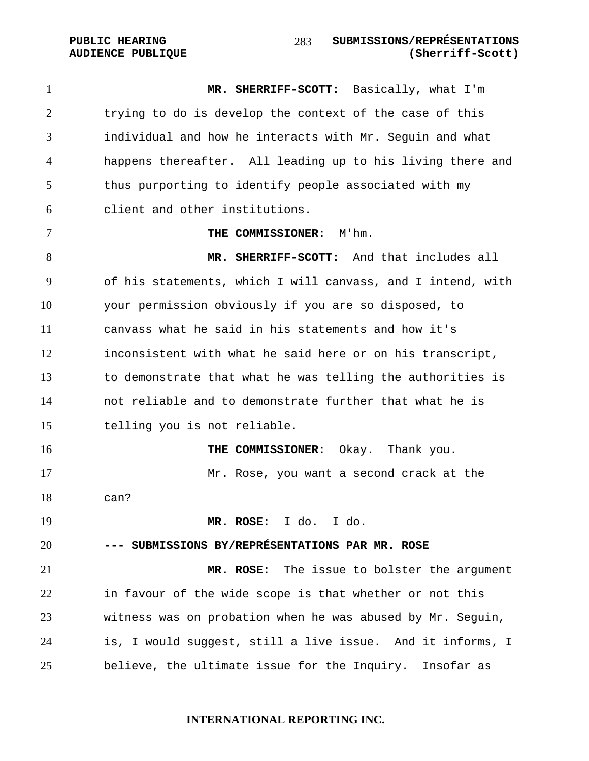### PUBLIC HEARING SUBMISSIONS/REPRÉSENTATIONS **AUDIENCE PUBLIQUE (Sherriff-Scott)**

**MR. SHERRIFF-SCOTT:** Basically, what I'm trying to do is develop the context of the case of this individual and how he interacts with Mr. Seguin and what happens thereafter. All leading up to his living there and thus purporting to identify people associated with my client and other institutions. **THE COMMISSIONER:** M'hm. **MR. SHERRIFF-SCOTT:** And that includes all of his statements, which I will canvass, and I intend, with your permission obviously if you are so disposed, to canvass what he said in his statements and how it's inconsistent with what he said here or on his transcript, to demonstrate that what he was telling the authorities is not reliable and to demonstrate further that what he is telling you is not reliable. **THE COMMISSIONER:** Okay. Thank you. Mr. Rose, you want a second crack at the can? **MR. ROSE:** I do. I do. **--- SUBMISSIONS BY/REPRÉSENTATIONS PAR MR. ROSE MR. ROSE:** The issue to bolster the argument in favour of the wide scope is that whether or not this witness was on probation when he was abused by Mr. Seguin, is, I would suggest, still a live issue. And it informs, I believe, the ultimate issue for the Inquiry. Insofar as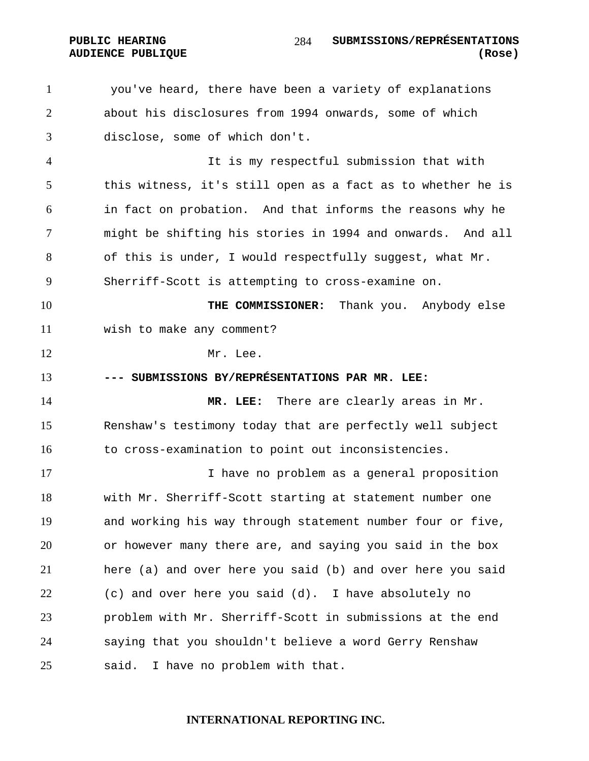you've heard, there have been a variety of explanations about his disclosures from 1994 onwards, some of which disclose, some of which don't.

It is my respectful submission that with this witness, it's still open as a fact as to whether he is in fact on probation. And that informs the reasons why he might be shifting his stories in 1994 and onwards. And all of this is under, I would respectfully suggest, what Mr. Sherriff-Scott is attempting to cross-examine on.

**THE COMMISSIONER:** Thank you. Anybody else

wish to make any comment?

12 Mr. Lee.

### **--- SUBMISSIONS BY/REPRÉSENTATIONS PAR MR. LEE:**

**MR. LEE:** There are clearly areas in Mr. Renshaw's testimony today that are perfectly well subject to cross-examination to point out inconsistencies.

I have no problem as a general proposition with Mr. Sherriff-Scott starting at statement number one and working his way through statement number four or five, or however many there are, and saying you said in the box here (a) and over here you said (b) and over here you said (c) and over here you said (d). I have absolutely no problem with Mr. Sherriff-Scott in submissions at the end saying that you shouldn't believe a word Gerry Renshaw said. I have no problem with that.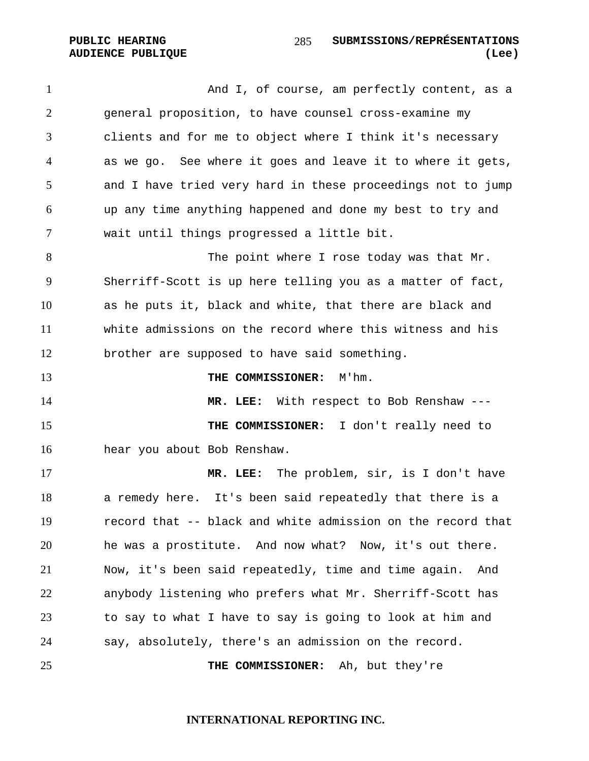1 And I, of course, am perfectly content, as a general proposition, to have counsel cross-examine my clients and for me to object where I think it's necessary as we go. See where it goes and leave it to where it gets, and I have tried very hard in these proceedings not to jump up any time anything happened and done my best to try and wait until things progressed a little bit.

The point where I rose today was that Mr. Sherriff-Scott is up here telling you as a matter of fact, as he puts it, black and white, that there are black and white admissions on the record where this witness and his brother are supposed to have said something.

**THE COMMISSIONER:** M'hm.

**MR. LEE:** With respect to Bob Renshaw --- **THE COMMISSIONER:** I don't really need to hear you about Bob Renshaw.

**MR. LEE:** The problem, sir, is I don't have a remedy here. It's been said repeatedly that there is a record that -- black and white admission on the record that he was a prostitute. And now what? Now, it's out there. Now, it's been said repeatedly, time and time again. And anybody listening who prefers what Mr. Sherriff-Scott has to say to what I have to say is going to look at him and say, absolutely, there's an admission on the record.

**THE COMMISSIONER:** Ah, but they're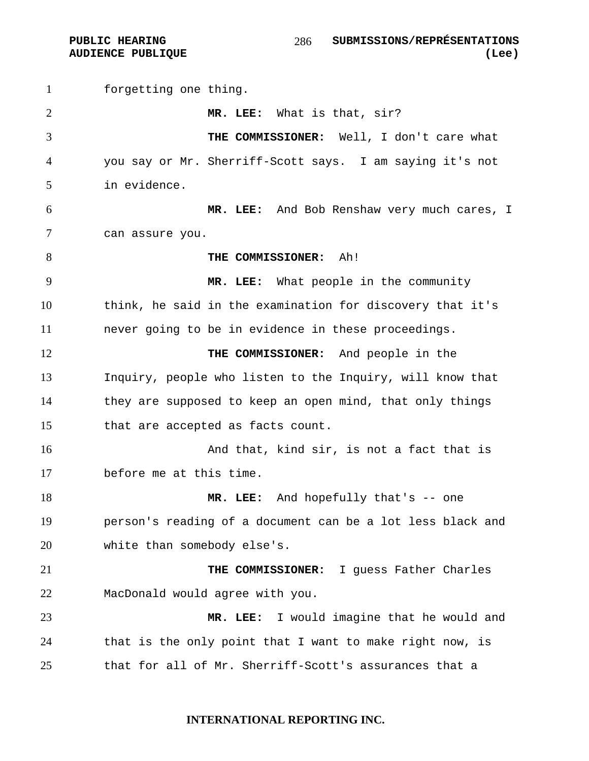forgetting one thing. **MR. LEE:** What is that, sir? **THE COMMISSIONER:** Well, I don't care what you say or Mr. Sherriff-Scott says. I am saying it's not in evidence. **MR. LEE:** And Bob Renshaw very much cares, I can assure you. **THE COMMISSIONER:** Ah! **MR. LEE:** What people in the community think, he said in the examination for discovery that it's never going to be in evidence in these proceedings. **THE COMMISSIONER:** And people in the Inquiry, people who listen to the Inquiry, will know that they are supposed to keep an open mind, that only things that are accepted as facts count. **And that, kind sir, is not a fact that is** before me at this time. **MR. LEE:** And hopefully that's -- one person's reading of a document can be a lot less black and 20 white than somebody else's. **THE COMMISSIONER:** I guess Father Charles MacDonald would agree with you. **MR. LEE:** I would imagine that he would and that is the only point that I want to make right now, is that for all of Mr. Sherriff-Scott's assurances that a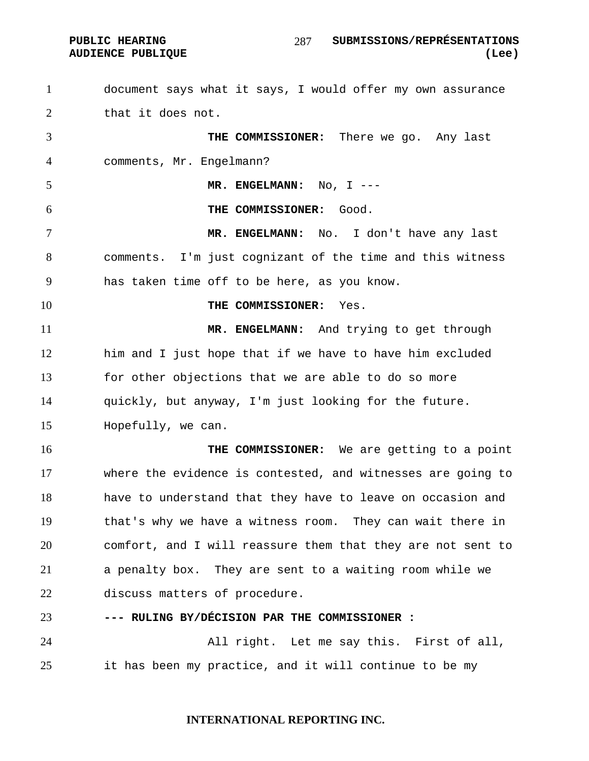PUBLIC HEARING SUBMISSIONS/REPRÉSENTATIONS **AUDIENCE PUBLIQUE (Lee)**  

document says what it says, I would offer my own assurance that it does not. **THE COMMISSIONER:** There we go. Any last comments, Mr. Engelmann? **MR. ENGELMANN:** No, I --- **THE COMMISSIONER:** Good. **MR. ENGELMANN:** No. I don't have any last comments. I'm just cognizant of the time and this witness has taken time off to be here, as you know. **THE COMMISSIONER:** Yes. **MR. ENGELMANN:** And trying to get through him and I just hope that if we have to have him excluded for other objections that we are able to do so more quickly, but anyway, I'm just looking for the future. Hopefully, we can. **THE COMMISSIONER:** We are getting to a point where the evidence is contested, and witnesses are going to have to understand that they have to leave on occasion and that's why we have a witness room. They can wait there in comfort, and I will reassure them that they are not sent to a penalty box. They are sent to a waiting room while we discuss matters of procedure. **--- RULING BY/DÉCISION PAR THE COMMISSIONER :** 

All right. Let me say this. First of all, it has been my practice, and it will continue to be my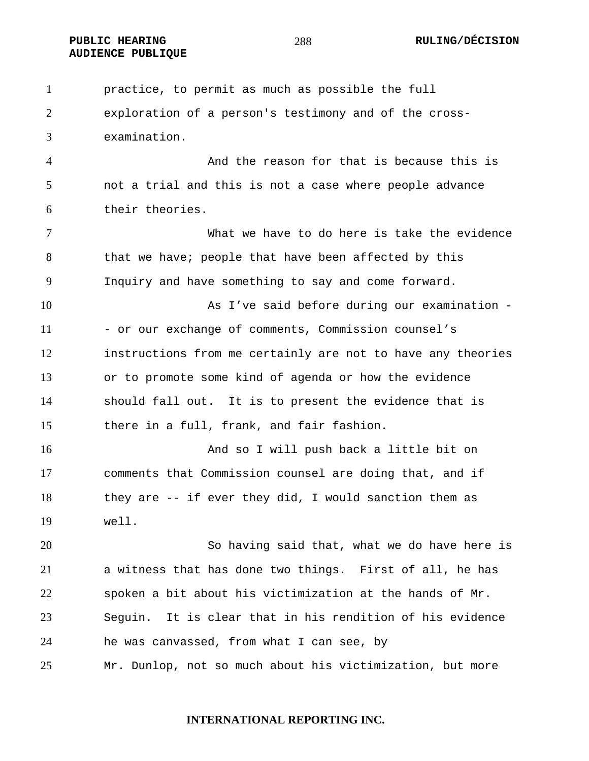**AUDIENCE PUBLIQUE** 

practice, to permit as much as possible the full exploration of a person's testimony and of the cross-examination. And the reason for that is because this is not a trial and this is not a case where people advance their theories. What we have to do here is take the evidence 8 that we have; people that have been affected by this Inquiry and have something to say and come forward. 10 As I've said before during our examination -11 - or our exchange of comments, Commission counsel's instructions from me certainly are not to have any theories or to promote some kind of agenda or how the evidence should fall out. It is to present the evidence that is there in a full, frank, and fair fashion. And so I will push back a little bit on comments that Commission counsel are doing that, and if they are -- if ever they did, I would sanction them as well. So having said that, what we do have here is a witness that has done two things. First of all, he has spoken a bit about his victimization at the hands of Mr. Seguin. It is clear that in his rendition of his evidence he was canvassed, from what I can see, by Mr. Dunlop, not so much about his victimization, but more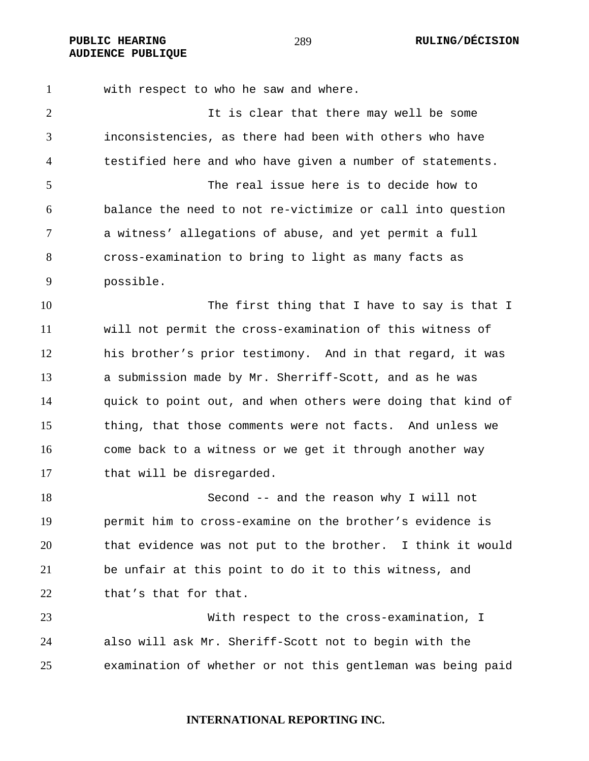**AUDIENCE PUBLIQUE** 

with respect to who he saw and where.

It is clear that there may well be some inconsistencies, as there had been with others who have testified here and who have given a number of statements. The real issue here is to decide how to balance the need to not re-victimize or call into question a witness' allegations of abuse, and yet permit a full cross-examination to bring to light as many facts as possible.

10 The first thing that I have to say is that I will not permit the cross-examination of this witness of his brother's prior testimony. And in that regard, it was a submission made by Mr. Sherriff-Scott, and as he was quick to point out, and when others were doing that kind of thing, that those comments were not facts. And unless we come back to a witness or we get it through another way that will be disregarded.

Second -- and the reason why I will not permit him to cross-examine on the brother's evidence is that evidence was not put to the brother. I think it would be unfair at this point to do it to this witness, and 22 that's that for that.

With respect to the cross-examination, I also will ask Mr. Sheriff-Scott not to begin with the examination of whether or not this gentleman was being paid

**INTERNATIONAL REPORTING INC.** 

PUBLIC HEARING  $^{289}$  and  $^{289}$  and  $^{289}$  ruling/DÉCISION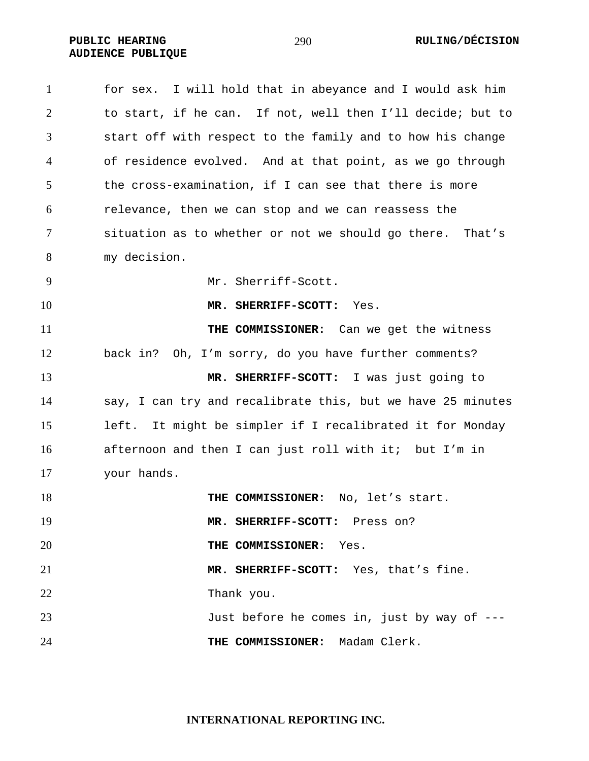PUBLIC HEARING RULING/DÉCISION **AUDIENCE PUBLIQUE** 

| $\mathbf{1}$ | for sex. I will hold that in abeyance and I would ask him   |
|--------------|-------------------------------------------------------------|
| 2            | to start, if he can. If not, well then I'll decide; but to  |
| 3            | start off with respect to the family and to how his change  |
| 4            | of residence evolved. And at that point, as we go through   |
| 5            | the cross-examination, if I can see that there is more      |
| 6            | relevance, then we can stop and we can reassess the         |
| 7            | situation as to whether or not we should go there. That's   |
| 8            | my decision.                                                |
| 9            | Mr. Sherriff-Scott.                                         |
| 10           | MR. SHERRIFF-SCOTT:<br>Yes.                                 |
| 11           | THE COMMISSIONER: Can we get the witness                    |
| 12           | Oh, I'm sorry, do you have further comments?<br>back in?    |
| 13           | MR. SHERRIFF-SCOTT: I was just going to                     |
| 14           | say, I can try and recalibrate this, but we have 25 minutes |
| 15           | left. It might be simpler if I recalibrated it for Monday   |
| 16           | afternoon and then I can just roll with it; but I'm in      |
| 17           | your hands.                                                 |
| 18           | THE COMMISSIONER: No, let's start.                          |
| 19           | MR. SHERRIFF-SCOTT: Press on?                               |
| 20           | THE COMMISSIONER: Yes.                                      |
| 21           | MR. SHERRIFF-SCOTT: Yes, that's fine.                       |
| 22           | Thank you.                                                  |
| 23           | Just before he comes in, just by way of ---                 |
| 24           | THE COMMISSIONER: Madam Clerk.                              |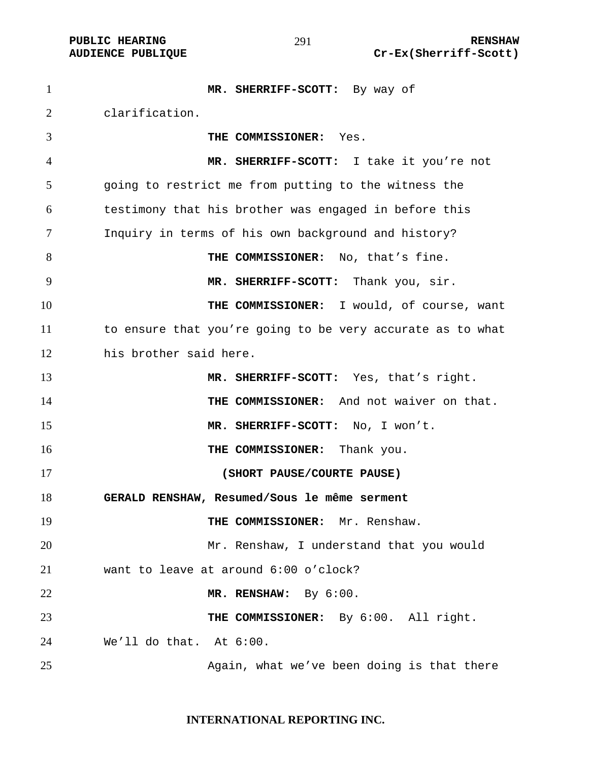**MR. SHERRIFF-SCOTT:** By way of clarification. **THE COMMISSIONER:** Yes. **MR. SHERRIFF-SCOTT:** I take it you're not going to restrict me from putting to the witness the testimony that his brother was engaged in before this Inquiry in terms of his own background and history? **THE COMMISSIONER:** No, that's fine. **MR. SHERRIFF-SCOTT:** Thank you, sir. **THE COMMISSIONER:** I would, of course, want to ensure that you're going to be very accurate as to what his brother said here. **MR. SHERRIFF-SCOTT:** Yes, that's right. 14 THE COMMISSIONER: And not waiver on that. **MR. SHERRIFF-SCOTT:** No, I won't. **THE COMMISSIONER:** Thank you. **(SHORT PAUSE/COURTE PAUSE) GERALD RENSHAW, Resumed/Sous le même serment THE COMMISSIONER:** Mr. Renshaw. Mr. Renshaw, I understand that you would want to leave at around 6:00 o'clock? **MR. RENSHAW:** By 6:00. **THE COMMISSIONER:** By 6:00. All right. We'll do that. At 6:00. Again, what we've been doing is that there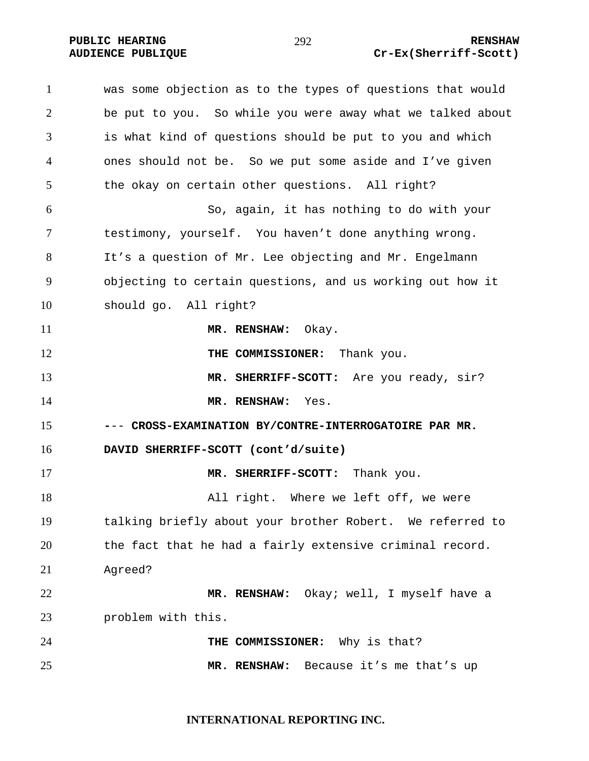#### **PUBLIC HEARING**  $\frac{1}{292}$  **292** RENSHAW **AUDIENCE PUBLIQUE Cr-Ex(Sherriff-Scott)**

was some objection as to the types of questions that would be put to you. So while you were away what we talked about is what kind of questions should be put to you and which ones should not be. So we put some aside and I've given the okay on certain other questions. All right? So, again, it has nothing to do with your testimony, yourself. You haven't done anything wrong. It's a question of Mr. Lee objecting and Mr. Engelmann objecting to certain questions, and us working out how it should go. All right? **MR. RENSHAW:** Okay. **THE COMMISSIONER:** Thank you. **MR. SHERRIFF-SCOTT:** Are you ready, sir? **MR. RENSHAW:** Yes. **-**-- **CROSS-EXAMINATION BY/CONTRE-INTERROGATOIRE PAR MR. DAVID SHERRIFF-SCOTT (cont'd/suite) MR. SHERRIFF-SCOTT:** Thank you. 18 All right. Where we left off, we were talking briefly about your brother Robert. We referred to the fact that he had a fairly extensive criminal record. Agreed? **MR. RENSHAW:** Okay; well, I myself have a problem with this. **THE COMMISSIONER:** Why is that? **MR. RENSHAW:** Because it's me that's up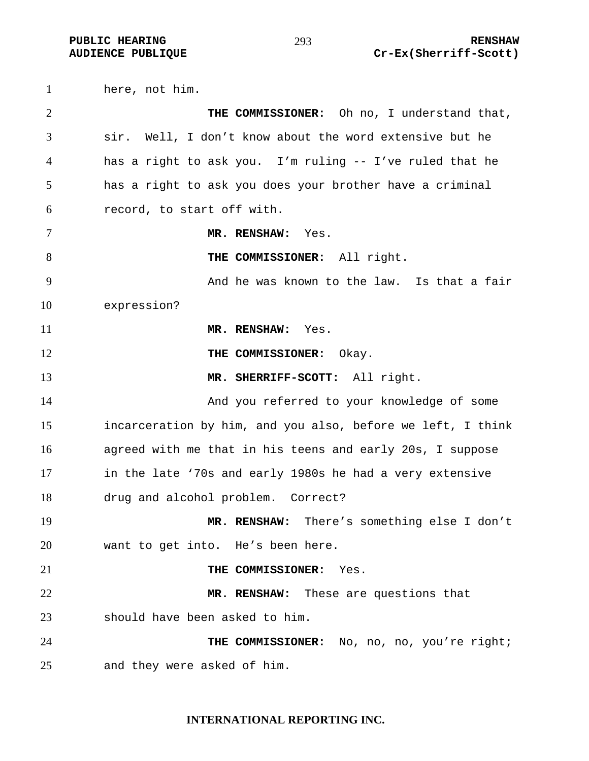here, not him. **THE COMMISSIONER:** Oh no, I understand that, sir. Well, I don't know about the word extensive but he has a right to ask you. I'm ruling -- I've ruled that he has a right to ask you does your brother have a criminal record, to start off with. **MR. RENSHAW:** Yes. **THE COMMISSIONER:** All right. And he was known to the law. Is that a fair expression? **MR. RENSHAW:** Yes. **THE COMMISSIONER:** Okay. **MR. SHERRIFF-SCOTT:** All right. And you referred to your knowledge of some incarceration by him, and you also, before we left, I think agreed with me that in his teens and early 20s, I suppose in the late '70s and early 1980s he had a very extensive drug and alcohol problem. Correct? **MR. RENSHAW:** There's something else I don't want to get into. He's been here. **THE COMMISSIONER:** Yes. **MR. RENSHAW:** These are questions that should have been asked to him. **THE COMMISSIONER:** No, no, no, you're right; and they were asked of him.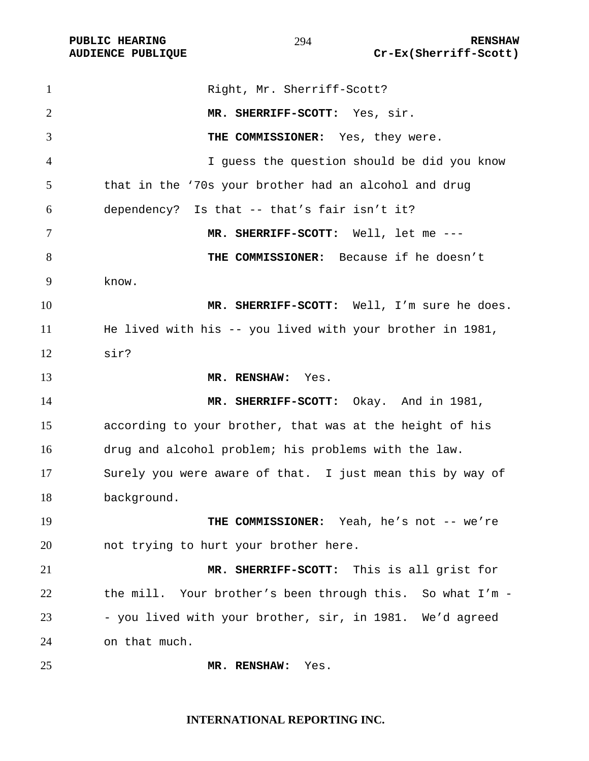| $\mathbf{1}$   | Right, Mr. Sherriff-Scott?                                |
|----------------|-----------------------------------------------------------|
| 2              | MR. SHERRIFF-SCOTT: Yes, sir.                             |
| 3              | THE COMMISSIONER: Yes, they were.                         |
| $\overline{4}$ | I guess the question should be did you know               |
| 5              | that in the '70s your brother had an alcohol and drug     |
| 6              | dependency? Is that -- that's fair isn't it?              |
| $\overline{7}$ | MR. SHERRIFF-SCOTT: Well, let me ---                      |
| 8              | THE COMMISSIONER: Because if he doesn't                   |
| 9              | know.                                                     |
| 10             | MR. SHERRIFF-SCOTT: Well, I'm sure he does.               |
| 11             | He lived with his -- you lived with your brother in 1981, |
| 12             | sir?                                                      |
| 13             | MR. RENSHAW: Yes.                                         |
| 14             | MR. SHERRIFF-SCOTT: Okay. And in 1981,                    |
| 15             | according to your brother, that was at the height of his  |
| 16             | drug and alcohol problem; his problems with the law.      |
| 17             | Surely you were aware of that. I just mean this by way of |
| 18             | background.                                               |
| 19             | THE COMMISSIONER: Yeah, he's not -- we're                 |
| 20             | not trying to hurt your brother here.                     |
| 21             | MR. SHERRIFF-SCOTT: This is all grist for                 |
| 22             | the mill. Your brother's been through this. So what I'm - |
| 23             | - you lived with your brother, sir, in 1981. We'd agreed  |
| 24             | on that much.                                             |
| 25             | Yes.<br>MR. RENSHAW:                                      |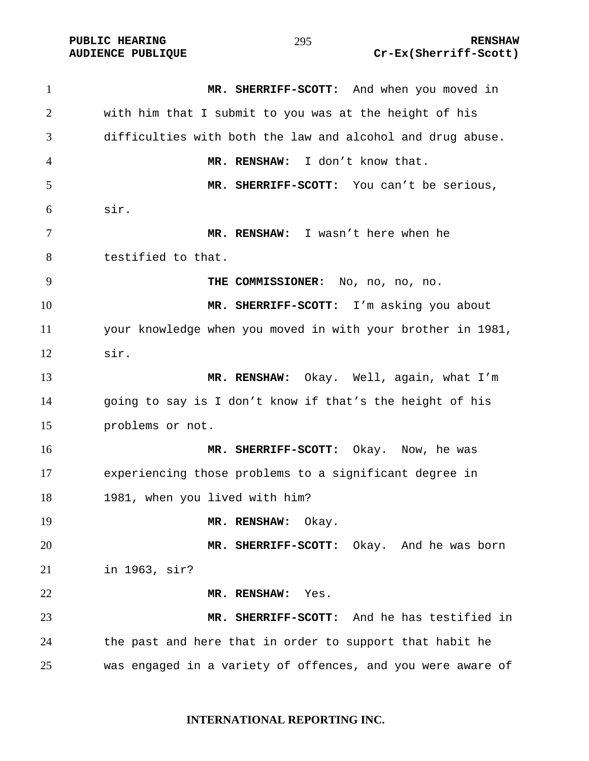| $\mathbf{1}$ | MR. SHERRIFF-SCOTT: And when you moved in                   |
|--------------|-------------------------------------------------------------|
| 2            | with him that I submit to you was at the height of his      |
| 3            | difficulties with both the law and alcohol and drug abuse.  |
| 4            | MR. RENSHAW: I don't know that.                             |
| 5            | MR. SHERRIFF-SCOTT: You can't be serious,                   |
| 6            | sir.                                                        |
| 7            | MR. RENSHAW: I wasn't here when he                          |
| 8            | testified to that.                                          |
| 9            | THE COMMISSIONER: No, no, no, no.                           |
| 10           | MR. SHERRIFF-SCOTT: I'm asking you about                    |
| 11           | your knowledge when you moved in with your brother in 1981, |
| 12           | sir.                                                        |
| 13           | MR. RENSHAW: Okay. Well, again, what I'm                    |
| 14           | going to say is I don't know if that's the height of his    |
| 15           | problems or not.                                            |
| 16           | MR. SHERRIFF-SCOTT: Okay. Now, he was                       |
| 17           | experiencing those problems to a significant degree in      |
| 18           | 1981, when you lived with him?                              |
| 19           | MR. RENSHAW: Okay.                                          |
| 20           | MR. SHERRIFF-SCOTT: Okay. And he was born                   |
| 21           | in 1963, sir?                                               |
| 22           | MR. RENSHAW: Yes.                                           |
| 23           | MR. SHERRIFF-SCOTT: And he has testified in                 |
| 24           | the past and here that in order to support that habit he    |
| 25           | was engaged in a variety of offences, and you were aware of |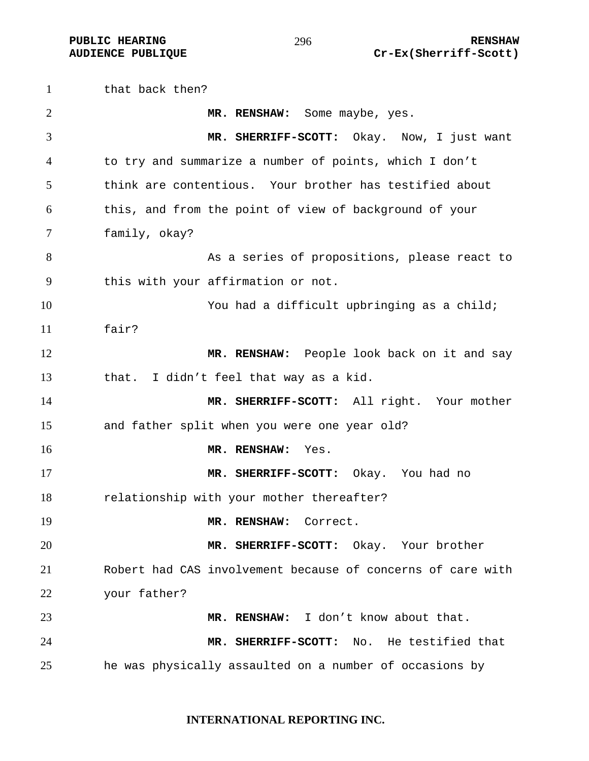that back then? **MR. RENSHAW:** Some maybe, yes. **MR. SHERRIFF-SCOTT:** Okay. Now, I just want to try and summarize a number of points, which I don't think are contentious. Your brother has testified about this, and from the point of view of background of your family, okay? As a series of propositions, please react to this with your affirmation or not. You had a difficult upbringing as a child; fair? **MR. RENSHAW:** People look back on it and say that. I didn't feel that way as a kid. **MR. SHERRIFF-SCOTT:** All right. Your mother and father split when you were one year old? **MR. RENSHAW:** Yes. **MR. SHERRIFF-SCOTT:** Okay. You had no relationship with your mother thereafter? **MR. RENSHAW:** Correct. **MR. SHERRIFF-SCOTT:** Okay. Your brother Robert had CAS involvement because of concerns of care with your father? **MR. RENSHAW:** I don't know about that. **MR. SHERRIFF-SCOTT:** No. He testified that he was physically assaulted on a number of occasions by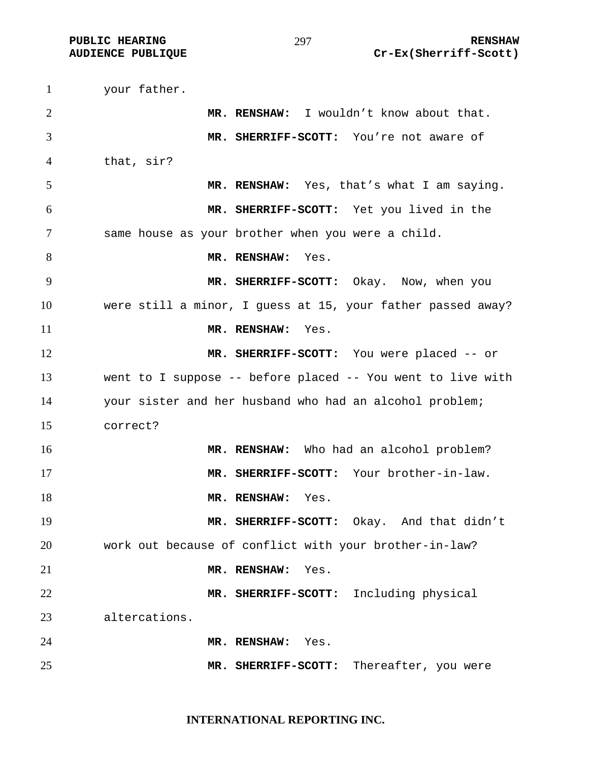your father. **MR. RENSHAW:** I wouldn't know about that. **MR. SHERRIFF-SCOTT:** You're not aware of that, sir? **MR. RENSHAW:** Yes, that's what I am saying. **MR. SHERRIFF-SCOTT:** Yet you lived in the same house as your brother when you were a child. **MR. RENSHAW:** Yes. **MR. SHERRIFF-SCOTT:** Okay. Now, when you were still a minor, I guess at 15, your father passed away? **MR. RENSHAW:** Yes. **MR. SHERRIFF-SCOTT:** You were placed -- or went to I suppose -- before placed -- You went to live with your sister and her husband who had an alcohol problem; correct? **MR. RENSHAW:** Who had an alcohol problem? **MR. SHERRIFF-SCOTT:** Your brother-in-law. **MR. RENSHAW:** Yes. **MR. SHERRIFF-SCOTT:** Okay. And that didn't work out because of conflict with your brother-in-law? **MR. RENSHAW:** Yes. **MR. SHERRIFF-SCOTT:** Including physical altercations. **MR. RENSHAW:** Yes. **MR. SHERRIFF-SCOTT:** Thereafter, you were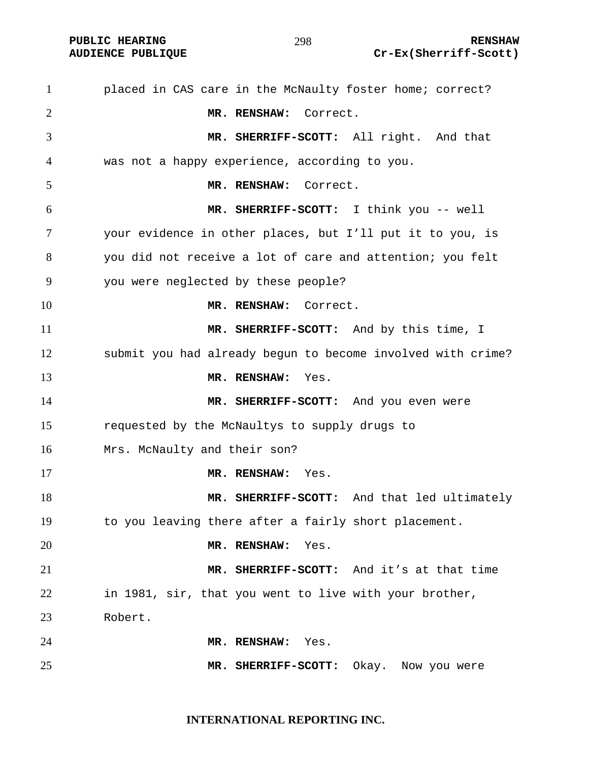placed in CAS care in the McNaulty foster home; correct? **MR. RENSHAW:** Correct. **MR. SHERRIFF-SCOTT:** All right. And that was not a happy experience, according to you. **MR. RENSHAW:** Correct. **MR. SHERRIFF-SCOTT:** I think you -- well your evidence in other places, but I'll put it to you, is you did not receive a lot of care and attention; you felt you were neglected by these people? **MR. RENSHAW:** Correct. **MR. SHERRIFF-SCOTT:** And by this time, I submit you had already begun to become involved with crime? **MR. RENSHAW:** Yes. **MR. SHERRIFF-SCOTT:** And you even were requested by the McNaultys to supply drugs to Mrs. McNaulty and their son? **MR. RENSHAW:** Yes. **MR. SHERRIFF-SCOTT:** And that led ultimately to you leaving there after a fairly short placement. **MR. RENSHAW:** Yes. **MR. SHERRIFF-SCOTT:** And it's at that time in 1981, sir, that you went to live with your brother, Robert. **MR. RENSHAW:** Yes. **MR. SHERRIFF-SCOTT:** Okay. Now you were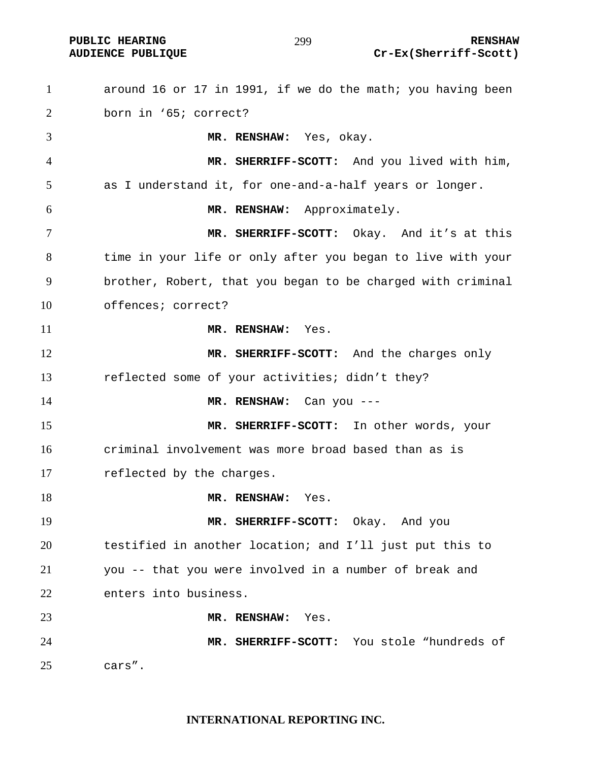around 16 or 17 in 1991, if we do the math; you having been born in '65; correct? **MR. RENSHAW:** Yes, okay. **MR. SHERRIFF-SCOTT:** And you lived with him, as I understand it, for one-and-a-half years or longer. **MR. RENSHAW:** Approximately. **MR. SHERRIFF-SCOTT:** Okay. And it's at this time in your life or only after you began to live with your brother, Robert, that you began to be charged with criminal offences; correct? **MR. RENSHAW:** Yes. **MR. SHERRIFF-SCOTT:** And the charges only reflected some of your activities; didn't they? **MR. RENSHAW:** Can you --- **MR. SHERRIFF-SCOTT:** In other words, your criminal involvement was more broad based than as is reflected by the charges. **MR. RENSHAW:** Yes. **MR. SHERRIFF-SCOTT:** Okay. And you testified in another location; and I'll just put this to you -- that you were involved in a number of break and enters into business. **MR. RENSHAW:** Yes. **MR. SHERRIFF-SCOTT:** You stole "hundreds of cars".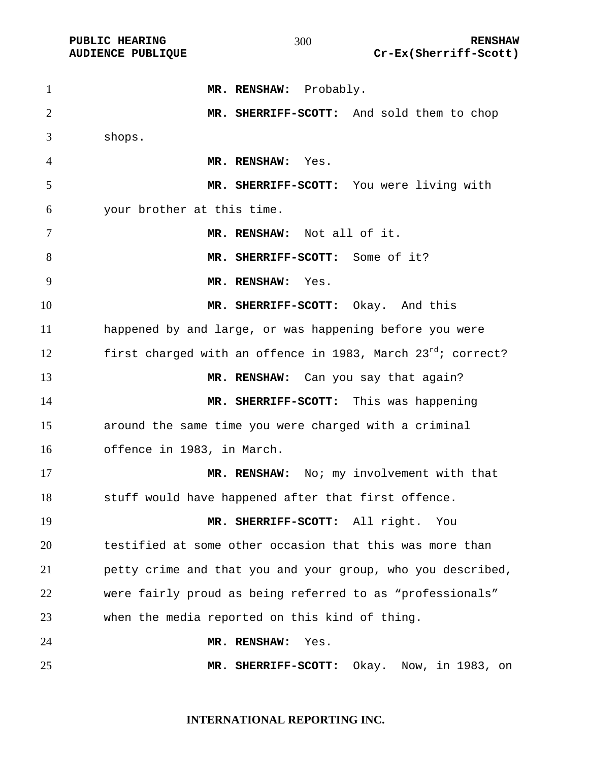1 MR. RENSHAW: Probably. **MR. SHERRIFF-SCOTT:** And sold them to chop shops. **MR. RENSHAW:** Yes. **MR. SHERRIFF-SCOTT:** You were living with your brother at this time. **MR. RENSHAW:** Not all of it. **MR. SHERRIFF-SCOTT:** Some of it? **MR. RENSHAW:** Yes. **MR. SHERRIFF-SCOTT:** Okay. And this happened by and large, or was happening before you were 12 first charged with an offence in 1983, March  $23^{rd}$ ; correct? **MR. RENSHAW:** Can you say that again? **MR. SHERRIFF-SCOTT:** This was happening around the same time you were charged with a criminal offence in 1983, in March. **MR. RENSHAW:** No; my involvement with that stuff would have happened after that first offence. **MR. SHERRIFF-SCOTT:** All right. You testified at some other occasion that this was more than petty crime and that you and your group, who you described, were fairly proud as being referred to as "professionals" when the media reported on this kind of thing. **MR. RENSHAW:** Yes. **MR. SHERRIFF-SCOTT:** Okay. Now, in 1983, on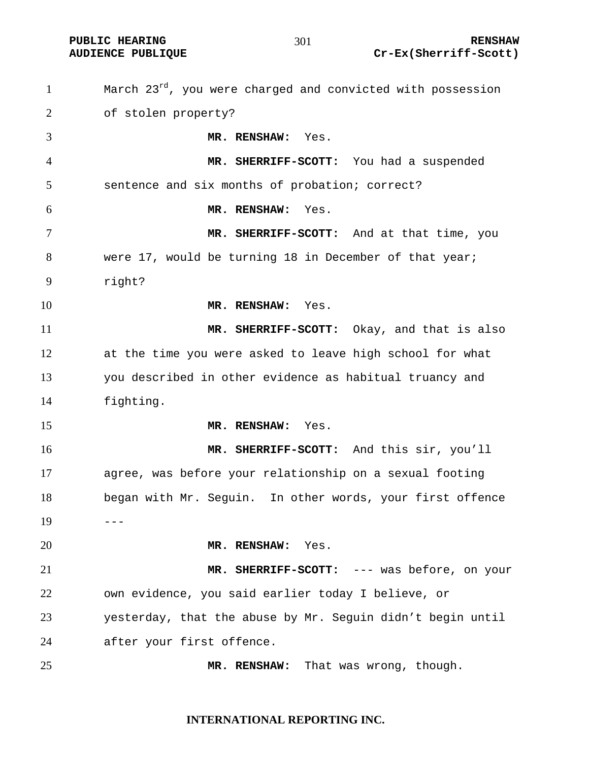March  $23^{rd}$ , you were charged and convicted with possession of stolen property? **MR. RENSHAW:** Yes. **MR. SHERRIFF-SCOTT:** You had a suspended sentence and six months of probation; correct? **MR. RENSHAW:** Yes. **MR. SHERRIFF-SCOTT:** And at that time, you were 17, would be turning 18 in December of that year; right? **MR. RENSHAW:** Yes. **MR. SHERRIFF-SCOTT:** Okay, and that is also at the time you were asked to leave high school for what you described in other evidence as habitual truancy and fighting. **MR. RENSHAW:** Yes. **MR. SHERRIFF-SCOTT:** And this sir, you'll agree, was before your relationship on a sexual footing began with Mr. Seguin. In other words, your first offence ---**MR. RENSHAW:** Yes. **MR. SHERRIFF-SCOTT:** --- was before, on your own evidence, you said earlier today I believe, or yesterday, that the abuse by Mr. Seguin didn't begin until after your first offence. **MR. RENSHAW:** That was wrong, though.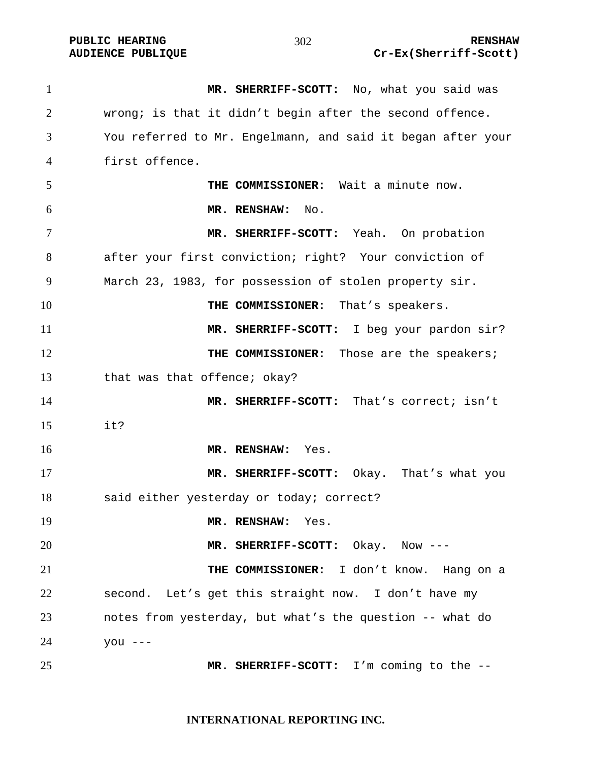**MR. SHERRIFF-SCOTT:** No, what you said was wrong; is that it didn't begin after the second offence. You referred to Mr. Engelmann, and said it began after your first offence. **THE COMMISSIONER:** Wait a minute now. **MR. RENSHAW:** No. **MR. SHERRIFF-SCOTT:** Yeah. On probation after your first conviction; right? Your conviction of March 23, 1983, for possession of stolen property sir. **THE COMMISSIONER:** That's speakers. **MR. SHERRIFF-SCOTT:** I beg your pardon sir? **THE COMMISSIONER:** Those are the speakers; 13 that was that offence; okay? **MR. SHERRIFF-SCOTT:** That's correct; isn't it? **MR. RENSHAW:** Yes. **MR. SHERRIFF-SCOTT:** Okay. That's what you said either yesterday or today; correct? **MR. RENSHAW:** Yes. **MR. SHERRIFF-SCOTT:** Okay. Now --- **THE COMMISSIONER:** I don't know. Hang on a second. Let's get this straight now. I don't have my notes from yesterday, but what's the question -- what do you --- **MR. SHERRIFF-SCOTT:** I'm coming to the --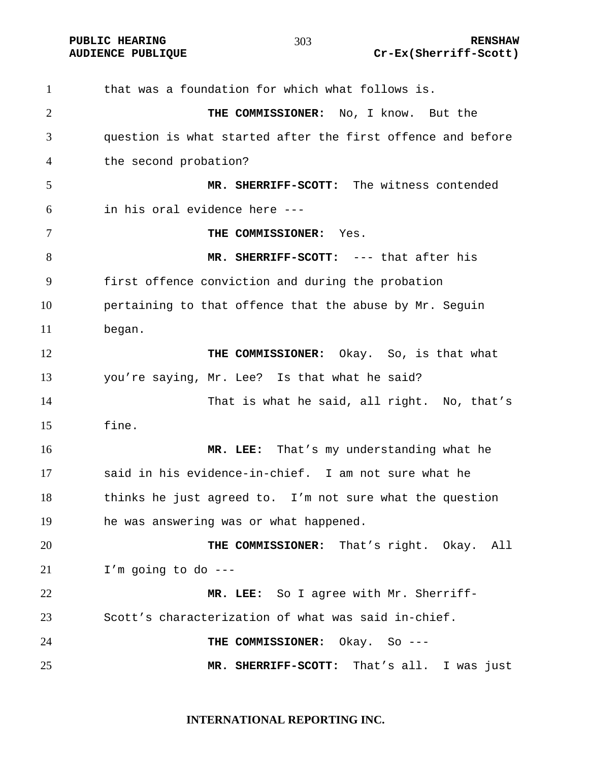that was a foundation for which what follows is. **THE COMMISSIONER:** No, I know. But the question is what started after the first offence and before the second probation? **MR. SHERRIFF-SCOTT:** The witness contended in his oral evidence here --- **THE COMMISSIONER:** Yes. **MR. SHERRIFF-SCOTT:** --- that after his first offence conviction and during the probation pertaining to that offence that the abuse by Mr. Seguin began. **THE COMMISSIONER:** Okay. So, is that what you're saying, Mr. Lee? Is that what he said? That is what he said, all right. No, that's fine. **MR. LEE:** That's my understanding what he said in his evidence-in-chief. I am not sure what he thinks he just agreed to. I'm not sure what the question he was answering was or what happened. **THE COMMISSIONER:** That's right. Okay. All I'm going to do --- **MR. LEE:** So I agree with Mr. Sherriff-Scott's characterization of what was said in-chief. **THE COMMISSIONER:** Okay. So --- **MR. SHERRIFF-SCOTT:** That's all. I was just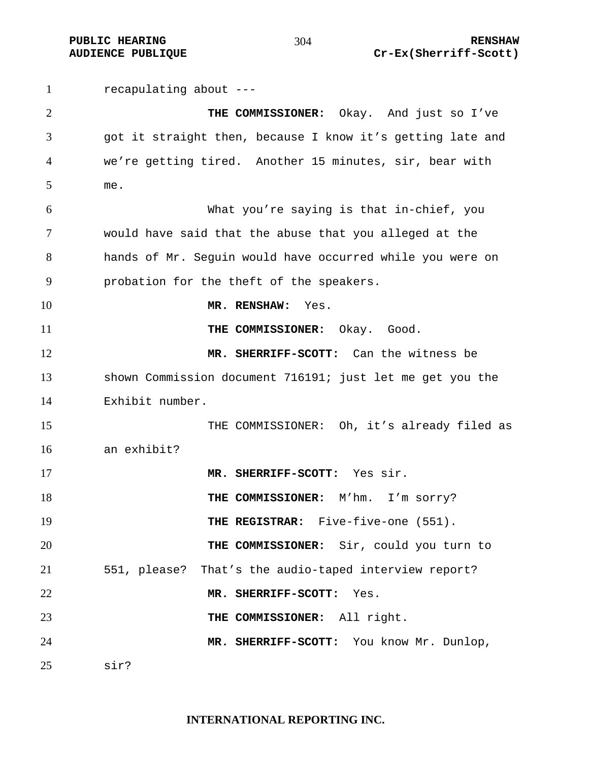recapulating about --- **THE COMMISSIONER:** Okay. And just so I've got it straight then, because I know it's getting late and we're getting tired. Another 15 minutes, sir, bear with me. What you're saying is that in-chief, you would have said that the abuse that you alleged at the hands of Mr. Seguin would have occurred while you were on probation for the theft of the speakers. **MR. RENSHAW:** Yes. **THE COMMISSIONER:** Okay. Good. **MR. SHERRIFF-SCOTT:** Can the witness be shown Commission document 716191; just let me get you the Exhibit number. THE COMMISSIONER:Oh, it's already filed as an exhibit? **MR. SHERRIFF-SCOTT:** Yes sir. **THE COMMISSIONER:** M'hm. I'm sorry? **THE REGISTRAR:** Five-five-one (551). **THE COMMISSIONER:** Sir, could you turn to 551, please? That's the audio-taped interview report? **MR. SHERRIFF-SCOTT:** Yes. **THE COMMISSIONER:** All right. **MR. SHERRIFF-SCOTT:** You know Mr. Dunlop, sir?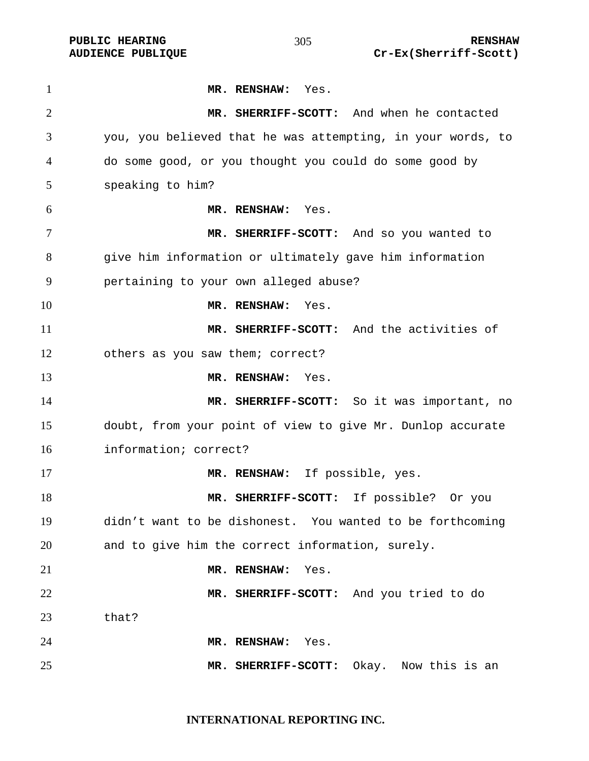**MR. RENSHAW:** Yes. **MR. SHERRIFF-SCOTT:** And when he contacted you, you believed that he was attempting, in your words, to do some good, or you thought you could do some good by speaking to him? **MR. RENSHAW:** Yes. **MR. SHERRIFF-SCOTT:** And so you wanted to give him information or ultimately gave him information pertaining to your own alleged abuse? **MR. RENSHAW:** Yes. **MR. SHERRIFF-SCOTT:** And the activities of others as you saw them; correct? **MR. RENSHAW:** Yes. **MR. SHERRIFF-SCOTT:** So it was important, no doubt, from your point of view to give Mr. Dunlop accurate information; correct? **MR. RENSHAW:** If possible, yes. **MR. SHERRIFF-SCOTT:** If possible? Or you didn't want to be dishonest. You wanted to be forthcoming and to give him the correct information, surely. **MR. RENSHAW:** Yes. **MR. SHERRIFF-SCOTT:** And you tried to do that? **MR. RENSHAW:** Yes. **MR. SHERRIFF-SCOTT:** Okay. Now this is an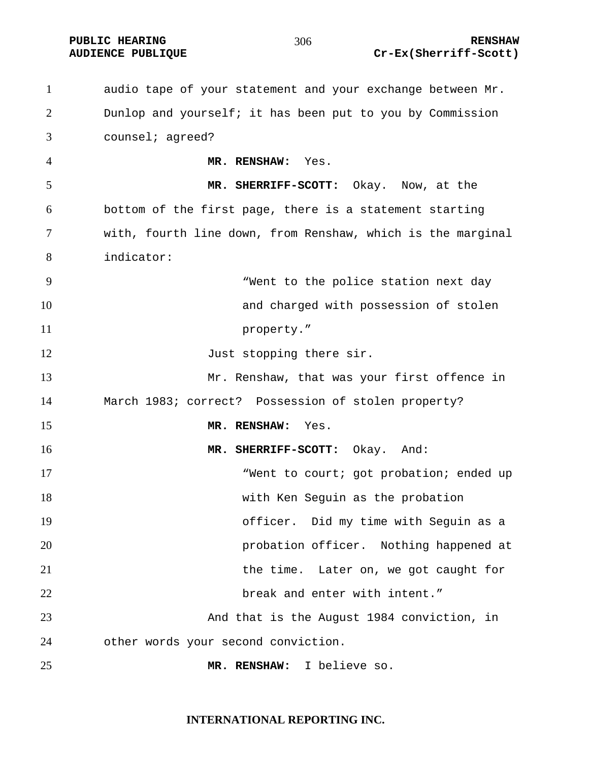**PUBLIC HEARING RENSHAW** 

**AUDIENCE PUBLIQUE Cr-Ex(Sherriff-Scott)** 

audio tape of your statement and your exchange between Mr. Dunlop and yourself; it has been put to you by Commission counsel; agreed? **MR. RENSHAW:** Yes. **MR. SHERRIFF-SCOTT:** Okay. Now, at the bottom of the first page, there is a statement starting with, fourth line down, from Renshaw, which is the marginal indicator: "Went to the police station next day **and charged with possession of stolen** 11 property." 12 Just stopping there sir. Mr. Renshaw, that was your first offence in March 1983; correct? Possession of stolen property? **MR. RENSHAW:** Yes. **MR. SHERRIFF-SCOTT:** Okay. And: 17 Went to court; got probation; ended up with Ken Seguin as the probation officer. Did my time with Seguin as a probation officer. Nothing happened at the time. Later on, we got caught for break and enter with intent." And that is the August 1984 conviction, in other words your second conviction. **MR. RENSHAW:** I believe so.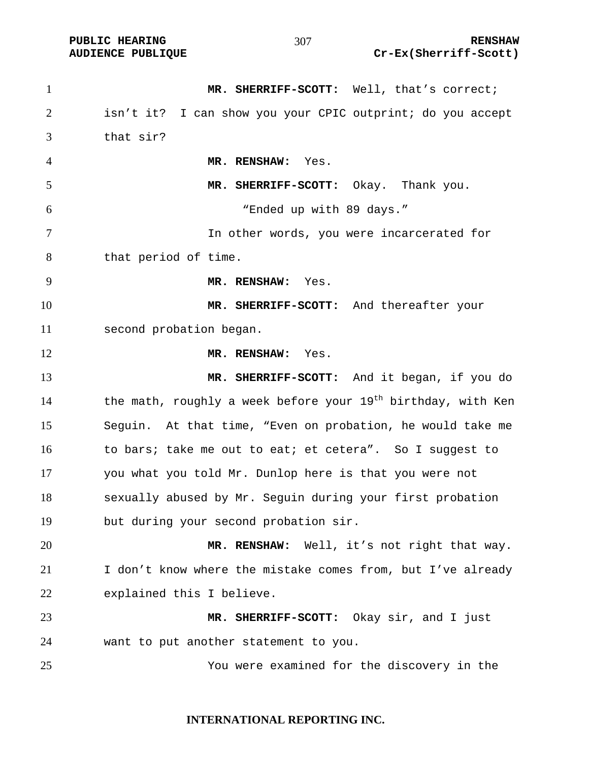| $\mathbf{1}$   | MR. SHERRIFF-SCOTT: Well, that's correct;                                |
|----------------|--------------------------------------------------------------------------|
| $\overline{2}$ | isn't it? I can show you your CPIC outprint; do you accept               |
| 3              | that sir?                                                                |
| 4              | MR. RENSHAW: Yes.                                                        |
| 5              | MR. SHERRIFF-SCOTT: Okay. Thank you.                                     |
| 6              | "Ended up with 89 days."                                                 |
| $\tau$         | In other words, you were incarcerated for                                |
| 8              | that period of time.                                                     |
| 9              | MR. RENSHAW: Yes.                                                        |
| 10             | MR. SHERRIFF-SCOTT: And thereafter your                                  |
| 11             | second probation began.                                                  |
| 12             | MR. RENSHAW: Yes.                                                        |
| 13             | MR. SHERRIFF-SCOTT: And it began, if you do                              |
| 14             | the math, roughly a week before your 19 <sup>th</sup> birthday, with Ken |
| 15             | Seguin. At that time, "Even on probation, he would take me               |
| 16             | to bars; take me out to eat; et cetera". So I suggest to                 |
| 17             | you what you told Mr. Dunlop here is that you were not                   |
| 18             | sexually abused by Mr. Sequin during your first probation                |
| 19             | but during your second probation sir.                                    |
| 20             | MR. RENSHAW: Well, it's not right that way.                              |
| 21             | I don't know where the mistake comes from, but I've already              |
| 22             | explained this I believe.                                                |
| 23             | MR. SHERRIFF-SCOTT:<br>Okay sir, and I just                              |
| 24             | want to put another statement to you.                                    |
| 25             | You were examined for the discovery in the                               |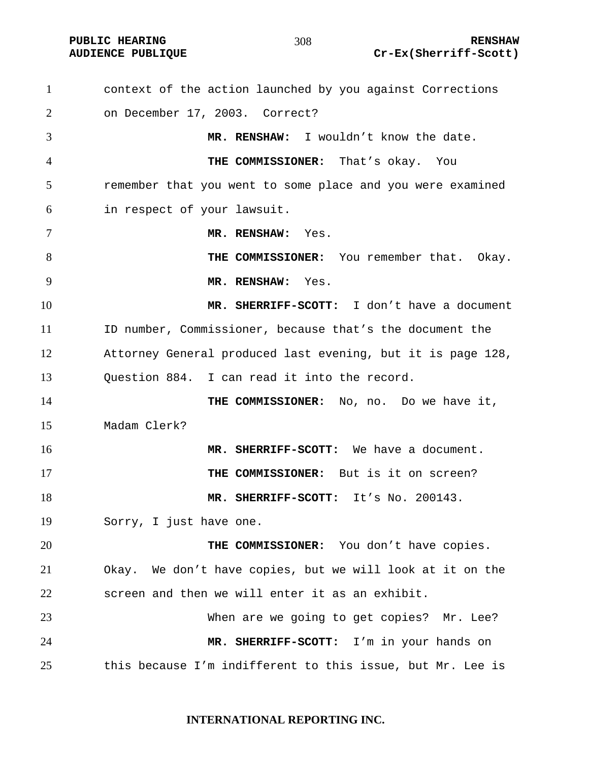**PUBLIC HEARING 208** 208 208 RENSHAW

#### 

context of the action launched by you against Corrections on December 17, 2003. Correct? **MR. RENSHAW:** I wouldn't know the date. **THE COMMISSIONER:** That's okay. You remember that you went to some place and you were examined in respect of your lawsuit. **MR. RENSHAW:** Yes. **THE COMMISSIONER:** You remember that. Okay. **MR. RENSHAW:** Yes. **MR. SHERRIFF-SCOTT:** I don't have a document ID number, Commissioner, because that's the document the Attorney General produced last evening, but it is page 128, Question 884. I can read it into the record. 14 THE COMMISSIONER: No, no. Do we have it, Madam Clerk? **MR. SHERRIFF-SCOTT:** We have a document. **THE COMMISSIONER:** But is it on screen? **MR. SHERRIFF-SCOTT:** It's No. 200143. Sorry, I just have one. **THE COMMISSIONER:** You don't have copies. Okay. We don't have copies, but we will look at it on the screen and then we will enter it as an exhibit. When are we going to get copies? Mr. Lee? **MR. SHERRIFF-SCOTT:** I'm in your hands on this because I'm indifferent to this issue, but Mr. Lee is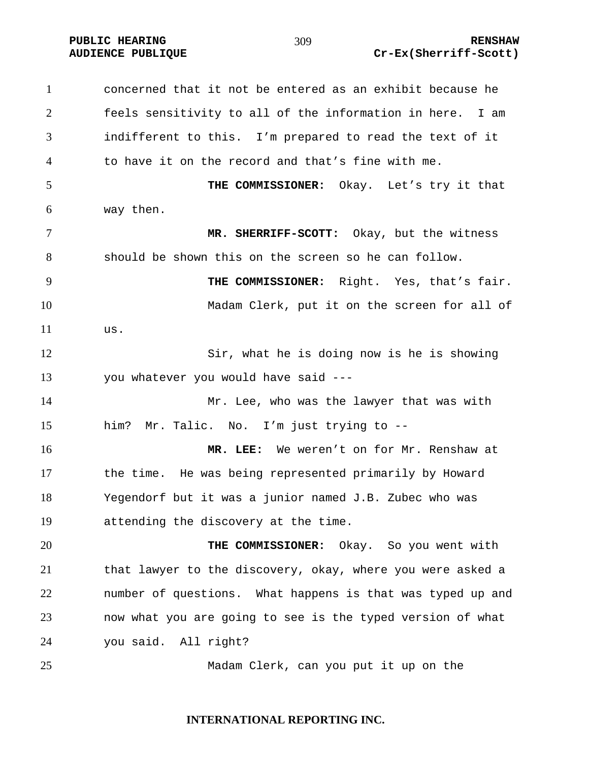concerned that it not be entered as an exhibit because he feels sensitivity to all of the information in here. I am indifferent to this. I'm prepared to read the text of it to have it on the record and that's fine with me. **THE COMMISSIONER:** Okay. Let's try it that way then. **MR. SHERRIFF-SCOTT:** Okay, but the witness should be shown this on the screen so he can follow. **THE COMMISSIONER:** Right. Yes, that's fair. Madam Clerk, put it on the screen for all of us. Sir, what he is doing now is he is showing you whatever you would have said --- Mr. Lee, who was the lawyer that was with him? Mr. Talic. No. I'm just trying to -- **MR. LEE:** We weren't on for Mr. Renshaw at the time. He was being represented primarily by Howard Yegendorf but it was a junior named J.B. Zubec who was attending the discovery at the time. **THE COMMISSIONER:** Okay. So you went with that lawyer to the discovery, okay, where you were asked a number of questions. What happens is that was typed up and now what you are going to see is the typed version of what you said. All right? Madam Clerk, can you put it up on the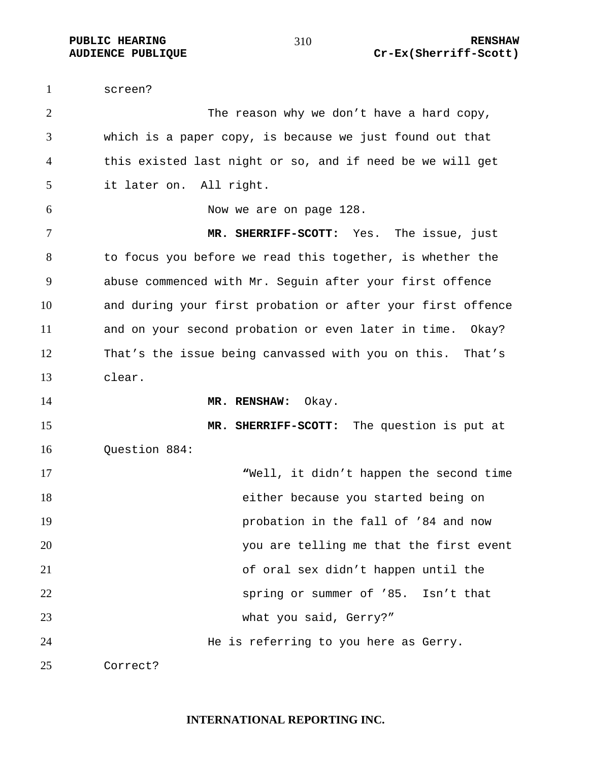screen? 2 The reason why we don't have a hard copy, which is a paper copy, is because we just found out that this existed last night or so, and if need be we will get it later on. All right. Now we are on page 128. **MR. SHERRIFF-SCOTT:** Yes. The issue, just to focus you before we read this together, is whether the abuse commenced with Mr. Seguin after your first offence and during your first probation or after your first offence and on your second probation or even later in time. Okay? That's the issue being canvassed with you on this. That's clear. **MR. RENSHAW:** Okay. **MR. SHERRIFF-SCOTT:** The question is put at Question 884: **"**Well, it didn't happen the second time either because you started being on probation in the fall of '84 and now you are telling me that the first event of oral sex didn't happen until the spring or summer of '85. Isn't that what you said, Gerry?" He is referring to you here as Gerry. Correct?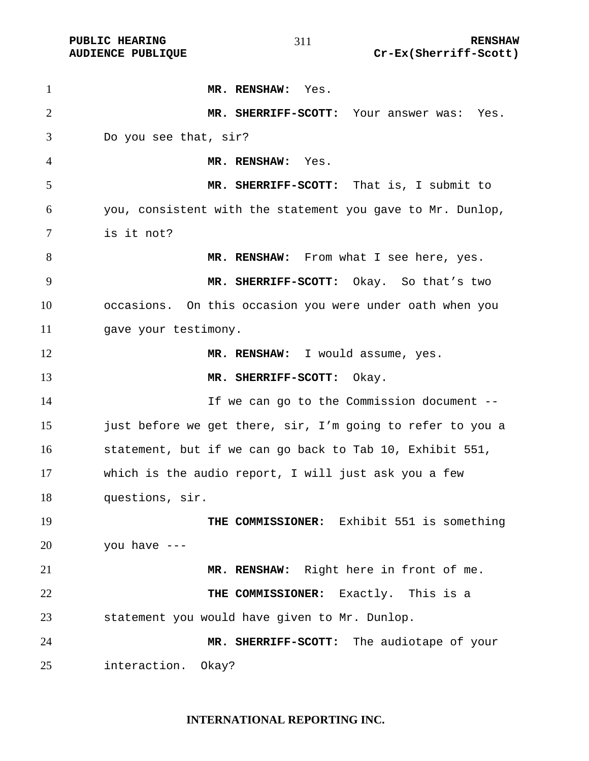**MR. RENSHAW:** Yes. **MR. SHERRIFF-SCOTT:** Your answer was: Yes. Do you see that, sir? **MR. RENSHAW:** Yes. **MR. SHERRIFF-SCOTT:** That is, I submit to you, consistent with the statement you gave to Mr. Dunlop, is it not? 8 MR. RENSHAW: From what I see here, yes. **MR. SHERRIFF-SCOTT:** Okay. So that's two occasions. On this occasion you were under oath when you 11 gave your testimony. **MR. RENSHAW:** I would assume, yes. **MR. SHERRIFF-SCOTT:** Okay. If we can go to the Commission document -- 15 just before we get there, sir, I'm going to refer to you a statement, but if we can go back to Tab 10, Exhibit 551, which is the audio report, I will just ask you a few questions, sir. **THE COMMISSIONER:** Exhibit 551 is something you have  $---$ **MR. RENSHAW:** Right here in front of me. **THE COMMISSIONER:** Exactly. This is a statement you would have given to Mr. Dunlop. **MR. SHERRIFF-SCOTT:** The audiotape of your interaction. Okay?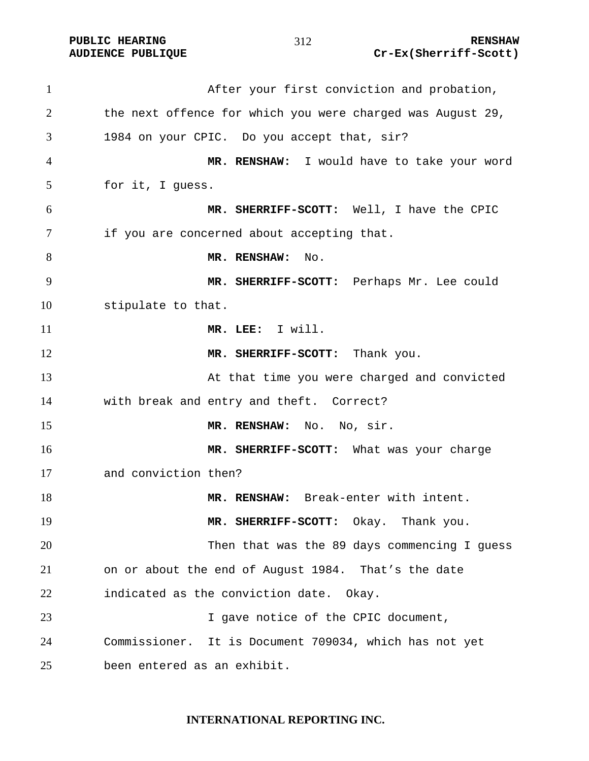**PUBLIC HEARING 212** 212 **AUDIENCE PUBLIQUE Cr-Ex(Sherriff-Scott)** 

After your first conviction and probation, the next offence for which you were charged was August 29, 1984 on your CPIC. Do you accept that, sir? **MR. RENSHAW:** I would have to take your word for it, I guess. **MR. SHERRIFF-SCOTT:** Well, I have the CPIC if you are concerned about accepting that. 8 MR. RENSHAW: No. **MR. SHERRIFF-SCOTT:** Perhaps Mr. Lee could stipulate to that. **MR. LEE:** I will. 12 MR. SHERRIFF-SCOTT: Thank you. At that time you were charged and convicted with break and entry and theft. Correct? **MR. RENSHAW:** No. No, sir. **MR. SHERRIFF-SCOTT:** What was your charge and conviction then? **MR. RENSHAW:** Break-enter with intent. **MR. SHERRIFF-SCOTT:** Okay. Thank you. Then that was the 89 days commencing I guess on or about the end of August 1984. That's the date indicated as the conviction date. Okay. 23 I gave notice of the CPIC document, Commissioner. It is Document 709034, which has not yet been entered as an exhibit.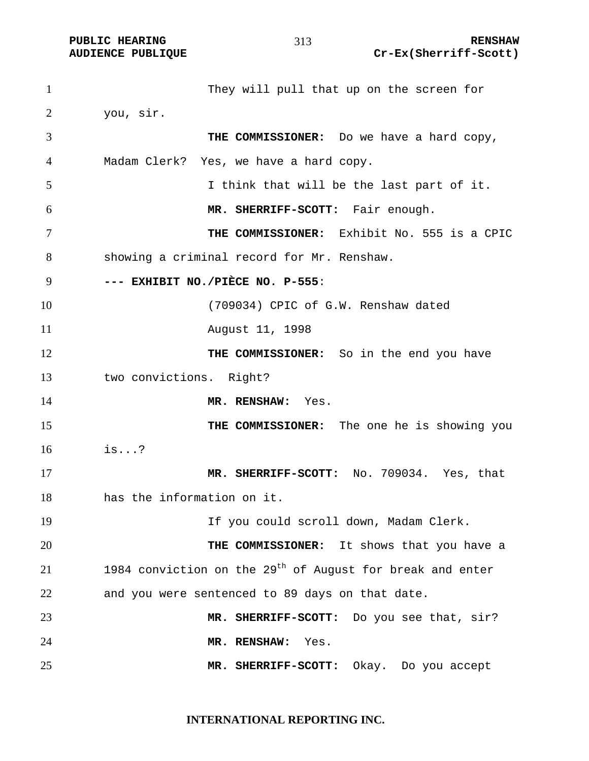They will pull that up on the screen for you, sir. **THE COMMISSIONER:** Do we have a hard copy, Madam Clerk? Yes, we have a hard copy. I think that will be the last part of it. **MR. SHERRIFF-SCOTT:** Fair enough. **THE COMMISSIONER:** Exhibit No. 555 is a CPIC showing a criminal record for Mr. Renshaw. **--- EXHIBIT NO./PIÈCE NO. P-555**: (709034) CPIC of G.W. Renshaw dated August 11, 1998 **THE COMMISSIONER:** So in the end you have two convictions. Right? **MR. RENSHAW:** Yes. 15 THE COMMISSIONER: The one he is showing you is...? **MR. SHERRIFF-SCOTT:** No. 709034. Yes, that has the information on it. If you could scroll down, Madam Clerk. **THE COMMISSIONER:** It shows that you have a 1984 conviction on the 29<sup>th</sup> of August for break and enter and you were sentenced to 89 days on that date. **MR. SHERRIFF-SCOTT:** Do you see that, sir? **MR. RENSHAW:** Yes. **MR. SHERRIFF-SCOTT:** Okay. Do you accept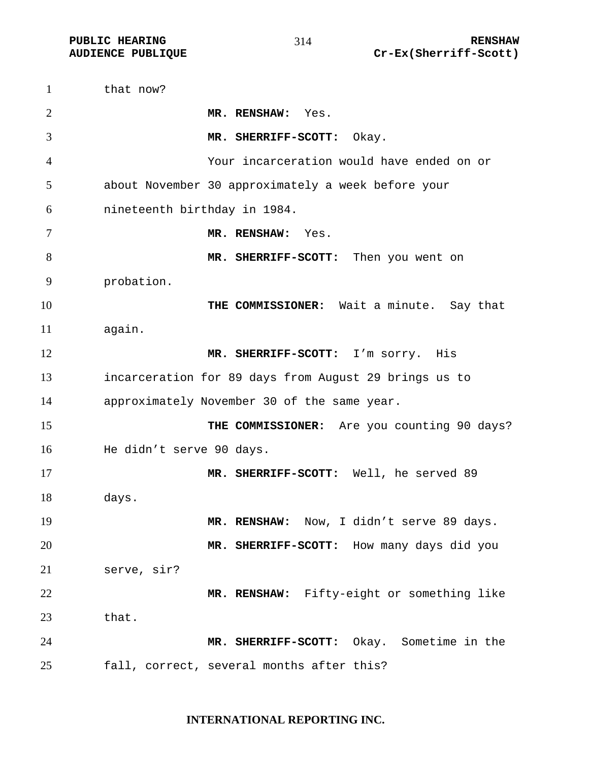1 that now? **MR. RENSHAW:** Yes. **MR. SHERRIFF-SCOTT:** Okay. Your incarceration would have ended on or about November 30 approximately a week before your nineteenth birthday in 1984. **MR. RENSHAW:** Yes. **MR. SHERRIFF-SCOTT:** Then you went on probation. **THE COMMISSIONER:** Wait a minute. Say that again. **MR. SHERRIFF-SCOTT:** I'm sorry. His incarceration for 89 days from August 29 brings us to approximately November 30 of the same year. 15 THE COMMISSIONER: Are you counting 90 days? He didn't serve 90 days. **MR. SHERRIFF-SCOTT:** Well, he served 89 days. **MR. RENSHAW:** Now, I didn't serve 89 days. **MR. SHERRIFF-SCOTT:** How many days did you serve, sir? **MR. RENSHAW:** Fifty-eight or something like that. **MR. SHERRIFF-SCOTT:** Okay. Sometime in the fall, correct, several months after this?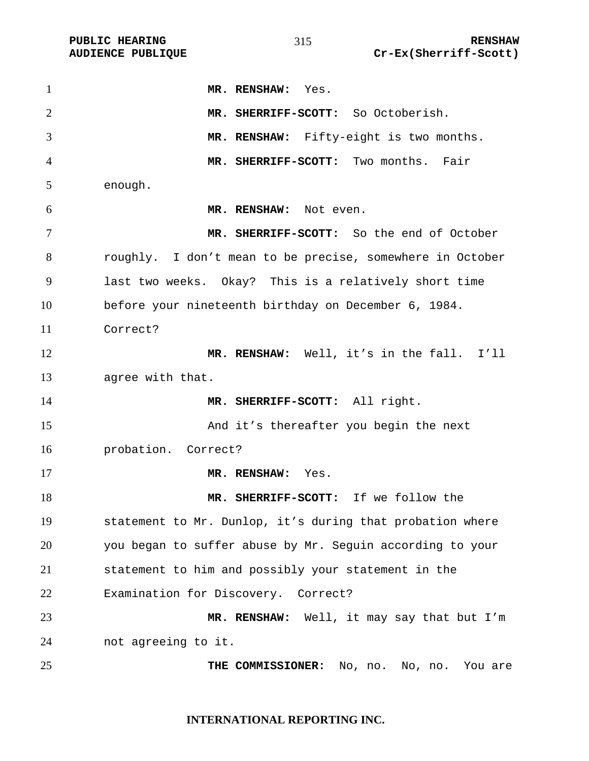| $\mathbf{1}$   | MR. RENSHAW: Yes.                                         |
|----------------|-----------------------------------------------------------|
| $\overline{2}$ | MR. SHERRIFF-SCOTT: So Octoberish.                        |
| 3              | MR. RENSHAW: Fifty-eight is two months.                   |
| $\overline{4}$ | MR. SHERRIFF-SCOTT: Two months. Fair                      |
| 5              | enough.                                                   |
| 6              | MR. RENSHAW: Not even.                                    |
| 7              | MR. SHERRIFF-SCOTT: So the end of October                 |
| 8              | roughly. I don't mean to be precise, somewhere in October |
| 9              | last two weeks. Okay? This is a relatively short time     |
| 10             | before your nineteenth birthday on December 6, 1984.      |
| 11             | Correct?                                                  |
| 12             | MR. RENSHAW: Well, it's in the fall. I'll                 |
| 13             | agree with that.                                          |
| 14             | MR. SHERRIFF-SCOTT: All right.                            |
| 15             | And it's thereafter you begin the next                    |
| 16             | probation. Correct?                                       |
| 17             | MR. RENSHAW: Yes.                                         |
| 18             | MR. SHERRIFF-SCOTT: If we follow the                      |
| 19             | statement to Mr. Dunlop, it's during that probation where |
| 20             | you began to suffer abuse by Mr. Seguin according to your |
| 21             | statement to him and possibly your statement in the       |
| 22             | Examination for Discovery.<br>Correct?                    |
| 23             | MR. RENSHAW: Well, it may say that but I'm                |
| 24             | not agreeing to it.                                       |
| 25             | THE COMMISSIONER:<br>No, no. No, no.<br>You are           |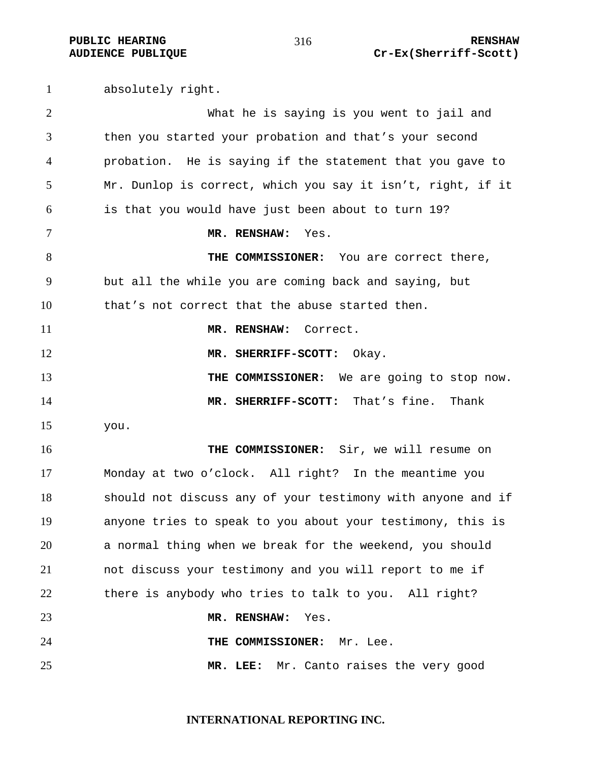absolutely right. What he is saying is you went to jail and then you started your probation and that's your second probation. He is saying if the statement that you gave to Mr. Dunlop is correct, which you say it isn't, right, if it is that you would have just been about to turn 19? **MR. RENSHAW:** Yes. **THE COMMISSIONER:** You are correct there, but all the while you are coming back and saying, but that's not correct that the abuse started then. **MR. RENSHAW:** Correct. **MR. SHERRIFF-SCOTT:** Okay. **THE COMMISSIONER:** We are going to stop now. **MR. SHERRIFF-SCOTT:** That's fine. Thank you. **THE COMMISSIONER:** Sir, we will resume on Monday at two o'clock. All right? In the meantime you should not discuss any of your testimony with anyone and if anyone tries to speak to you about your testimony, this is a normal thing when we break for the weekend, you should not discuss your testimony and you will report to me if there is anybody who tries to talk to you. All right? **MR. RENSHAW:** Yes. **THE COMMISSIONER:** Mr. Lee. **MR. LEE:** Mr. Canto raises the very good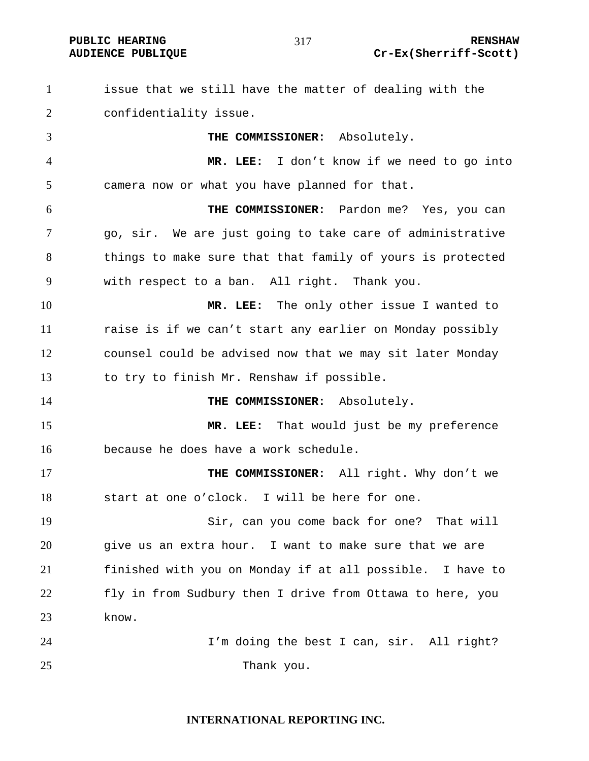**INTERNATIONAL REPORTING INC.**  issue that we still have the matter of dealing with the confidentiality issue. **THE COMMISSIONER:** Absolutely. **MR. LEE:** I don't know if we need to go into camera now or what you have planned for that. **THE COMMISSIONER:** Pardon me? Yes, you can go, sir. We are just going to take care of administrative 8 things to make sure that that family of yours is protected with respect to a ban. All right. Thank you. **MR. LEE:** The only other issue I wanted to raise is if we can't start any earlier on Monday possibly counsel could be advised now that we may sit later Monday to try to finish Mr. Renshaw if possible. **THE COMMISSIONER:** Absolutely. **MR. LEE:** That would just be my preference because he does have a work schedule. **THE COMMISSIONER:** All right. Why don't we start at one o'clock. I will be here for one. Sir, can you come back for one? That will give us an extra hour. I want to make sure that we are finished with you on Monday if at all possible. I have to fly in from Sudbury then I drive from Ottawa to here, you know. I'm doing the best I can, sir. All right? 25 Thank you.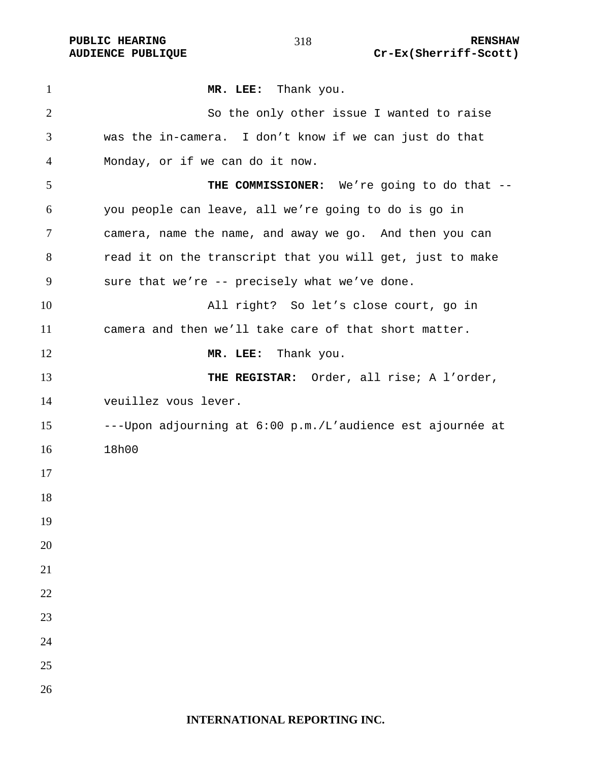PUBLIC HEARING **RENSHAW** 318 **RENSHAW RENSHAW AUDIENCE PUBLIQUE** Cr-Ex(Sherriff-Scott)

| $\mathbf{1}$   | MR. LEE: Thank you.                                        |
|----------------|------------------------------------------------------------|
| $\overline{2}$ | So the only other issue I wanted to raise                  |
| 3              | was the in-camera. I don't know if we can just do that     |
| 4              | Monday, or if we can do it now.                            |
| 5              | THE COMMISSIONER: We're going to do that --                |
| 6              | you people can leave, all we're going to do is go in       |
| 7              | camera, name the name, and away we go. And then you can    |
| 8              | read it on the transcript that you will get, just to make  |
| 9              | sure that we're -- precisely what we've done.              |
| 10             | All right? So let's close court, go in                     |
| 11             | camera and then we'll take care of that short matter.      |
| 12             | MR. LEE: Thank you.                                        |
| 13             | THE REGISTAR: Order, all rise; A l'order,                  |
| 14             | veuillez vous lever.                                       |
| 15             | ---Upon adjourning at 6:00 p.m./L'audience est ajournée at |
| 16             | 18h00                                                      |
| 17             |                                                            |
| 18             |                                                            |
| 19             |                                                            |
| 20             |                                                            |
| 21             |                                                            |
| 22             |                                                            |
| 23             |                                                            |
| 24             |                                                            |
| 25             |                                                            |
| 26             |                                                            |